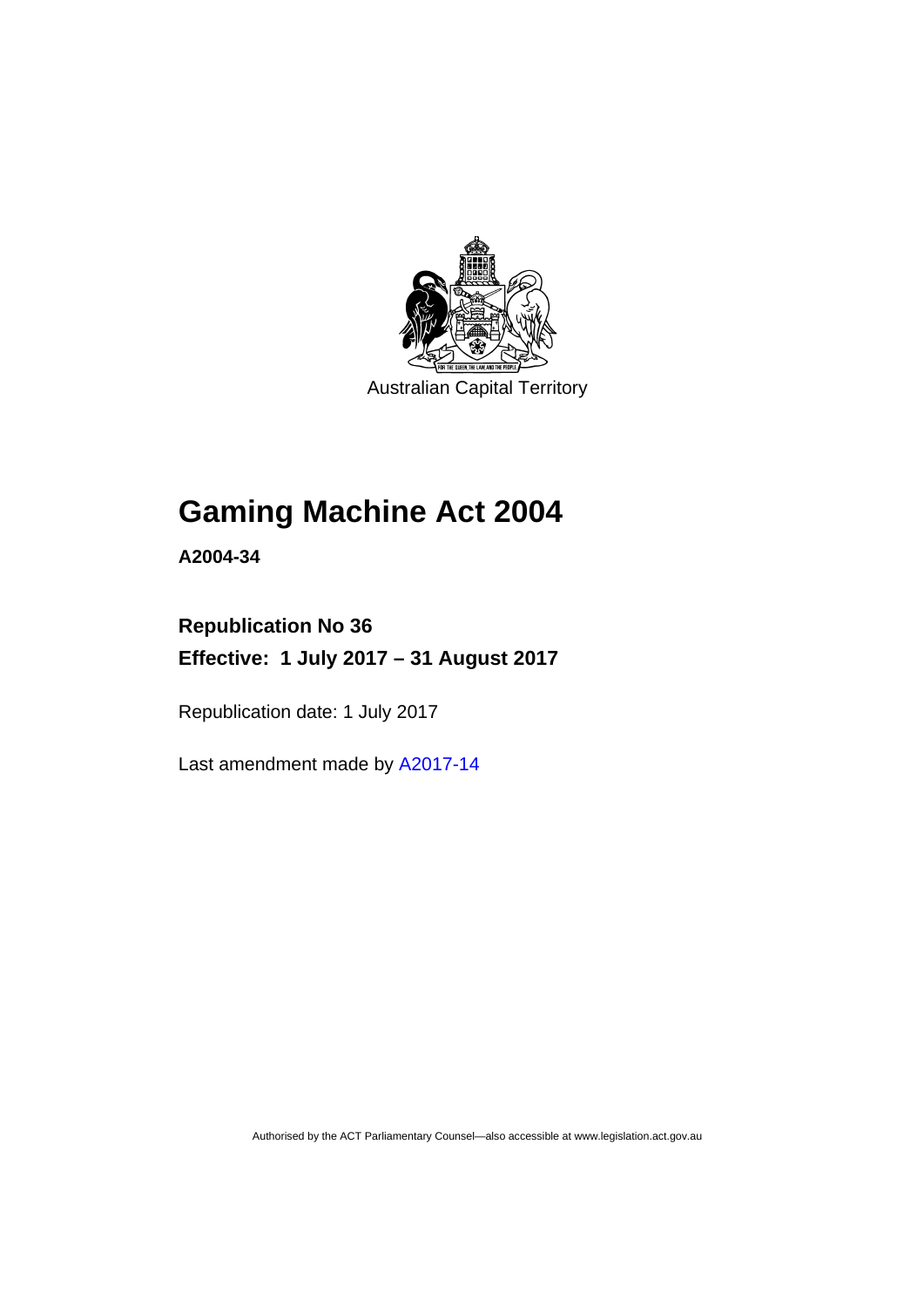

Australian Capital Territory

# **Gaming Machine Act 2004**

**A2004-34** 

# **Republication No 36 Effective: 1 July 2017 – 31 August 2017**

Republication date: 1 July 2017

Last amendment made by [A2017-14](http://www.legislation.act.gov.au/a/2017-14/default.asp)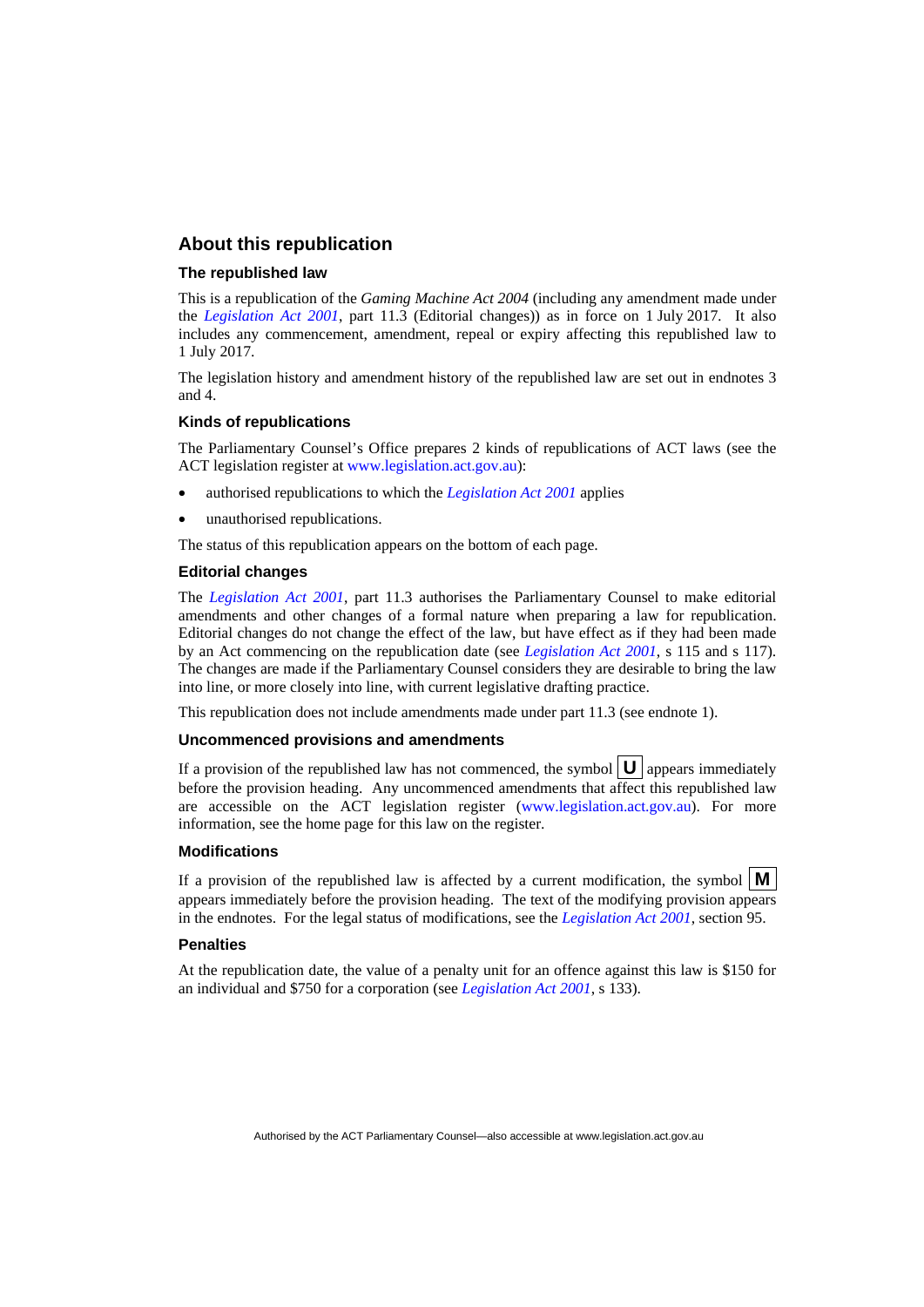### **About this republication**

### **The republished law**

This is a republication of the *Gaming Machine Act 2004* (including any amendment made under the *[Legislation Act 2001](http://www.legislation.act.gov.au/a/2001-14)*, part 11.3 (Editorial changes)) as in force on 1 July 2017*.* It also includes any commencement, amendment, repeal or expiry affecting this republished law to 1 July 2017.

The legislation history and amendment history of the republished law are set out in endnotes 3 and 4.

### **Kinds of republications**

The Parliamentary Counsel's Office prepares 2 kinds of republications of ACT laws (see the ACT legislation register at [www.legislation.act.gov.au](http://www.legislation.act.gov.au/)):

- authorised republications to which the *[Legislation Act 2001](http://www.legislation.act.gov.au/a/2001-14)* applies
- unauthorised republications.

The status of this republication appears on the bottom of each page.

#### **Editorial changes**

The *[Legislation Act 2001](http://www.legislation.act.gov.au/a/2001-14)*, part 11.3 authorises the Parliamentary Counsel to make editorial amendments and other changes of a formal nature when preparing a law for republication. Editorial changes do not change the effect of the law, but have effect as if they had been made by an Act commencing on the republication date (see *[Legislation Act 2001](http://www.legislation.act.gov.au/a/2001-14)*, s 115 and s 117). The changes are made if the Parliamentary Counsel considers they are desirable to bring the law into line, or more closely into line, with current legislative drafting practice.

This republication does not include amendments made under part 11.3 (see endnote 1).

#### **Uncommenced provisions and amendments**

If a provision of the republished law has not commenced, the symbol  $\mathbf{U}$  appears immediately before the provision heading. Any uncommenced amendments that affect this republished law are accessible on the ACT legislation register [\(www.legislation.act.gov.au\)](http://www.legislation.act.gov.au/). For more information, see the home page for this law on the register.

#### **Modifications**

If a provision of the republished law is affected by a current modification, the symbol  $\mathbf{M}$ appears immediately before the provision heading. The text of the modifying provision appears in the endnotes. For the legal status of modifications, see the *[Legislation Act 2001](http://www.legislation.act.gov.au/a/2001-14)*, section 95.

#### **Penalties**

At the republication date, the value of a penalty unit for an offence against this law is \$150 for an individual and \$750 for a corporation (see *[Legislation Act 2001](http://www.legislation.act.gov.au/a/2001-14)*, s 133).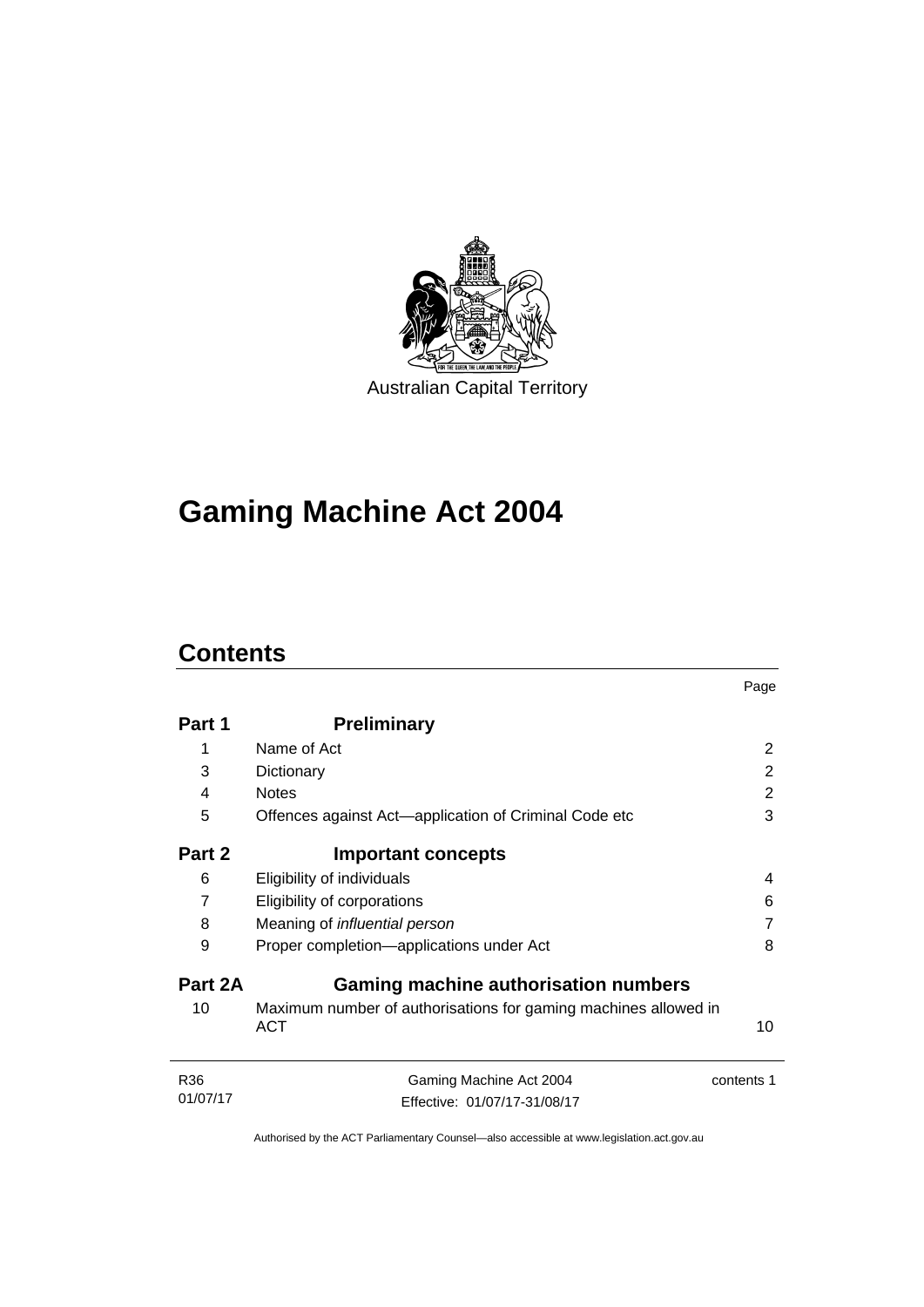

# **Gaming Machine Act 2004**

# **Contents**

|                 |                                                                               | Page       |
|-----------------|-------------------------------------------------------------------------------|------------|
| Part 1          | <b>Preliminary</b>                                                            |            |
| 1               | Name of Act                                                                   | 2          |
| 3               | Dictionary                                                                    | 2          |
| 4               | <b>Notes</b>                                                                  | 2          |
| 5               | Offences against Act—application of Criminal Code etc                         | 3          |
| Part 2          | <b>Important concepts</b>                                                     |            |
| 6               | Eligibility of individuals                                                    | 4          |
| $\overline{7}$  | Eligibility of corporations                                                   | 6          |
| 8               | Meaning of <i>influential</i> person                                          |            |
| 9               | Proper completion-applications under Act                                      | 8          |
| Part 2A         | <b>Gaming machine authorisation numbers</b>                                   |            |
| 10              | Maximum number of authorisations for gaming machines allowed in<br><b>ACT</b> | 10         |
| R <sub>36</sub> | Gaming Machine Act 2004                                                       | contents 1 |
| 01/07/17        | Effective: 01/07/17-31/08/17                                                  |            |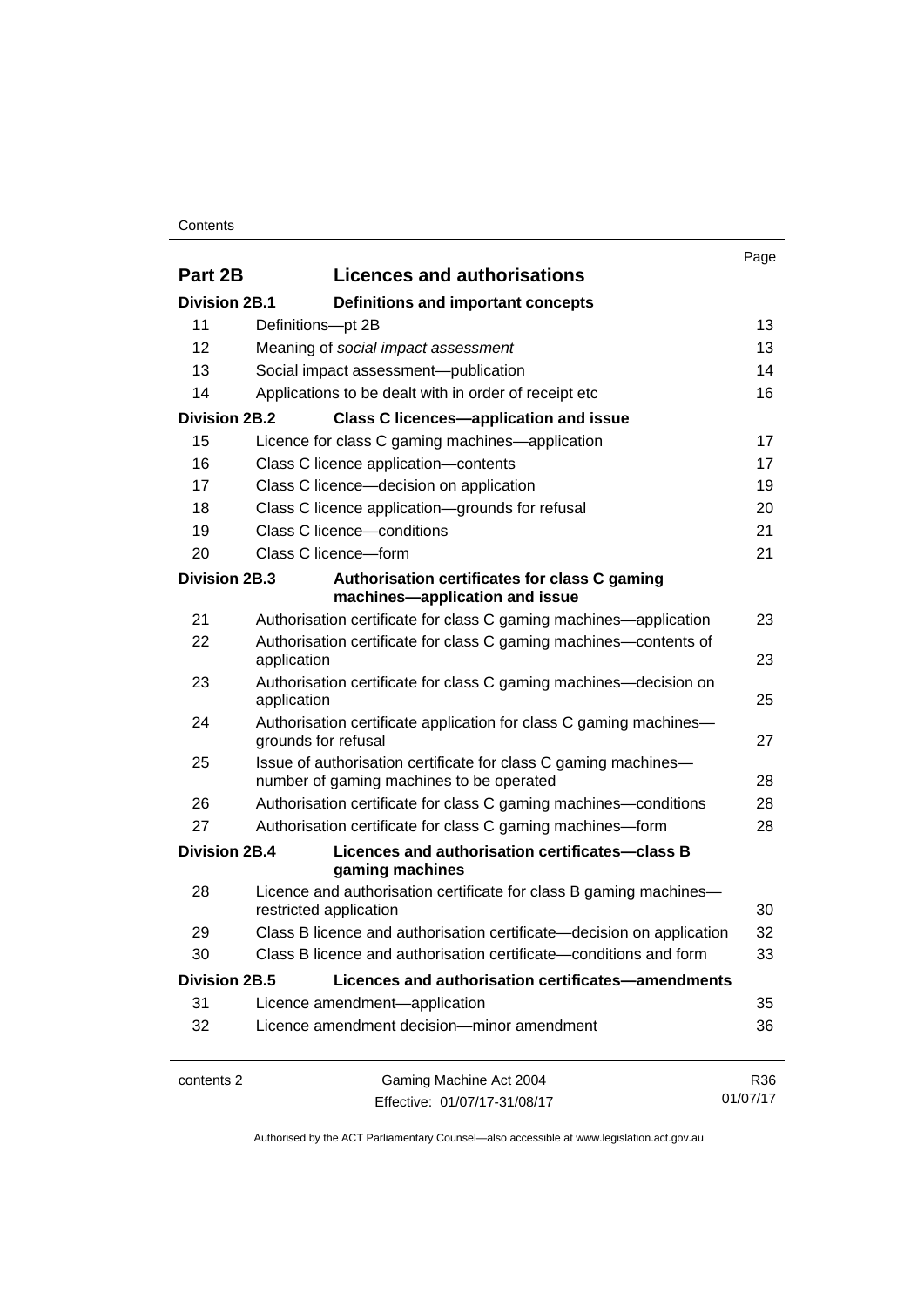### **Contents**

|                      |                                                                                                             | Page     |
|----------------------|-------------------------------------------------------------------------------------------------------------|----------|
| Part 2B              | <b>Licences and authorisations</b>                                                                          |          |
| <b>Division 2B.1</b> | Definitions and important concepts                                                                          |          |
| 11                   | Definitions-pt 2B                                                                                           | 13       |
| 12                   | Meaning of social impact assessment                                                                         | 13       |
| 13                   | Social impact assessment-publication                                                                        | 14       |
| 14                   | Applications to be dealt with in order of receipt etc                                                       | 16       |
| <b>Division 2B.2</b> | <b>Class C licences-application and issue</b>                                                               |          |
| 15                   | Licence for class C gaming machines—application                                                             | 17       |
| 16                   | Class C licence application-contents                                                                        | 17       |
| 17                   | Class C licence-decision on application                                                                     | 19       |
| 18                   | Class C licence application-grounds for refusal                                                             | 20       |
| 19                   | Class C licence-conditions                                                                                  | 21       |
| 20                   | Class C licence-form                                                                                        | 21       |
| Division 2B.3        | Authorisation certificates for class C gaming<br>machines-application and issue                             |          |
| 21                   | Authorisation certificate for class C gaming machines—application                                           | 23       |
| 22                   | Authorisation certificate for class C gaming machines—contents of<br>application                            | 23       |
| 23                   | Authorisation certificate for class C gaming machines—decision on<br>application                            | 25       |
| 24                   | Authorisation certificate application for class C gaming machines-<br>grounds for refusal                   | 27       |
| 25                   | Issue of authorisation certificate for class C gaming machines-<br>number of gaming machines to be operated | 28       |
| 26                   | Authorisation certificate for class C gaming machines—conditions                                            | 28       |
| 27                   | Authorisation certificate for class C gaming machines-form                                                  | 28       |
| Division 2B.4        | Licences and authorisation certificates-class B<br>gaming machines                                          |          |
| 28                   | Licence and authorisation certificate for class B gaming machines-<br>restricted application                | 30       |
| 29                   | Class B licence and authorisation certificate-decision on application                                       | 32       |
| 30                   | Class B licence and authorisation certificate—conditions and form                                           | 33       |
| <b>Division 2B.5</b> | Licences and authorisation certificates-amendments                                                          |          |
| 31                   | Licence amendment-application                                                                               | 35       |
| 32                   | Licence amendment decision-minor amendment                                                                  | 36       |
| contents 2           | Gaming Machine Act 2004                                                                                     | R36      |
|                      | Effective: 01/07/17-31/08/17                                                                                | 01/07/17 |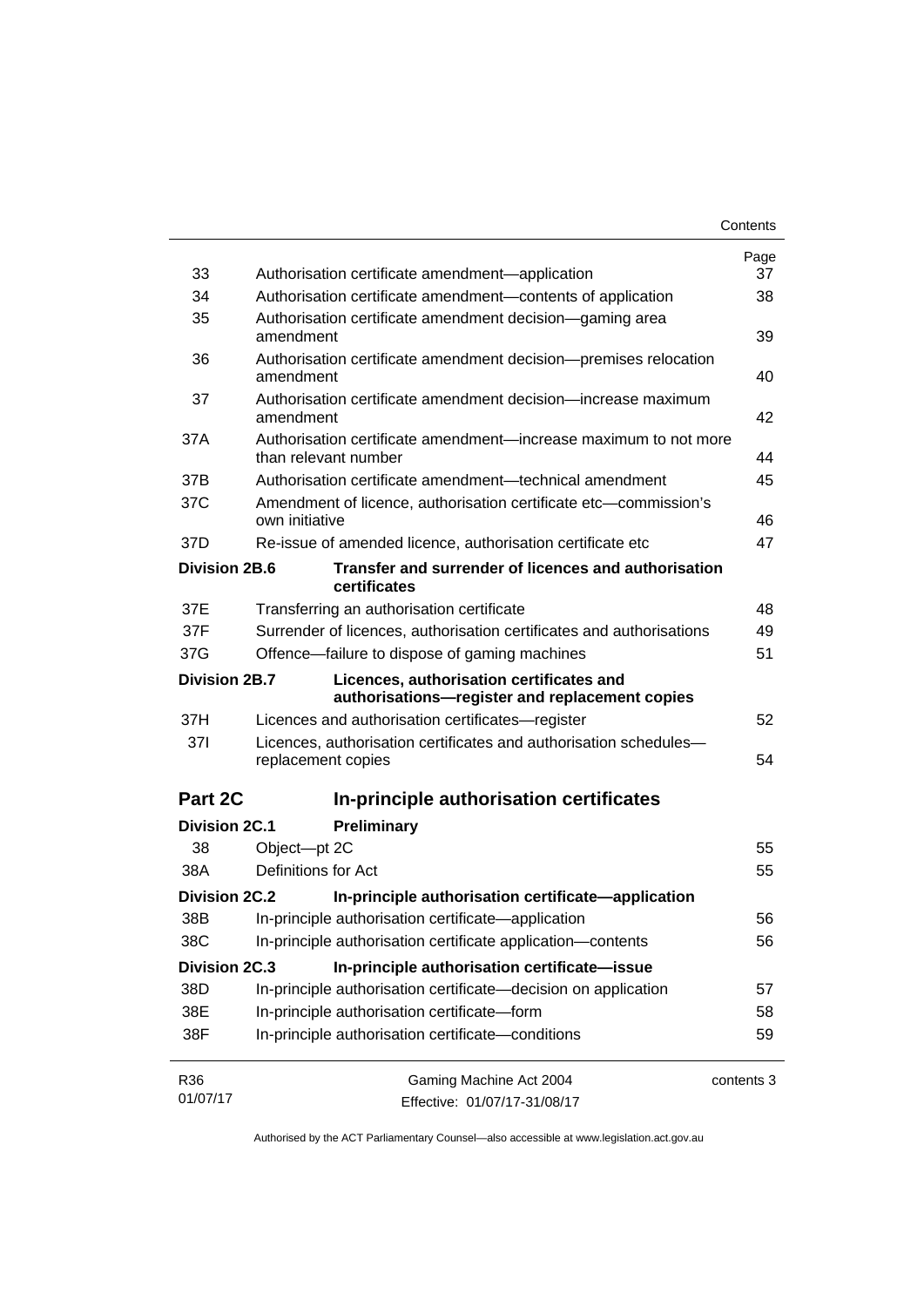|                      |                                                                                            | Contents   |
|----------------------|--------------------------------------------------------------------------------------------|------------|
|                      |                                                                                            | Page       |
| 33                   | Authorisation certificate amendment-application                                            | 37         |
| 34                   | Authorisation certificate amendment-contents of application                                |            |
| 35                   | Authorisation certificate amendment decision—gaming area<br>amendment                      | 39         |
| 36                   | Authorisation certificate amendment decision-premises relocation<br>amendment              | 40         |
| 37                   | Authorisation certificate amendment decision—increase maximum<br>amendment                 | 42         |
| 37A                  | Authorisation certificate amendment—increase maximum to not more<br>than relevant number   | 44         |
| 37B                  | Authorisation certificate amendment—technical amendment                                    | 45         |
| 37C                  | Amendment of licence, authorisation certificate etc—commission's<br>own initiative         | 46         |
| 37D                  | Re-issue of amended licence, authorisation certificate etc                                 | 47         |
| <b>Division 2B.6</b> | Transfer and surrender of licences and authorisation<br>certificates                       |            |
| 37E                  | Transferring an authorisation certificate                                                  | 48         |
| 37F                  | Surrender of licences, authorisation certificates and authorisations                       | 49         |
| 37G                  | Offence-failure to dispose of gaming machines                                              | 51         |
| Division 2B.7        | Licences, authorisation certificates and<br>authorisations-register and replacement copies |            |
| 37H                  | Licences and authorisation certificates—register                                           | 52         |
| 371                  | Licences, authorisation certificates and authorisation schedules-<br>replacement copies    | 54         |
| Part 2C              | In-principle authorisation certificates                                                    |            |
| <b>Division 2C.1</b> | Preliminary                                                                                |            |
| 38                   | Object-pt 2C                                                                               | 55         |
| 38A                  | Definitions for Act                                                                        | 55         |
| Division 2C.2        | In-principle authorisation certificate-application                                         |            |
| 38B                  | In-principle authorisation certificate-application                                         | 56         |
| 38C                  | In-principle authorisation certificate application-contents                                | 56         |
| <b>Division 2C.3</b> | In-principle authorisation certificate-issue                                               |            |
| 38D                  | In-principle authorisation certificate-decision on application                             | 57         |
| 38E                  | In-principle authorisation certificate-form                                                | 58         |
| 38F                  | In-principle authorisation certificate-conditions                                          | 59         |
| R36                  | Gaming Machine Act 2004                                                                    | contents 3 |
| 01/07/17             | Effective: 01/07/17-31/08/17                                                               |            |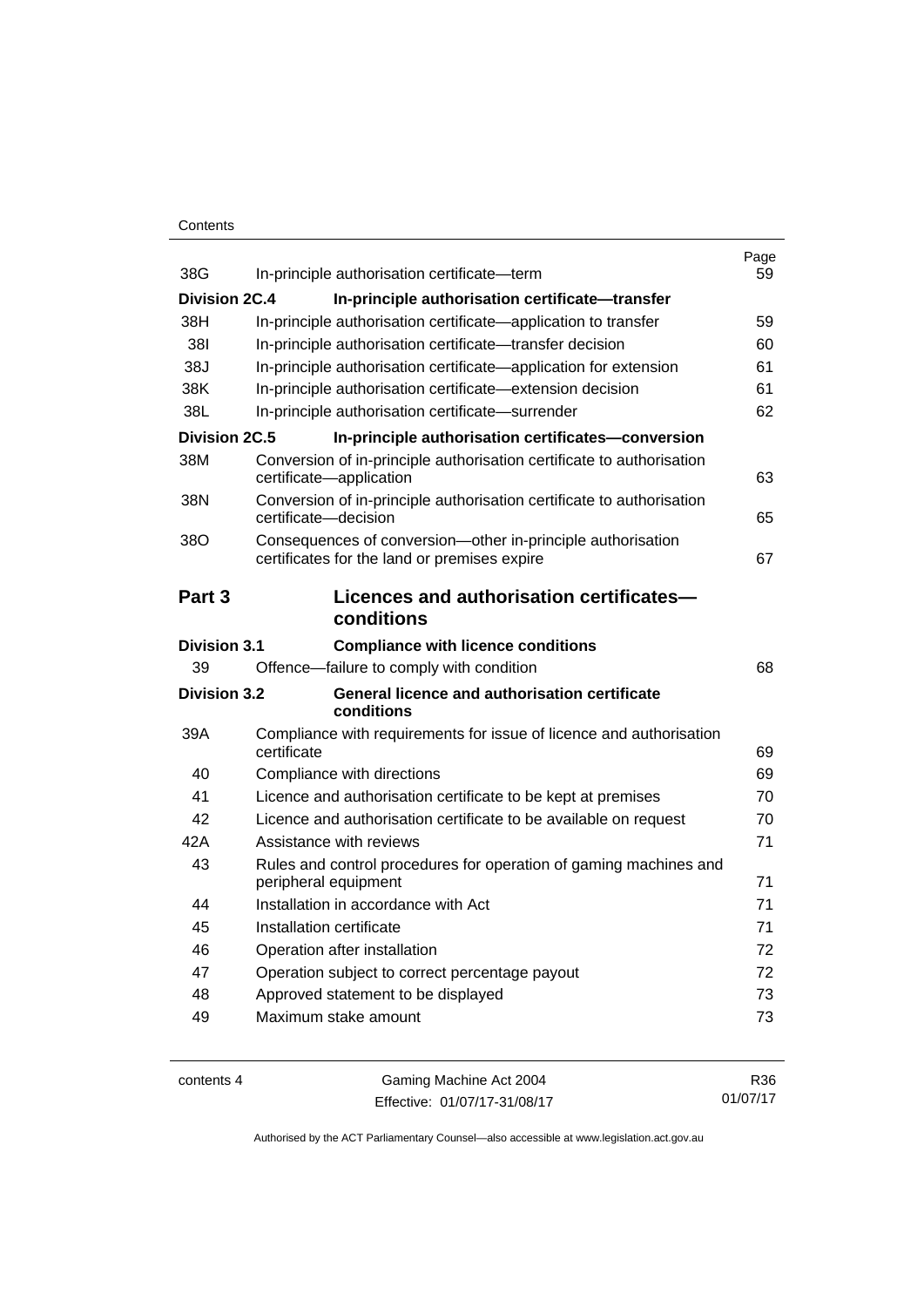## **Contents**

| 38G                  | In-principle authorisation certificate-term                                                                 | Page<br>59 |
|----------------------|-------------------------------------------------------------------------------------------------------------|------------|
| <b>Division 2C.4</b> | In-principle authorisation certificate-transfer                                                             |            |
| 38H                  | In-principle authorisation certificate-application to transfer                                              | 59         |
| 381                  | In-principle authorisation certificate—transfer decision                                                    | 60         |
| 38J                  | In-principle authorisation certificate—application for extension                                            | 61         |
| 38K                  | In-principle authorisation certificate-extension decision                                                   | 61         |
| 38L                  | In-principle authorisation certificate-surrender                                                            | 62         |
| Division 2C.5        | In-principle authorisation certificates-conversion                                                          |            |
| 38M                  | Conversion of in-principle authorisation certificate to authorisation<br>certificate-application            | 63         |
| 38N                  | Conversion of in-principle authorisation certificate to authorisation<br>certificate-decision               | 65         |
| 38O                  | Consequences of conversion-other in-principle authorisation<br>certificates for the land or premises expire | 67         |
| Part 3               | Licences and authorisation certificates-<br>conditions                                                      |            |
| <b>Division 3.1</b>  | <b>Compliance with licence conditions</b>                                                                   |            |
| 39                   | Offence-failure to comply with condition                                                                    | 68         |
| <b>Division 3.2</b>  | <b>General licence and authorisation certificate</b><br>conditions                                          |            |
| 39A                  | Compliance with requirements for issue of licence and authorisation<br>certificate                          | 69         |
| 40                   | Compliance with directions                                                                                  | 69         |
| 41                   | Licence and authorisation certificate to be kept at premises                                                | 70         |
| 42                   | Licence and authorisation certificate to be available on request                                            | 70         |
| 42A                  | Assistance with reviews                                                                                     | 71         |
| 43                   | Rules and control procedures for operation of gaming machines and<br>peripheral equipment                   | 71         |
| 44                   | Installation in accordance with Act                                                                         | 71         |
| 45                   | Installation certificate                                                                                    | 71         |
| 46                   | Operation after installation                                                                                | 72         |
| 47                   | Operation subject to correct percentage payout                                                              | 72         |
| 48                   | Approved statement to be displayed                                                                          | 73         |
| 49                   | Maximum stake amount                                                                                        | 73         |
|                      |                                                                                                             |            |

| contents 4 |  |
|------------|--|
|------------|--|

s 4 Gaming Machine Act 2004 Effective: 01/07/17-31/08/17

R36 01/07/17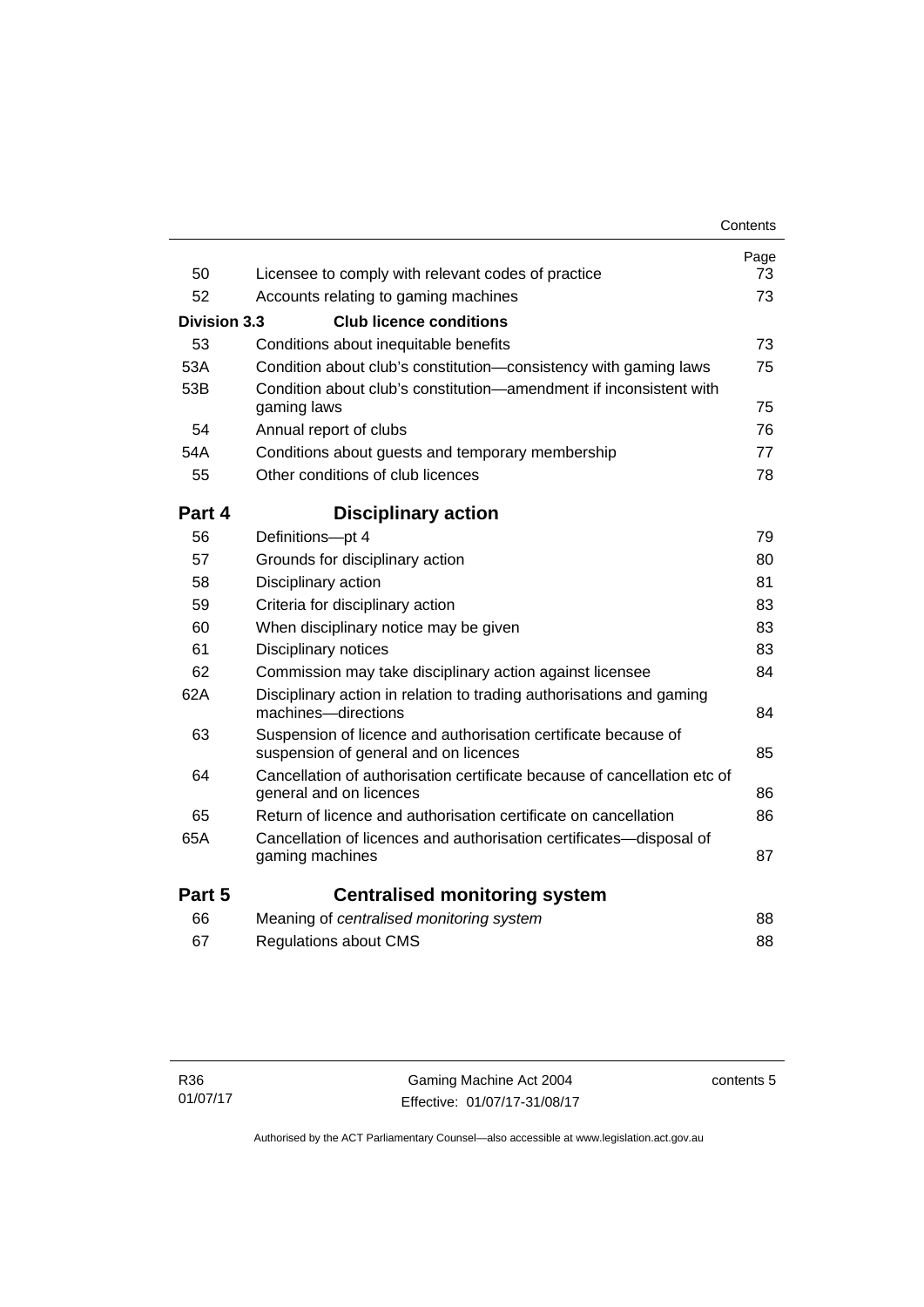|              |                                                                                                         | Contents |
|--------------|---------------------------------------------------------------------------------------------------------|----------|
|              |                                                                                                         | Page     |
| 50           | Licensee to comply with relevant codes of practice                                                      | 73       |
| 52           | Accounts relating to gaming machines                                                                    | 73       |
| Division 3.3 | <b>Club licence conditions</b>                                                                          |          |
| 53           | Conditions about inequitable benefits                                                                   | 73       |
| 53A          | Condition about club's constitution—consistency with gaming laws                                        | 75       |
| 53B          | Condition about club's constitution—amendment if inconsistent with<br>gaming laws                       | 75       |
| 54           | Annual report of clubs                                                                                  | 76       |
| 54A          | Conditions about guests and temporary membership                                                        | 77       |
| 55           | Other conditions of club licences                                                                       | 78       |
| Part 4       | <b>Disciplinary action</b>                                                                              |          |
| 56           | Definitions-pt 4                                                                                        | 79       |
| 57           | Grounds for disciplinary action                                                                         | 80       |
| 58           | Disciplinary action                                                                                     | 81       |
| 59           | Criteria for disciplinary action                                                                        | 83       |
| 60           | When disciplinary notice may be given                                                                   | 83       |
| 61           | Disciplinary notices                                                                                    | 83       |
| 62           | Commission may take disciplinary action against licensee                                                | 84       |
| 62A          | Disciplinary action in relation to trading authorisations and gaming<br>machines-directions             | 84       |
| 63           | Suspension of licence and authorisation certificate because of<br>suspension of general and on licences | 85       |
| 64           | Cancellation of authorisation certificate because of cancellation etc of<br>general and on licences     | 86       |
| 65           | Return of licence and authorisation certificate on cancellation                                         | 86       |
| 65A          | Cancellation of licences and authorisation certificates-disposal of<br>gaming machines                  | 87       |
| Part 5       | <b>Centralised monitoring system</b>                                                                    |          |
| 66           | Meaning of centralised monitoring system                                                                | 88       |
| 67           | <b>Regulations about CMS</b>                                                                            | 88       |

contents 5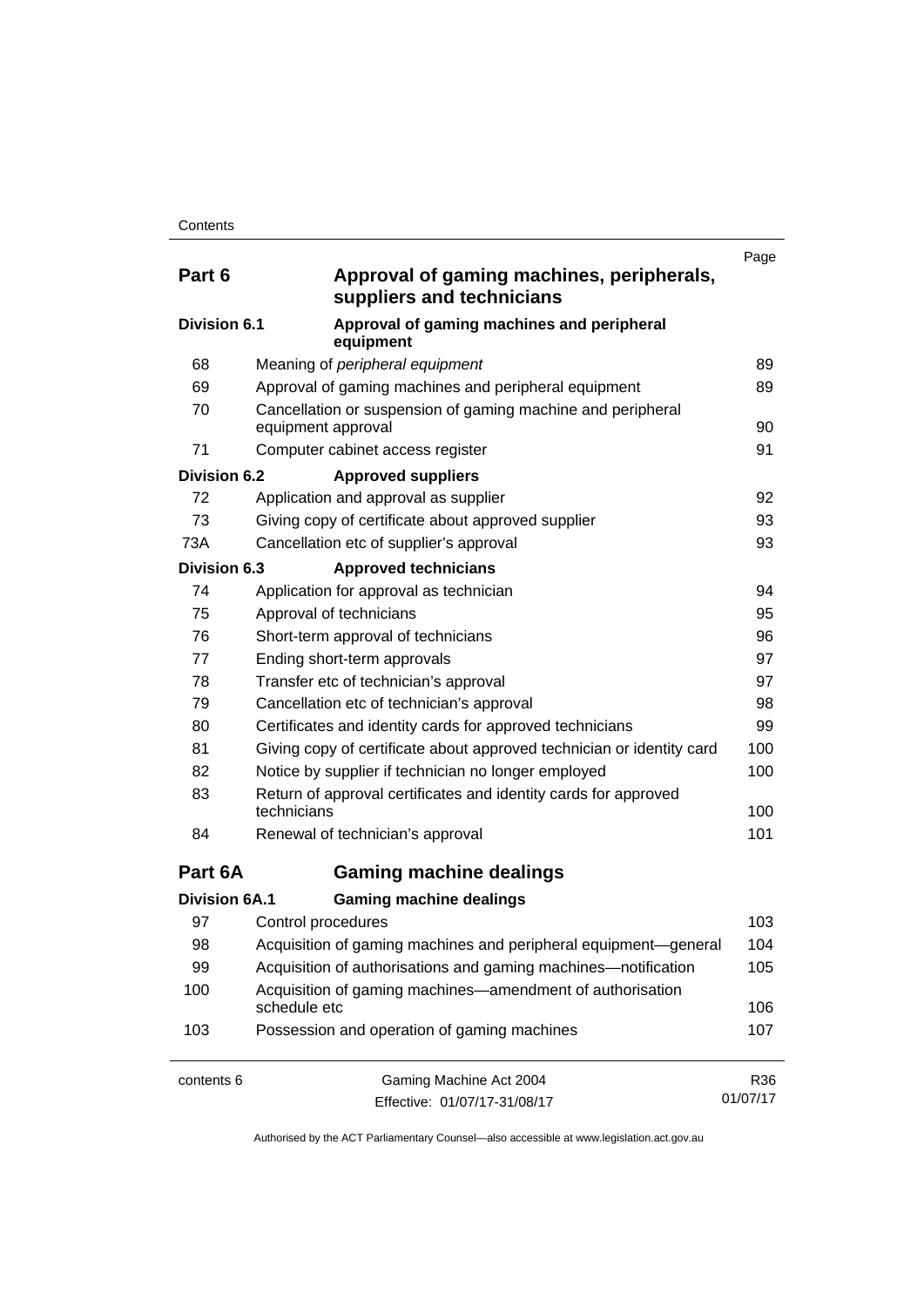| Part 6               | Approval of gaming machines, peripherals,<br>suppliers and technicians            | Page     |
|----------------------|-----------------------------------------------------------------------------------|----------|
| Division 6.1         | Approval of gaming machines and peripheral<br>equipment                           |          |
| 68                   | Meaning of peripheral equipment                                                   | 89       |
| 69                   | Approval of gaming machines and peripheral equipment                              | 89       |
| 70                   | Cancellation or suspension of gaming machine and peripheral<br>equipment approval | 90       |
| 71                   | Computer cabinet access register                                                  | 91       |
| Division 6.2         | <b>Approved suppliers</b>                                                         |          |
| 72                   | Application and approval as supplier                                              | 92       |
| 73                   | Giving copy of certificate about approved supplier                                | 93       |
| 73A                  | Cancellation etc of supplier's approval                                           | 93       |
| <b>Division 6.3</b>  | <b>Approved technicians</b>                                                       |          |
| 74                   | Application for approval as technician                                            | 94       |
| 75                   | Approval of technicians                                                           | 95       |
| 76                   | Short-term approval of technicians                                                | 96       |
| 77                   | Ending short-term approvals                                                       |          |
| 78                   | Transfer etc of technician's approval                                             |          |
| 79                   | Cancellation etc of technician's approval                                         | 98       |
| 80                   | Certificates and identity cards for approved technicians                          | 99       |
| 81                   | Giving copy of certificate about approved technician or identity card             | 100      |
| 82                   | Notice by supplier if technician no longer employed                               | 100      |
| 83                   | Return of approval certificates and identity cards for approved<br>technicians    | 100      |
| 84                   | Renewal of technician's approval                                                  | 101      |
| Part 6A              | <b>Gaming machine dealings</b>                                                    |          |
| <b>Division 6A.1</b> | <b>Gaming machine dealings</b>                                                    |          |
| 97                   | Control procedures                                                                | 103      |
| 98                   | Acquisition of gaming machines and peripheral equipment-general                   | 104      |
| 99                   | Acquisition of authorisations and gaming machines—notification                    | 105      |
| 100                  | Acquisition of gaming machines—amendment of authorisation<br>schedule etc         | 106      |
| 103                  | Possession and operation of gaming machines                                       | 107      |
| contents 6           | Gaming Machine Act 2004                                                           | R36      |
|                      | Effective: 01/07/17-31/08/17                                                      | 01/07/17 |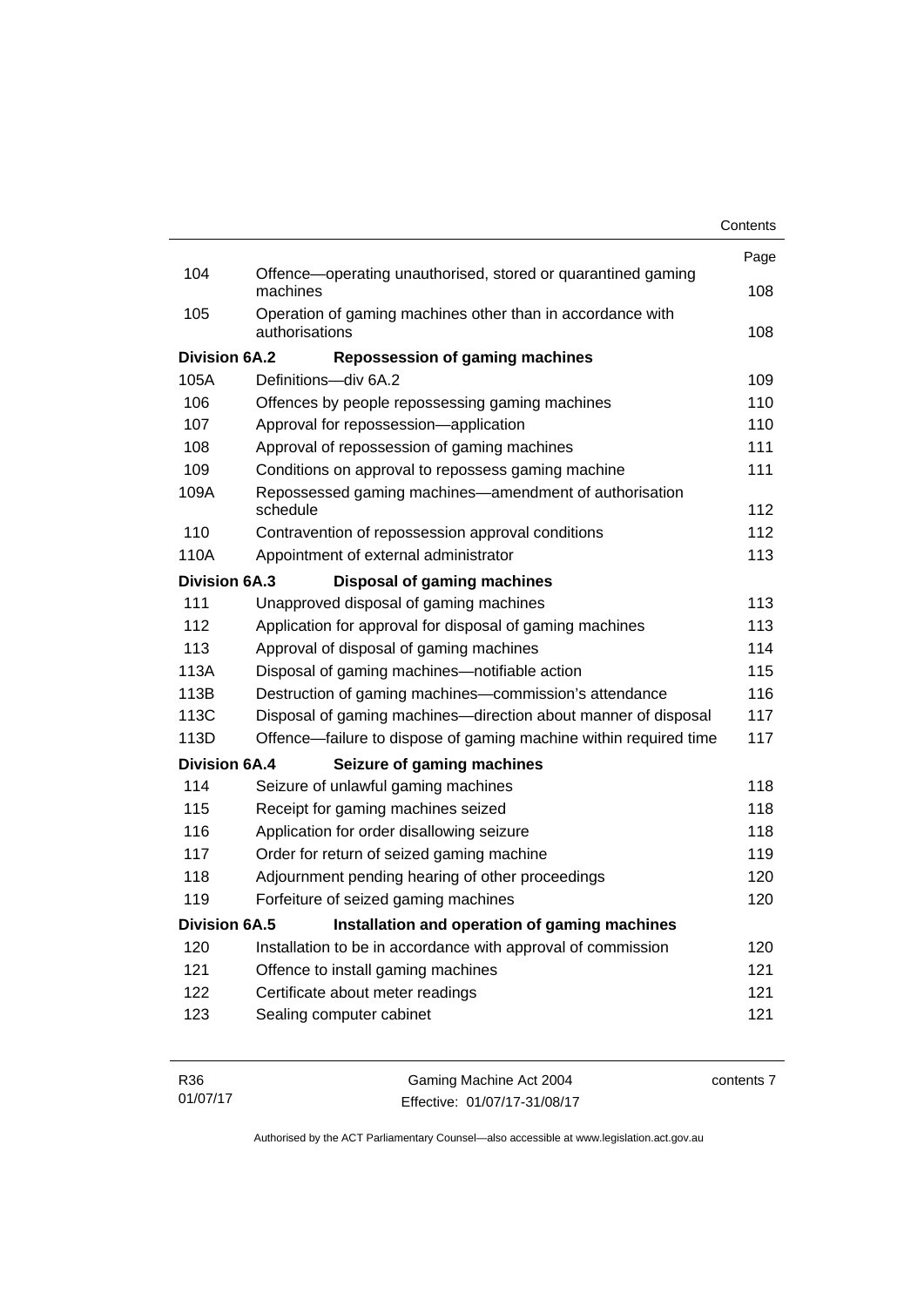| Contents |
|----------|
|----------|

|                      |                                                                              | Page |
|----------------------|------------------------------------------------------------------------------|------|
| 104                  | Offence-operating unauthorised, stored or quarantined gaming<br>machines     | 108  |
| 105                  | Operation of gaming machines other than in accordance with<br>authorisations | 108  |
| <b>Division 6A.2</b> | <b>Repossession of gaming machines</b>                                       |      |
| 105A                 | Definitions-div 6A.2                                                         | 109  |
| 106                  | Offences by people repossessing gaming machines                              | 110  |
| 107                  | Approval for repossession-application                                        | 110  |
| 108                  | Approval of repossession of gaming machines                                  | 111  |
| 109                  | Conditions on approval to repossess gaming machine                           | 111  |
| 109A                 | Repossessed gaming machines—amendment of authorisation<br>schedule           | 112  |
| 110                  | Contravention of repossession approval conditions                            | 112  |
| 110A                 | Appointment of external administrator                                        | 113  |
| <b>Division 6A.3</b> | <b>Disposal of gaming machines</b>                                           |      |
| 111                  | Unapproved disposal of gaming machines                                       | 113  |
| 112                  | Application for approval for disposal of gaming machines                     | 113  |
| 113                  | Approval of disposal of gaming machines                                      | 114  |
| 113A                 | Disposal of gaming machines-notifiable action                                | 115  |
| 113B                 | Destruction of gaming machines-commission's attendance                       | 116  |
| 113C                 | Disposal of gaming machines—direction about manner of disposal               | 117  |
| 113D                 | Offence—failure to dispose of gaming machine within required time            | 117  |
| <b>Division 6A.4</b> | Seizure of gaming machines                                                   |      |
| 114                  | Seizure of unlawful gaming machines                                          | 118  |
| 115                  | Receipt for gaming machines seized                                           | 118  |
| 116                  | Application for order disallowing seizure                                    | 118  |
| 117                  | Order for return of seized gaming machine                                    | 119  |
| 118                  | Adjournment pending hearing of other proceedings                             | 120  |
| 119                  | Forfeiture of seized gaming machines                                         | 120  |
| <b>Division 6A.5</b> | Installation and operation of gaming machines                                |      |
| 120                  | Installation to be in accordance with approval of commission                 | 120  |
| 121                  | Offence to install gaming machines                                           | 121  |
| 122                  | Certificate about meter readings                                             | 121  |
| 123                  | Sealing computer cabinet                                                     | 121  |
|                      |                                                                              |      |
|                      |                                                                              |      |

| R36      | Gaming Machine Act 2004      | contents 7 |
|----------|------------------------------|------------|
| 01/07/17 | Effective: 01/07/17-31/08/17 |            |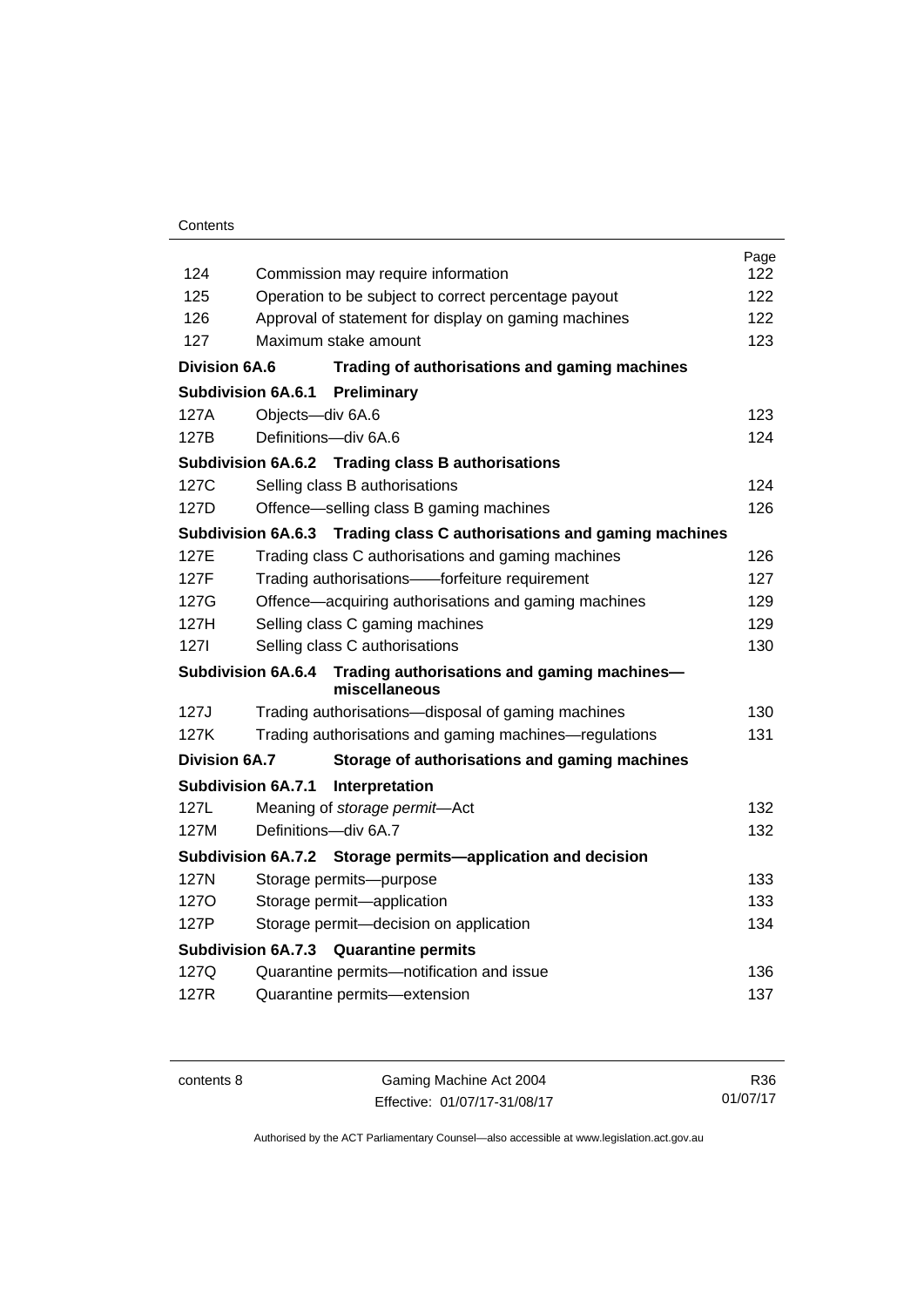## **Contents**

|                           |                                                                       | Page<br>122 |  |
|---------------------------|-----------------------------------------------------------------------|-------------|--|
| 124                       | Commission may require information                                    |             |  |
| 125                       | 122<br>Operation to be subject to correct percentage payout<br>122    |             |  |
| 126                       | Approval of statement for display on gaming machines                  |             |  |
| 127                       | Maximum stake amount                                                  |             |  |
| <b>Division 6A.6</b>      | Trading of authorisations and gaming machines                         |             |  |
| <b>Subdivision 6A.6.1</b> | Preliminary                                                           |             |  |
| 127A                      | Objects-div 6A.6                                                      | 123         |  |
| 127B                      | Definitions-div 6A.6                                                  | 124         |  |
|                           | Subdivision 6A.6.2 Trading class B authorisations                     |             |  |
| 127C                      | Selling class B authorisations                                        | 124         |  |
| 127D                      | Offence—selling class B gaming machines                               | 126         |  |
|                           | Subdivision 6A.6.3 Trading class C authorisations and gaming machines |             |  |
| 127E                      | Trading class C authorisations and gaming machines                    | 126         |  |
| 127F                      | Trading authorisations——forfeiture requirement                        | 127         |  |
| 127G                      | 129<br>Offence-acquiring authorisations and gaming machines           |             |  |
| 127H                      | Selling class C gaming machines                                       | 129         |  |
| 1271                      | Selling class C authorisations                                        | 130         |  |
| <b>Subdivision 6A.6.4</b> | Trading authorisations and gaming machines-<br>miscellaneous          |             |  |
| 127J                      | Trading authorisations-disposal of gaming machines                    | 130         |  |
| 127K                      | Trading authorisations and gaming machines—regulations                | 131         |  |
| <b>Division 6A.7</b>      | Storage of authorisations and gaming machines                         |             |  |
| <b>Subdivision 6A.7.1</b> | Interpretation                                                        |             |  |
| 127L                      | Meaning of storage permit-Act                                         | 132         |  |
| 127M                      | Definitions-div 6A.7                                                  | 132         |  |
|                           | Subdivision 6A.7.2 Storage permits—application and decision           |             |  |
| 127N                      | Storage permits-purpose                                               | 133         |  |
| 1270                      | Storage permit-application                                            | 133         |  |
| 127P                      | Storage permit-decision on application                                | 134         |  |
|                           | <b>Subdivision 6A.7.3</b><br><b>Quarantine permits</b>                |             |  |
| 127Q                      | Quarantine permits-notification and issue                             | 136         |  |
| 127R                      | Quarantine permits-extension                                          | 137         |  |
|                           |                                                                       |             |  |

contents 8 Gaming Machine Act 2004 Effective: 01/07/17-31/08/17

R36 01/07/17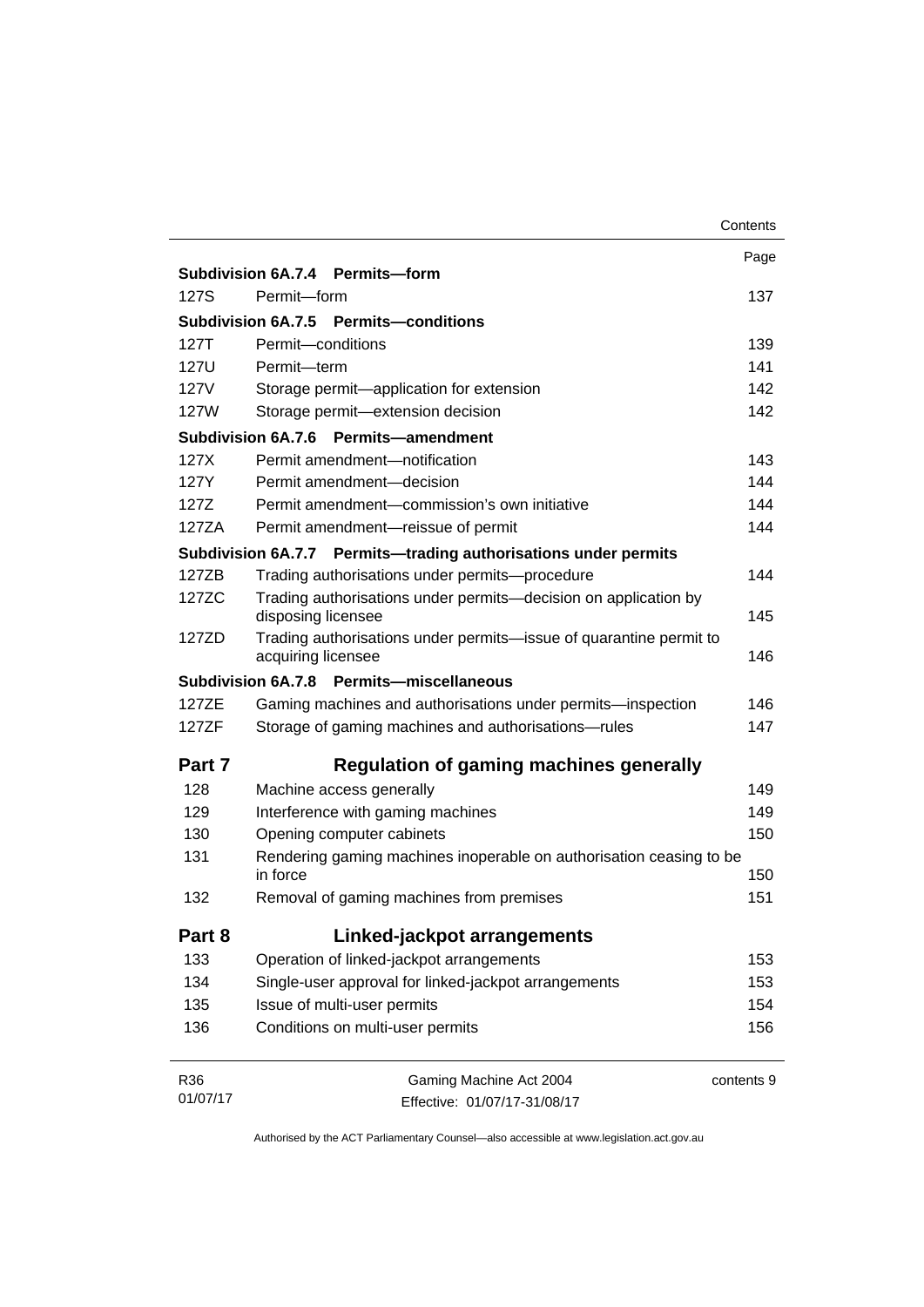|             |                                                                                          | Contents   |  |  |
|-------------|------------------------------------------------------------------------------------------|------------|--|--|
|             |                                                                                          | Page       |  |  |
|             | Subdivision 6A.7.4 Permits-form                                                          |            |  |  |
| 127S        | Permit-form                                                                              | 137        |  |  |
|             | Subdivision 6A.7.5 Permits-conditions                                                    |            |  |  |
| 127T        | Permit-conditions                                                                        | 139        |  |  |
| 127U        | Permit-term                                                                              |            |  |  |
| <b>127V</b> | Storage permit-application for extension                                                 |            |  |  |
| 127W        | Storage permit-extension decision                                                        |            |  |  |
|             | Subdivision 6A.7.6<br><b>Permits-amendment</b>                                           |            |  |  |
| 127X        | Permit amendment-notification                                                            | 143        |  |  |
| 127Y        | Permit amendment-decision                                                                | 144        |  |  |
| 127Z        | Permit amendment-commission's own initiative                                             | 144        |  |  |
| 127ZA       | Permit amendment-reissue of permit                                                       | 144        |  |  |
|             | Subdivision 6A.7.7 Permits-trading authorisations under permits                          |            |  |  |
| 127ZB       | Trading authorisations under permits-procedure                                           | 144        |  |  |
| 127ZC       | Trading authorisations under permits-decision on application by                          |            |  |  |
|             | disposing licensee                                                                       | 145        |  |  |
| 127ZD       | Trading authorisations under permits-issue of quarantine permit to<br>acquiring licensee |            |  |  |
|             | Permits-miscellaneous<br>Subdivision 6A.7.8                                              |            |  |  |
| 127ZE       | Gaming machines and authorisations under permits-inspection                              | 146        |  |  |
| 127ZF       | Storage of gaming machines and authorisations-rules                                      |            |  |  |
| Part 7      | <b>Regulation of gaming machines generally</b>                                           |            |  |  |
| 128         | Machine access generally                                                                 |            |  |  |
| 129         | Interference with gaming machines                                                        | 149        |  |  |
| 130         | Opening computer cabinets                                                                |            |  |  |
| 131         | Rendering gaming machines inoperable on authorisation ceasing to be<br>in force<br>150   |            |  |  |
| 132         | Removal of gaming machines from premises                                                 | 151        |  |  |
| Part 8      | Linked-jackpot arrangements                                                              |            |  |  |
| 133         | Operation of linked-jackpot arrangements                                                 | 153        |  |  |
| 134         | Single-user approval for linked-jackpot arrangements                                     | 153        |  |  |
| 135         | Issue of multi-user permits                                                              | 154        |  |  |
| 136         | Conditions on multi-user permits                                                         | 156        |  |  |
| R36         | Gaming Machine Act 2004                                                                  | contents 9 |  |  |

Effective: 01/07/17-31/08/17

01/07/17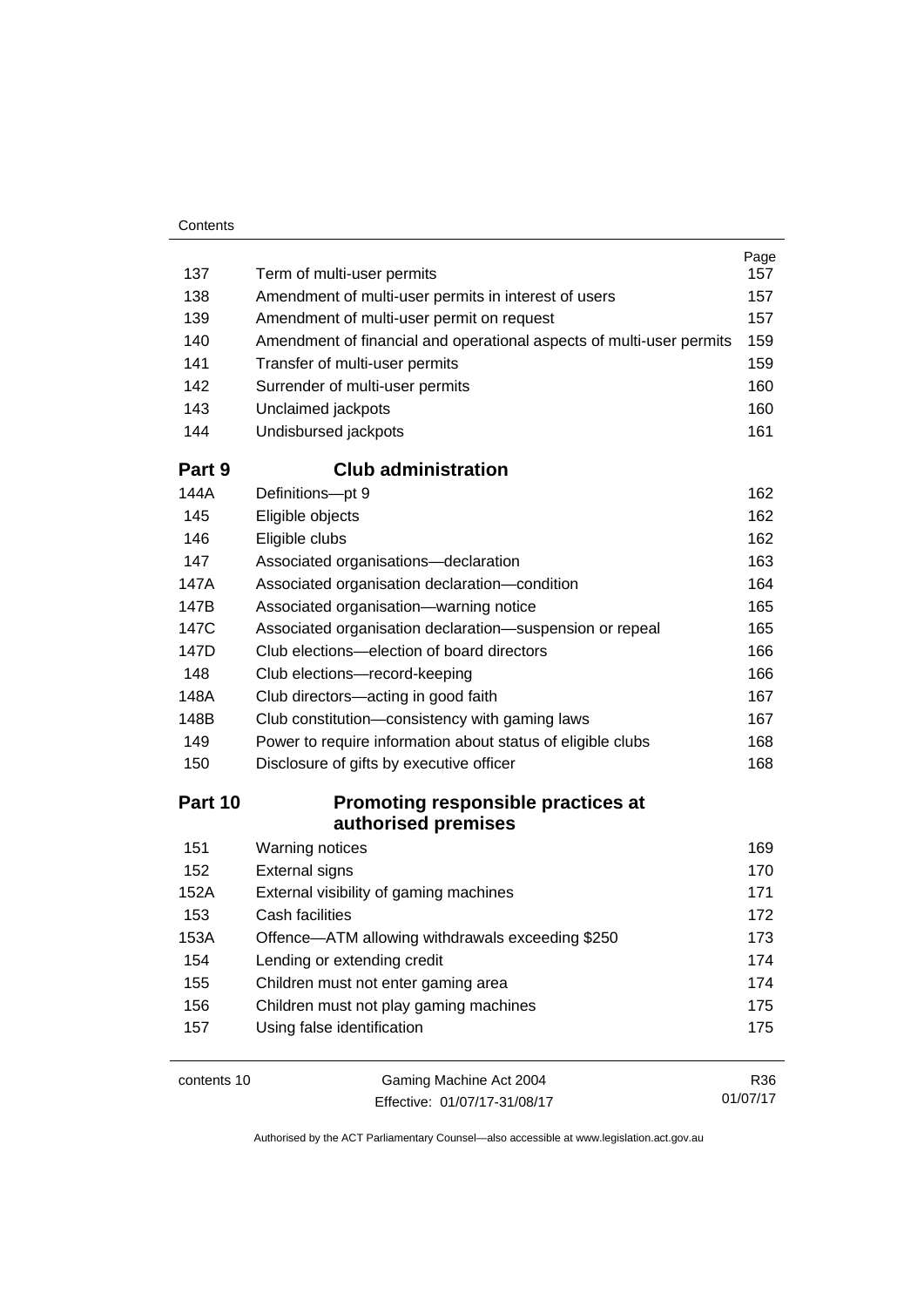| Contents |
|----------|
|----------|

| 137     | Term of multi-user permits                                           | Page<br>157 |  |
|---------|----------------------------------------------------------------------|-------------|--|
| 138     | Amendment of multi-user permits in interest of users                 | 157         |  |
| 139     | Amendment of multi-user permit on request                            |             |  |
| 140     | Amendment of financial and operational aspects of multi-user permits |             |  |
| 141     | Transfer of multi-user permits                                       |             |  |
| 142     | Surrender of multi-user permits                                      | 159<br>160  |  |
| 143     | Unclaimed jackpots                                                   | 160         |  |
| 144     | Undisbursed jackpots                                                 | 161         |  |
| Part 9  | <b>Club administration</b>                                           |             |  |
| 144A    | Definitions-pt 9                                                     | 162         |  |
| 145     | Eligible objects                                                     | 162         |  |
| 146     | Eligible clubs                                                       | 162         |  |
| 147     | Associated organisations-declaration                                 | 163         |  |
| 147A    | Associated organisation declaration-condition                        | 164         |  |
| 147B    | Associated organisation-warning notice                               | 165         |  |
| 147C    | Associated organisation declaration-suspension or repeal             | 165         |  |
| 147D    | Club elections-election of board directors                           | 166         |  |
| 148     | Club elections-record-keeping                                        | 166         |  |
| 148A    | Club directors-acting in good faith                                  | 167         |  |
| 148B    | Club constitution-consistency with gaming laws                       | 167<br>168  |  |
| 149     | Power to require information about status of eligible clubs          |             |  |
| 150     | Disclosure of gifts by executive officer                             | 168         |  |
| Part 10 | <b>Promoting responsible practices at</b><br>authorised premises     |             |  |
| 151     | Warning notices                                                      | 169         |  |
| 152     | <b>External signs</b>                                                | 170         |  |
| 152A    | External visibility of gaming machines                               | 171         |  |
| 153     | Cash facilities                                                      | 172         |  |
| 153A    | Offence-ATM allowing withdrawals exceeding \$250                     | 173         |  |
| 154     | Lending or extending credit                                          | 174         |  |
| 155     | Children must not enter gaming area                                  | 174         |  |
| 156     | Children must not play gaming machines                               | 175         |  |
| 157     | Using false identification                                           | 175         |  |
|         |                                                                      |             |  |

contents 10 Gaming Machine Act 2004 Effective: 01/07/17-31/08/17

R36 01/07/17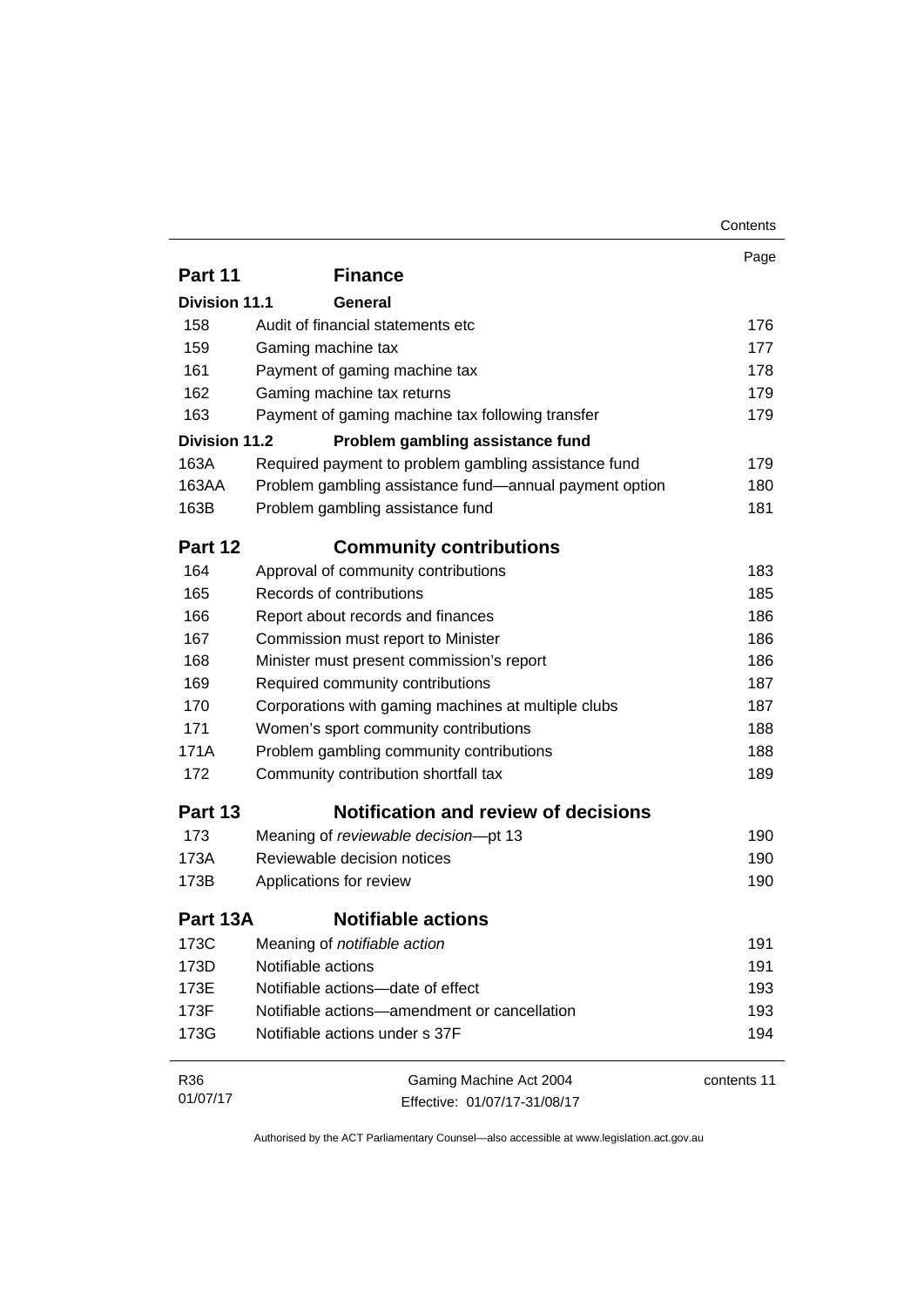|               |                                                        | Contents    |  |  |
|---------------|--------------------------------------------------------|-------------|--|--|
|               |                                                        | Page        |  |  |
| Part 11       | <b>Finance</b>                                         |             |  |  |
| Division 11.1 | General                                                |             |  |  |
| 158           | Audit of financial statements etc                      |             |  |  |
| 159           | Gaming machine tax                                     | 177         |  |  |
| 161           | Payment of gaming machine tax                          | 178         |  |  |
| 162           | Gaming machine tax returns                             | 179         |  |  |
| 163           | Payment of gaming machine tax following transfer       | 179         |  |  |
| Division 11.2 | Problem gambling assistance fund                       |             |  |  |
| 163A          | Required payment to problem gambling assistance fund   | 179         |  |  |
| 163AA         | Problem gambling assistance fund—annual payment option | 180         |  |  |
| 163B          | Problem gambling assistance fund                       | 181         |  |  |
| Part 12       | <b>Community contributions</b>                         |             |  |  |
| 164           | Approval of community contributions                    | 183         |  |  |
| 165           | Records of contributions                               | 185         |  |  |
| 166           | Report about records and finances                      | 186         |  |  |
| 167           | Commission must report to Minister                     | 186         |  |  |
| 168           | Minister must present commission's report              | 186         |  |  |
| 169           | Required community contributions                       | 187         |  |  |
| 170           | Corporations with gaming machines at multiple clubs    | 187         |  |  |
| 171           | Women's sport community contributions                  | 188         |  |  |
| 171A          | Problem gambling community contributions               | 188         |  |  |
| 172           | Community contribution shortfall tax                   | 189         |  |  |
| Part 13       | <b>Notification and review of decisions</b>            |             |  |  |
| 173           | Meaning of reviewable decision-pt 13                   | 190         |  |  |
| 173A          | Reviewable decision notices                            | 190         |  |  |
| 173B          | Applications for review                                | 190         |  |  |
| Part 13A      | <b>Notifiable actions</b>                              |             |  |  |
| 173C          | Meaning of notifiable action                           | 191         |  |  |
| 173D          | Notifiable actions                                     | 191         |  |  |
| 173E          | Notifiable actions-date of effect                      | 193         |  |  |
| 173F          | Notifiable actions—amendment or cancellation           | 193         |  |  |
| 173G          | Notifiable actions under s 37F                         | 194         |  |  |
| R36           | Gaming Machine Act 2004                                | contents 11 |  |  |
| 01/07/17      | Effective: 01/07/17-31/08/17                           |             |  |  |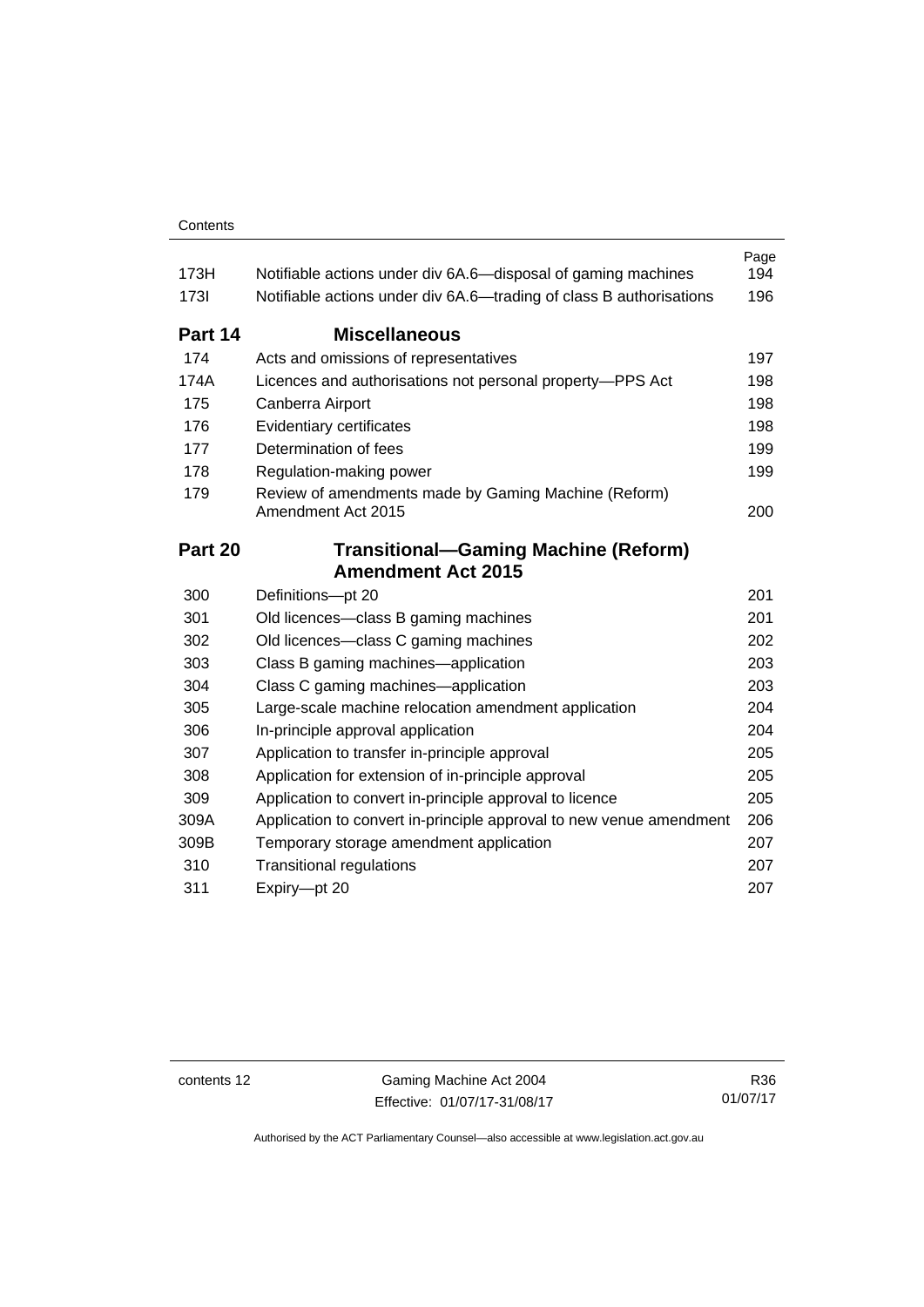| 173H        | Notifiable actions under div 6A.6—disposal of gaming machines              | Page<br>194 |
|-------------|----------------------------------------------------------------------------|-------------|
| <b>1731</b> | Notifiable actions under div 6A.6—trading of class B authorisations        |             |
| Part 14     | <b>Miscellaneous</b>                                                       |             |
| 174         | Acts and omissions of representatives                                      | 197         |
| 174A        | Licences and authorisations not personal property-PPS Act                  | 198         |
| 175         | Canberra Airport                                                           | 198         |
| 176         | Evidentiary certificates                                                   | 198         |
| 177         | Determination of fees                                                      | 199         |
| 178         | Regulation-making power                                                    | 199         |
| 179         | Review of amendments made by Gaming Machine (Reform)<br>Amendment Act 2015 | 200         |
| Part 20     | <b>Transitional-Gaming Machine (Reform)</b>                                |             |
|             | <b>Amendment Act 2015</b>                                                  |             |
| 300         | Definitions-pt 20                                                          | 201         |
| 301         | Old licences—class B gaming machines                                       | 201         |
| 302         | Old licences-class C gaming machines                                       | 202         |
| 303         | Class B gaming machines—application                                        | 203         |
| 304         | Class C gaming machines-application                                        | 203         |
| 305         | Large-scale machine relocation amendment application                       | 204         |
| 306         | In-principle approval application                                          | 204         |
| 307         | Application to transfer in-principle approval                              | 205         |
| 308         | Application for extension of in-principle approval                         | 205         |
| 309         | Application to convert in-principle approval to licence                    | 205         |
| 309A        | Application to convert in-principle approval to new venue amendment        | 206         |
| 309B        | Temporary storage amendment application                                    | 207         |
| 310         | <b>Transitional regulations</b>                                            | 207         |
| 311         | Expiry-pt 20                                                               | 207         |

contents 12 Gaming Machine Act 2004 Effective: 01/07/17-31/08/17

R36 01/07/17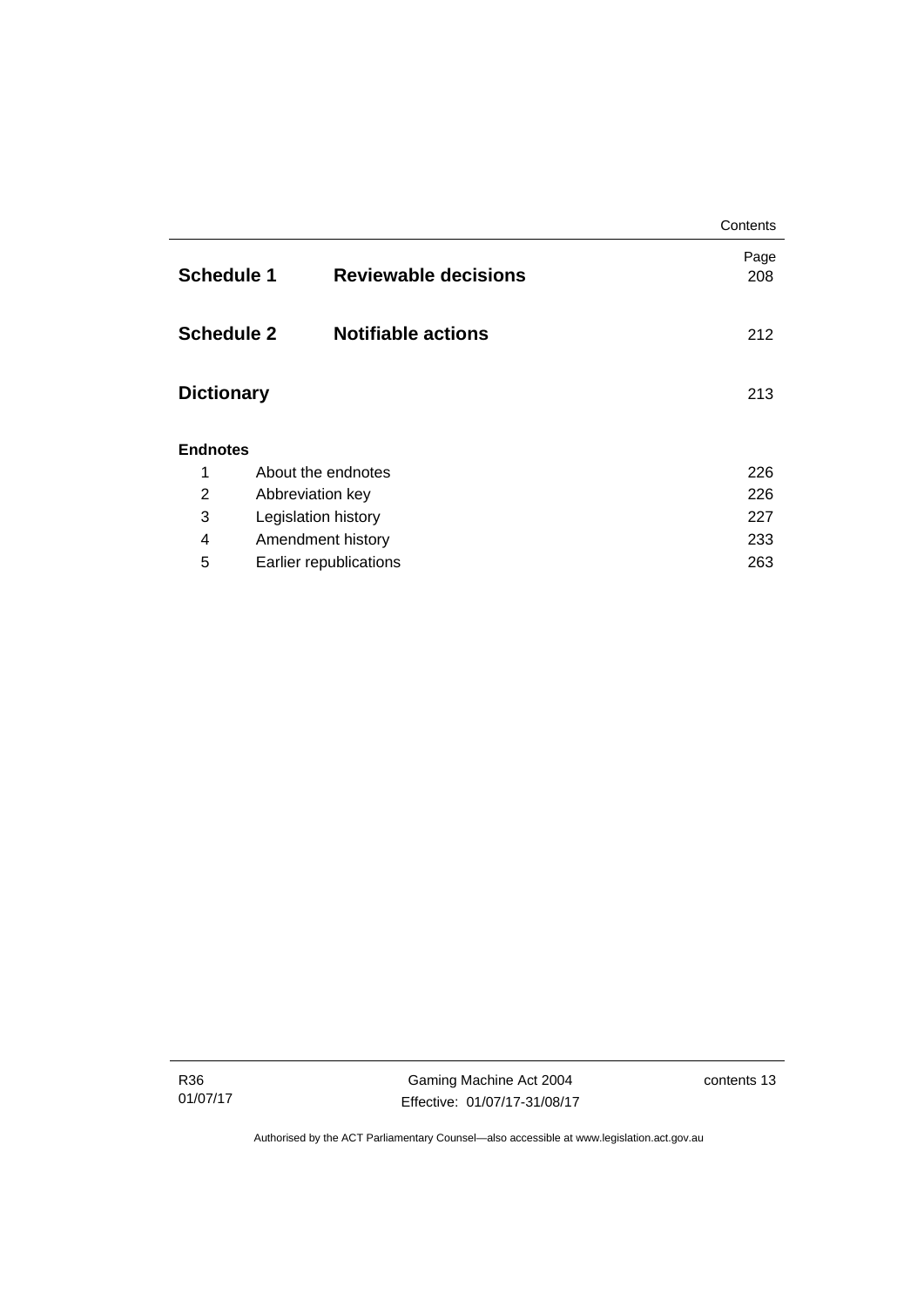|                                                |                     |                             | Contents    |  |
|------------------------------------------------|---------------------|-----------------------------|-------------|--|
| <b>Schedule 1</b>                              |                     | <b>Reviewable decisions</b> | Page<br>208 |  |
| <b>Schedule 2</b><br><b>Notifiable actions</b> |                     |                             | 212         |  |
| <b>Dictionary</b>                              |                     |                             | 213         |  |
| <b>Endnotes</b>                                |                     |                             |             |  |
| 1                                              | About the endnotes  |                             | 226         |  |
| $\overline{2}$                                 | Abbreviation key    |                             | 226         |  |
| 3                                              | Legislation history |                             | 227         |  |
| 4                                              | Amendment history   |                             | 233         |  |
| 5<br>Earlier republications                    |                     |                             | 263         |  |

R36 01/07/17

Gaming Machine Act 2004 Effective: 01/07/17-31/08/17 contents 13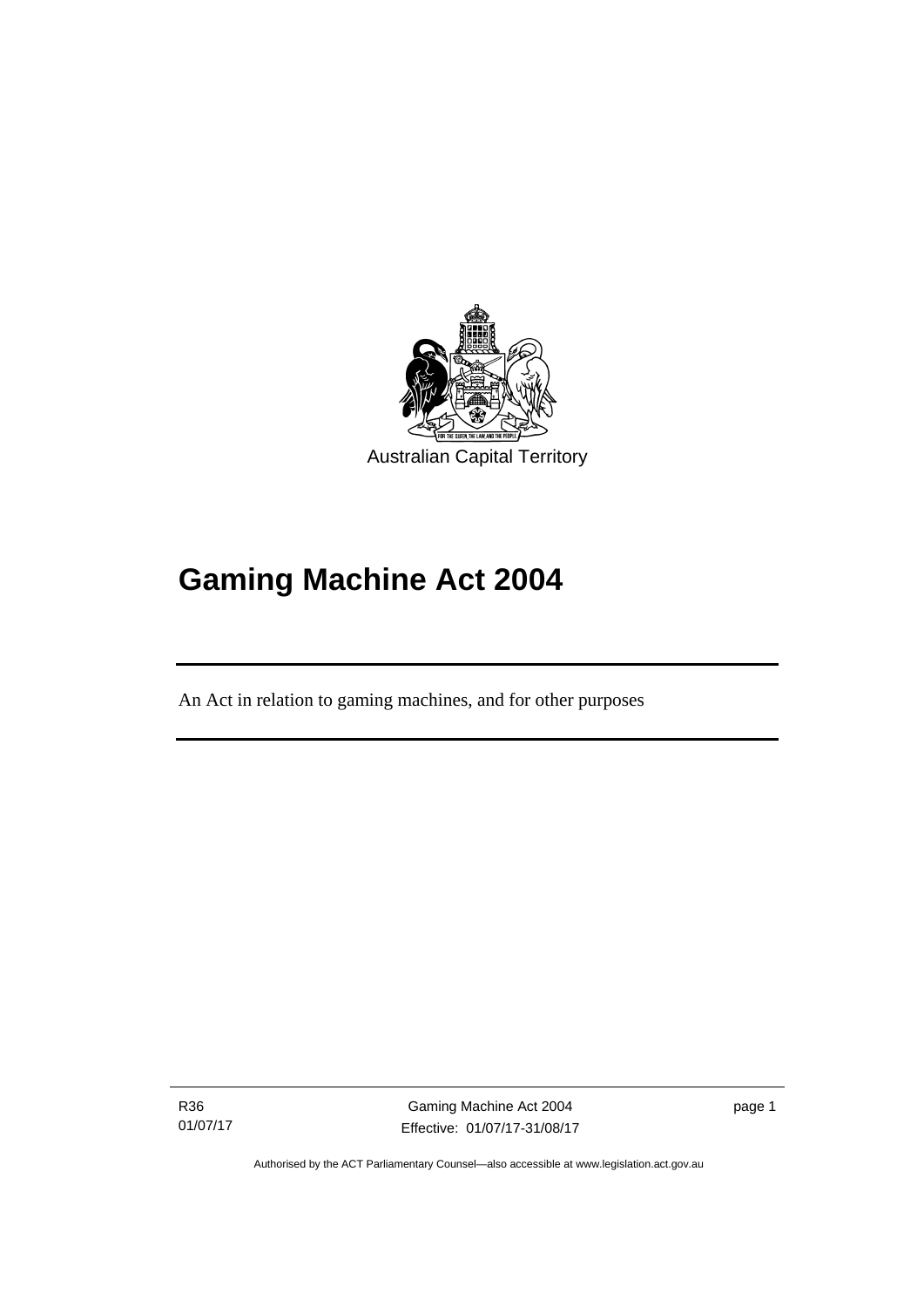

# **Gaming Machine Act 2004**

An Act in relation to gaming machines, and for other purposes

R36 01/07/17

l

Gaming Machine Act 2004 Effective: 01/07/17-31/08/17 page 1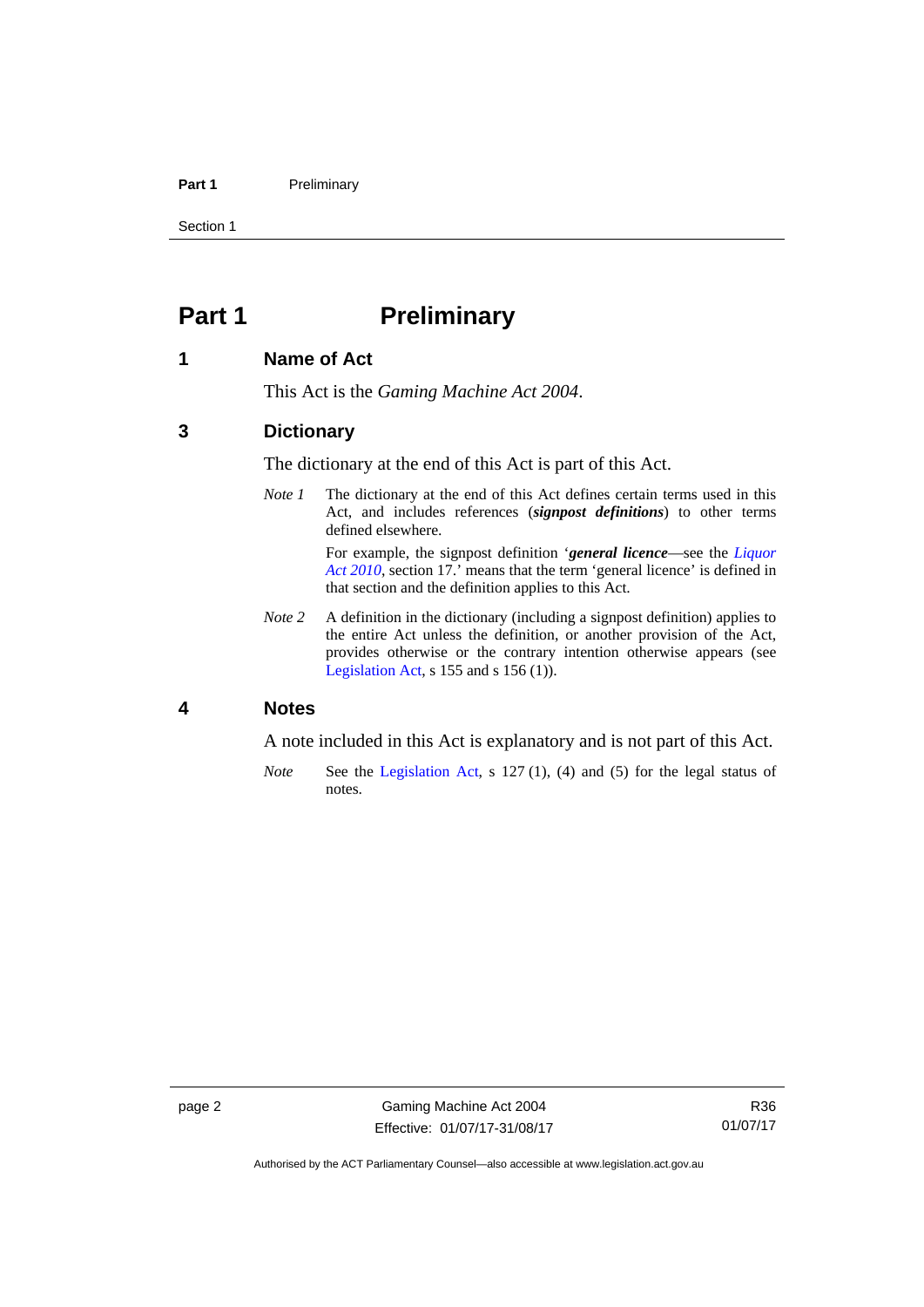### Part 1 **Preliminary**

Section 1

# <span id="page-17-0"></span>**Part 1** Preliminary

### <span id="page-17-1"></span>**1 Name of Act**

This Act is the *Gaming Machine Act 2004*.

### <span id="page-17-2"></span>**3 Dictionary**

The dictionary at the end of this Act is part of this Act.

*Note 1* The dictionary at the end of this Act defines certain terms used in this Act, and includes references (*signpost definitions*) to other terms defined elsewhere.

> For example, the signpost definition '*general licence*—see the *[Liquor](http://www.legislation.act.gov.au/a/2010-35)  [Act 2010](http://www.legislation.act.gov.au/a/2010-35)*, section 17.' means that the term 'general licence' is defined in that section and the definition applies to this Act.

*Note* 2 A definition in the dictionary (including a signpost definition) applies to the entire Act unless the definition, or another provision of the Act, provides otherwise or the contrary intention otherwise appears (see [Legislation Act,](http://www.legislation.act.gov.au/a/2001-14) s 155 and s 156 (1)).

# <span id="page-17-3"></span>**4 Notes**

A note included in this Act is explanatory and is not part of this Act.

*Note* See the [Legislation Act,](http://www.legislation.act.gov.au/a/2001-14) s 127 (1), (4) and (5) for the legal status of notes.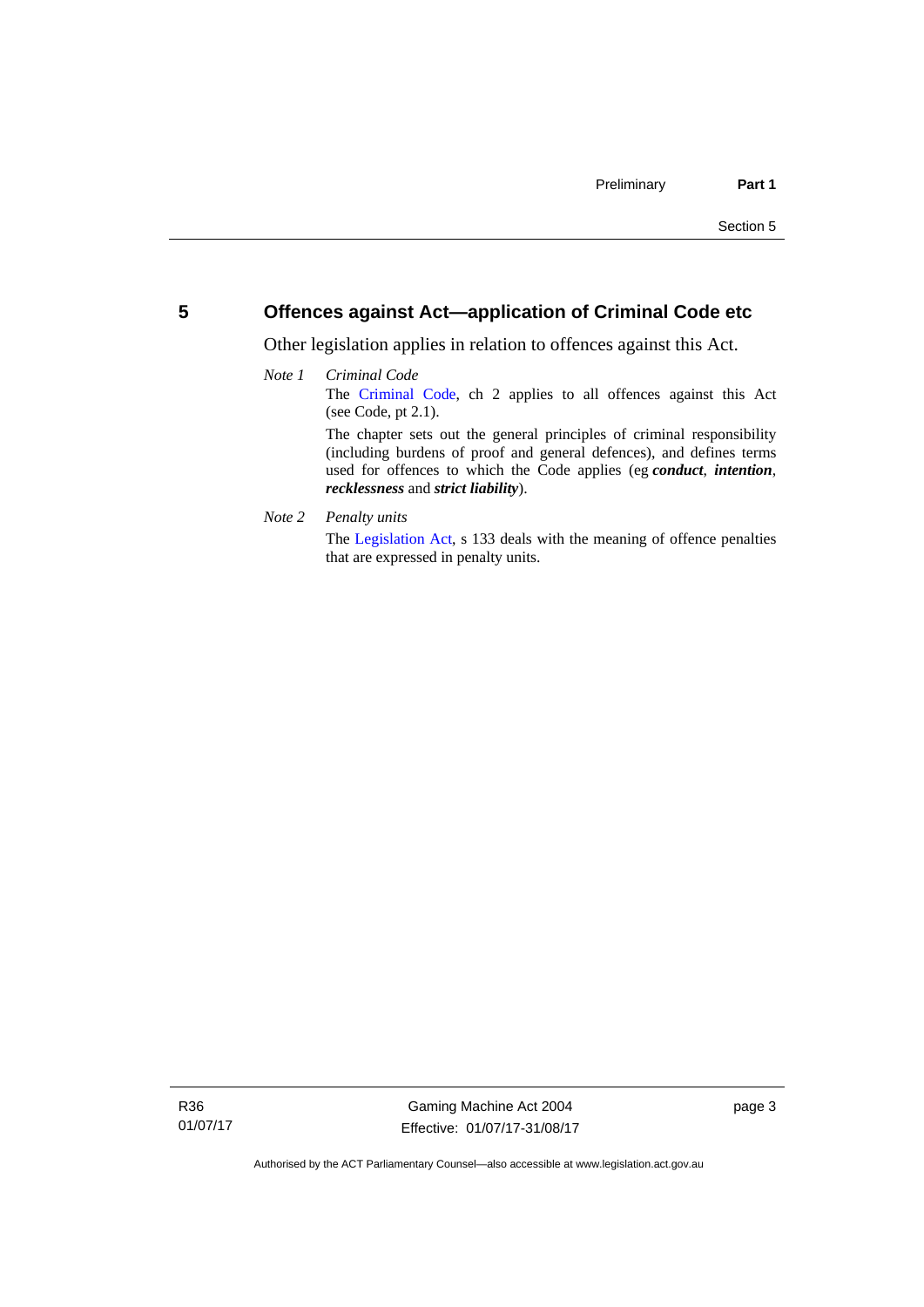# <span id="page-18-0"></span>**5 Offences against Act—application of Criminal Code etc**

Other legislation applies in relation to offences against this Act.

## *Note 1 Criminal Code* The [Criminal Code,](http://www.legislation.act.gov.au/a/2002-51) ch 2 applies to all offences against this Act (see Code, pt 2.1). The chapter sets out the general principles of criminal responsibility (including burdens of proof and general defences), and defines terms used for offences to which the Code applies (eg *conduct*, *intention*, *recklessness* and *strict liability*).

*Note 2 Penalty units* 

The [Legislation Act](http://www.legislation.act.gov.au/a/2001-14), s 133 deals with the meaning of offence penalties that are expressed in penalty units.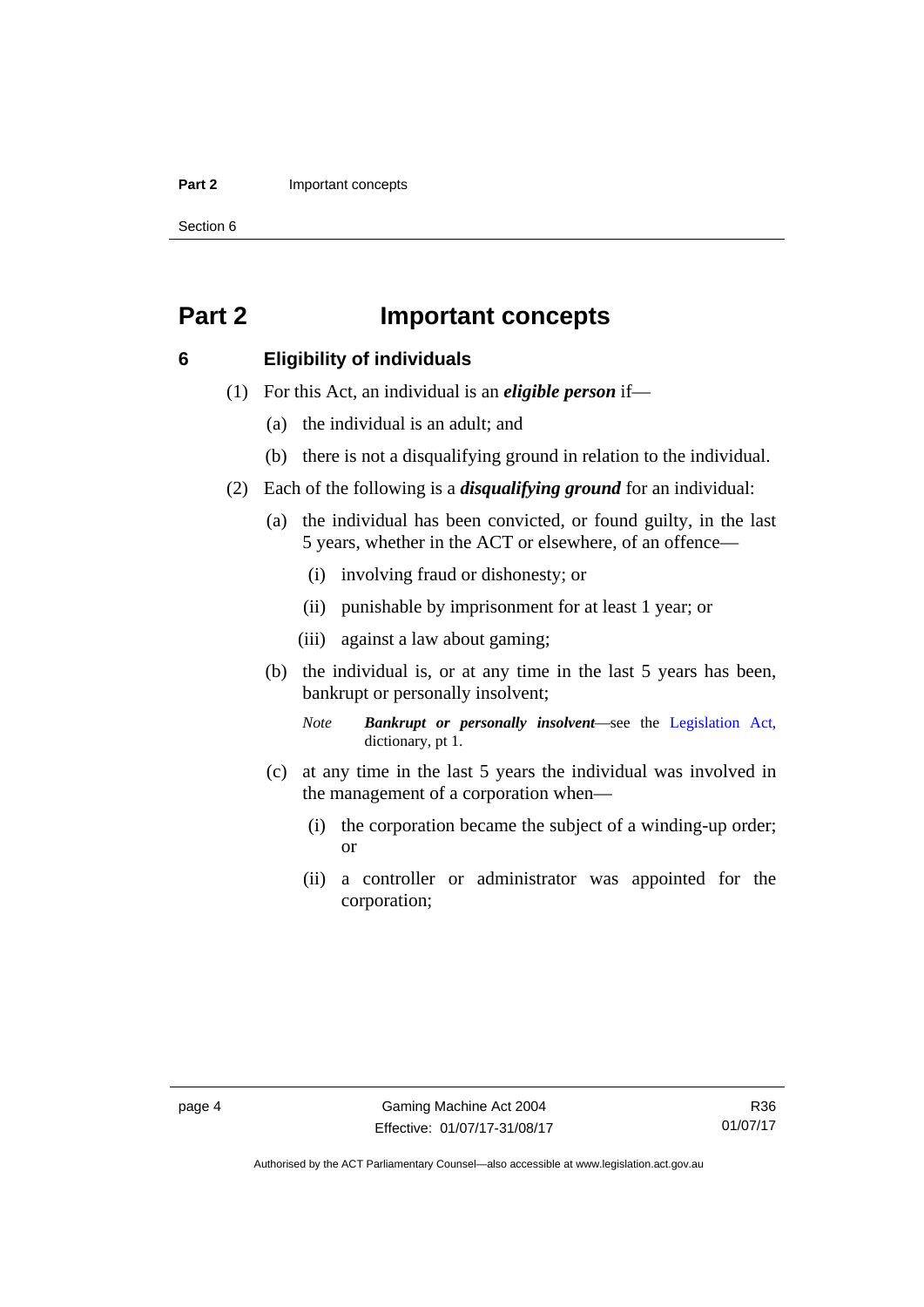### **Part 2 Important concepts**

Section 6

# <span id="page-19-0"></span>**Part 2 Important concepts**

## <span id="page-19-1"></span>**6 Eligibility of individuals**

- (1) For this Act, an individual is an *eligible person* if—
	- (a) the individual is an adult; and
	- (b) there is not a disqualifying ground in relation to the individual.
- (2) Each of the following is a *disqualifying ground* for an individual:
	- (a) the individual has been convicted, or found guilty, in the last 5 years, whether in the ACT or elsewhere, of an offence—
		- (i) involving fraud or dishonesty; or
		- (ii) punishable by imprisonment for at least 1 year; or
		- (iii) against a law about gaming;
	- (b) the individual is, or at any time in the last 5 years has been, bankrupt or personally insolvent;

*Note Bankrupt or personally insolvent*—see the [Legislation Act,](http://www.legislation.act.gov.au/a/2001-14) dictionary, pt 1.

- (c) at any time in the last 5 years the individual was involved in the management of a corporation when—
	- (i) the corporation became the subject of a winding-up order; or
	- (ii) a controller or administrator was appointed for the corporation;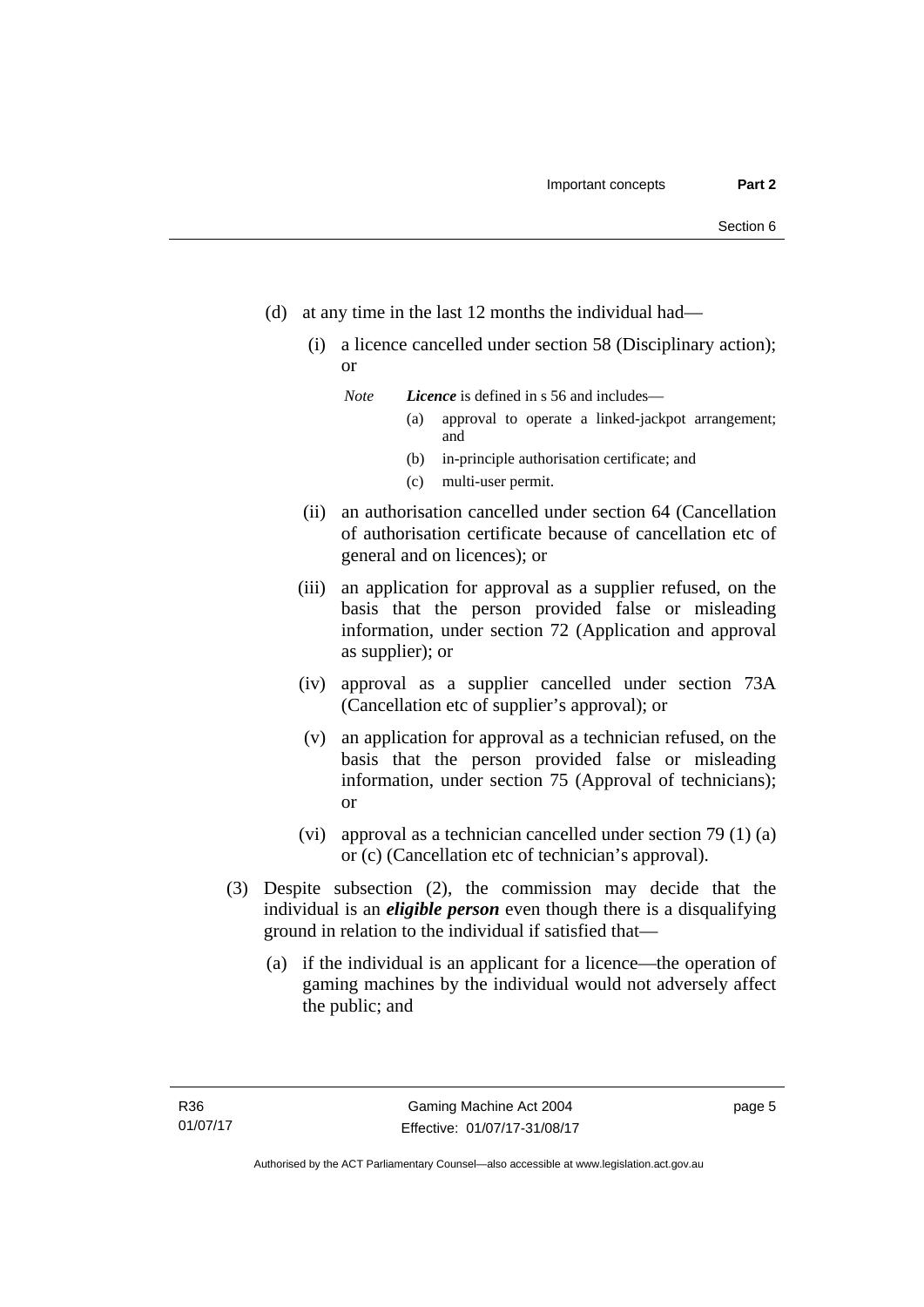- (d) at any time in the last 12 months the individual had—
	- (i) a licence cancelled under section 58 (Disciplinary action); or

*Note Licence* is defined in s 56 and includes—

- (a) approval to operate a linked-jackpot arrangement; and
- (b) in-principle authorisation certificate; and
- (c) multi-user permit.
- (ii) an authorisation cancelled under section 64 (Cancellation of authorisation certificate because of cancellation etc of general and on licences); or
- (iii) an application for approval as a supplier refused, on the basis that the person provided false or misleading information, under section 72 (Application and approval as supplier); or
- (iv) approval as a supplier cancelled under section 73A (Cancellation etc of supplier's approval); or
- (v) an application for approval as a technician refused, on the basis that the person provided false or misleading information, under section 75 (Approval of technicians); or
- (vi) approval as a technician cancelled under section 79 (1) (a) or (c) (Cancellation etc of technician's approval).
- (3) Despite subsection (2), the commission may decide that the individual is an *eligible person* even though there is a disqualifying ground in relation to the individual if satisfied that—
	- (a) if the individual is an applicant for a licence—the operation of gaming machines by the individual would not adversely affect the public; and

page 5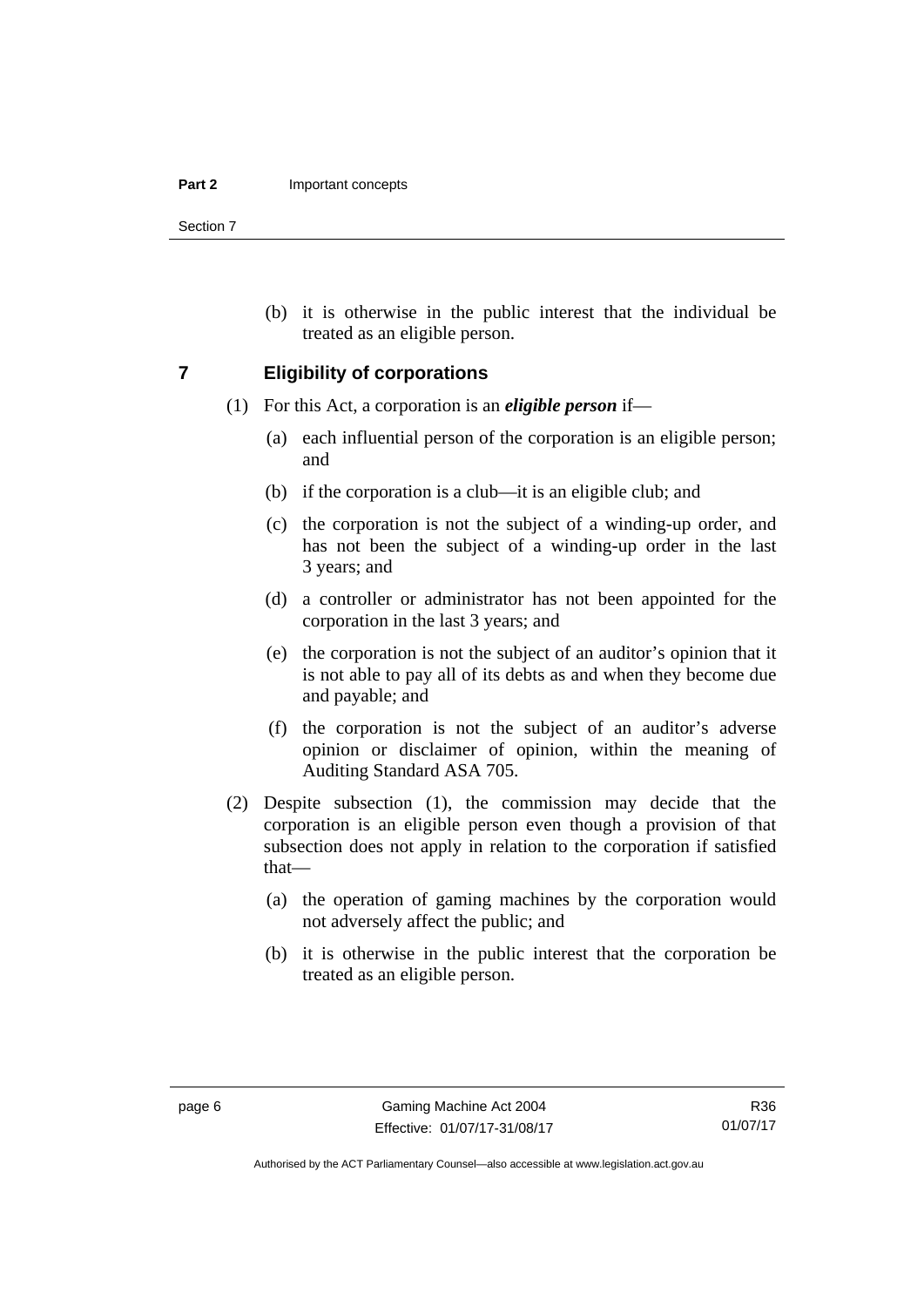Section 7

 (b) it is otherwise in the public interest that the individual be treated as an eligible person.

### <span id="page-21-0"></span>**7 Eligibility of corporations**

- (1) For this Act, a corporation is an *eligible person* if—
	- (a) each influential person of the corporation is an eligible person; and
	- (b) if the corporation is a club—it is an eligible club; and
	- (c) the corporation is not the subject of a winding-up order, and has not been the subject of a winding-up order in the last 3 years; and
	- (d) a controller or administrator has not been appointed for the corporation in the last 3 years; and
	- (e) the corporation is not the subject of an auditor's opinion that it is not able to pay all of its debts as and when they become due and payable; and
	- (f) the corporation is not the subject of an auditor's adverse opinion or disclaimer of opinion, within the meaning of Auditing Standard ASA 705.
- (2) Despite subsection (1), the commission may decide that the corporation is an eligible person even though a provision of that subsection does not apply in relation to the corporation if satisfied that—
	- (a) the operation of gaming machines by the corporation would not adversely affect the public; and
	- (b) it is otherwise in the public interest that the corporation be treated as an eligible person.

Authorised by the ACT Parliamentary Counsel—also accessible at www.legislation.act.gov.au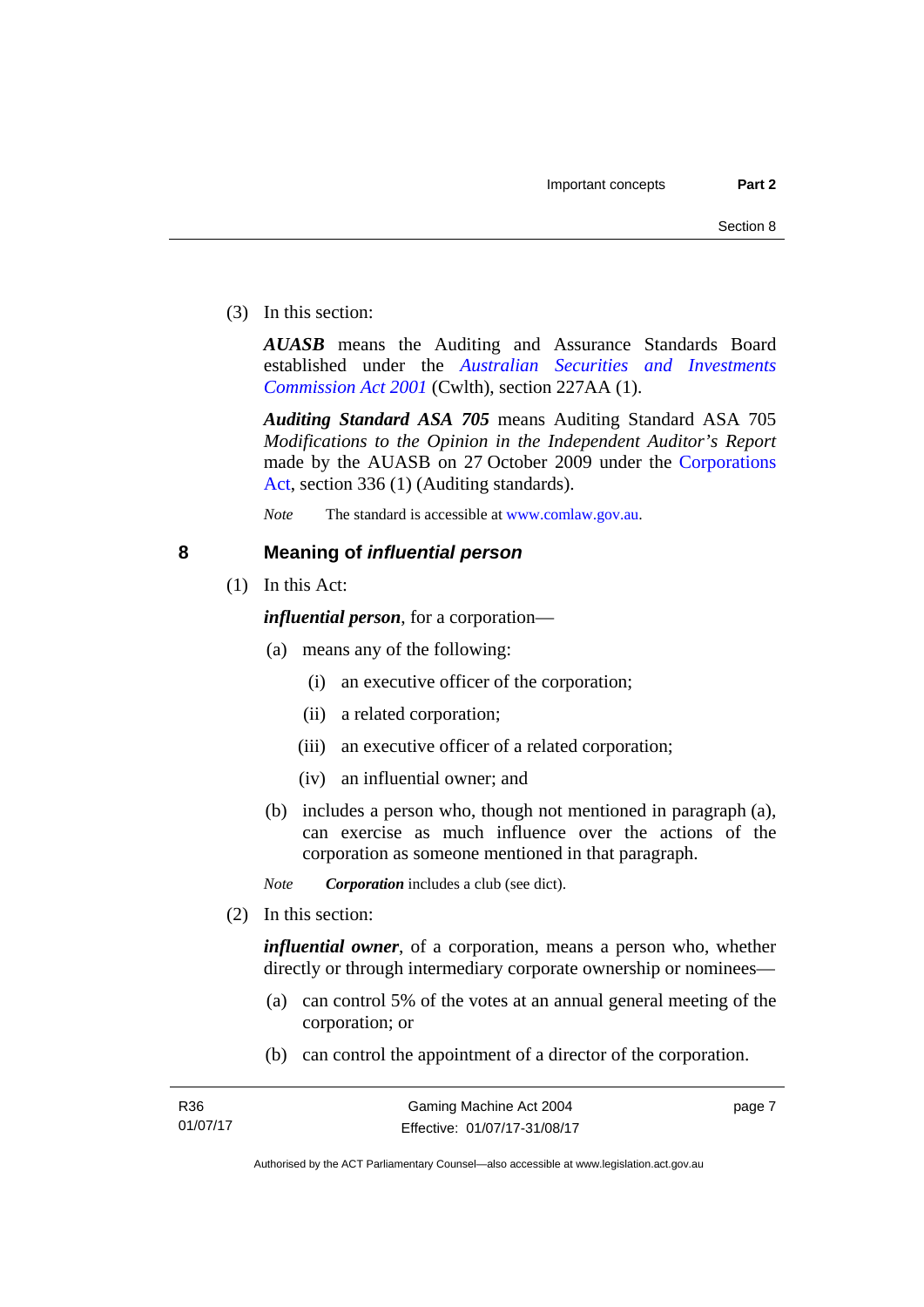(3) In this section:

*AUASB* means the Auditing and Assurance Standards Board established under the *[Australian Securities and Investments](http://www.comlaw.gov.au/Series/C2004A00819)  [Commission Act 2001](http://www.comlaw.gov.au/Series/C2004A00819)* (Cwlth), section 227AA (1).

*Auditing Standard ASA 705* means Auditing Standard ASA 705 *Modifications to the Opinion in the Independent Auditor's Report* made by the AUASB on 27 October 2009 under the [Corporations](http://www.comlaw.gov.au/Series/C2004A00818)  [Act](http://www.comlaw.gov.au/Series/C2004A00818), section 336 (1) (Auditing standards).

*Note* The standard is accessible at [www.comlaw.gov.au.](http://www.comlaw.gov.au/)

# <span id="page-22-0"></span>**8 Meaning of** *influential person*

(1) In this Act:

*influential person*, for a corporation—

- (a) means any of the following:
	- (i) an executive officer of the corporation;
	- (ii) a related corporation;
	- (iii) an executive officer of a related corporation;
	- (iv) an influential owner; and
- (b) includes a person who, though not mentioned in paragraph (a), can exercise as much influence over the actions of the corporation as someone mentioned in that paragraph.

*Note Corporation* includes a club (see dict).

(2) In this section:

*influential owner*, of a corporation, means a person who, whether directly or through intermediary corporate ownership or nominees—

- (a) can control 5% of the votes at an annual general meeting of the corporation; or
- (b) can control the appointment of a director of the corporation.

page 7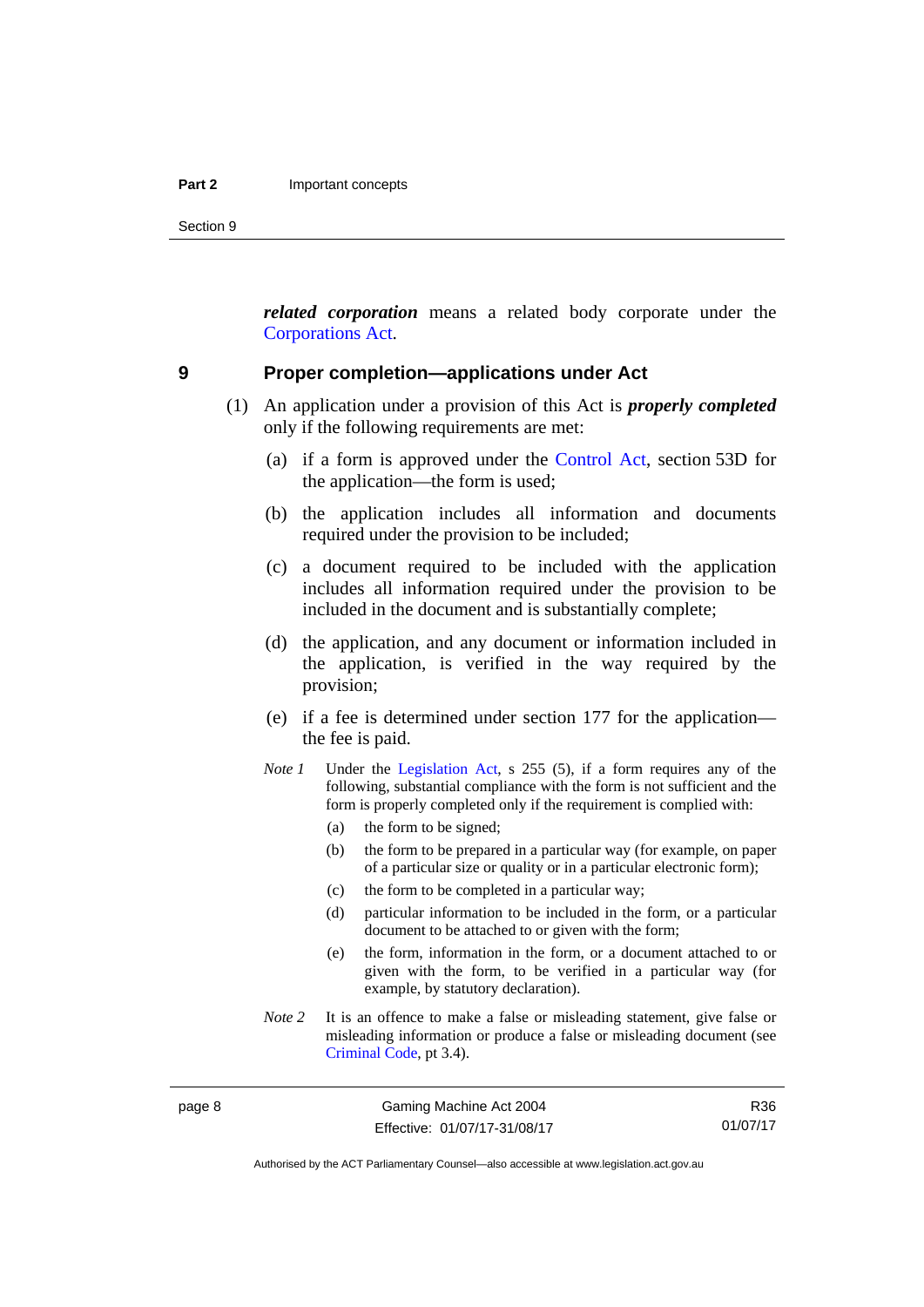Section 9

*related corporation* means a related body corporate under the [Corporations Act](http://www.comlaw.gov.au/Series/C2004A00818).

### <span id="page-23-0"></span>**9 Proper completion—applications under Act**

- (1) An application under a provision of this Act is *properly completed* only if the following requirements are met:
	- (a) if a form is approved under the [Control Act,](http://www.legislation.act.gov.au/a/1999-46/default.asp) section 53D for the application—the form is used;
	- (b) the application includes all information and documents required under the provision to be included;
	- (c) a document required to be included with the application includes all information required under the provision to be included in the document and is substantially complete;
	- (d) the application, and any document or information included in the application, is verified in the way required by the provision;
	- (e) if a fee is determined under section 177 for the application the fee is paid.
	- *Note 1* Under the [Legislation Act,](http://www.legislation.act.gov.au/a/2001-14) s 255 (5), if a form requires any of the following, substantial compliance with the form is not sufficient and the form is properly completed only if the requirement is complied with:
		- (a) the form to be signed;
		- (b) the form to be prepared in a particular way (for example, on paper of a particular size or quality or in a particular electronic form);
		- (c) the form to be completed in a particular way;
		- (d) particular information to be included in the form, or a particular document to be attached to or given with the form;
		- (e) the form, information in the form, or a document attached to or given with the form, to be verified in a particular way (for example, by statutory declaration).
	- *Note* 2 It is an offence to make a false or misleading statement, give false or misleading information or produce a false or misleading document (see [Criminal Code](http://www.legislation.act.gov.au/a/2002-51), pt 3.4).

page 8 Gaming Machine Act 2004 Effective: 01/07/17-31/08/17

R36 01/07/17

Authorised by the ACT Parliamentary Counsel—also accessible at www.legislation.act.gov.au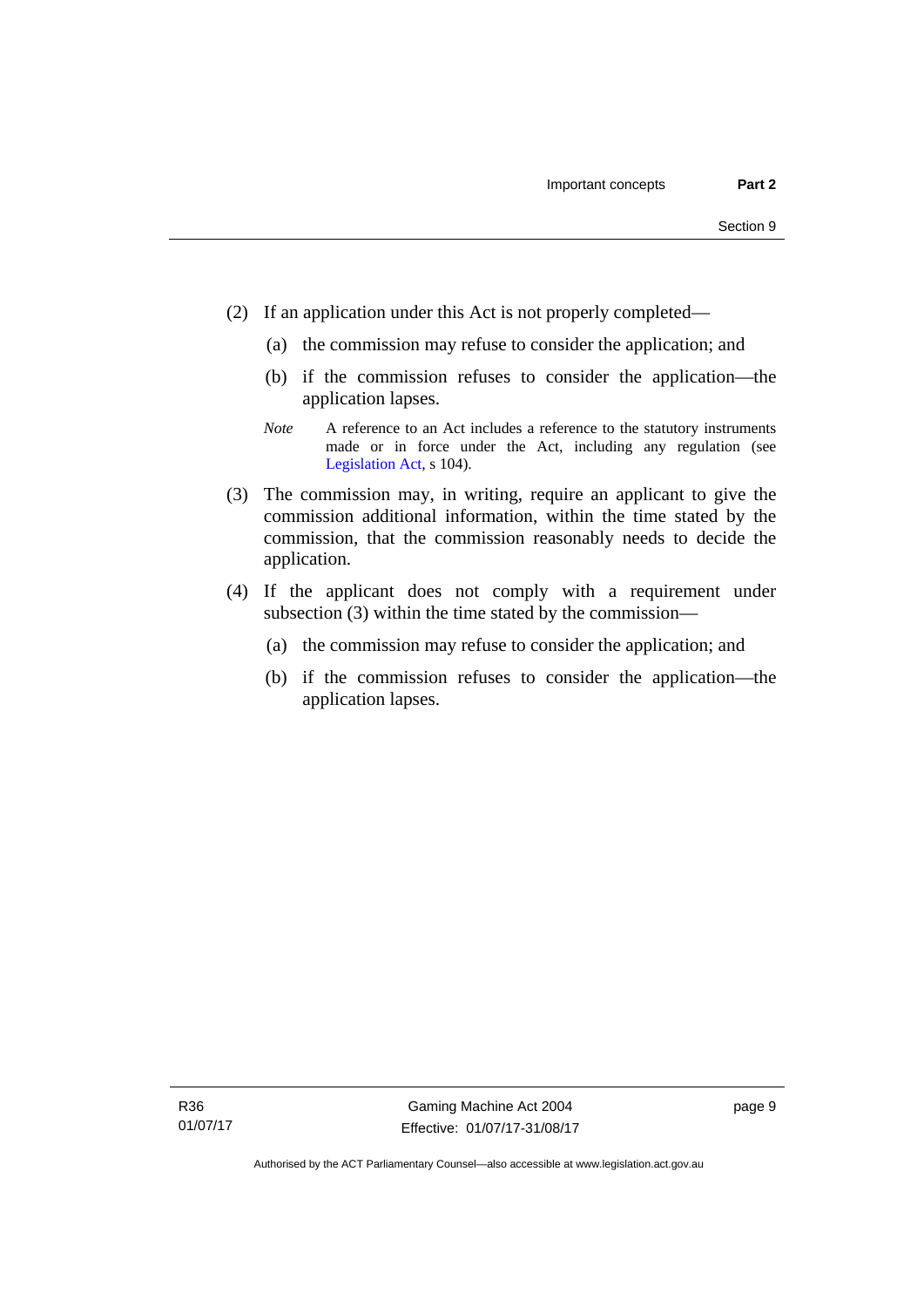- (2) If an application under this Act is not properly completed—
	- (a) the commission may refuse to consider the application; and
	- (b) if the commission refuses to consider the application—the application lapses.
	- *Note* A reference to an Act includes a reference to the statutory instruments made or in force under the Act, including any regulation (see [Legislation Act,](http://www.legislation.act.gov.au/a/2001-14) s 104).
- (3) The commission may, in writing, require an applicant to give the commission additional information, within the time stated by the commission, that the commission reasonably needs to decide the application.
- (4) If the applicant does not comply with a requirement under subsection (3) within the time stated by the commission—
	- (a) the commission may refuse to consider the application; and
	- (b) if the commission refuses to consider the application—the application lapses.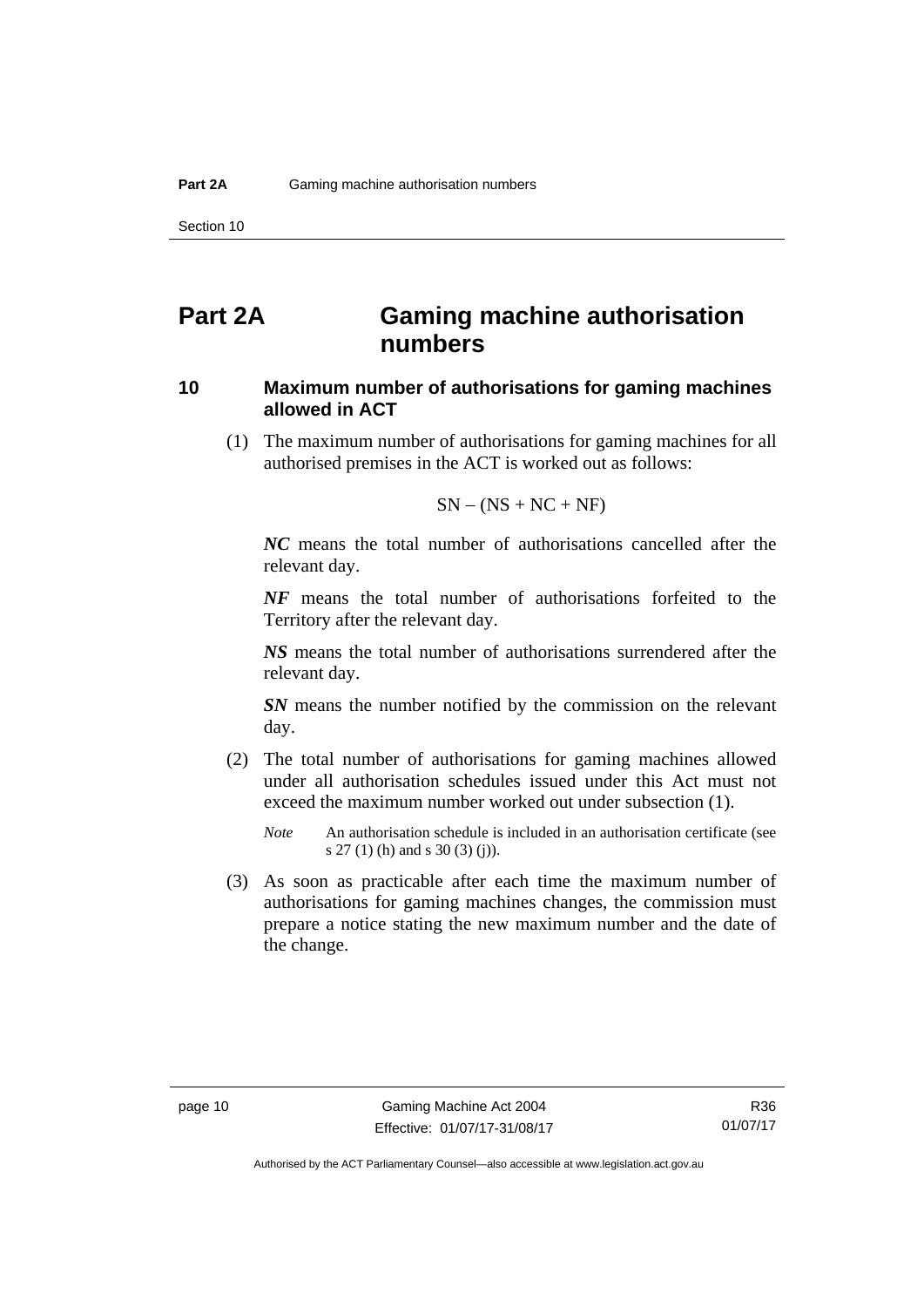# <span id="page-25-0"></span>**Part 2A Gaming machine authorisation numbers**

# <span id="page-25-1"></span>**10 Maximum number of authorisations for gaming machines allowed in ACT**

 (1) The maximum number of authorisations for gaming machines for all authorised premises in the ACT is worked out as follows:

$$
SN - (NS + NC + NF)
$$

*NC* means the total number of authorisations cancelled after the relevant day.

*NF* means the total number of authorisations forfeited to the Territory after the relevant day.

*NS* means the total number of authorisations surrendered after the relevant day.

*SN* means the number notified by the commission on the relevant day.

- (2) The total number of authorisations for gaming machines allowed under all authorisation schedules issued under this Act must not exceed the maximum number worked out under subsection (1).
	- *Note* An authorisation schedule is included in an authorisation certificate (see s 27 (1) (h) and s 30 (3) (j)).
- (3) As soon as practicable after each time the maximum number of authorisations for gaming machines changes, the commission must prepare a notice stating the new maximum number and the date of the change.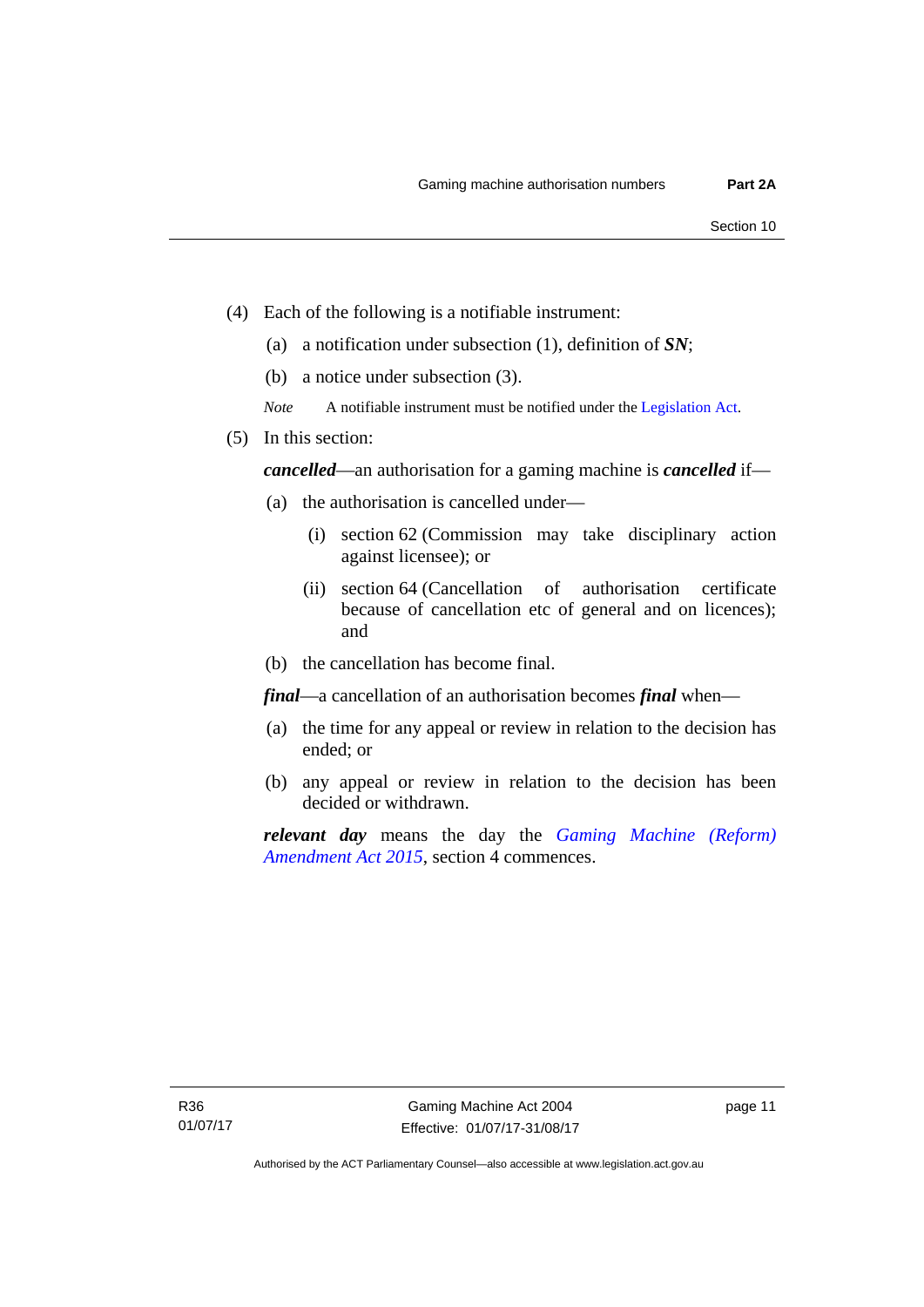- (4) Each of the following is a notifiable instrument:
	- (a) a notification under subsection (1), definition of *SN*;
	- (b) a notice under subsection (3).
	- *Note* A notifiable instrument must be notified under the [Legislation Act](http://www.legislation.act.gov.au/a/2001-14).
- (5) In this section:

*cancelled*—an authorisation for a gaming machine is *cancelled* if—

- (a) the authorisation is cancelled under—
	- (i) section 62 (Commission may take disciplinary action against licensee); or
	- (ii) section 64 (Cancellation of authorisation certificate because of cancellation etc of general and on licences); and
- (b) the cancellation has become final.

*final*—a cancellation of an authorisation becomes *final* when—

- (a) the time for any appeal or review in relation to the decision has ended; or
- (b) any appeal or review in relation to the decision has been decided or withdrawn.

*relevant day* means the day the *[Gaming Machine \(Reform\)](http://www.legislation.act.gov.au/a/2015-21/default.asp)  [Amendment Act 2015](http://www.legislation.act.gov.au/a/2015-21/default.asp)*, section 4 commences.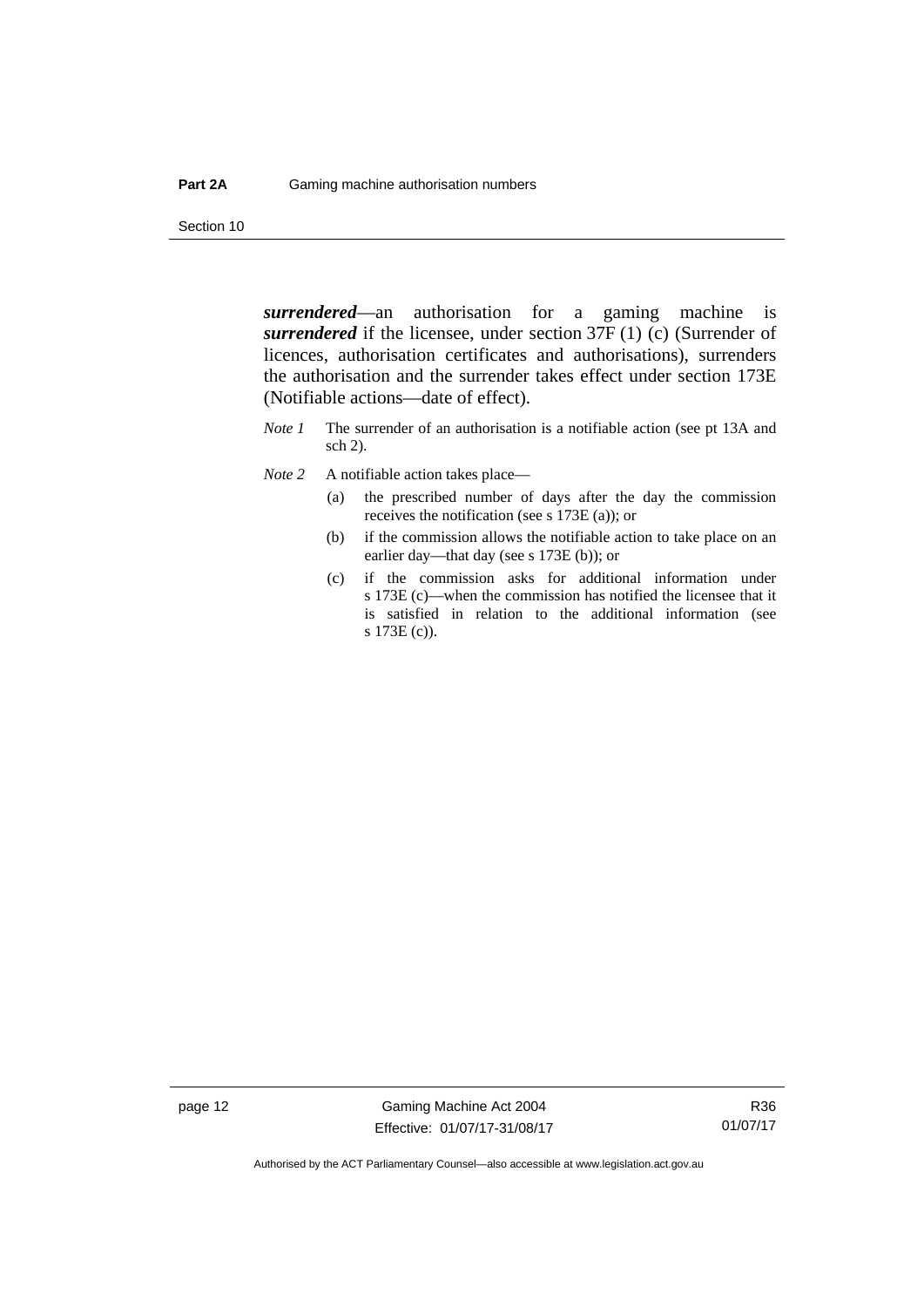Section 10

*surrendered*—an authorisation for a gaming machine is *surrendered* if the licensee, under section 37F (1) (c) (Surrender of licences, authorisation certificates and authorisations), surrenders the authorisation and the surrender takes effect under section 173E (Notifiable actions—date of effect).

- *Note 1* The surrender of an authorisation is a notifiable action (see pt 13A and sch 2).
- *Note* 2 A notifiable action takes place—
	- (a) the prescribed number of days after the day the commission receives the notification (see s 173E (a)); or
	- (b) if the commission allows the notifiable action to take place on an earlier day—that day (see s 173E (b)); or
	- (c) if the commission asks for additional information under s 173E (c)—when the commission has notified the licensee that it is satisfied in relation to the additional information (see s 173E (c)).

page 12 Gaming Machine Act 2004 Effective: 01/07/17-31/08/17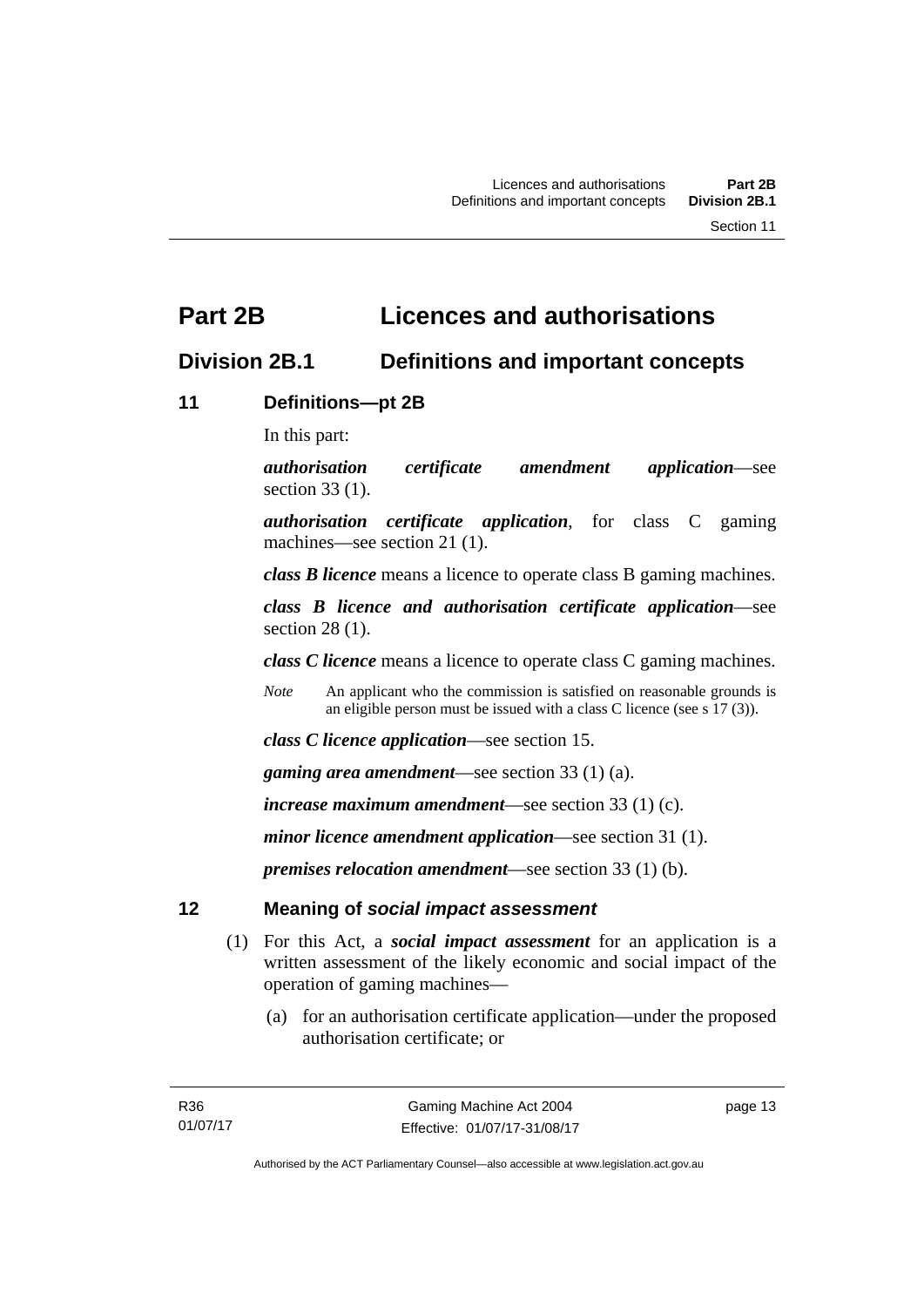# <span id="page-28-0"></span>**Part 2B Licences and authorisations**

# <span id="page-28-1"></span>**Division 2B.1 Definitions and important concepts**

# <span id="page-28-2"></span>**11 Definitions—pt 2B**

In this part:

*authorisation certificate amendment application*—see section 33 (1).

*authorisation certificate application*, for class C gaming machines—see section 21 (1).

*class B licence* means a licence to operate class B gaming machines.

*class B licence and authorisation certificate application*—see section 28 (1).

*class C licence* means a licence to operate class C gaming machines.

*Note* An applicant who the commission is satisfied on reasonable grounds is an eligible person must be issued with a class C licence (see s 17 (3)).

*class C licence application*—see section 15.

*gaming area amendment*—see section 33 (1) (a).

*increase maximum amendment*—see section 33 (1) (c).

*minor licence amendment application*—see section 31 (1).

*premises relocation amendment*—see section 33 (1) (b).

# <span id="page-28-3"></span>**12 Meaning of** *social impact assessment*

- (1) For this Act, a *social impact assessment* for an application is a written assessment of the likely economic and social impact of the operation of gaming machines—
	- (a) for an authorisation certificate application—under the proposed authorisation certificate; or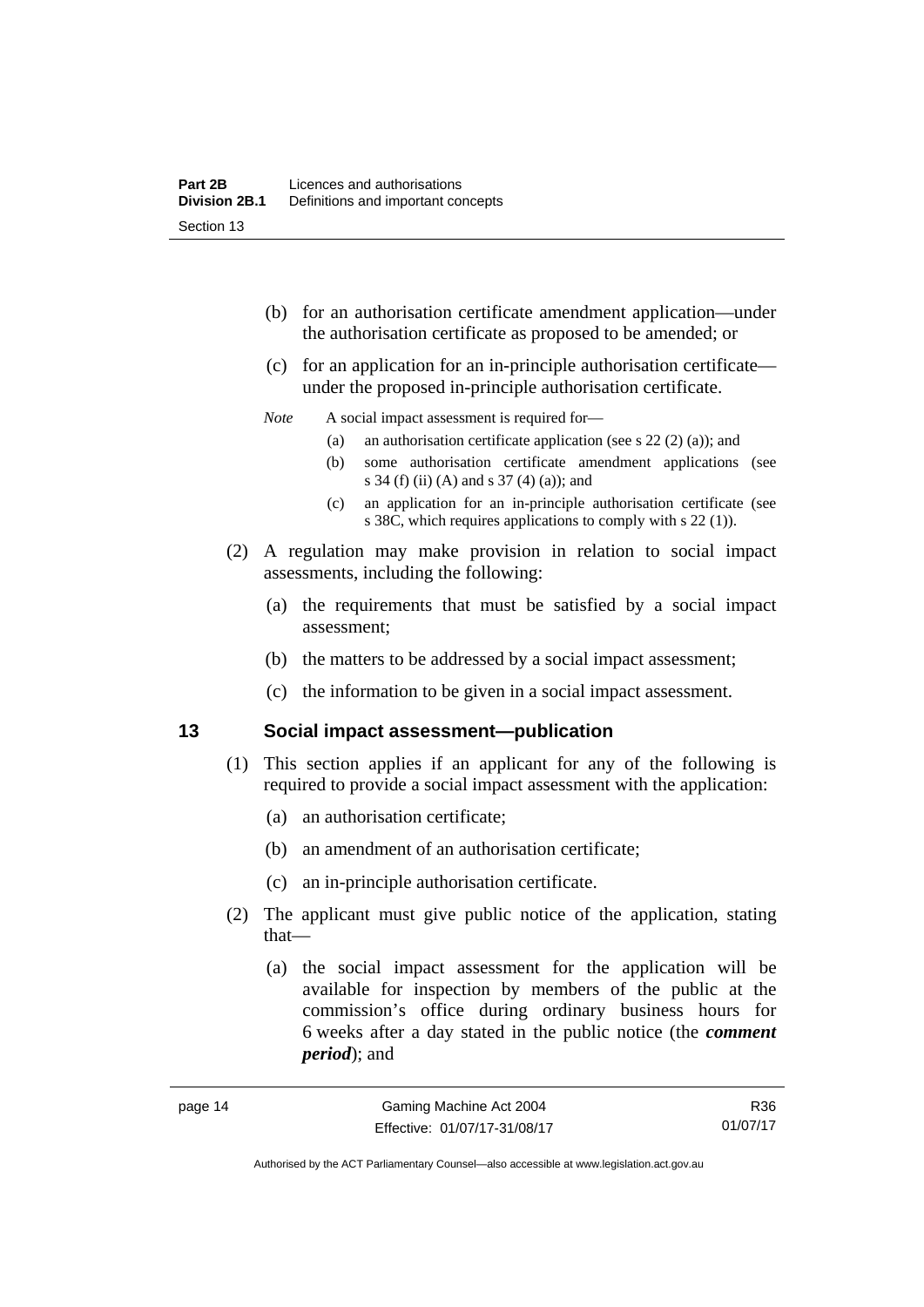- (b) for an authorisation certificate amendment application—under the authorisation certificate as proposed to be amended; or
- (c) for an application for an in-principle authorisation certificate under the proposed in-principle authorisation certificate.

### *Note* A social impact assessment is required for—

- (a) an authorisation certificate application (see s 22 (2) (a)); and
- (b) some authorisation certificate amendment applications (see s 34 (f) (ii) (A) and s 37 (4) (a)); and
- (c) an application for an in-principle authorisation certificate (see s 38C, which requires applications to comply with s 22 (1)).
- (2) A regulation may make provision in relation to social impact assessments, including the following:
	- (a) the requirements that must be satisfied by a social impact assessment;
	- (b) the matters to be addressed by a social impact assessment;
	- (c) the information to be given in a social impact assessment.

## <span id="page-29-0"></span>**13 Social impact assessment—publication**

- (1) This section applies if an applicant for any of the following is required to provide a social impact assessment with the application:
	- (a) an authorisation certificate;
	- (b) an amendment of an authorisation certificate;
	- (c) an in-principle authorisation certificate.
- (2) The applicant must give public notice of the application, stating that—
	- (a) the social impact assessment for the application will be available for inspection by members of the public at the commission's office during ordinary business hours for 6 weeks after a day stated in the public notice (the *comment period*); and

R36 01/07/17

Authorised by the ACT Parliamentary Counsel—also accessible at www.legislation.act.gov.au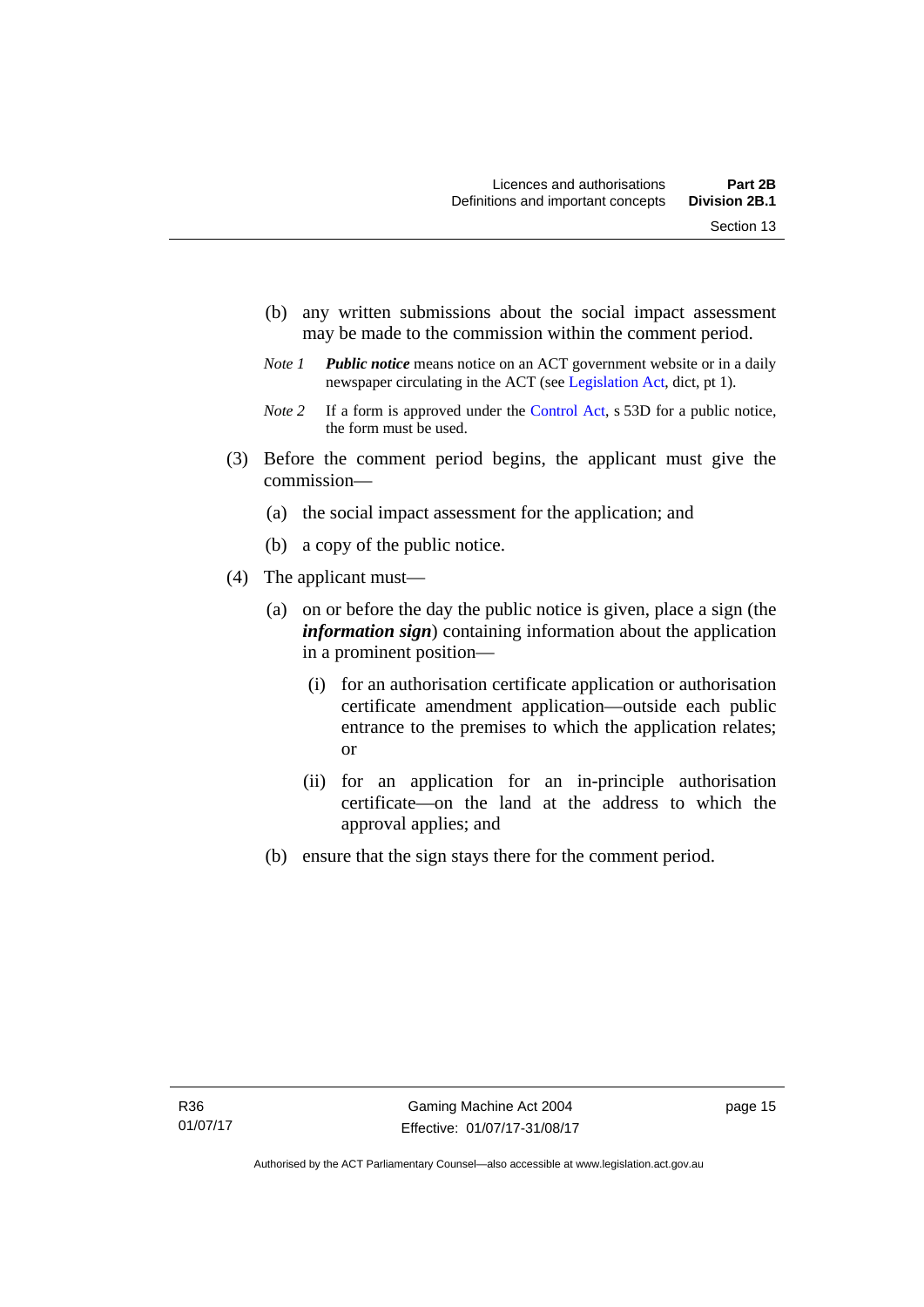- (b) any written submissions about the social impact assessment may be made to the commission within the comment period.
- *Note 1 Public notice* means notice on an ACT government website or in a daily newspaper circulating in the ACT (see [Legislation Act,](http://www.legislation.act.gov.au/a/2001-14) dict, pt 1).
- *Note 2* If a form is approved under the [Control Act](http://www.legislation.act.gov.au/a/1999-46), s 53D for a public notice, the form must be used.
- (3) Before the comment period begins, the applicant must give the commission—
	- (a) the social impact assessment for the application; and
	- (b) a copy of the public notice.
- (4) The applicant must—
	- (a) on or before the day the public notice is given, place a sign (the *information sign*) containing information about the application in a prominent position—
		- (i) for an authorisation certificate application or authorisation certificate amendment application—outside each public entrance to the premises to which the application relates; or
		- (ii) for an application for an in-principle authorisation certificate—on the land at the address to which the approval applies; and
	- (b) ensure that the sign stays there for the comment period.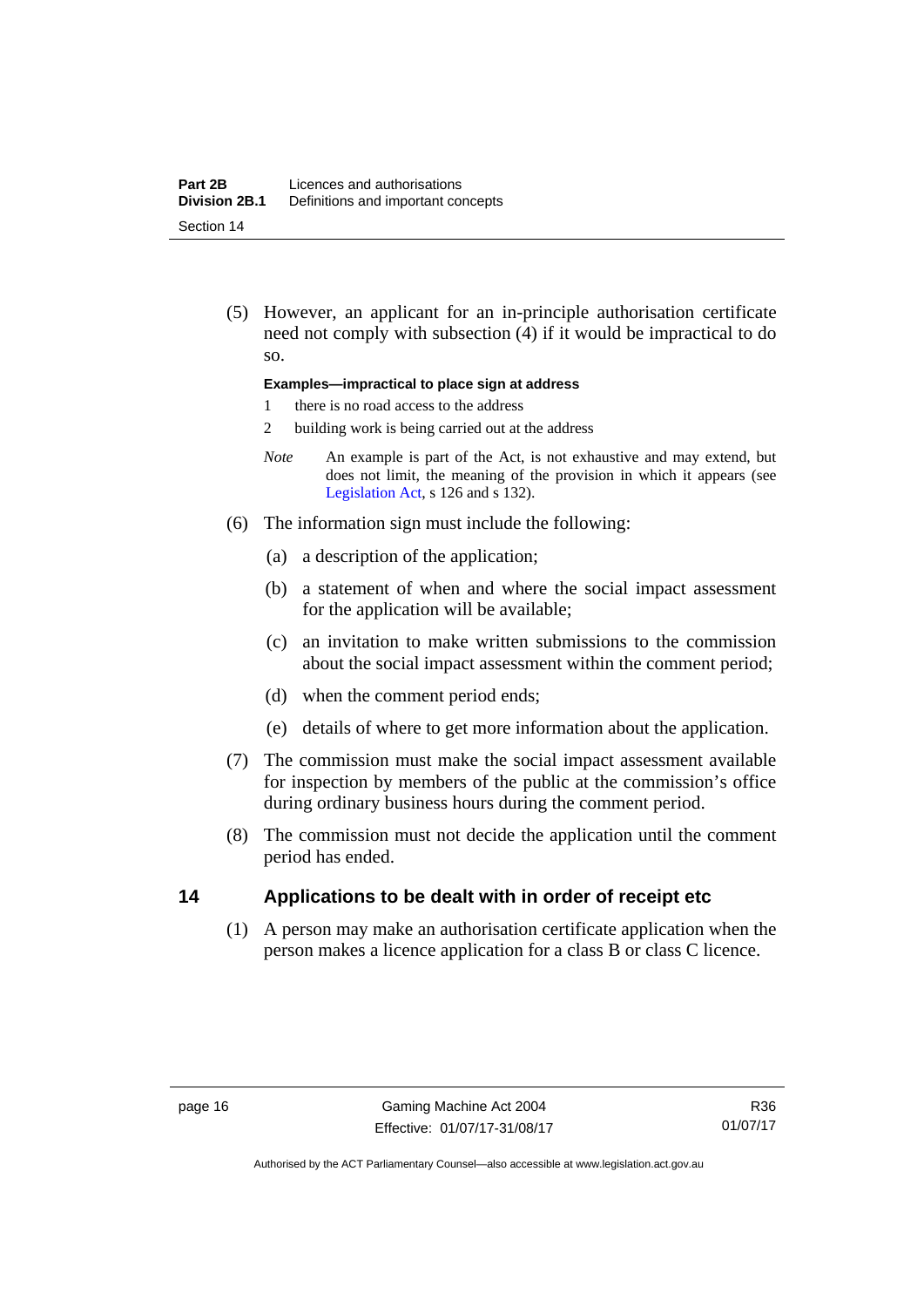(5) However, an applicant for an in-principle authorisation certificate need not comply with subsection (4) if it would be impractical to do so.

### **Examples—impractical to place sign at address**

- 1 there is no road access to the address
- 2 building work is being carried out at the address
- *Note* An example is part of the Act, is not exhaustive and may extend, but does not limit, the meaning of the provision in which it appears (see [Legislation Act,](http://www.legislation.act.gov.au/a/2001-14) s 126 and s 132).
- (6) The information sign must include the following:
	- (a) a description of the application;
	- (b) a statement of when and where the social impact assessment for the application will be available;
	- (c) an invitation to make written submissions to the commission about the social impact assessment within the comment period;
	- (d) when the comment period ends;
	- (e) details of where to get more information about the application.
- (7) The commission must make the social impact assessment available for inspection by members of the public at the commission's office during ordinary business hours during the comment period.
- (8) The commission must not decide the application until the comment period has ended.

# <span id="page-31-0"></span>**14 Applications to be dealt with in order of receipt etc**

(1) A person may make an authorisation certificate application when the person makes a licence application for a class B or class C licence.

Authorised by the ACT Parliamentary Counsel—also accessible at www.legislation.act.gov.au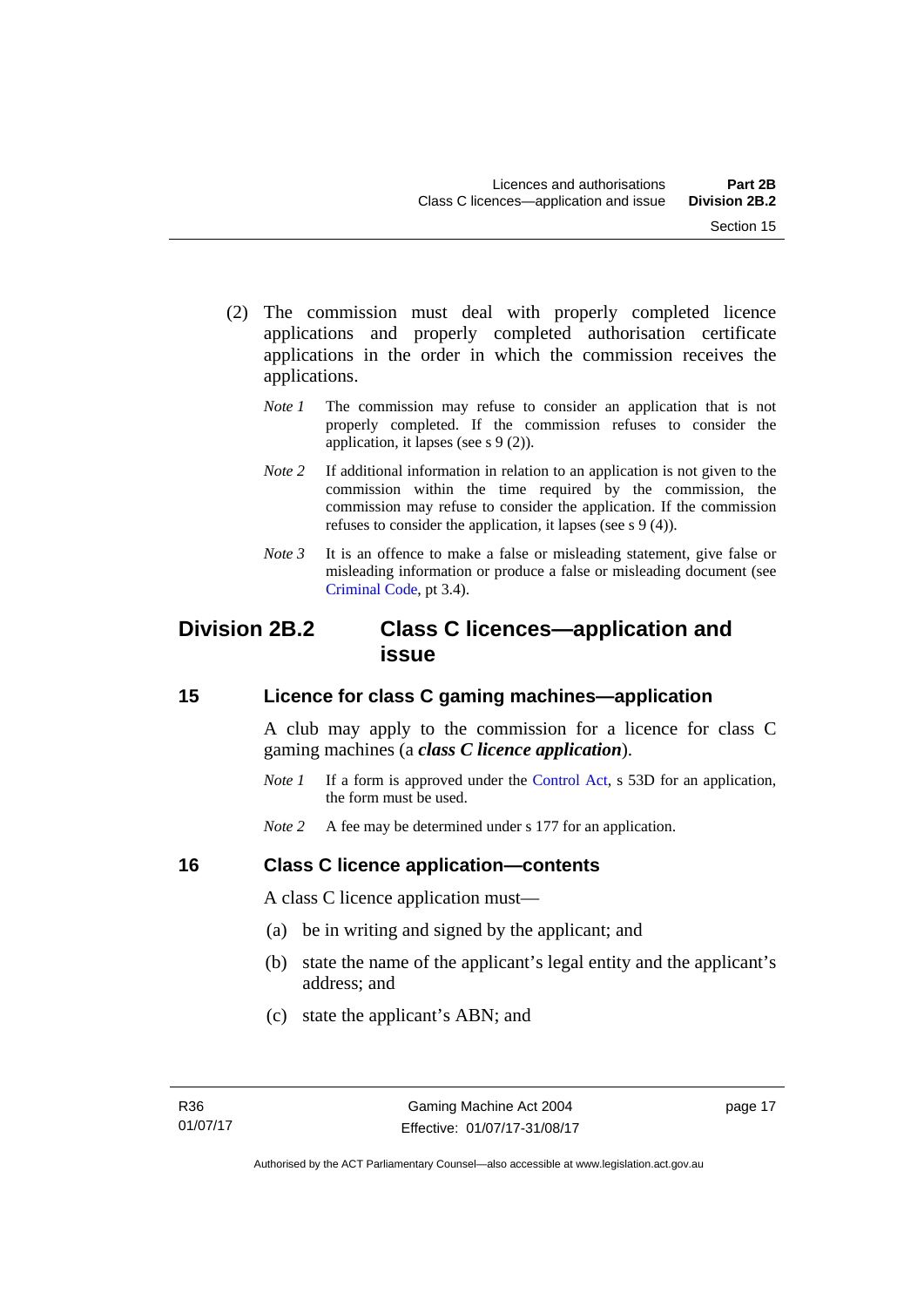- (2) The commission must deal with properly completed licence applications and properly completed authorisation certificate applications in the order in which the commission receives the applications.
	- *Note 1* The commission may refuse to consider an application that is not properly completed. If the commission refuses to consider the application, it lapses (see s 9 (2)).
	- *Note* 2 If additional information in relation to an application is not given to the commission within the time required by the commission, the commission may refuse to consider the application. If the commission refuses to consider the application, it lapses (see s 9 (4)).
	- *Note* 3 It is an offence to make a false or misleading statement, give false or misleading information or produce a false or misleading document (see [Criminal Code](http://www.legislation.act.gov.au/a/2002-51), pt 3.4).

# <span id="page-32-0"></span>**Division 2B.2 Class C licences—application and issue**

# <span id="page-32-1"></span>**15 Licence for class C gaming machines—application**

A club may apply to the commission for a licence for class C gaming machines (a *class C licence application*).

- *Note 1* If a form is approved under the [Control Act,](http://www.legislation.act.gov.au/a/1999-46/default.asp) s 53D for an application, the form must be used.
- *Note* 2 A fee may be determined under s 177 for an application.

# <span id="page-32-2"></span>**16 Class C licence application—contents**

A class C licence application must—

- (a) be in writing and signed by the applicant; and
- (b) state the name of the applicant's legal entity and the applicant's address; and
- (c) state the applicant's ABN; and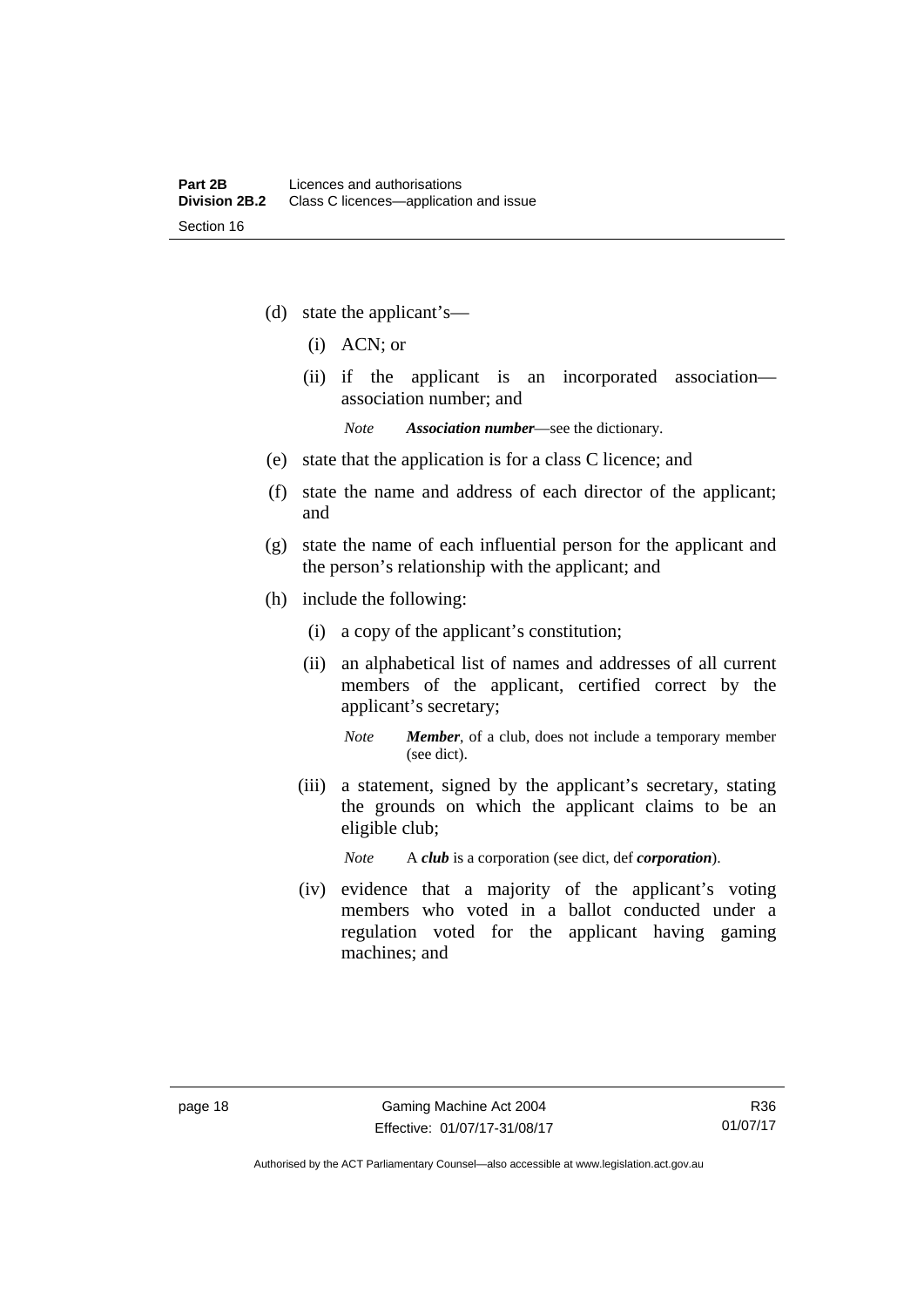- (d) state the applicant's—
	- (i) ACN; or
	- (ii) if the applicant is an incorporated association association number; and

*Note Association number*—see the dictionary.

- (e) state that the application is for a class C licence; and
- (f) state the name and address of each director of the applicant; and
- (g) state the name of each influential person for the applicant and the person's relationship with the applicant; and
- (h) include the following:
	- (i) a copy of the applicant's constitution;
	- (ii) an alphabetical list of names and addresses of all current members of the applicant, certified correct by the applicant's secretary;
		- *Note Member*, of a club, does not include a temporary member (see dict).
	- (iii) a statement, signed by the applicant's secretary, stating the grounds on which the applicant claims to be an eligible club;

*Note* A *club* is a corporation (see dict, def *corporation*).

(iv) evidence that a majority of the applicant's voting members who voted in a ballot conducted under a regulation voted for the applicant having gaming machines; and

Authorised by the ACT Parliamentary Counsel—also accessible at www.legislation.act.gov.au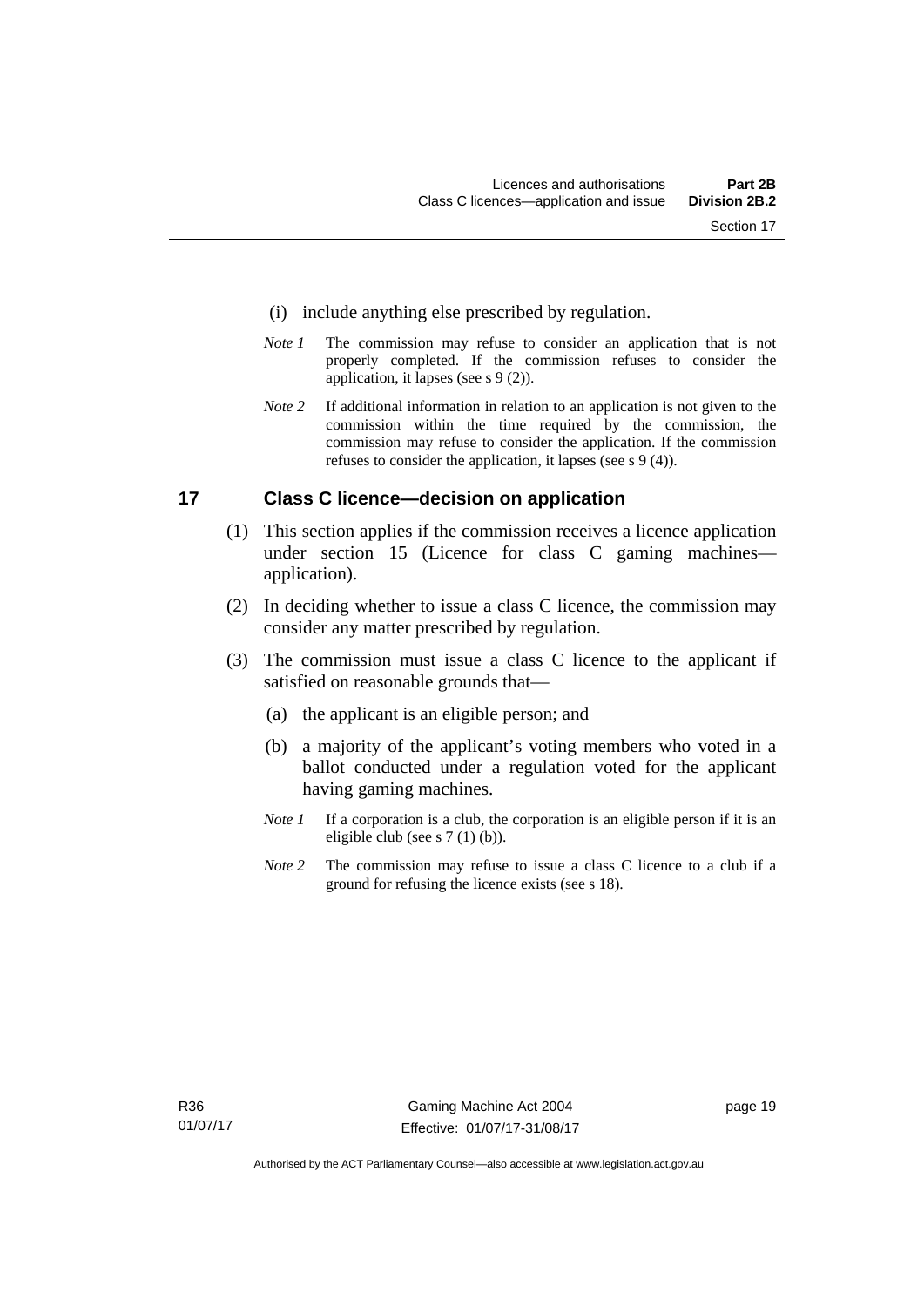- (i) include anything else prescribed by regulation.
- *Note 1* The commission may refuse to consider an application that is not properly completed. If the commission refuses to consider the application, it lapses (see s 9 (2)).
- *Note 2* If additional information in relation to an application is not given to the commission within the time required by the commission, the commission may refuse to consider the application. If the commission refuses to consider the application, it lapses (see s 9 (4)).

# <span id="page-34-0"></span>**17 Class C licence—decision on application**

- (1) This section applies if the commission receives a licence application under section 15 (Licence for class C gaming machines application).
- (2) In deciding whether to issue a class C licence, the commission may consider any matter prescribed by regulation.
- (3) The commission must issue a class C licence to the applicant if satisfied on reasonable grounds that—
	- (a) the applicant is an eligible person; and
	- (b) a majority of the applicant's voting members who voted in a ballot conducted under a regulation voted for the applicant having gaming machines.
	- *Note 1* If a corporation is a club, the corporation is an eligible person if it is an eligible club (see s 7 (1) (b)).
	- *Note* 2 The commission may refuse to issue a class C licence to a club if a ground for refusing the licence exists (see s 18).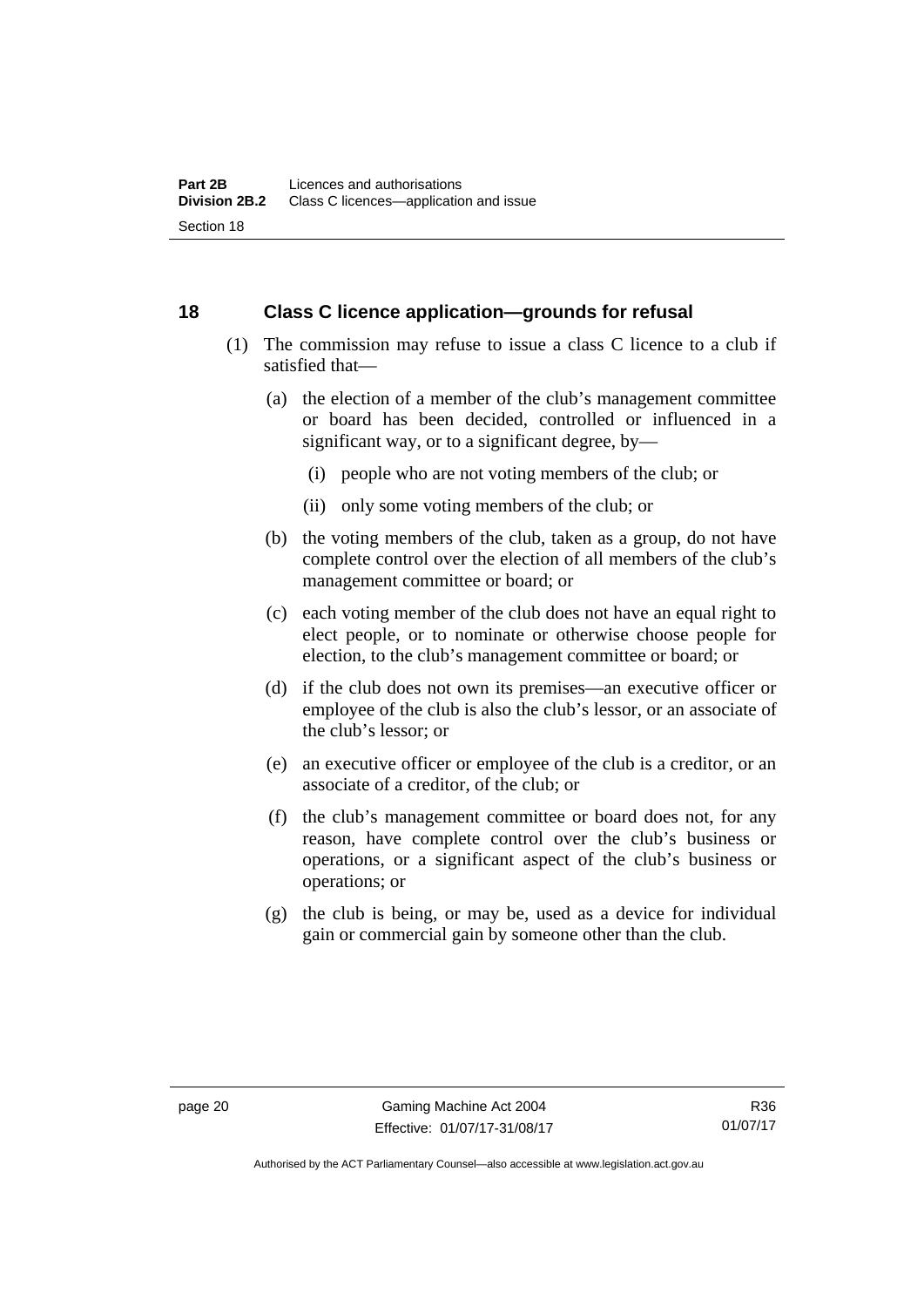# <span id="page-35-0"></span>**18 Class C licence application—grounds for refusal**

- (1) The commission may refuse to issue a class C licence to a club if satisfied that—
	- (a) the election of a member of the club's management committee or board has been decided, controlled or influenced in a significant way, or to a significant degree, by—
		- (i) people who are not voting members of the club; or
		- (ii) only some voting members of the club; or
	- (b) the voting members of the club, taken as a group, do not have complete control over the election of all members of the club's management committee or board; or
	- (c) each voting member of the club does not have an equal right to elect people, or to nominate or otherwise choose people for election, to the club's management committee or board; or
	- (d) if the club does not own its premises—an executive officer or employee of the club is also the club's lessor, or an associate of the club's lessor; or
	- (e) an executive officer or employee of the club is a creditor, or an associate of a creditor, of the club; or
	- (f) the club's management committee or board does not, for any reason, have complete control over the club's business or operations, or a significant aspect of the club's business or operations; or
	- (g) the club is being, or may be, used as a device for individual gain or commercial gain by someone other than the club.

Authorised by the ACT Parliamentary Counsel—also accessible at www.legislation.act.gov.au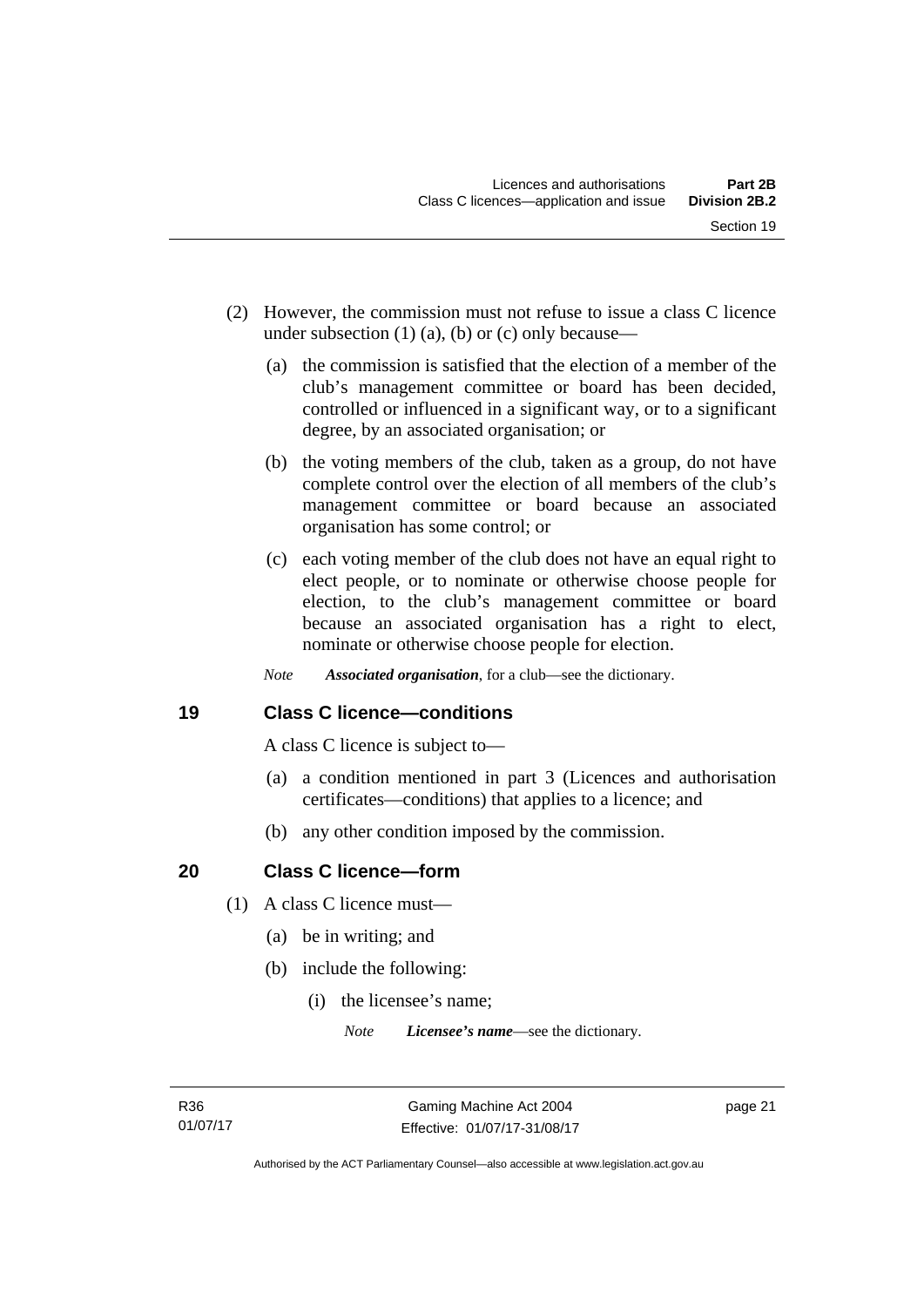- (2) However, the commission must not refuse to issue a class C licence under subsection  $(1)$   $(a)$ ,  $(b)$  or  $(c)$  only because—
	- (a) the commission is satisfied that the election of a member of the club's management committee or board has been decided, controlled or influenced in a significant way, or to a significant degree, by an associated organisation; or
	- (b) the voting members of the club, taken as a group, do not have complete control over the election of all members of the club's management committee or board because an associated organisation has some control; or
	- (c) each voting member of the club does not have an equal right to elect people, or to nominate or otherwise choose people for election, to the club's management committee or board because an associated organisation has a right to elect, nominate or otherwise choose people for election.
	- *Note Associated organisation*, for a club—see the dictionary.

## **19 Class C licence—conditions**

A class C licence is subject to—

- (a) a condition mentioned in part 3 (Licences and authorisation certificates—conditions) that applies to a licence; and
- (b) any other condition imposed by the commission.

## **20 Class C licence—form**

- (1) A class C licence must—
	- (a) be in writing; and
	- (b) include the following:
		- (i) the licensee's name;

*Note Licensee's name*—see the dictionary.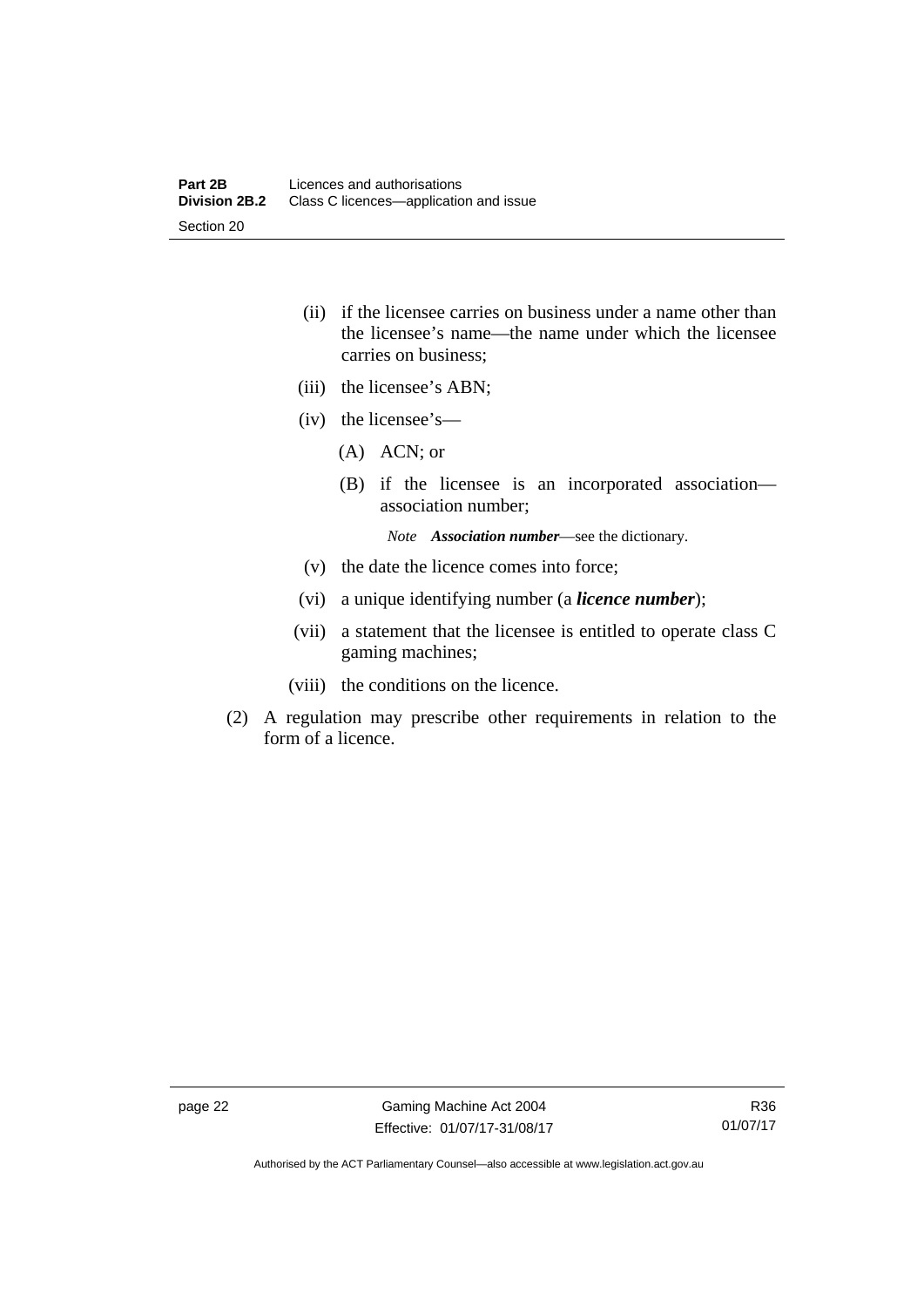- (ii) if the licensee carries on business under a name other than the licensee's name—the name under which the licensee carries on business;
- (iii) the licensee's ABN;
- (iv) the licensee's—
	- (A) ACN; or
	- (B) if the licensee is an incorporated association association number;

*Note Association number*—see the dictionary.

- (v) the date the licence comes into force;
- (vi) a unique identifying number (a *licence number*);
- (vii) a statement that the licensee is entitled to operate class C gaming machines;
- (viii) the conditions on the licence.
- (2) A regulation may prescribe other requirements in relation to the form of a licence.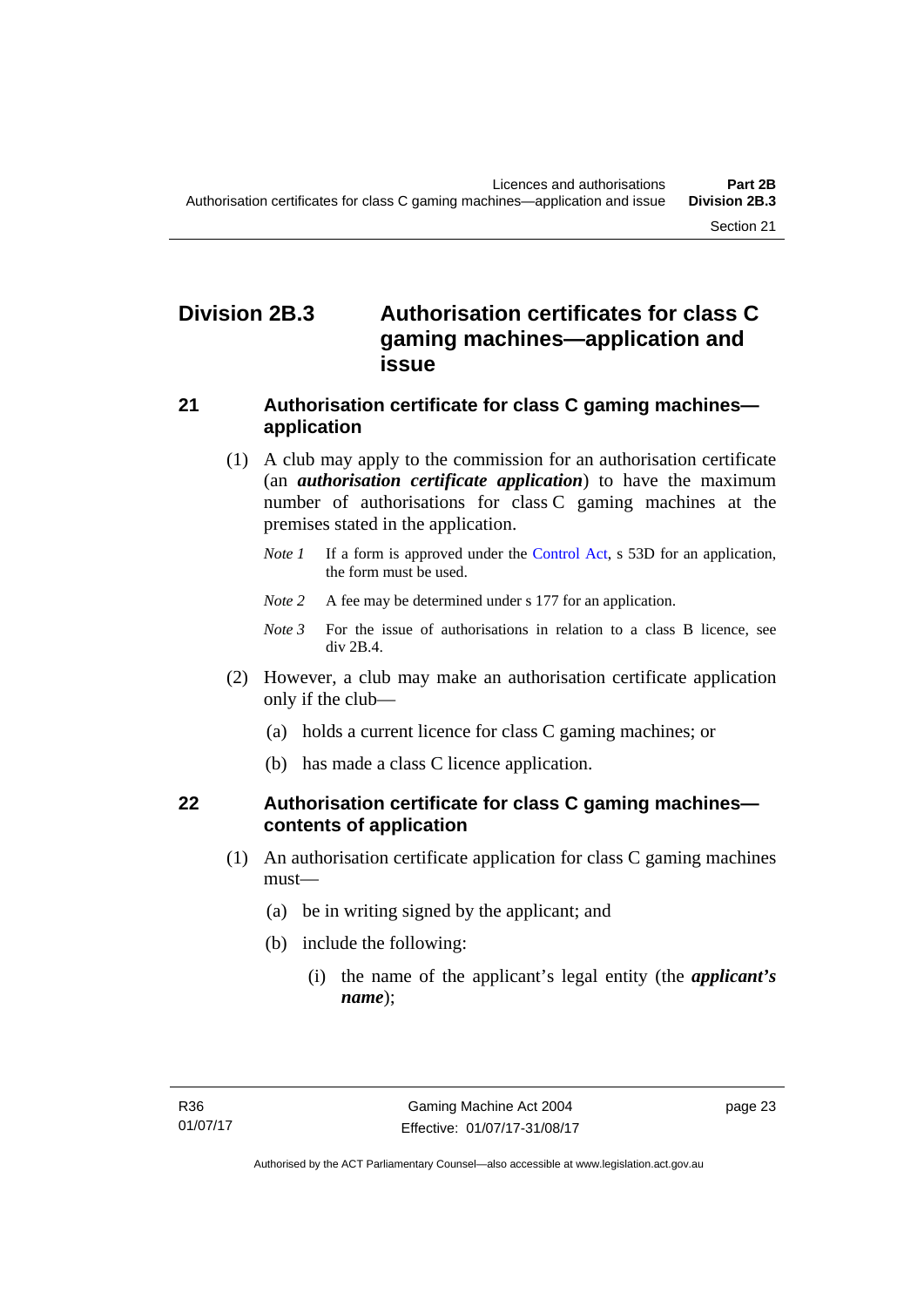# **Division 2B.3 Authorisation certificates for class C gaming machines—application and issue**

#### **21 Authorisation certificate for class C gaming machines application**

- (1) A club may apply to the commission for an authorisation certificate (an *authorisation certificate application*) to have the maximum number of authorisations for class C gaming machines at the premises stated in the application.
	- *Note 1* If a form is approved under the [Control Act,](http://www.legislation.act.gov.au/a/1999-46/default.asp) s 53D for an application, the form must be used.
	- *Note* 2 A fee may be determined under s 177 for an application.
	- *Note 3* For the issue of authorisations in relation to a class B licence, see div 2B.4.
- (2) However, a club may make an authorisation certificate application only if the club—
	- (a) holds a current licence for class C gaming machines; or
	- (b) has made a class C licence application.

## **22 Authorisation certificate for class C gaming machines contents of application**

- (1) An authorisation certificate application for class C gaming machines must—
	- (a) be in writing signed by the applicant; and
	- (b) include the following:
		- (i) the name of the applicant's legal entity (the *applicant's name*);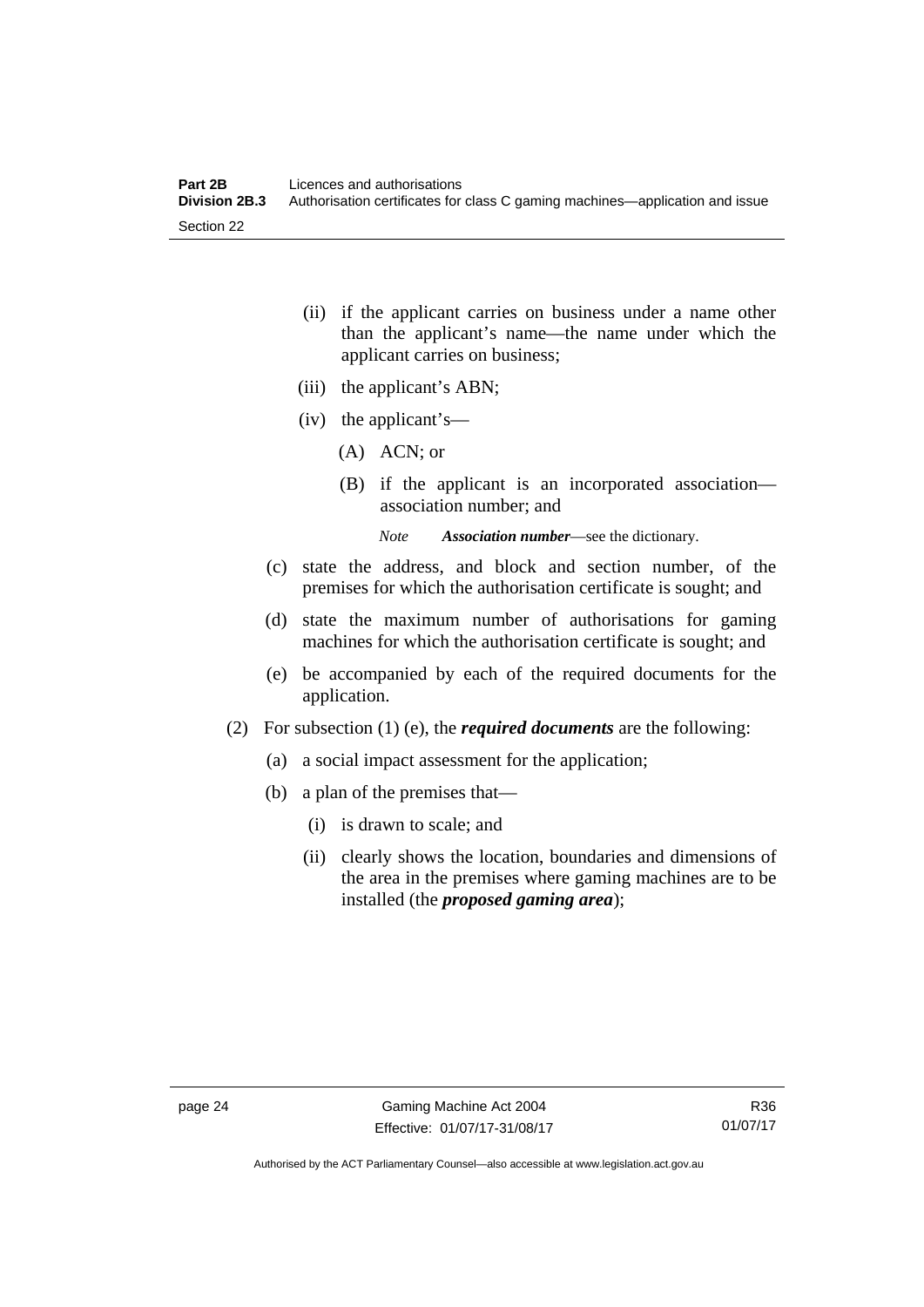- (ii) if the applicant carries on business under a name other than the applicant's name—the name under which the applicant carries on business;
- (iii) the applicant's ABN;
- (iv) the applicant's—
	- (A) ACN; or
	- (B) if the applicant is an incorporated association association number; and

*Note Association number*—see the dictionary.

- (c) state the address, and block and section number, of the premises for which the authorisation certificate is sought; and
- (d) state the maximum number of authorisations for gaming machines for which the authorisation certificate is sought; and
- (e) be accompanied by each of the required documents for the application.
- (2) For subsection (1) (e), the *required documents* are the following:
	- (a) a social impact assessment for the application;
	- (b) a plan of the premises that—
		- (i) is drawn to scale; and
		- (ii) clearly shows the location, boundaries and dimensions of the area in the premises where gaming machines are to be installed (the *proposed gaming area*);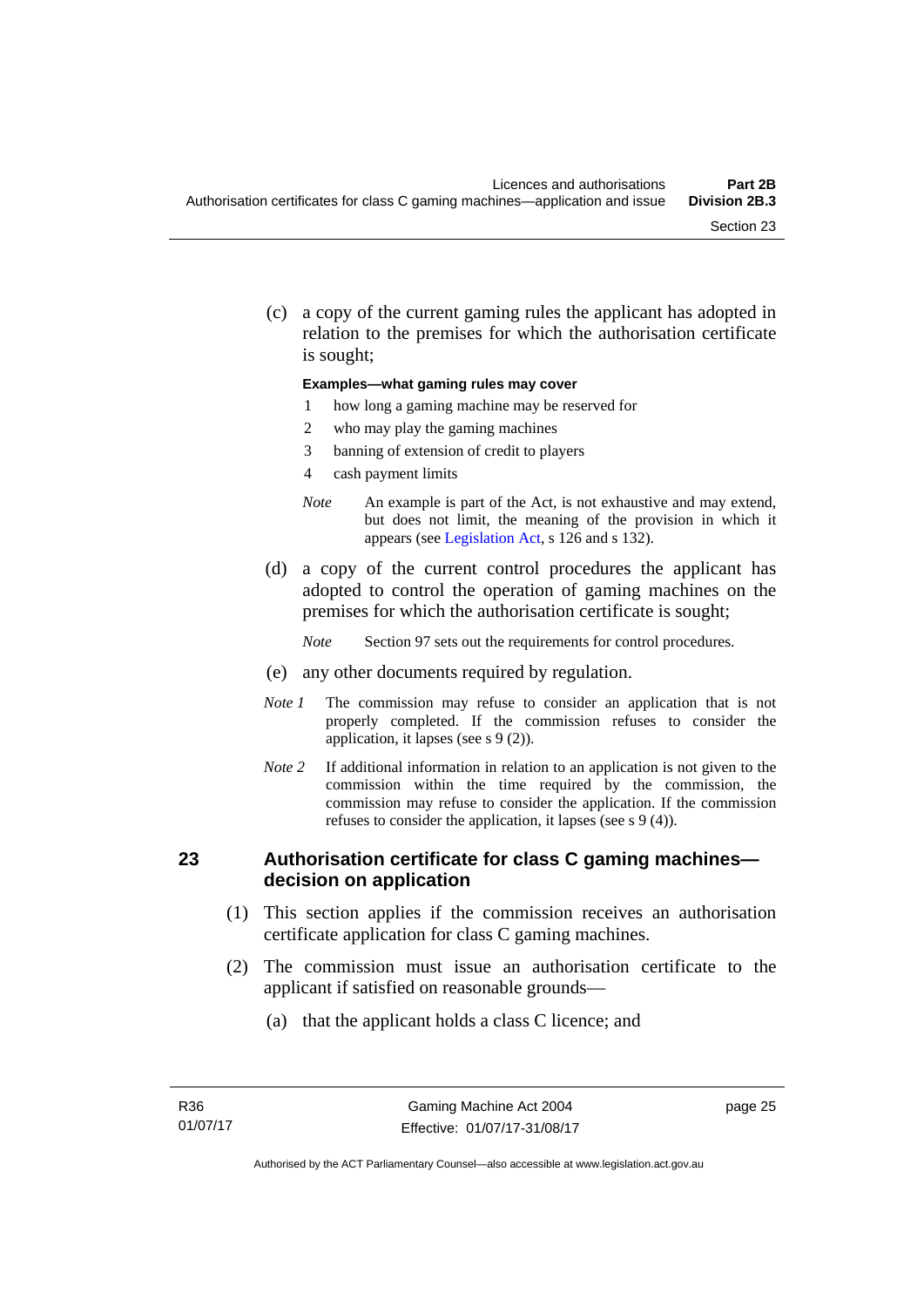(c) a copy of the current gaming rules the applicant has adopted in relation to the premises for which the authorisation certificate is sought;

#### **Examples—what gaming rules may cover**

- 1 how long a gaming machine may be reserved for
- 2 who may play the gaming machines
- 3 banning of extension of credit to players
- 4 cash payment limits
- *Note* An example is part of the Act, is not exhaustive and may extend, but does not limit, the meaning of the provision in which it appears (see [Legislation Act,](http://www.legislation.act.gov.au/a/2001-14) s 126 and s 132).
- (d) a copy of the current control procedures the applicant has adopted to control the operation of gaming machines on the premises for which the authorisation certificate is sought;
	- *Note* Section 97 sets out the requirements for control procedures.
- (e) any other documents required by regulation.
- *Note 1* The commission may refuse to consider an application that is not properly completed. If the commission refuses to consider the application, it lapses (see s 9 (2)).
- *Note 2* If additional information in relation to an application is not given to the commission within the time required by the commission, the commission may refuse to consider the application. If the commission refuses to consider the application, it lapses (see s 9 (4)).

#### **23 Authorisation certificate for class C gaming machines decision on application**

- (1) This section applies if the commission receives an authorisation certificate application for class C gaming machines.
- (2) The commission must issue an authorisation certificate to the applicant if satisfied on reasonable grounds—
	- (a) that the applicant holds a class C licence; and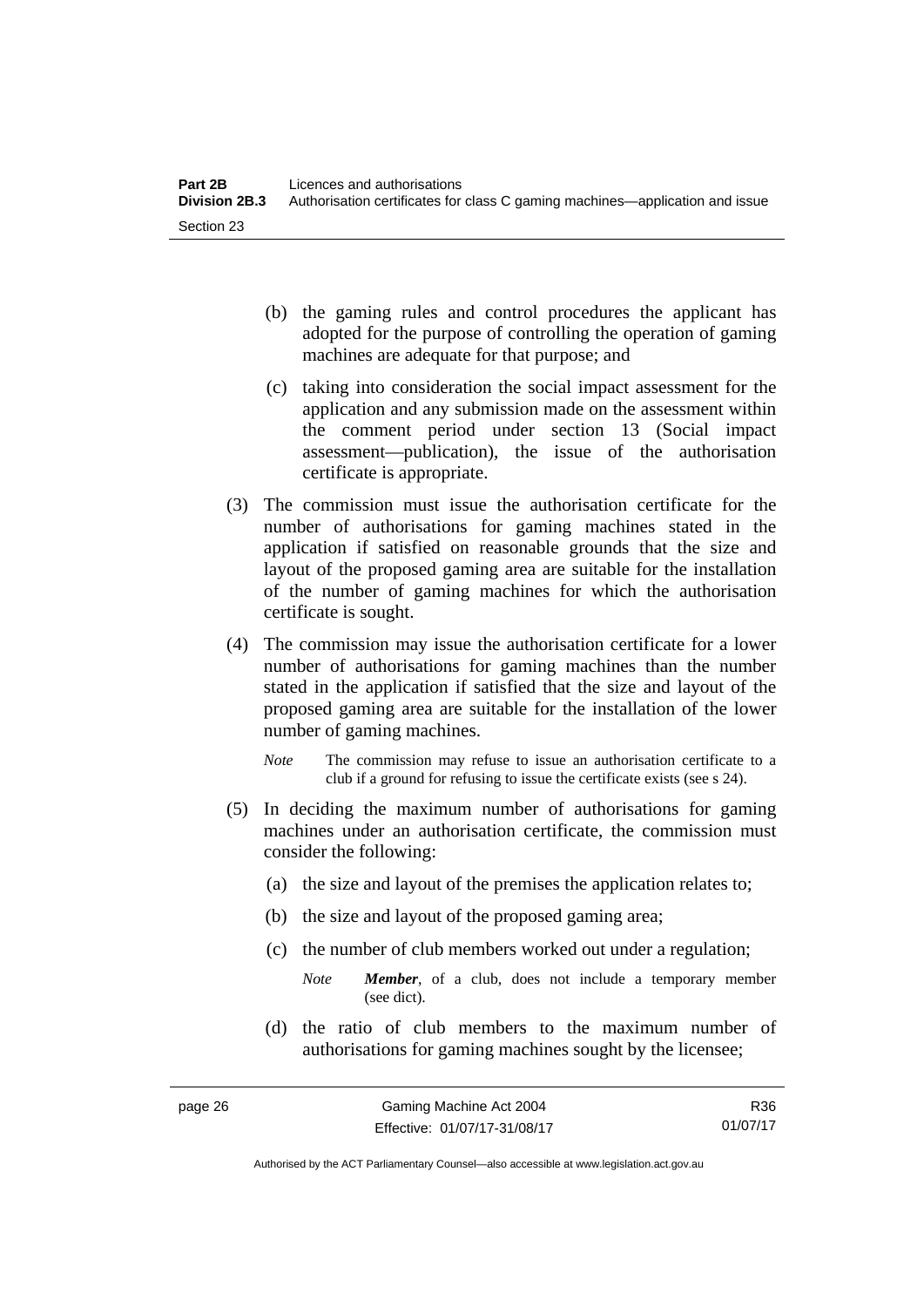- (b) the gaming rules and control procedures the applicant has adopted for the purpose of controlling the operation of gaming machines are adequate for that purpose; and
- (c) taking into consideration the social impact assessment for the application and any submission made on the assessment within the comment period under section 13 (Social impact assessment—publication), the issue of the authorisation certificate is appropriate.
- (3) The commission must issue the authorisation certificate for the number of authorisations for gaming machines stated in the application if satisfied on reasonable grounds that the size and layout of the proposed gaming area are suitable for the installation of the number of gaming machines for which the authorisation certificate is sought.
- (4) The commission may issue the authorisation certificate for a lower number of authorisations for gaming machines than the number stated in the application if satisfied that the size and layout of the proposed gaming area are suitable for the installation of the lower number of gaming machines.
	- *Note* The commission may refuse to issue an authorisation certificate to a club if a ground for refusing to issue the certificate exists (see s 24).
- (5) In deciding the maximum number of authorisations for gaming machines under an authorisation certificate, the commission must consider the following:
	- (a) the size and layout of the premises the application relates to;
	- (b) the size and layout of the proposed gaming area;
	- (c) the number of club members worked out under a regulation;
		- *Note Member*, of a club, does not include a temporary member (see dict).
	- (d) the ratio of club members to the maximum number of authorisations for gaming machines sought by the licensee;

R36 01/07/17

Authorised by the ACT Parliamentary Counsel—also accessible at www.legislation.act.gov.au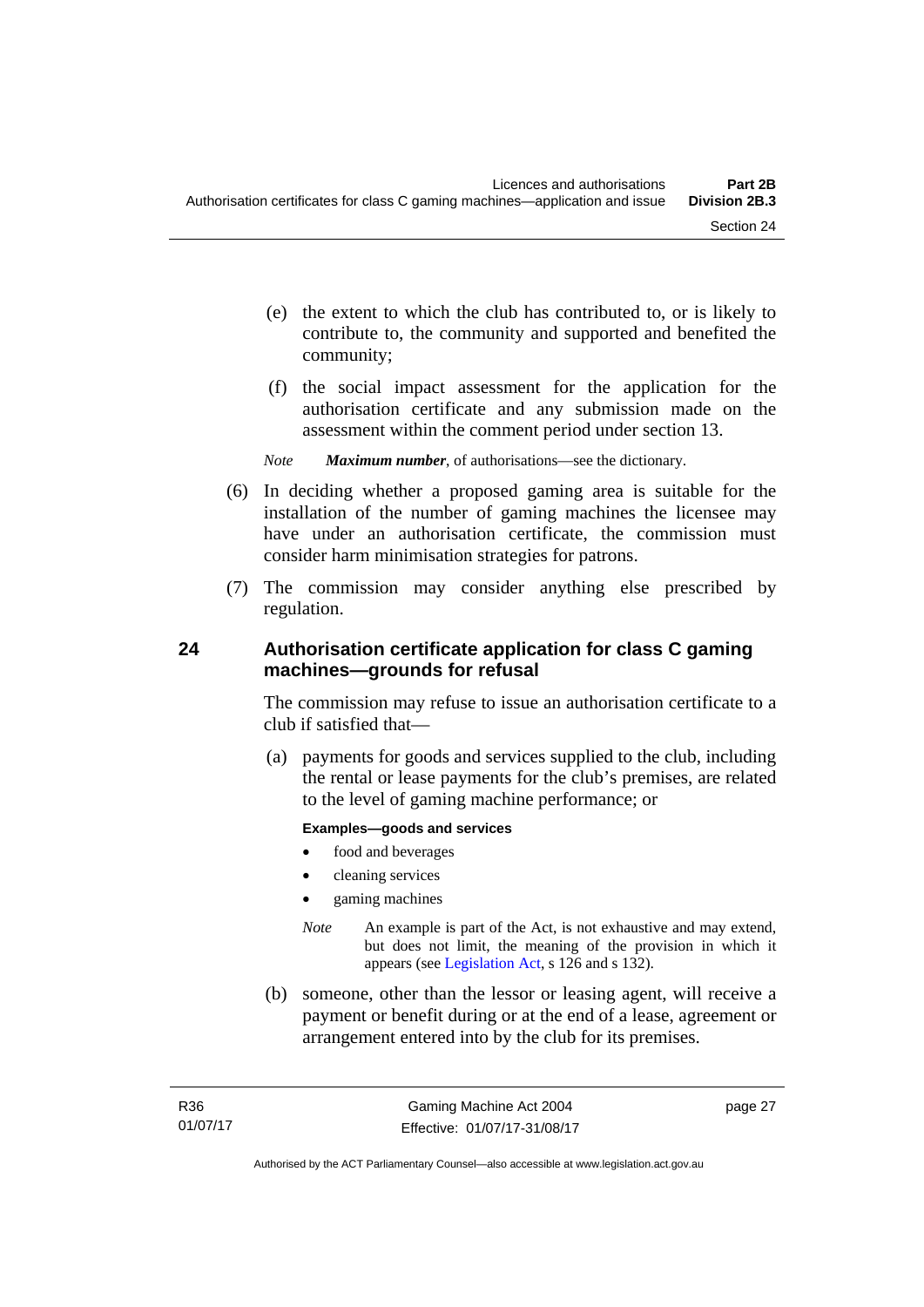- (e) the extent to which the club has contributed to, or is likely to contribute to, the community and supported and benefited the community;
- (f) the social impact assessment for the application for the authorisation certificate and any submission made on the assessment within the comment period under section 13.
- *Note Maximum number*, of authorisations—see the dictionary.
- (6) In deciding whether a proposed gaming area is suitable for the installation of the number of gaming machines the licensee may have under an authorisation certificate, the commission must consider harm minimisation strategies for patrons.
- (7) The commission may consider anything else prescribed by regulation.

## **24 Authorisation certificate application for class C gaming machines—grounds for refusal**

The commission may refuse to issue an authorisation certificate to a club if satisfied that—

 (a) payments for goods and services supplied to the club, including the rental or lease payments for the club's premises, are related to the level of gaming machine performance; or

#### **Examples—goods and services**

- food and beverages
- cleaning services
- gaming machines
- *Note* An example is part of the Act, is not exhaustive and may extend, but does not limit, the meaning of the provision in which it appears (see [Legislation Act,](http://www.legislation.act.gov.au/a/2001-14) s 126 and s 132).
- (b) someone, other than the lessor or leasing agent, will receive a payment or benefit during or at the end of a lease, agreement or arrangement entered into by the club for its premises.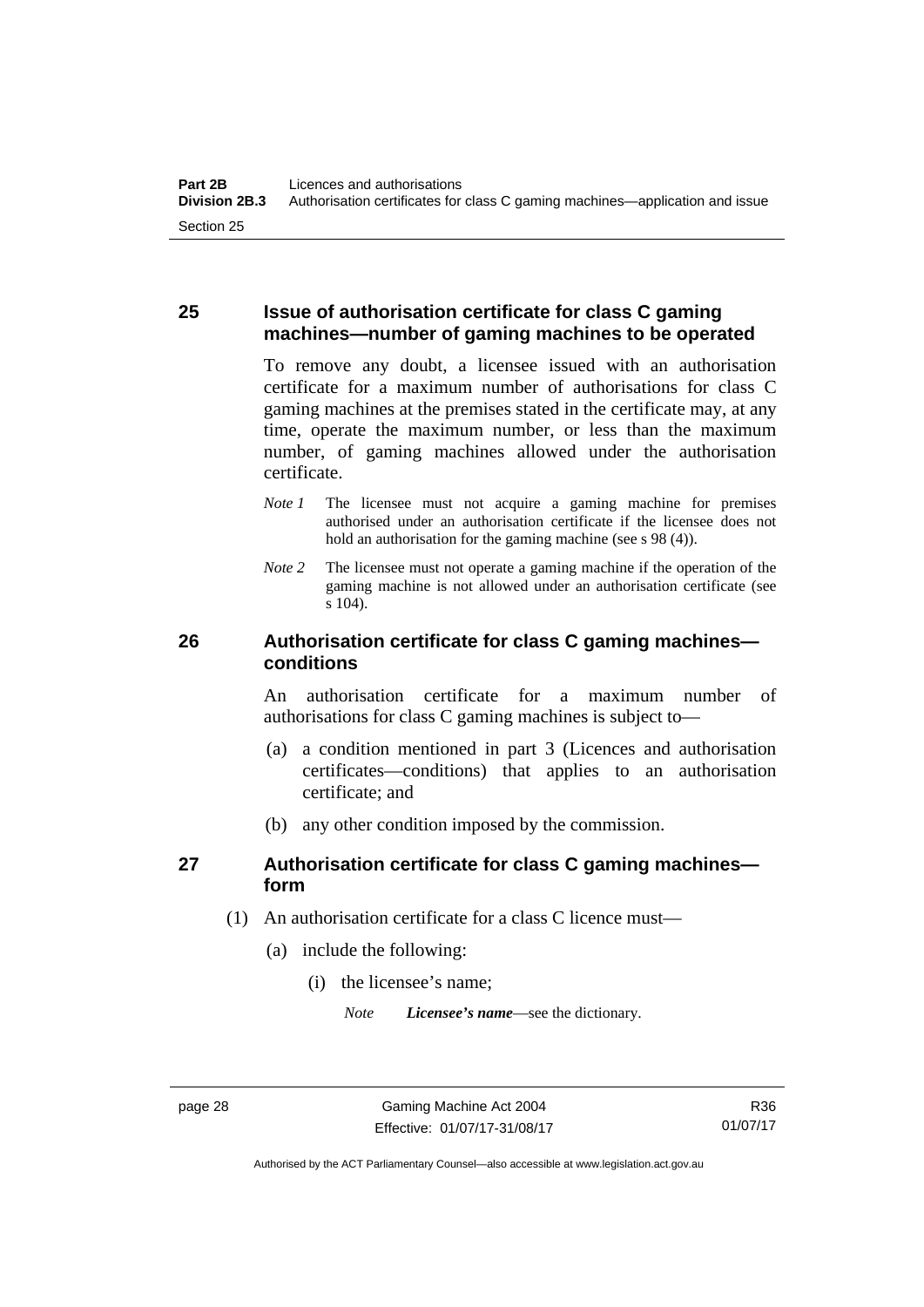#### **25 Issue of authorisation certificate for class C gaming machines—number of gaming machines to be operated**

To remove any doubt, a licensee issued with an authorisation certificate for a maximum number of authorisations for class C gaming machines at the premises stated in the certificate may, at any time, operate the maximum number, or less than the maximum number, of gaming machines allowed under the authorisation certificate.

- *Note 1* The licensee must not acquire a gaming machine for premises authorised under an authorisation certificate if the licensee does not hold an authorisation for the gaming machine (see s 98 (4)).
- *Note 2* The licensee must not operate a gaming machine if the operation of the gaming machine is not allowed under an authorisation certificate (see s 104).

#### **26 Authorisation certificate for class C gaming machines conditions**

An authorisation certificate for a maximum number of authorisations for class C gaming machines is subject to—

- (a) a condition mentioned in part 3 (Licences and authorisation certificates—conditions) that applies to an authorisation certificate; and
- (b) any other condition imposed by the commission.

## **27 Authorisation certificate for class C gaming machines form**

- (1) An authorisation certificate for a class C licence must—
	- (a) include the following:
		- (i) the licensee's name;

*Note Licensee's name*—see the dictionary.

Authorised by the ACT Parliamentary Counsel—also accessible at www.legislation.act.gov.au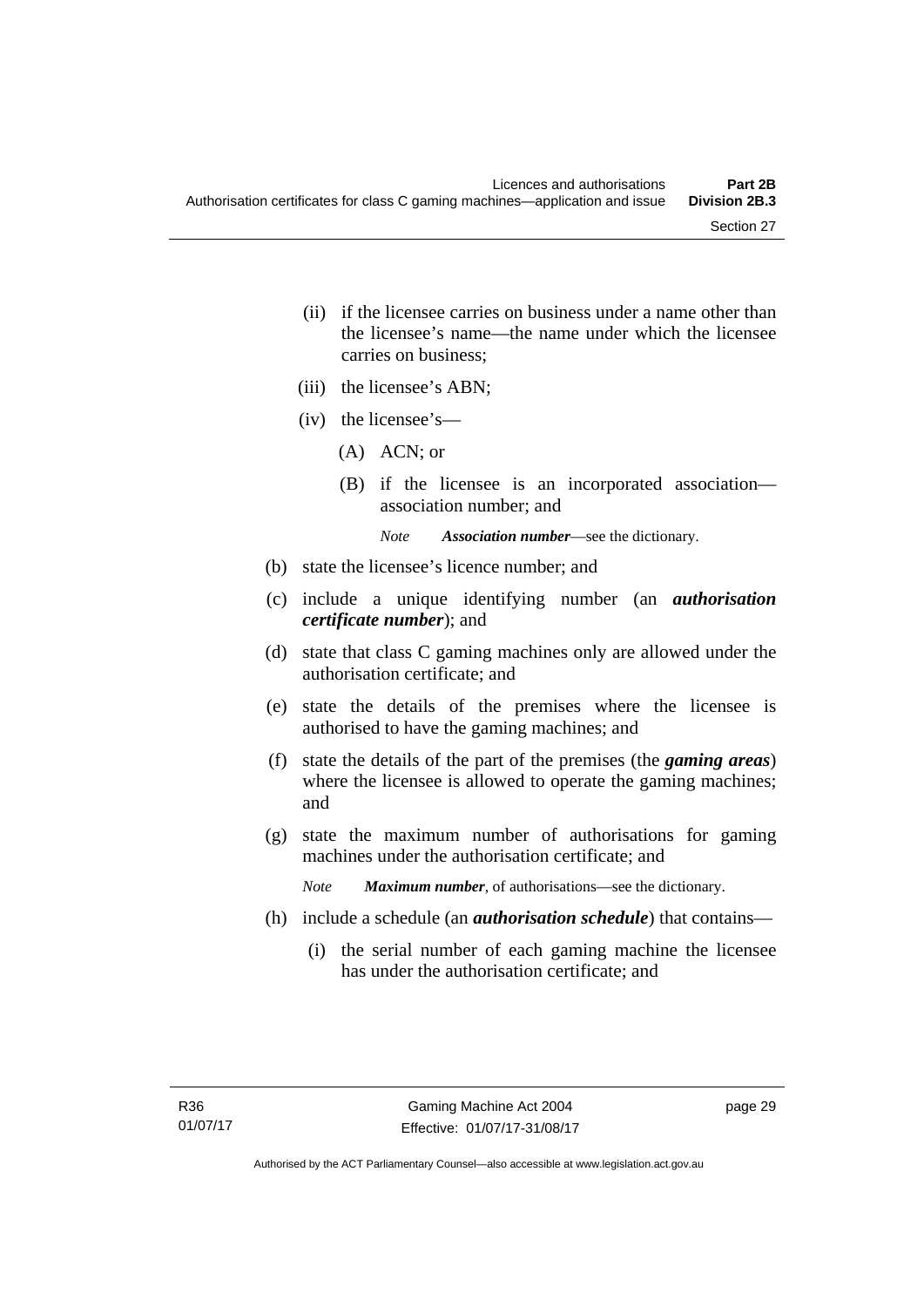- (ii) if the licensee carries on business under a name other than the licensee's name—the name under which the licensee carries on business;
- (iii) the licensee's ABN;
- (iv) the licensee's—
	- (A) ACN; or
	- (B) if the licensee is an incorporated association association number; and

*Note Association number*—see the dictionary.

- (b) state the licensee's licence number; and
- (c) include a unique identifying number (an *authorisation certificate number*); and
- (d) state that class C gaming machines only are allowed under the authorisation certificate; and
- (e) state the details of the premises where the licensee is authorised to have the gaming machines; and
- (f) state the details of the part of the premises (the *gaming areas*) where the licensee is allowed to operate the gaming machines; and
- (g) state the maximum number of authorisations for gaming machines under the authorisation certificate; and

*Note Maximum number*, of authorisations—see the dictionary.

- (h) include a schedule (an *authorisation schedule*) that contains—
	- (i) the serial number of each gaming machine the licensee has under the authorisation certificate; and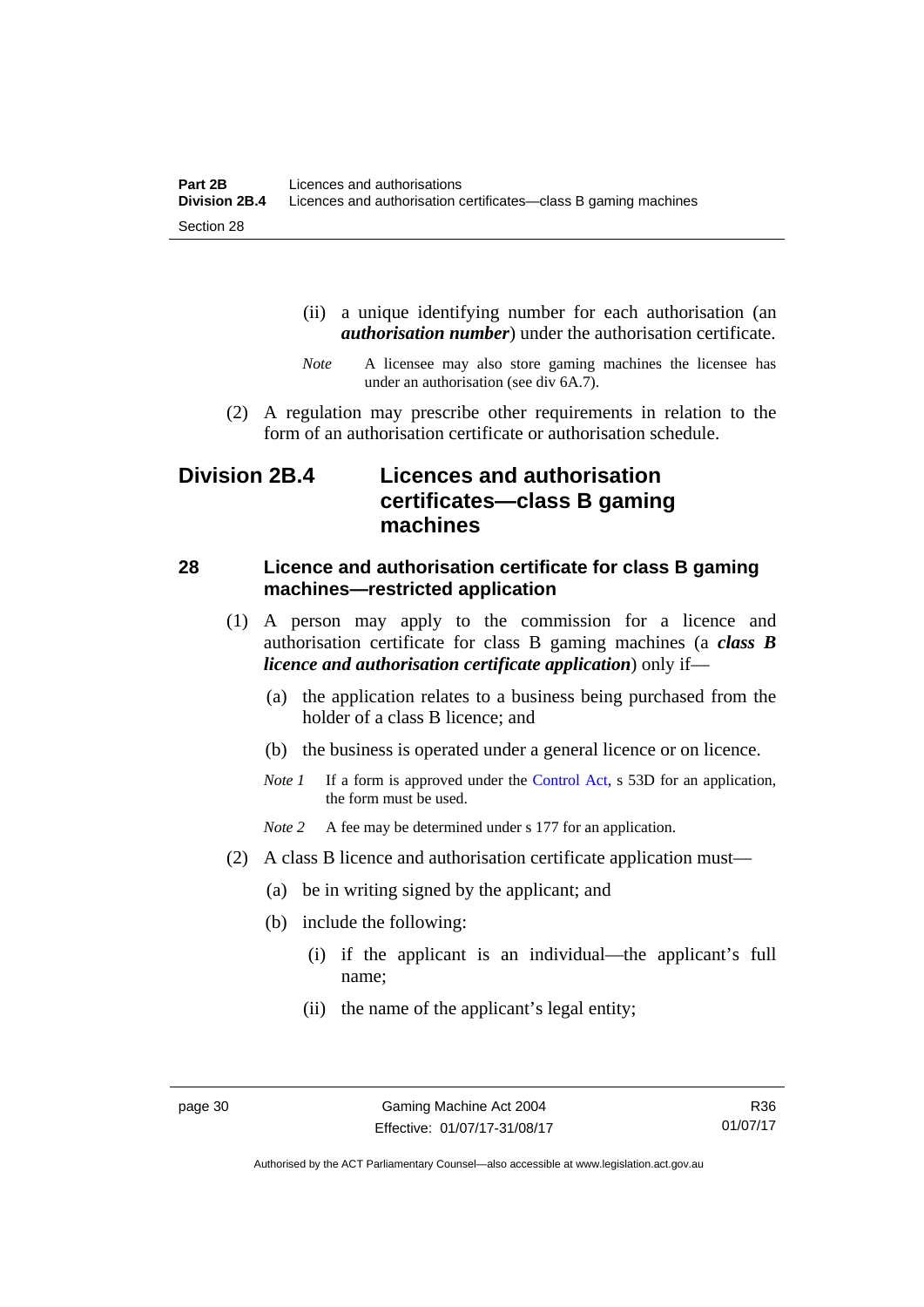- (ii) a unique identifying number for each authorisation (an *authorisation number*) under the authorisation certificate.
- *Note* A licensee may also store gaming machines the licensee has under an authorisation (see div 6A.7).
- (2) A regulation may prescribe other requirements in relation to the form of an authorisation certificate or authorisation schedule.

# **Division 2B.4 Licences and authorisation certificates—class B gaming machines**

#### **28 Licence and authorisation certificate for class B gaming machines—restricted application**

- (1) A person may apply to the commission for a licence and authorisation certificate for class B gaming machines (a *class B licence and authorisation certificate application*) only if—
	- (a) the application relates to a business being purchased from the holder of a class B licence; and
	- (b) the business is operated under a general licence or on licence.
	- *Note 1* If a form is approved under the [Control Act,](http://www.legislation.act.gov.au/a/1999-46/default.asp) s 53D for an application, the form must be used.

*Note* 2 A fee may be determined under s 177 for an application.

- (2) A class B licence and authorisation certificate application must—
	- (a) be in writing signed by the applicant; and
	- (b) include the following:
		- (i) if the applicant is an individual—the applicant's full name;
		- (ii) the name of the applicant's legal entity;

R36 01/07/17

Authorised by the ACT Parliamentary Counsel—also accessible at www.legislation.act.gov.au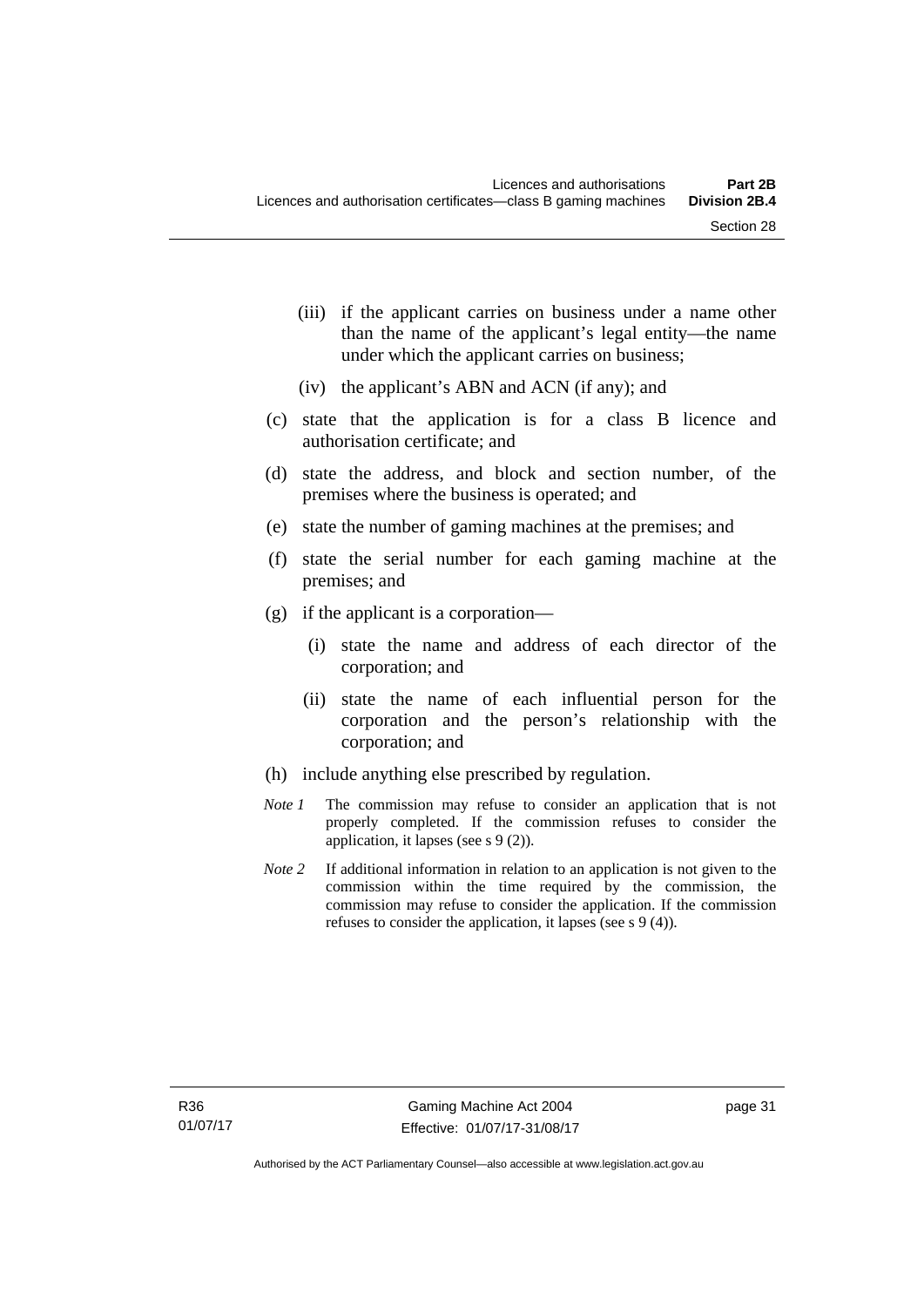- (iii) if the applicant carries on business under a name other than the name of the applicant's legal entity—the name under which the applicant carries on business;
- (iv) the applicant's ABN and ACN (if any); and
- (c) state that the application is for a class B licence and authorisation certificate; and
- (d) state the address, and block and section number, of the premises where the business is operated; and
- (e) state the number of gaming machines at the premises; and
- (f) state the serial number for each gaming machine at the premises; and
- (g) if the applicant is a corporation—
	- (i) state the name and address of each director of the corporation; and
	- (ii) state the name of each influential person for the corporation and the person's relationship with the corporation; and
- (h) include anything else prescribed by regulation.
- *Note 1* The commission may refuse to consider an application that is not properly completed. If the commission refuses to consider the application, it lapses (see s 9 (2)).
- *Note 2* If additional information in relation to an application is not given to the commission within the time required by the commission, the commission may refuse to consider the application. If the commission refuses to consider the application, it lapses (see s 9 (4)).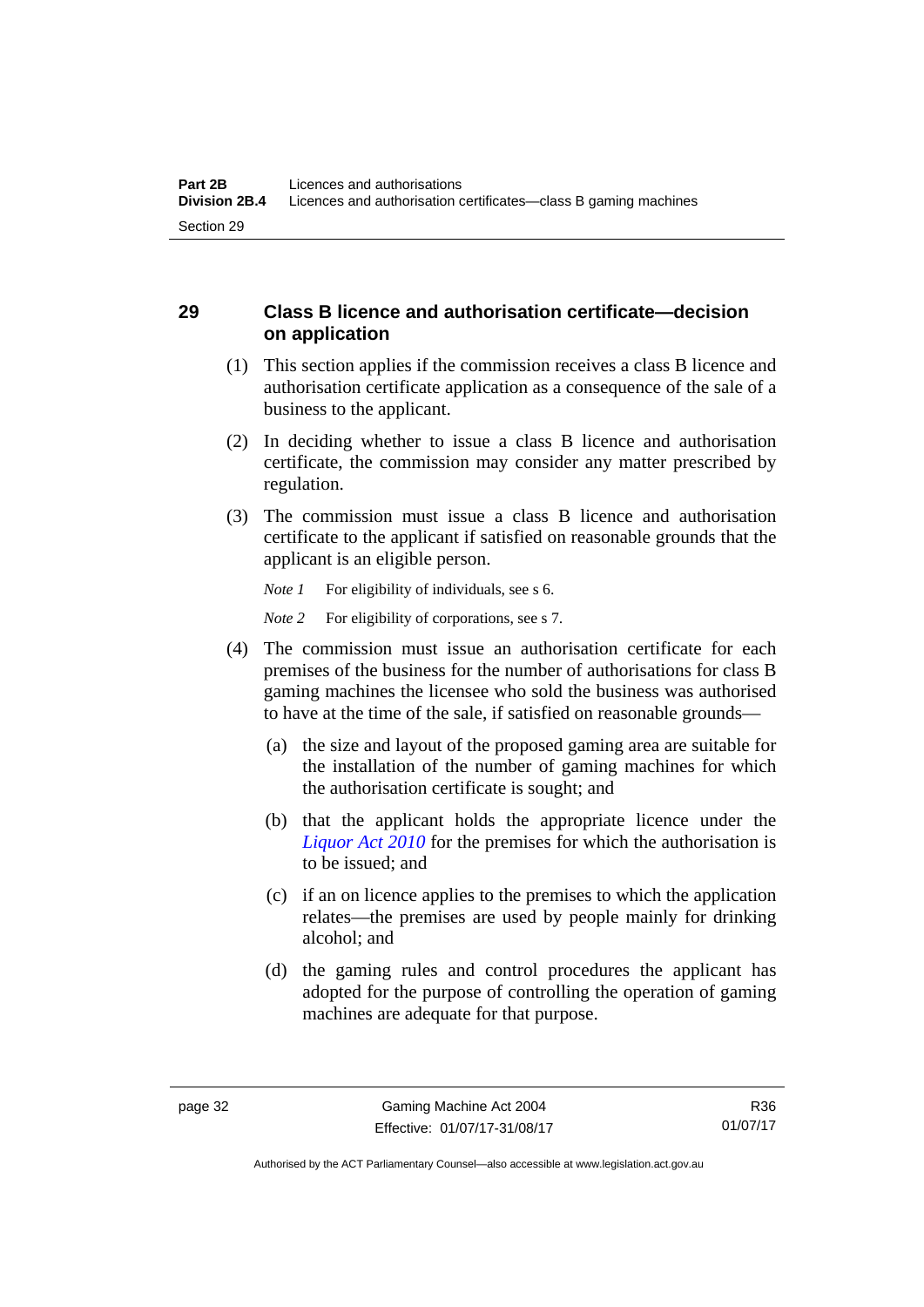## **29 Class B licence and authorisation certificate—decision on application**

- (1) This section applies if the commission receives a class B licence and authorisation certificate application as a consequence of the sale of a business to the applicant.
- (2) In deciding whether to issue a class B licence and authorisation certificate, the commission may consider any matter prescribed by regulation.
- (3) The commission must issue a class B licence and authorisation certificate to the applicant if satisfied on reasonable grounds that the applicant is an eligible person.

*Note 1* For eligibility of individuals, see s 6. *Note* 2 For eligibility of corporations, see s 7.

- (4) The commission must issue an authorisation certificate for each premises of the business for the number of authorisations for class B gaming machines the licensee who sold the business was authorised to have at the time of the sale, if satisfied on reasonable grounds—
	- (a) the size and layout of the proposed gaming area are suitable for the installation of the number of gaming machines for which the authorisation certificate is sought; and
	- (b) that the applicant holds the appropriate licence under the *[Liquor Act 2010](http://www.legislation.act.gov.au/a/2010-35)* for the premises for which the authorisation is to be issued; and
	- (c) if an on licence applies to the premises to which the application relates—the premises are used by people mainly for drinking alcohol; and
	- (d) the gaming rules and control procedures the applicant has adopted for the purpose of controlling the operation of gaming machines are adequate for that purpose.

Authorised by the ACT Parliamentary Counsel—also accessible at www.legislation.act.gov.au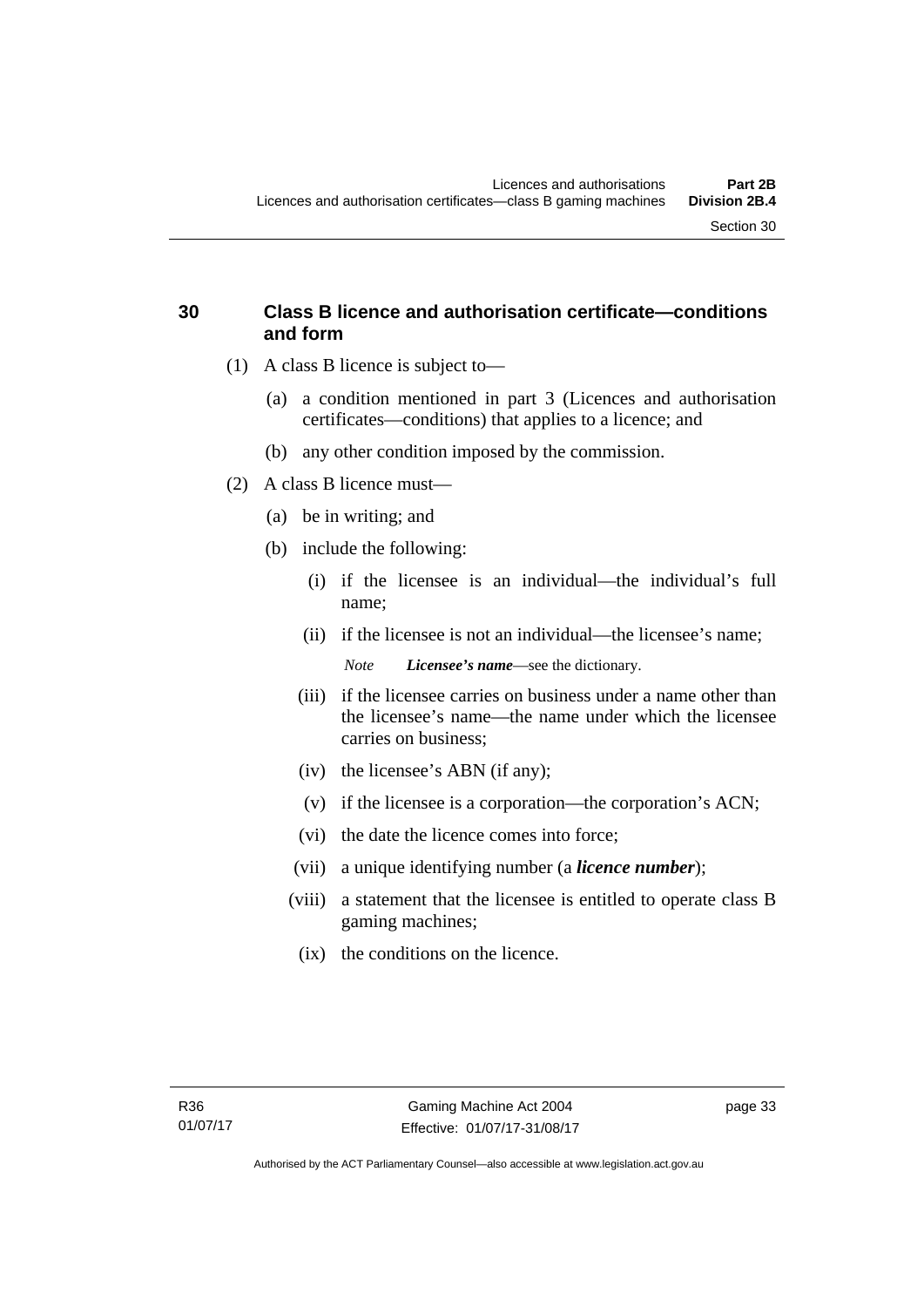- (1) A class B licence is subject to—
	- (a) a condition mentioned in part 3 (Licences and authorisation certificates—conditions) that applies to a licence; and
	- (b) any other condition imposed by the commission.
- (2) A class B licence must—

**and form** 

- (a) be in writing; and
- (b) include the following:
	- (i) if the licensee is an individual—the individual's full name;
	- (ii) if the licensee is not an individual—the licensee's name; *Note Licensee's name*—see the dictionary.
	- (iii) if the licensee carries on business under a name other than the licensee's name—the name under which the licensee carries on business;
	- (iv) the licensee's ABN (if any);
	- (v) if the licensee is a corporation—the corporation's ACN;
	- (vi) the date the licence comes into force;
	- (vii) a unique identifying number (a *licence number*);
	- (viii) a statement that the licensee is entitled to operate class B gaming machines;
		- (ix) the conditions on the licence.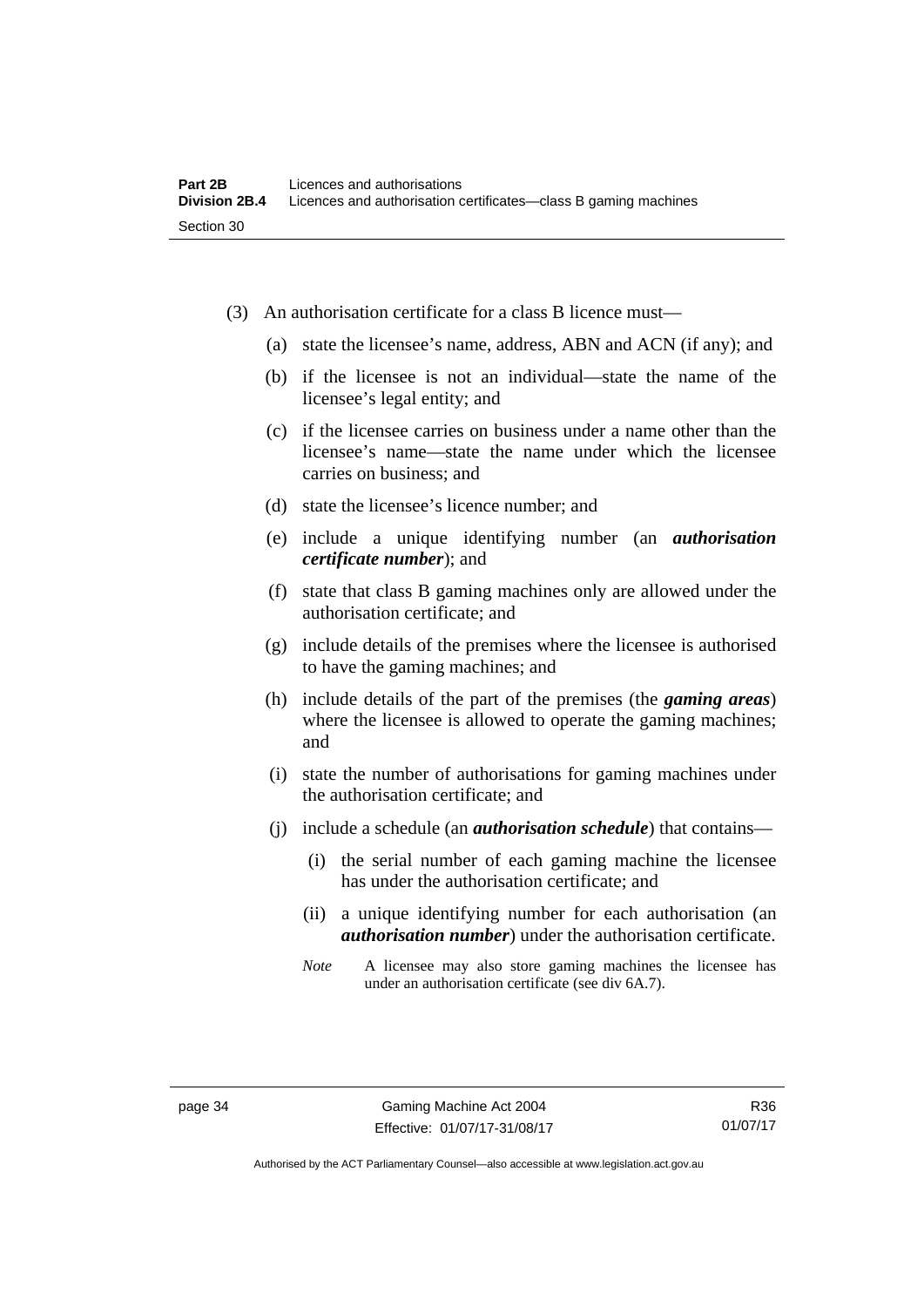- (3) An authorisation certificate for a class B licence must—
	- (a) state the licensee's name, address, ABN and ACN (if any); and
	- (b) if the licensee is not an individual—state the name of the licensee's legal entity; and
	- (c) if the licensee carries on business under a name other than the licensee's name—state the name under which the licensee carries on business; and
	- (d) state the licensee's licence number; and
	- (e) include a unique identifying number (an *authorisation certificate number*); and
	- (f) state that class B gaming machines only are allowed under the authorisation certificate; and
	- (g) include details of the premises where the licensee is authorised to have the gaming machines; and
	- (h) include details of the part of the premises (the *gaming areas*) where the licensee is allowed to operate the gaming machines; and
	- (i) state the number of authorisations for gaming machines under the authorisation certificate; and
	- (j) include a schedule (an *authorisation schedule*) that contains—
		- (i) the serial number of each gaming machine the licensee has under the authorisation certificate; and
		- (ii) a unique identifying number for each authorisation (an *authorisation number*) under the authorisation certificate.
		- *Note* A licensee may also store gaming machines the licensee has under an authorisation certificate (see div 6A.7).

Authorised by the ACT Parliamentary Counsel—also accessible at www.legislation.act.gov.au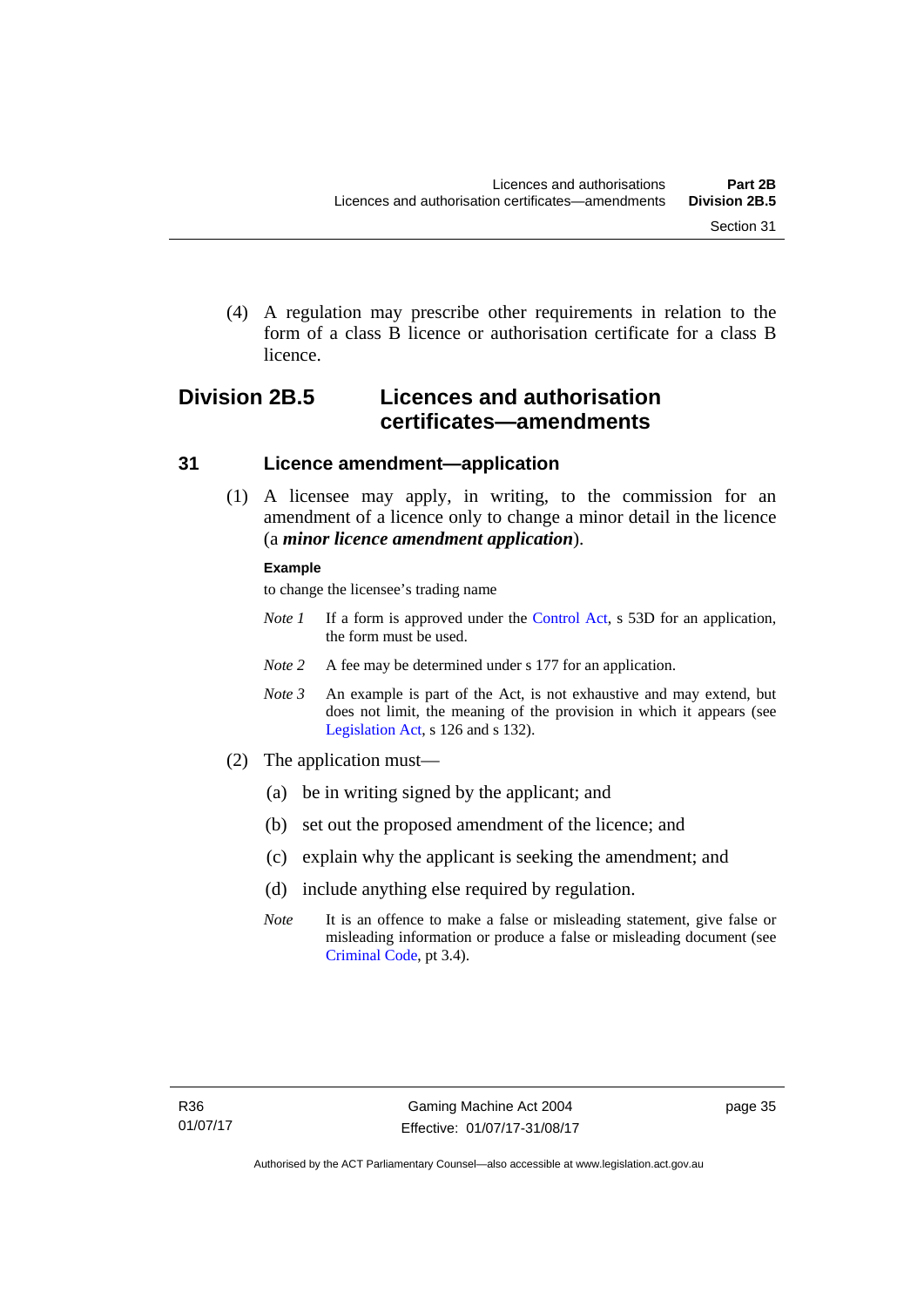(4) A regulation may prescribe other requirements in relation to the form of a class B licence or authorisation certificate for a class B licence.

# **Division 2B.5 Licences and authorisation certificates—amendments**

#### **31 Licence amendment—application**

 (1) A licensee may apply, in writing, to the commission for an amendment of a licence only to change a minor detail in the licence (a *minor licence amendment application*).

#### **Example**

to change the licensee's trading name

- *Note 1* If a form is approved under the [Control Act,](http://www.legislation.act.gov.au/a/1999-46/default.asp) s 53D for an application, the form must be used.
- *Note* 2 A fee may be determined under s 177 for an application.
- *Note 3* An example is part of the Act, is not exhaustive and may extend, but does not limit, the meaning of the provision in which it appears (see [Legislation Act,](http://www.legislation.act.gov.au/a/2001-14) s 126 and s 132).
- (2) The application must—
	- (a) be in writing signed by the applicant; and
	- (b) set out the proposed amendment of the licence; and
	- (c) explain why the applicant is seeking the amendment; and
	- (d) include anything else required by regulation.
	- *Note* It is an offence to make a false or misleading statement, give false or misleading information or produce a false or misleading document (see [Criminal Code](http://www.legislation.act.gov.au/a/2002-51), pt 3.4).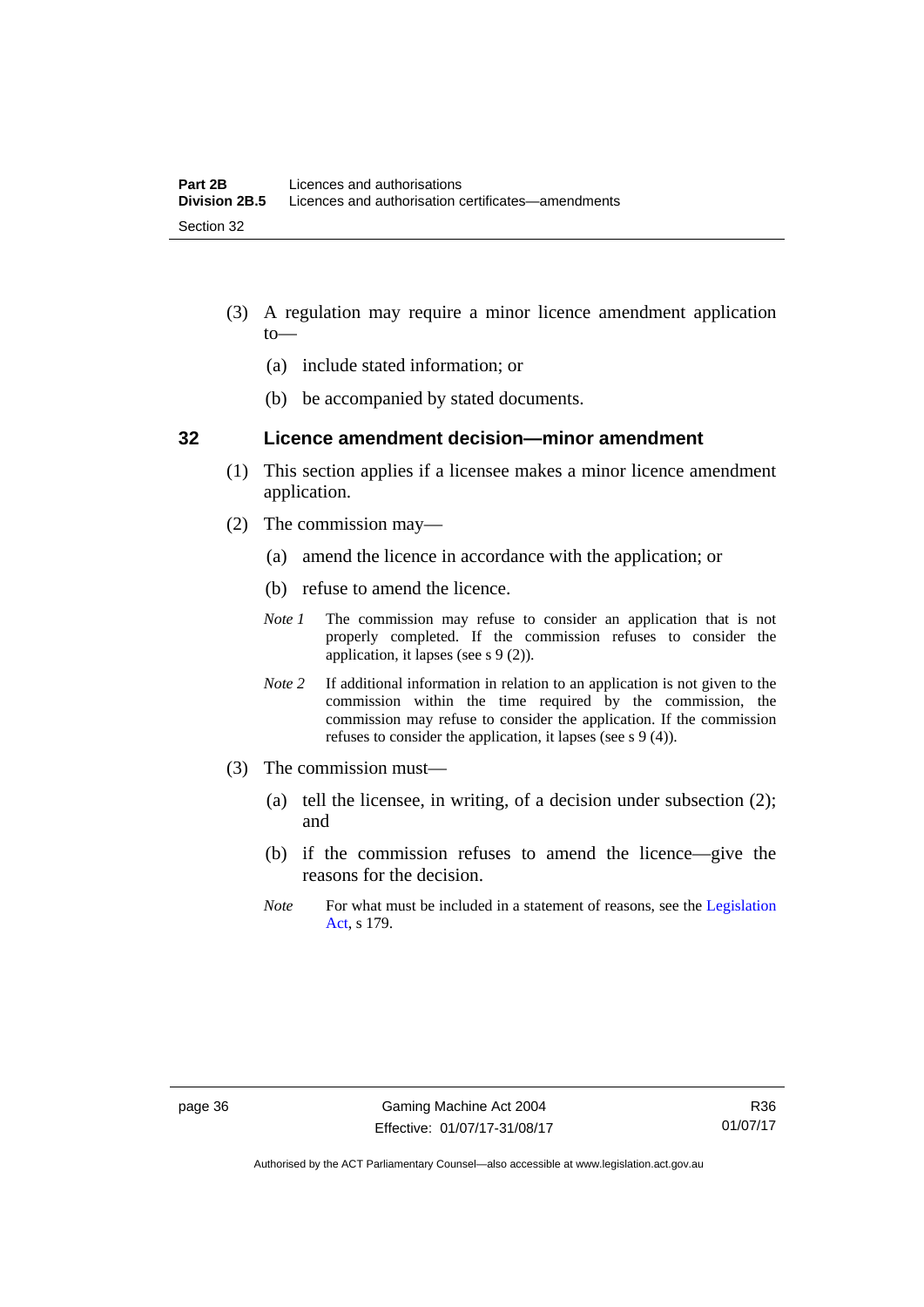- (3) A regulation may require a minor licence amendment application to—
	- (a) include stated information; or
	- (b) be accompanied by stated documents.

#### **32 Licence amendment decision—minor amendment**

- (1) This section applies if a licensee makes a minor licence amendment application.
- (2) The commission may—
	- (a) amend the licence in accordance with the application; or
	- (b) refuse to amend the licence.
	- *Note 1* The commission may refuse to consider an application that is not properly completed. If the commission refuses to consider the application, it lapses (see s 9 (2)).
	- *Note 2* If additional information in relation to an application is not given to the commission within the time required by the commission, the commission may refuse to consider the application. If the commission refuses to consider the application, it lapses (see s 9 (4)).
- (3) The commission must—
	- (a) tell the licensee, in writing, of a decision under subsection (2); and
	- (b) if the commission refuses to amend the licence—give the reasons for the decision.
	- *Note* For what must be included in a statement of reasons, see the Legislation [Act](http://www.legislation.act.gov.au/a/2001-14), s 179.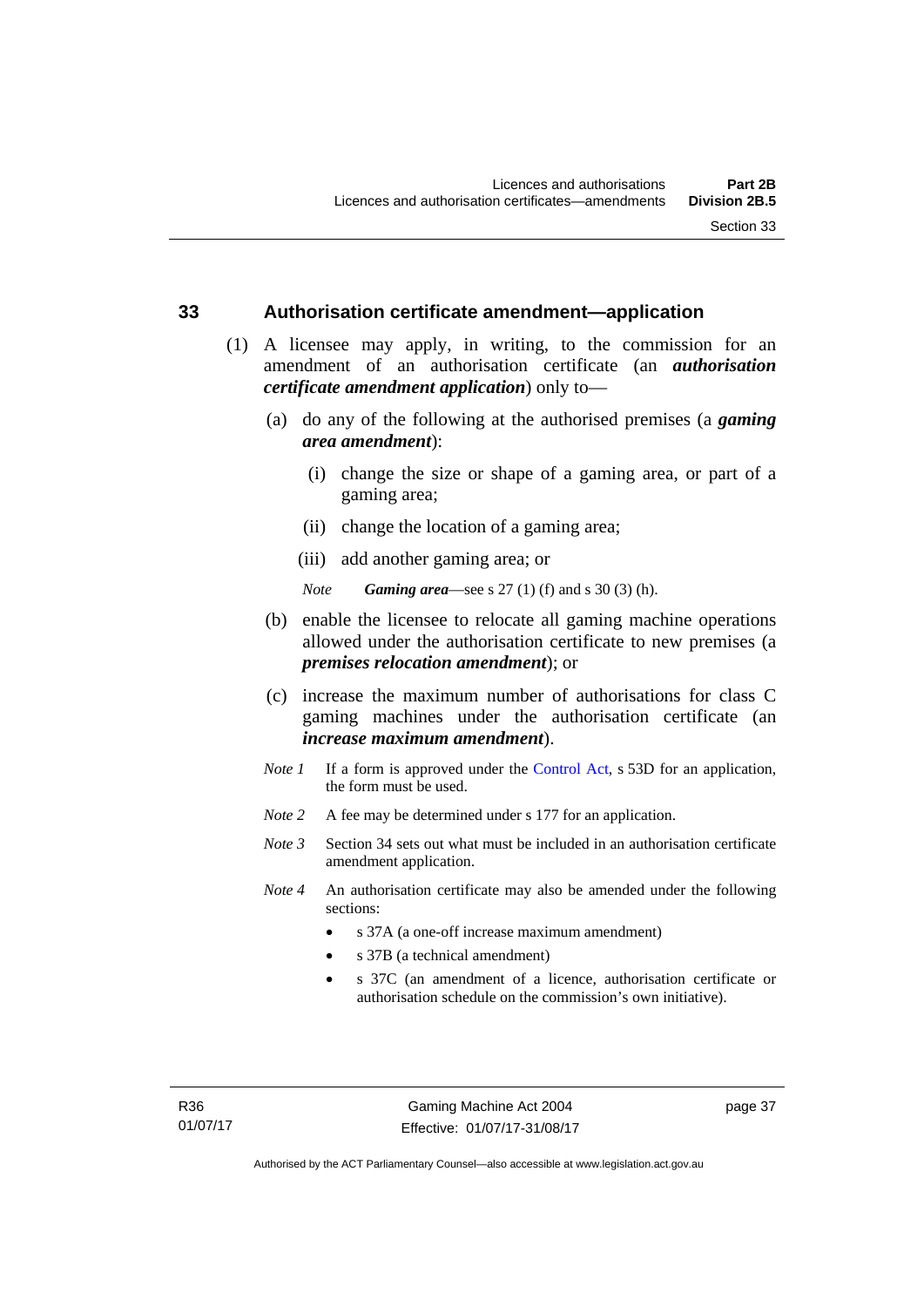#### **33 Authorisation certificate amendment—application**

- (1) A licensee may apply, in writing, to the commission for an amendment of an authorisation certificate (an *authorisation certificate amendment application*) only to—
	- (a) do any of the following at the authorised premises (a *gaming area amendment*):
		- (i) change the size or shape of a gaming area, or part of a gaming area;
		- (ii) change the location of a gaming area;
		- (iii) add another gaming area; or

*Note Gaming area*—see s 27 (1) (f) and s 30 (3) (h).

- (b) enable the licensee to relocate all gaming machine operations allowed under the authorisation certificate to new premises (a *premises relocation amendment*); or
- (c) increase the maximum number of authorisations for class C gaming machines under the authorisation certificate (an *increase maximum amendment*).
- *Note 1* If a form is approved under the [Control Act](http://www.legislation.act.gov.au/a/1999-46/default.asp), s 53D for an application, the form must be used.
- *Note* 2 A fee may be determined under s 177 for an application.
- *Note 3* Section 34 sets out what must be included in an authorisation certificate amendment application.
- *Note 4* An authorisation certificate may also be amended under the following sections:
	- s 37A (a one-off increase maximum amendment)
	- s 37B (a technical amendment)
	- s 37C (an amendment of a licence, authorisation certificate or authorisation schedule on the commission's own initiative).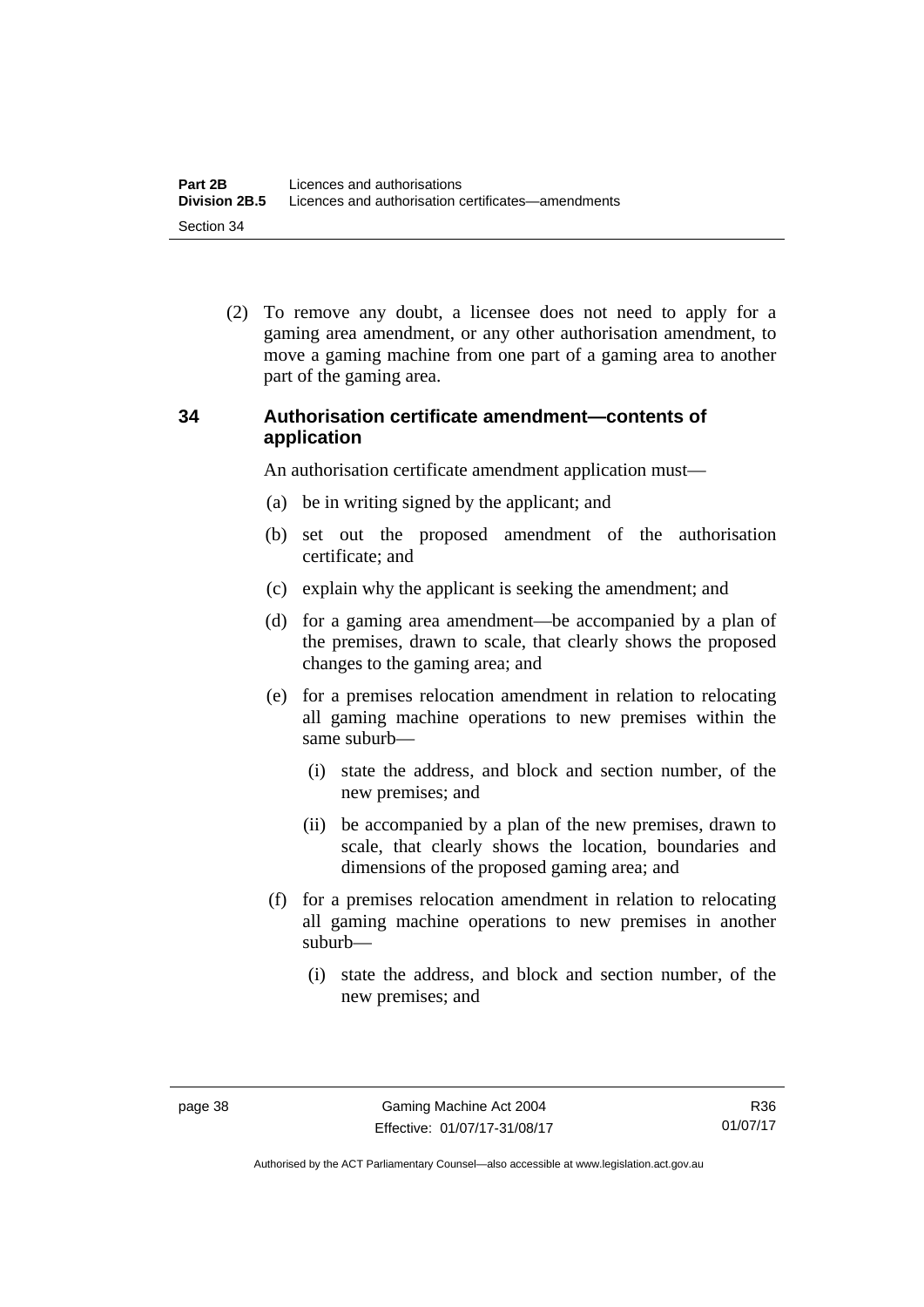(2) To remove any doubt, a licensee does not need to apply for a gaming area amendment, or any other authorisation amendment, to move a gaming machine from one part of a gaming area to another part of the gaming area.

#### **34 Authorisation certificate amendment—contents of application**

An authorisation certificate amendment application must—

- (a) be in writing signed by the applicant; and
- (b) set out the proposed amendment of the authorisation certificate; and
- (c) explain why the applicant is seeking the amendment; and
- (d) for a gaming area amendment—be accompanied by a plan of the premises, drawn to scale, that clearly shows the proposed changes to the gaming area; and
- (e) for a premises relocation amendment in relation to relocating all gaming machine operations to new premises within the same suburb—
	- (i) state the address, and block and section number, of the new premises; and
	- (ii) be accompanied by a plan of the new premises, drawn to scale, that clearly shows the location, boundaries and dimensions of the proposed gaming area; and
- (f) for a premises relocation amendment in relation to relocating all gaming machine operations to new premises in another suburb—
	- (i) state the address, and block and section number, of the new premises; and

R36 01/07/17

Authorised by the ACT Parliamentary Counsel—also accessible at www.legislation.act.gov.au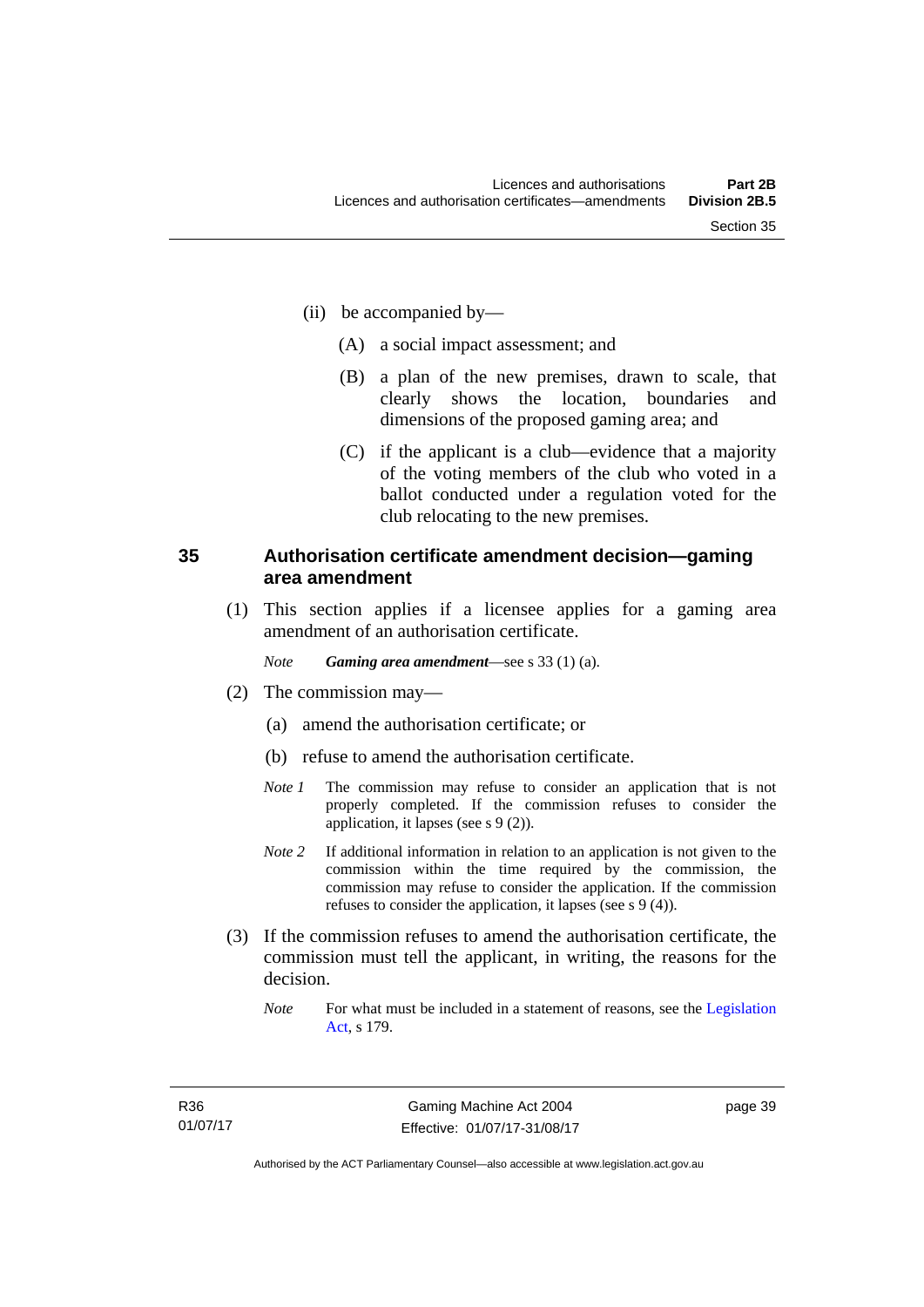- (ii) be accompanied by—
	- (A) a social impact assessment; and
	- (B) a plan of the new premises, drawn to scale, that clearly shows the location, boundaries and dimensions of the proposed gaming area; and
	- (C) if the applicant is a club—evidence that a majority of the voting members of the club who voted in a ballot conducted under a regulation voted for the club relocating to the new premises.

#### **35 Authorisation certificate amendment decision—gaming area amendment**

 (1) This section applies if a licensee applies for a gaming area amendment of an authorisation certificate.

*Note Gaming area amendment*—see s 33 (1) (a).

- (2) The commission may—
	- (a) amend the authorisation certificate; or
	- (b) refuse to amend the authorisation certificate.
	- *Note 1* The commission may refuse to consider an application that is not properly completed. If the commission refuses to consider the application, it lapses (see s 9 (2)).
	- *Note 2* If additional information in relation to an application is not given to the commission within the time required by the commission, the commission may refuse to consider the application. If the commission refuses to consider the application, it lapses (see s 9 (4)).
- (3) If the commission refuses to amend the authorisation certificate, the commission must tell the applicant, in writing, the reasons for the decision.
	- *Note* For what must be included in a statement of reasons, see the Legislation [Act](http://www.legislation.act.gov.au/a/2001-14), s 179.

page 39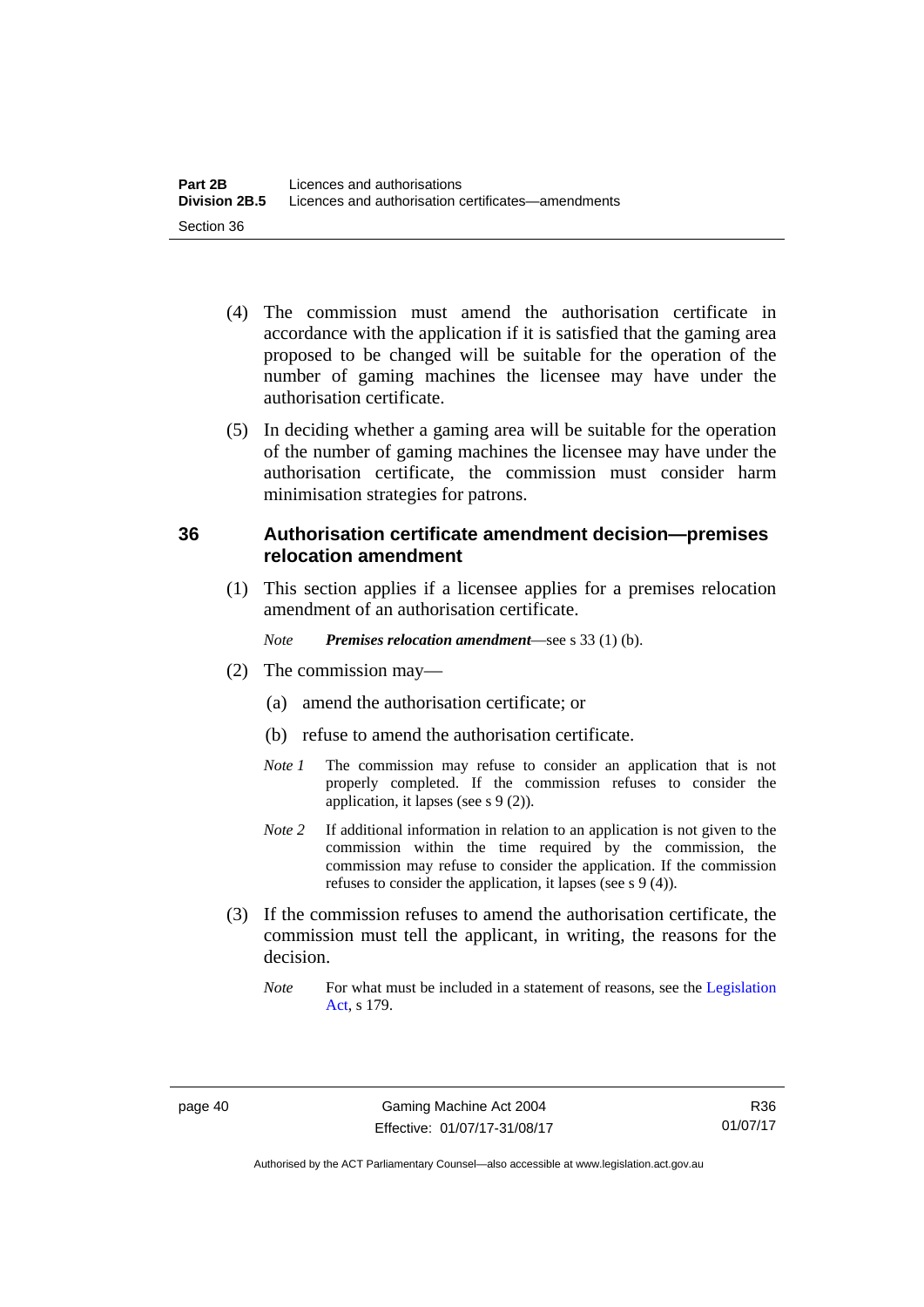- (4) The commission must amend the authorisation certificate in accordance with the application if it is satisfied that the gaming area proposed to be changed will be suitable for the operation of the number of gaming machines the licensee may have under the authorisation certificate.
- (5) In deciding whether a gaming area will be suitable for the operation of the number of gaming machines the licensee may have under the authorisation certificate, the commission must consider harm minimisation strategies for patrons.

#### **36 Authorisation certificate amendment decision—premises relocation amendment**

(1) This section applies if a licensee applies for a premises relocation amendment of an authorisation certificate.

*Note Premises relocation amendment*—see s 33 (1) (b).

- (2) The commission may—
	- (a) amend the authorisation certificate; or
	- (b) refuse to amend the authorisation certificate.
	- *Note 1* The commission may refuse to consider an application that is not properly completed. If the commission refuses to consider the application, it lapses (see s 9 (2)).
	- *Note* 2 If additional information in relation to an application is not given to the commission within the time required by the commission, the commission may refuse to consider the application. If the commission refuses to consider the application, it lapses (see s 9 (4)).
- (3) If the commission refuses to amend the authorisation certificate, the commission must tell the applicant, in writing, the reasons for the decision.
	- *Note* For what must be included in a statement of reasons, see the Legislation [Act](http://www.legislation.act.gov.au/a/2001-14), s 179.

R36 01/07/17

Authorised by the ACT Parliamentary Counsel—also accessible at www.legislation.act.gov.au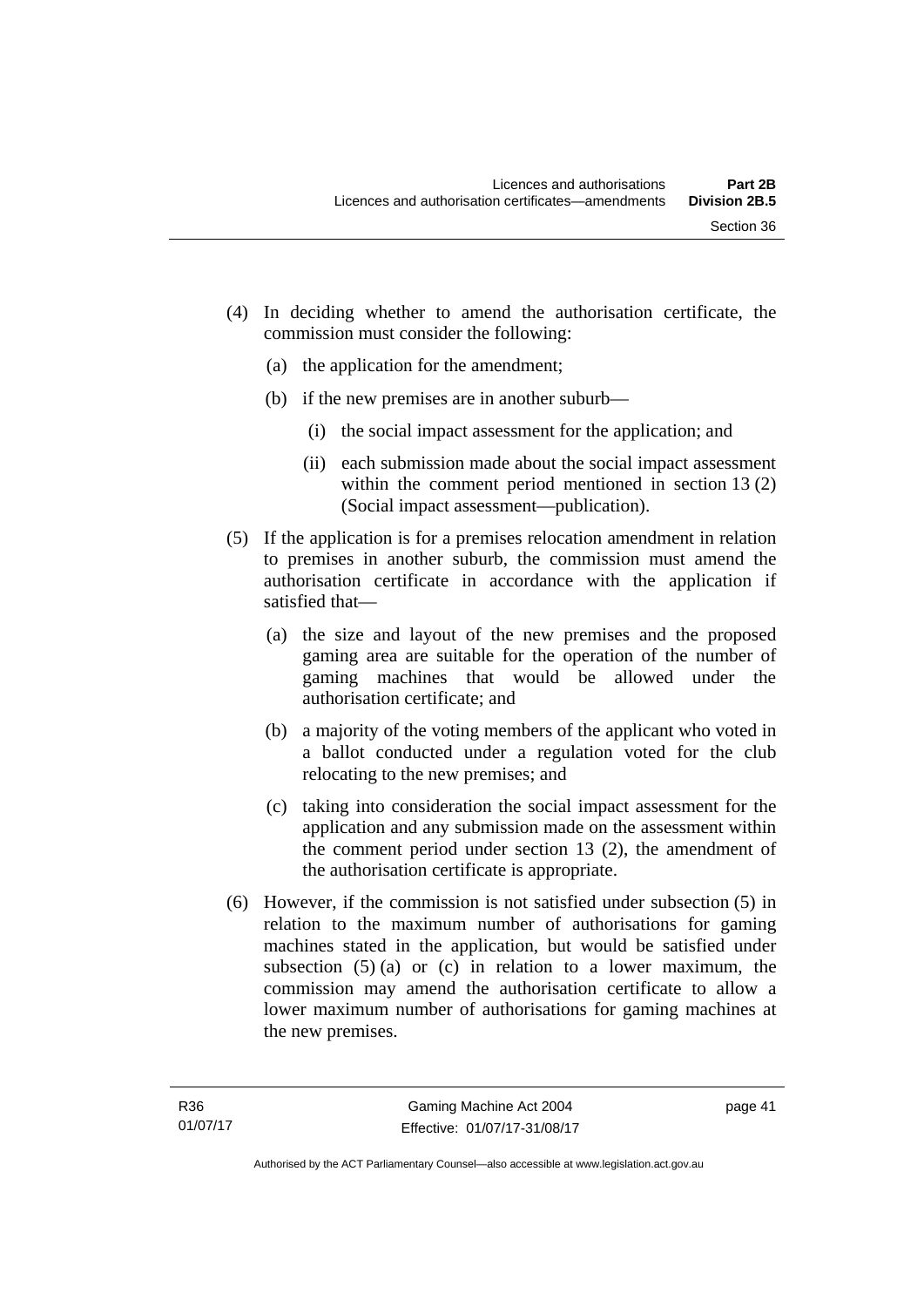- (4) In deciding whether to amend the authorisation certificate, the commission must consider the following:
	- (a) the application for the amendment;
	- (b) if the new premises are in another suburb—
		- (i) the social impact assessment for the application; and
		- (ii) each submission made about the social impact assessment within the comment period mentioned in section 13 (2) (Social impact assessment—publication).
- (5) If the application is for a premises relocation amendment in relation to premises in another suburb, the commission must amend the authorisation certificate in accordance with the application if satisfied that—
	- (a) the size and layout of the new premises and the proposed gaming area are suitable for the operation of the number of gaming machines that would be allowed under the authorisation certificate; and
	- (b) a majority of the voting members of the applicant who voted in a ballot conducted under a regulation voted for the club relocating to the new premises; and
	- (c) taking into consideration the social impact assessment for the application and any submission made on the assessment within the comment period under section 13 (2), the amendment of the authorisation certificate is appropriate.
- (6) However, if the commission is not satisfied under subsection (5) in relation to the maximum number of authorisations for gaming machines stated in the application, but would be satisfied under subsection  $(5)$  (a) or (c) in relation to a lower maximum, the commission may amend the authorisation certificate to allow a lower maximum number of authorisations for gaming machines at the new premises.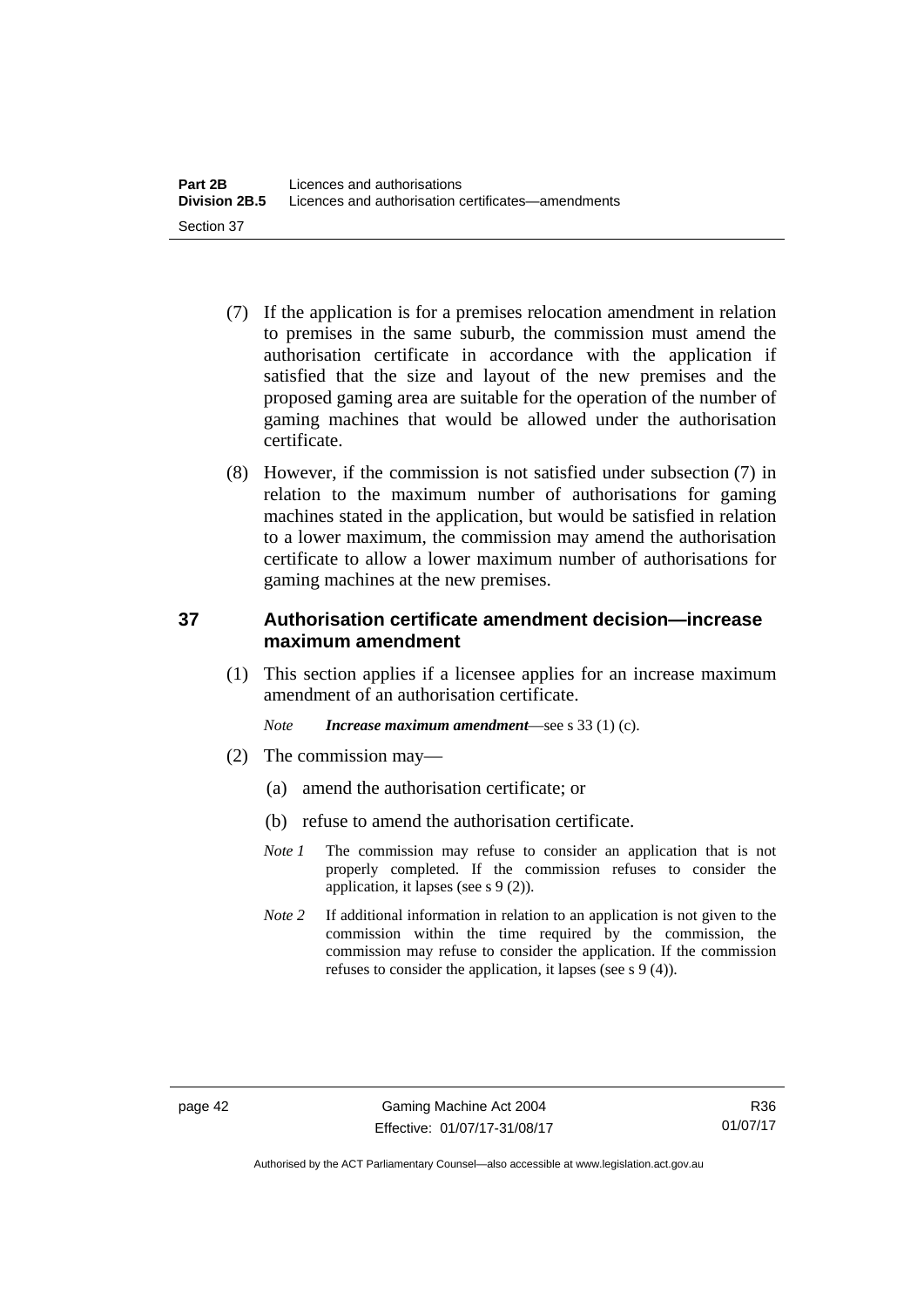- (7) If the application is for a premises relocation amendment in relation to premises in the same suburb, the commission must amend the authorisation certificate in accordance with the application if satisfied that the size and layout of the new premises and the proposed gaming area are suitable for the operation of the number of gaming machines that would be allowed under the authorisation certificate.
- (8) However, if the commission is not satisfied under subsection (7) in relation to the maximum number of authorisations for gaming machines stated in the application, but would be satisfied in relation to a lower maximum, the commission may amend the authorisation certificate to allow a lower maximum number of authorisations for gaming machines at the new premises.

## **37 Authorisation certificate amendment decision—increase maximum amendment**

(1) This section applies if a licensee applies for an increase maximum amendment of an authorisation certificate.

*Note Increase maximum amendment*—see s 33 (1) (c).

- (2) The commission may—
	- (a) amend the authorisation certificate; or
	- (b) refuse to amend the authorisation certificate.
	- *Note 1* The commission may refuse to consider an application that is not properly completed. If the commission refuses to consider the application, it lapses (see s 9 (2)).
	- *Note* 2 If additional information in relation to an application is not given to the commission within the time required by the commission, the commission may refuse to consider the application. If the commission refuses to consider the application, it lapses (see s 9 (4)).

R36 01/07/17

Authorised by the ACT Parliamentary Counsel—also accessible at www.legislation.act.gov.au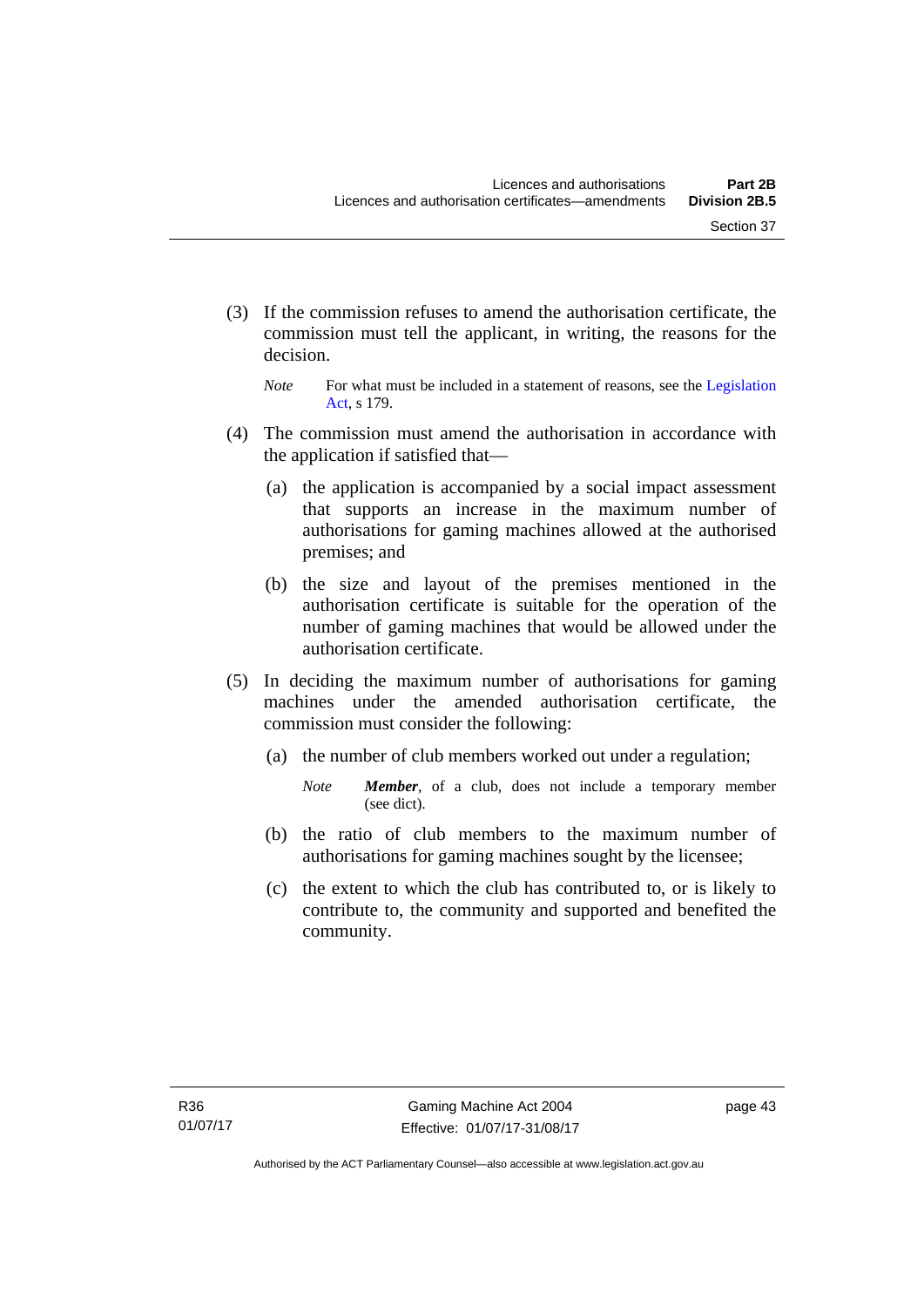- (3) If the commission refuses to amend the authorisation certificate, the commission must tell the applicant, in writing, the reasons for the decision.
	- *Note* For what must be included in a statement of reasons, see the Legislation [Act](http://www.legislation.act.gov.au/a/2001-14), s 179.
- (4) The commission must amend the authorisation in accordance with the application if satisfied that—
	- (a) the application is accompanied by a social impact assessment that supports an increase in the maximum number of authorisations for gaming machines allowed at the authorised premises; and
	- (b) the size and layout of the premises mentioned in the authorisation certificate is suitable for the operation of the number of gaming machines that would be allowed under the authorisation certificate.
- (5) In deciding the maximum number of authorisations for gaming machines under the amended authorisation certificate, the commission must consider the following:
	- (a) the number of club members worked out under a regulation;
		- *Note Member*, of a club, does not include a temporary member (see dict).
	- (b) the ratio of club members to the maximum number of authorisations for gaming machines sought by the licensee;
	- (c) the extent to which the club has contributed to, or is likely to contribute to, the community and supported and benefited the community.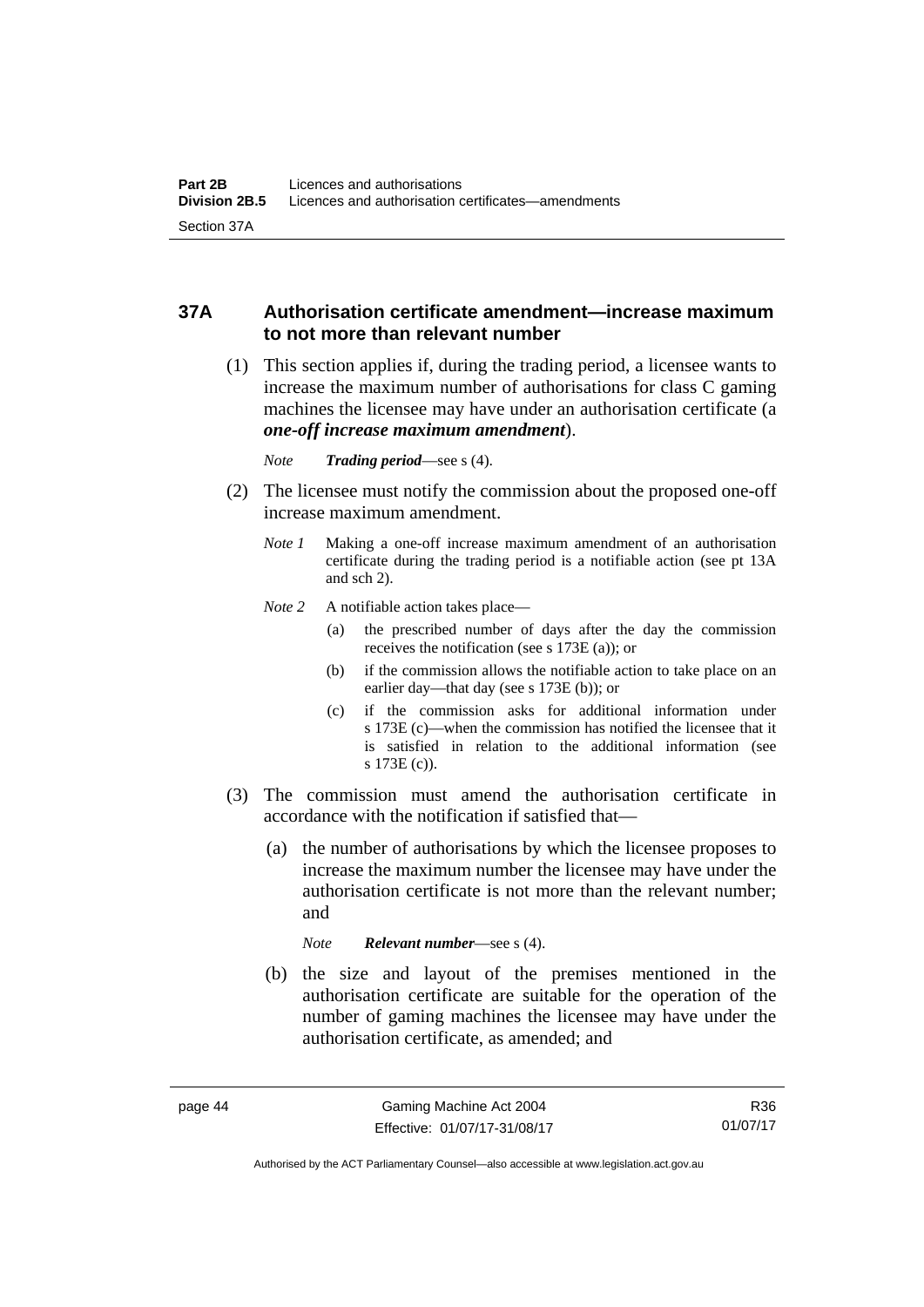## **37A Authorisation certificate amendment—increase maximum to not more than relevant number**

- (1) This section applies if, during the trading period, a licensee wants to increase the maximum number of authorisations for class C gaming machines the licensee may have under an authorisation certificate (a *one-off increase maximum amendment*).
	- *Note Trading period*—see s (4).
- (2) The licensee must notify the commission about the proposed one-off increase maximum amendment.
	- *Note 1* Making a one-off increase maximum amendment of an authorisation certificate during the trading period is a notifiable action (see pt 13A and sch 2).
	- *Note* 2 A notifiable action takes place—
		- (a) the prescribed number of days after the day the commission receives the notification (see s 173E (a)); or
		- (b) if the commission allows the notifiable action to take place on an earlier day—that day (see s 173E (b)); or
		- (c) if the commission asks for additional information under s 173E (c)—when the commission has notified the licensee that it is satisfied in relation to the additional information (see s 173E (c)).
- (3) The commission must amend the authorisation certificate in accordance with the notification if satisfied that—
	- (a) the number of authorisations by which the licensee proposes to increase the maximum number the licensee may have under the authorisation certificate is not more than the relevant number; and

*Note Relevant number*—see s (4).

 (b) the size and layout of the premises mentioned in the authorisation certificate are suitable for the operation of the number of gaming machines the licensee may have under the authorisation certificate, as amended; and

R36 01/07/17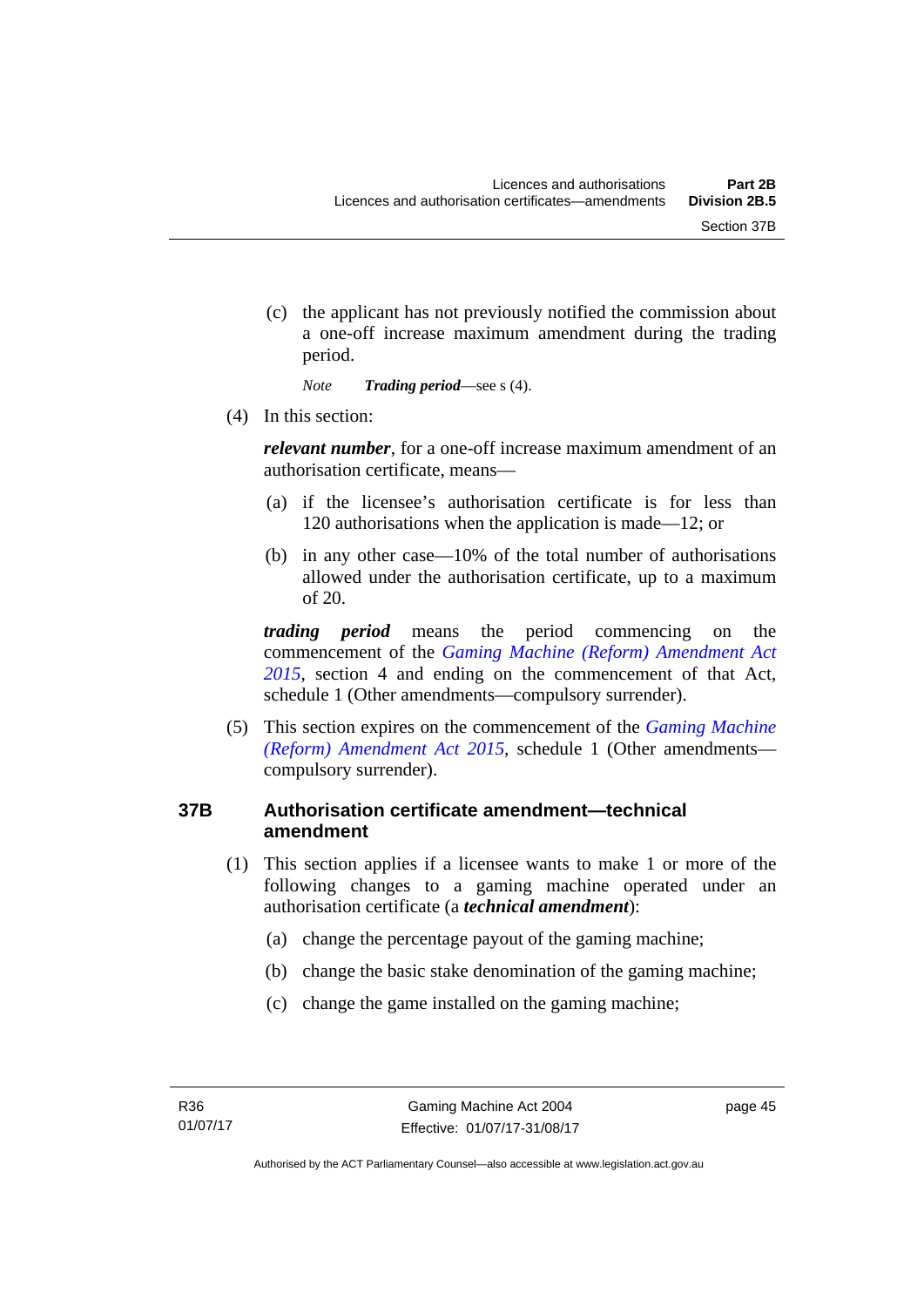(c) the applicant has not previously notified the commission about a one-off increase maximum amendment during the trading period.

*Note Trading period*—see s (4).

(4) In this section:

*relevant number*, for a one-off increase maximum amendment of an authorisation certificate, means—

- (a) if the licensee's authorisation certificate is for less than 120 authorisations when the application is made—12; or
- (b) in any other case—10% of the total number of authorisations allowed under the authorisation certificate, up to a maximum of 20.

*trading period* means the period commencing on the commencement of the *[Gaming Machine \(Reform\) Amendment Act](http://www.legislation.act.gov.au/a/2015-21/default.asp)  [2015](http://www.legislation.act.gov.au/a/2015-21/default.asp)*, section 4 and ending on the commencement of that Act, schedule 1 (Other amendments—compulsory surrender).

 (5) This section expires on the commencement of the *[Gaming Machine](http://www.legislation.act.gov.au/a/2015-21/default.asp)  [\(Reform\) Amendment Act 2015](http://www.legislation.act.gov.au/a/2015-21/default.asp)*, schedule 1 (Other amendments compulsory surrender).

## **37B Authorisation certificate amendment—technical amendment**

- (1) This section applies if a licensee wants to make 1 or more of the following changes to a gaming machine operated under an authorisation certificate (a *technical amendment*):
	- (a) change the percentage payout of the gaming machine;
	- (b) change the basic stake denomination of the gaming machine;
	- (c) change the game installed on the gaming machine;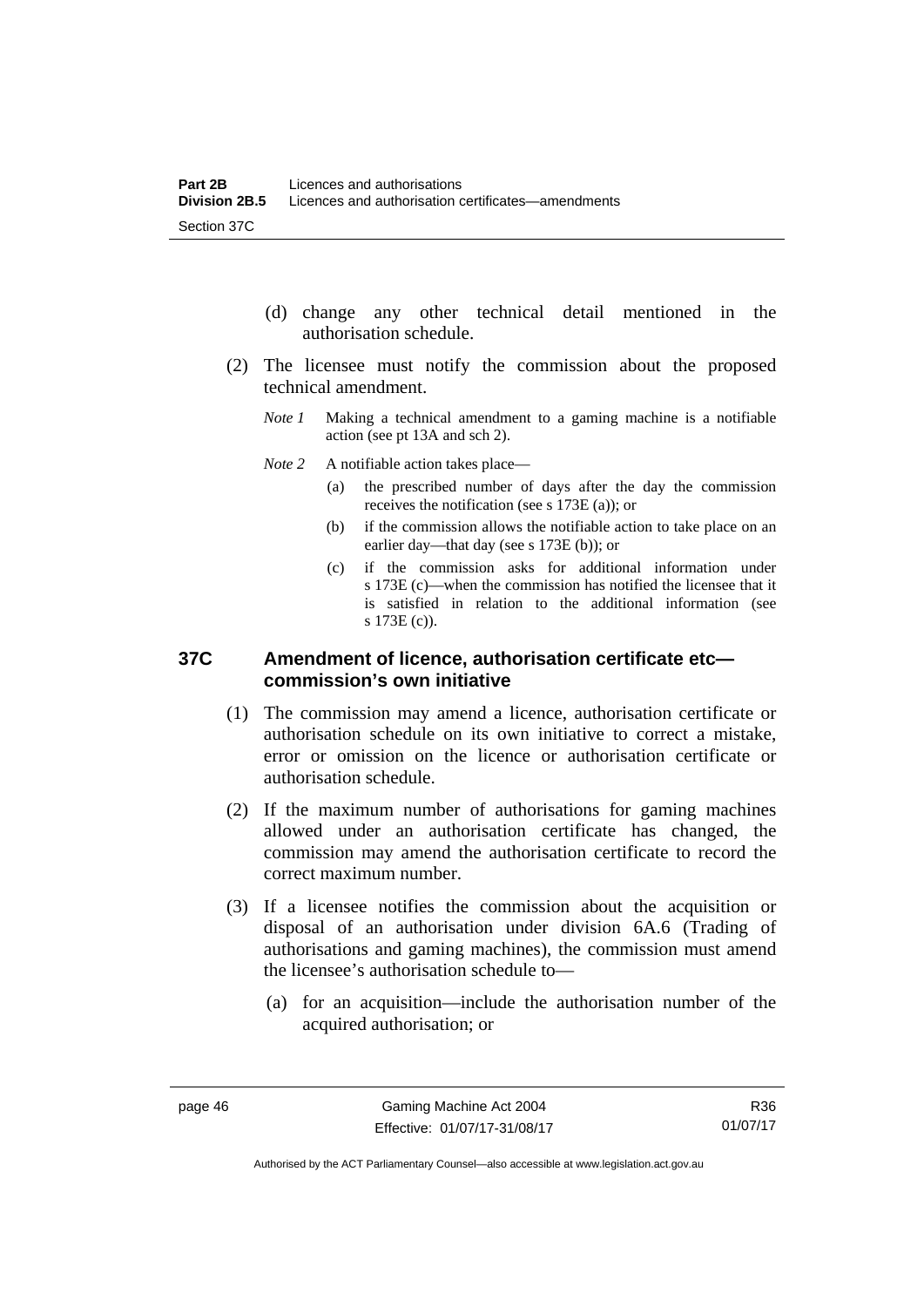- (d) change any other technical detail mentioned in the authorisation schedule.
- (2) The licensee must notify the commission about the proposed technical amendment.
	- *Note 1* Making a technical amendment to a gaming machine is a notifiable action (see pt 13A and sch 2).
	- *Note* 2 A notifiable action takes place—
		- (a) the prescribed number of days after the day the commission receives the notification (see s 173E (a)); or
		- (b) if the commission allows the notifiable action to take place on an earlier day—that day (see s 173E (b)); or
		- (c) if the commission asks for additional information under s 173E (c)—when the commission has notified the licensee that it is satisfied in relation to the additional information (see s 173E (c)).

#### **37C Amendment of licence, authorisation certificate etc commission's own initiative**

- (1) The commission may amend a licence, authorisation certificate or authorisation schedule on its own initiative to correct a mistake, error or omission on the licence or authorisation certificate or authorisation schedule.
- (2) If the maximum number of authorisations for gaming machines allowed under an authorisation certificate has changed, the commission may amend the authorisation certificate to record the correct maximum number.
- (3) If a licensee notifies the commission about the acquisition or disposal of an authorisation under division 6A.6 (Trading of authorisations and gaming machines), the commission must amend the licensee's authorisation schedule to—
	- (a) for an acquisition—include the authorisation number of the acquired authorisation; or

R36 01/07/17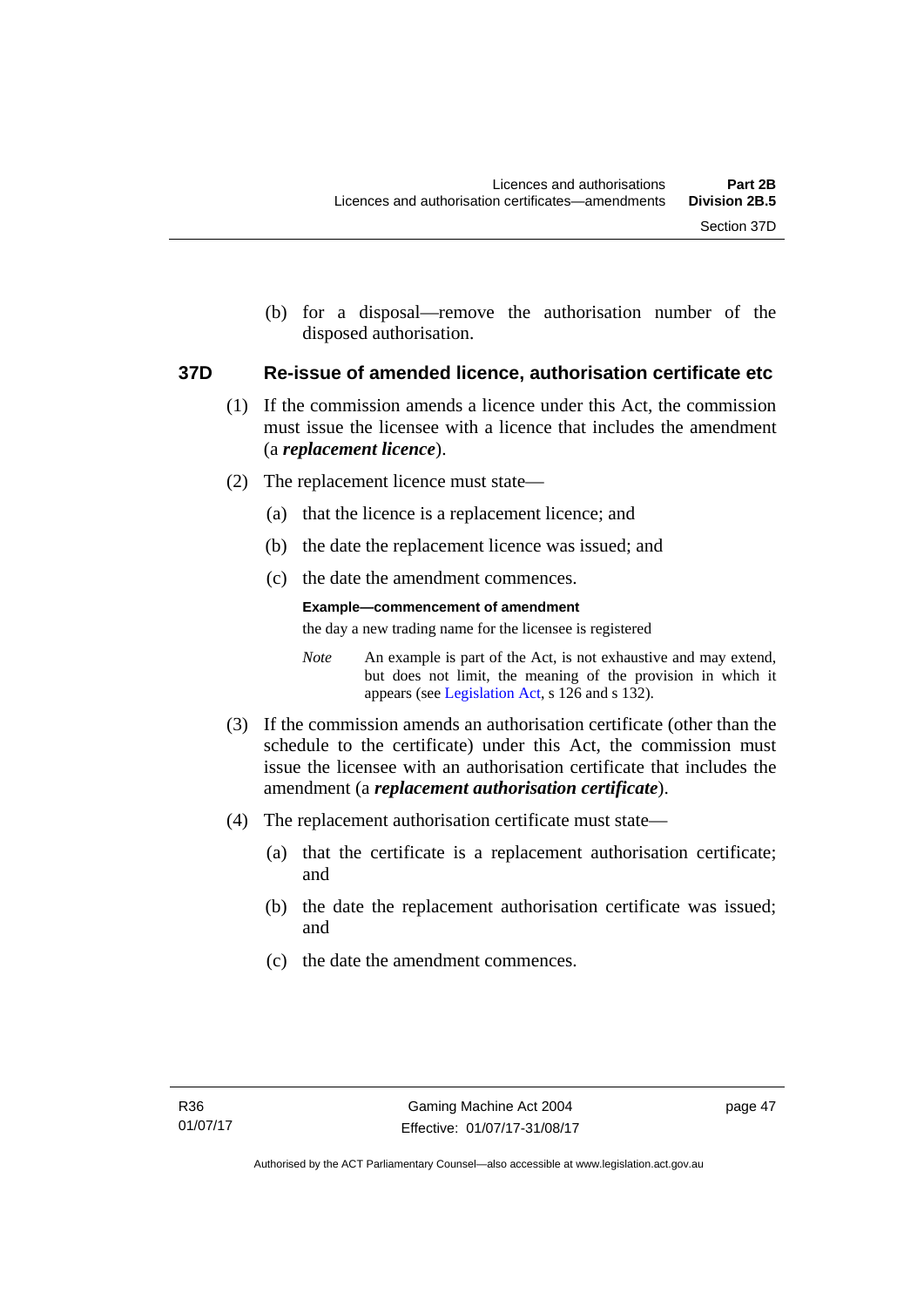(b) for a disposal—remove the authorisation number of the disposed authorisation.

#### **37D Re-issue of amended licence, authorisation certificate etc**

- (1) If the commission amends a licence under this Act, the commission must issue the licensee with a licence that includes the amendment (a *replacement licence*).
- (2) The replacement licence must state—
	- (a) that the licence is a replacement licence; and
	- (b) the date the replacement licence was issued; and
	- (c) the date the amendment commences.

#### **Example—commencement of amendment**

the day a new trading name for the licensee is registered

*Note* An example is part of the Act, is not exhaustive and may extend, but does not limit, the meaning of the provision in which it appears (see [Legislation Act,](http://www.legislation.act.gov.au/a/2001-14) s 126 and s 132).

- (3) If the commission amends an authorisation certificate (other than the schedule to the certificate) under this Act, the commission must issue the licensee with an authorisation certificate that includes the amendment (a *replacement authorisation certificate*).
- (4) The replacement authorisation certificate must state—
	- (a) that the certificate is a replacement authorisation certificate; and
	- (b) the date the replacement authorisation certificate was issued; and
	- (c) the date the amendment commences.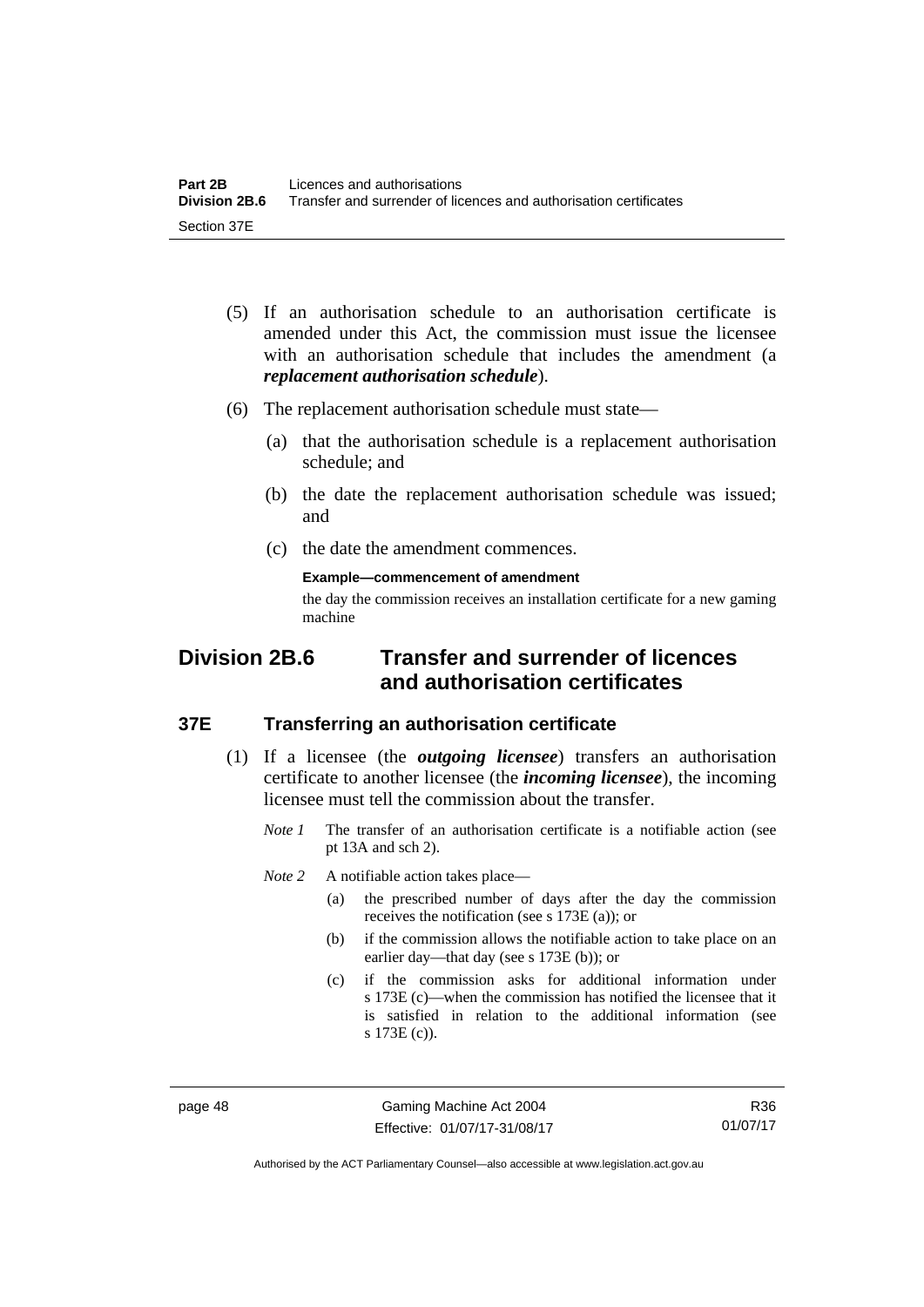- (5) If an authorisation schedule to an authorisation certificate is amended under this Act, the commission must issue the licensee with an authorisation schedule that includes the amendment (a *replacement authorisation schedule*).
- (6) The replacement authorisation schedule must state—
	- (a) that the authorisation schedule is a replacement authorisation schedule; and
	- (b) the date the replacement authorisation schedule was issued; and
	- (c) the date the amendment commences.

**Example—commencement of amendment** 

the day the commission receives an installation certificate for a new gaming machine

# **Division 2B.6 Transfer and surrender of licences and authorisation certificates**

#### **37E Transferring an authorisation certificate**

- (1) If a licensee (the *outgoing licensee*) transfers an authorisation certificate to another licensee (the *incoming licensee*), the incoming licensee must tell the commission about the transfer.
	- *Note 1* The transfer of an authorisation certificate is a notifiable action (see pt 13A and sch 2).

*Note* 2 A notifiable action takes place—

- (a) the prescribed number of days after the day the commission receives the notification (see s 173E (a)); or
- (b) if the commission allows the notifiable action to take place on an earlier day—that day (see s 173E (b)); or
- (c) if the commission asks for additional information under s 173E (c)—when the commission has notified the licensee that it is satisfied in relation to the additional information (see s 173E (c)).

page 48 Gaming Machine Act 2004 Effective: 01/07/17-31/08/17

R36 01/07/17

Authorised by the ACT Parliamentary Counsel—also accessible at www.legislation.act.gov.au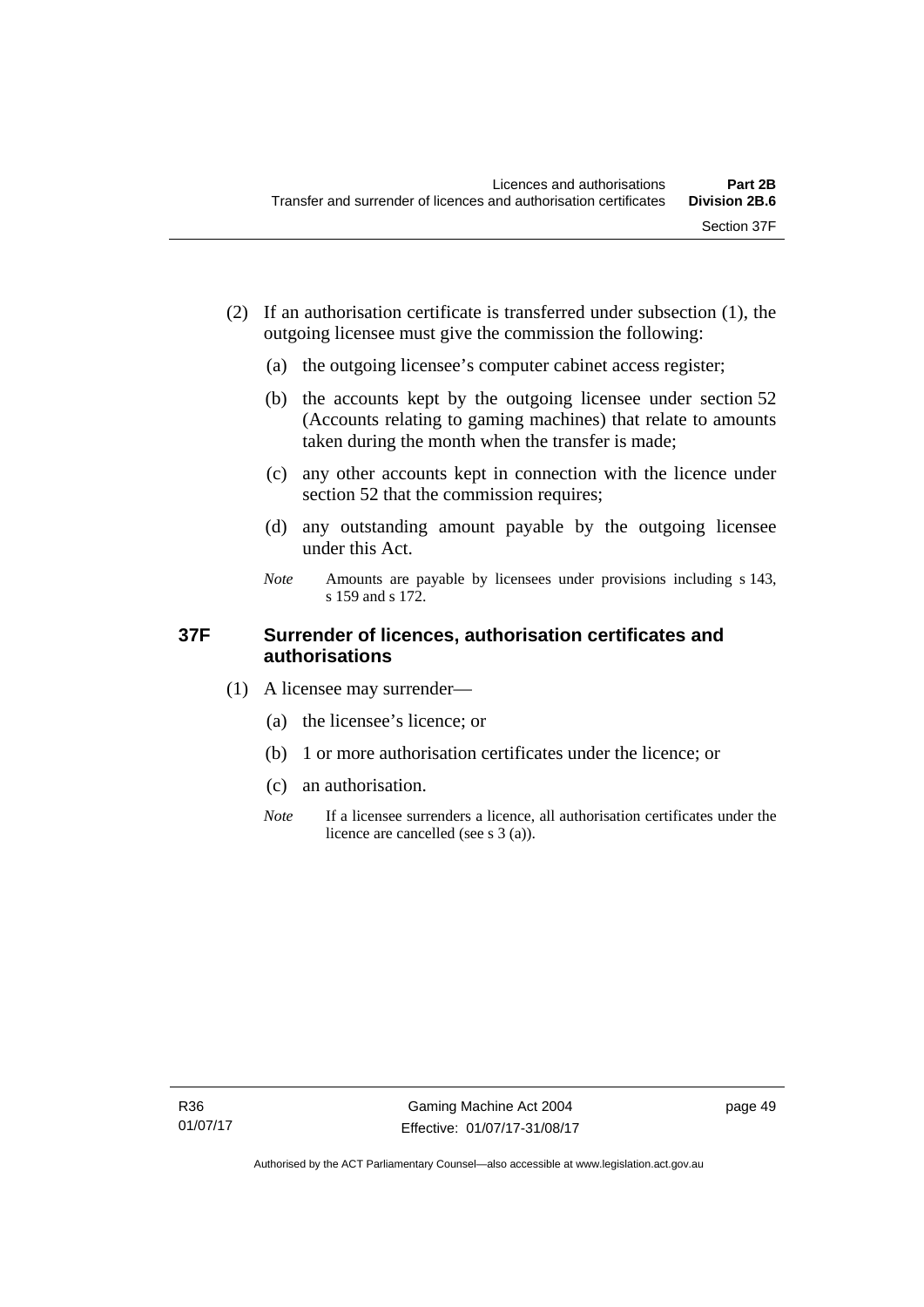- (2) If an authorisation certificate is transferred under subsection (1), the outgoing licensee must give the commission the following:
	- (a) the outgoing licensee's computer cabinet access register;
	- (b) the accounts kept by the outgoing licensee under section 52 (Accounts relating to gaming machines) that relate to amounts taken during the month when the transfer is made;
	- (c) any other accounts kept in connection with the licence under section 52 that the commission requires;
	- (d) any outstanding amount payable by the outgoing licensee under this Act.
	- *Note* Amounts are payable by licensees under provisions including s 143, s 159 and s 172.

#### **37F Surrender of licences, authorisation certificates and authorisations**

- (1) A licensee may surrender—
	- (a) the licensee's licence; or
	- (b) 1 or more authorisation certificates under the licence; or
	- (c) an authorisation.
	- *Note* If a licensee surrenders a licence, all authorisation certificates under the licence are cancelled (see s 3 (a)).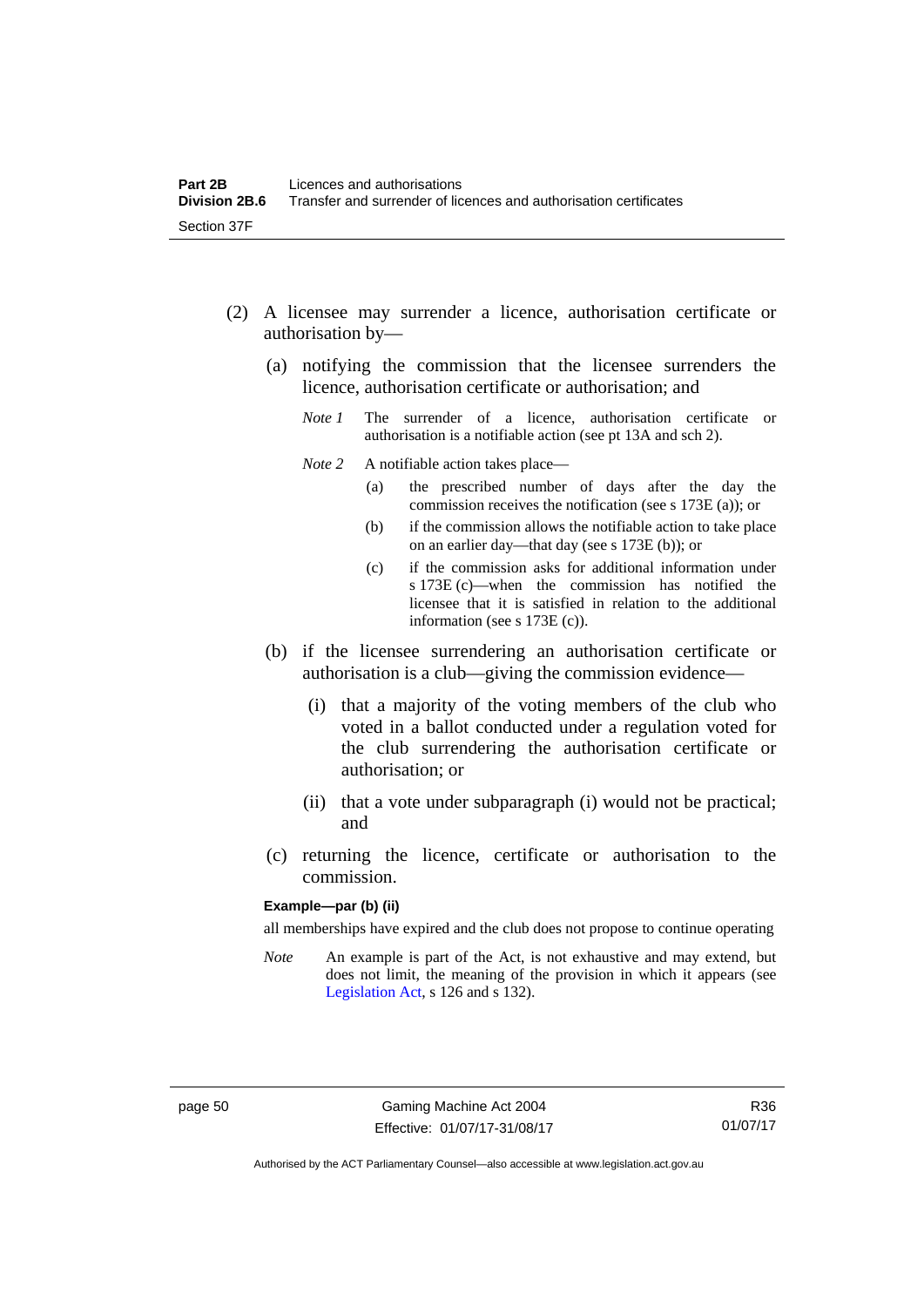- (2) A licensee may surrender a licence, authorisation certificate or authorisation by—
	- (a) notifying the commission that the licensee surrenders the licence, authorisation certificate or authorisation; and
		- *Note 1* The surrender of a licence, authorisation certificate or authorisation is a notifiable action (see pt 13A and sch 2).
		- *Note* 2 A notifiable action takes place—
			- (a) the prescribed number of days after the day the commission receives the notification (see s 173E (a)); or
			- (b) if the commission allows the notifiable action to take place on an earlier day—that day (see s 173E (b)); or
			- (c) if the commission asks for additional information under s 173E (c)—when the commission has notified the licensee that it is satisfied in relation to the additional information (see s 173E (c)).
	- (b) if the licensee surrendering an authorisation certificate or authorisation is a club—giving the commission evidence—
		- (i) that a majority of the voting members of the club who voted in a ballot conducted under a regulation voted for the club surrendering the authorisation certificate or authorisation; or
		- (ii) that a vote under subparagraph (i) would not be practical; and
	- (c) returning the licence, certificate or authorisation to the commission.

#### **Example—par (b) (ii)**

all memberships have expired and the club does not propose to continue operating

*Note* An example is part of the Act, is not exhaustive and may extend, but does not limit, the meaning of the provision in which it appears (see [Legislation Act,](http://www.legislation.act.gov.au/a/2001-14) s 126 and s 132).

R36 01/07/17

Authorised by the ACT Parliamentary Counsel—also accessible at www.legislation.act.gov.au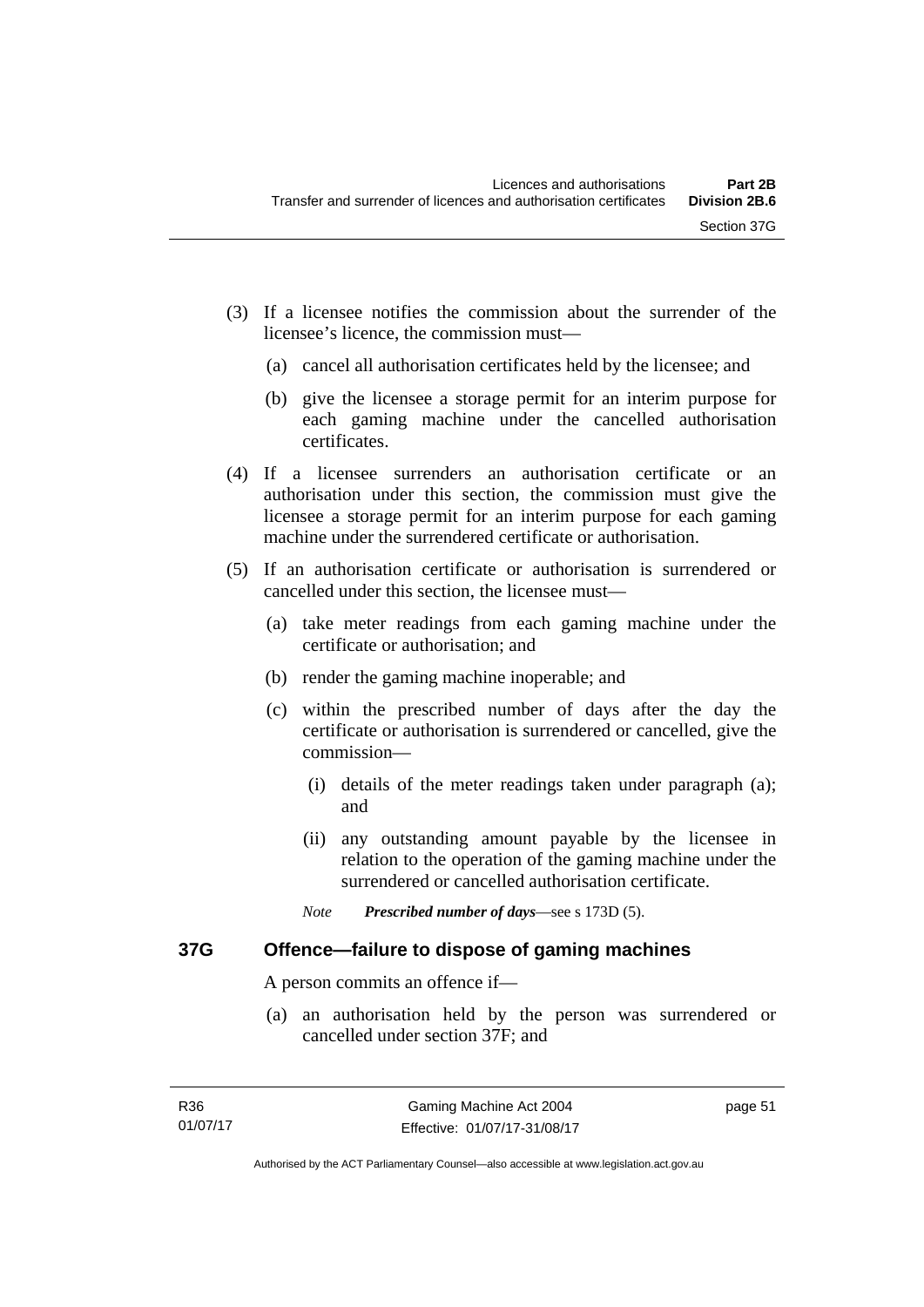- (3) If a licensee notifies the commission about the surrender of the licensee's licence, the commission must—
	- (a) cancel all authorisation certificates held by the licensee; and
	- (b) give the licensee a storage permit for an interim purpose for each gaming machine under the cancelled authorisation certificates.
- (4) If a licensee surrenders an authorisation certificate or an authorisation under this section, the commission must give the licensee a storage permit for an interim purpose for each gaming machine under the surrendered certificate or authorisation.
- (5) If an authorisation certificate or authorisation is surrendered or cancelled under this section, the licensee must—
	- (a) take meter readings from each gaming machine under the certificate or authorisation; and
	- (b) render the gaming machine inoperable; and
	- (c) within the prescribed number of days after the day the certificate or authorisation is surrendered or cancelled, give the commission—
		- (i) details of the meter readings taken under paragraph (a); and
		- (ii) any outstanding amount payable by the licensee in relation to the operation of the gaming machine under the surrendered or cancelled authorisation certificate.
		- *Note Prescribed number of days*—see s 173D (5).

#### **37G Offence—failure to dispose of gaming machines**

A person commits an offence if—

 (a) an authorisation held by the person was surrendered or cancelled under section 37F; and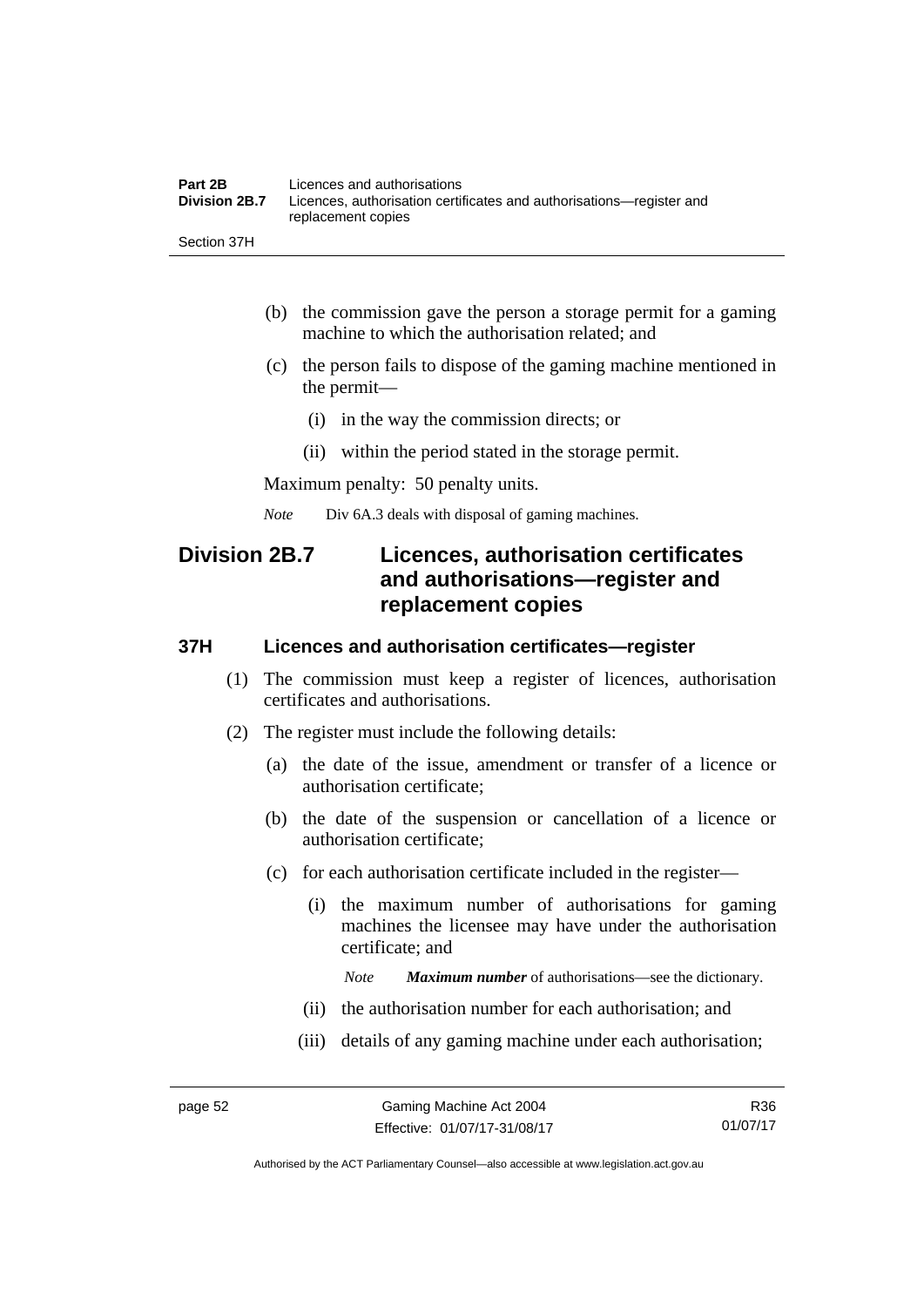- (b) the commission gave the person a storage permit for a gaming machine to which the authorisation related; and
- (c) the person fails to dispose of the gaming machine mentioned in the permit—
	- (i) in the way the commission directs; or
	- (ii) within the period stated in the storage permit.

Maximum penalty: 50 penalty units.

*Note* Div 6A.3 deals with disposal of gaming machines.

# **Division 2B.7 Licences, authorisation certificates and authorisations—register and replacement copies**

#### **37H Licences and authorisation certificates—register**

- (1) The commission must keep a register of licences, authorisation certificates and authorisations.
- (2) The register must include the following details:
	- (a) the date of the issue, amendment or transfer of a licence or authorisation certificate;
	- (b) the date of the suspension or cancellation of a licence or authorisation certificate;
	- (c) for each authorisation certificate included in the register—
		- (i) the maximum number of authorisations for gaming machines the licensee may have under the authorisation certificate; and

*Note Maximum number* of authorisations—see the dictionary.

- (ii) the authorisation number for each authorisation; and
- (iii) details of any gaming machine under each authorisation;

Authorised by the ACT Parliamentary Counsel—also accessible at www.legislation.act.gov.au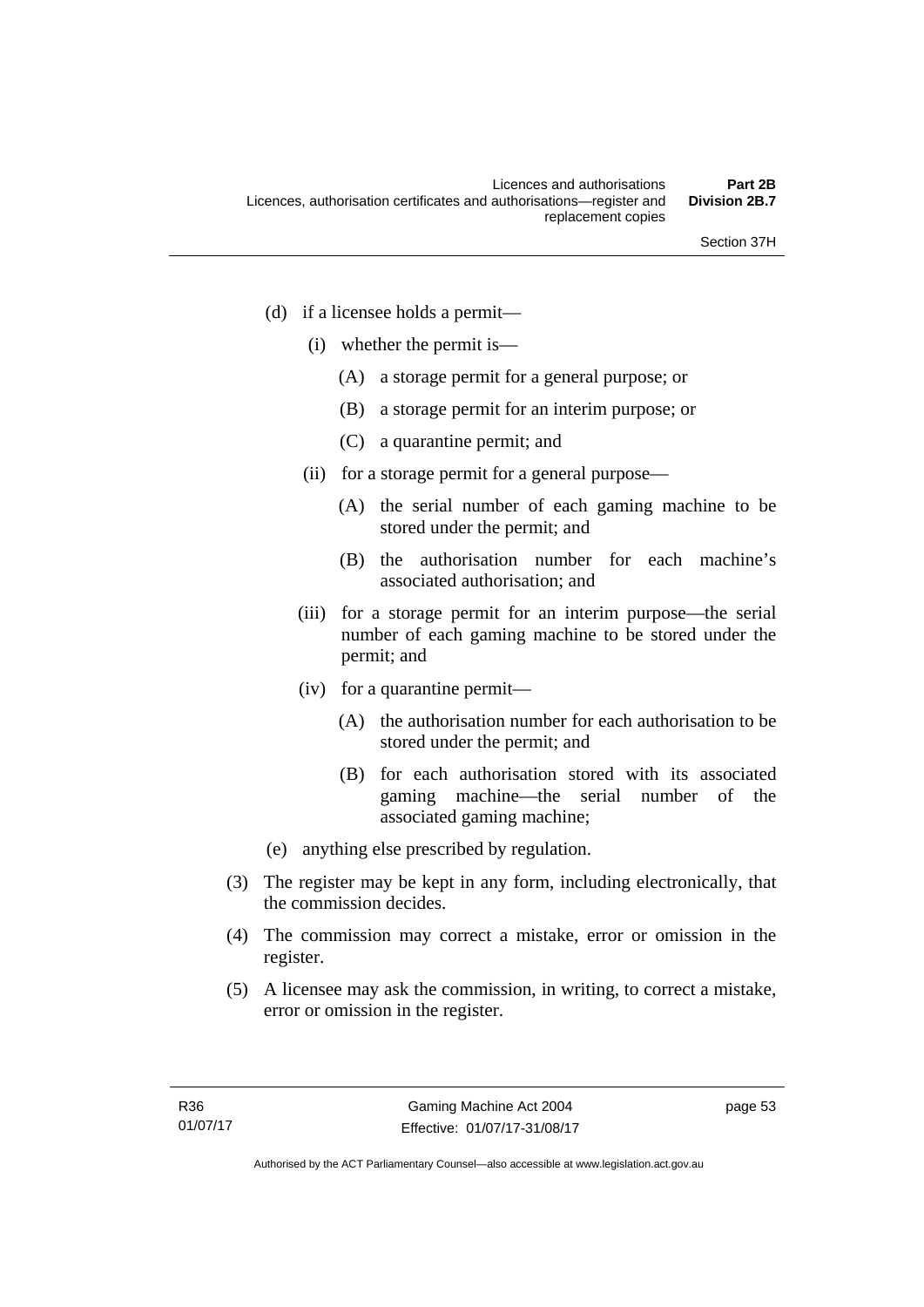- (d) if a licensee holds a permit—
	- (i) whether the permit is—
		- (A) a storage permit for a general purpose; or
		- (B) a storage permit for an interim purpose; or
		- (C) a quarantine permit; and
	- (ii) for a storage permit for a general purpose—
		- (A) the serial number of each gaming machine to be stored under the permit; and
		- (B) the authorisation number for each machine's associated authorisation; and
	- (iii) for a storage permit for an interim purpose—the serial number of each gaming machine to be stored under the permit; and
	- (iv) for a quarantine permit—
		- (A) the authorisation number for each authorisation to be stored under the permit; and
		- (B) for each authorisation stored with its associated gaming machine—the serial number of the associated gaming machine;
- (e) anything else prescribed by regulation.
- (3) The register may be kept in any form, including electronically, that the commission decides.
- (4) The commission may correct a mistake, error or omission in the register.
- (5) A licensee may ask the commission, in writing, to correct a mistake, error or omission in the register.

page 53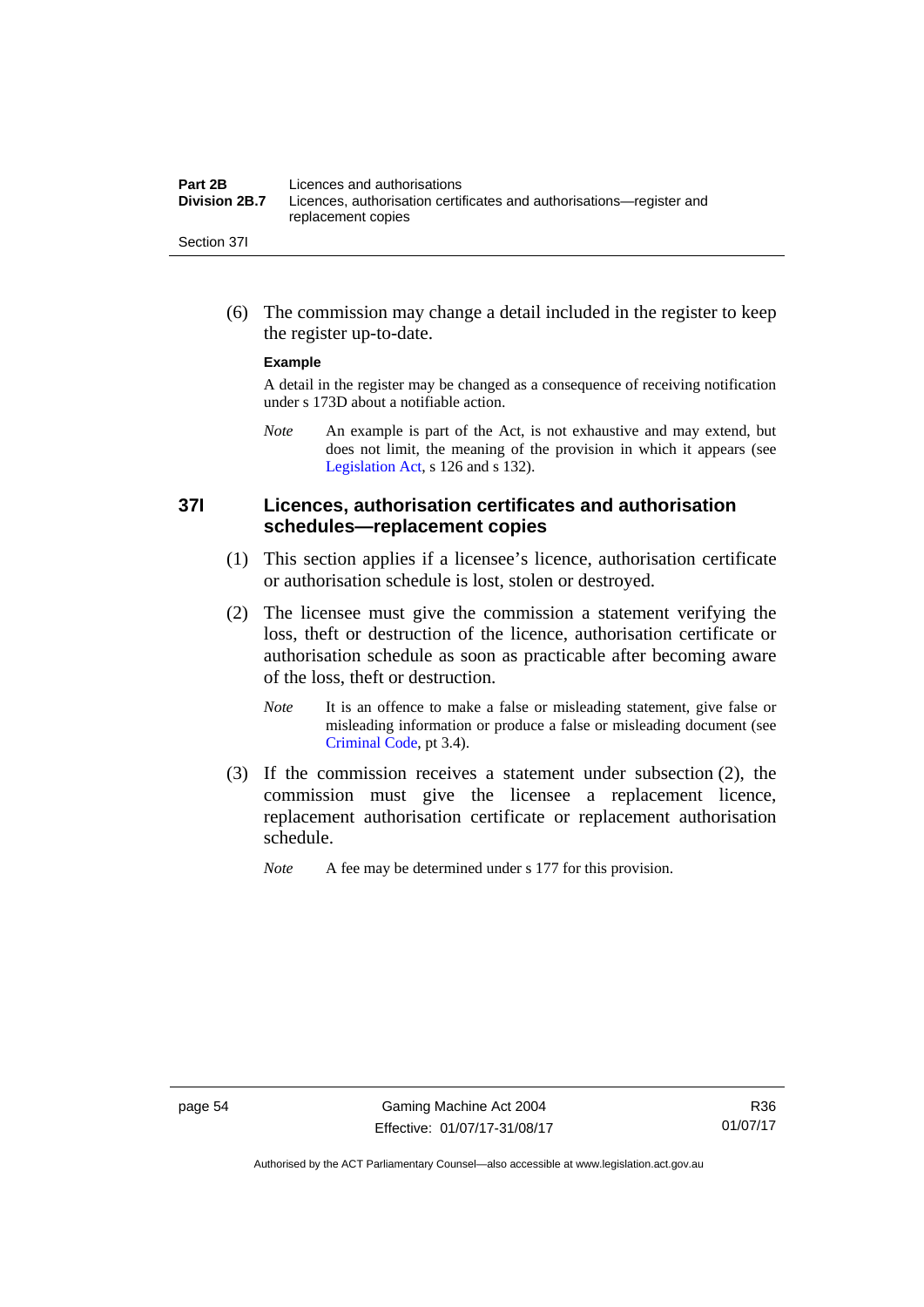| Part 2B              | Licences and authorisations                                          |
|----------------------|----------------------------------------------------------------------|
| <b>Division 2B.7</b> | Licences, authorisation certificates and authorisations—register and |
|                      | replacement copies                                                   |
| Section 37I          |                                                                      |

 (6) The commission may change a detail included in the register to keep the register up-to-date.

#### **Example**

A detail in the register may be changed as a consequence of receiving notification under s 173D about a notifiable action.

*Note* An example is part of the Act, is not exhaustive and may extend, but does not limit, the meaning of the provision in which it appears (see [Legislation Act,](http://www.legislation.act.gov.au/a/2001-14) s 126 and s 132).

#### **37I Licences, authorisation certificates and authorisation schedules—replacement copies**

- (1) This section applies if a licensee's licence, authorisation certificate or authorisation schedule is lost, stolen or destroyed.
- (2) The licensee must give the commission a statement verifying the loss, theft or destruction of the licence, authorisation certificate or authorisation schedule as soon as practicable after becoming aware of the loss, theft or destruction.
	- *Note* It is an offence to make a false or misleading statement, give false or misleading information or produce a false or misleading document (see [Criminal Code](http://www.legislation.act.gov.au/a/2002-51), pt 3.4).
- (3) If the commission receives a statement under subsection (2), the commission must give the licensee a replacement licence, replacement authorisation certificate or replacement authorisation schedule.
	- *Note* A fee may be determined under s 177 for this provision.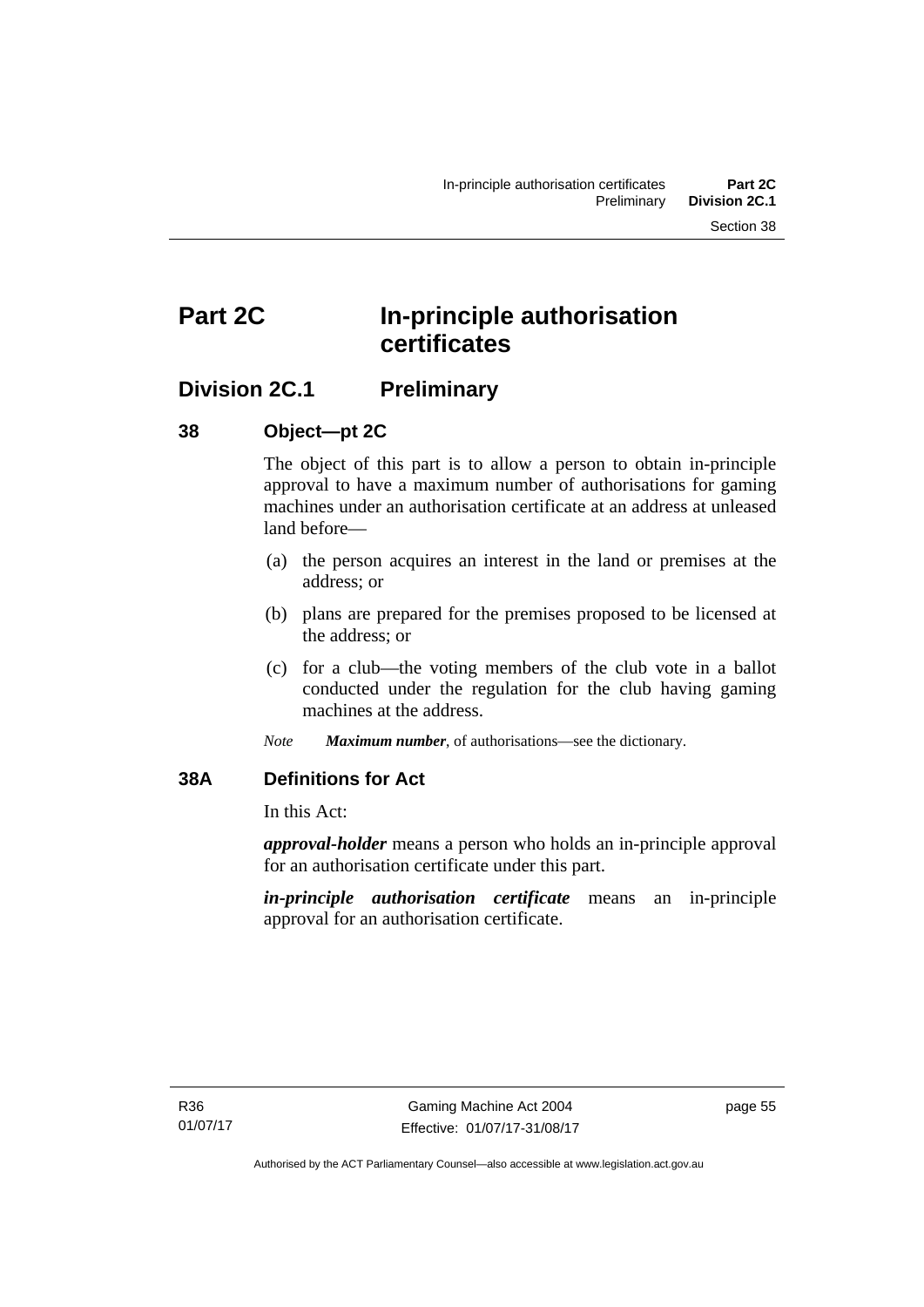# **Part 2C In-principle authorisation certificates**

## **Division 2C.1 Preliminary**

#### **38 Object—pt 2C**

The object of this part is to allow a person to obtain in-principle approval to have a maximum number of authorisations for gaming machines under an authorisation certificate at an address at unleased land before—

- (a) the person acquires an interest in the land or premises at the address; or
- (b) plans are prepared for the premises proposed to be licensed at the address; or
- (c) for a club—the voting members of the club vote in a ballot conducted under the regulation for the club having gaming machines at the address.
- *Note Maximum number*, of authorisations—see the dictionary.

## **38A Definitions for Act**

In this Act:

*approval-holder* means a person who holds an in-principle approval for an authorisation certificate under this part.

*in-principle authorisation certificate* means an in-principle approval for an authorisation certificate.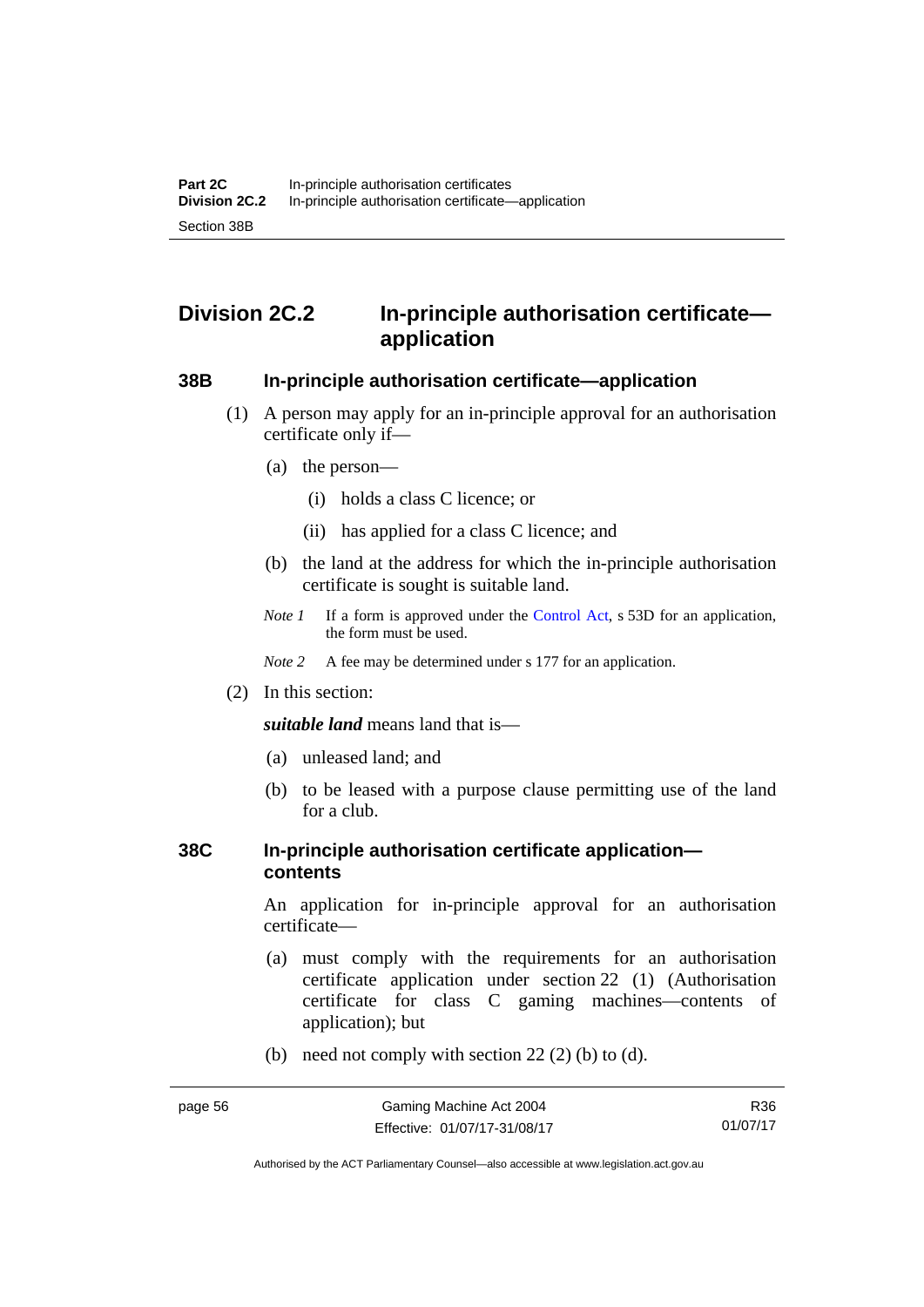# **Division 2C.2 In-principle authorisation certificate application**

## **38B In-principle authorisation certificate—application**

- (1) A person may apply for an in-principle approval for an authorisation certificate only if—
	- (a) the person—
		- (i) holds a class C licence; or
		- (ii) has applied for a class C licence; and
	- (b) the land at the address for which the in-principle authorisation certificate is sought is suitable land.
	- *Note 1* If a form is approved under the [Control Act](http://www.legislation.act.gov.au/a/1999-46/default.asp), s 53D for an application, the form must be used.

*Note* 2 A fee may be determined under s 177 for an application.

(2) In this section:

*suitable land* means land that is—

- (a) unleased land; and
- (b) to be leased with a purpose clause permitting use of the land for a club.

#### **38C In-principle authorisation certificate application contents**

An application for in-principle approval for an authorisation certificate—

- (a) must comply with the requirements for an authorisation certificate application under section 22 (1) (Authorisation certificate for class C gaming machines—contents of application); but
- (b) need not comply with section  $22(2)$  (b) to (d).

R36 01/07/17

Authorised by the ACT Parliamentary Counsel—also accessible at www.legislation.act.gov.au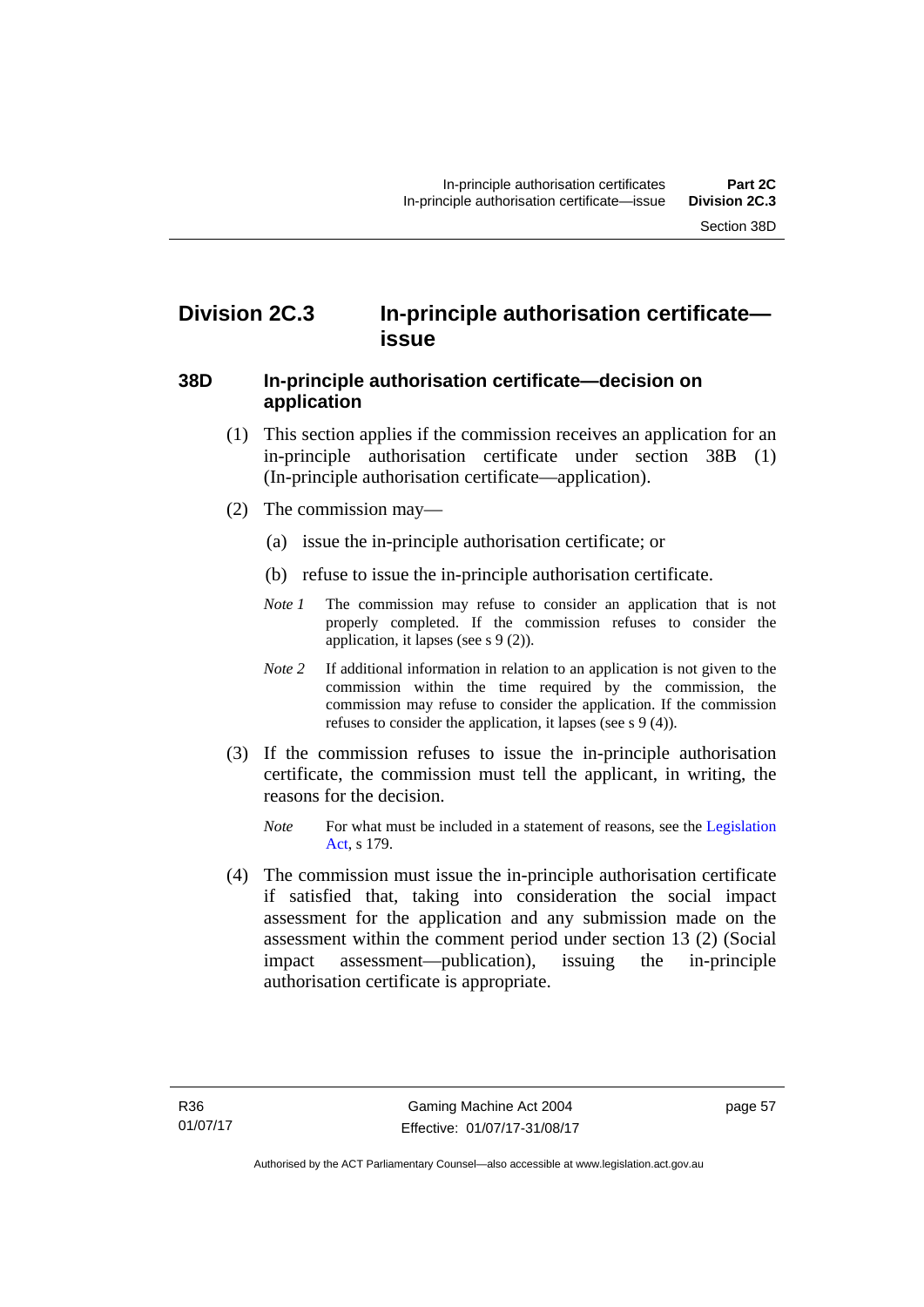# **Division 2C.3 In-principle authorisation certificate issue**

#### **38D In-principle authorisation certificate—decision on application**

- (1) This section applies if the commission receives an application for an in-principle authorisation certificate under section 38B (1) (In-principle authorisation certificate—application).
- (2) The commission may—
	- (a) issue the in-principle authorisation certificate; or
	- (b) refuse to issue the in-principle authorisation certificate.
	- *Note 1* The commission may refuse to consider an application that is not properly completed. If the commission refuses to consider the application, it lapses (see s 9 (2)).
	- *Note 2* If additional information in relation to an application is not given to the commission within the time required by the commission, the commission may refuse to consider the application. If the commission refuses to consider the application, it lapses (see s 9 (4)).
- (3) If the commission refuses to issue the in-principle authorisation certificate, the commission must tell the applicant, in writing, the reasons for the decision.
	- *Note* For what must be included in a statement of reasons, see the Legislation [Act](http://www.legislation.act.gov.au/a/2001-14), s 179.
- (4) The commission must issue the in-principle authorisation certificate if satisfied that, taking into consideration the social impact assessment for the application and any submission made on the assessment within the comment period under section 13 (2) (Social impact assessment—publication), issuing the in-principle authorisation certificate is appropriate.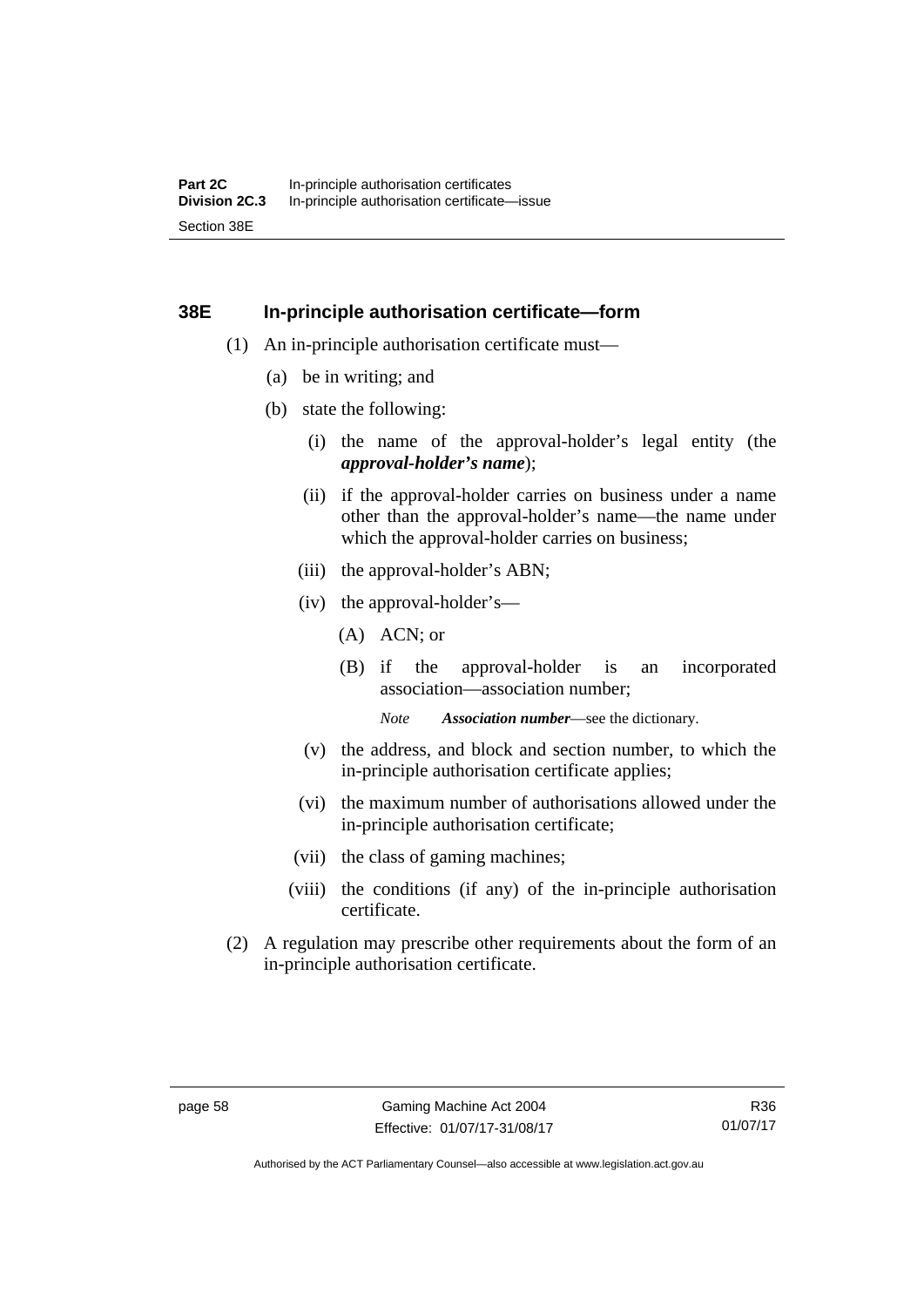#### **38E In-principle authorisation certificate—form**

- (1) An in-principle authorisation certificate must—
	- (a) be in writing; and
	- (b) state the following:
		- (i) the name of the approval-holder's legal entity (the *approval-holder's name*);
		- (ii) if the approval-holder carries on business under a name other than the approval-holder's name—the name under which the approval-holder carries on business:
		- (iii) the approval-holder's ABN;
		- (iv) the approval-holder's—
			- (A) ACN; or
			- (B) if the approval-holder is an incorporated association—association number;

*Note Association number*—see the dictionary.

- (v) the address, and block and section number, to which the in-principle authorisation certificate applies;
- (vi) the maximum number of authorisations allowed under the in-principle authorisation certificate;
- (vii) the class of gaming machines;
- (viii) the conditions (if any) of the in-principle authorisation certificate.
- (2) A regulation may prescribe other requirements about the form of an in-principle authorisation certificate.

Authorised by the ACT Parliamentary Counsel—also accessible at www.legislation.act.gov.au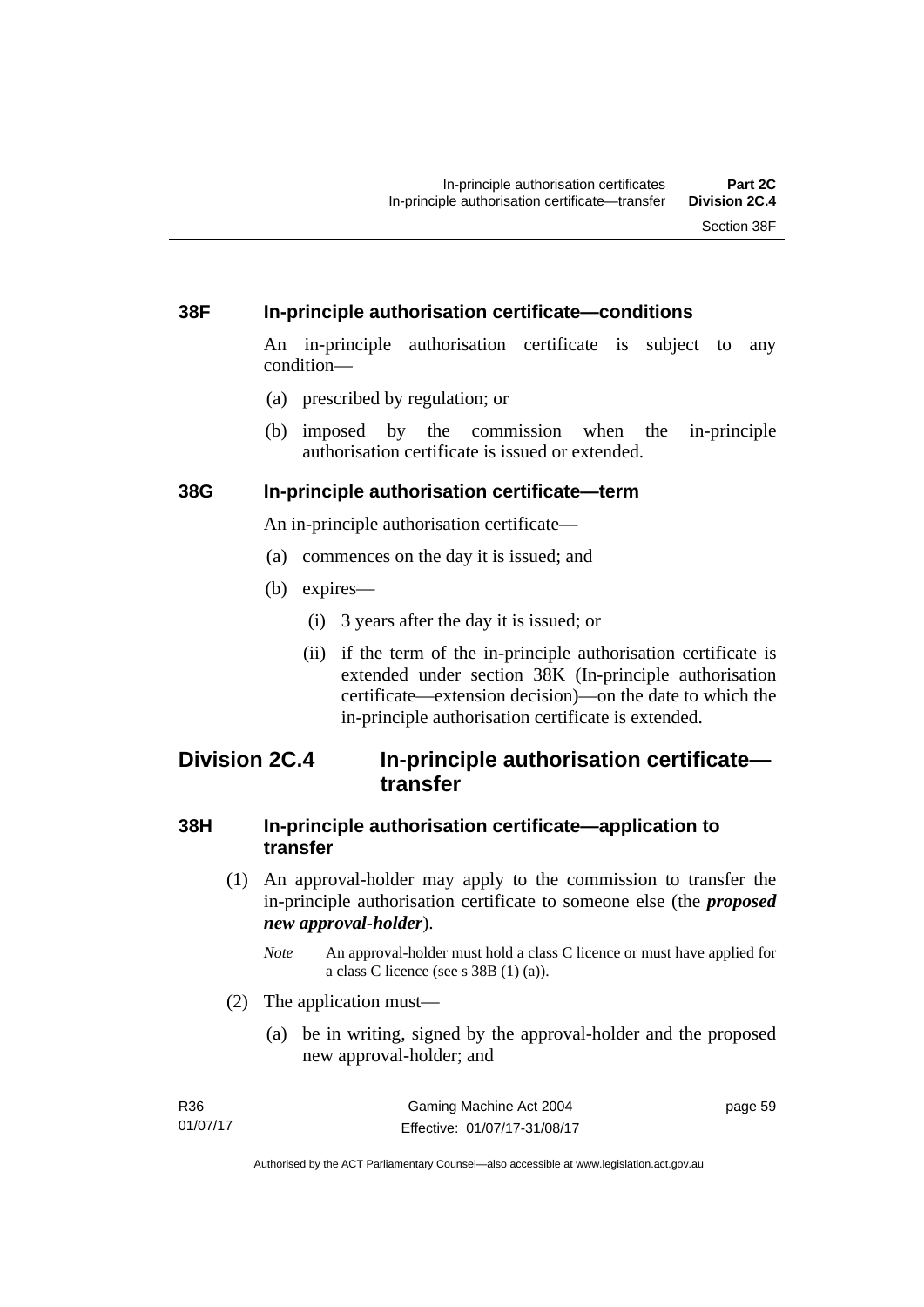#### **38F In-principle authorisation certificate—conditions**

An in-principle authorisation certificate is subject to any condition—

- (a) prescribed by regulation; or
- (b) imposed by the commission when the in-principle authorisation certificate is issued or extended.

#### **38G In-principle authorisation certificate—term**

An in-principle authorisation certificate—

- (a) commences on the day it is issued; and
- (b) expires—
	- (i) 3 years after the day it is issued; or
	- (ii) if the term of the in-principle authorisation certificate is extended under section 38K (In-principle authorisation certificate—extension decision)—on the date to which the in-principle authorisation certificate is extended.

# **Division 2C.4 In-principle authorisation certificate transfer**

#### **38H In-principle authorisation certificate—application to transfer**

- (1) An approval-holder may apply to the commission to transfer the in-principle authorisation certificate to someone else (the *proposed new approval-holder*).
	- *Note* An approval-holder must hold a class C licence or must have applied for a class C licence (see s 38B (1) (a)).
- (2) The application must—
	- (a) be in writing, signed by the approval-holder and the proposed new approval-holder; and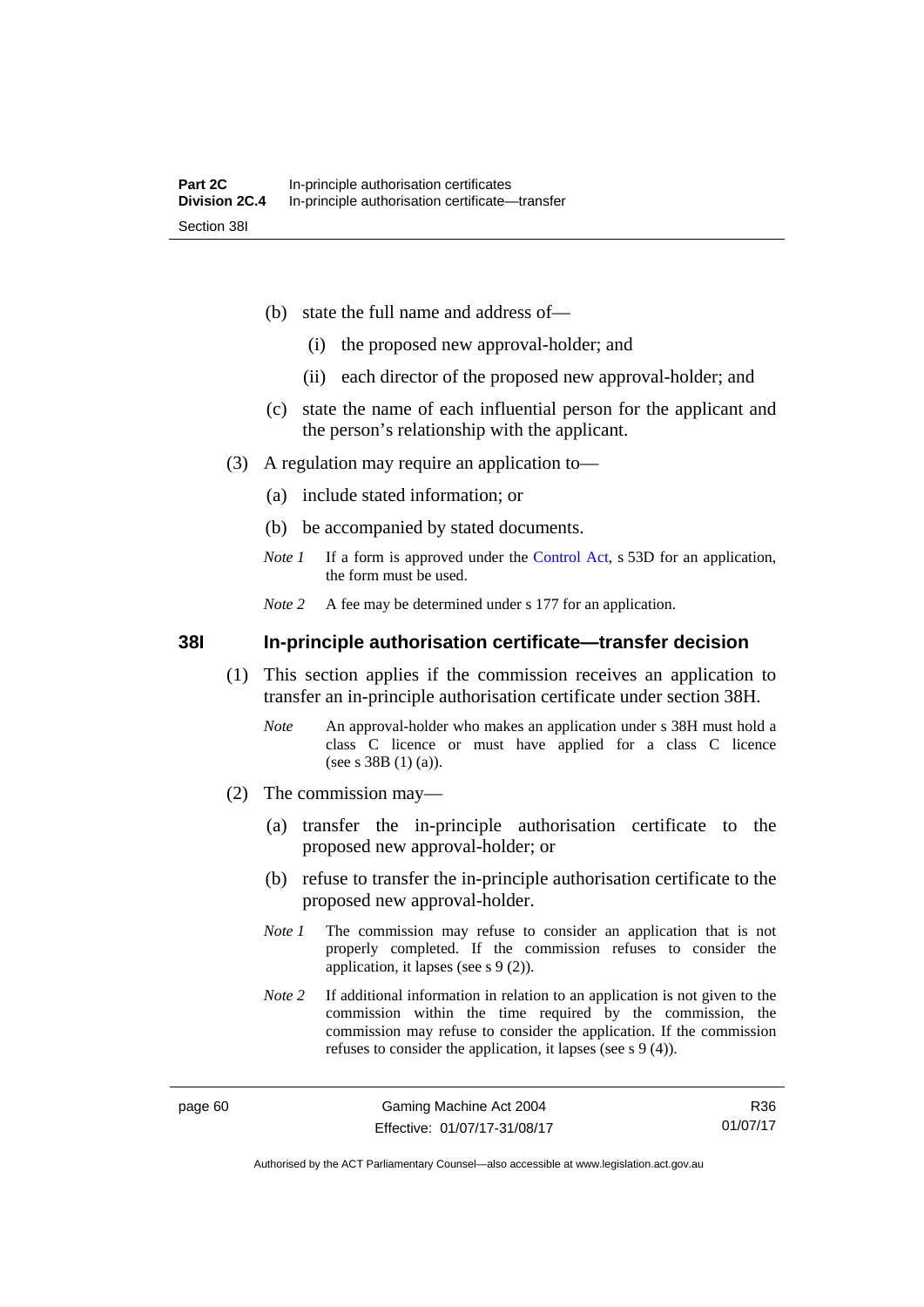- (b) state the full name and address of—
	- (i) the proposed new approval-holder; and
	- (ii) each director of the proposed new approval-holder; and
- (c) state the name of each influential person for the applicant and the person's relationship with the applicant.
- (3) A regulation may require an application to—
	- (a) include stated information; or
	- (b) be accompanied by stated documents.
	- *Note 1* If a form is approved under the [Control Act](http://www.legislation.act.gov.au/a/1999-46/default.asp), s 53D for an application, the form must be used.
	- *Note* 2 A fee may be determined under s 177 for an application.

**38I In-principle authorisation certificate—transfer decision** 

- (1) This section applies if the commission receives an application to transfer an in-principle authorisation certificate under section 38H.
	- *Note* An approval-holder who makes an application under s 38H must hold a class C licence or must have applied for a class C licence (see s 38B (1) (a)).
- (2) The commission may—
	- (a) transfer the in-principle authorisation certificate to the proposed new approval-holder; or
	- (b) refuse to transfer the in-principle authorisation certificate to the proposed new approval-holder.
	- *Note 1* The commission may refuse to consider an application that is not properly completed. If the commission refuses to consider the application, it lapses (see s 9 (2)).
	- *Note 2* If additional information in relation to an application is not given to the commission within the time required by the commission, the commission may refuse to consider the application. If the commission refuses to consider the application, it lapses (see s 9 (4)).

R36 01/07/17

Authorised by the ACT Parliamentary Counsel—also accessible at www.legislation.act.gov.au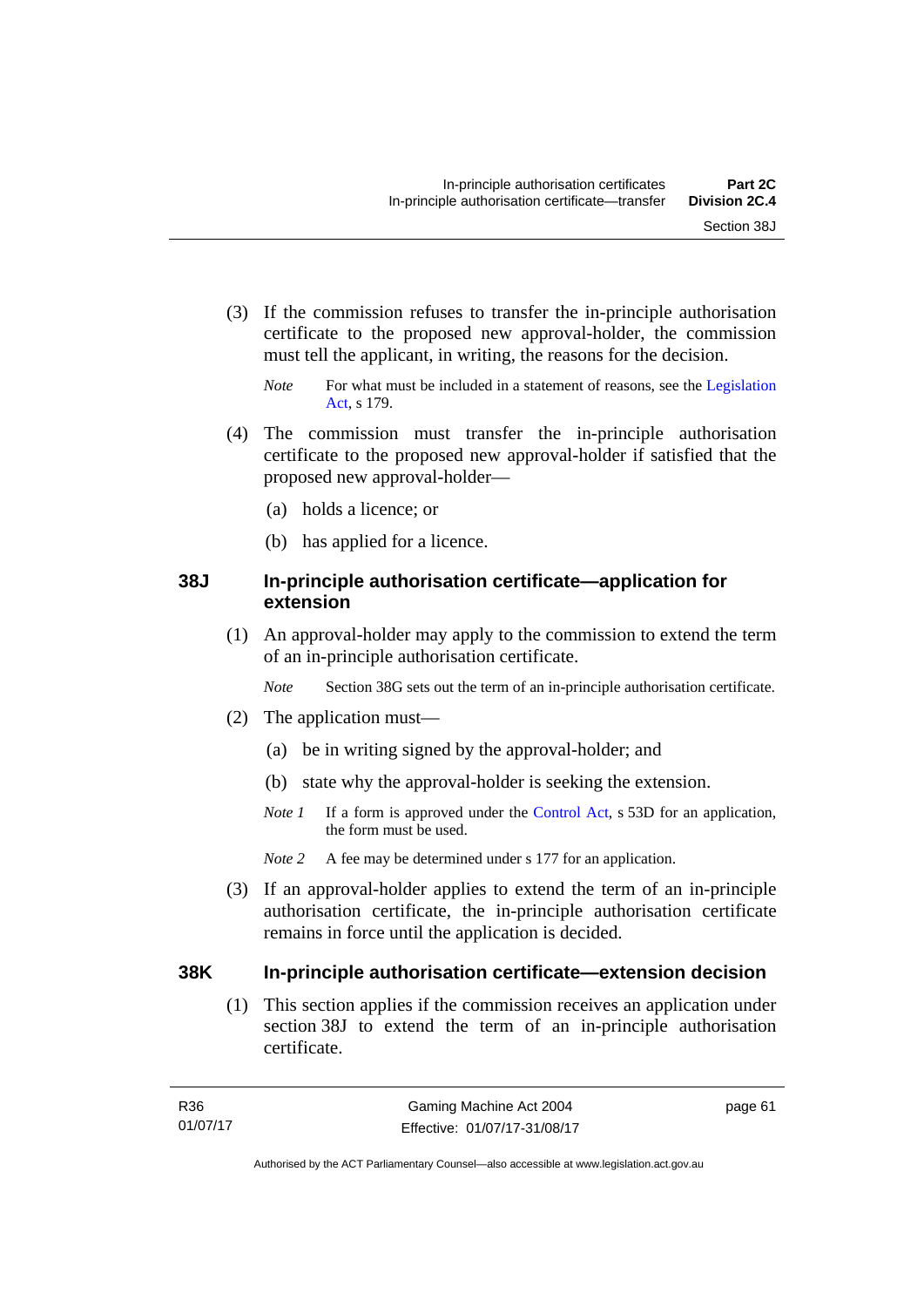- (3) If the commission refuses to transfer the in-principle authorisation certificate to the proposed new approval-holder, the commission must tell the applicant, in writing, the reasons for the decision.
	- *Note* For what must be included in a statement of reasons, see the Legislation [Act](http://www.legislation.act.gov.au/a/2001-14), s 179.
- (4) The commission must transfer the in-principle authorisation certificate to the proposed new approval-holder if satisfied that the proposed new approval-holder—
	- (a) holds a licence; or
	- (b) has applied for a licence.

#### **38J In-principle authorisation certificate—application for extension**

 (1) An approval-holder may apply to the commission to extend the term of an in-principle authorisation certificate.

*Note* Section 38G sets out the term of an in-principle authorisation certificate.

- (2) The application must—
	- (a) be in writing signed by the approval-holder; and
	- (b) state why the approval-holder is seeking the extension.
	- *Note 1* If a form is approved under the [Control Act](http://www.legislation.act.gov.au/a/1999-46/default.asp), s 53D for an application, the form must be used.
	- *Note 2* A fee may be determined under s 177 for an application.
- (3) If an approval-holder applies to extend the term of an in-principle authorisation certificate, the in-principle authorisation certificate remains in force until the application is decided.

#### **38K In-principle authorisation certificate—extension decision**

(1) This section applies if the commission receives an application under section 38J to extend the term of an in-principle authorisation certificate.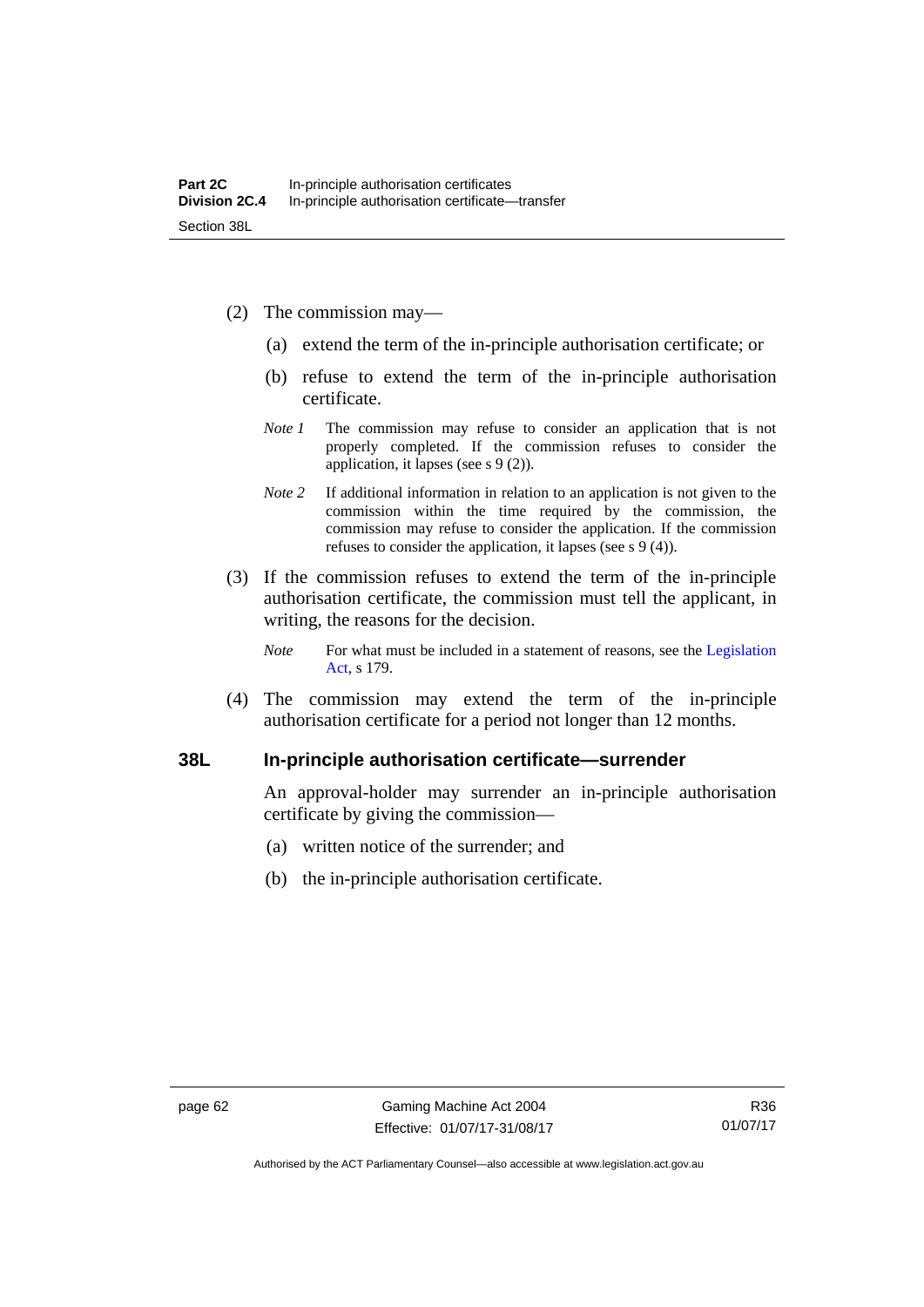- (2) The commission may—
	- (a) extend the term of the in-principle authorisation certificate; or
	- (b) refuse to extend the term of the in-principle authorisation certificate.
	- *Note 1* The commission may refuse to consider an application that is not properly completed. If the commission refuses to consider the application, it lapses (see s 9 (2)).
	- *Note 2* If additional information in relation to an application is not given to the commission within the time required by the commission, the commission may refuse to consider the application. If the commission refuses to consider the application, it lapses (see s 9 (4)).
- (3) If the commission refuses to extend the term of the in-principle authorisation certificate, the commission must tell the applicant, in writing, the reasons for the decision.
	- *Note* For what must be included in a statement of reasons, see the Legislation [Act](http://www.legislation.act.gov.au/a/2001-14), s 179.
- (4) The commission may extend the term of the in-principle authorisation certificate for a period not longer than 12 months.

### **38L In-principle authorisation certificate—surrender**

An approval-holder may surrender an in-principle authorisation certificate by giving the commission—

- (a) written notice of the surrender; and
- (b) the in-principle authorisation certificate.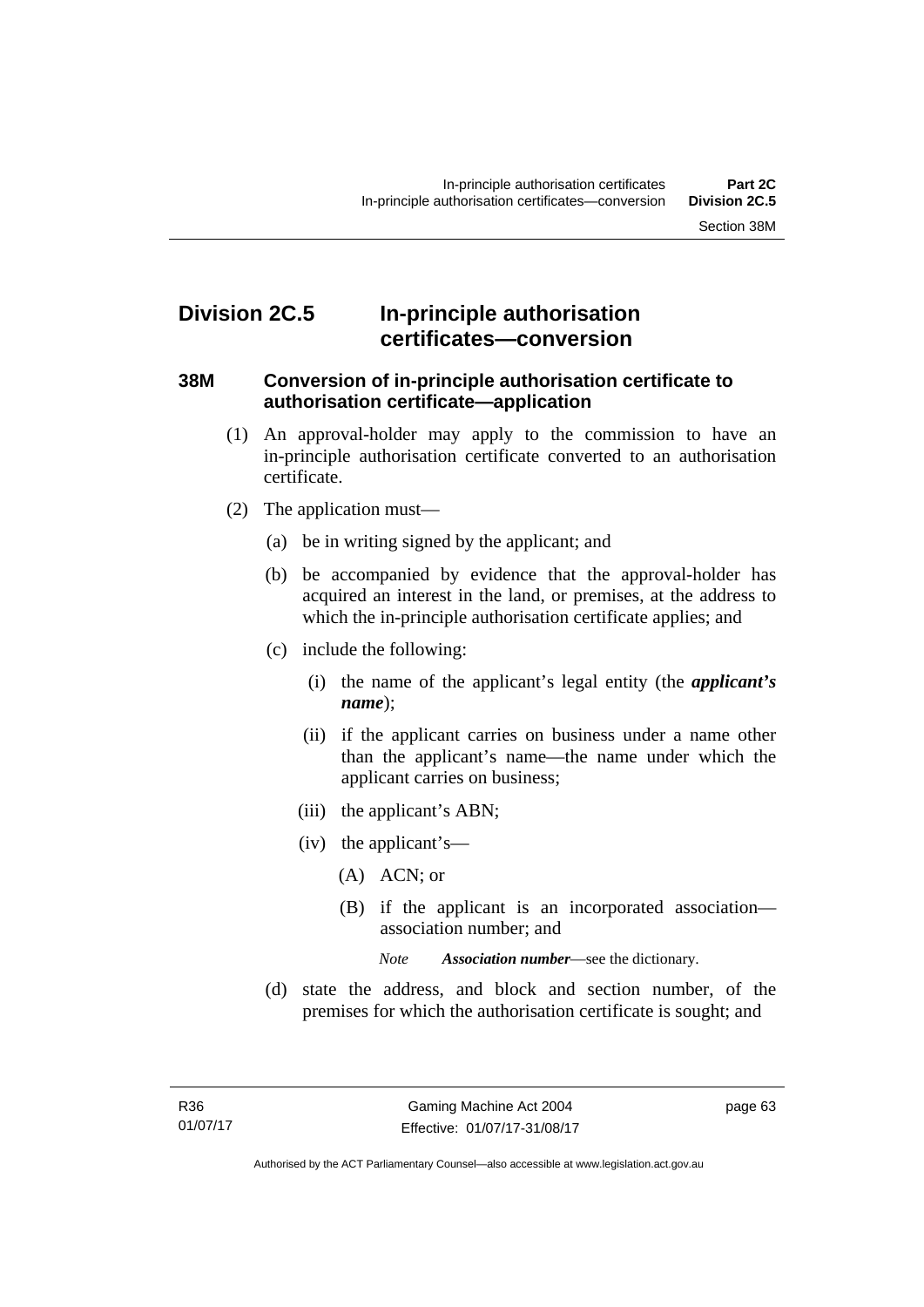# **Division 2C.5 In-principle authorisation certificates—conversion**

#### **38M Conversion of in-principle authorisation certificate to authorisation certificate—application**

- (1) An approval-holder may apply to the commission to have an in-principle authorisation certificate converted to an authorisation certificate.
- (2) The application must—
	- (a) be in writing signed by the applicant; and
	- (b) be accompanied by evidence that the approval-holder has acquired an interest in the land, or premises, at the address to which the in-principle authorisation certificate applies; and
	- (c) include the following:
		- (i) the name of the applicant's legal entity (the *applicant's name*);
		- (ii) if the applicant carries on business under a name other than the applicant's name—the name under which the applicant carries on business;
		- (iii) the applicant's ABN;
		- (iv) the applicant's—
			- (A) ACN; or
			- (B) if the applicant is an incorporated association association number; and

*Note Association number*—see the dictionary.

 (d) state the address, and block and section number, of the premises for which the authorisation certificate is sought; and

page 63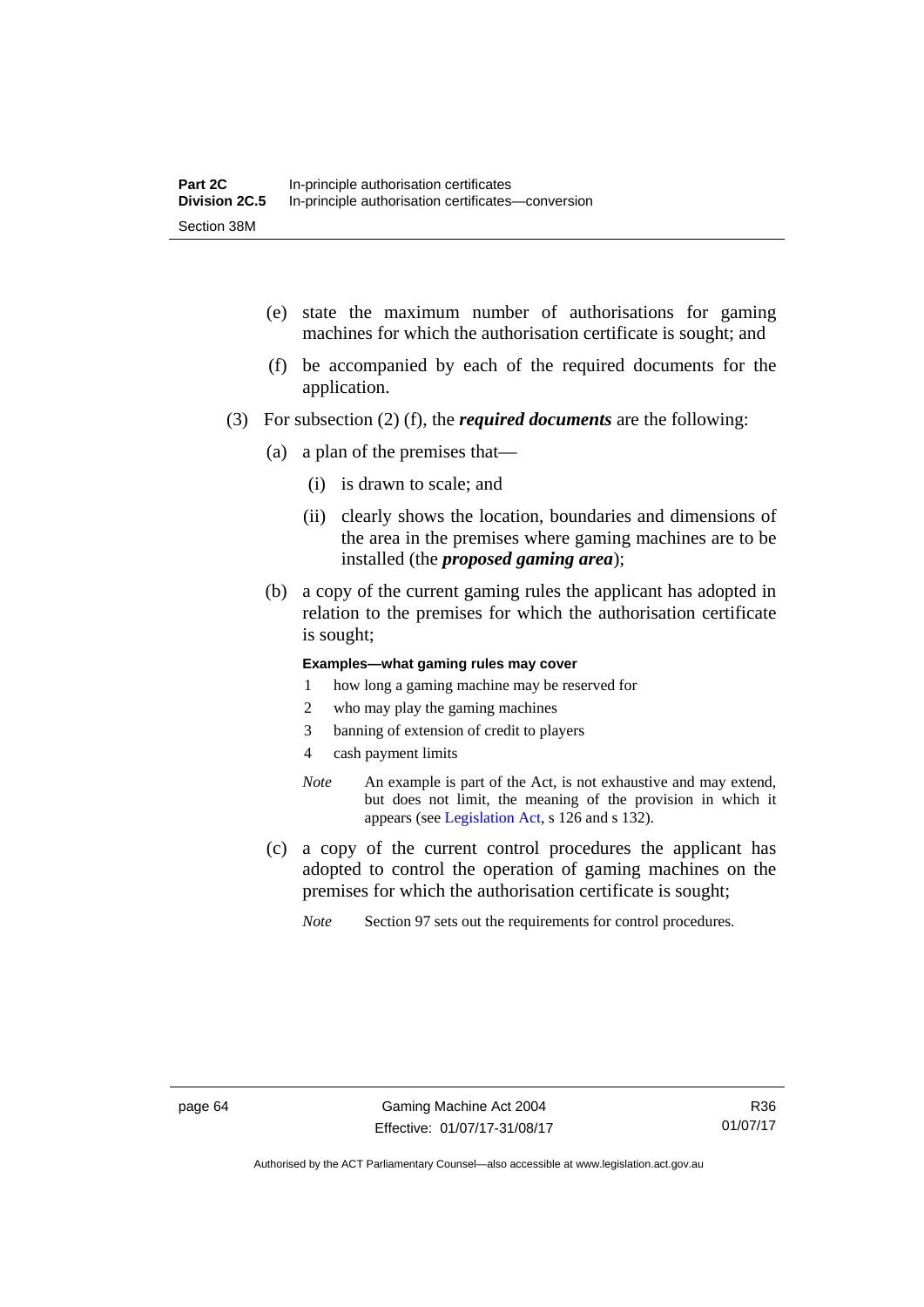- (e) state the maximum number of authorisations for gaming machines for which the authorisation certificate is sought; and
- (f) be accompanied by each of the required documents for the application.
- (3) For subsection (2) (f), the *required documents* are the following:
	- (a) a plan of the premises that—
		- (i) is drawn to scale; and
		- (ii) clearly shows the location, boundaries and dimensions of the area in the premises where gaming machines are to be installed (the *proposed gaming area*);
	- (b) a copy of the current gaming rules the applicant has adopted in relation to the premises for which the authorisation certificate is sought;

#### **Examples—what gaming rules may cover**

- 1 how long a gaming machine may be reserved for
- 2 who may play the gaming machines
- 3 banning of extension of credit to players
- 4 cash payment limits
- *Note* An example is part of the Act, is not exhaustive and may extend, but does not limit, the meaning of the provision in which it appears (see [Legislation Act,](http://www.legislation.act.gov.au/a/2001-14) s 126 and s 132).
- (c) a copy of the current control procedures the applicant has adopted to control the operation of gaming machines on the premises for which the authorisation certificate is sought;
	- *Note* Section 97 sets out the requirements for control procedures.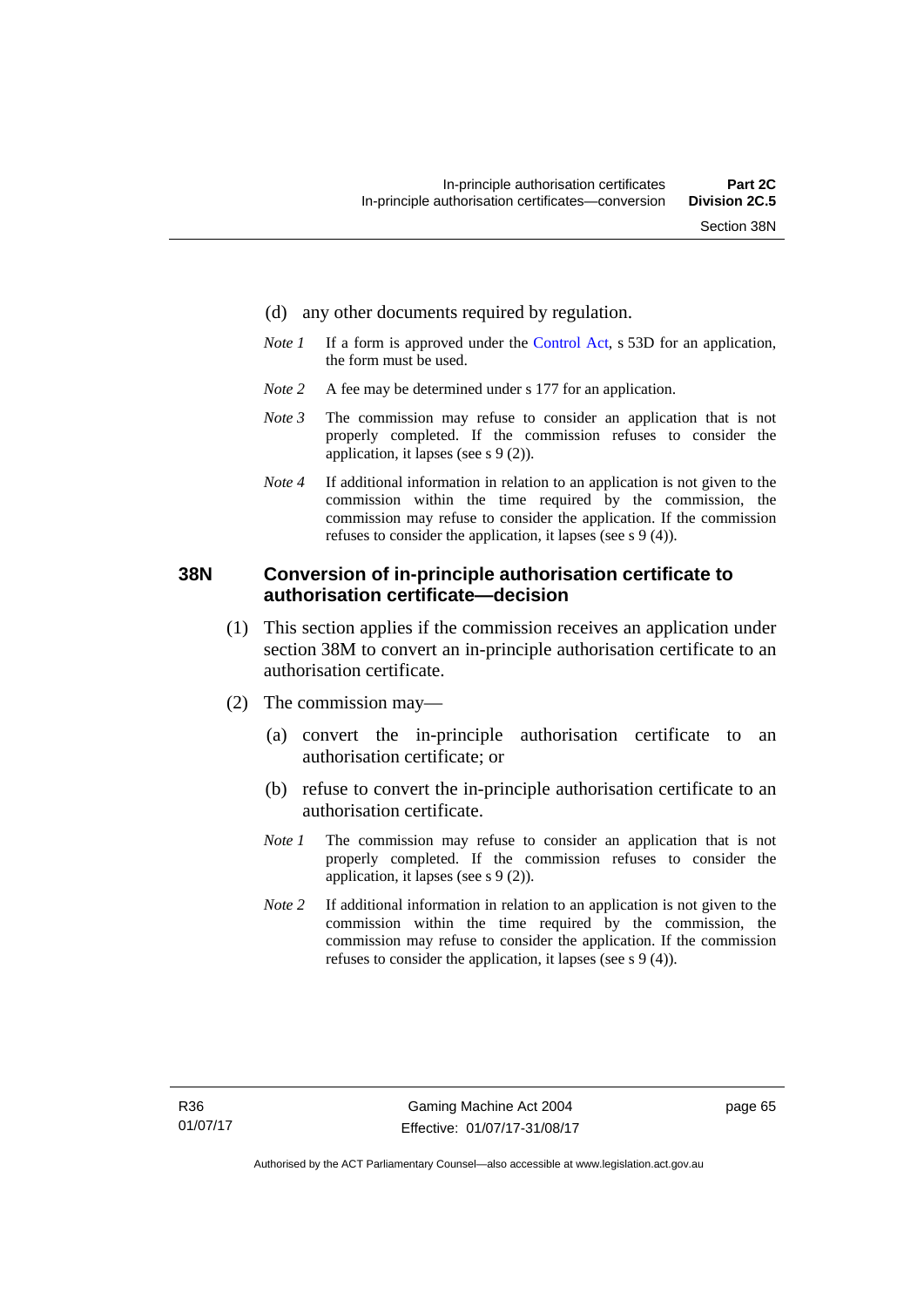- (d) any other documents required by regulation.
- *Note 1* If a form is approved under the [Control Act](http://www.legislation.act.gov.au/a/1999-46/default.asp), s 53D for an application, the form must be used.
- *Note* 2 A fee may be determined under s 177 for an application.
- *Note 3* The commission may refuse to consider an application that is not properly completed. If the commission refuses to consider the application, it lapses (see s 9 (2)).
- *Note 4* If additional information in relation to an application is not given to the commission within the time required by the commission, the commission may refuse to consider the application. If the commission refuses to consider the application, it lapses (see s 9 (4)).

#### **38N Conversion of in-principle authorisation certificate to authorisation certificate—decision**

- (1) This section applies if the commission receives an application under section 38M to convert an in-principle authorisation certificate to an authorisation certificate.
- (2) The commission may—
	- (a) convert the in-principle authorisation certificate to an authorisation certificate; or
	- (b) refuse to convert the in-principle authorisation certificate to an authorisation certificate.
	- *Note 1* The commission may refuse to consider an application that is not properly completed. If the commission refuses to consider the application, it lapses (see s 9 (2)).
	- *Note 2* If additional information in relation to an application is not given to the commission within the time required by the commission, the commission may refuse to consider the application. If the commission refuses to consider the application, it lapses (see s 9 (4)).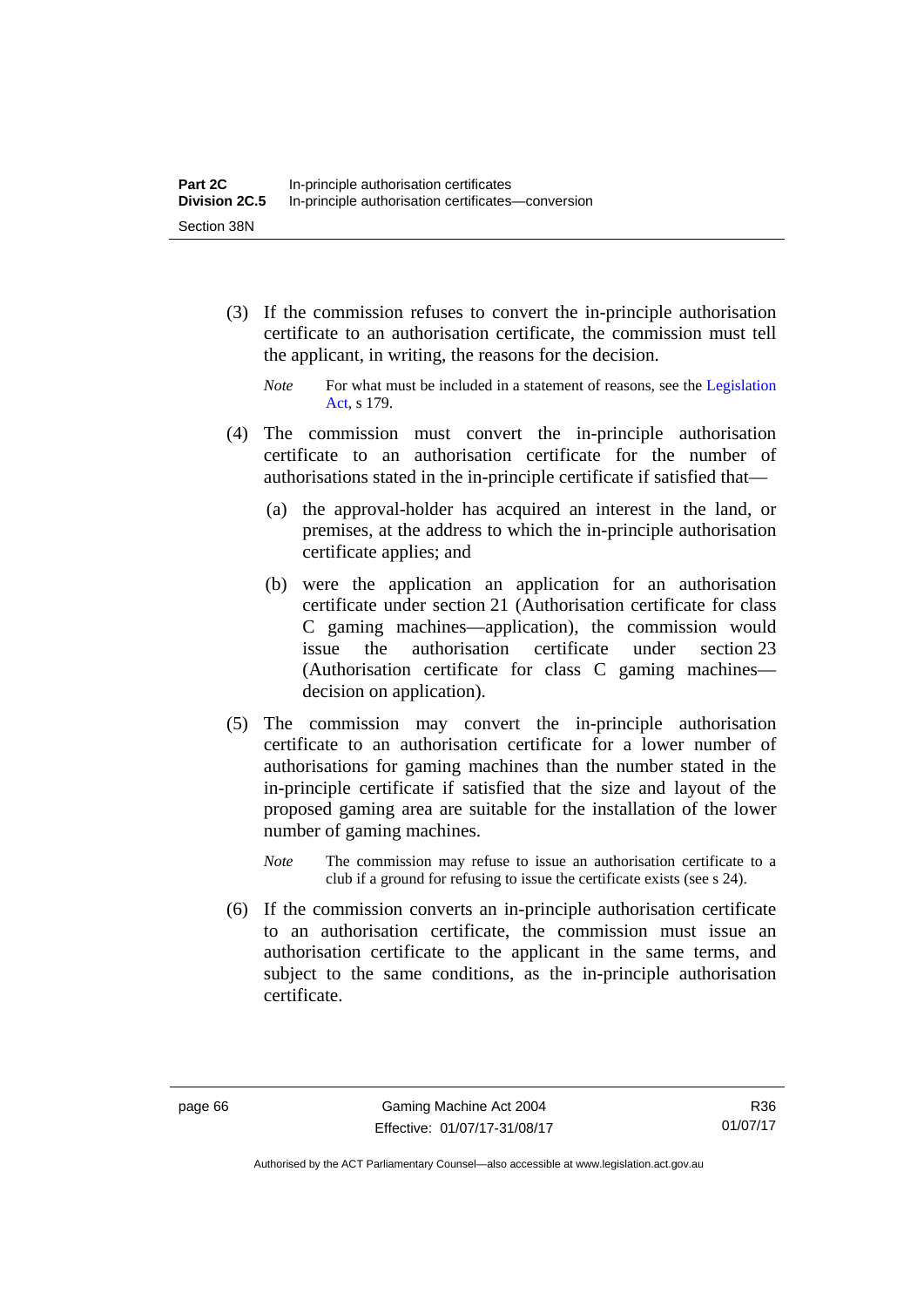- (3) If the commission refuses to convert the in-principle authorisation certificate to an authorisation certificate, the commission must tell the applicant, in writing, the reasons for the decision.
	- *Note* For what must be included in a statement of reasons, see the Legislation [Act](http://www.legislation.act.gov.au/a/2001-14), s 179.
- (4) The commission must convert the in-principle authorisation certificate to an authorisation certificate for the number of authorisations stated in the in-principle certificate if satisfied that—
	- (a) the approval-holder has acquired an interest in the land, or premises, at the address to which the in-principle authorisation certificate applies; and
	- (b) were the application an application for an authorisation certificate under section 21 (Authorisation certificate for class C gaming machines—application), the commission would issue the authorisation certificate under section 23 (Authorisation certificate for class C gaming machines decision on application).
- (5) The commission may convert the in-principle authorisation certificate to an authorisation certificate for a lower number of authorisations for gaming machines than the number stated in the in-principle certificate if satisfied that the size and layout of the proposed gaming area are suitable for the installation of the lower number of gaming machines.
	- *Note* The commission may refuse to issue an authorisation certificate to a club if a ground for refusing to issue the certificate exists (see s 24).
- (6) If the commission converts an in-principle authorisation certificate to an authorisation certificate, the commission must issue an authorisation certificate to the applicant in the same terms, and subject to the same conditions, as the in-principle authorisation certificate.

Authorised by the ACT Parliamentary Counsel—also accessible at www.legislation.act.gov.au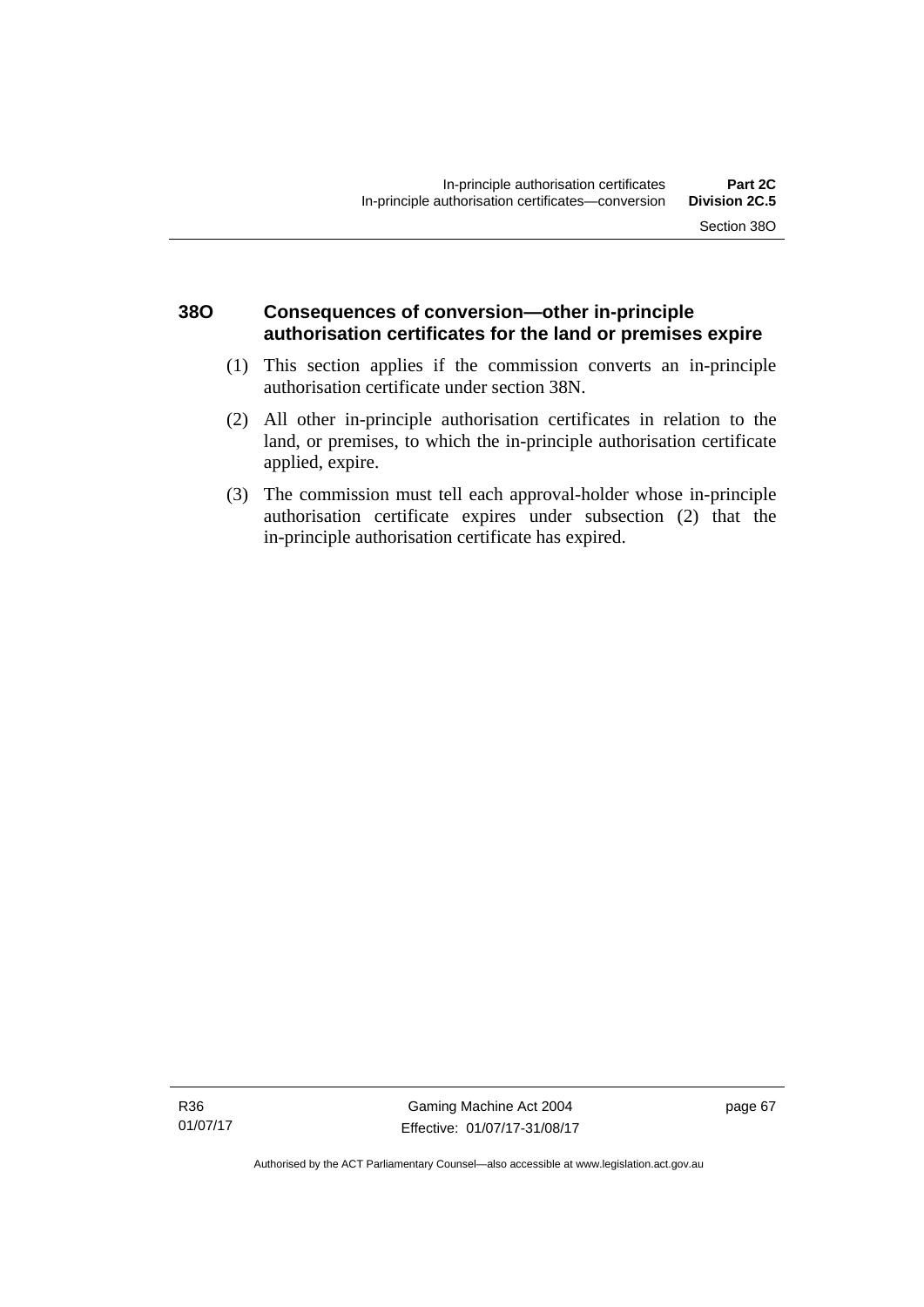### **38O Consequences of conversion—other in-principle authorisation certificates for the land or premises expire**

- (1) This section applies if the commission converts an in-principle authorisation certificate under section 38N.
- (2) All other in-principle authorisation certificates in relation to the land, or premises, to which the in-principle authorisation certificate applied, expire.
- (3) The commission must tell each approval-holder whose in-principle authorisation certificate expires under subsection (2) that the in-principle authorisation certificate has expired.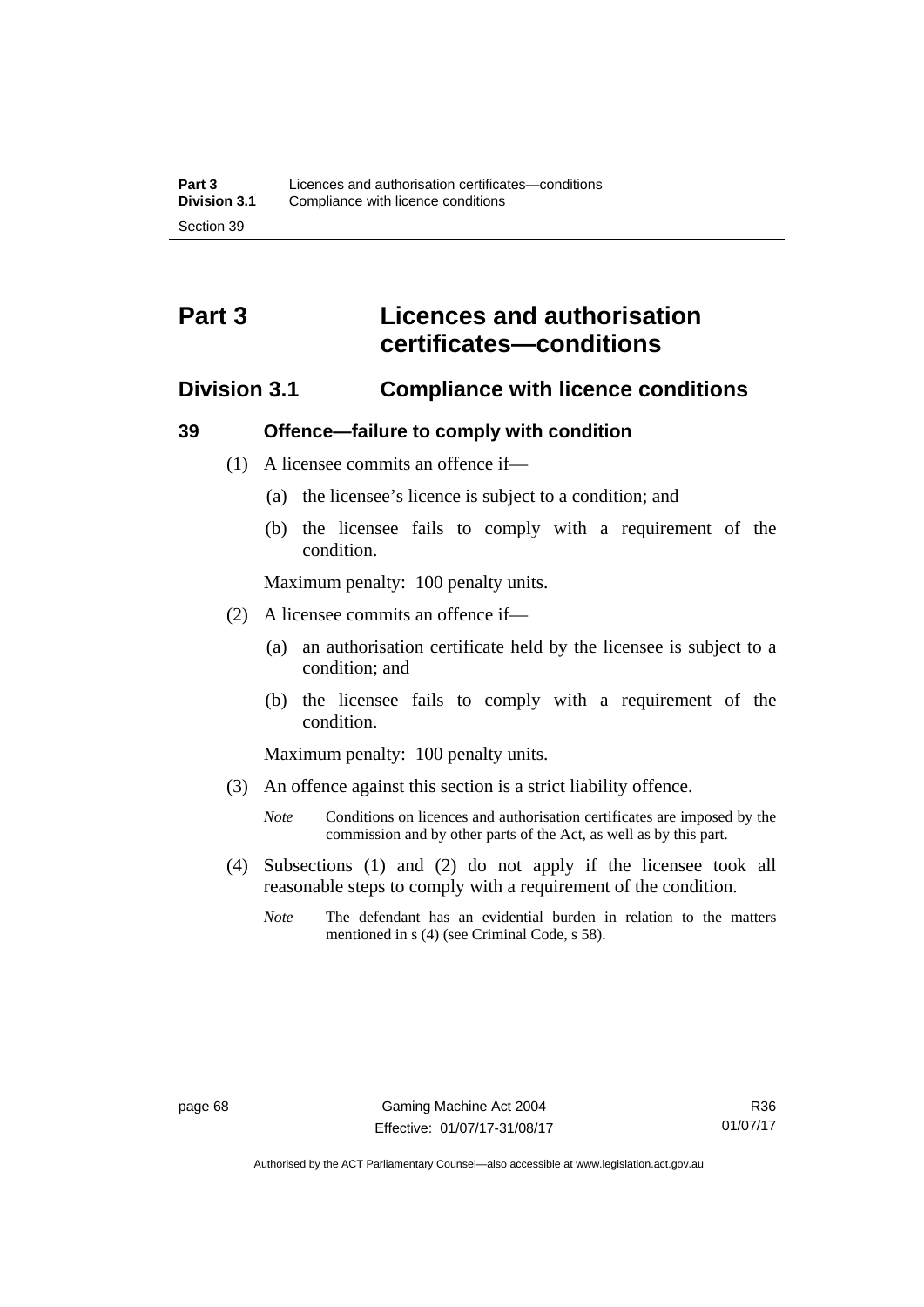# **Part 3 Licences and authorisation certificates—conditions**

### **Division 3.1 Compliance with licence conditions**

#### **39 Offence—failure to comply with condition**

- (1) A licensee commits an offence if—
	- (a) the licensee's licence is subject to a condition; and
	- (b) the licensee fails to comply with a requirement of the condition.

Maximum penalty: 100 penalty units.

- (2) A licensee commits an offence if—
	- (a) an authorisation certificate held by the licensee is subject to a condition; and
	- (b) the licensee fails to comply with a requirement of the condition.

Maximum penalty: 100 penalty units.

- (3) An offence against this section is a strict liability offence.
	- *Note* Conditions on licences and authorisation certificates are imposed by the commission and by other parts of the Act, as well as by this part.
- (4) Subsections (1) and (2) do not apply if the licensee took all reasonable steps to comply with a requirement of the condition.
	- *Note* The defendant has an evidential burden in relation to the matters mentioned in s (4) (see Criminal Code, s 58).

Authorised by the ACT Parliamentary Counsel—also accessible at www.legislation.act.gov.au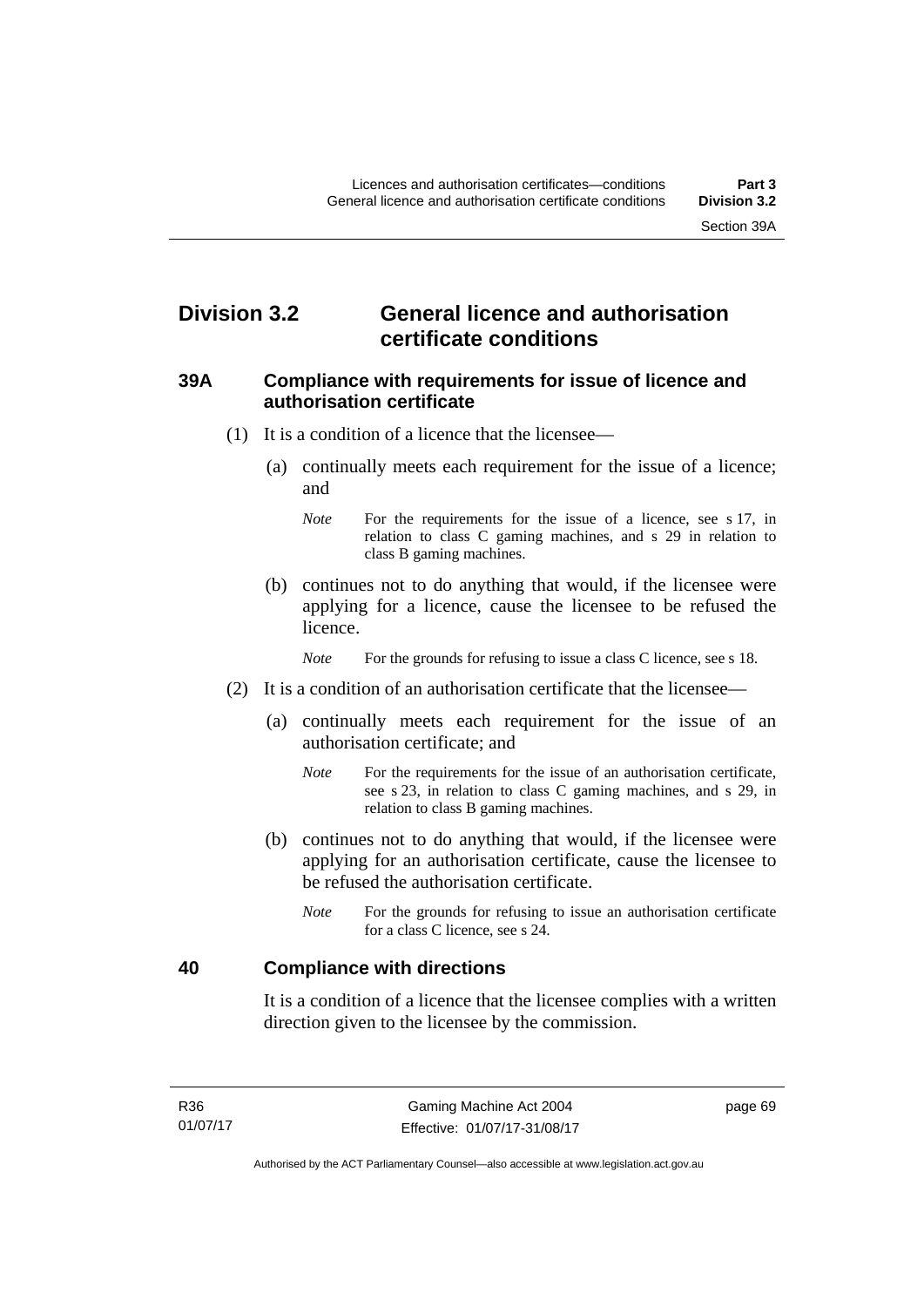# **Division 3.2 General licence and authorisation certificate conditions**

#### **39A Compliance with requirements for issue of licence and authorisation certificate**

- (1) It is a condition of a licence that the licensee—
	- (a) continually meets each requirement for the issue of a licence; and
		- *Note* For the requirements for the issue of a licence, see s 17, in relation to class C gaming machines, and s 29 in relation to class B gaming machines.
	- (b) continues not to do anything that would, if the licensee were applying for a licence, cause the licensee to be refused the licence.

*Note* For the grounds for refusing to issue a class C licence, see s 18.

- (2) It is a condition of an authorisation certificate that the licensee—
	- (a) continually meets each requirement for the issue of an authorisation certificate; and
		- *Note* For the requirements for the issue of an authorisation certificate, see s 23, in relation to class C gaming machines, and s 29, in relation to class B gaming machines.
	- (b) continues not to do anything that would, if the licensee were applying for an authorisation certificate, cause the licensee to be refused the authorisation certificate.
		- *Note* For the grounds for refusing to issue an authorisation certificate for a class C licence, see s 24.

#### **40 Compliance with directions**

It is a condition of a licence that the licensee complies with a written direction given to the licensee by the commission.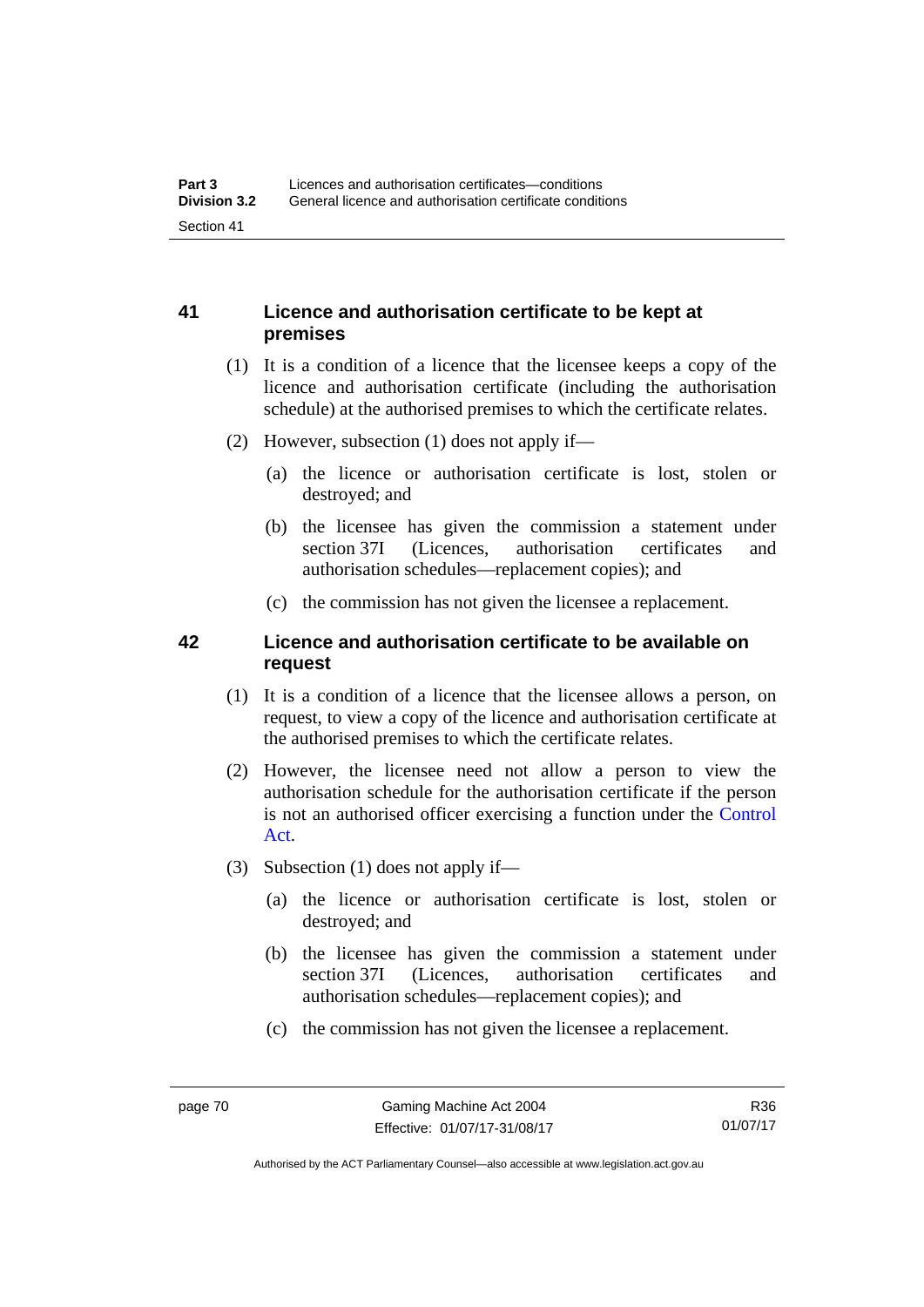### **41 Licence and authorisation certificate to be kept at premises**

- (1) It is a condition of a licence that the licensee keeps a copy of the licence and authorisation certificate (including the authorisation schedule) at the authorised premises to which the certificate relates.
- (2) However, subsection (1) does not apply if—
	- (a) the licence or authorisation certificate is lost, stolen or destroyed; and
	- (b) the licensee has given the commission a statement under section 37I (Licences, authorisation certificates and authorisation schedules—replacement copies); and
	- (c) the commission has not given the licensee a replacement.

### **42 Licence and authorisation certificate to be available on request**

- (1) It is a condition of a licence that the licensee allows a person, on request, to view a copy of the licence and authorisation certificate at the authorised premises to which the certificate relates.
- (2) However, the licensee need not allow a person to view the authorisation schedule for the authorisation certificate if the person is not an authorised officer exercising a function under the [Control](http://www.legislation.act.gov.au/a/1999-46)  [Act](http://www.legislation.act.gov.au/a/1999-46).
- (3) Subsection (1) does not apply if—
	- (a) the licence or authorisation certificate is lost, stolen or destroyed; and
	- (b) the licensee has given the commission a statement under section 37I (Licences, authorisation certificates and authorisation schedules—replacement copies); and
	- (c) the commission has not given the licensee a replacement.

R36 01/07/17

Authorised by the ACT Parliamentary Counsel—also accessible at www.legislation.act.gov.au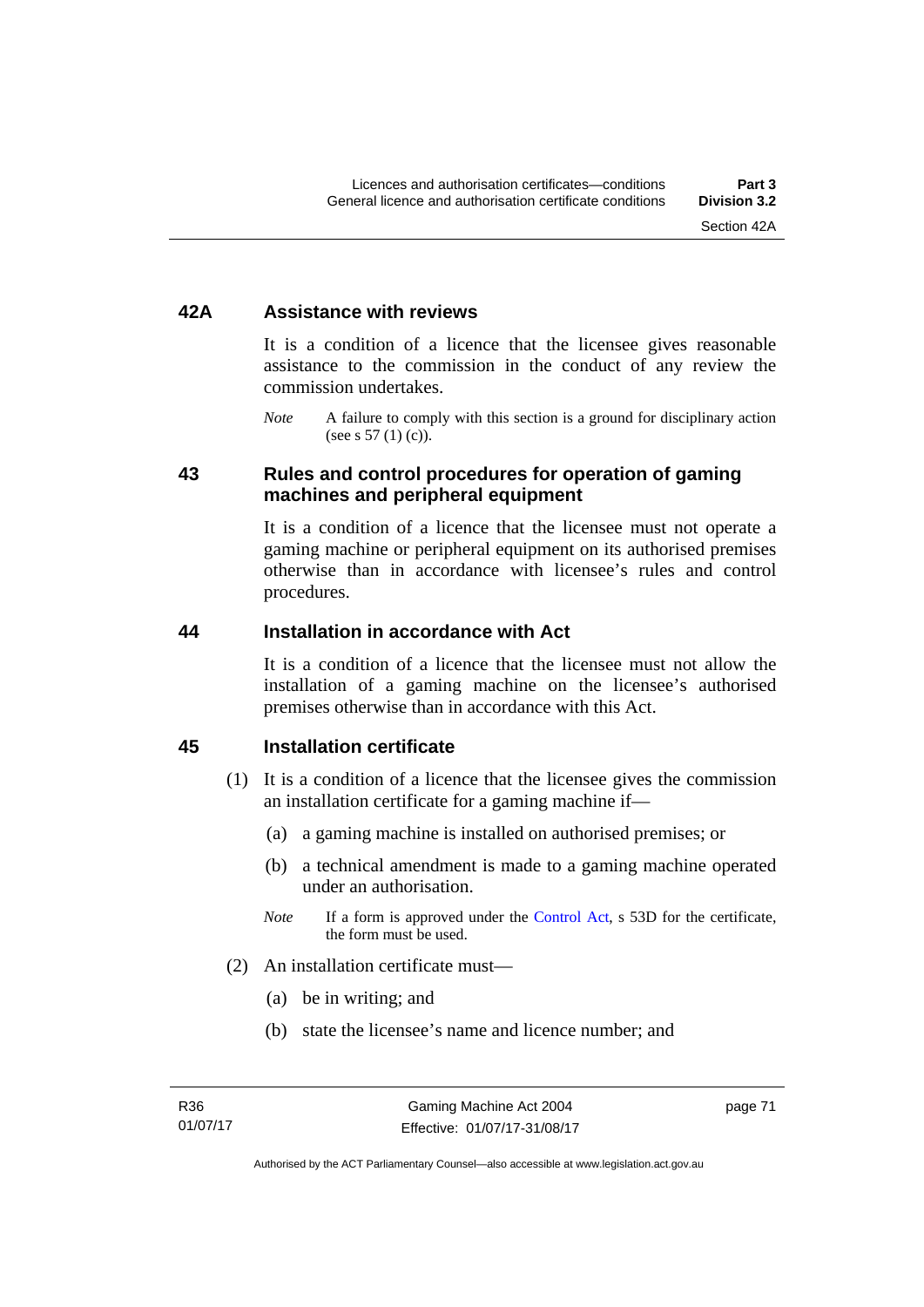#### **42A Assistance with reviews**

It is a condition of a licence that the licensee gives reasonable assistance to the commission in the conduct of any review the commission undertakes.

*Note* A failure to comply with this section is a ground for disciplinary action (see s  $57(1)(c)$ ).

#### **43 Rules and control procedures for operation of gaming machines and peripheral equipment**

It is a condition of a licence that the licensee must not operate a gaming machine or peripheral equipment on its authorised premises otherwise than in accordance with licensee's rules and control procedures.

#### **44 Installation in accordance with Act**

It is a condition of a licence that the licensee must not allow the installation of a gaming machine on the licensee's authorised premises otherwise than in accordance with this Act.

#### **45 Installation certificate**

- (1) It is a condition of a licence that the licensee gives the commission an installation certificate for a gaming machine if—
	- (a) a gaming machine is installed on authorised premises; or
	- (b) a technical amendment is made to a gaming machine operated under an authorisation.
	- *Note* If a form is approved under the [Control Act,](http://www.legislation.act.gov.au/a/1999-46) s 53D for the certificate, the form must be used.
- (2) An installation certificate must—
	- (a) be in writing; and
	- (b) state the licensee's name and licence number; and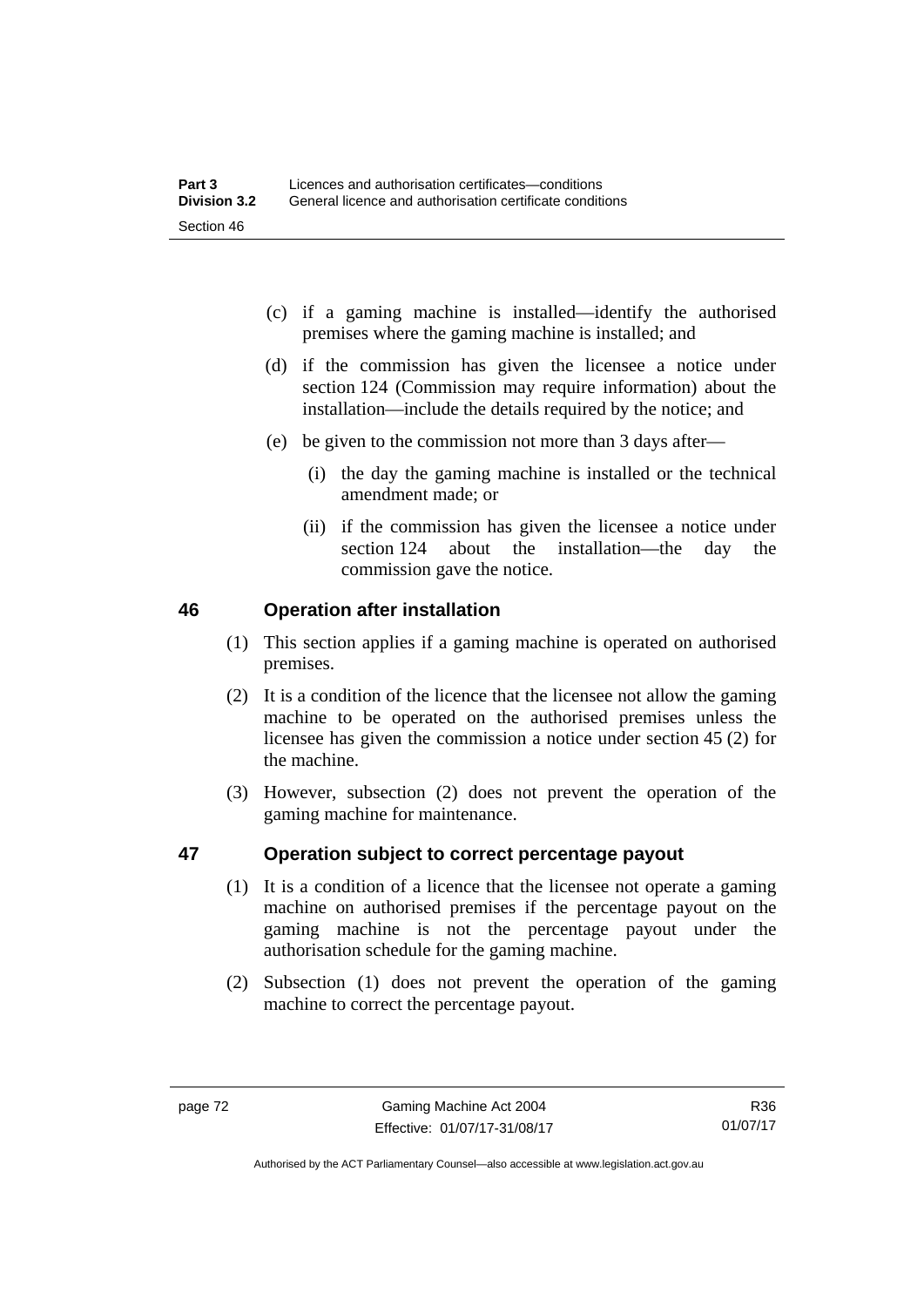- (c) if a gaming machine is installed—identify the authorised premises where the gaming machine is installed; and
- (d) if the commission has given the licensee a notice under section 124 (Commission may require information) about the installation—include the details required by the notice; and
- (e) be given to the commission not more than 3 days after—
	- (i) the day the gaming machine is installed or the technical amendment made; or
	- (ii) if the commission has given the licensee a notice under section 124 about the installation—the day the commission gave the notice.

#### **46 Operation after installation**

- (1) This section applies if a gaming machine is operated on authorised premises.
- (2) It is a condition of the licence that the licensee not allow the gaming machine to be operated on the authorised premises unless the licensee has given the commission a notice under section 45 (2) for the machine.
- (3) However, subsection (2) does not prevent the operation of the gaming machine for maintenance.

### **47 Operation subject to correct percentage payout**

- (1) It is a condition of a licence that the licensee not operate a gaming machine on authorised premises if the percentage payout on the gaming machine is not the percentage payout under the authorisation schedule for the gaming machine.
- (2) Subsection (1) does not prevent the operation of the gaming machine to correct the percentage payout.

R36 01/07/17

Authorised by the ACT Parliamentary Counsel—also accessible at www.legislation.act.gov.au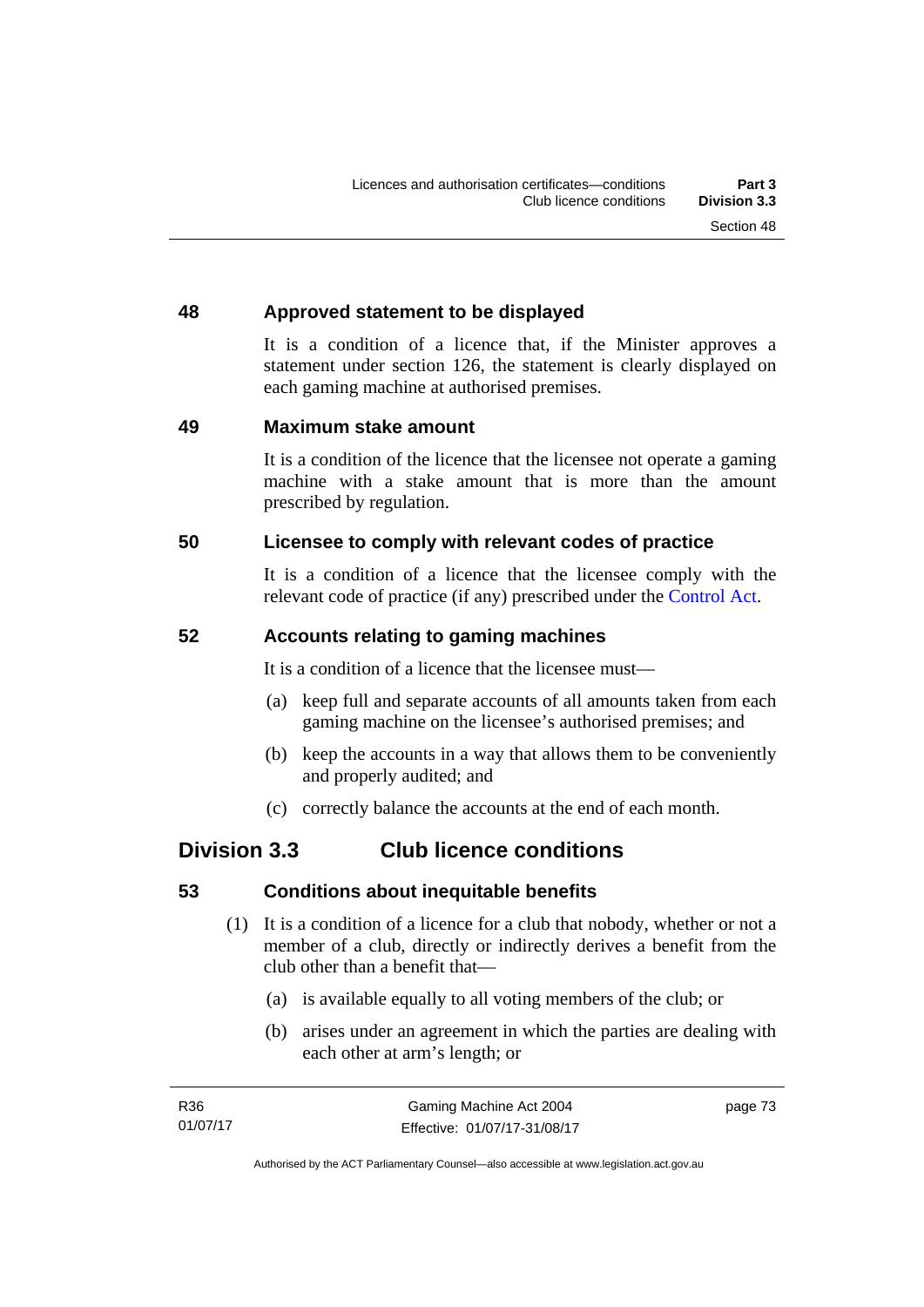### **48 Approved statement to be displayed**

It is a condition of a licence that, if the Minister approves a statement under section 126, the statement is clearly displayed on each gaming machine at authorised premises.

#### **49 Maximum stake amount**

It is a condition of the licence that the licensee not operate a gaming machine with a stake amount that is more than the amount prescribed by regulation.

### **50 Licensee to comply with relevant codes of practice**

It is a condition of a licence that the licensee comply with the relevant code of practice (if any) prescribed under the [Control Act.](http://www.legislation.act.gov.au/a/1999-46)

### **52 Accounts relating to gaming machines**

It is a condition of a licence that the licensee must—

- (a) keep full and separate accounts of all amounts taken from each gaming machine on the licensee's authorised premises; and
- (b) keep the accounts in a way that allows them to be conveniently and properly audited; and
- (c) correctly balance the accounts at the end of each month.

# **Division 3.3 Club licence conditions**

### **53 Conditions about inequitable benefits**

- (1) It is a condition of a licence for a club that nobody, whether or not a member of a club, directly or indirectly derives a benefit from the club other than a benefit that—
	- (a) is available equally to all voting members of the club; or
	- (b) arises under an agreement in which the parties are dealing with each other at arm's length; or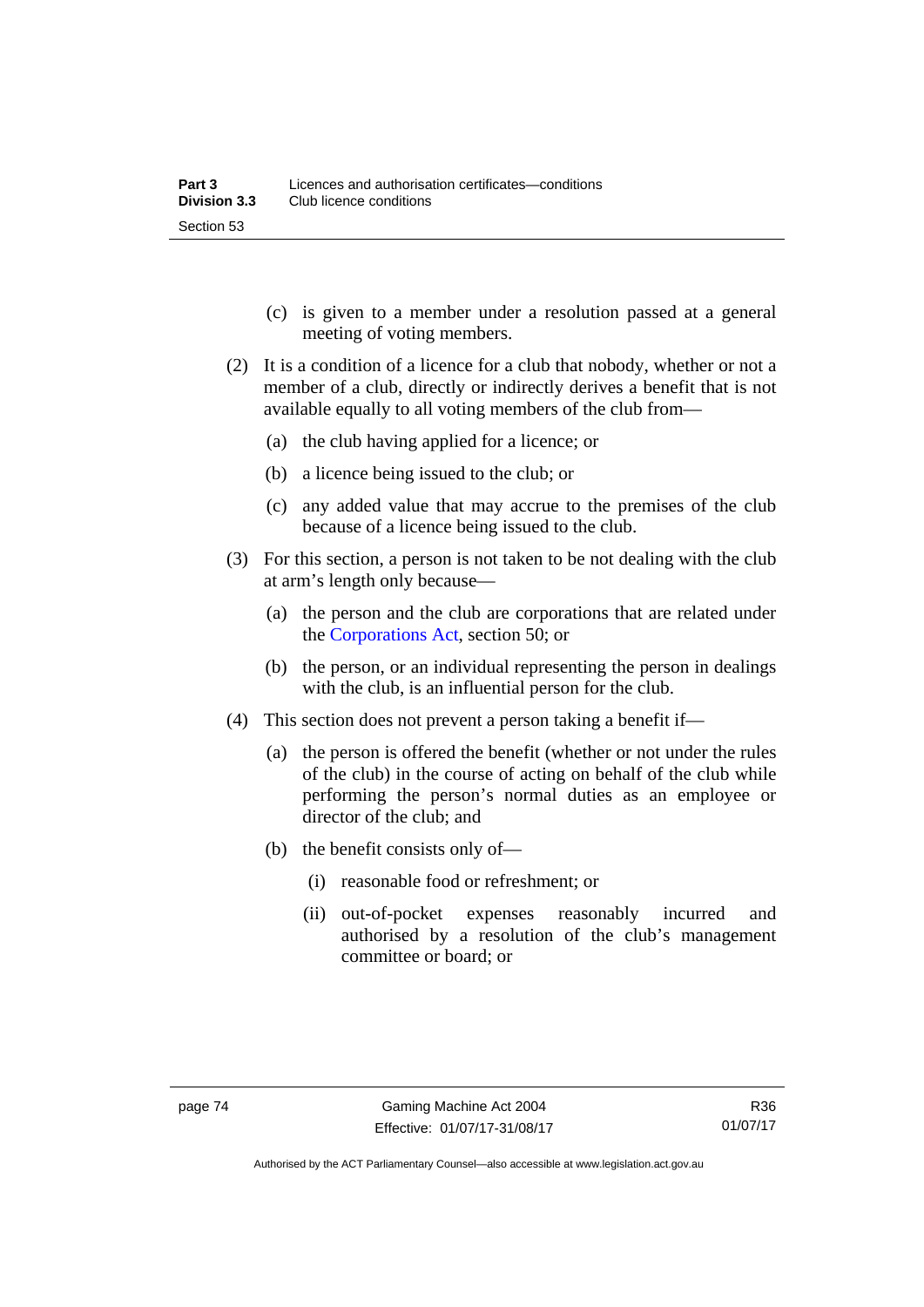- (c) is given to a member under a resolution passed at a general meeting of voting members.
- (2) It is a condition of a licence for a club that nobody, whether or not a member of a club, directly or indirectly derives a benefit that is not available equally to all voting members of the club from—
	- (a) the club having applied for a licence; or
	- (b) a licence being issued to the club; or
	- (c) any added value that may accrue to the premises of the club because of a licence being issued to the club.
- (3) For this section, a person is not taken to be not dealing with the club at arm's length only because—
	- (a) the person and the club are corporations that are related under the [Corporations Act,](http://www.comlaw.gov.au/Series/C2004A00818) section 50; or
	- (b) the person, or an individual representing the person in dealings with the club, is an influential person for the club.
- (4) This section does not prevent a person taking a benefit if—
	- (a) the person is offered the benefit (whether or not under the rules of the club) in the course of acting on behalf of the club while performing the person's normal duties as an employee or director of the club; and
	- (b) the benefit consists only of—
		- (i) reasonable food or refreshment; or
		- (ii) out-of-pocket expenses reasonably incurred and authorised by a resolution of the club's management committee or board; or

Authorised by the ACT Parliamentary Counsel—also accessible at www.legislation.act.gov.au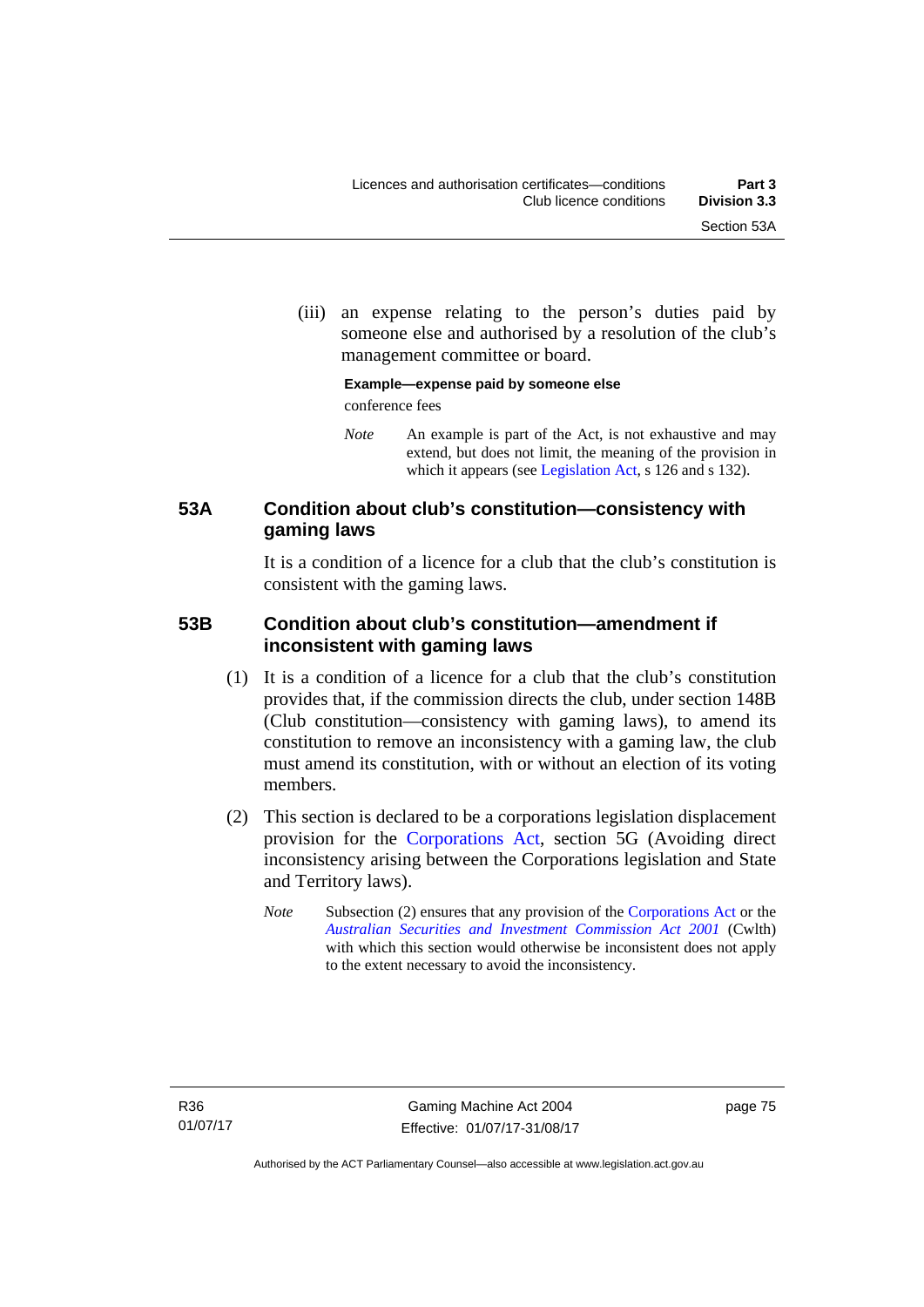(iii) an expense relating to the person's duties paid by someone else and authorised by a resolution of the club's management committee or board.

#### **Example—expense paid by someone else**  conference fees

*Note* An example is part of the Act, is not exhaustive and may extend, but does not limit, the meaning of the provision in which it appears (see [Legislation Act,](http://www.legislation.act.gov.au/a/2001-14) s 126 and s 132).

### **53A Condition about club's constitution—consistency with gaming laws**

It is a condition of a licence for a club that the club's constitution is consistent with the gaming laws.

### **53B Condition about club's constitution—amendment if inconsistent with gaming laws**

- (1) It is a condition of a licence for a club that the club's constitution provides that, if the commission directs the club, under section 148B (Club constitution—consistency with gaming laws), to amend its constitution to remove an inconsistency with a gaming law, the club must amend its constitution, with or without an election of its voting members.
- (2) This section is declared to be a corporations legislation displacement provision for the [Corporations Act](http://www.comlaw.gov.au/Series/C2004A00818), section 5G (Avoiding direct inconsistency arising between the Corporations legislation and State and Territory laws).
	- *Note* Subsection (2) ensures that any provision of the [Corporations Act](http://www.comlaw.gov.au/Series/C2004A00818) or the *[Australian Securities and Investment Commission Act 2001](http://www.comlaw.gov.au/Series/C2004A00819)* (Cwlth) with which this section would otherwise be inconsistent does not apply to the extent necessary to avoid the inconsistency.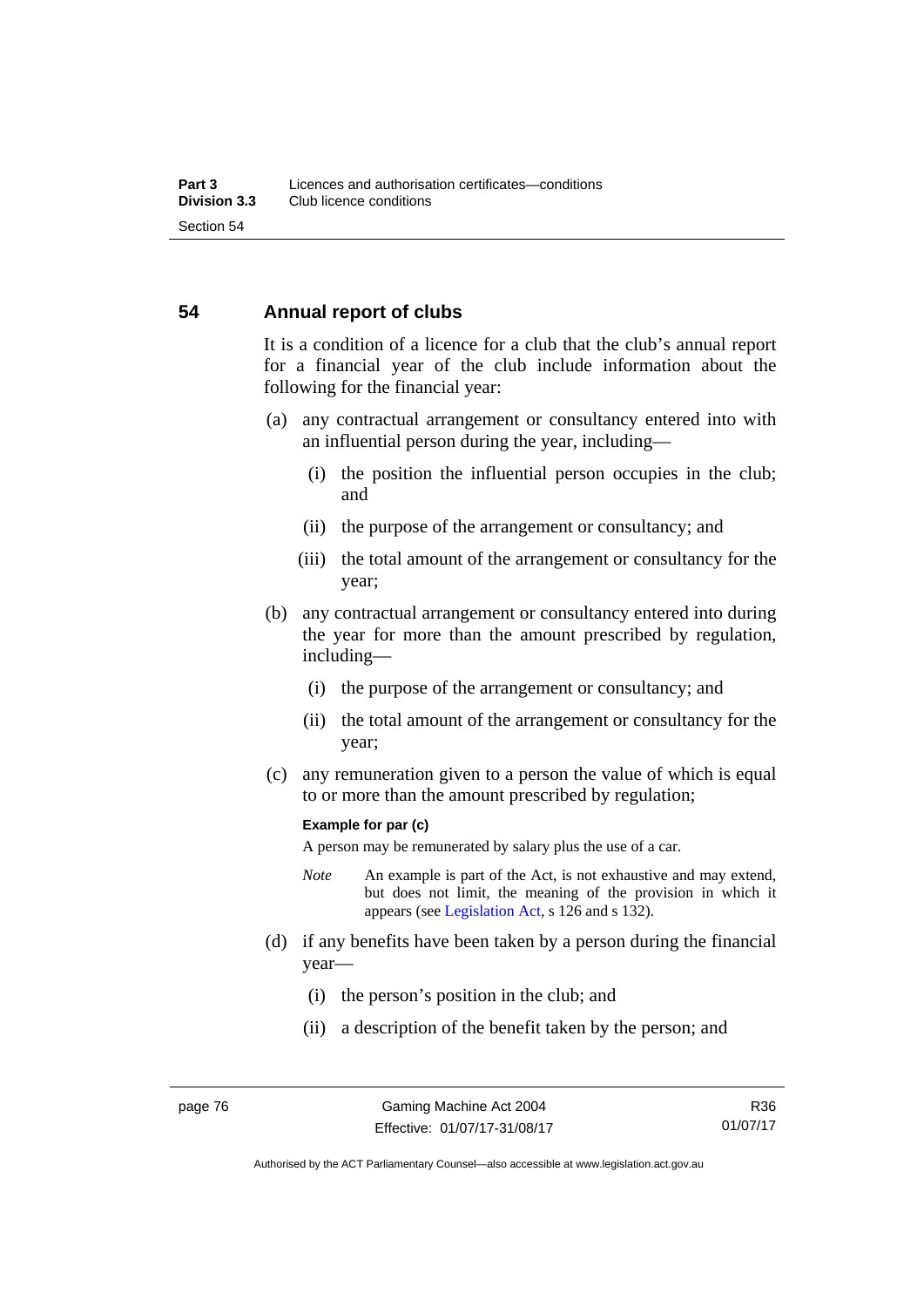#### **54 Annual report of clubs**

It is a condition of a licence for a club that the club's annual report for a financial year of the club include information about the following for the financial year:

- (a) any contractual arrangement or consultancy entered into with an influential person during the year, including—
	- (i) the position the influential person occupies in the club; and
	- (ii) the purpose of the arrangement or consultancy; and
	- (iii) the total amount of the arrangement or consultancy for the year;
- (b) any contractual arrangement or consultancy entered into during the year for more than the amount prescribed by regulation, including—
	- (i) the purpose of the arrangement or consultancy; and
	- (ii) the total amount of the arrangement or consultancy for the year;
- (c) any remuneration given to a person the value of which is equal to or more than the amount prescribed by regulation;

#### **Example for par (c)**

A person may be remunerated by salary plus the use of a car.

- *Note* An example is part of the Act, is not exhaustive and may extend, but does not limit, the meaning of the provision in which it appears (see [Legislation Act,](http://www.legislation.act.gov.au/a/2001-14) s 126 and s 132).
- (d) if any benefits have been taken by a person during the financial year—
	- (i) the person's position in the club; and
	- (ii) a description of the benefit taken by the person; and

Authorised by the ACT Parliamentary Counsel—also accessible at www.legislation.act.gov.au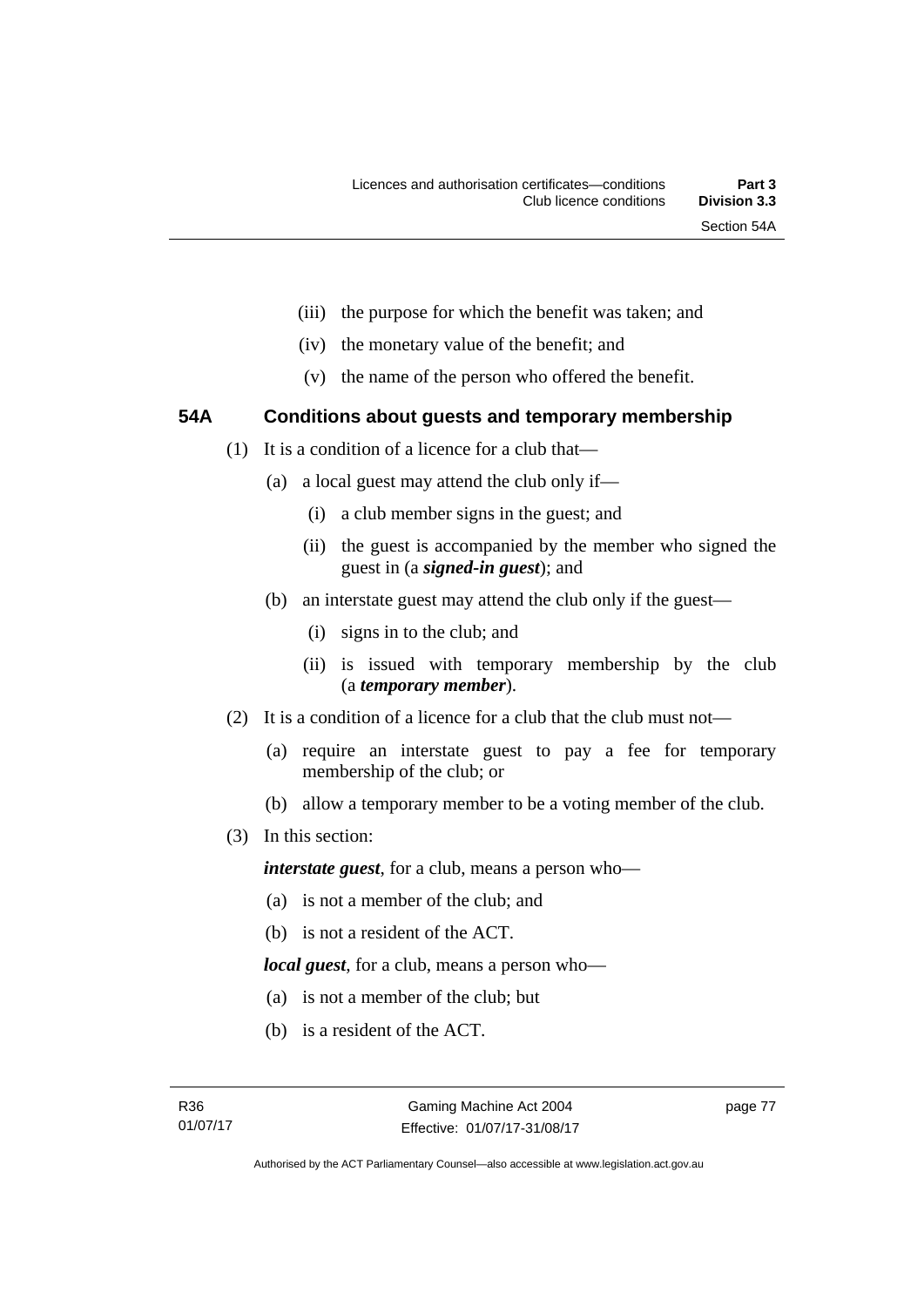- (iii) the purpose for which the benefit was taken; and
- (iv) the monetary value of the benefit; and
- (v) the name of the person who offered the benefit.

### **54A Conditions about guests and temporary membership**

- (1) It is a condition of a licence for a club that—
	- (a) a local guest may attend the club only if—
		- (i) a club member signs in the guest; and
		- (ii) the guest is accompanied by the member who signed the guest in (a *signed-in guest*); and
	- (b) an interstate guest may attend the club only if the guest—
		- (i) signs in to the club; and
		- (ii) is issued with temporary membership by the club (a *temporary member*).
- (2) It is a condition of a licence for a club that the club must not—
	- (a) require an interstate guest to pay a fee for temporary membership of the club; or
	- (b) allow a temporary member to be a voting member of the club.
- (3) In this section:

*interstate guest*, for a club, means a person who—

- (a) is not a member of the club; and
- (b) is not a resident of the ACT.

*local guest*, for a club, means a person who—

- (a) is not a member of the club; but
- (b) is a resident of the ACT.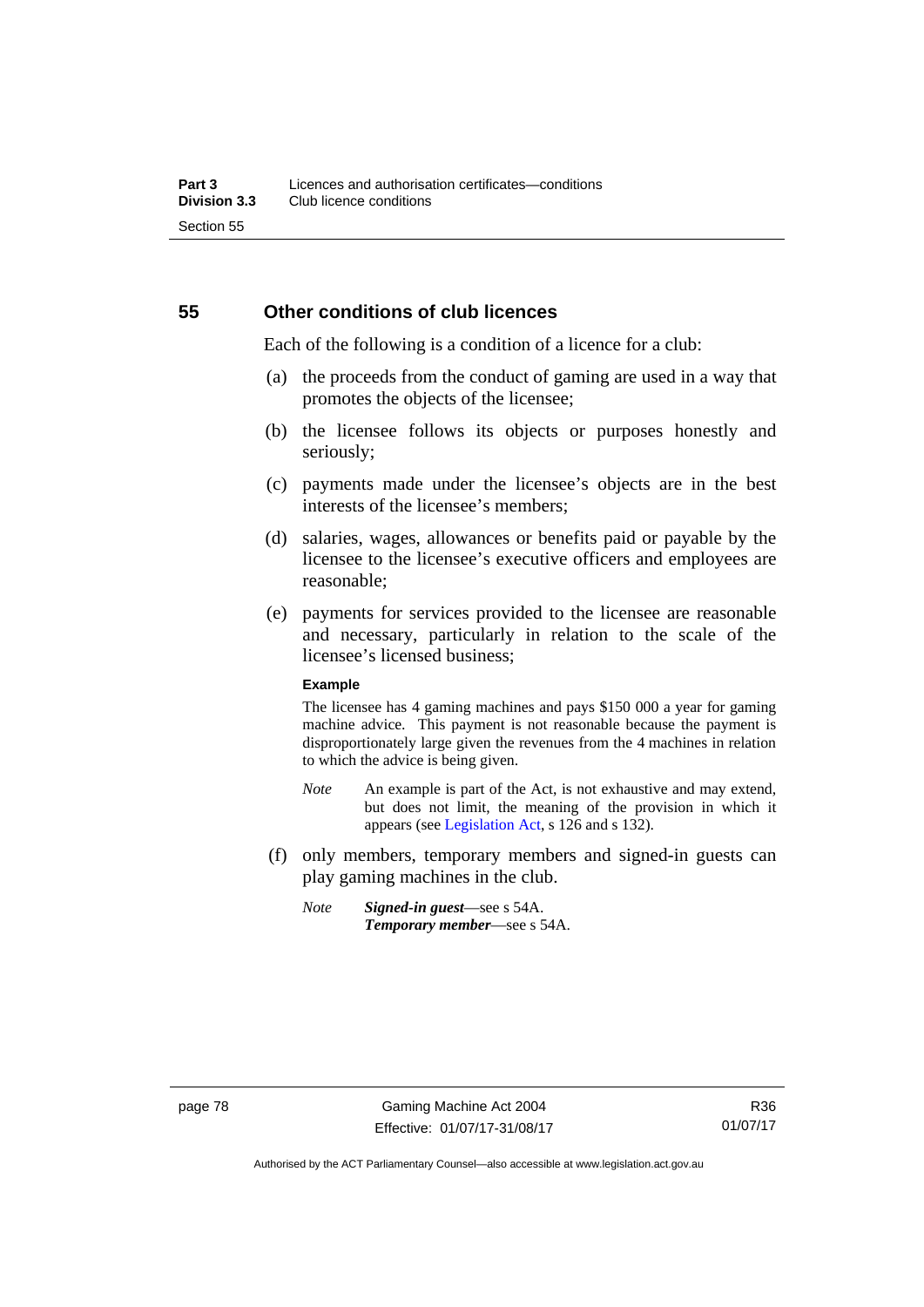#### **55 Other conditions of club licences**

Each of the following is a condition of a licence for a club:

- (a) the proceeds from the conduct of gaming are used in a way that promotes the objects of the licensee;
- (b) the licensee follows its objects or purposes honestly and seriously;
- (c) payments made under the licensee's objects are in the best interests of the licensee's members;
- (d) salaries, wages, allowances or benefits paid or payable by the licensee to the licensee's executive officers and employees are reasonable;
- (e) payments for services provided to the licensee are reasonable and necessary, particularly in relation to the scale of the licensee's licensed business;

#### **Example**

The licensee has 4 gaming machines and pays \$150 000 a year for gaming machine advice. This payment is not reasonable because the payment is disproportionately large given the revenues from the 4 machines in relation to which the advice is being given.

- *Note* An example is part of the Act, is not exhaustive and may extend, but does not limit, the meaning of the provision in which it appears (see [Legislation Act,](http://www.legislation.act.gov.au/a/2001-14) s 126 and s 132).
- (f) only members, temporary members and signed-in guests can play gaming machines in the club.
	- *Note Signed-in guest*—see s 54A. *Temporary member*—see s 54A.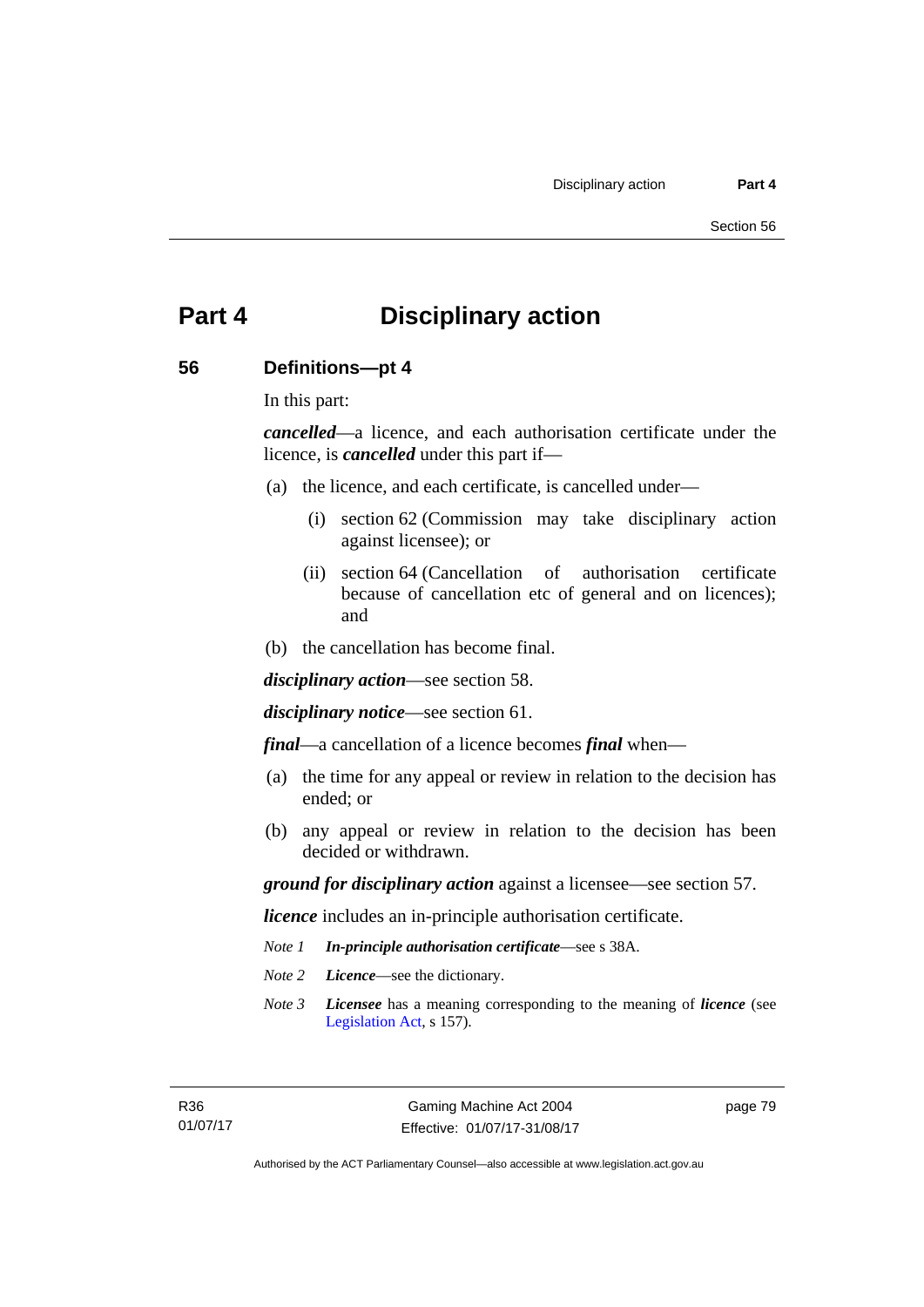# **Part 4 Disciplinary action**

#### **56 Definitions—pt 4**

In this part:

*cancelled*—a licence, and each authorisation certificate under the licence, is *cancelled* under this part if—

- (a) the licence, and each certificate, is cancelled under—
	- (i) section 62 (Commission may take disciplinary action against licensee); or
	- (ii) section 64 (Cancellation of authorisation certificate because of cancellation etc of general and on licences); and
- (b) the cancellation has become final.

*disciplinary action*—see section 58.

*disciplinary notice*—see section 61.

*final*—a cancellation of a licence becomes *final* when—

- (a) the time for any appeal or review in relation to the decision has ended; or
- (b) any appeal or review in relation to the decision has been decided or withdrawn.

*ground for disciplinary action* against a licensee—see section 57.

*licence* includes an in-principle authorisation certificate.

- *Note 1 In-principle authorisation certificate*—see s 38A.
- *Note 2 Licence*—see the dictionary.
- *Note 3 Licensee* has a meaning corresponding to the meaning of *licence* (see [Legislation Act,](http://www.legislation.act.gov.au/a/2001-14) s 157).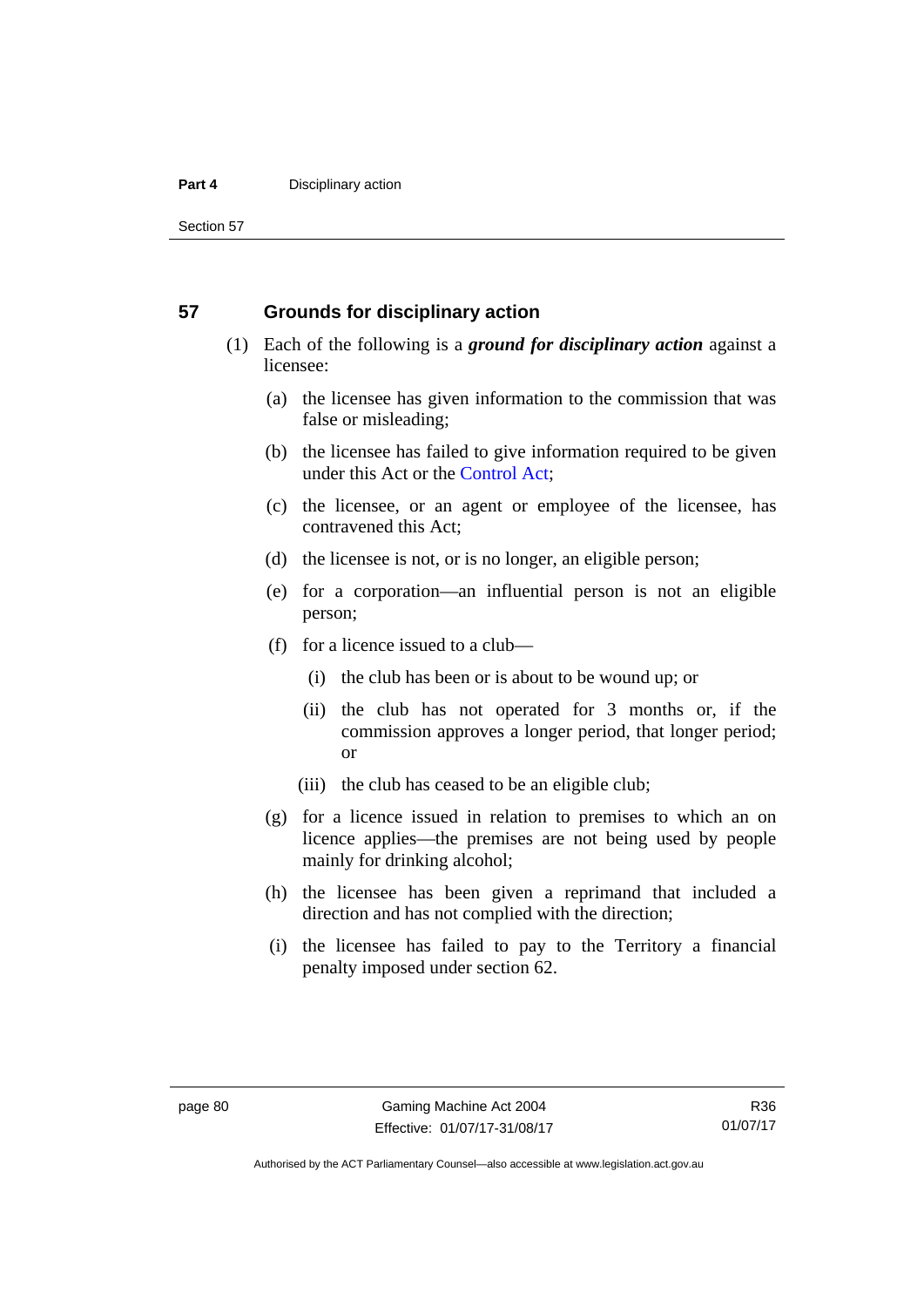#### **Part 4 Disciplinary action**

Section 57

#### **57 Grounds for disciplinary action**

- (1) Each of the following is a *ground for disciplinary action* against a licensee:
	- (a) the licensee has given information to the commission that was false or misleading;
	- (b) the licensee has failed to give information required to be given under this Act or the [Control Act;](http://www.legislation.act.gov.au/a/1999-46)
	- (c) the licensee, or an agent or employee of the licensee, has contravened this Act;
	- (d) the licensee is not, or is no longer, an eligible person;
	- (e) for a corporation—an influential person is not an eligible person;
	- (f) for a licence issued to a club—
		- (i) the club has been or is about to be wound up; or
		- (ii) the club has not operated for 3 months or, if the commission approves a longer period, that longer period; or
		- (iii) the club has ceased to be an eligible club;
	- (g) for a licence issued in relation to premises to which an on licence applies—the premises are not being used by people mainly for drinking alcohol;
	- (h) the licensee has been given a reprimand that included a direction and has not complied with the direction;
	- (i) the licensee has failed to pay to the Territory a financial penalty imposed under section 62.

R36 01/07/17

Authorised by the ACT Parliamentary Counsel—also accessible at www.legislation.act.gov.au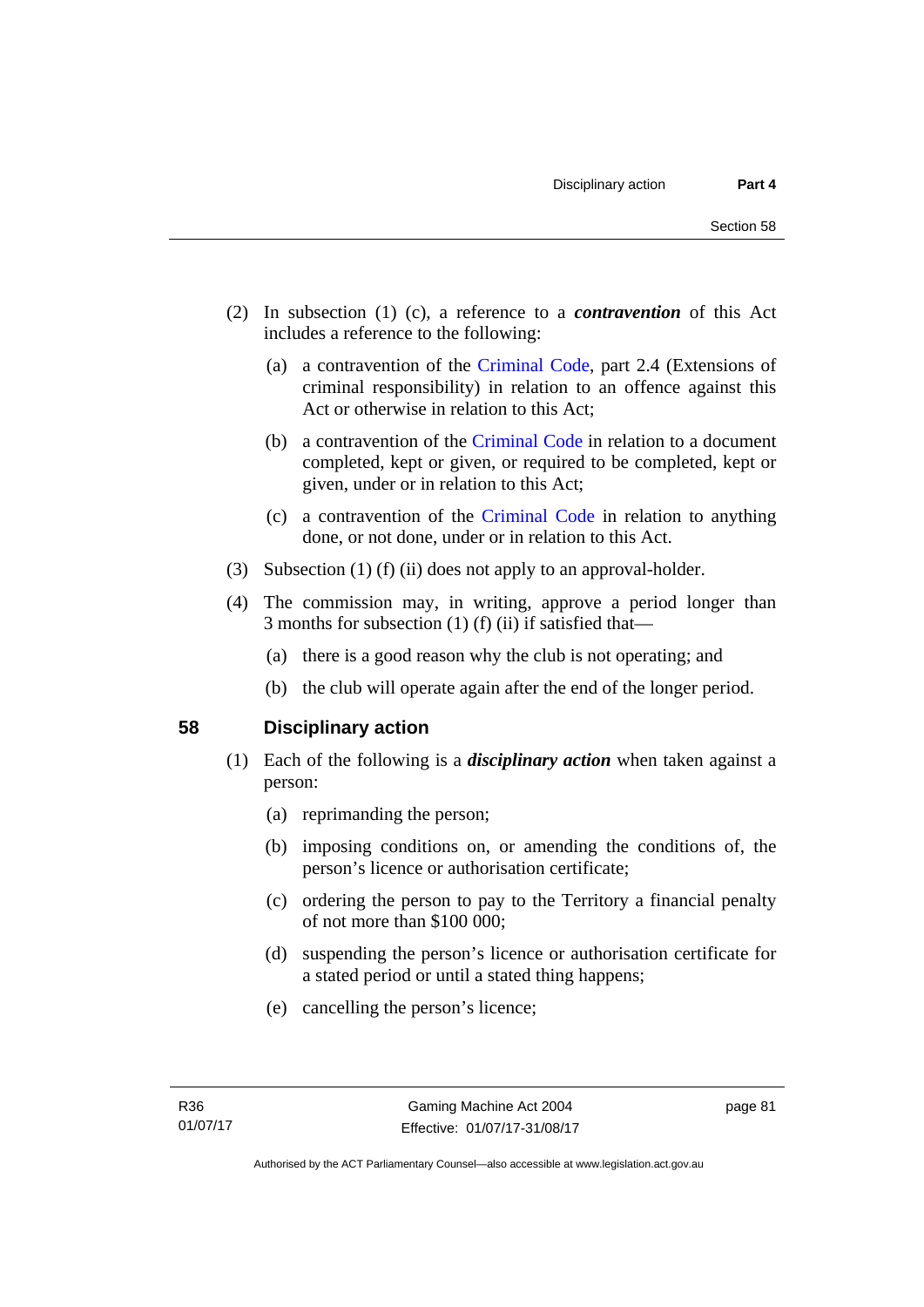- (2) In subsection (1) (c), a reference to a *contravention* of this Act includes a reference to the following:
	- (a) a contravention of the [Criminal Code](http://www.legislation.act.gov.au/a/2002-51), part 2.4 (Extensions of criminal responsibility) in relation to an offence against this Act or otherwise in relation to this Act;
	- (b) a contravention of the [Criminal Code](http://www.legislation.act.gov.au/a/2002-51) in relation to a document completed, kept or given, or required to be completed, kept or given, under or in relation to this Act;
	- (c) a contravention of the [Criminal Code](http://www.legislation.act.gov.au/a/2002-51) in relation to anything done, or not done, under or in relation to this Act.
- (3) Subsection (1) (f) (ii) does not apply to an approval-holder.
- (4) The commission may, in writing, approve a period longer than 3 months for subsection (1) (f) (ii) if satisfied that—
	- (a) there is a good reason why the club is not operating; and
	- (b) the club will operate again after the end of the longer period.

#### **58 Disciplinary action**

- (1) Each of the following is a *disciplinary action* when taken against a person:
	- (a) reprimanding the person;
	- (b) imposing conditions on, or amending the conditions of, the person's licence or authorisation certificate;
	- (c) ordering the person to pay to the Territory a financial penalty of not more than \$100 000;
	- (d) suspending the person's licence or authorisation certificate for a stated period or until a stated thing happens;
	- (e) cancelling the person's licence;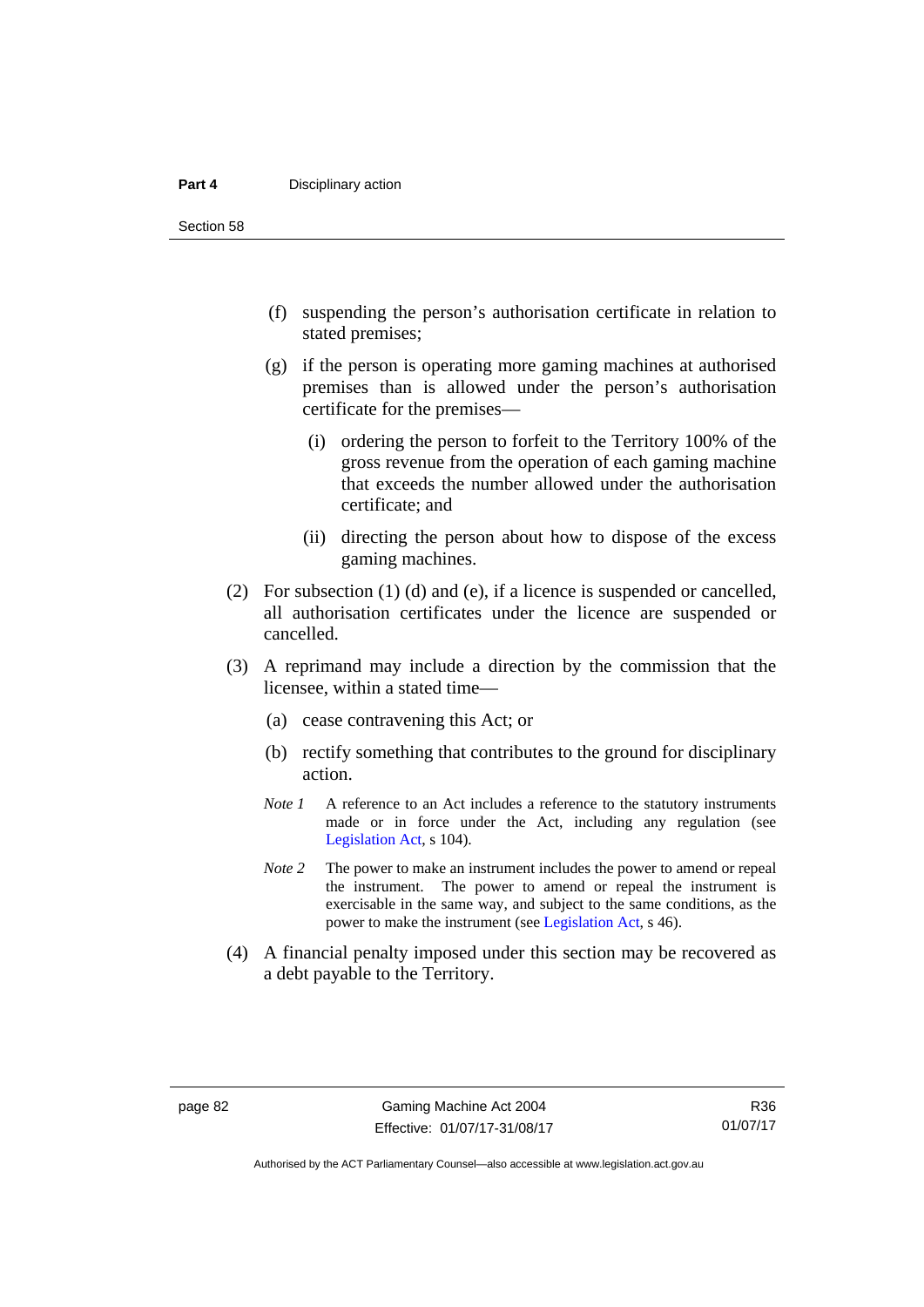#### **Part 4 Disciplinary action**

Section 58

- (f) suspending the person's authorisation certificate in relation to stated premises;
- (g) if the person is operating more gaming machines at authorised premises than is allowed under the person's authorisation certificate for the premises—
	- (i) ordering the person to forfeit to the Territory 100% of the gross revenue from the operation of each gaming machine that exceeds the number allowed under the authorisation certificate; and
	- (ii) directing the person about how to dispose of the excess gaming machines.
- (2) For subsection (1) (d) and (e), if a licence is suspended or cancelled, all authorisation certificates under the licence are suspended or cancelled.
- (3) A reprimand may include a direction by the commission that the licensee, within a stated time—
	- (a) cease contravening this Act; or
	- (b) rectify something that contributes to the ground for disciplinary action.
	- *Note 1* A reference to an Act includes a reference to the statutory instruments made or in force under the Act, including any regulation (see [Legislation Act,](http://www.legislation.act.gov.au/a/2001-14) s 104).
	- *Note 2* The power to make an instrument includes the power to amend or repeal the instrument. The power to amend or repeal the instrument is exercisable in the same way, and subject to the same conditions, as the power to make the instrument (see [Legislation Act,](http://www.legislation.act.gov.au/a/2001-14) s 46).
- (4) A financial penalty imposed under this section may be recovered as a debt payable to the Territory.

Authorised by the ACT Parliamentary Counsel—also accessible at www.legislation.act.gov.au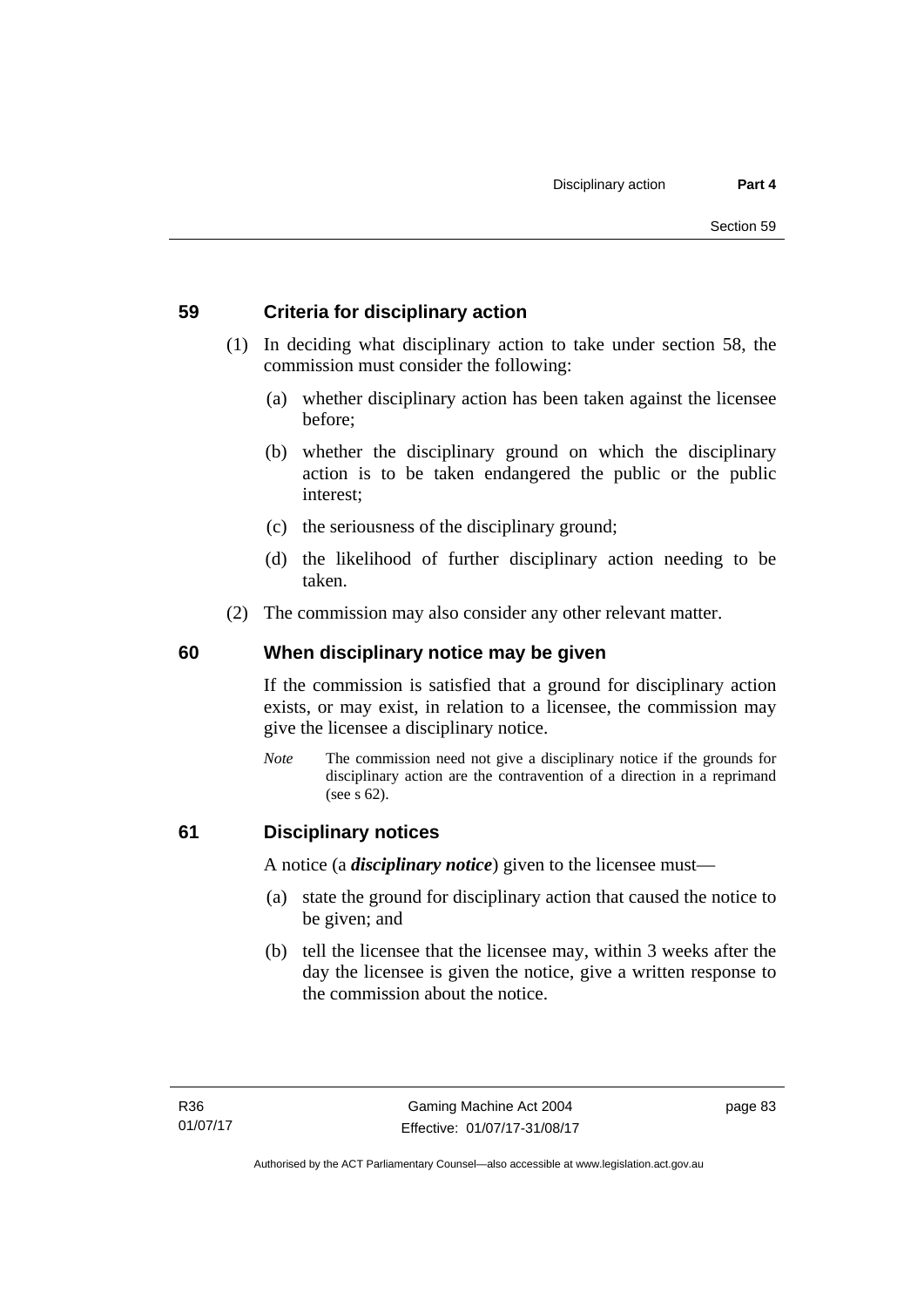### **59 Criteria for disciplinary action**

- (1) In deciding what disciplinary action to take under section 58, the commission must consider the following:
	- (a) whether disciplinary action has been taken against the licensee before;
	- (b) whether the disciplinary ground on which the disciplinary action is to be taken endangered the public or the public interest;
	- (c) the seriousness of the disciplinary ground;
	- (d) the likelihood of further disciplinary action needing to be taken.
- (2) The commission may also consider any other relevant matter.

#### **60 When disciplinary notice may be given**

If the commission is satisfied that a ground for disciplinary action exists, or may exist, in relation to a licensee, the commission may give the licensee a disciplinary notice.

*Note* The commission need not give a disciplinary notice if the grounds for disciplinary action are the contravention of a direction in a reprimand (see s 62).

#### **61 Disciplinary notices**

A notice (a *disciplinary notice*) given to the licensee must—

- (a) state the ground for disciplinary action that caused the notice to be given; and
- (b) tell the licensee that the licensee may, within 3 weeks after the day the licensee is given the notice, give a written response to the commission about the notice.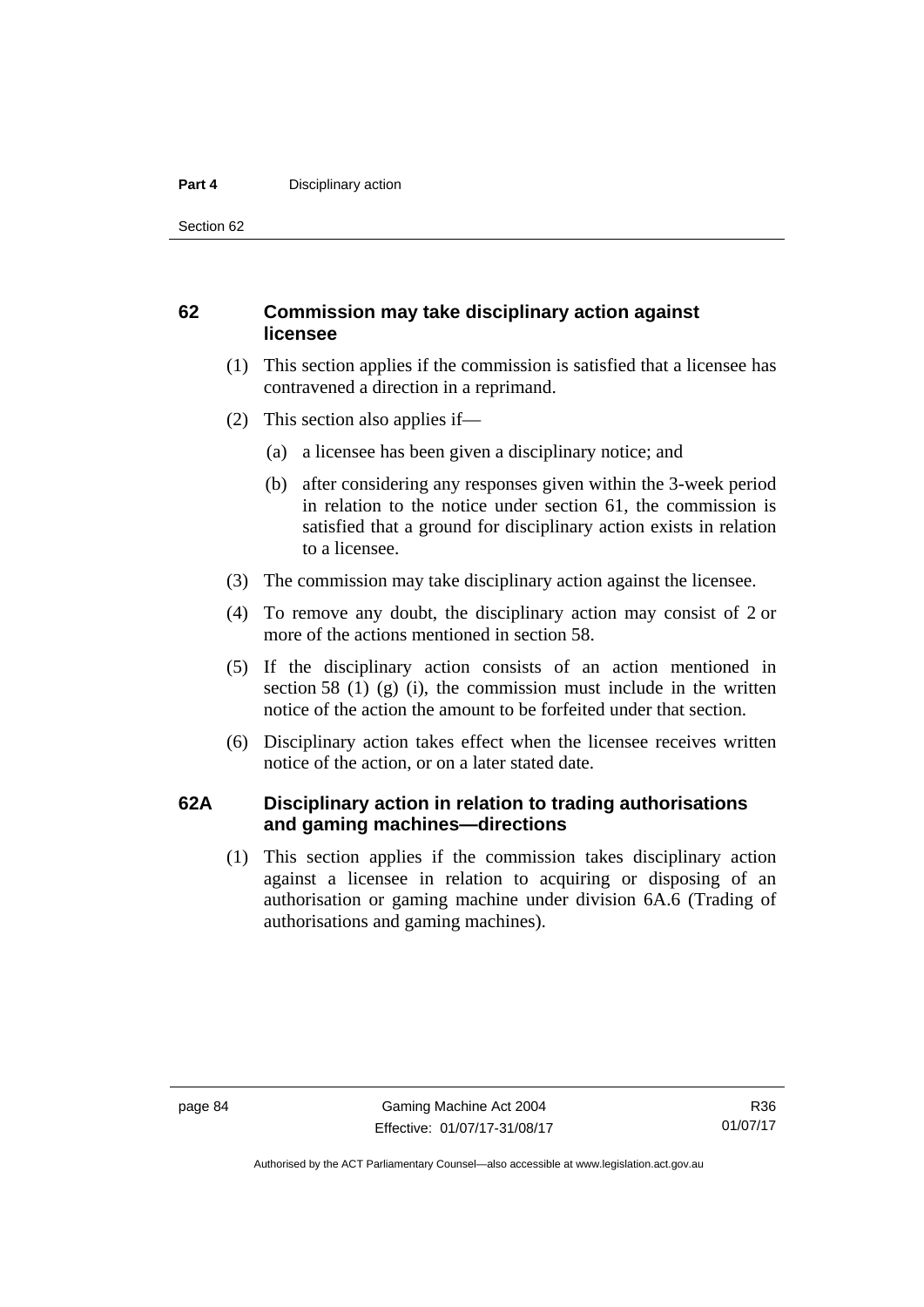#### **Part 4 Disciplinary action**

Section 62

#### **62 Commission may take disciplinary action against licensee**

- (1) This section applies if the commission is satisfied that a licensee has contravened a direction in a reprimand.
- (2) This section also applies if—
	- (a) a licensee has been given a disciplinary notice; and
	- (b) after considering any responses given within the 3-week period in relation to the notice under section 61, the commission is satisfied that a ground for disciplinary action exists in relation to a licensee.
- (3) The commission may take disciplinary action against the licensee.
- (4) To remove any doubt, the disciplinary action may consist of 2 or more of the actions mentioned in section 58.
- (5) If the disciplinary action consists of an action mentioned in section 58 (1) (g) (i), the commission must include in the written notice of the action the amount to be forfeited under that section.
- (6) Disciplinary action takes effect when the licensee receives written notice of the action, or on a later stated date.

#### **62A Disciplinary action in relation to trading authorisations and gaming machines—directions**

(1) This section applies if the commission takes disciplinary action against a licensee in relation to acquiring or disposing of an authorisation or gaming machine under division 6A.6 (Trading of authorisations and gaming machines).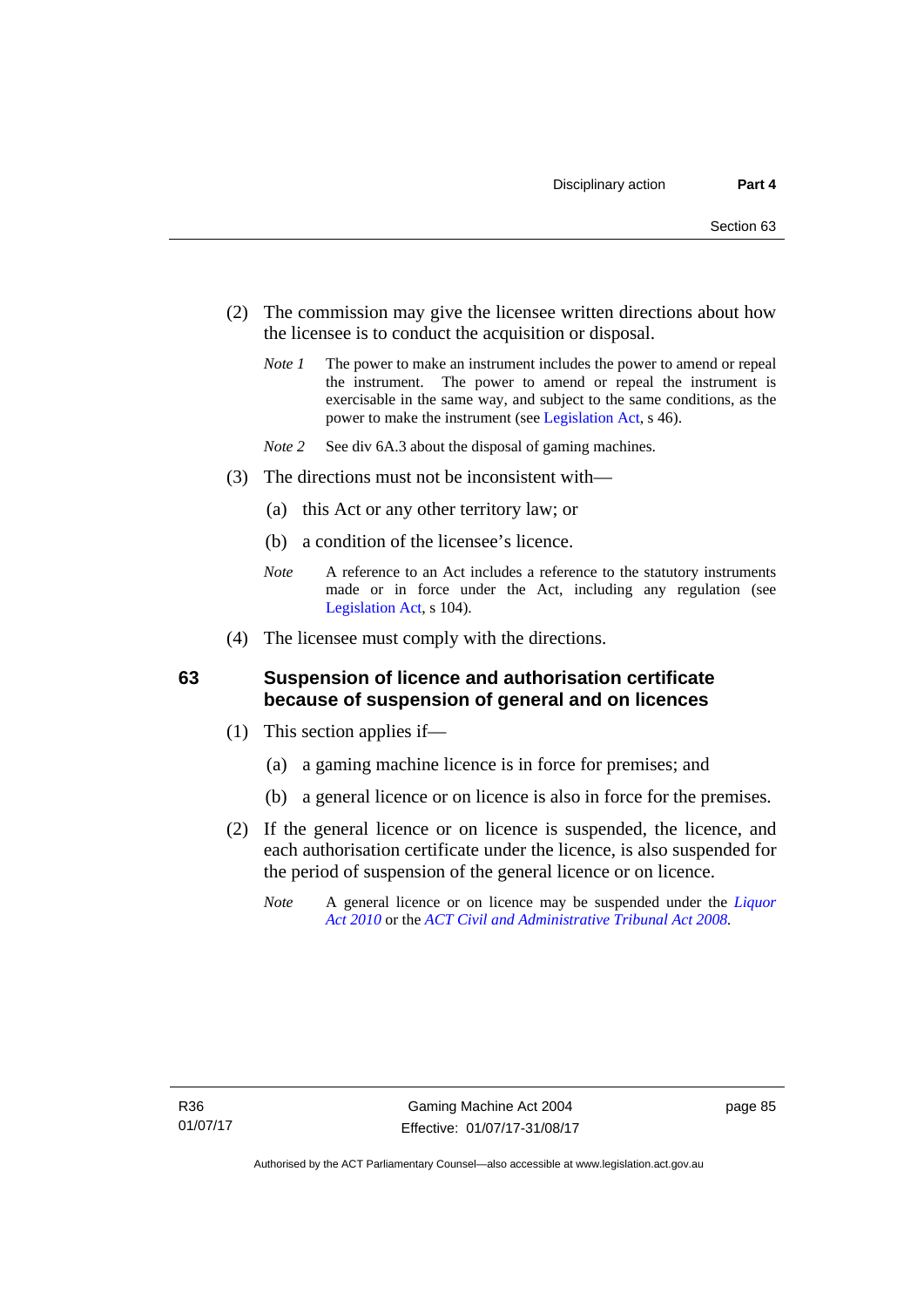- (2) The commission may give the licensee written directions about how the licensee is to conduct the acquisition or disposal.
	- *Note 1* The power to make an instrument includes the power to amend or repeal the instrument. The power to amend or repeal the instrument is exercisable in the same way, and subject to the same conditions, as the power to make the instrument (see [Legislation Act,](http://www.legislation.act.gov.au/a/2001-14) s 46).
	- *Note 2* See div 6A.3 about the disposal of gaming machines.
- (3) The directions must not be inconsistent with—
	- (a) this Act or any other territory law; or
	- (b) a condition of the licensee's licence.
	- *Note* A reference to an Act includes a reference to the statutory instruments made or in force under the Act, including any regulation (see [Legislation Act,](http://www.legislation.act.gov.au/a/2001-14) s 104).
- (4) The licensee must comply with the directions.

#### **63 Suspension of licence and authorisation certificate because of suspension of general and on licences**

- (1) This section applies if—
	- (a) a gaming machine licence is in force for premises; and
	- (b) a general licence or on licence is also in force for the premises.
- (2) If the general licence or on licence is suspended, the licence, and each authorisation certificate under the licence, is also suspended for the period of suspension of the general licence or on licence.
	- *Note* A general licence or on licence may be suspended under the *[Liquor](http://www.legislation.act.gov.au/a/2010-35)  [Act 2010](http://www.legislation.act.gov.au/a/2010-35)* or the *[ACT Civil and Administrative Tribunal Act 2008.](http://www.legislation.act.gov.au/a/2008-35)*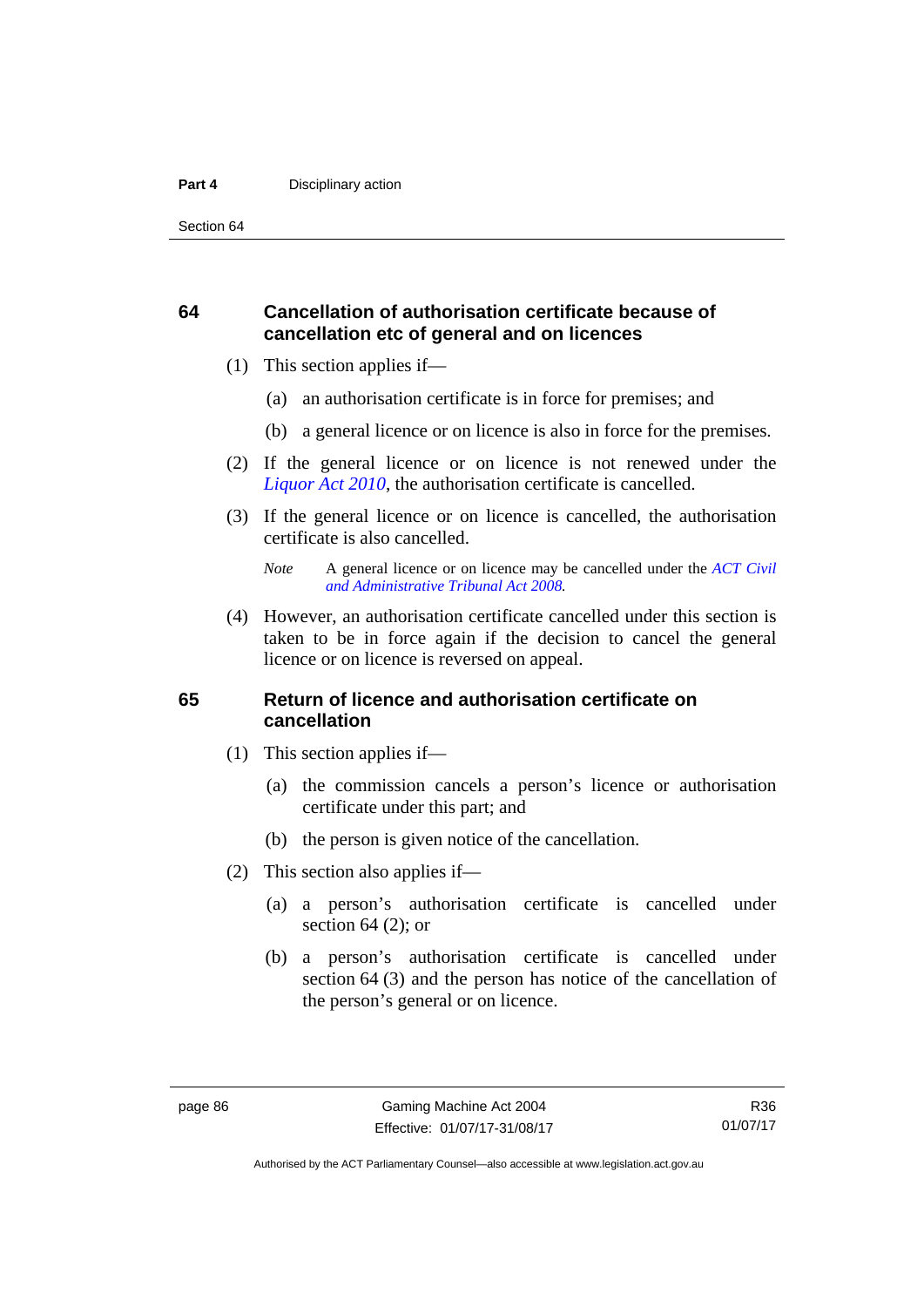#### **Part 4 Disciplinary action**

Section 64

#### **64 Cancellation of authorisation certificate because of cancellation etc of general and on licences**

- (1) This section applies if—
	- (a) an authorisation certificate is in force for premises; and
	- (b) a general licence or on licence is also in force for the premises.
- (2) If the general licence or on licence is not renewed under the *[Liquor Act 2010](http://www.legislation.act.gov.au/a/2010-35)*, the authorisation certificate is cancelled.
- (3) If the general licence or on licence is cancelled, the authorisation certificate is also cancelled.

 (4) However, an authorisation certificate cancelled under this section is taken to be in force again if the decision to cancel the general licence or on licence is reversed on appeal.

#### **65 Return of licence and authorisation certificate on cancellation**

- (1) This section applies if—
	- (a) the commission cancels a person's licence or authorisation certificate under this part; and
	- (b) the person is given notice of the cancellation.
- (2) This section also applies if—
	- (a) a person's authorisation certificate is cancelled under section  $64$  (2); or
	- (b) a person's authorisation certificate is cancelled under section 64 (3) and the person has notice of the cancellation of the person's general or on licence.

*Note* A general licence or on licence may be cancelled under the *[ACT Civil](http://www.legislation.act.gov.au/a/2008-35)  [and Administrative Tribunal Act 2008](http://www.legislation.act.gov.au/a/2008-35).*

R36 01/07/17

Authorised by the ACT Parliamentary Counsel—also accessible at www.legislation.act.gov.au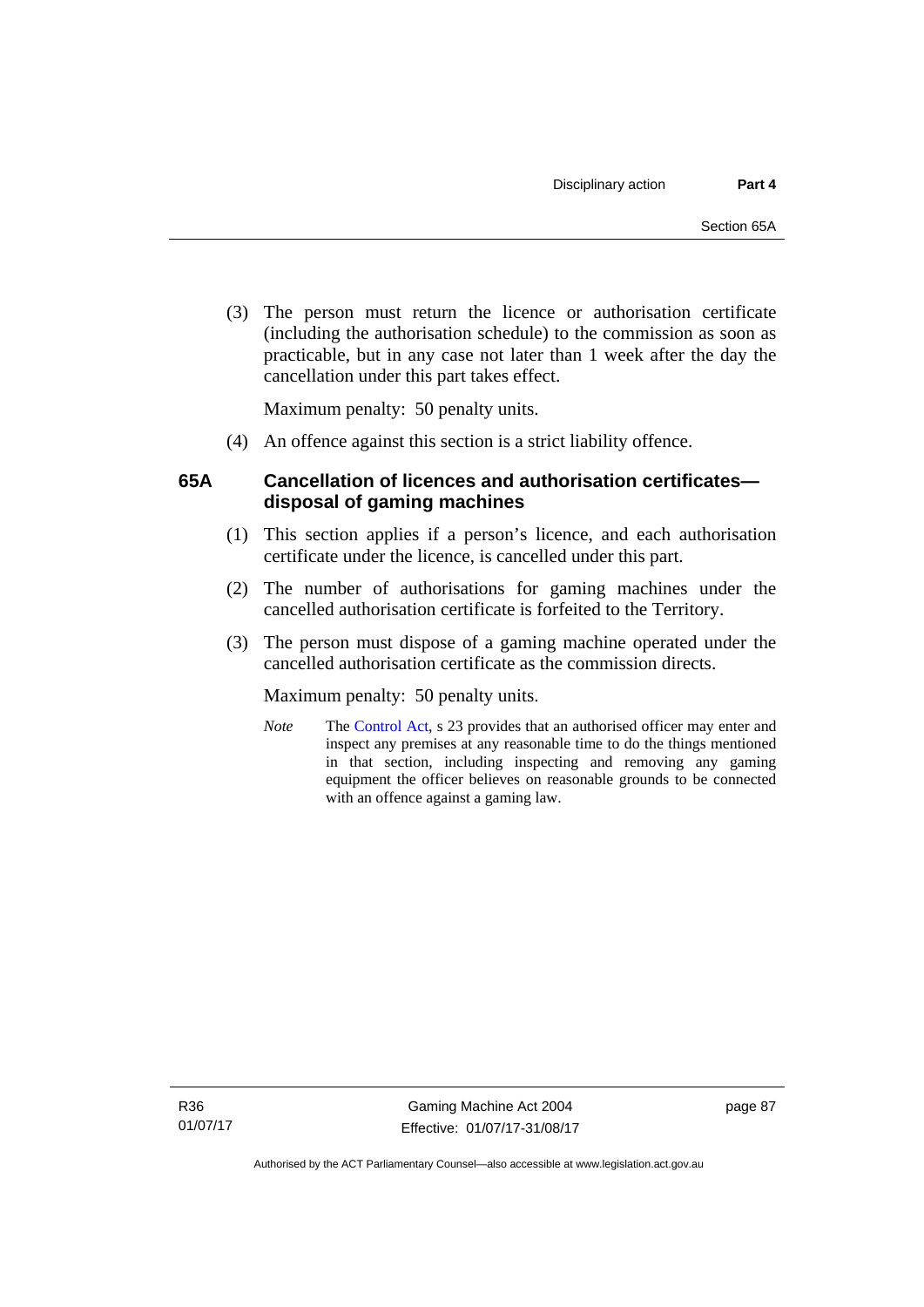(3) The person must return the licence or authorisation certificate (including the authorisation schedule) to the commission as soon as practicable, but in any case not later than 1 week after the day the cancellation under this part takes effect.

Maximum penalty: 50 penalty units.

(4) An offence against this section is a strict liability offence.

### **65A Cancellation of licences and authorisation certificates disposal of gaming machines**

- (1) This section applies if a person's licence, and each authorisation certificate under the licence, is cancelled under this part.
- (2) The number of authorisations for gaming machines under the cancelled authorisation certificate is forfeited to the Territory.
- (3) The person must dispose of a gaming machine operated under the cancelled authorisation certificate as the commission directs.

Maximum penalty: 50 penalty units.

*Note* The [Control Act](http://www.legislation.act.gov.au/a/1999-46/default.asp), s 23 provides that an authorised officer may enter and inspect any premises at any reasonable time to do the things mentioned in that section, including inspecting and removing any gaming equipment the officer believes on reasonable grounds to be connected with an offence against a gaming law.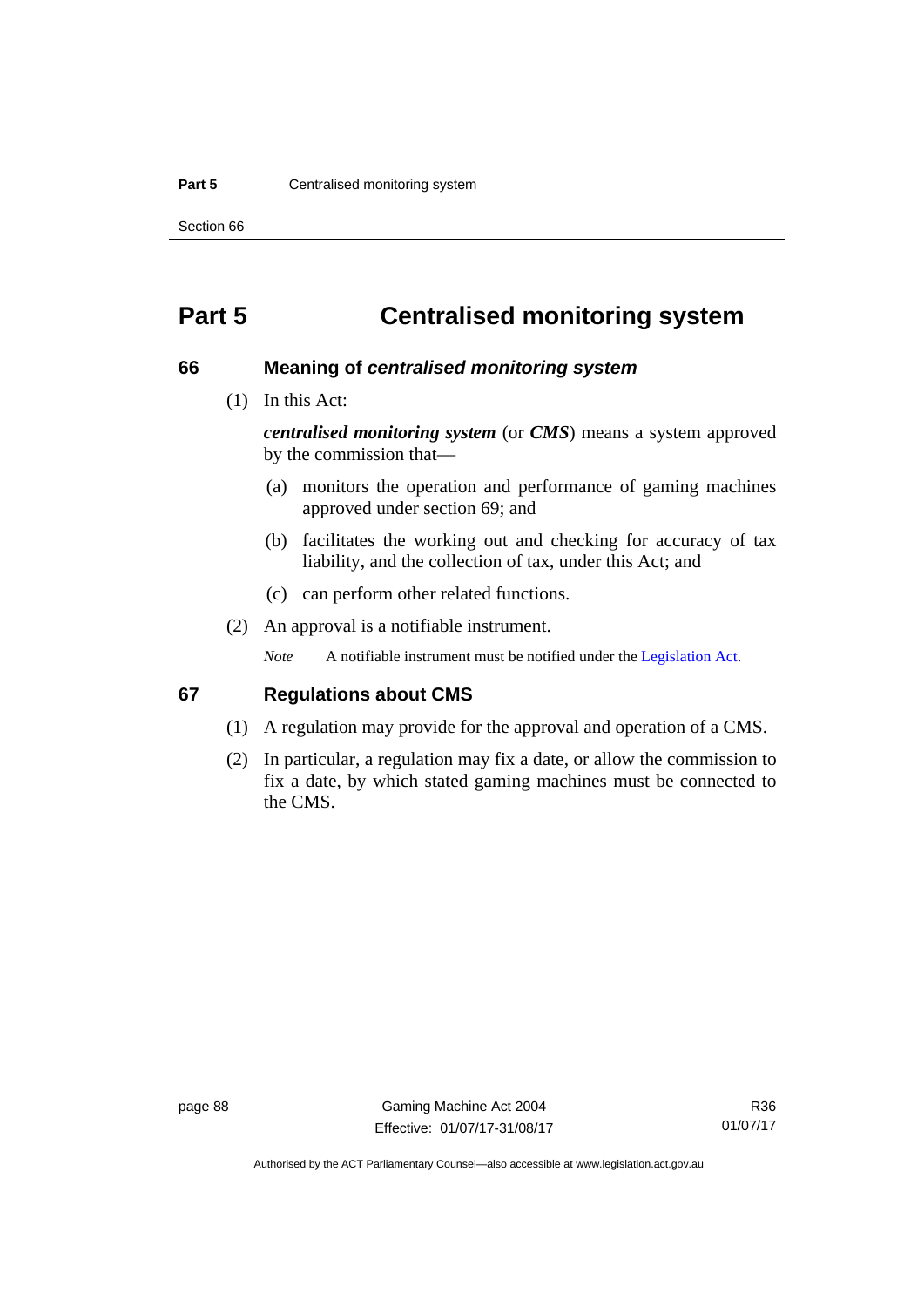#### **Part 5 Centralised monitoring system**

Section 66

# **Part 5 Centralised monitoring system**

#### **66 Meaning of** *centralised monitoring system*

(1) In this Act:

*centralised monitoring system* (or *CMS*) means a system approved by the commission that—

- (a) monitors the operation and performance of gaming machines approved under section 69; and
- (b) facilitates the working out and checking for accuracy of tax liability, and the collection of tax, under this Act; and
- (c) can perform other related functions.
- (2) An approval is a notifiable instrument.

*Note* A notifiable instrument must be notified under the [Legislation Act](http://www.legislation.act.gov.au/a/2001-14).

#### **67 Regulations about CMS**

- (1) A regulation may provide for the approval and operation of a CMS.
- (2) In particular, a regulation may fix a date, or allow the commission to fix a date, by which stated gaming machines must be connected to the CMS.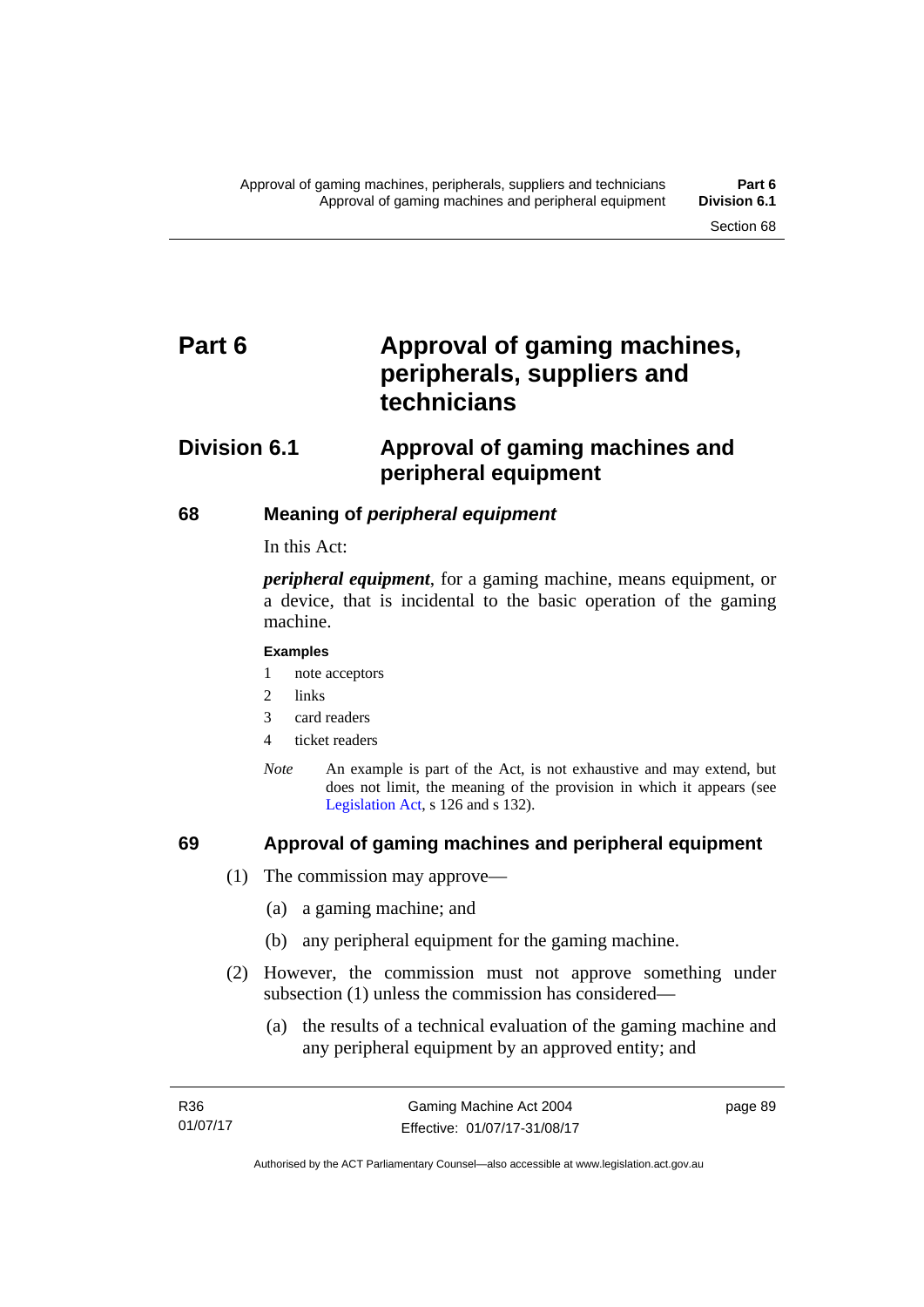# Part 6 **Approval of gaming machines, peripherals, suppliers and technicians**

# **Division 6.1 Approval of gaming machines and peripheral equipment**

#### **68 Meaning of** *peripheral equipment*

In this Act:

*peripheral equipment*, for a gaming machine, means equipment, or a device, that is incidental to the basic operation of the gaming machine.

#### **Examples**

- 1 note acceptors
- 2 links
- 3 card readers
- 4 ticket readers
- *Note* An example is part of the Act, is not exhaustive and may extend, but does not limit, the meaning of the provision in which it appears (see [Legislation Act,](http://www.legislation.act.gov.au/a/2001-14) s 126 and s 132).

### **69 Approval of gaming machines and peripheral equipment**

- (1) The commission may approve—
	- (a) a gaming machine; and
	- (b) any peripheral equipment for the gaming machine.
- (2) However, the commission must not approve something under subsection (1) unless the commission has considered—
	- (a) the results of a technical evaluation of the gaming machine and any peripheral equipment by an approved entity; and

page 89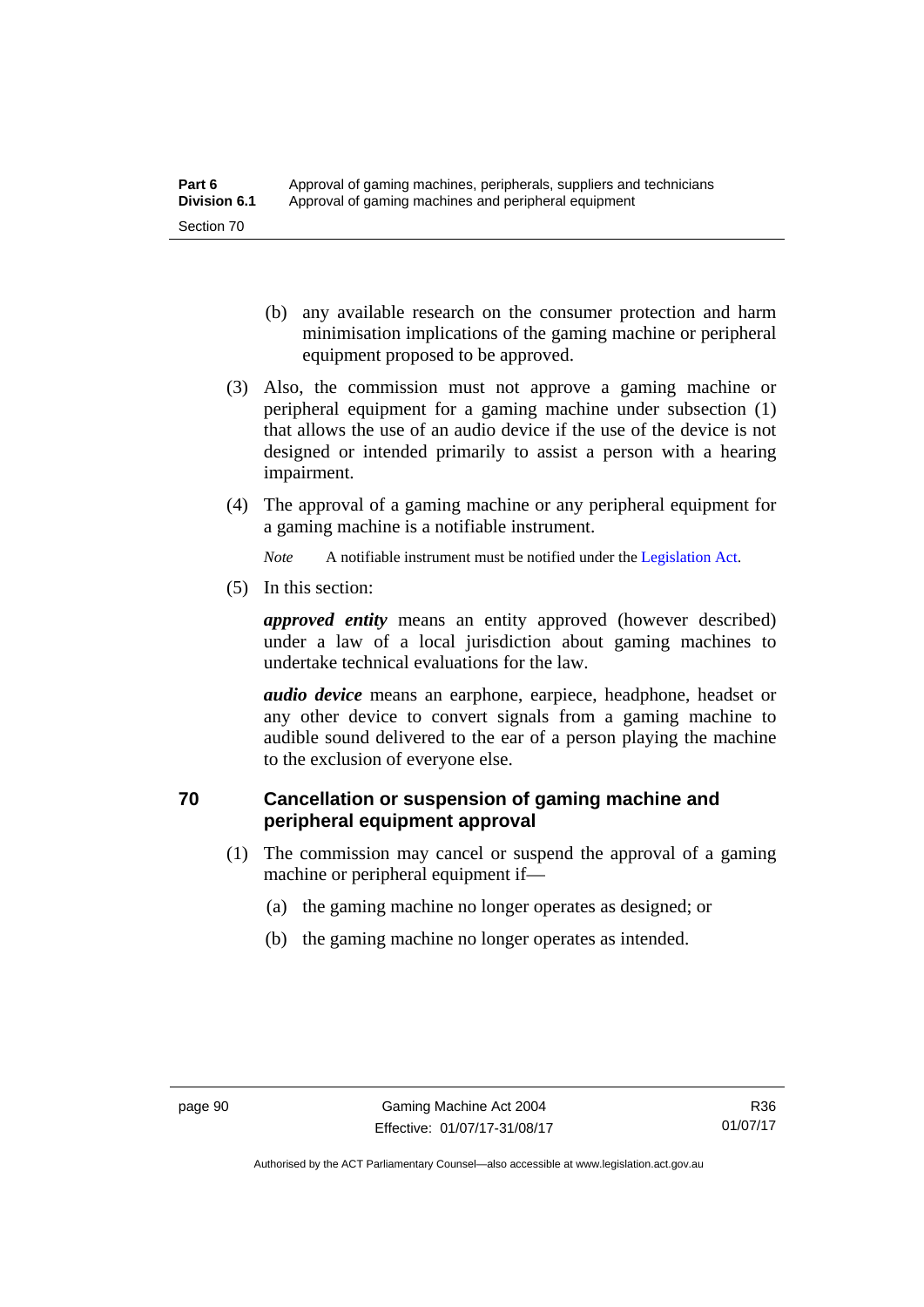- (b) any available research on the consumer protection and harm minimisation implications of the gaming machine or peripheral equipment proposed to be approved.
- (3) Also, the commission must not approve a gaming machine or peripheral equipment for a gaming machine under subsection (1) that allows the use of an audio device if the use of the device is not designed or intended primarily to assist a person with a hearing impairment.
- (4) The approval of a gaming machine or any peripheral equipment for a gaming machine is a notifiable instrument.

*Note* A notifiable instrument must be notified under the [Legislation Act](http://www.legislation.act.gov.au/a/2001-14).

(5) In this section:

*approved entity* means an entity approved (however described) under a law of a local jurisdiction about gaming machines to undertake technical evaluations for the law.

*audio device* means an earphone, earpiece, headphone, headset or any other device to convert signals from a gaming machine to audible sound delivered to the ear of a person playing the machine to the exclusion of everyone else.

# **70 Cancellation or suspension of gaming machine and peripheral equipment approval**

- (1) The commission may cancel or suspend the approval of a gaming machine or peripheral equipment if—
	- (a) the gaming machine no longer operates as designed; or
	- (b) the gaming machine no longer operates as intended.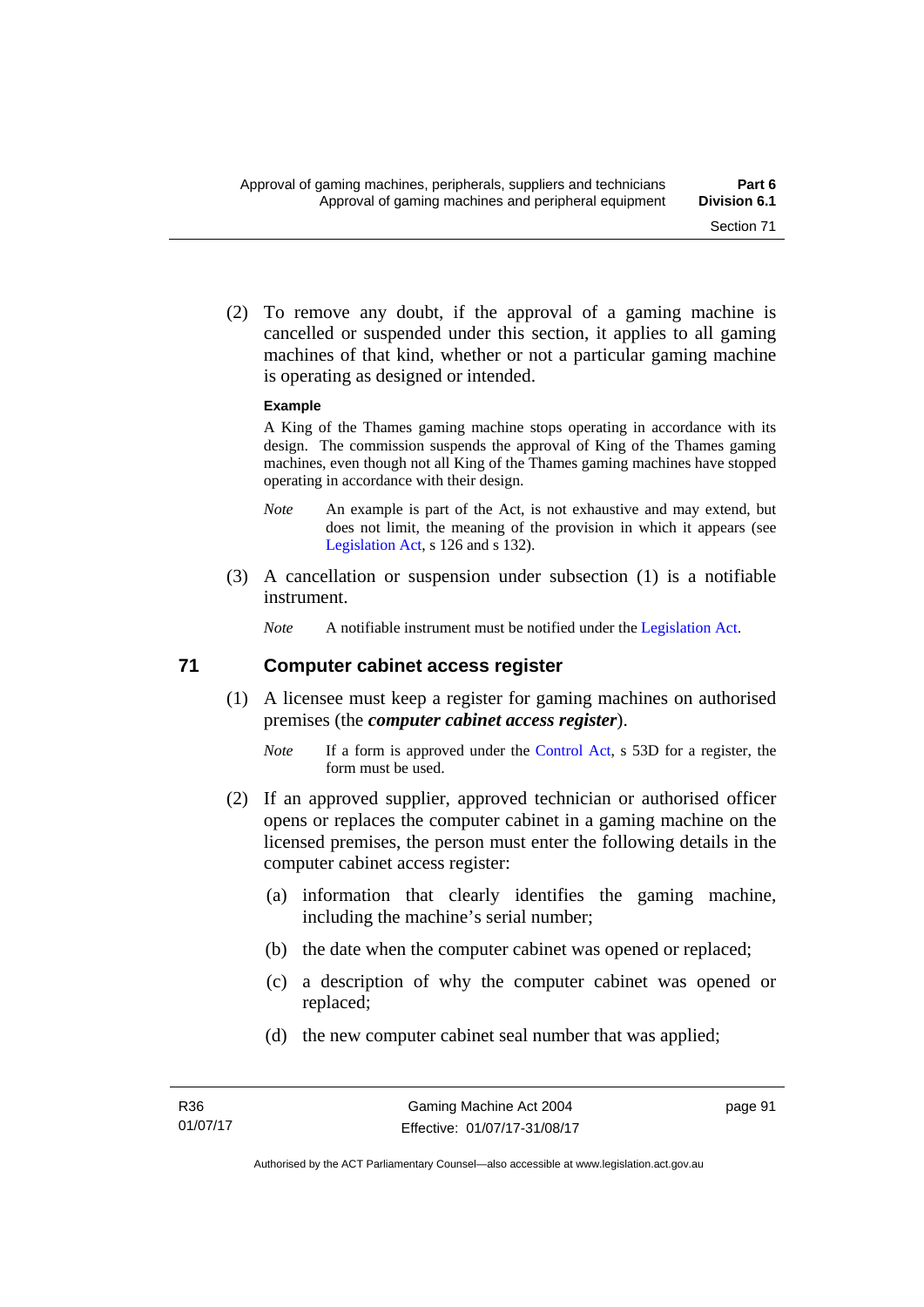(2) To remove any doubt, if the approval of a gaming machine is cancelled or suspended under this section, it applies to all gaming machines of that kind, whether or not a particular gaming machine is operating as designed or intended.

#### **Example**

A King of the Thames gaming machine stops operating in accordance with its design. The commission suspends the approval of King of the Thames gaming machines, even though not all King of the Thames gaming machines have stopped operating in accordance with their design.

- *Note* An example is part of the Act, is not exhaustive and may extend, but does not limit, the meaning of the provision in which it appears (see [Legislation Act,](http://www.legislation.act.gov.au/a/2001-14) s 126 and s 132).
- (3) A cancellation or suspension under subsection (1) is a notifiable instrument.

*Note* A notifiable instrument must be notified under the [Legislation Act](http://www.legislation.act.gov.au/a/2001-14).

#### **71 Computer cabinet access register**

- (1) A licensee must keep a register for gaming machines on authorised premises (the *computer cabinet access register*).
	- *Note* If a form is approved under the [Control Act,](http://www.legislation.act.gov.au/a/1999-46/) s 53D for a register, the form must be used.
- (2) If an approved supplier, approved technician or authorised officer opens or replaces the computer cabinet in a gaming machine on the licensed premises, the person must enter the following details in the computer cabinet access register:
	- (a) information that clearly identifies the gaming machine, including the machine's serial number;
	- (b) the date when the computer cabinet was opened or replaced;
	- (c) a description of why the computer cabinet was opened or replaced;
	- (d) the new computer cabinet seal number that was applied;

page 91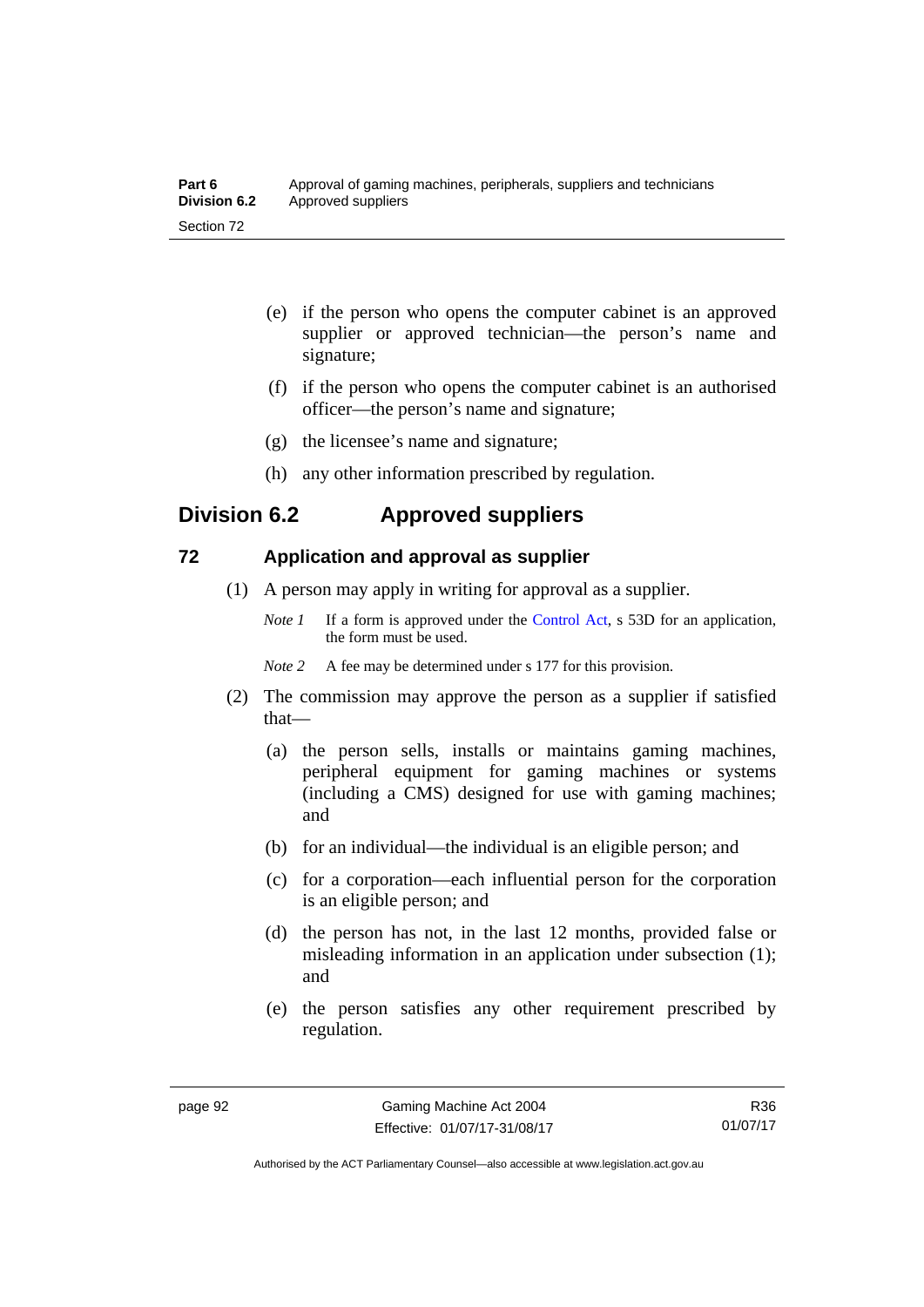| Part 6              | Approval of gaming machines, peripherals, suppliers and technicians |
|---------------------|---------------------------------------------------------------------|
| <b>Division 6.2</b> | Approved suppliers                                                  |
| Section 72          |                                                                     |

- (e) if the person who opens the computer cabinet is an approved supplier or approved technician—the person's name and signature;
- (f) if the person who opens the computer cabinet is an authorised officer—the person's name and signature;
- (g) the licensee's name and signature;
- (h) any other information prescribed by regulation.

## **Division 6.2 Approved suppliers**

#### **72 Application and approval as supplier**

- (1) A person may apply in writing for approval as a supplier.
	- *Note 1* If a form is approved under the [Control Act,](http://www.legislation.act.gov.au/a/1999-46) s 53D for an application, the form must be used.
	- *Note 2* A fee may be determined under s 177 for this provision.
- (2) The commission may approve the person as a supplier if satisfied that—
	- (a) the person sells, installs or maintains gaming machines, peripheral equipment for gaming machines or systems (including a CMS) designed for use with gaming machines; and
	- (b) for an individual—the individual is an eligible person; and
	- (c) for a corporation—each influential person for the corporation is an eligible person; and
	- (d) the person has not, in the last 12 months, provided false or misleading information in an application under subsection (1); and
	- (e) the person satisfies any other requirement prescribed by regulation.

R36 01/07/17

Authorised by the ACT Parliamentary Counsel—also accessible at www.legislation.act.gov.au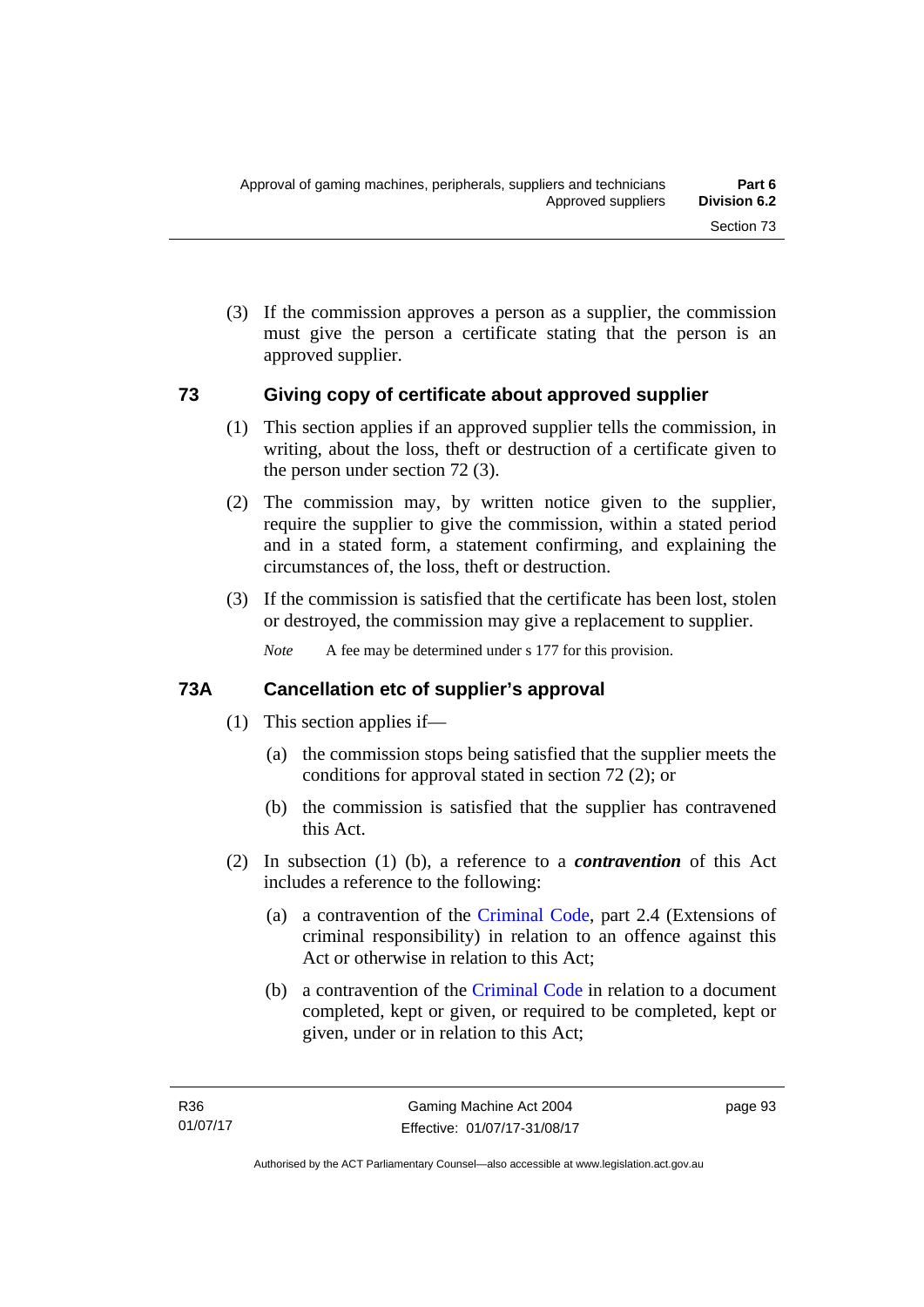(3) If the commission approves a person as a supplier, the commission must give the person a certificate stating that the person is an approved supplier.

#### **73 Giving copy of certificate about approved supplier**

- (1) This section applies if an approved supplier tells the commission, in writing, about the loss, theft or destruction of a certificate given to the person under section 72 (3).
- (2) The commission may, by written notice given to the supplier, require the supplier to give the commission, within a stated period and in a stated form, a statement confirming, and explaining the circumstances of, the loss, theft or destruction.
- (3) If the commission is satisfied that the certificate has been lost, stolen or destroyed, the commission may give a replacement to supplier.

*Note* A fee may be determined under s 177 for this provision.

# **73A Cancellation etc of supplier's approval**

- (1) This section applies if—
	- (a) the commission stops being satisfied that the supplier meets the conditions for approval stated in section 72 (2); or
	- (b) the commission is satisfied that the supplier has contravened this Act.
- (2) In subsection (1) (b), a reference to a *contravention* of this Act includes a reference to the following:
	- (a) a contravention of the [Criminal Code](http://www.legislation.act.gov.au/a/2002-51), part 2.4 (Extensions of criminal responsibility) in relation to an offence against this Act or otherwise in relation to this Act;
	- (b) a contravention of the [Criminal Code](http://www.legislation.act.gov.au/a/2002-51) in relation to a document completed, kept or given, or required to be completed, kept or given, under or in relation to this Act;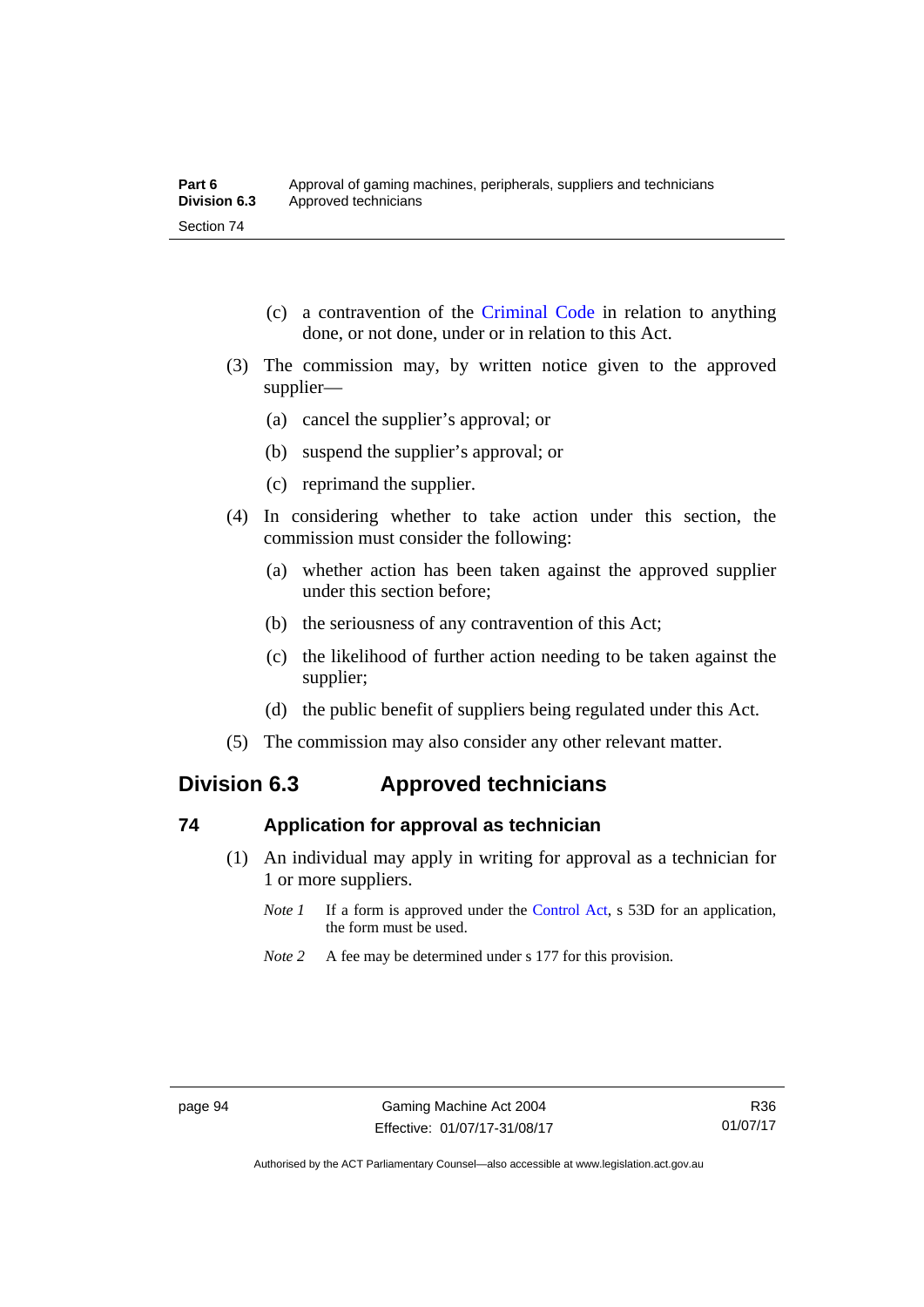- (c) a contravention of the [Criminal Code](http://www.legislation.act.gov.au/a/2002-51) in relation to anything done, or not done, under or in relation to this Act.
- (3) The commission may, by written notice given to the approved supplier—
	- (a) cancel the supplier's approval; or
	- (b) suspend the supplier's approval; or
	- (c) reprimand the supplier.
- (4) In considering whether to take action under this section, the commission must consider the following:
	- (a) whether action has been taken against the approved supplier under this section before;
	- (b) the seriousness of any contravention of this Act;
	- (c) the likelihood of further action needing to be taken against the supplier;
	- (d) the public benefit of suppliers being regulated under this Act.
- (5) The commission may also consider any other relevant matter.

# **Division 6.3 Approved technicians**

#### **74 Application for approval as technician**

- (1) An individual may apply in writing for approval as a technician for 1 or more suppliers.
	- *Note 1* If a form is approved under the [Control Act,](http://www.legislation.act.gov.au/a/1999-46) s 53D for an application, the form must be used.
	- *Note* 2 A fee may be determined under s 177 for this provision.

Authorised by the ACT Parliamentary Counsel—also accessible at www.legislation.act.gov.au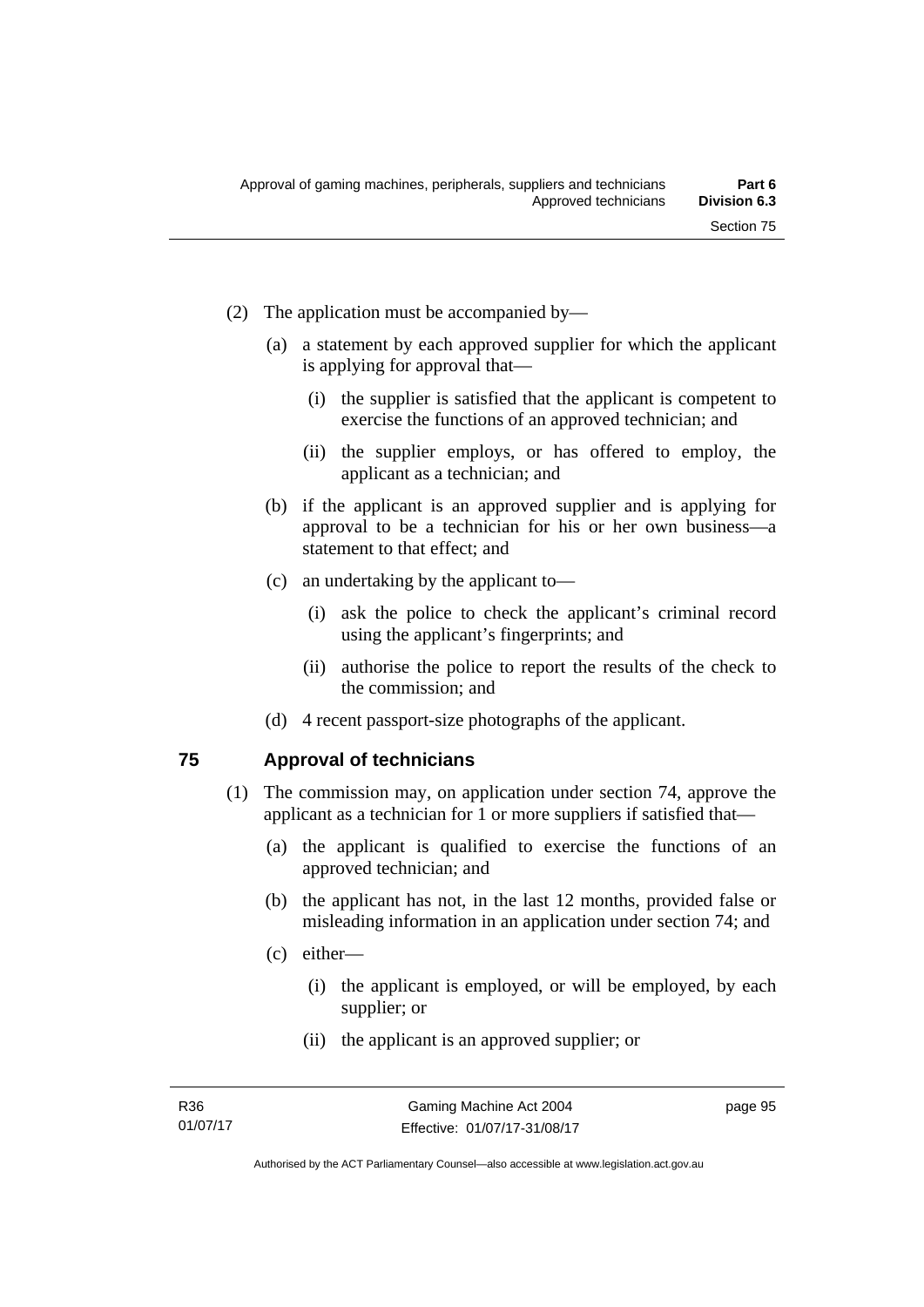- (2) The application must be accompanied by—
	- (a) a statement by each approved supplier for which the applicant is applying for approval that—
		- (i) the supplier is satisfied that the applicant is competent to exercise the functions of an approved technician; and
		- (ii) the supplier employs, or has offered to employ, the applicant as a technician; and
	- (b) if the applicant is an approved supplier and is applying for approval to be a technician for his or her own business—a statement to that effect; and
	- (c) an undertaking by the applicant to—
		- (i) ask the police to check the applicant's criminal record using the applicant's fingerprints; and
		- (ii) authorise the police to report the results of the check to the commission; and
	- (d) 4 recent passport-size photographs of the applicant.

# **75 Approval of technicians**

- (1) The commission may, on application under section 74, approve the applicant as a technician for 1 or more suppliers if satisfied that—
	- (a) the applicant is qualified to exercise the functions of an approved technician; and
	- (b) the applicant has not, in the last 12 months, provided false or misleading information in an application under section 74; and
	- (c) either—
		- (i) the applicant is employed, or will be employed, by each supplier; or
		- (ii) the applicant is an approved supplier; or

page 95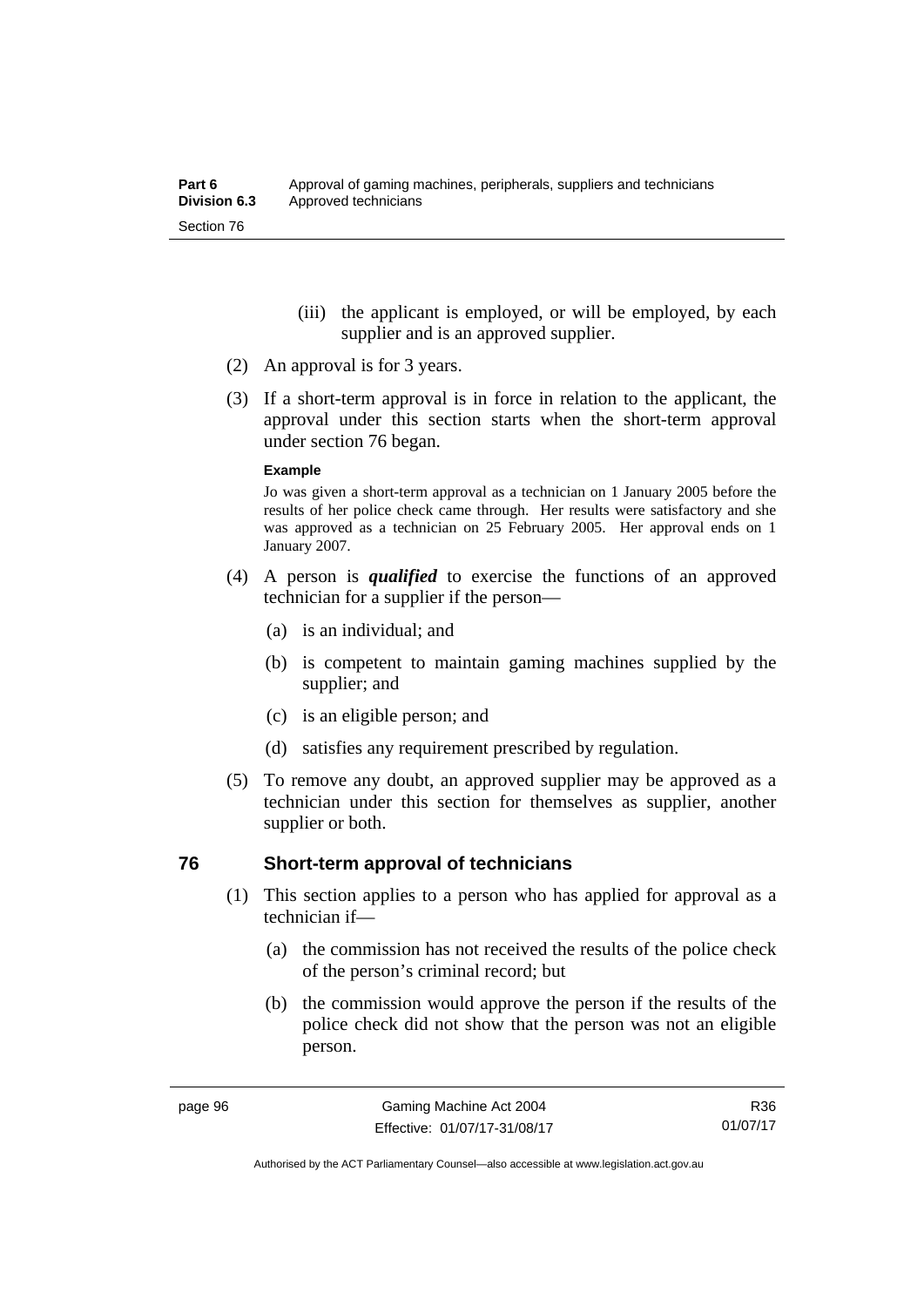- (iii) the applicant is employed, or will be employed, by each supplier and is an approved supplier.
- (2) An approval is for 3 years.
- (3) If a short-term approval is in force in relation to the applicant, the approval under this section starts when the short-term approval under section 76 began.

#### **Example**

Jo was given a short-term approval as a technician on 1 January 2005 before the results of her police check came through. Her results were satisfactory and she was approved as a technician on 25 February 2005. Her approval ends on 1 January 2007.

- (4) A person is *qualified* to exercise the functions of an approved technician for a supplier if the person—
	- (a) is an individual; and
	- (b) is competent to maintain gaming machines supplied by the supplier; and
	- (c) is an eligible person; and
	- (d) satisfies any requirement prescribed by regulation.
- (5) To remove any doubt, an approved supplier may be approved as a technician under this section for themselves as supplier, another supplier or both.

#### **76 Short-term approval of technicians**

- (1) This section applies to a person who has applied for approval as a technician if—
	- (a) the commission has not received the results of the police check of the person's criminal record; but
	- (b) the commission would approve the person if the results of the police check did not show that the person was not an eligible person.

R36 01/07/17

Authorised by the ACT Parliamentary Counsel—also accessible at www.legislation.act.gov.au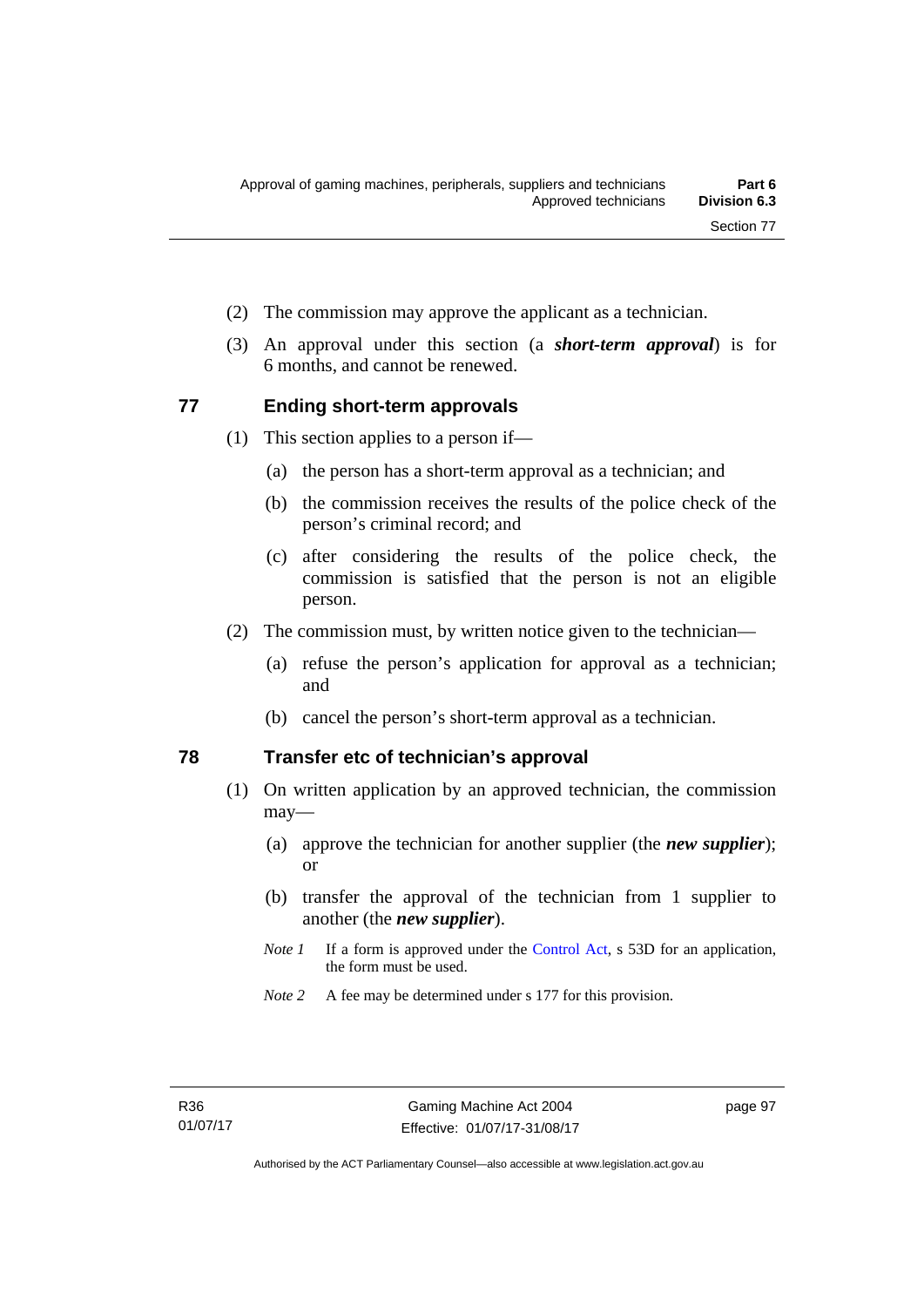- (2) The commission may approve the applicant as a technician.
- (3) An approval under this section (a *short-term approval*) is for 6 months, and cannot be renewed.

#### **77 Ending short-term approvals**

- (1) This section applies to a person if—
	- (a) the person has a short-term approval as a technician; and
	- (b) the commission receives the results of the police check of the person's criminal record; and
	- (c) after considering the results of the police check, the commission is satisfied that the person is not an eligible person.
- (2) The commission must, by written notice given to the technician—
	- (a) refuse the person's application for approval as a technician; and
	- (b) cancel the person's short-term approval as a technician.

# **78 Transfer etc of technician's approval**

- (1) On written application by an approved technician, the commission may—
	- (a) approve the technician for another supplier (the *new supplier*); or
	- (b) transfer the approval of the technician from 1 supplier to another (the *new supplier*).
	- *Note 1* If a form is approved under the [Control Act,](http://www.legislation.act.gov.au/a/1999-46) s 53D for an application, the form must be used.
	- *Note 2* A fee may be determined under s 177 for this provision.

page 97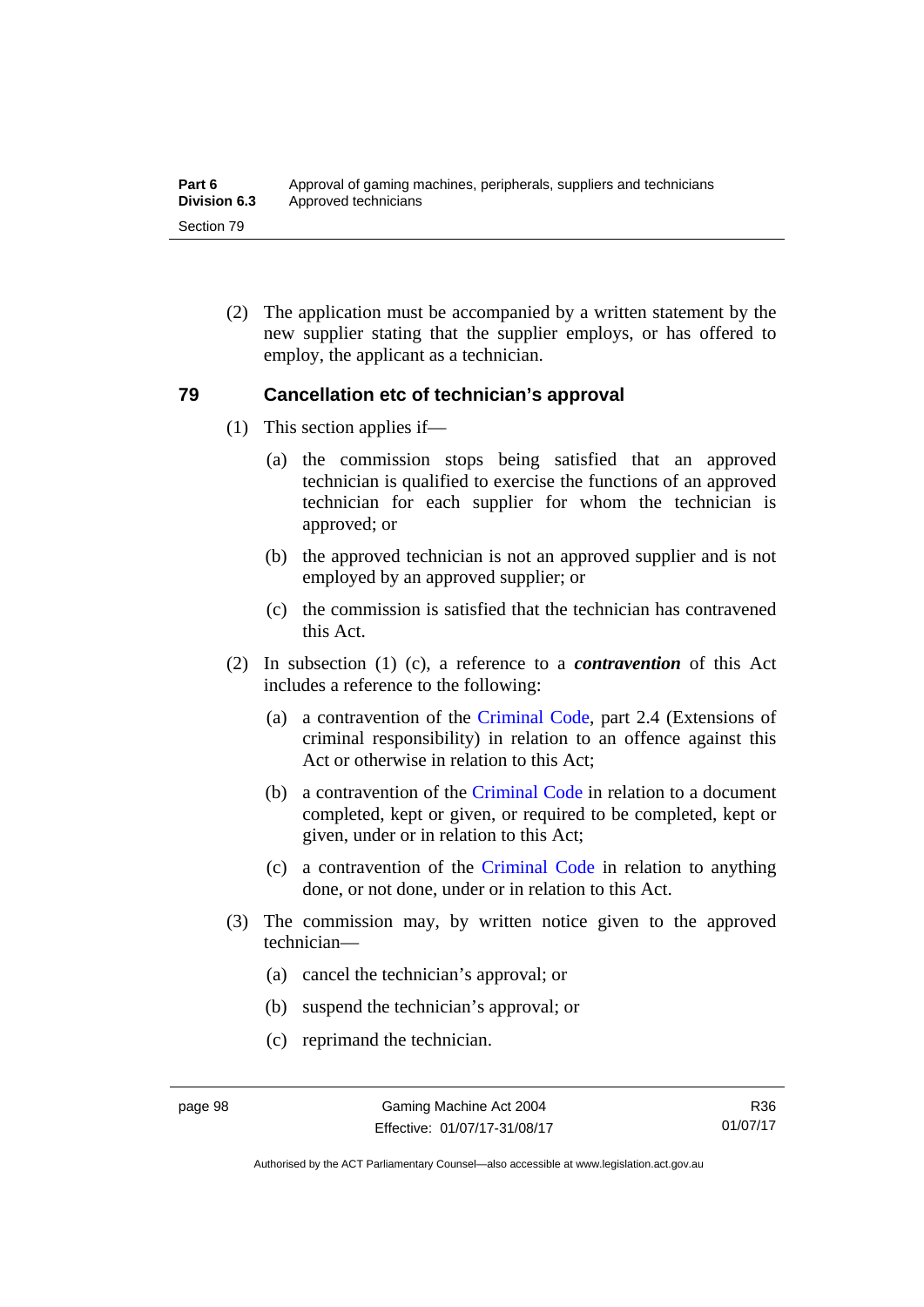(2) The application must be accompanied by a written statement by the new supplier stating that the supplier employs, or has offered to employ, the applicant as a technician.

#### **79 Cancellation etc of technician's approval**

- (1) This section applies if—
	- (a) the commission stops being satisfied that an approved technician is qualified to exercise the functions of an approved technician for each supplier for whom the technician is approved; or
	- (b) the approved technician is not an approved supplier and is not employed by an approved supplier; or
	- (c) the commission is satisfied that the technician has contravened this Act.
- (2) In subsection (1) (c), a reference to a *contravention* of this Act includes a reference to the following:
	- (a) a contravention of the [Criminal Code](http://www.legislation.act.gov.au/a/2002-51), part 2.4 (Extensions of criminal responsibility) in relation to an offence against this Act or otherwise in relation to this Act:
	- (b) a contravention of the [Criminal Code](http://www.legislation.act.gov.au/a/2002-51) in relation to a document completed, kept or given, or required to be completed, kept or given, under or in relation to this Act;
	- (c) a contravention of the [Criminal Code](http://www.legislation.act.gov.au/a/2002-51) in relation to anything done, or not done, under or in relation to this Act.
- (3) The commission may, by written notice given to the approved technician—
	- (a) cancel the technician's approval; or
	- (b) suspend the technician's approval; or
	- (c) reprimand the technician.

Authorised by the ACT Parliamentary Counsel—also accessible at www.legislation.act.gov.au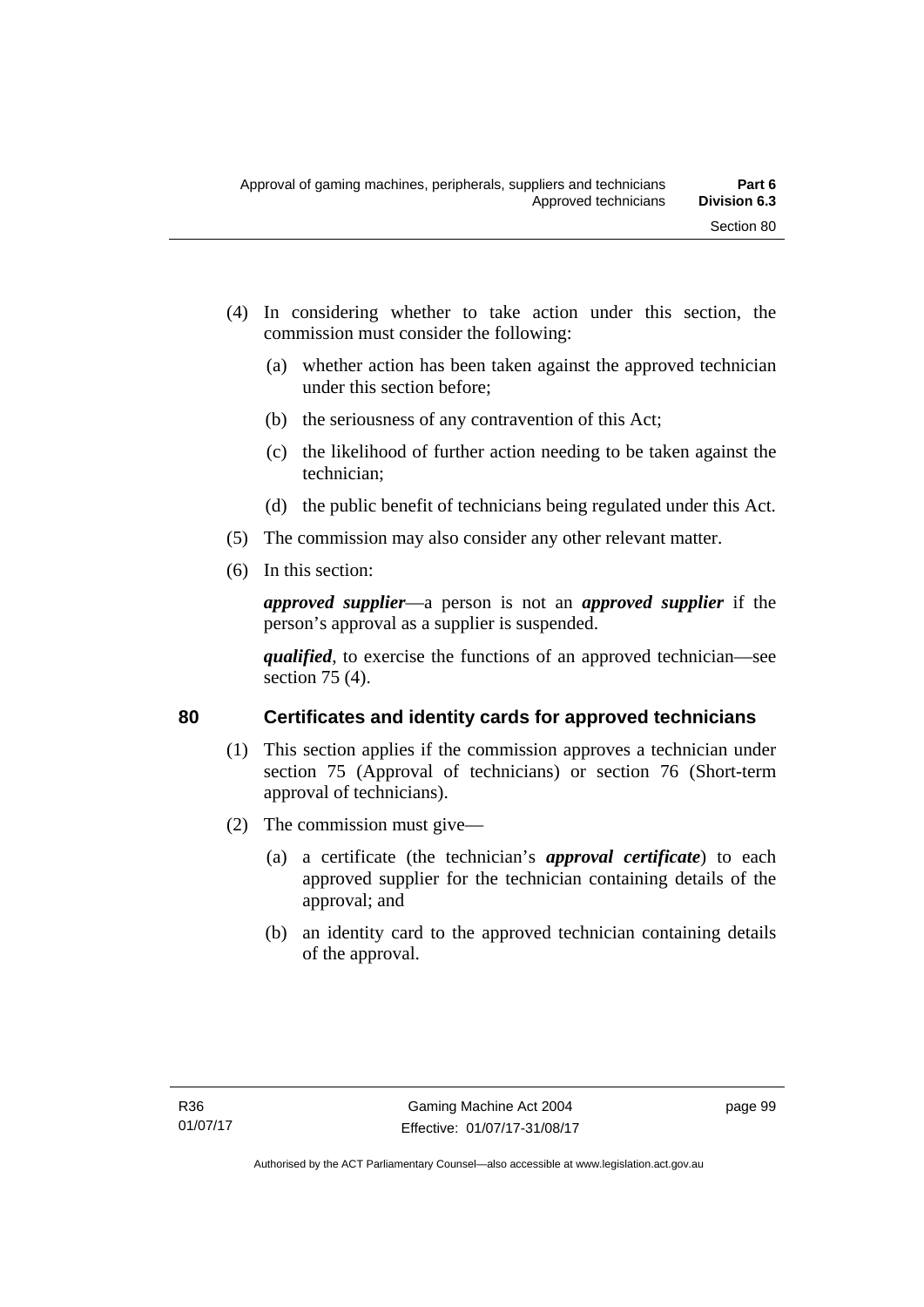- (4) In considering whether to take action under this section, the commission must consider the following:
	- (a) whether action has been taken against the approved technician under this section before;
	- (b) the seriousness of any contravention of this Act;
	- (c) the likelihood of further action needing to be taken against the technician;
	- (d) the public benefit of technicians being regulated under this Act.
- (5) The commission may also consider any other relevant matter.
- (6) In this section:

*approved supplier*—a person is not an *approved supplier* if the person's approval as a supplier is suspended.

*qualified*, to exercise the functions of an approved technician—see section 75 (4).

# **80 Certificates and identity cards for approved technicians**

- (1) This section applies if the commission approves a technician under section 75 (Approval of technicians) or section 76 (Short-term approval of technicians).
- (2) The commission must give—
	- (a) a certificate (the technician's *approval certificate*) to each approved supplier for the technician containing details of the approval; and
	- (b) an identity card to the approved technician containing details of the approval.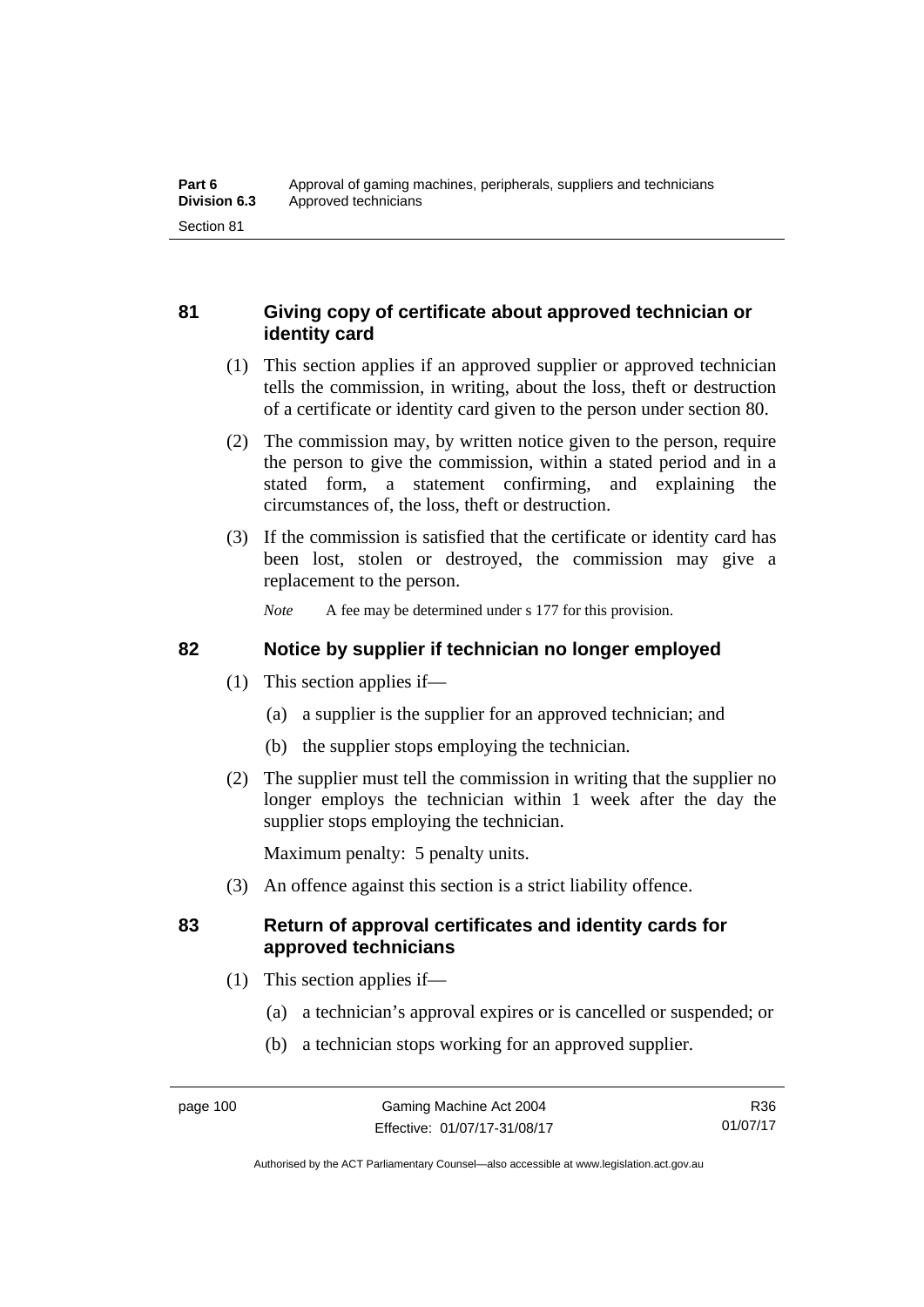# **81 Giving copy of certificate about approved technician or identity card**

- (1) This section applies if an approved supplier or approved technician tells the commission, in writing, about the loss, theft or destruction of a certificate or identity card given to the person under section 80.
- (2) The commission may, by written notice given to the person, require the person to give the commission, within a stated period and in a stated form, a statement confirming, and explaining the circumstances of, the loss, theft or destruction.
- (3) If the commission is satisfied that the certificate or identity card has been lost, stolen or destroyed, the commission may give a replacement to the person.

*Note* A fee may be determined under s 177 for this provision.

# **82 Notice by supplier if technician no longer employed**

- (1) This section applies if—
	- (a) a supplier is the supplier for an approved technician; and
	- (b) the supplier stops employing the technician.
- (2) The supplier must tell the commission in writing that the supplier no longer employs the technician within 1 week after the day the supplier stops employing the technician.

Maximum penalty: 5 penalty units.

(3) An offence against this section is a strict liability offence.

# **83 Return of approval certificates and identity cards for approved technicians**

- (1) This section applies if—
	- (a) a technician's approval expires or is cancelled or suspended; or
	- (b) a technician stops working for an approved supplier.

Authorised by the ACT Parliamentary Counsel—also accessible at www.legislation.act.gov.au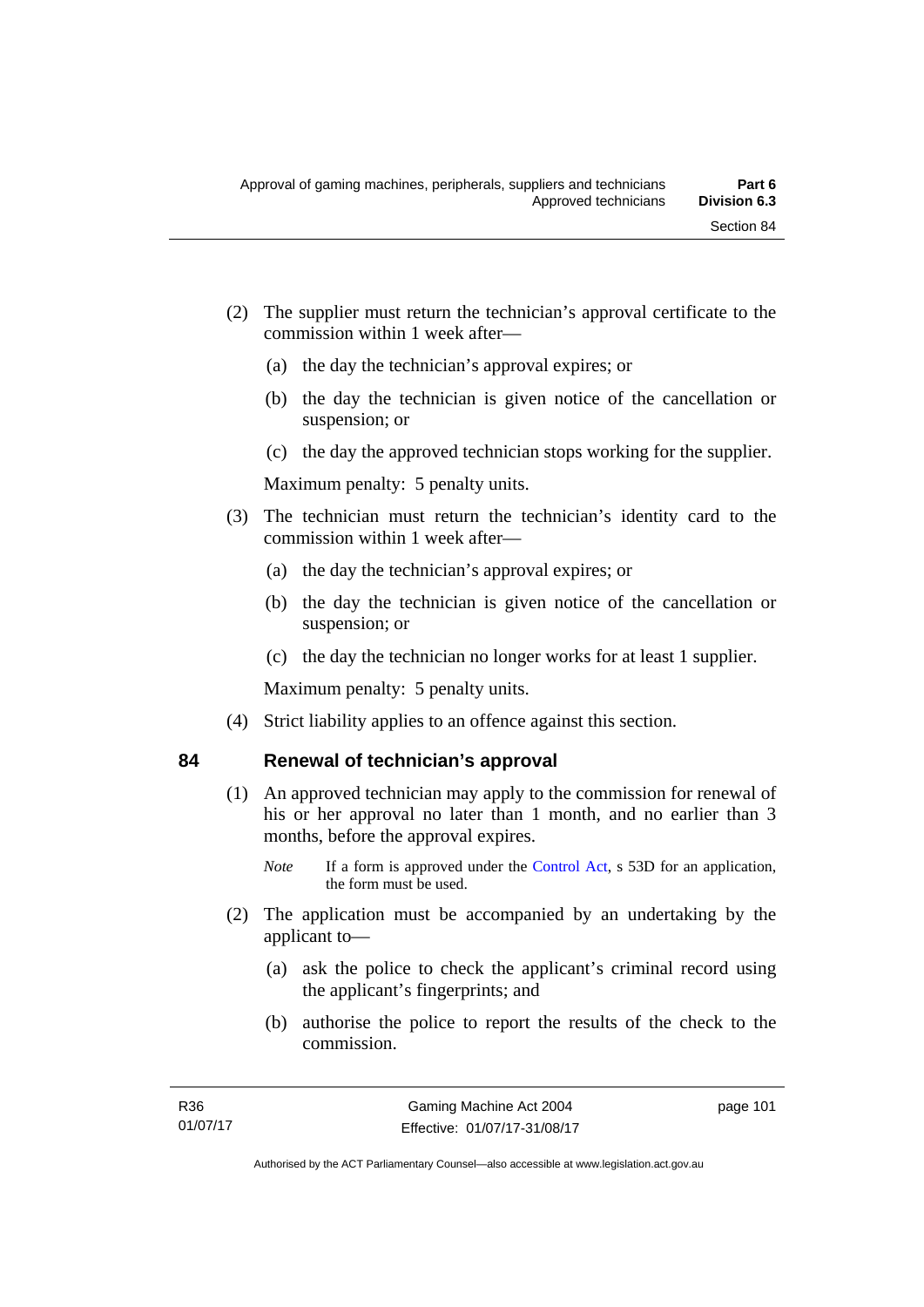- (2) The supplier must return the technician's approval certificate to the commission within 1 week after—
	- (a) the day the technician's approval expires; or
	- (b) the day the technician is given notice of the cancellation or suspension; or
	- (c) the day the approved technician stops working for the supplier.

Maximum penalty: 5 penalty units.

- (3) The technician must return the technician's identity card to the commission within 1 week after—
	- (a) the day the technician's approval expires; or
	- (b) the day the technician is given notice of the cancellation or suspension; or
	- (c) the day the technician no longer works for at least 1 supplier.

Maximum penalty: 5 penalty units.

(4) Strict liability applies to an offence against this section.

# **84 Renewal of technician's approval**

- (1) An approved technician may apply to the commission for renewal of his or her approval no later than 1 month, and no earlier than 3 months, before the approval expires.
	- *Note* If a form is approved under the [Control Act,](http://www.legislation.act.gov.au/a/1999-46) s 53D for an application, the form must be used.
- (2) The application must be accompanied by an undertaking by the applicant to—
	- (a) ask the police to check the applicant's criminal record using the applicant's fingerprints; and
	- (b) authorise the police to report the results of the check to the commission.

page 101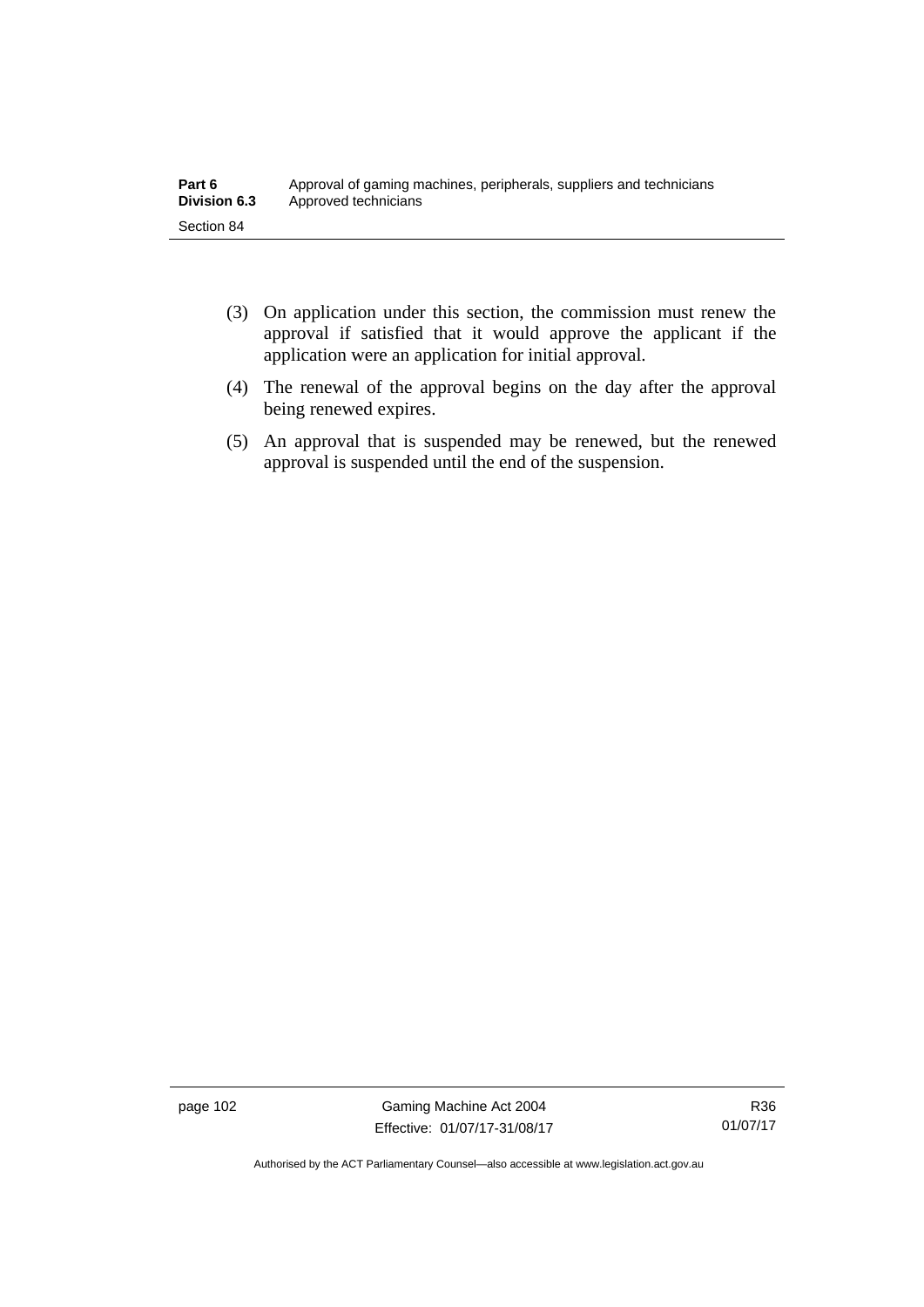- (3) On application under this section, the commission must renew the approval if satisfied that it would approve the applicant if the application were an application for initial approval.
- (4) The renewal of the approval begins on the day after the approval being renewed expires.
- (5) An approval that is suspended may be renewed, but the renewed approval is suspended until the end of the suspension.

page 102 Gaming Machine Act 2004 Effective: 01/07/17-31/08/17

Authorised by the ACT Parliamentary Counsel—also accessible at www.legislation.act.gov.au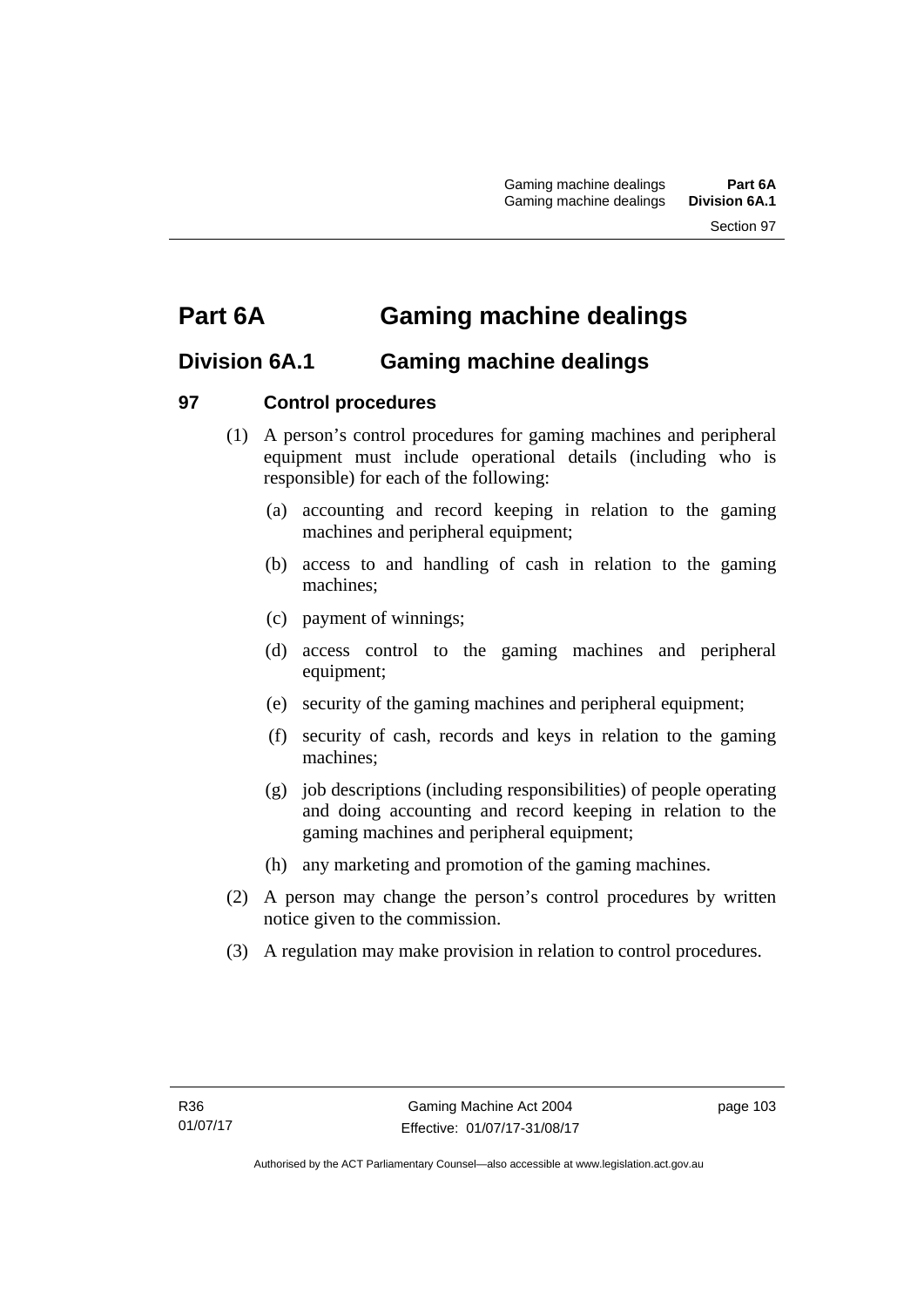# **Part 6A Gaming machine dealings**

# **Division 6A.1 Gaming machine dealings**

# **97 Control procedures**

- (1) A person's control procedures for gaming machines and peripheral equipment must include operational details (including who is responsible) for each of the following:
	- (a) accounting and record keeping in relation to the gaming machines and peripheral equipment;
	- (b) access to and handling of cash in relation to the gaming machines;
	- (c) payment of winnings;
	- (d) access control to the gaming machines and peripheral equipment;
	- (e) security of the gaming machines and peripheral equipment;
	- (f) security of cash, records and keys in relation to the gaming machines;
	- (g) job descriptions (including responsibilities) of people operating and doing accounting and record keeping in relation to the gaming machines and peripheral equipment;
	- (h) any marketing and promotion of the gaming machines.
- (2) A person may change the person's control procedures by written notice given to the commission.
- (3) A regulation may make provision in relation to control procedures.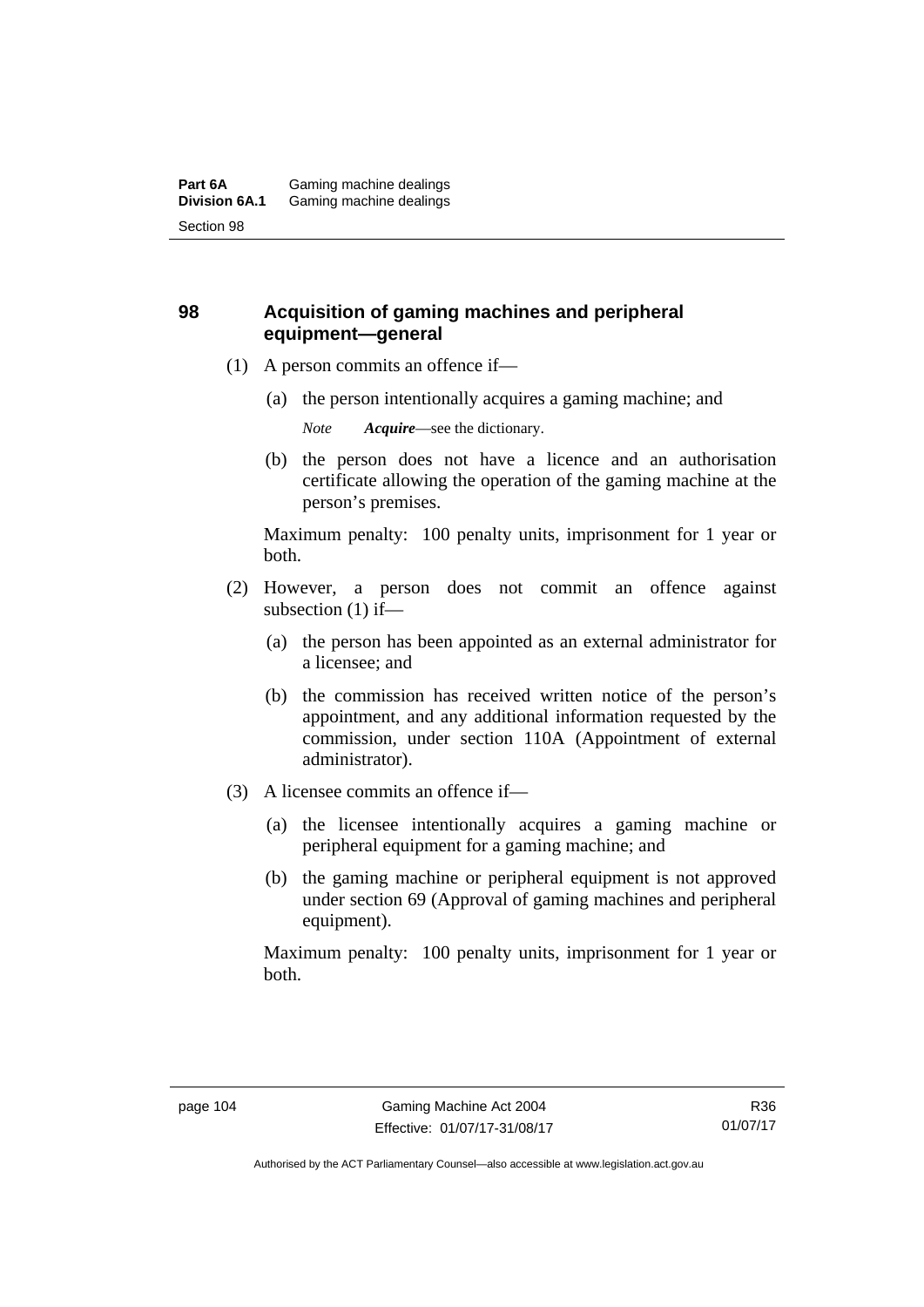# **98 Acquisition of gaming machines and peripheral equipment—general**

- (1) A person commits an offence if—
	- (a) the person intentionally acquires a gaming machine; and

*Note Acquire*—see the dictionary.

 (b) the person does not have a licence and an authorisation certificate allowing the operation of the gaming machine at the person's premises.

Maximum penalty: 100 penalty units, imprisonment for 1 year or both.

- (2) However, a person does not commit an offence against subsection (1) if—
	- (a) the person has been appointed as an external administrator for a licensee; and
	- (b) the commission has received written notice of the person's appointment, and any additional information requested by the commission, under section 110A (Appointment of external administrator).
- (3) A licensee commits an offence if—
	- (a) the licensee intentionally acquires a gaming machine or peripheral equipment for a gaming machine; and
	- (b) the gaming machine or peripheral equipment is not approved under section 69 (Approval of gaming machines and peripheral equipment).

Maximum penalty: 100 penalty units, imprisonment for 1 year or both.

Authorised by the ACT Parliamentary Counsel—also accessible at www.legislation.act.gov.au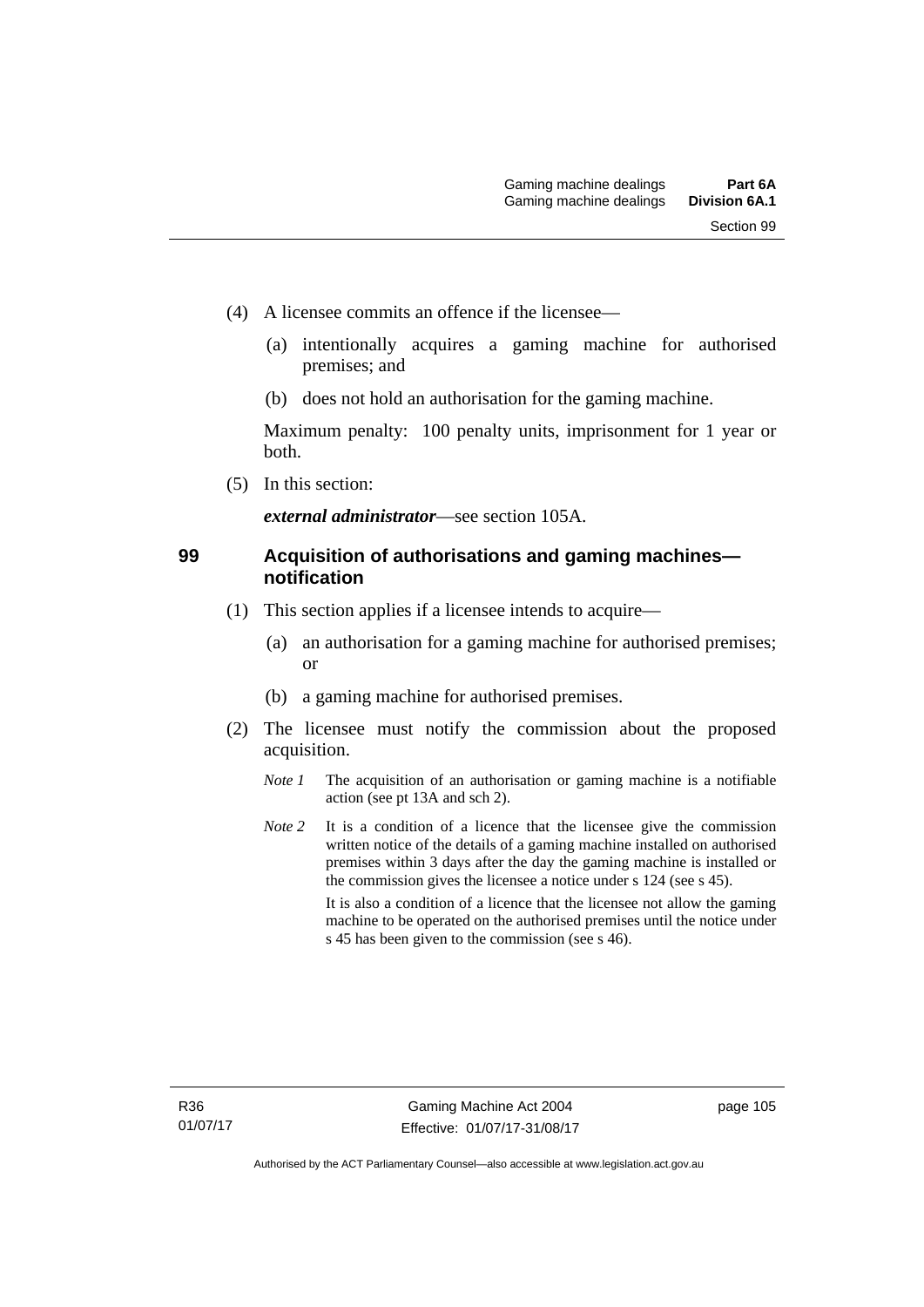- (4) A licensee commits an offence if the licensee—
	- (a) intentionally acquires a gaming machine for authorised premises; and
	- (b) does not hold an authorisation for the gaming machine.

Maximum penalty: 100 penalty units, imprisonment for 1 year or both.

(5) In this section:

*external administrator*—see section 105A.

#### **99 Acquisition of authorisations and gaming machines notification**

- (1) This section applies if a licensee intends to acquire—
	- (a) an authorisation for a gaming machine for authorised premises; or
	- (b) a gaming machine for authorised premises.
- (2) The licensee must notify the commission about the proposed acquisition.
	- *Note 1* The acquisition of an authorisation or gaming machine is a notifiable action (see pt 13A and sch 2).
	- *Note* 2 It is a condition of a licence that the licensee give the commission written notice of the details of a gaming machine installed on authorised premises within 3 days after the day the gaming machine is installed or the commission gives the licensee a notice under s 124 (see s 45). It is also a condition of a licence that the licensee not allow the gaming machine to be operated on the authorised premises until the notice under s 45 has been given to the commission (see s 46).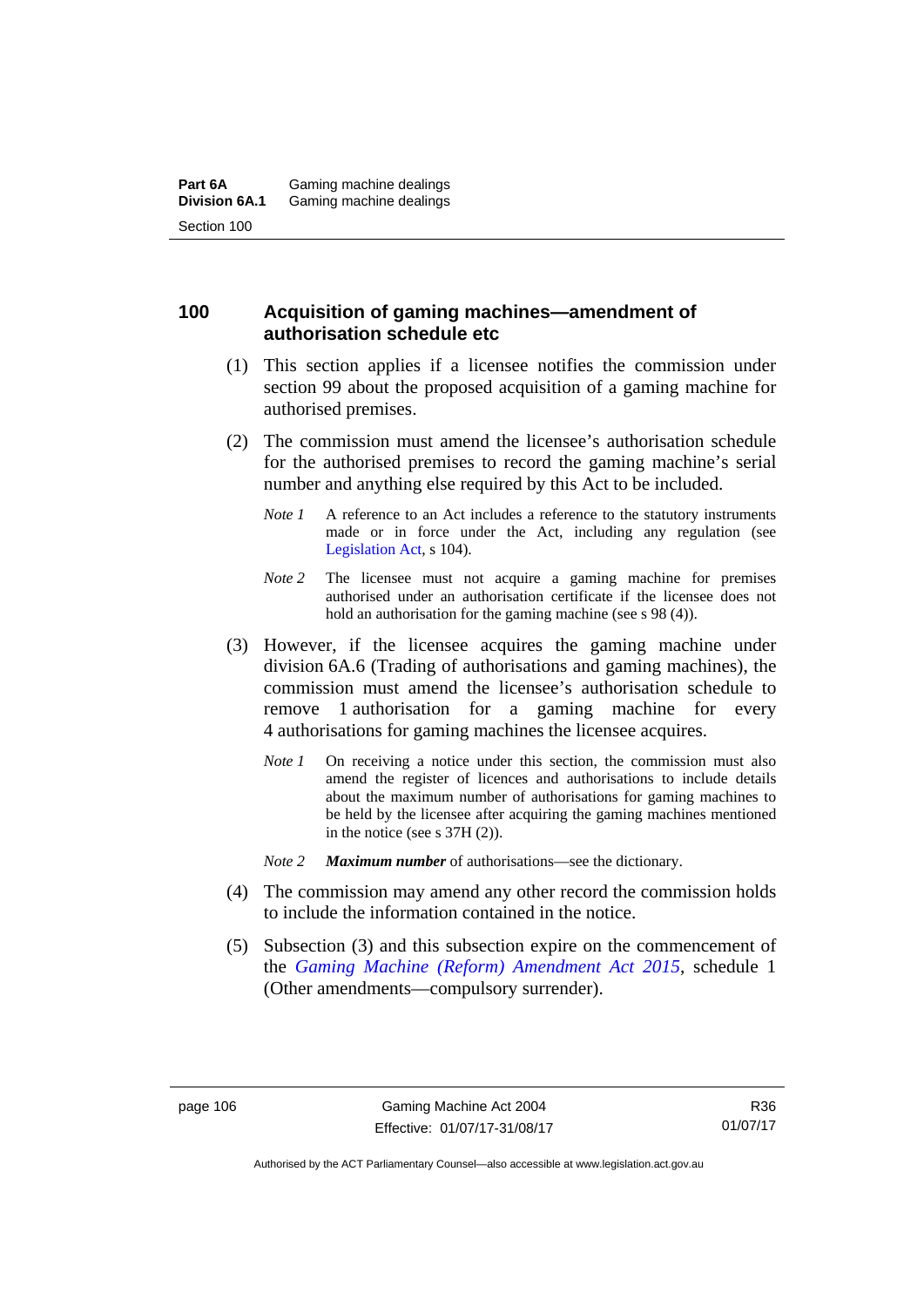# **100 Acquisition of gaming machines—amendment of authorisation schedule etc**

- (1) This section applies if a licensee notifies the commission under section 99 about the proposed acquisition of a gaming machine for authorised premises.
- (2) The commission must amend the licensee's authorisation schedule for the authorised premises to record the gaming machine's serial number and anything else required by this Act to be included.
	- *Note 1* A reference to an Act includes a reference to the statutory instruments made or in force under the Act, including any regulation (see [Legislation Act,](http://www.legislation.act.gov.au/a/2001-14) s 104).
	- *Note* 2 The licensee must not acquire a gaming machine for premises authorised under an authorisation certificate if the licensee does not hold an authorisation for the gaming machine (see s 98 (4)).
- (3) However, if the licensee acquires the gaming machine under division 6A.6 (Trading of authorisations and gaming machines), the commission must amend the licensee's authorisation schedule to remove 1 authorisation for a gaming machine for every 4 authorisations for gaming machines the licensee acquires.
	- *Note 1* On receiving a notice under this section, the commission must also amend the register of licences and authorisations to include details about the maximum number of authorisations for gaming machines to be held by the licensee after acquiring the gaming machines mentioned in the notice (see s 37H (2)).
	- *Note 2 Maximum number* of authorisations—see the dictionary.
- (4) The commission may amend any other record the commission holds to include the information contained in the notice.
- (5) Subsection (3) and this subsection expire on the commencement of the *[Gaming Machine \(Reform\) Amendment Act 2015](http://www.legislation.act.gov.au/a/2015-21/default.asp)*, schedule 1 (Other amendments—compulsory surrender).

Authorised by the ACT Parliamentary Counsel—also accessible at www.legislation.act.gov.au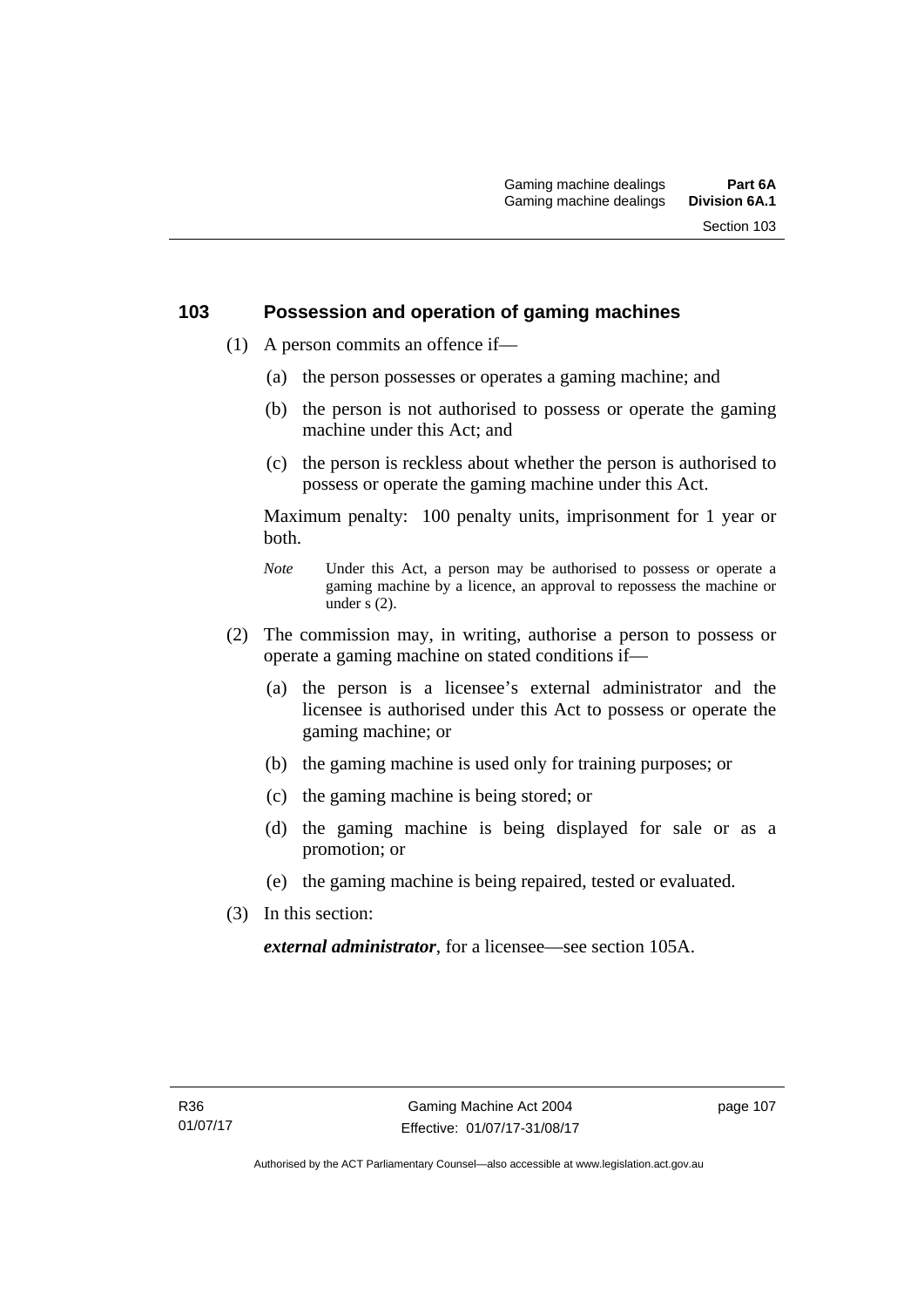# **103 Possession and operation of gaming machines**

- (1) A person commits an offence if—
	- (a) the person possesses or operates a gaming machine; and
	- (b) the person is not authorised to possess or operate the gaming machine under this Act; and
	- (c) the person is reckless about whether the person is authorised to possess or operate the gaming machine under this Act.

Maximum penalty: 100 penalty units, imprisonment for 1 year or both.

- *Note* Under this Act, a person may be authorised to possess or operate a gaming machine by a licence, an approval to repossess the machine or under  $\overline{s}$  (2).
- (2) The commission may, in writing, authorise a person to possess or operate a gaming machine on stated conditions if—
	- (a) the person is a licensee's external administrator and the licensee is authorised under this Act to possess or operate the gaming machine; or
	- (b) the gaming machine is used only for training purposes; or
	- (c) the gaming machine is being stored; or
	- (d) the gaming machine is being displayed for sale or as a promotion; or
	- (e) the gaming machine is being repaired, tested or evaluated.
- (3) In this section:

*external administrator*, for a licensee—see section 105A.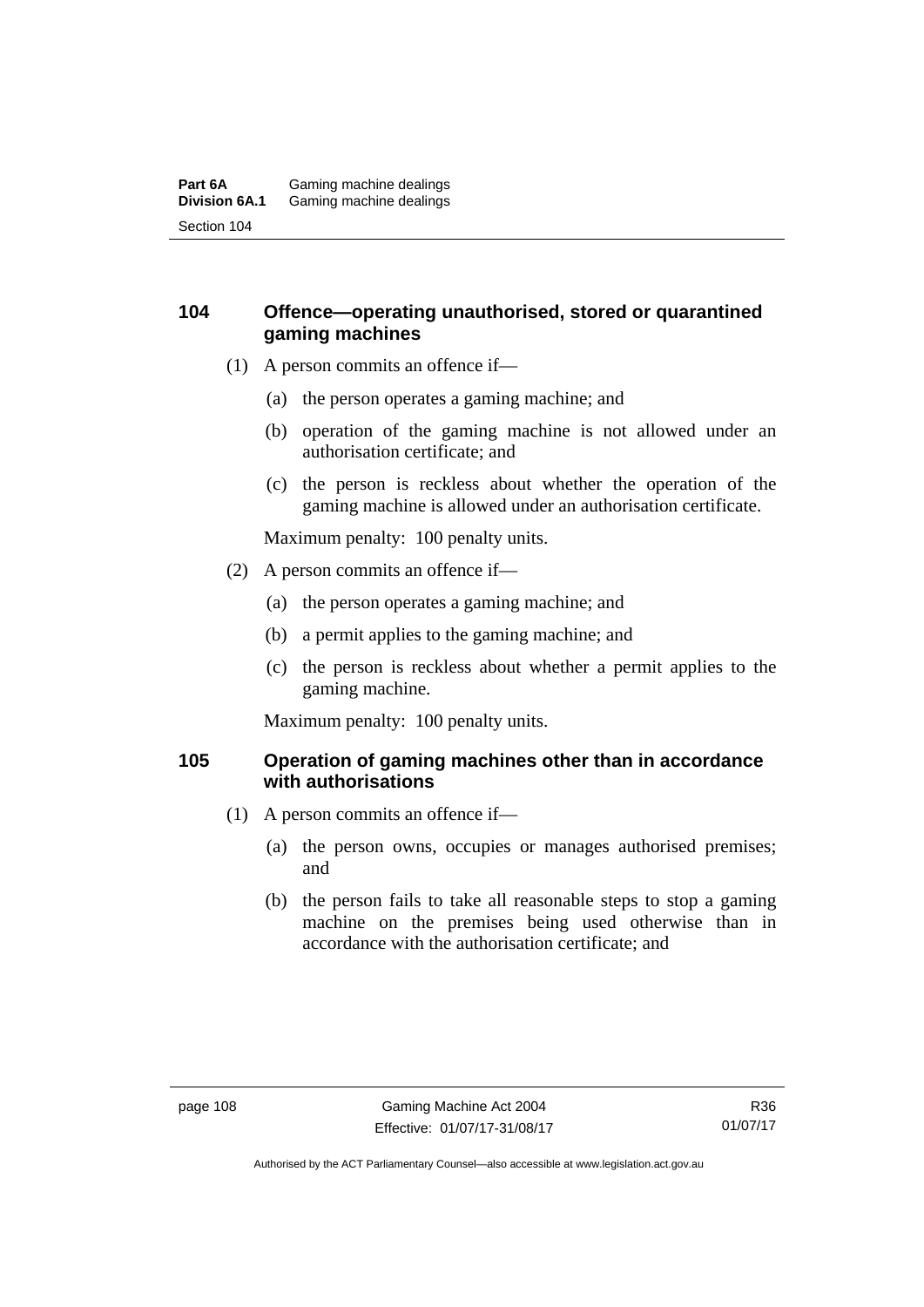#### **Part 6A** Gaming machine dealings<br>**Division 6A.1** Gaming machine dealings Gaming machine dealings Section 104

# **104 Offence—operating unauthorised, stored or quarantined gaming machines**

- (1) A person commits an offence if—
	- (a) the person operates a gaming machine; and
	- (b) operation of the gaming machine is not allowed under an authorisation certificate; and
	- (c) the person is reckless about whether the operation of the gaming machine is allowed under an authorisation certificate.

Maximum penalty: 100 penalty units.

- (2) A person commits an offence if—
	- (a) the person operates a gaming machine; and
	- (b) a permit applies to the gaming machine; and
	- (c) the person is reckless about whether a permit applies to the gaming machine.

Maximum penalty: 100 penalty units.

# **105 Operation of gaming machines other than in accordance with authorisations**

- (1) A person commits an offence if—
	- (a) the person owns, occupies or manages authorised premises; and
	- (b) the person fails to take all reasonable steps to stop a gaming machine on the premises being used otherwise than in accordance with the authorisation certificate; and

Authorised by the ACT Parliamentary Counsel—also accessible at www.legislation.act.gov.au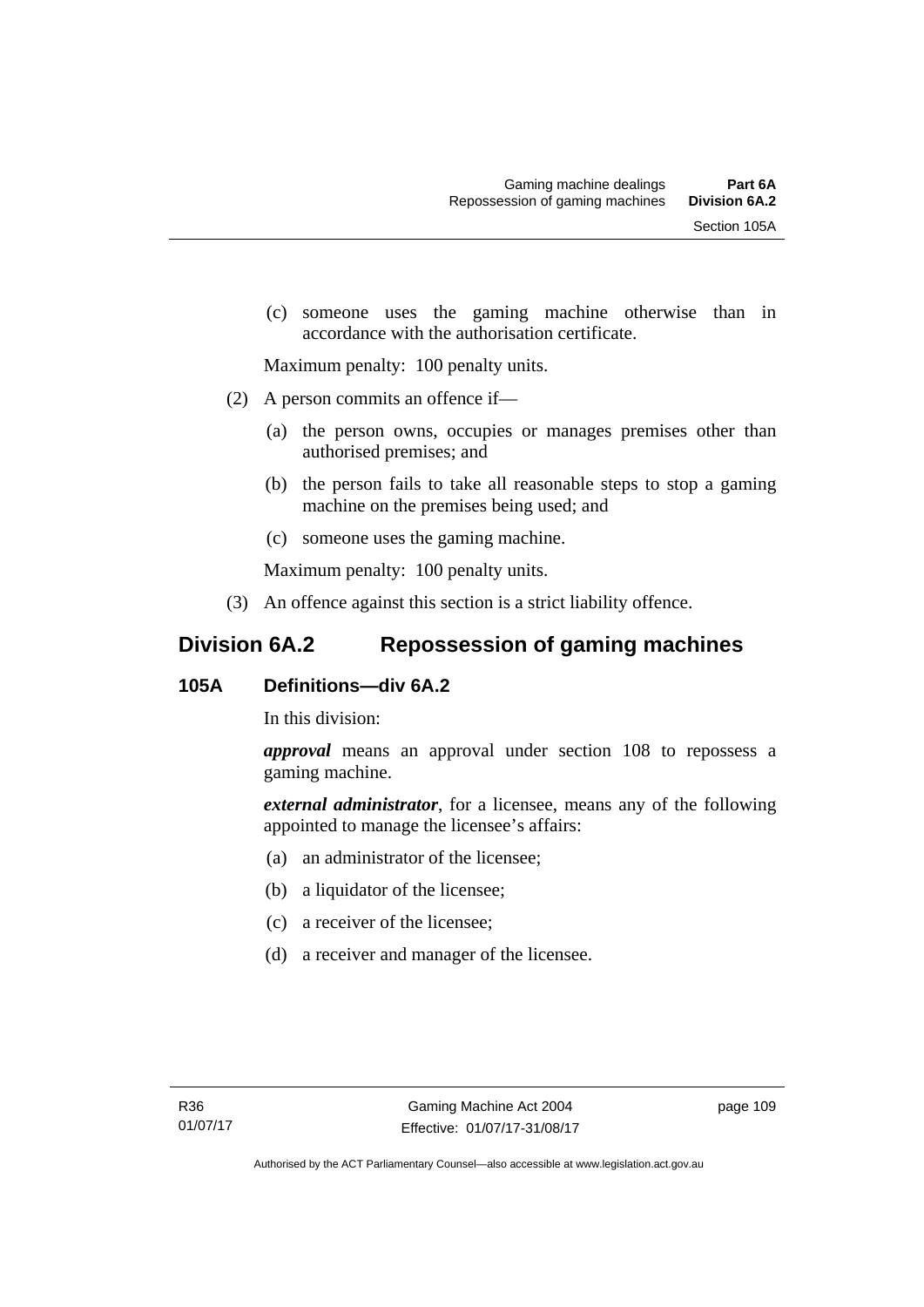(c) someone uses the gaming machine otherwise than in accordance with the authorisation certificate.

Maximum penalty: 100 penalty units.

- (2) A person commits an offence if—
	- (a) the person owns, occupies or manages premises other than authorised premises; and
	- (b) the person fails to take all reasonable steps to stop a gaming machine on the premises being used; and
	- (c) someone uses the gaming machine.

Maximum penalty: 100 penalty units.

(3) An offence against this section is a strict liability offence.

# **Division 6A.2 Repossession of gaming machines**

# **105A Definitions—div 6A.2**

In this division:

*approval* means an approval under section 108 to repossess a gaming machine.

*external administrator*, for a licensee, means any of the following appointed to manage the licensee's affairs:

- (a) an administrator of the licensee;
- (b) a liquidator of the licensee;
- (c) a receiver of the licensee;
- (d) a receiver and manager of the licensee.

page 109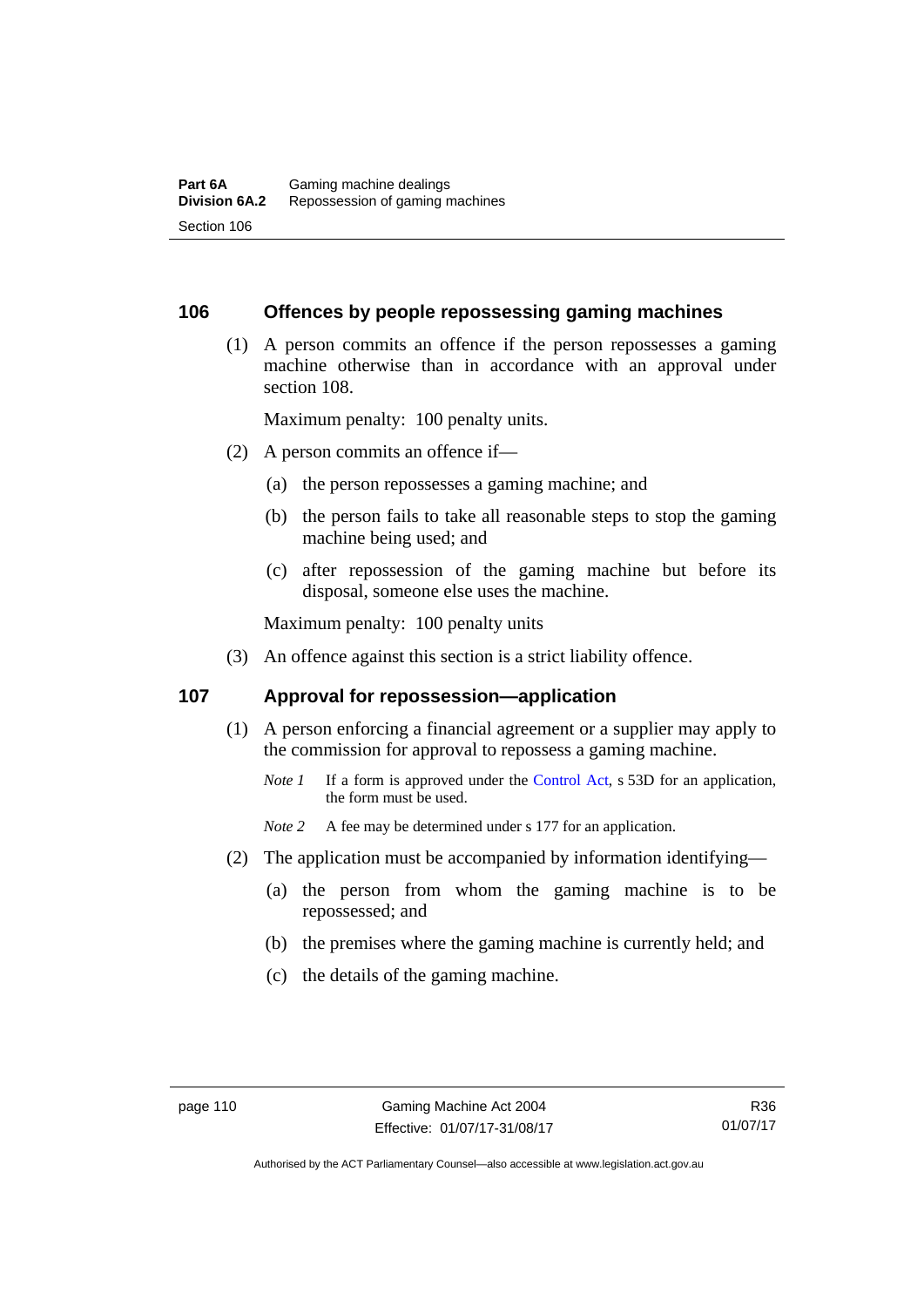#### **106 Offences by people repossessing gaming machines**

 (1) A person commits an offence if the person repossesses a gaming machine otherwise than in accordance with an approval under section 108.

Maximum penalty: 100 penalty units.

- (2) A person commits an offence if—
	- (a) the person repossesses a gaming machine; and
	- (b) the person fails to take all reasonable steps to stop the gaming machine being used; and
	- (c) after repossession of the gaming machine but before its disposal, someone else uses the machine.

Maximum penalty: 100 penalty units

(3) An offence against this section is a strict liability offence.

#### **107 Approval for repossession—application**

- (1) A person enforcing a financial agreement or a supplier may apply to the commission for approval to repossess a gaming machine.
	- *Note 1* If a form is approved under the [Control Act](http://www.legislation.act.gov.au/a/1999-46/default.asp), s 53D for an application, the form must be used.

*Note* 2 A fee may be determined under s 177 for an application.

- (2) The application must be accompanied by information identifying—
	- (a) the person from whom the gaming machine is to be repossessed; and
	- (b) the premises where the gaming machine is currently held; and
	- (c) the details of the gaming machine.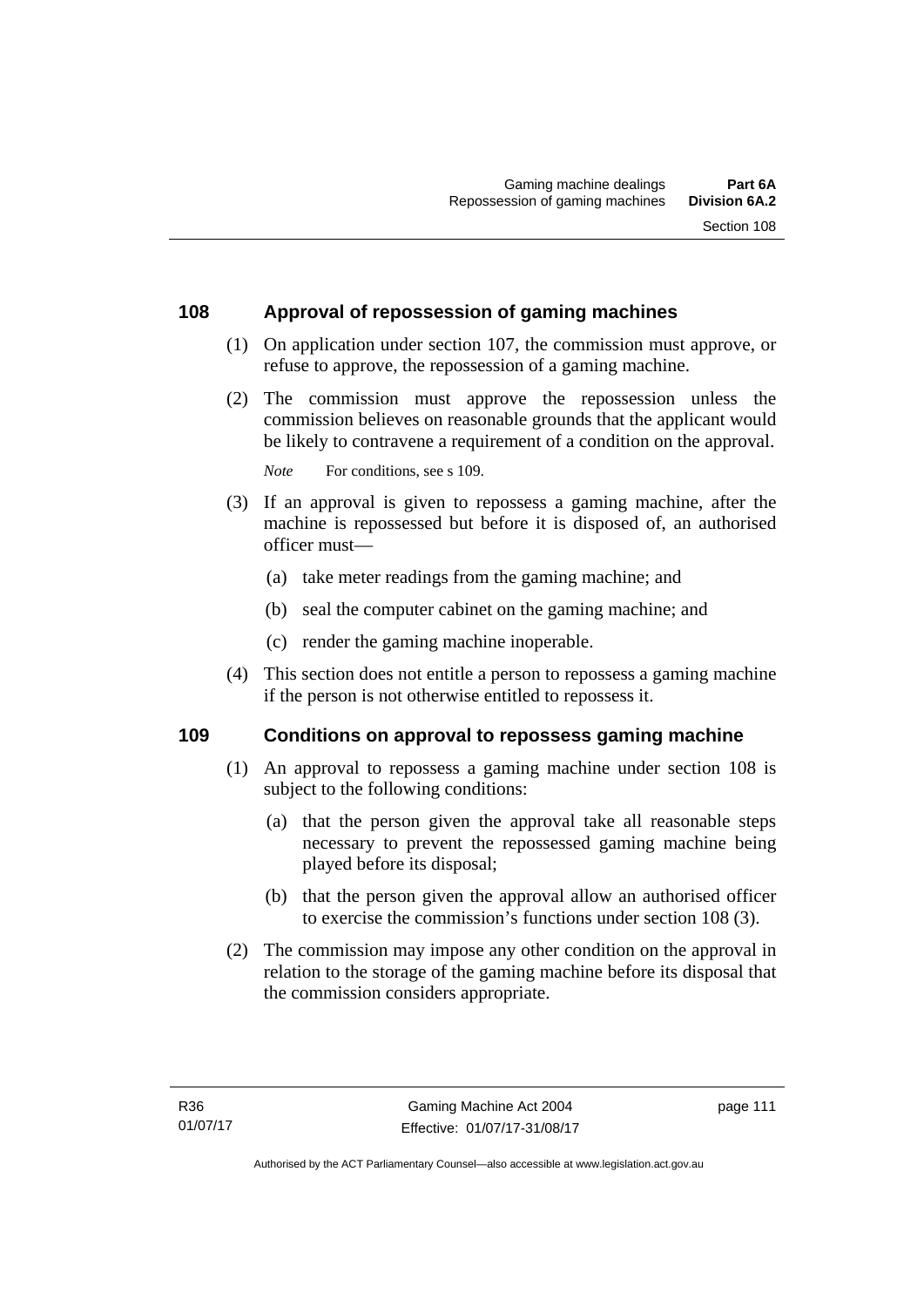# **108 Approval of repossession of gaming machines**

- (1) On application under section 107, the commission must approve, or refuse to approve, the repossession of a gaming machine.
- (2) The commission must approve the repossession unless the commission believes on reasonable grounds that the applicant would be likely to contravene a requirement of a condition on the approval.

*Note* For conditions, see s 109.

- (3) If an approval is given to repossess a gaming machine, after the machine is repossessed but before it is disposed of, an authorised officer must—
	- (a) take meter readings from the gaming machine; and
	- (b) seal the computer cabinet on the gaming machine; and
	- (c) render the gaming machine inoperable.
- (4) This section does not entitle a person to repossess a gaming machine if the person is not otherwise entitled to repossess it.

#### **109 Conditions on approval to repossess gaming machine**

- (1) An approval to repossess a gaming machine under section 108 is subject to the following conditions:
	- (a) that the person given the approval take all reasonable steps necessary to prevent the repossessed gaming machine being played before its disposal;
	- (b) that the person given the approval allow an authorised officer to exercise the commission's functions under section 108 (3).
- (2) The commission may impose any other condition on the approval in relation to the storage of the gaming machine before its disposal that the commission considers appropriate.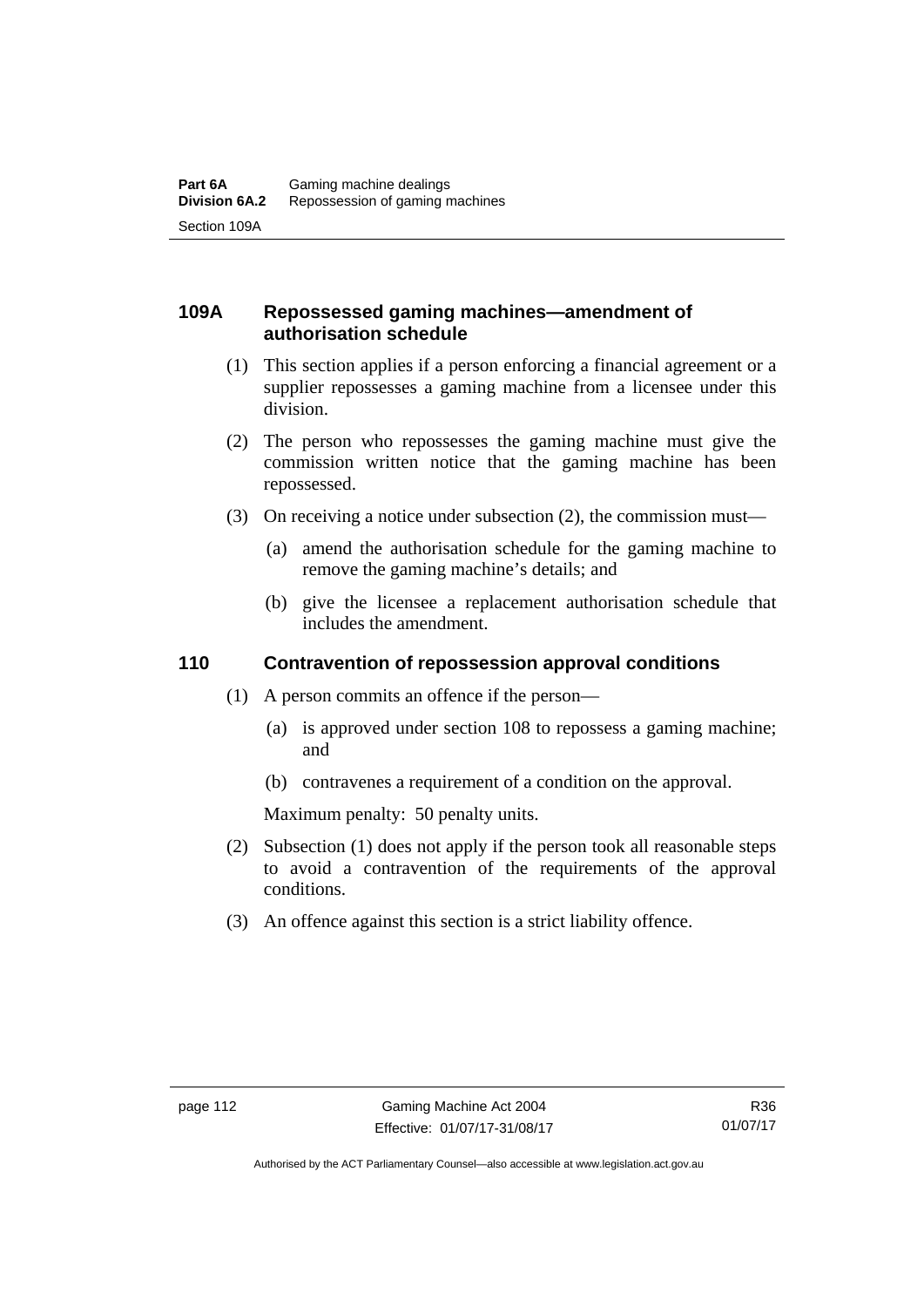# **109A Repossessed gaming machines—amendment of authorisation schedule**

- (1) This section applies if a person enforcing a financial agreement or a supplier repossesses a gaming machine from a licensee under this division.
- (2) The person who repossesses the gaming machine must give the commission written notice that the gaming machine has been repossessed.
- (3) On receiving a notice under subsection (2), the commission must—
	- (a) amend the authorisation schedule for the gaming machine to remove the gaming machine's details; and
	- (b) give the licensee a replacement authorisation schedule that includes the amendment.

#### **110 Contravention of repossession approval conditions**

- (1) A person commits an offence if the person—
	- (a) is approved under section 108 to repossess a gaming machine; and
	- (b) contravenes a requirement of a condition on the approval.

Maximum penalty: 50 penalty units.

- (2) Subsection (1) does not apply if the person took all reasonable steps to avoid a contravention of the requirements of the approval conditions.
- (3) An offence against this section is a strict liability offence.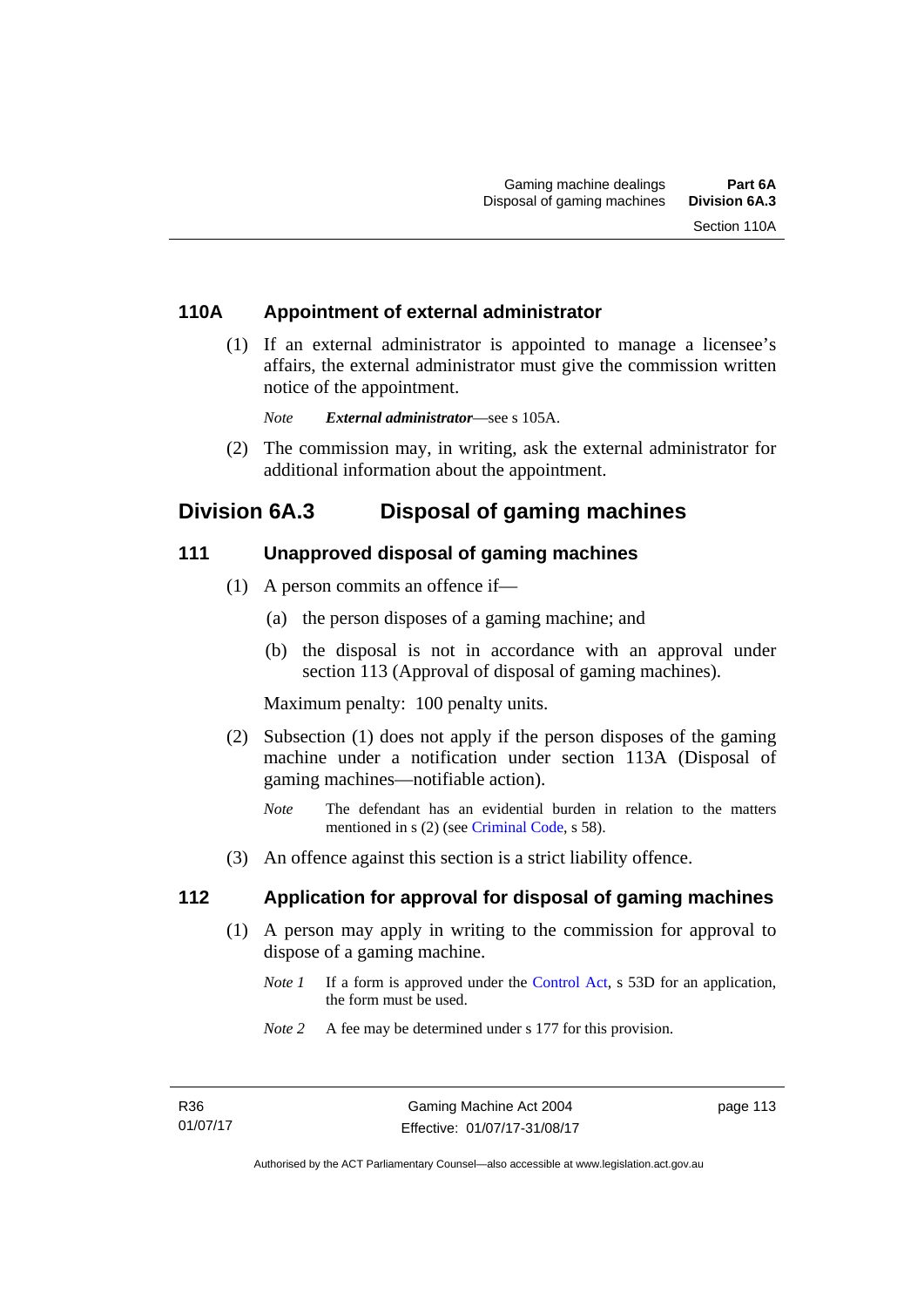# **110A Appointment of external administrator**

 (1) If an external administrator is appointed to manage a licensee's affairs, the external administrator must give the commission written notice of the appointment.

*Note External administrator*—see s 105A.

 (2) The commission may, in writing, ask the external administrator for additional information about the appointment.

# **Division 6A.3 Disposal of gaming machines**

#### **111 Unapproved disposal of gaming machines**

- (1) A person commits an offence if—
	- (a) the person disposes of a gaming machine; and
	- (b) the disposal is not in accordance with an approval under section 113 (Approval of disposal of gaming machines).

Maximum penalty: 100 penalty units.

- (2) Subsection (1) does not apply if the person disposes of the gaming machine under a notification under section 113A (Disposal of gaming machines—notifiable action).
	- *Note* The defendant has an evidential burden in relation to the matters mentioned in s (2) (see [Criminal Code](http://www.legislation.act.gov.au/a/2002-51), s 58).
- (3) An offence against this section is a strict liability offence.

# **112 Application for approval for disposal of gaming machines**

- (1) A person may apply in writing to the commission for approval to dispose of a gaming machine.
	- *Note 1* If a form is approved under the [Control Act,](http://www.legislation.act.gov.au/a/1999-46) s 53D for an application, the form must be used.
	- *Note 2* A fee may be determined under s 177 for this provision.

page 113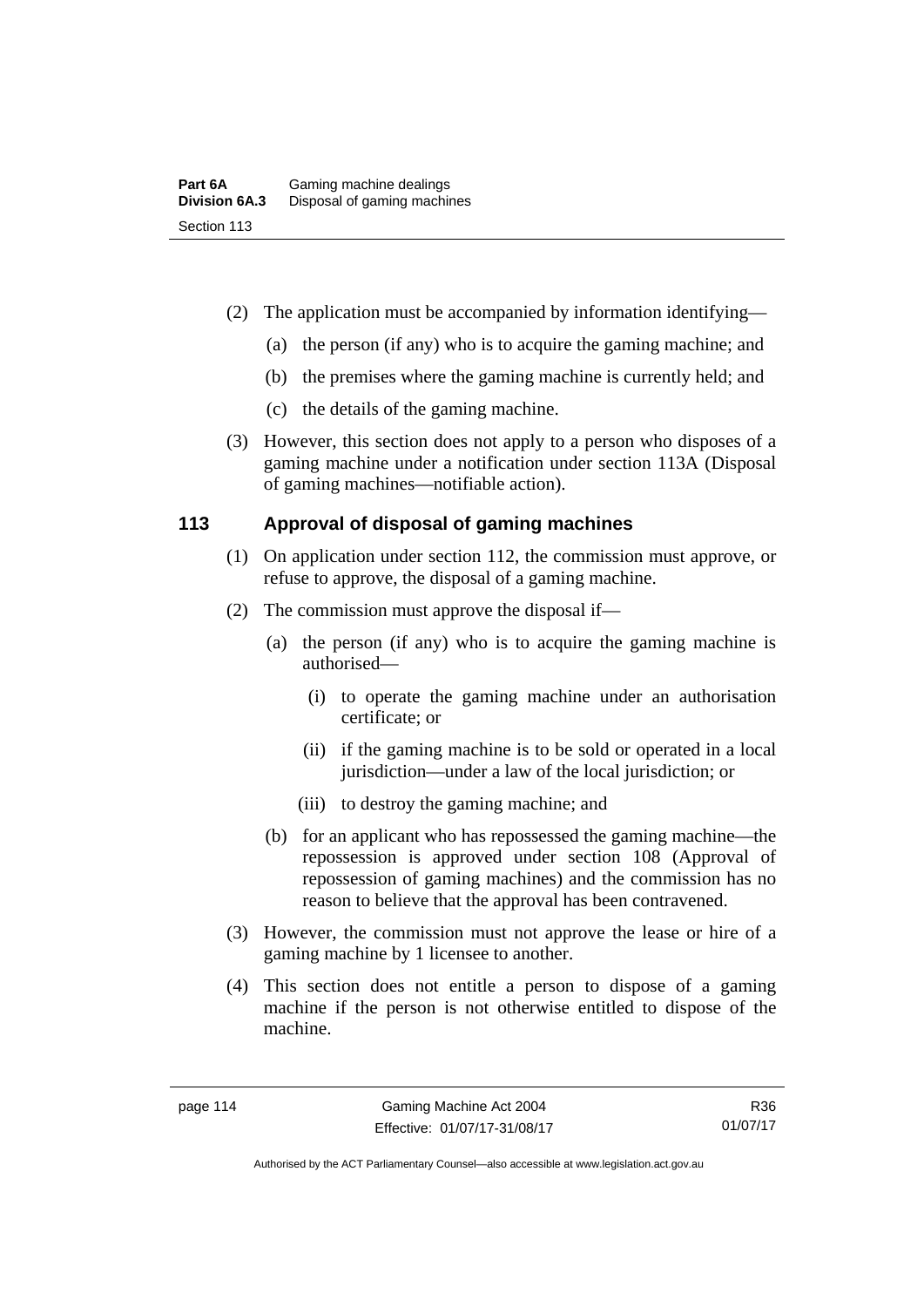- (2) The application must be accompanied by information identifying—
	- (a) the person (if any) who is to acquire the gaming machine; and
	- (b) the premises where the gaming machine is currently held; and
	- (c) the details of the gaming machine.
- (3) However, this section does not apply to a person who disposes of a gaming machine under a notification under section 113A (Disposal of gaming machines—notifiable action).

# **113 Approval of disposal of gaming machines**

- (1) On application under section 112, the commission must approve, or refuse to approve, the disposal of a gaming machine.
- (2) The commission must approve the disposal if—
	- (a) the person (if any) who is to acquire the gaming machine is authorised—
		- (i) to operate the gaming machine under an authorisation certificate; or
		- (ii) if the gaming machine is to be sold or operated in a local jurisdiction—under a law of the local jurisdiction; or
		- (iii) to destroy the gaming machine; and
	- (b) for an applicant who has repossessed the gaming machine—the repossession is approved under section 108 (Approval of repossession of gaming machines) and the commission has no reason to believe that the approval has been contravened.
- (3) However, the commission must not approve the lease or hire of a gaming machine by 1 licensee to another.
- (4) This section does not entitle a person to dispose of a gaming machine if the person is not otherwise entitled to dispose of the machine.

R36 01/07/17

Authorised by the ACT Parliamentary Counsel—also accessible at www.legislation.act.gov.au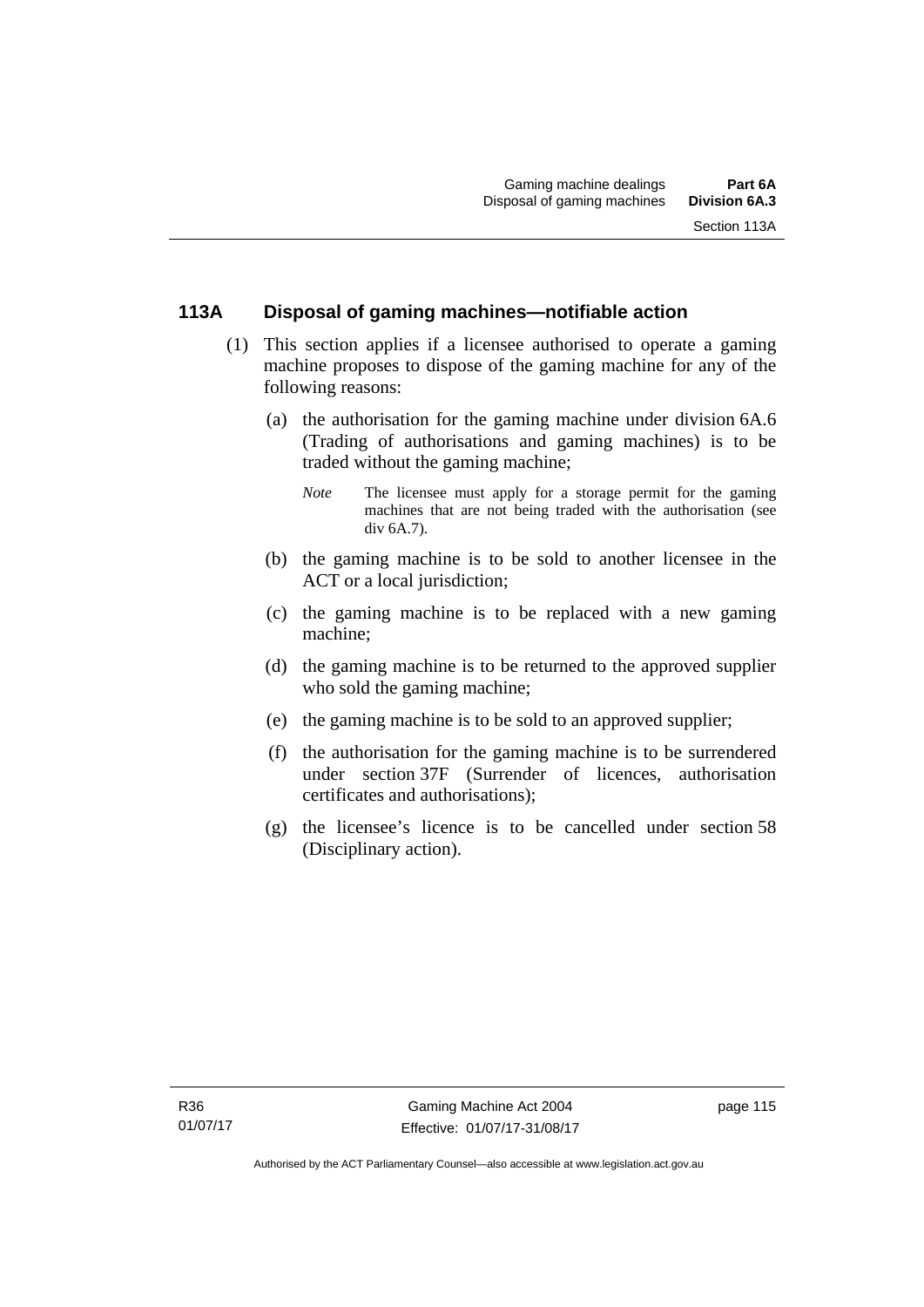# **113A Disposal of gaming machines—notifiable action**

- (1) This section applies if a licensee authorised to operate a gaming machine proposes to dispose of the gaming machine for any of the following reasons:
	- (a) the authorisation for the gaming machine under division 6A.6 (Trading of authorisations and gaming machines) is to be traded without the gaming machine;
		- *Note* The licensee must apply for a storage permit for the gaming machines that are not being traded with the authorisation (see div 6A.7).
	- (b) the gaming machine is to be sold to another licensee in the ACT or a local jurisdiction;
	- (c) the gaming machine is to be replaced with a new gaming machine;
	- (d) the gaming machine is to be returned to the approved supplier who sold the gaming machine;
	- (e) the gaming machine is to be sold to an approved supplier;
	- (f) the authorisation for the gaming machine is to be surrendered under section 37F (Surrender of licences, authorisation certificates and authorisations);
	- (g) the licensee's licence is to be cancelled under section 58 (Disciplinary action).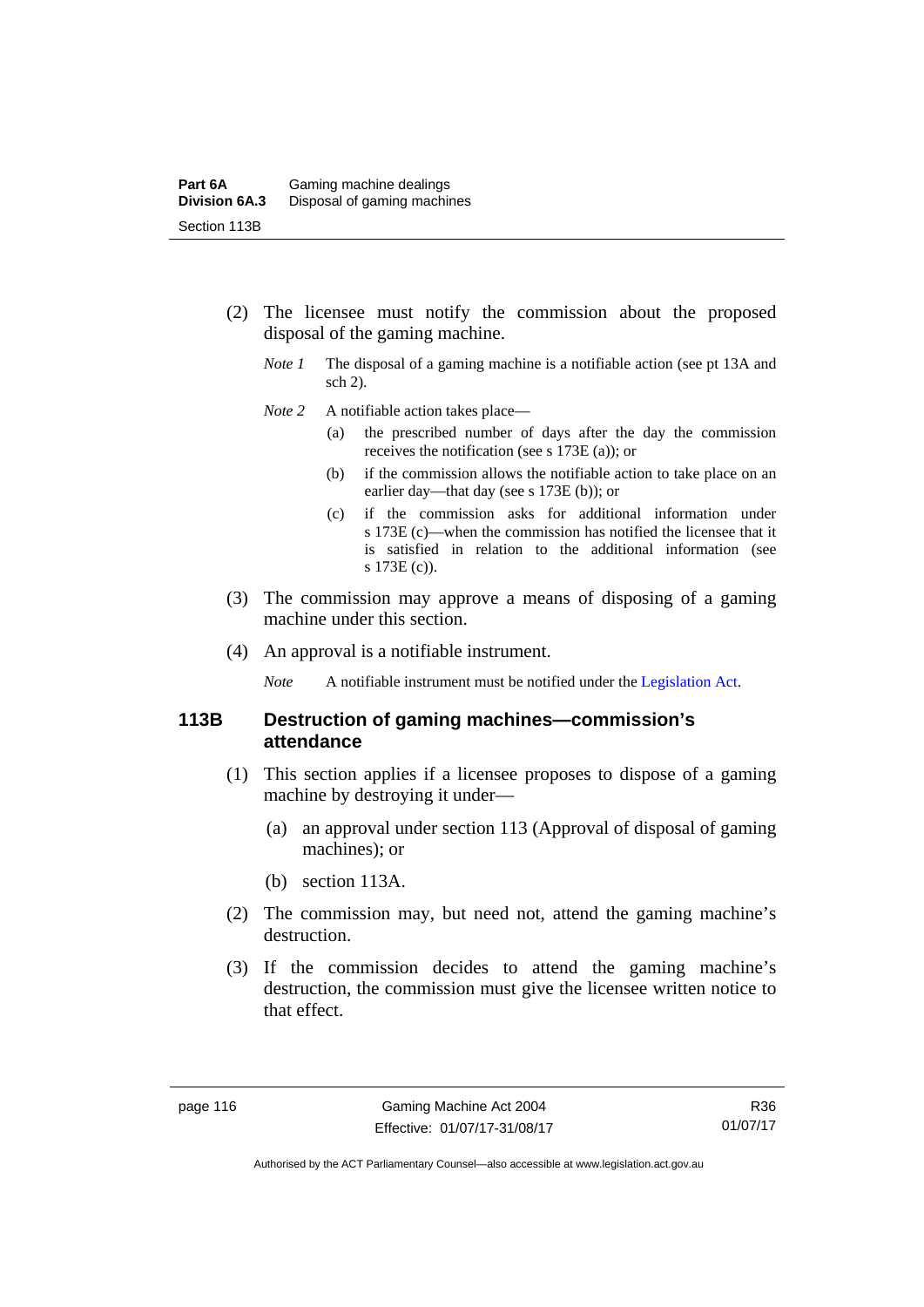- (2) The licensee must notify the commission about the proposed disposal of the gaming machine.
	- *Note 1* The disposal of a gaming machine is a notifiable action (see pt 13A and sch 2).
	- *Note* 2 A notifiable action takes place—
		- (a) the prescribed number of days after the day the commission receives the notification (see s 173E (a)); or
		- (b) if the commission allows the notifiable action to take place on an earlier day—that day (see s 173E (b)); or
		- (c) if the commission asks for additional information under s 173E (c)—when the commission has notified the licensee that it is satisfied in relation to the additional information (see s 173E (c)).
- (3) The commission may approve a means of disposing of a gaming machine under this section.
- (4) An approval is a notifiable instrument.

*Note* A notifiable instrument must be notified under the [Legislation Act](http://www.legislation.act.gov.au/a/2001-14).

# **113B Destruction of gaming machines—commission's attendance**

- (1) This section applies if a licensee proposes to dispose of a gaming machine by destroying it under—
	- (a) an approval under section 113 (Approval of disposal of gaming machines); or
	- (b) section 113A.
- (2) The commission may, but need not, attend the gaming machine's destruction.
- (3) If the commission decides to attend the gaming machine's destruction, the commission must give the licensee written notice to that effect.

R36 01/07/17

Authorised by the ACT Parliamentary Counsel—also accessible at www.legislation.act.gov.au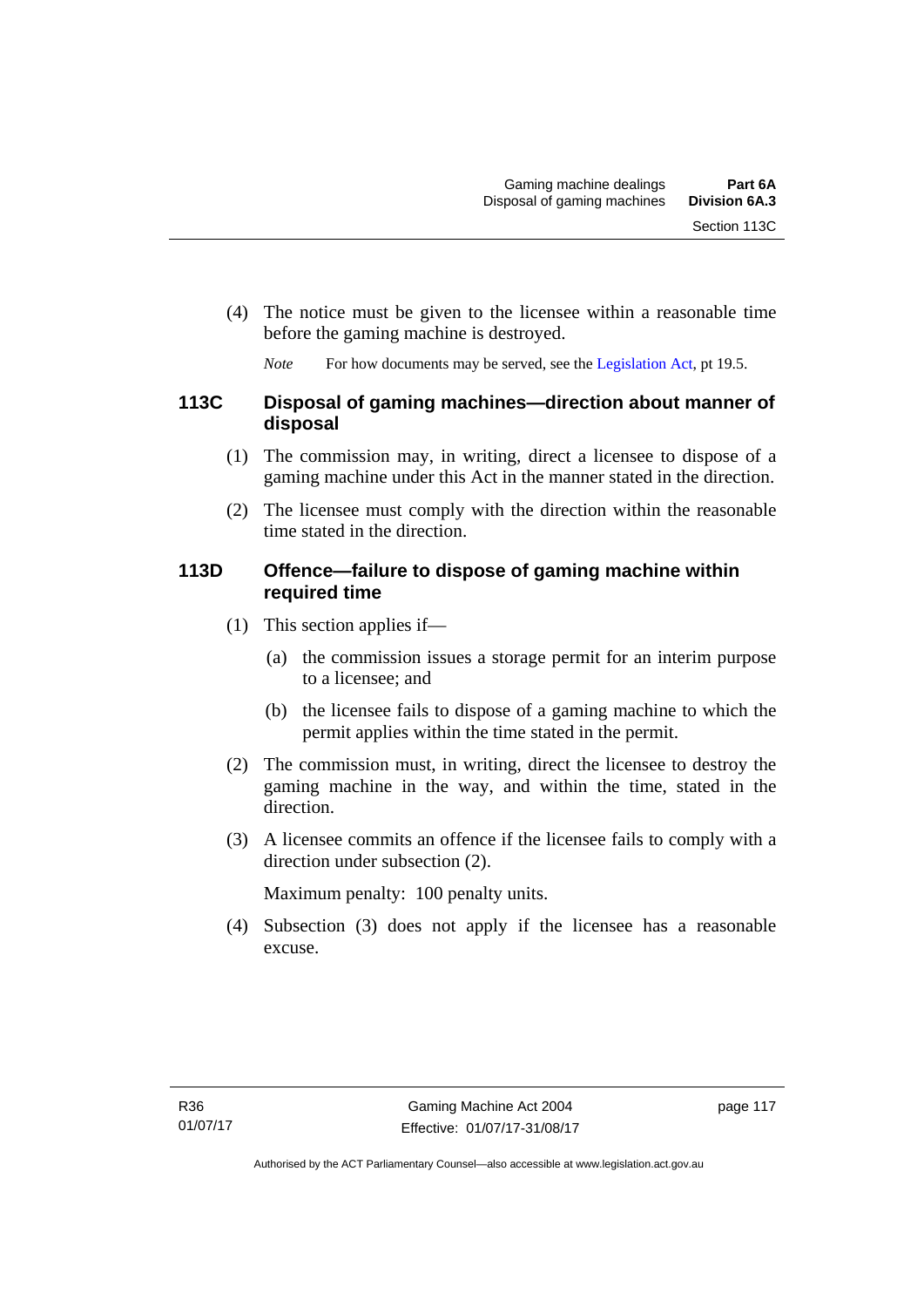(4) The notice must be given to the licensee within a reasonable time before the gaming machine is destroyed.

*Note* For how documents may be served, see the [Legislation Act,](http://www.legislation.act.gov.au/a/2001-14) pt 19.5.

# **113C Disposal of gaming machines—direction about manner of disposal**

- (1) The commission may, in writing, direct a licensee to dispose of a gaming machine under this Act in the manner stated in the direction.
- (2) The licensee must comply with the direction within the reasonable time stated in the direction.

# **113D Offence—failure to dispose of gaming machine within required time**

- (1) This section applies if—
	- (a) the commission issues a storage permit for an interim purpose to a licensee; and
	- (b) the licensee fails to dispose of a gaming machine to which the permit applies within the time stated in the permit.
- (2) The commission must, in writing, direct the licensee to destroy the gaming machine in the way, and within the time, stated in the direction.
- (3) A licensee commits an offence if the licensee fails to comply with a direction under subsection (2).

Maximum penalty: 100 penalty units.

 (4) Subsection (3) does not apply if the licensee has a reasonable excuse.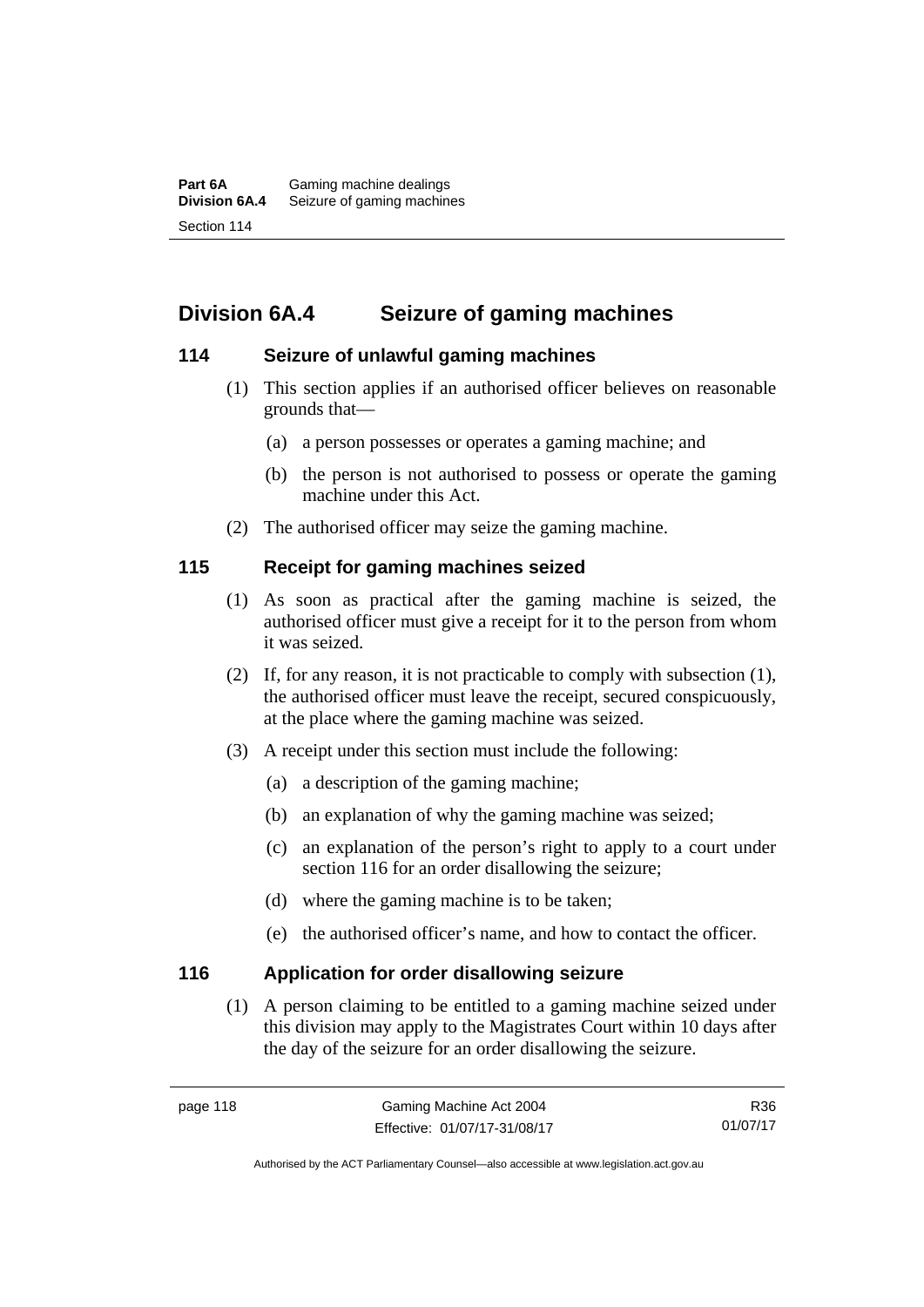# **Division 6A.4 Seizure of gaming machines**

# **114 Seizure of unlawful gaming machines**

- (1) This section applies if an authorised officer believes on reasonable grounds that—
	- (a) a person possesses or operates a gaming machine; and
	- (b) the person is not authorised to possess or operate the gaming machine under this Act.
- (2) The authorised officer may seize the gaming machine.

# **115 Receipt for gaming machines seized**

- (1) As soon as practical after the gaming machine is seized, the authorised officer must give a receipt for it to the person from whom it was seized.
- (2) If, for any reason, it is not practicable to comply with subsection (1), the authorised officer must leave the receipt, secured conspicuously, at the place where the gaming machine was seized.
- (3) A receipt under this section must include the following:
	- (a) a description of the gaming machine;
	- (b) an explanation of why the gaming machine was seized;
	- (c) an explanation of the person's right to apply to a court under section 116 for an order disallowing the seizure;
	- (d) where the gaming machine is to be taken;
	- (e) the authorised officer's name, and how to contact the officer.

# **116 Application for order disallowing seizure**

(1) A person claiming to be entitled to a gaming machine seized under this division may apply to the Magistrates Court within 10 days after the day of the seizure for an order disallowing the seizure.

R36 01/07/17

Authorised by the ACT Parliamentary Counsel—also accessible at www.legislation.act.gov.au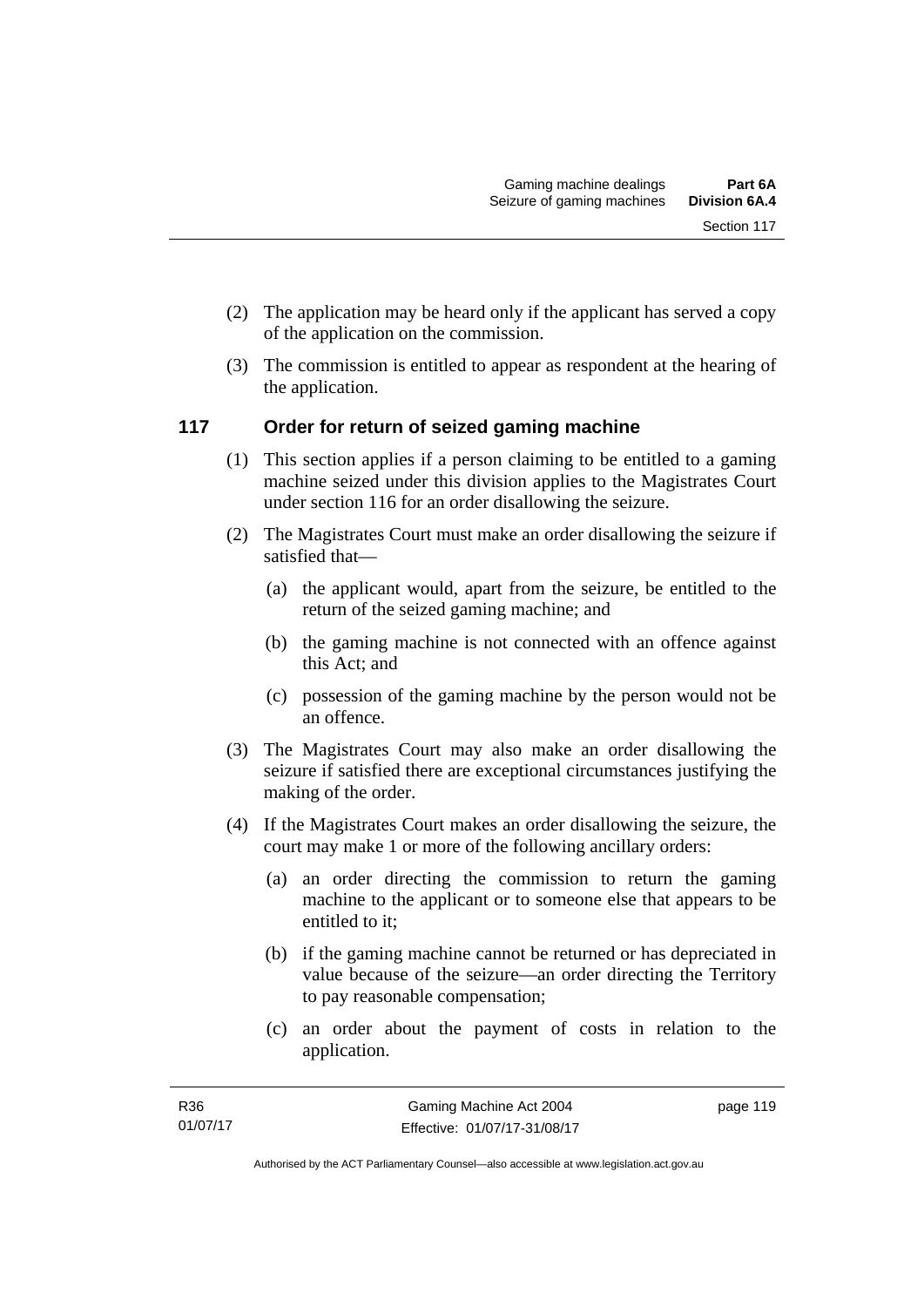- (2) The application may be heard only if the applicant has served a copy of the application on the commission.
- (3) The commission is entitled to appear as respondent at the hearing of the application.

# **117 Order for return of seized gaming machine**

- (1) This section applies if a person claiming to be entitled to a gaming machine seized under this division applies to the Magistrates Court under section 116 for an order disallowing the seizure.
- (2) The Magistrates Court must make an order disallowing the seizure if satisfied that—
	- (a) the applicant would, apart from the seizure, be entitled to the return of the seized gaming machine; and
	- (b) the gaming machine is not connected with an offence against this Act; and
	- (c) possession of the gaming machine by the person would not be an offence.
- (3) The Magistrates Court may also make an order disallowing the seizure if satisfied there are exceptional circumstances justifying the making of the order.
- (4) If the Magistrates Court makes an order disallowing the seizure, the court may make 1 or more of the following ancillary orders:
	- (a) an order directing the commission to return the gaming machine to the applicant or to someone else that appears to be entitled to it;
	- (b) if the gaming machine cannot be returned or has depreciated in value because of the seizure—an order directing the Territory to pay reasonable compensation;
	- (c) an order about the payment of costs in relation to the application.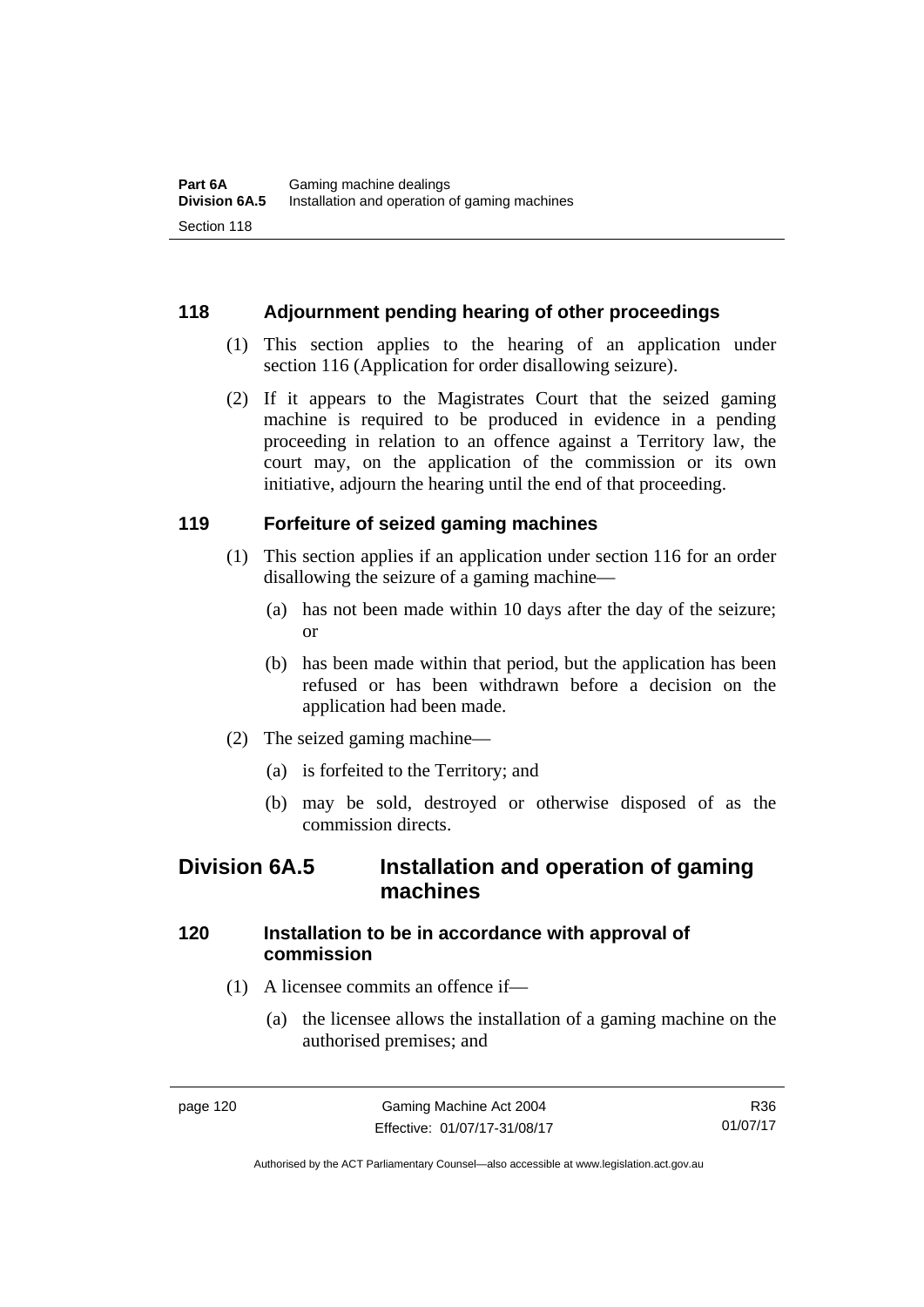# **118 Adjournment pending hearing of other proceedings**

- (1) This section applies to the hearing of an application under section 116 (Application for order disallowing seizure).
- (2) If it appears to the Magistrates Court that the seized gaming machine is required to be produced in evidence in a pending proceeding in relation to an offence against a Territory law, the court may, on the application of the commission or its own initiative, adjourn the hearing until the end of that proceeding.

# **119 Forfeiture of seized gaming machines**

- (1) This section applies if an application under section 116 for an order disallowing the seizure of a gaming machine—
	- (a) has not been made within 10 days after the day of the seizure; or
	- (b) has been made within that period, but the application has been refused or has been withdrawn before a decision on the application had been made.
- (2) The seized gaming machine—
	- (a) is forfeited to the Territory; and
	- (b) may be sold, destroyed or otherwise disposed of as the commission directs.

# **Division 6A.5 Installation and operation of gaming machines**

# **120 Installation to be in accordance with approval of commission**

- (1) A licensee commits an offence if—
	- (a) the licensee allows the installation of a gaming machine on the authorised premises; and

R36 01/07/17

Authorised by the ACT Parliamentary Counsel—also accessible at www.legislation.act.gov.au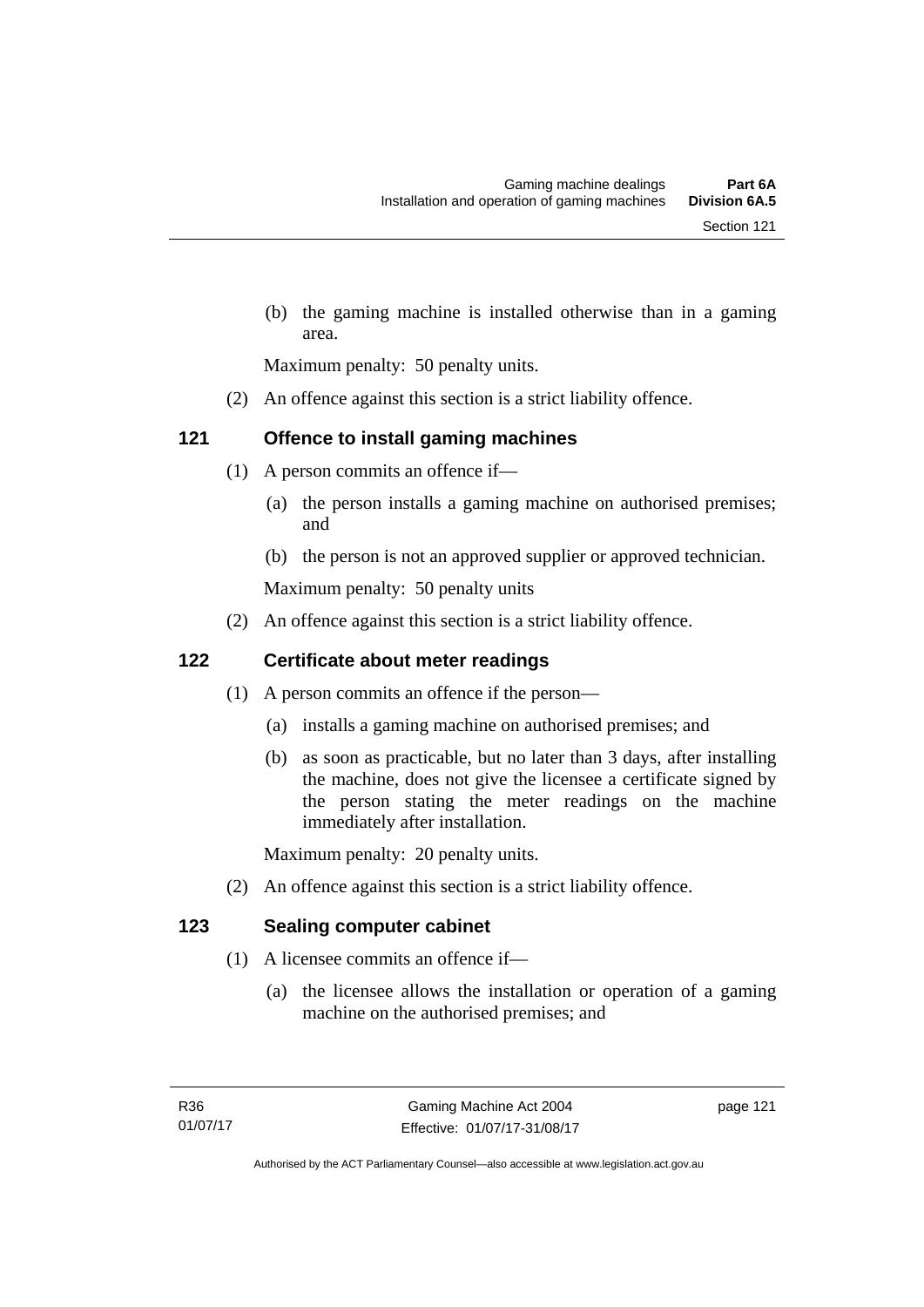(b) the gaming machine is installed otherwise than in a gaming area.

Maximum penalty: 50 penalty units.

(2) An offence against this section is a strict liability offence.

# **121 Offence to install gaming machines**

- (1) A person commits an offence if—
	- (a) the person installs a gaming machine on authorised premises; and
	- (b) the person is not an approved supplier or approved technician.

Maximum penalty: 50 penalty units

(2) An offence against this section is a strict liability offence.

# **122 Certificate about meter readings**

- (1) A person commits an offence if the person—
	- (a) installs a gaming machine on authorised premises; and
	- (b) as soon as practicable, but no later than 3 days, after installing the machine, does not give the licensee a certificate signed by the person stating the meter readings on the machine immediately after installation.

Maximum penalty: 20 penalty units.

(2) An offence against this section is a strict liability offence.

# **123 Sealing computer cabinet**

- (1) A licensee commits an offence if—
	- (a) the licensee allows the installation or operation of a gaming machine on the authorised premises; and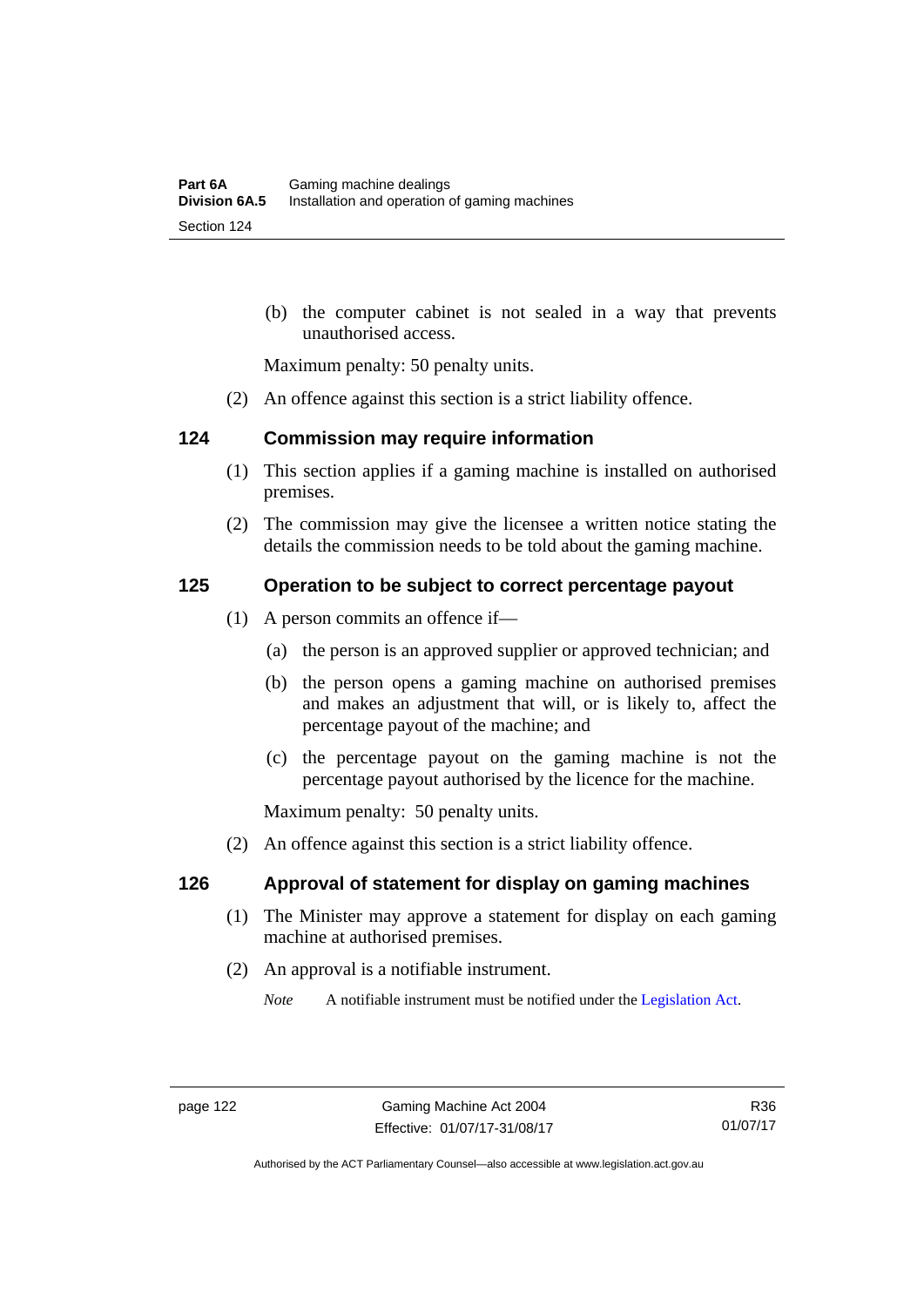(b) the computer cabinet is not sealed in a way that prevents unauthorised access.

Maximum penalty: 50 penalty units.

(2) An offence against this section is a strict liability offence.

#### **124 Commission may require information**

- (1) This section applies if a gaming machine is installed on authorised premises.
- (2) The commission may give the licensee a written notice stating the details the commission needs to be told about the gaming machine.

# **125 Operation to be subject to correct percentage payout**

- (1) A person commits an offence if—
	- (a) the person is an approved supplier or approved technician; and
	- (b) the person opens a gaming machine on authorised premises and makes an adjustment that will, or is likely to, affect the percentage payout of the machine; and
	- (c) the percentage payout on the gaming machine is not the percentage payout authorised by the licence for the machine.

Maximum penalty: 50 penalty units.

(2) An offence against this section is a strict liability offence.

#### **126 Approval of statement for display on gaming machines**

- (1) The Minister may approve a statement for display on each gaming machine at authorised premises.
- (2) An approval is a notifiable instrument.

*Note* A notifiable instrument must be notified under the [Legislation Act](http://www.legislation.act.gov.au/a/2001-14).

Authorised by the ACT Parliamentary Counsel—also accessible at www.legislation.act.gov.au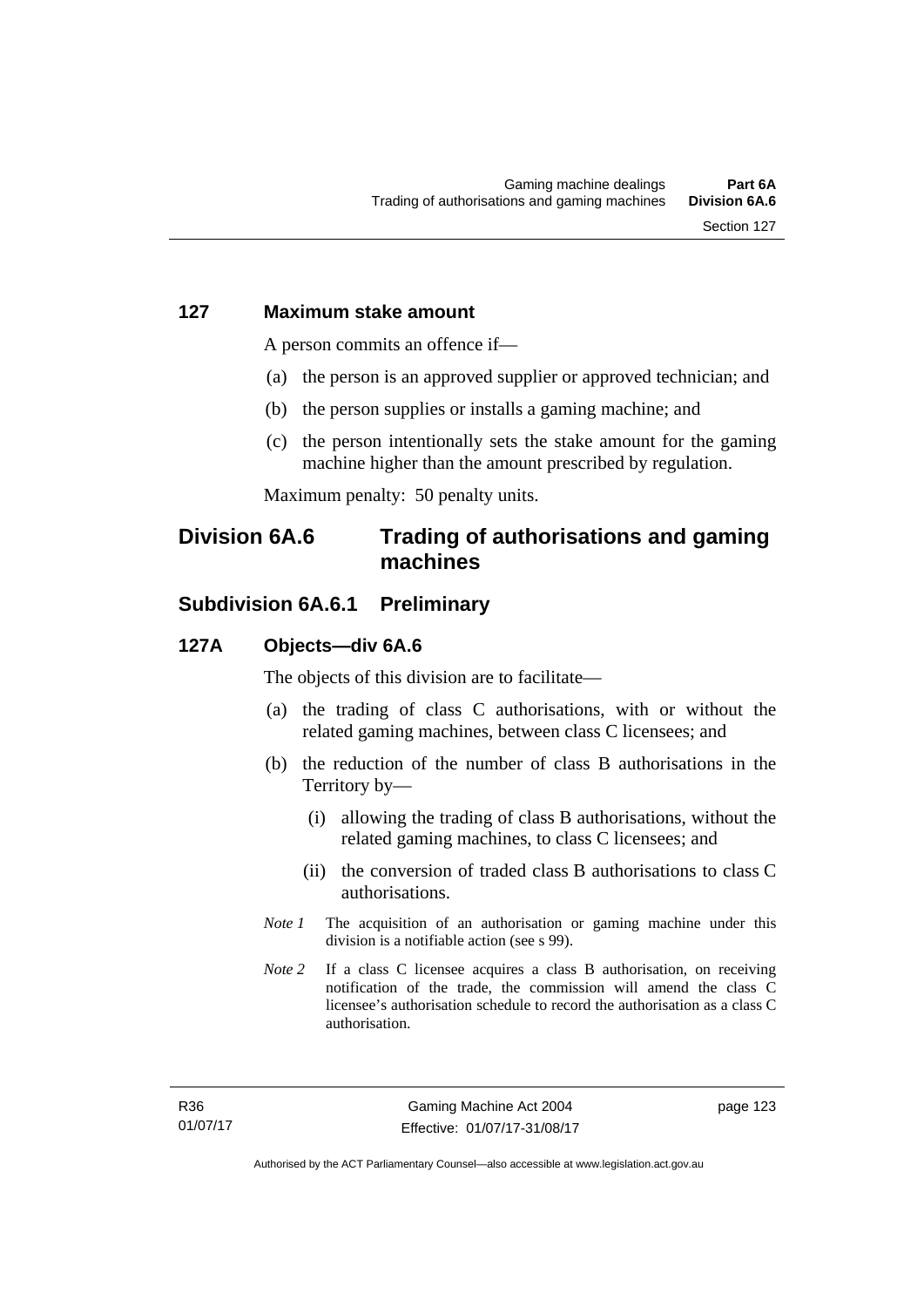#### **127 Maximum stake amount**

A person commits an offence if—

- (a) the person is an approved supplier or approved technician; and
- (b) the person supplies or installs a gaming machine; and
- (c) the person intentionally sets the stake amount for the gaming machine higher than the amount prescribed by regulation.

Maximum penalty: 50 penalty units.

# **Division 6A.6 Trading of authorisations and gaming machines**

# **Subdivision 6A.6.1 Preliminary**

#### **127A Objects—div 6A.6**

The objects of this division are to facilitate—

- (a) the trading of class C authorisations, with or without the related gaming machines, between class C licensees; and
- (b) the reduction of the number of class B authorisations in the Territory by—
	- (i) allowing the trading of class B authorisations, without the related gaming machines, to class C licensees; and
	- (ii) the conversion of traded class B authorisations to class C authorisations.
- *Note 1* The acquisition of an authorisation or gaming machine under this division is a notifiable action (see s 99).
- *Note 2* If a class C licensee acquires a class B authorisation, on receiving notification of the trade, the commission will amend the class C licensee's authorisation schedule to record the authorisation as a class C authorisation.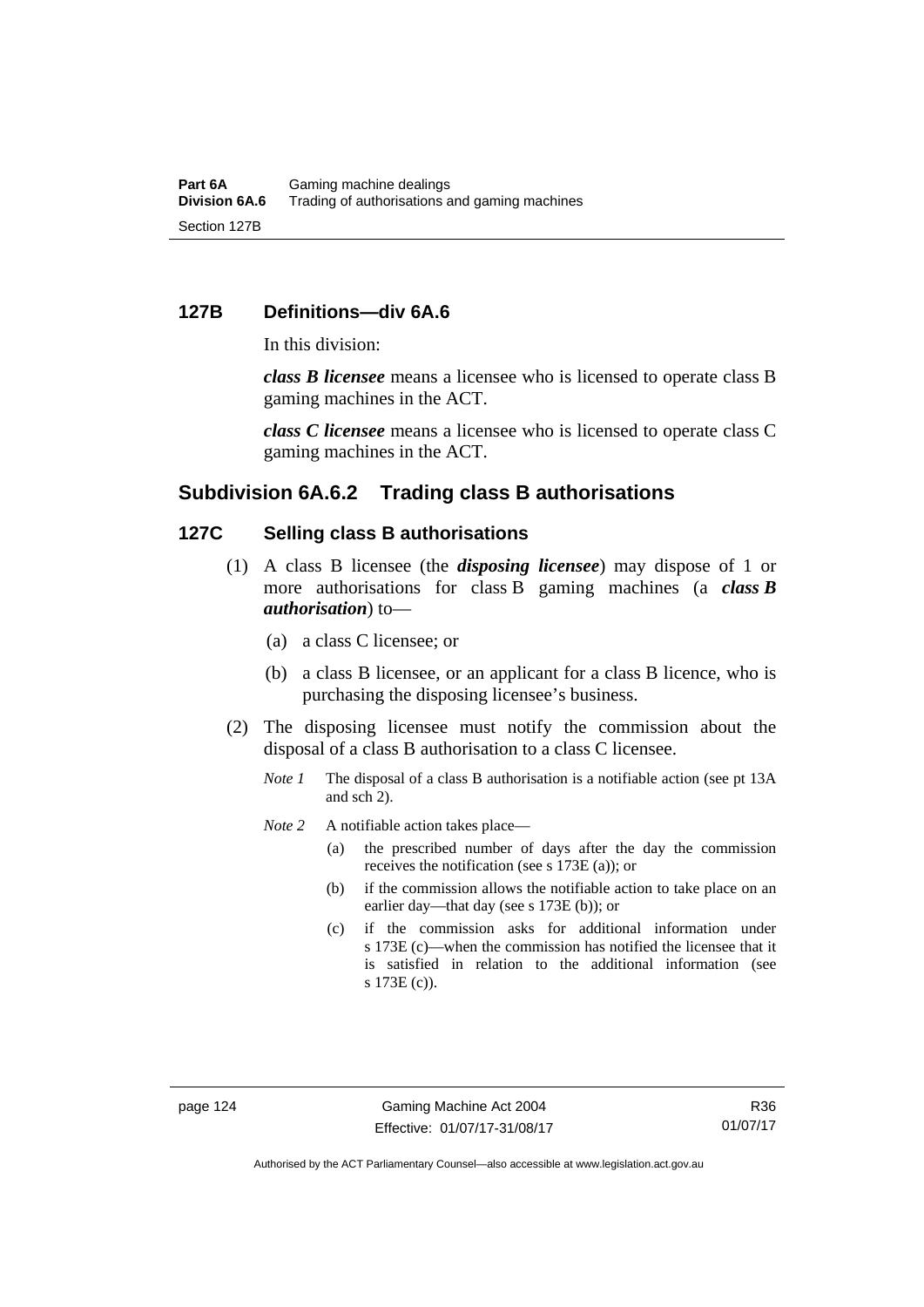#### **127B Definitions—div 6A.6**

In this division:

*class B licensee* means a licensee who is licensed to operate class B gaming machines in the ACT.

*class C licensee* means a licensee who is licensed to operate class C gaming machines in the ACT.

#### **Subdivision 6A.6.2 Trading class B authorisations**

# **127C Selling class B authorisations**

- (1) A class B licensee (the *disposing licensee*) may dispose of 1 or more authorisations for class B gaming machines (a *class B authorisation*) to—
	- (a) a class C licensee; or
	- (b) a class B licensee, or an applicant for a class B licence, who is purchasing the disposing licensee's business.
- (2) The disposing licensee must notify the commission about the disposal of a class B authorisation to a class C licensee.
	- *Note 1* The disposal of a class B authorisation is a notifiable action (see pt 13A) and sch 2).
	- *Note* 2 A notifiable action takes place—
		- (a) the prescribed number of days after the day the commission receives the notification (see s 173E (a)); or
		- (b) if the commission allows the notifiable action to take place on an earlier day—that day (see s 173E (b)); or
		- (c) if the commission asks for additional information under s 173E (c)—when the commission has notified the licensee that it is satisfied in relation to the additional information (see s 173E (c)).

R36 01/07/17

Authorised by the ACT Parliamentary Counsel—also accessible at www.legislation.act.gov.au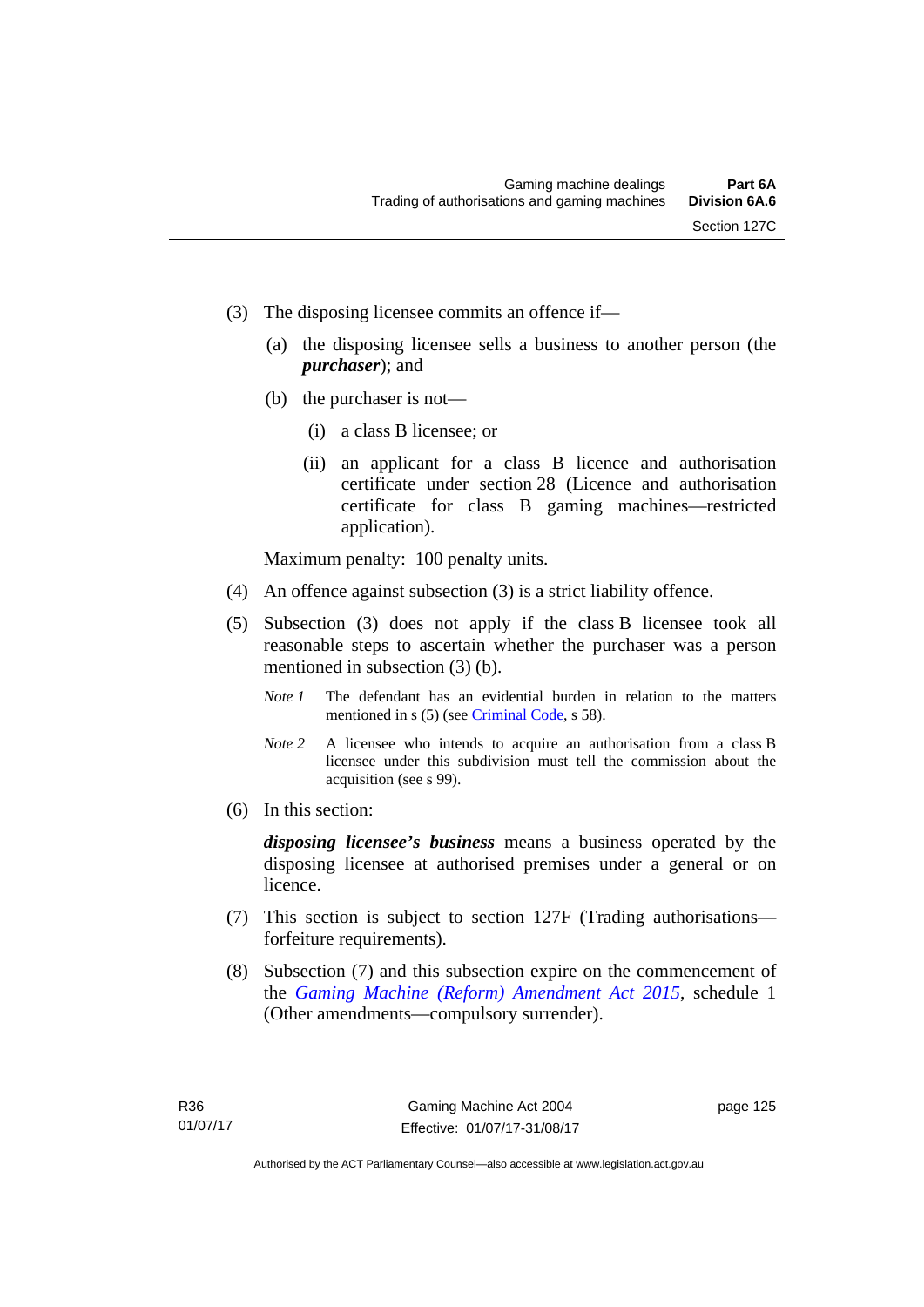- (3) The disposing licensee commits an offence if—
	- (a) the disposing licensee sells a business to another person (the *purchaser*); and
	- (b) the purchaser is not—
		- (i) a class B licensee; or
		- (ii) an applicant for a class B licence and authorisation certificate under section 28 (Licence and authorisation certificate for class B gaming machines—restricted application).

Maximum penalty: 100 penalty units.

- (4) An offence against subsection (3) is a strict liability offence.
- (5) Subsection (3) does not apply if the class B licensee took all reasonable steps to ascertain whether the purchaser was a person mentioned in subsection (3) (b).
	- *Note 1* The defendant has an evidential burden in relation to the matters mentioned in s (5) (see [Criminal Code](http://www.legislation.act.gov.au/a/2002-51), s 58).
	- *Note* 2 A licensee who intends to acquire an authorisation from a class B licensee under this subdivision must tell the commission about the acquisition (see s 99).
- (6) In this section:

*disposing licensee's business* means a business operated by the disposing licensee at authorised premises under a general or on licence.

- (7) This section is subject to section 127F (Trading authorisations forfeiture requirements).
- (8) Subsection (7) and this subsection expire on the commencement of the *[Gaming Machine \(Reform\) Amendment Act 2015](http://www.legislation.act.gov.au/a/2015-21/default.asp)*, schedule 1 (Other amendments—compulsory surrender).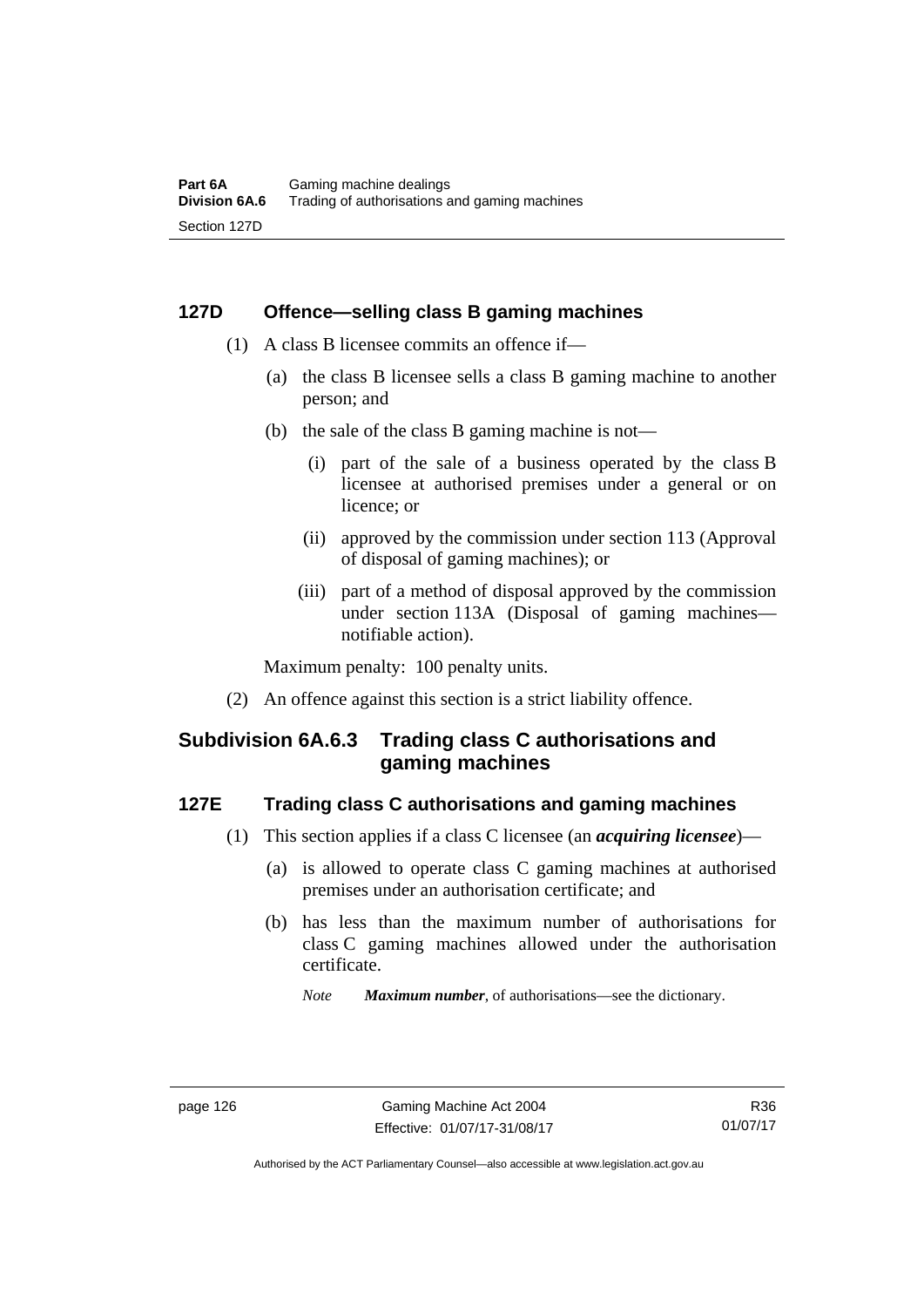# **127D Offence—selling class B gaming machines**

- (1) A class B licensee commits an offence if—
	- (a) the class B licensee sells a class B gaming machine to another person; and
	- (b) the sale of the class B gaming machine is not—
		- (i) part of the sale of a business operated by the class B licensee at authorised premises under a general or on licence; or
		- (ii) approved by the commission under section 113 (Approval of disposal of gaming machines); or
		- (iii) part of a method of disposal approved by the commission under section 113A (Disposal of gaming machines notifiable action).

Maximum penalty: 100 penalty units.

(2) An offence against this section is a strict liability offence.

# **Subdivision 6A.6.3 Trading class C authorisations and gaming machines**

# **127E Trading class C authorisations and gaming machines**

- (1) This section applies if a class C licensee (an *acquiring licensee*)—
	- (a) is allowed to operate class C gaming machines at authorised premises under an authorisation certificate; and
	- (b) has less than the maximum number of authorisations for class C gaming machines allowed under the authorisation certificate.
		- *Note Maximum number*, of authorisations—see the dictionary.

Authorised by the ACT Parliamentary Counsel—also accessible at www.legislation.act.gov.au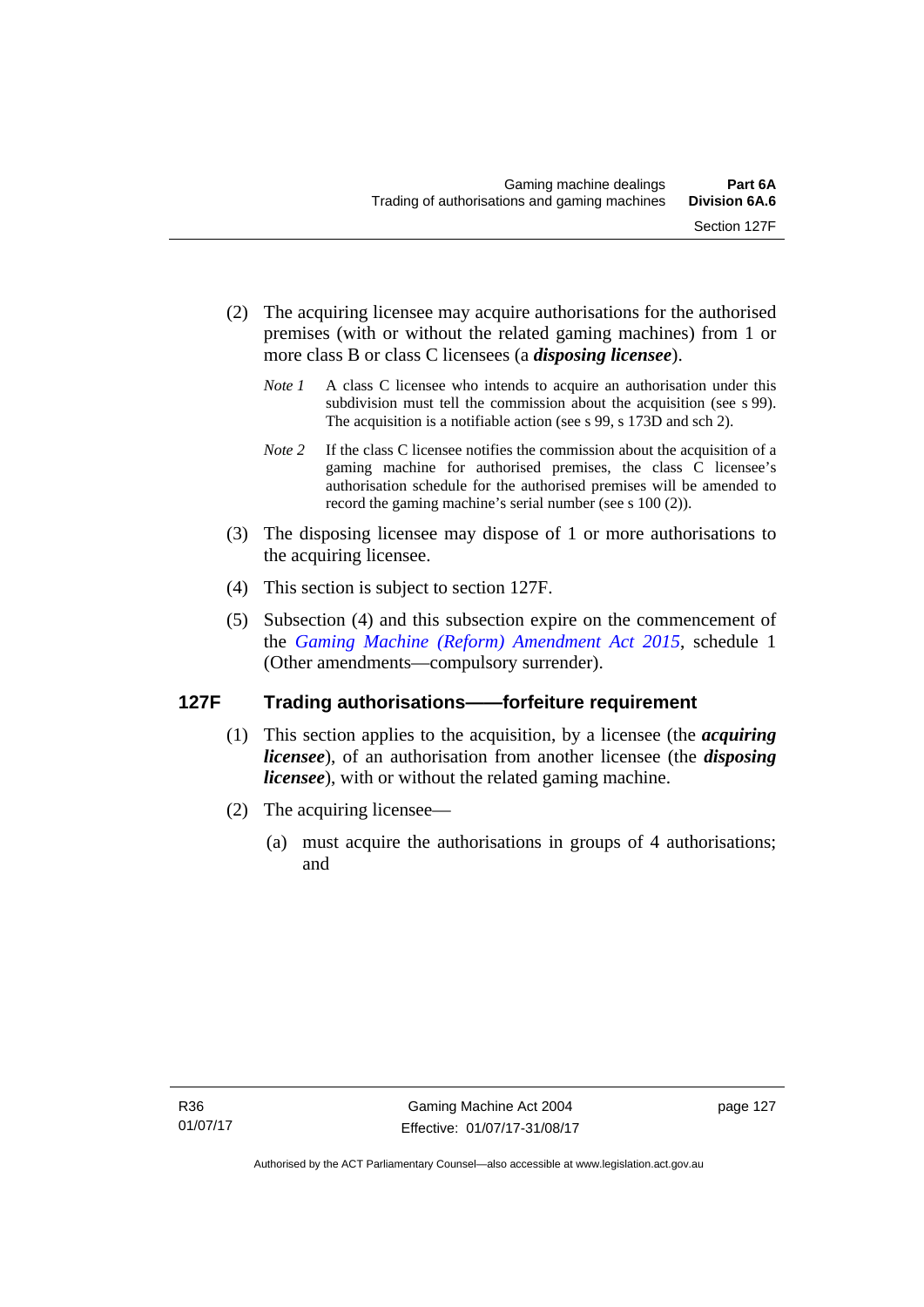- (2) The acquiring licensee may acquire authorisations for the authorised premises (with or without the related gaming machines) from 1 or more class B or class C licensees (a *disposing licensee*).
	- *Note 1* A class C licensee who intends to acquire an authorisation under this subdivision must tell the commission about the acquisition (see s 99). The acquisition is a notifiable action (see s 99, s 173D and sch 2).
	- *Note 2* If the class C licensee notifies the commission about the acquisition of a gaming machine for authorised premises, the class C licensee's authorisation schedule for the authorised premises will be amended to record the gaming machine's serial number (see s 100 (2)).
- (3) The disposing licensee may dispose of 1 or more authorisations to the acquiring licensee.
- (4) This section is subject to section 127F.
- (5) Subsection (4) and this subsection expire on the commencement of the *[Gaming Machine \(Reform\) Amendment Act 2015](http://www.legislation.act.gov.au/a/2015-21/default.asp)*, schedule 1 (Other amendments—compulsory surrender).

# **127F Trading authorisations——forfeiture requirement**

- (1) This section applies to the acquisition, by a licensee (the *acquiring licensee*), of an authorisation from another licensee (the *disposing licensee*), with or without the related gaming machine.
- (2) The acquiring licensee—
	- (a) must acquire the authorisations in groups of 4 authorisations; and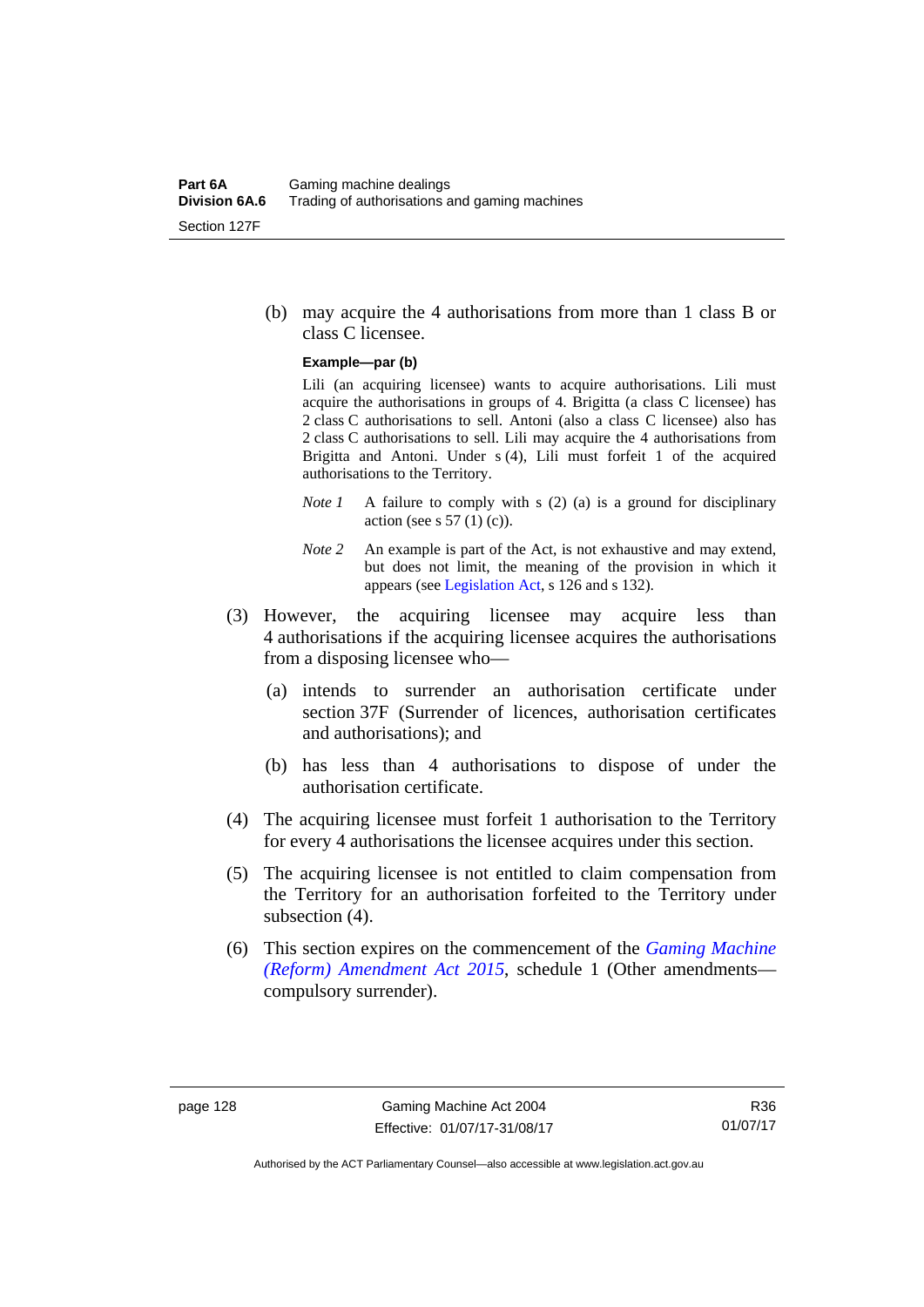(b) may acquire the 4 authorisations from more than 1 class B or class C licensee.

#### **Example—par (b)**

Lili (an acquiring licensee) wants to acquire authorisations. Lili must acquire the authorisations in groups of 4. Brigitta (a class C licensee) has 2 class C authorisations to sell. Antoni (also a class C licensee) also has 2 class C authorisations to sell. Lili may acquire the 4 authorisations from Brigitta and Antoni. Under s (4), Lili must forfeit 1 of the acquired authorisations to the Territory.

- *Note 1* A failure to comply with s (2) (a) is a ground for disciplinary action (see s  $57(1)(c)$ ).
- *Note 2* An example is part of the Act, is not exhaustive and may extend, but does not limit, the meaning of the provision in which it appears (see [Legislation Act,](http://www.legislation.act.gov.au/a/2001-14) s 126 and s 132).
- (3) However, the acquiring licensee may acquire less than 4 authorisations if the acquiring licensee acquires the authorisations from a disposing licensee who—
	- (a) intends to surrender an authorisation certificate under section 37F (Surrender of licences, authorisation certificates and authorisations); and
	- (b) has less than 4 authorisations to dispose of under the authorisation certificate.
- (4) The acquiring licensee must forfeit 1 authorisation to the Territory for every 4 authorisations the licensee acquires under this section.
- (5) The acquiring licensee is not entitled to claim compensation from the Territory for an authorisation forfeited to the Territory under subsection (4).
- (6) This section expires on the commencement of the *[Gaming Machine](http://www.legislation.act.gov.au/a/2015-21/default.asp)  [\(Reform\) Amendment Act 2015](http://www.legislation.act.gov.au/a/2015-21/default.asp)*, schedule 1 (Other amendments compulsory surrender).

R36 01/07/17

Authorised by the ACT Parliamentary Counsel—also accessible at www.legislation.act.gov.au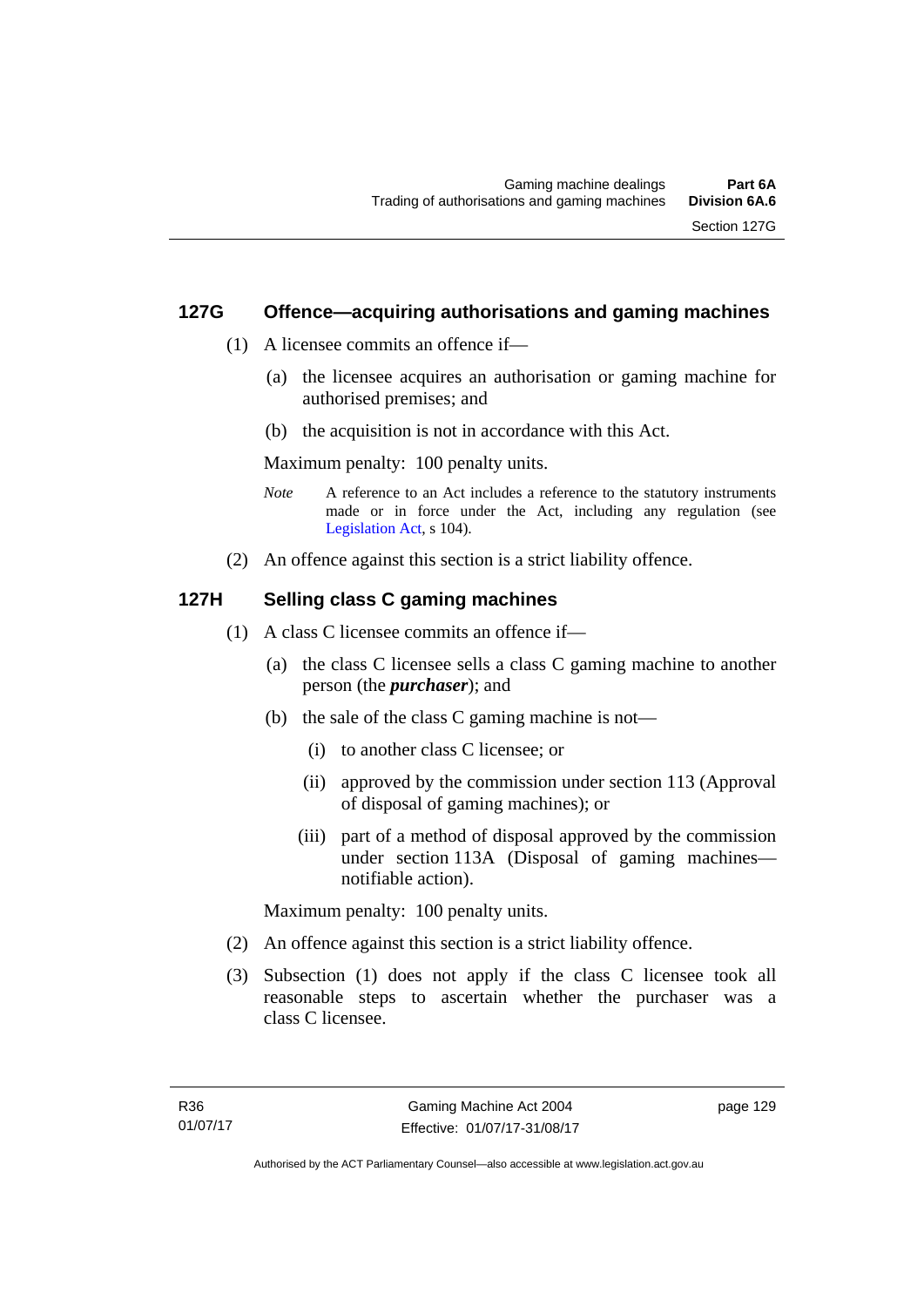# **127G Offence—acquiring authorisations and gaming machines**

- (1) A licensee commits an offence if—
	- (a) the licensee acquires an authorisation or gaming machine for authorised premises; and
	- (b) the acquisition is not in accordance with this Act.

Maximum penalty: 100 penalty units.

- *Note* A reference to an Act includes a reference to the statutory instruments made or in force under the Act, including any regulation (see [Legislation Act,](http://www.legislation.act.gov.au/a/2001-14) s 104).
- (2) An offence against this section is a strict liability offence.

#### **127H Selling class C gaming machines**

- (1) A class C licensee commits an offence if—
	- (a) the class C licensee sells a class C gaming machine to another person (the *purchaser*); and
	- (b) the sale of the class C gaming machine is not—
		- (i) to another class C licensee; or
		- (ii) approved by the commission under section 113 (Approval of disposal of gaming machines); or
		- (iii) part of a method of disposal approved by the commission under section 113A (Disposal of gaming machines notifiable action).

Maximum penalty: 100 penalty units.

- (2) An offence against this section is a strict liability offence.
- (3) Subsection (1) does not apply if the class C licensee took all reasonable steps to ascertain whether the purchaser was a class C licensee.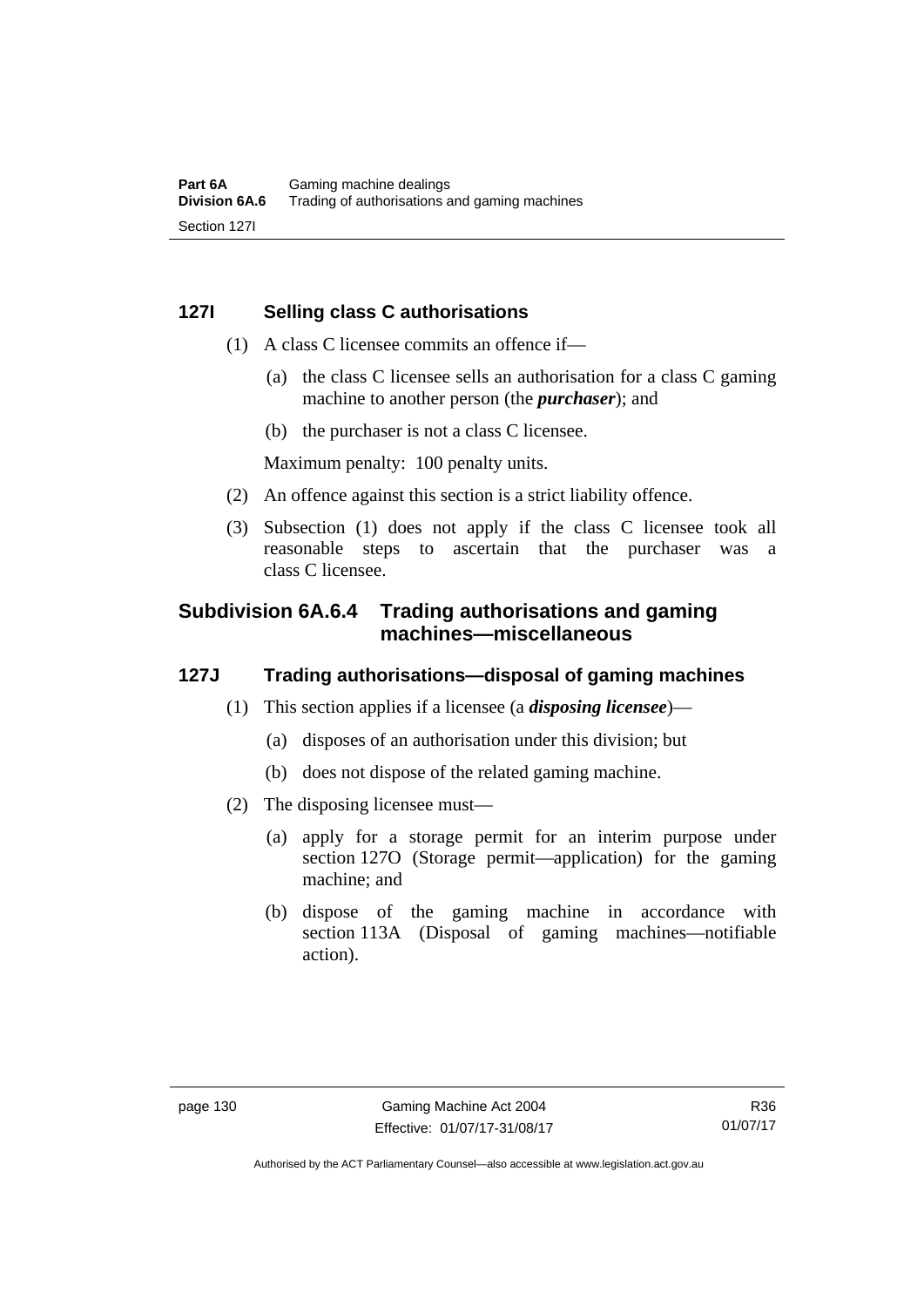# **127I Selling class C authorisations**

- (1) A class C licensee commits an offence if—
	- (a) the class C licensee sells an authorisation for a class C gaming machine to another person (the *purchaser*); and
	- (b) the purchaser is not a class C licensee.

Maximum penalty: 100 penalty units.

- (2) An offence against this section is a strict liability offence.
- (3) Subsection (1) does not apply if the class C licensee took all reasonable steps to ascertain that the purchaser was a class C licensee.

# **Subdivision 6A.6.4 Trading authorisations and gaming machines—miscellaneous**

# **127J Trading authorisations—disposal of gaming machines**

- (1) This section applies if a licensee (a *disposing licensee*)—
	- (a) disposes of an authorisation under this division; but
	- (b) does not dispose of the related gaming machine.
- (2) The disposing licensee must—
	- (a) apply for a storage permit for an interim purpose under section 127O (Storage permit—application) for the gaming machine; and
	- (b) dispose of the gaming machine in accordance with section 113A (Disposal of gaming machines—notifiable action).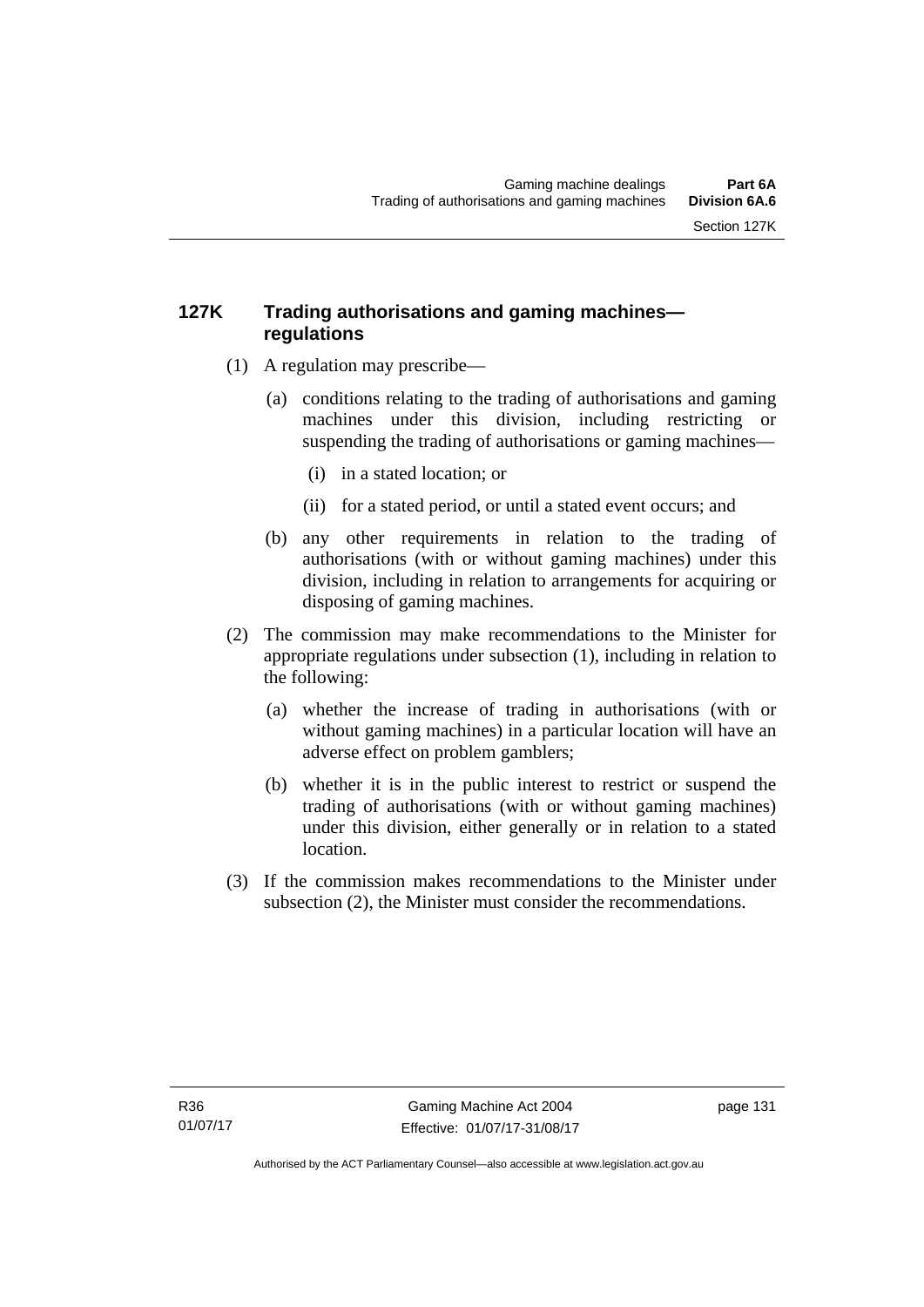# **127K Trading authorisations and gaming machines regulations**

- (1) A regulation may prescribe—
	- (a) conditions relating to the trading of authorisations and gaming machines under this division, including restricting or suspending the trading of authorisations or gaming machines—
		- (i) in a stated location; or
		- (ii) for a stated period, or until a stated event occurs; and
	- (b) any other requirements in relation to the trading of authorisations (with or without gaming machines) under this division, including in relation to arrangements for acquiring or disposing of gaming machines.
- (2) The commission may make recommendations to the Minister for appropriate regulations under subsection (1), including in relation to the following:
	- (a) whether the increase of trading in authorisations (with or without gaming machines) in a particular location will have an adverse effect on problem gamblers;
	- (b) whether it is in the public interest to restrict or suspend the trading of authorisations (with or without gaming machines) under this division, either generally or in relation to a stated location.
- (3) If the commission makes recommendations to the Minister under subsection (2), the Minister must consider the recommendations.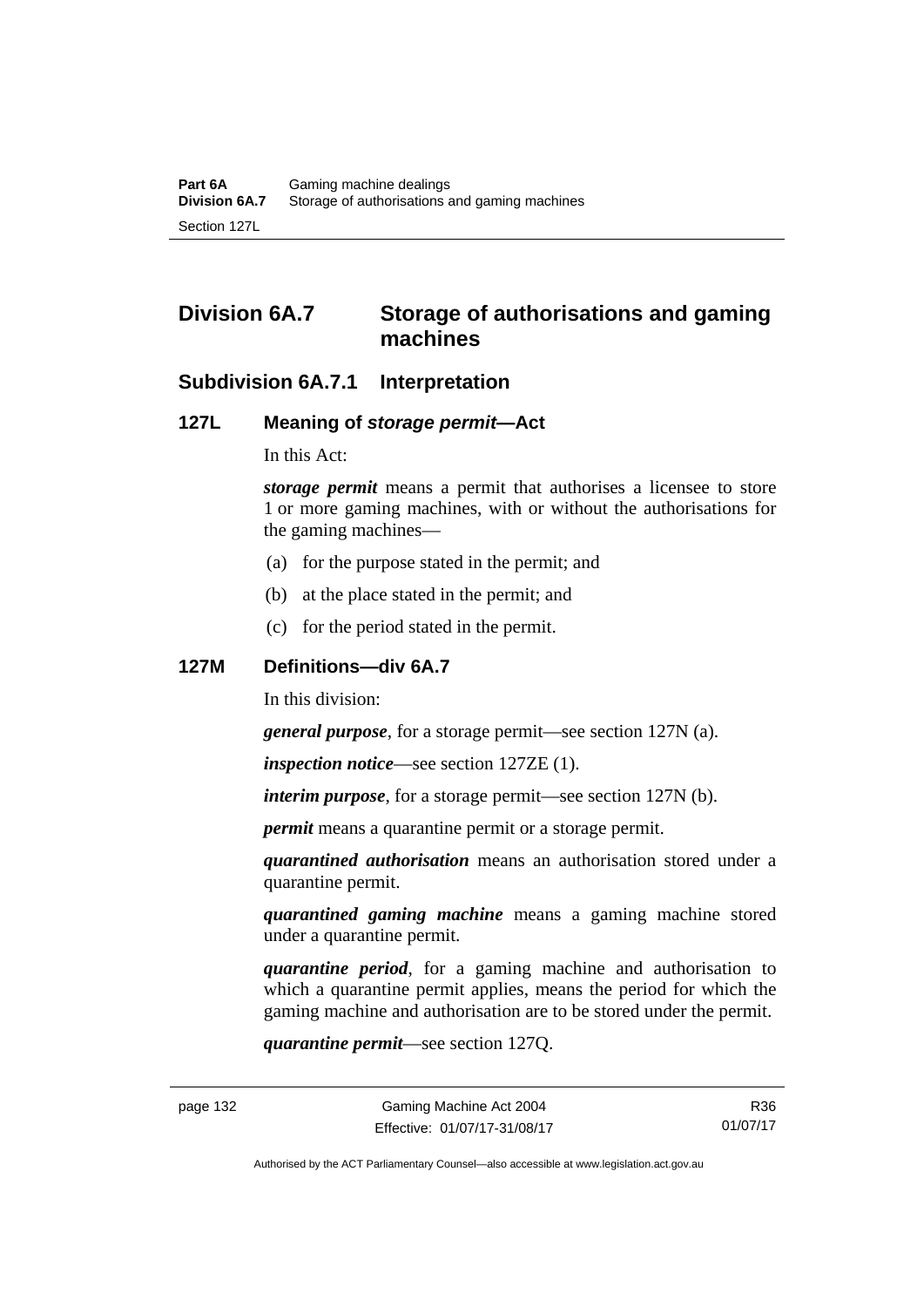# **Division 6A.7 Storage of authorisations and gaming machines**

# **Subdivision 6A.7.1 Interpretation**

#### **127L Meaning of** *storage permit***—Act**

In this Act:

*storage permit* means a permit that authorises a licensee to store 1 or more gaming machines, with or without the authorisations for the gaming machines—

- (a) for the purpose stated in the permit; and
- (b) at the place stated in the permit; and
- (c) for the period stated in the permit.

#### **127M Definitions—div 6A.7**

In this division:

*general purpose*, for a storage permit—see section 127N (a).

*inspection notice*—see section 127ZE (1).

*interim purpose*, for a storage permit—see section 127N (b).

*permit* means a quarantine permit or a storage permit.

*quarantined authorisation* means an authorisation stored under a quarantine permit.

*quarantined gaming machine* means a gaming machine stored under a quarantine permit.

*quarantine period*, for a gaming machine and authorisation to which a quarantine permit applies, means the period for which the gaming machine and authorisation are to be stored under the permit.

*quarantine permit*—see section 127Q.

R36 01/07/17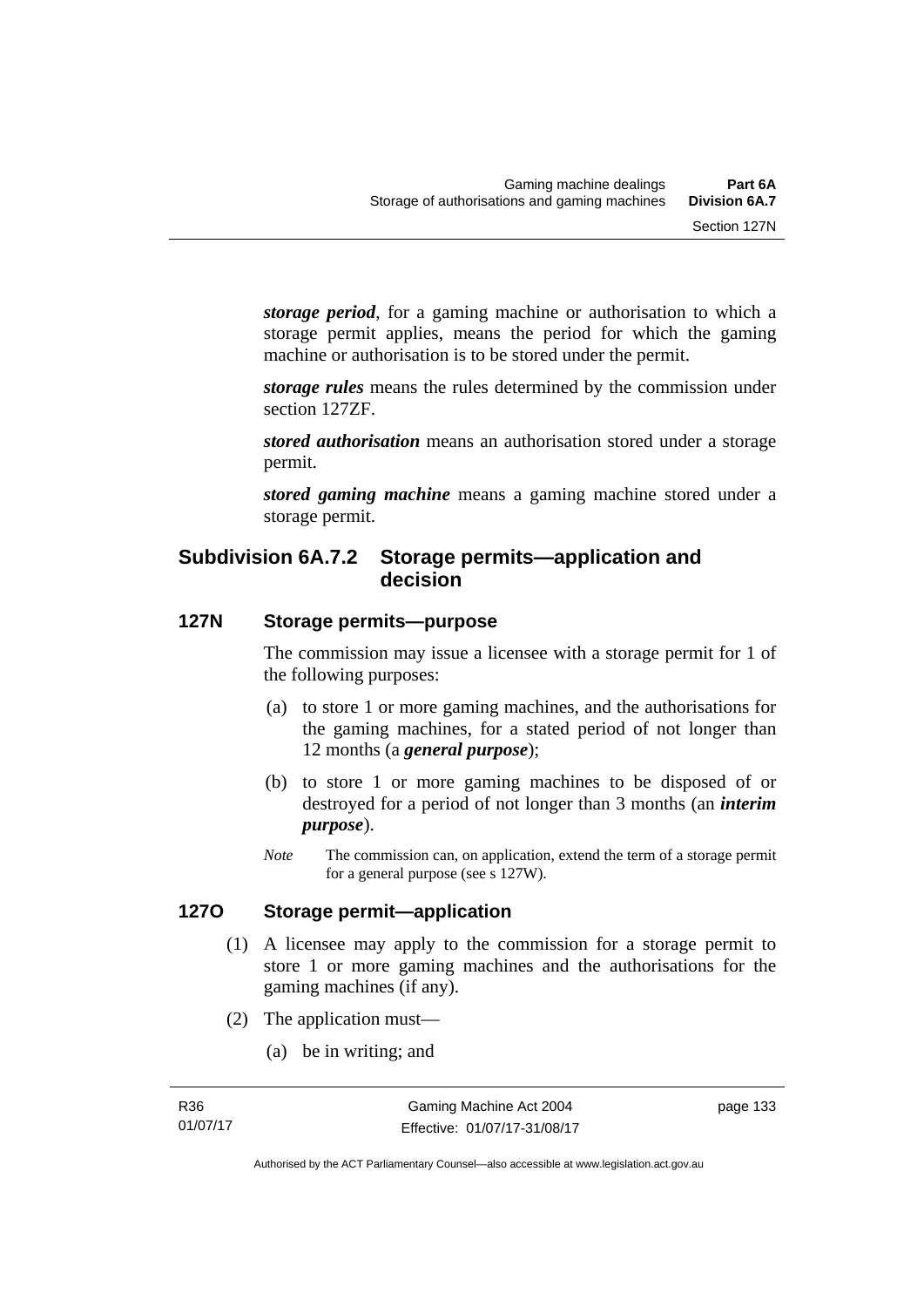*storage period*, for a gaming machine or authorisation to which a storage permit applies, means the period for which the gaming machine or authorisation is to be stored under the permit.

*storage rules* means the rules determined by the commission under section 127ZF.

*stored authorisation* means an authorisation stored under a storage permit.

*stored gaming machine* means a gaming machine stored under a storage permit.

# **Subdivision 6A.7.2 Storage permits—application and decision**

# **127N Storage permits—purpose**

The commission may issue a licensee with a storage permit for 1 of the following purposes:

- (a) to store 1 or more gaming machines, and the authorisations for the gaming machines, for a stated period of not longer than 12 months (a *general purpose*);
- (b) to store 1 or more gaming machines to be disposed of or destroyed for a period of not longer than 3 months (an *interim purpose*).
- *Note* The commission can, on application, extend the term of a storage permit for a general purpose (see s 127W).

#### **127O Storage permit—application**

- (1) A licensee may apply to the commission for a storage permit to store 1 or more gaming machines and the authorisations for the gaming machines (if any).
- (2) The application must—
	- (a) be in writing; and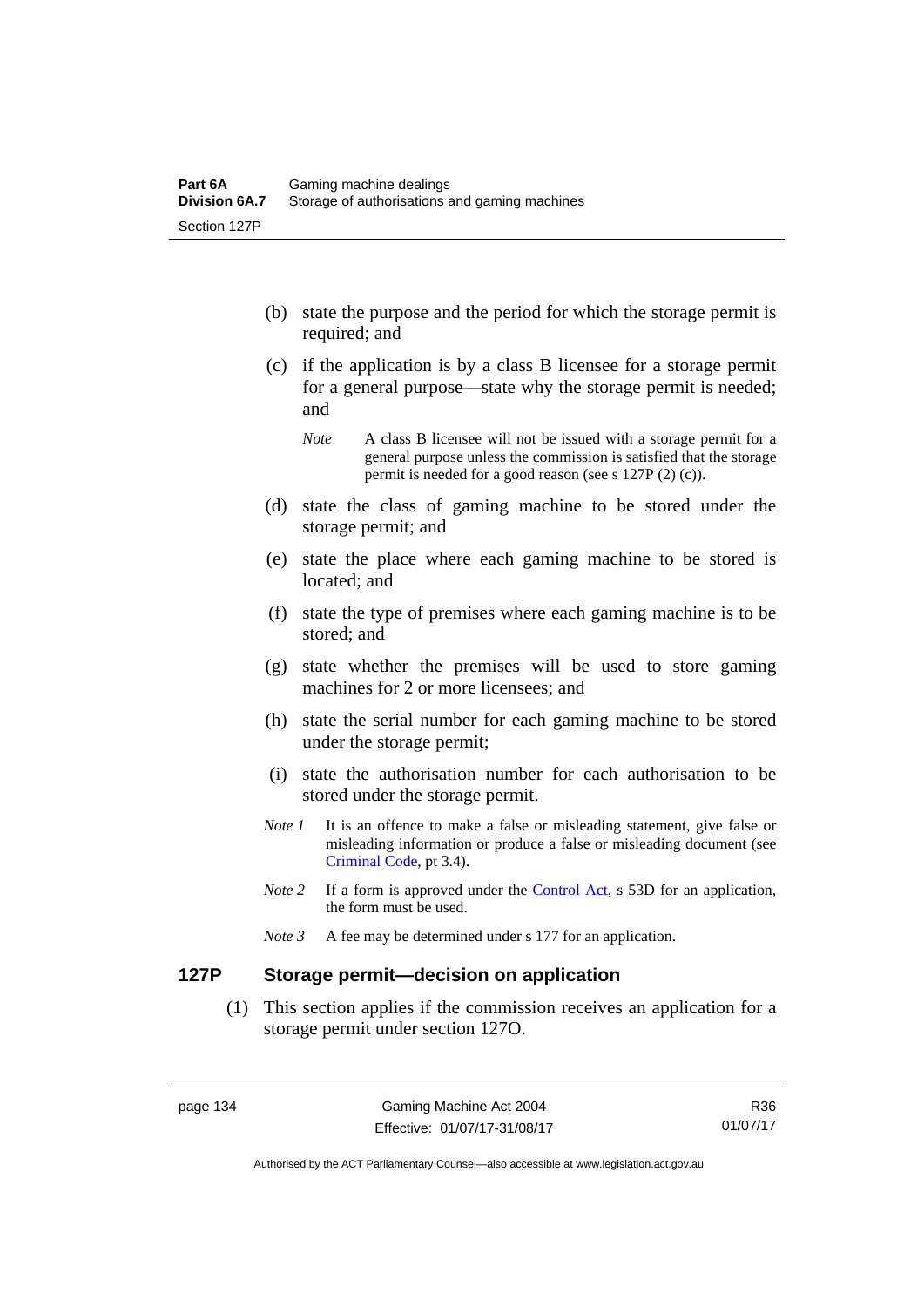- (b) state the purpose and the period for which the storage permit is required; and
- (c) if the application is by a class B licensee for a storage permit for a general purpose—state why the storage permit is needed; and

- (d) state the class of gaming machine to be stored under the storage permit; and
- (e) state the place where each gaming machine to be stored is located; and
- (f) state the type of premises where each gaming machine is to be stored; and
- (g) state whether the premises will be used to store gaming machines for 2 or more licensees; and
- (h) state the serial number for each gaming machine to be stored under the storage permit;
- (i) state the authorisation number for each authorisation to be stored under the storage permit.
- *Note 1* It is an offence to make a false or misleading statement, give false or misleading information or produce a false or misleading document (see [Criminal Code](http://www.legislation.act.gov.au/a/2002-51), pt 3.4).
- *Note 2* If a form is approved under the [Control Act,](http://www.legislation.act.gov.au/a/1999-46/default.asp) s 53D for an application, the form must be used.
- *Note 3* A fee may be determined under s 177 for an application.

# **127P Storage permit—decision on application**

 (1) This section applies if the commission receives an application for a storage permit under section 127O.

*Note* A class B licensee will not be issued with a storage permit for a general purpose unless the commission is satisfied that the storage permit is needed for a good reason (see s 127P (2) (c)).

Authorised by the ACT Parliamentary Counsel—also accessible at www.legislation.act.gov.au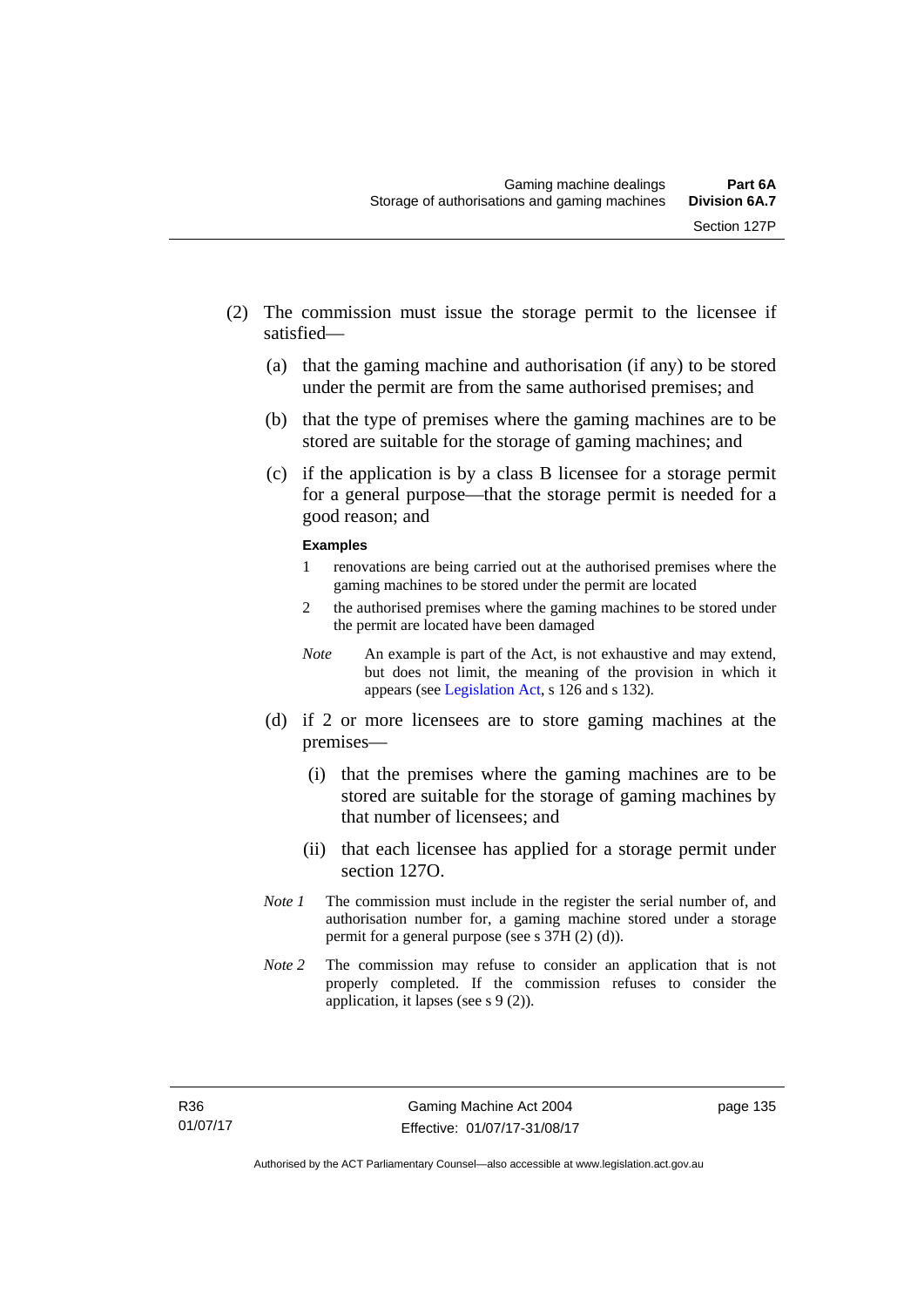- (2) The commission must issue the storage permit to the licensee if satisfied—
	- (a) that the gaming machine and authorisation (if any) to be stored under the permit are from the same authorised premises; and
	- (b) that the type of premises where the gaming machines are to be stored are suitable for the storage of gaming machines; and
	- (c) if the application is by a class B licensee for a storage permit for a general purpose—that the storage permit is needed for a good reason; and

#### **Examples**

- 1 renovations are being carried out at the authorised premises where the gaming machines to be stored under the permit are located
- 2 the authorised premises where the gaming machines to be stored under the permit are located have been damaged
- *Note* An example is part of the Act, is not exhaustive and may extend, but does not limit, the meaning of the provision in which it appears (see [Legislation Act,](http://www.legislation.act.gov.au/a/2001-14/default.asp) s 126 and s 132).
- (d) if 2 or more licensees are to store gaming machines at the premises—
	- (i) that the premises where the gaming machines are to be stored are suitable for the storage of gaming machines by that number of licensees; and
	- (ii) that each licensee has applied for a storage permit under section 127O.
- *Note 1* The commission must include in the register the serial number of, and authorisation number for, a gaming machine stored under a storage permit for a general purpose (see s 37H (2) (d)).
- *Note 2* The commission may refuse to consider an application that is not properly completed. If the commission refuses to consider the application, it lapses (see s 9 (2)).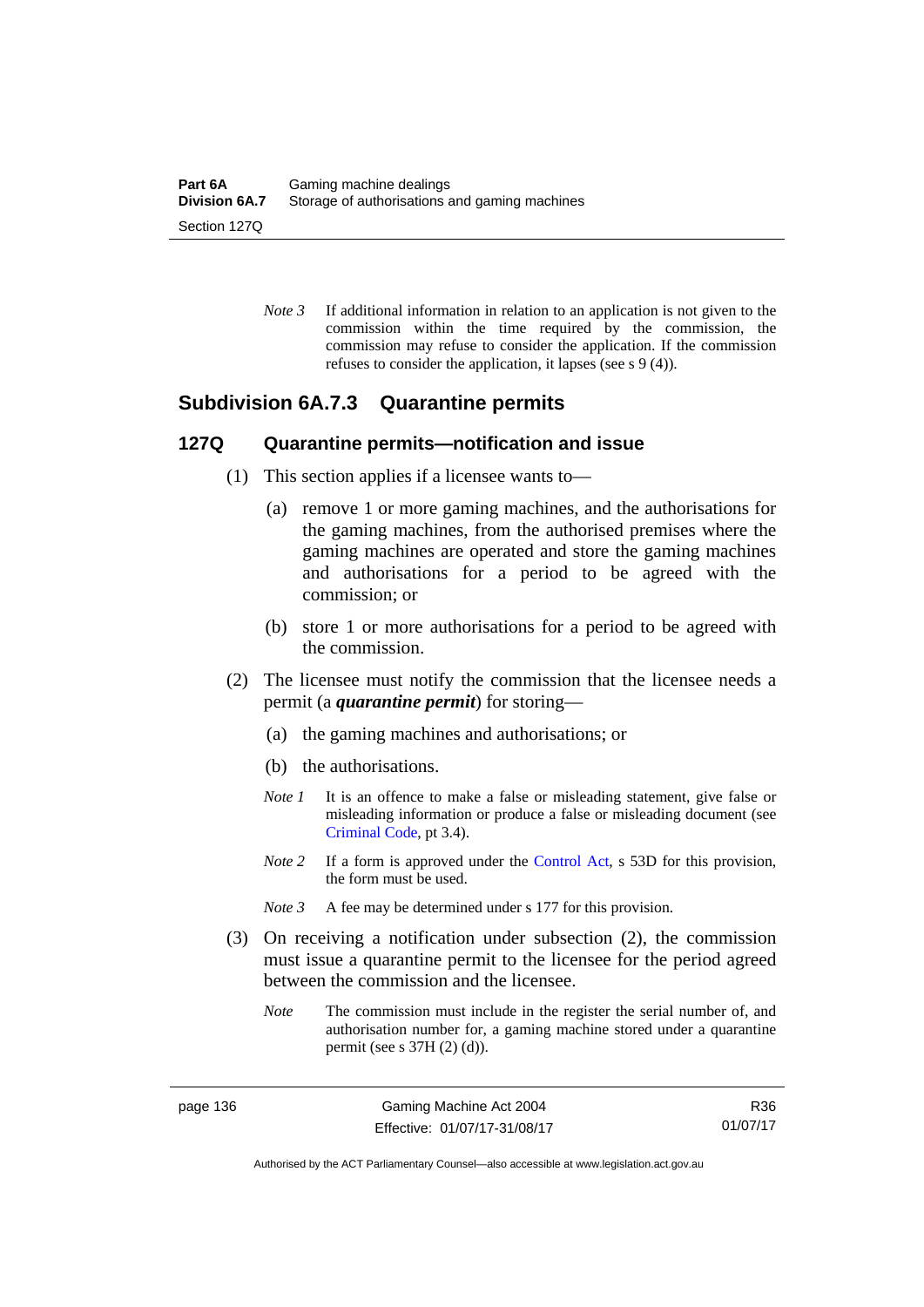*Note 3* If additional information in relation to an application is not given to the commission within the time required by the commission, the commission may refuse to consider the application. If the commission refuses to consider the application, it lapses (see s 9 (4)).

# **Subdivision 6A.7.3 Quarantine permits**

#### **127Q Quarantine permits—notification and issue**

- (1) This section applies if a licensee wants to—
	- (a) remove 1 or more gaming machines, and the authorisations for the gaming machines, from the authorised premises where the gaming machines are operated and store the gaming machines and authorisations for a period to be agreed with the commission; or
	- (b) store 1 or more authorisations for a period to be agreed with the commission.
- (2) The licensee must notify the commission that the licensee needs a permit (a *quarantine permit*) for storing—
	- (a) the gaming machines and authorisations; or
	- (b) the authorisations.
	- *Note 1* It is an offence to make a false or misleading statement, give false or misleading information or produce a false or misleading document (see [Criminal Code](http://www.legislation.act.gov.au/a/2002-51), pt 3.4).
	- *Note* 2 If a form is approved under the [Control Act,](http://www.legislation.act.gov.au/a/1999-46) s 53D for this provision, the form must be used.
	- *Note 3* A fee may be determined under s 177 for this provision.
- (3) On receiving a notification under subsection (2), the commission must issue a quarantine permit to the licensee for the period agreed between the commission and the licensee.
	- *Note* The commission must include in the register the serial number of, and authorisation number for, a gaming machine stored under a quarantine permit (see s 37H (2) (d)).

R36 01/07/17

Authorised by the ACT Parliamentary Counsel—also accessible at www.legislation.act.gov.au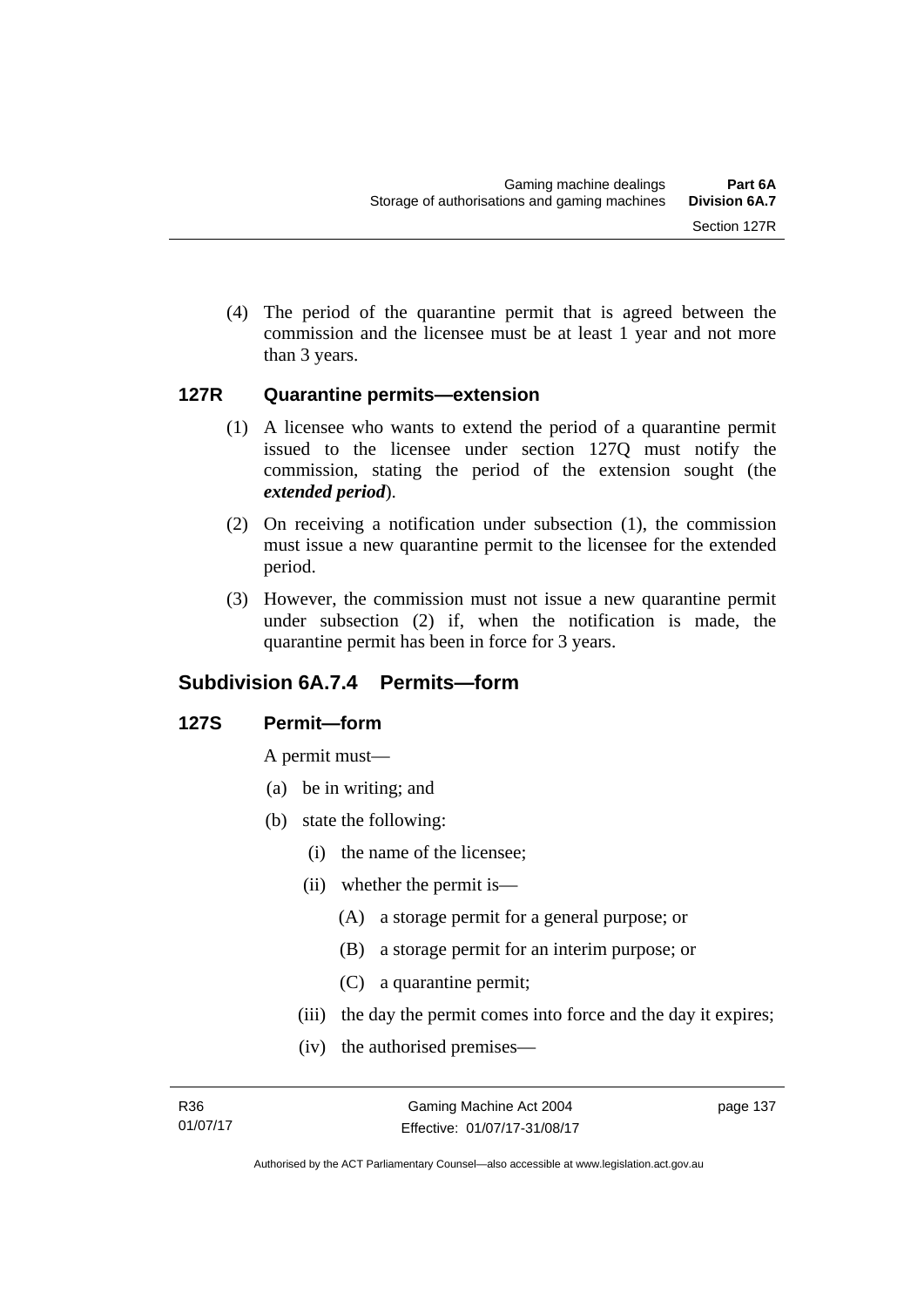(4) The period of the quarantine permit that is agreed between the commission and the licensee must be at least 1 year and not more than 3 years.

#### **127R Quarantine permits—extension**

- (1) A licensee who wants to extend the period of a quarantine permit issued to the licensee under section 127Q must notify the commission, stating the period of the extension sought (the *extended period*).
- (2) On receiving a notification under subsection (1), the commission must issue a new quarantine permit to the licensee for the extended period.
- (3) However, the commission must not issue a new quarantine permit under subsection (2) if, when the notification is made, the quarantine permit has been in force for 3 years.

# **Subdivision 6A.7.4 Permits—form**

# **127S Permit—form**

A permit must—

- (a) be in writing; and
- (b) state the following:
	- (i) the name of the licensee;
	- (ii) whether the permit is—
		- (A) a storage permit for a general purpose; or
		- (B) a storage permit for an interim purpose; or
		- (C) a quarantine permit;
	- (iii) the day the permit comes into force and the day it expires;
	- (iv) the authorised premises—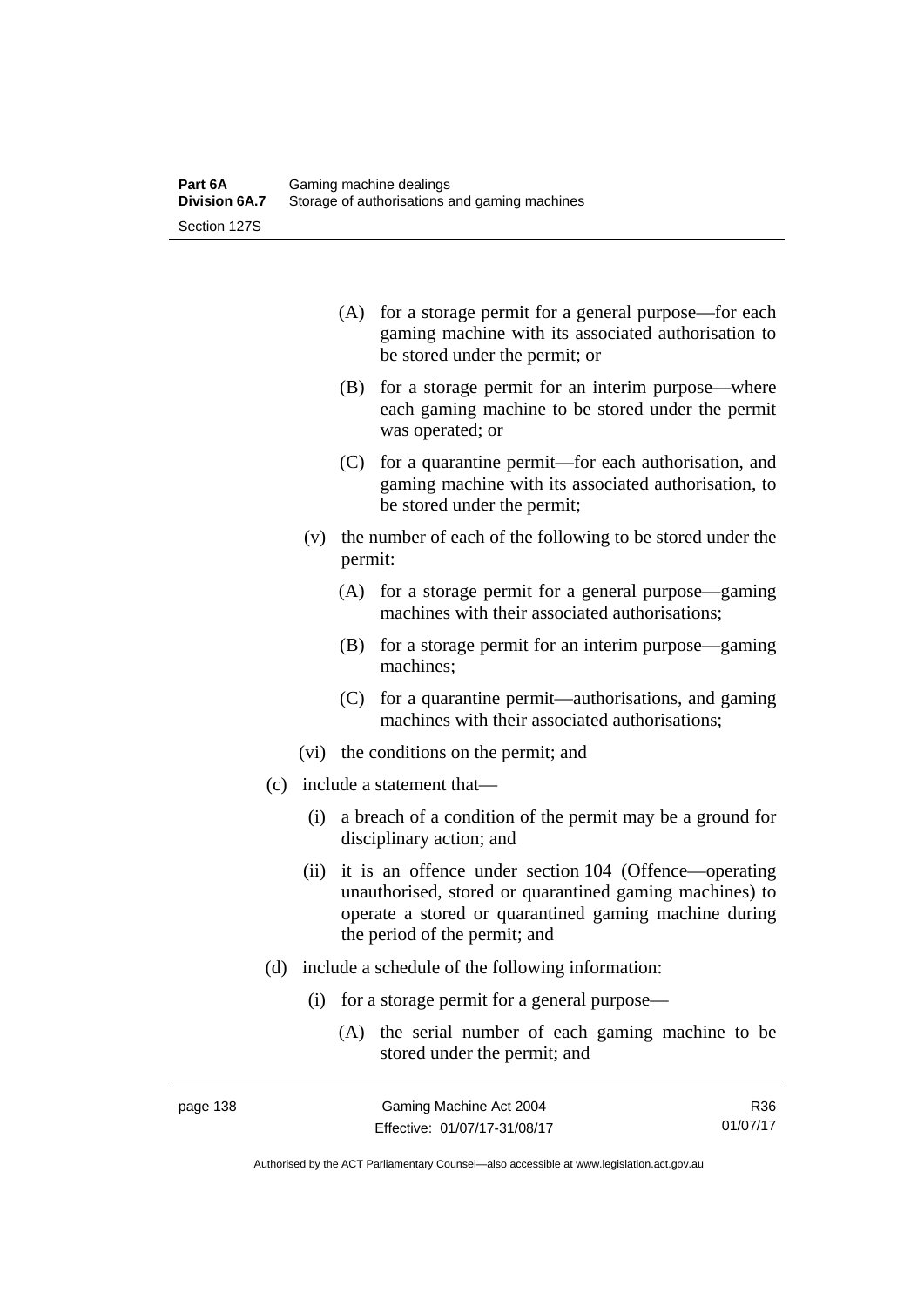| (A) for a storage permit for a general purpose—for each |
|---------------------------------------------------------|
| gaming machine with its associated authorisation to     |
| be stored under the permit; or                          |

- (B) for a storage permit for an interim purpose—where each gaming machine to be stored under the permit was operated; or
- (C) for a quarantine permit—for each authorisation, and gaming machine with its associated authorisation, to be stored under the permit;
- (v) the number of each of the following to be stored under the permit:
	- (A) for a storage permit for a general purpose—gaming machines with their associated authorisations;
	- (B) for a storage permit for an interim purpose—gaming machines;
	- (C) for a quarantine permit—authorisations, and gaming machines with their associated authorisations;
- (vi) the conditions on the permit; and
- (c) include a statement that—
	- (i) a breach of a condition of the permit may be a ground for disciplinary action; and
	- (ii) it is an offence under section 104 (Offence—operating unauthorised, stored or quarantined gaming machines) to operate a stored or quarantined gaming machine during the period of the permit; and
- (d) include a schedule of the following information:
	- (i) for a storage permit for a general purpose—
		- (A) the serial number of each gaming machine to be stored under the permit; and

R36 01/07/17

Authorised by the ACT Parliamentary Counsel—also accessible at www.legislation.act.gov.au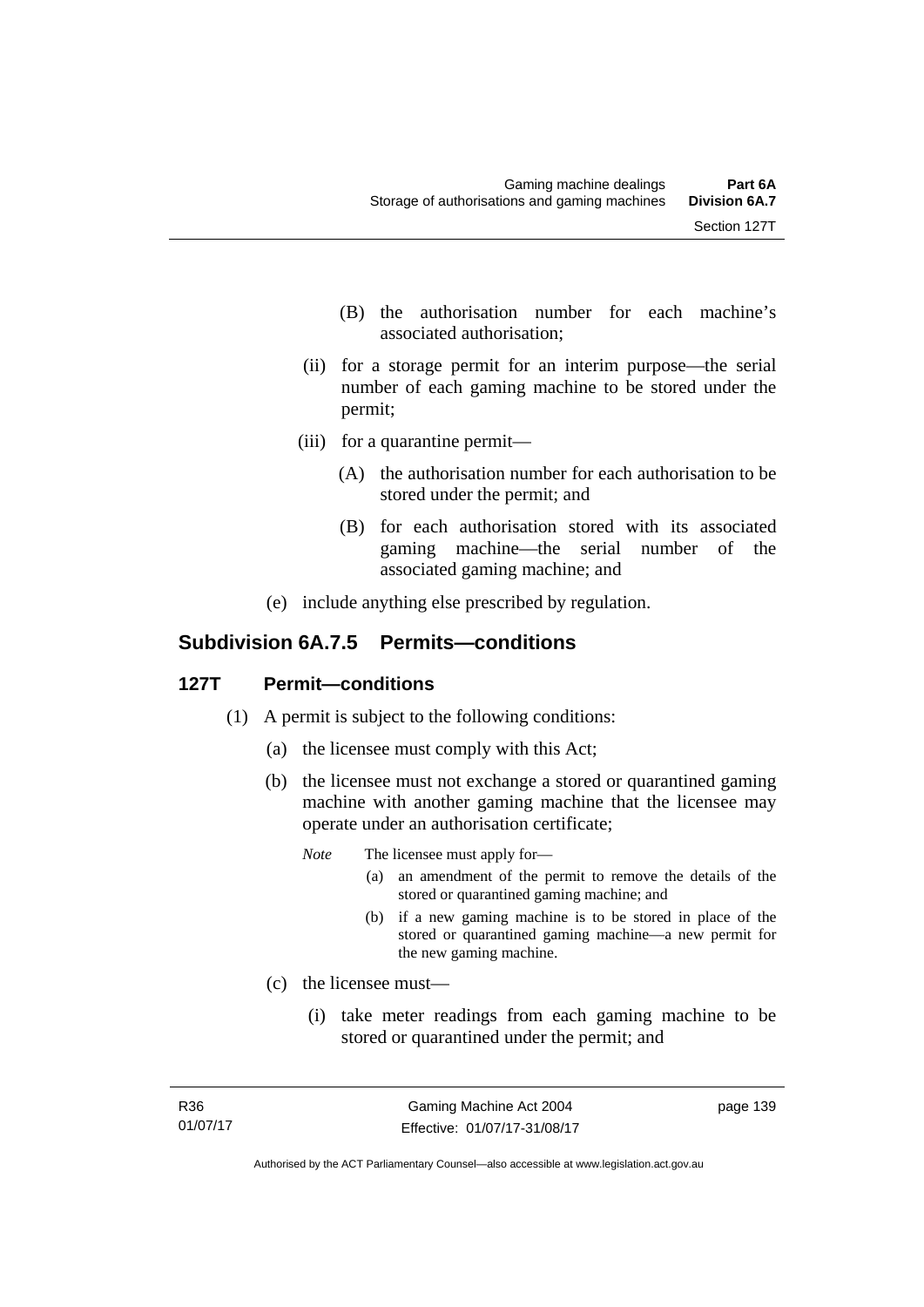- (B) the authorisation number for each machine's associated authorisation;
- (ii) for a storage permit for an interim purpose—the serial number of each gaming machine to be stored under the permit;
- (iii) for a quarantine permit—
	- (A) the authorisation number for each authorisation to be stored under the permit; and
	- (B) for each authorisation stored with its associated gaming machine—the serial number of the associated gaming machine; and
- (e) include anything else prescribed by regulation.

# **Subdivision 6A.7.5 Permits—conditions**

# **127T Permit—conditions**

- (1) A permit is subject to the following conditions:
	- (a) the licensee must comply with this Act;
	- (b) the licensee must not exchange a stored or quarantined gaming machine with another gaming machine that the licensee may operate under an authorisation certificate;
		- *Note* The licensee must apply for—
			- (a) an amendment of the permit to remove the details of the stored or quarantined gaming machine; and
			- (b) if a new gaming machine is to be stored in place of the stored or quarantined gaming machine—a new permit for the new gaming machine.
	- (c) the licensee must—
		- (i) take meter readings from each gaming machine to be stored or quarantined under the permit; and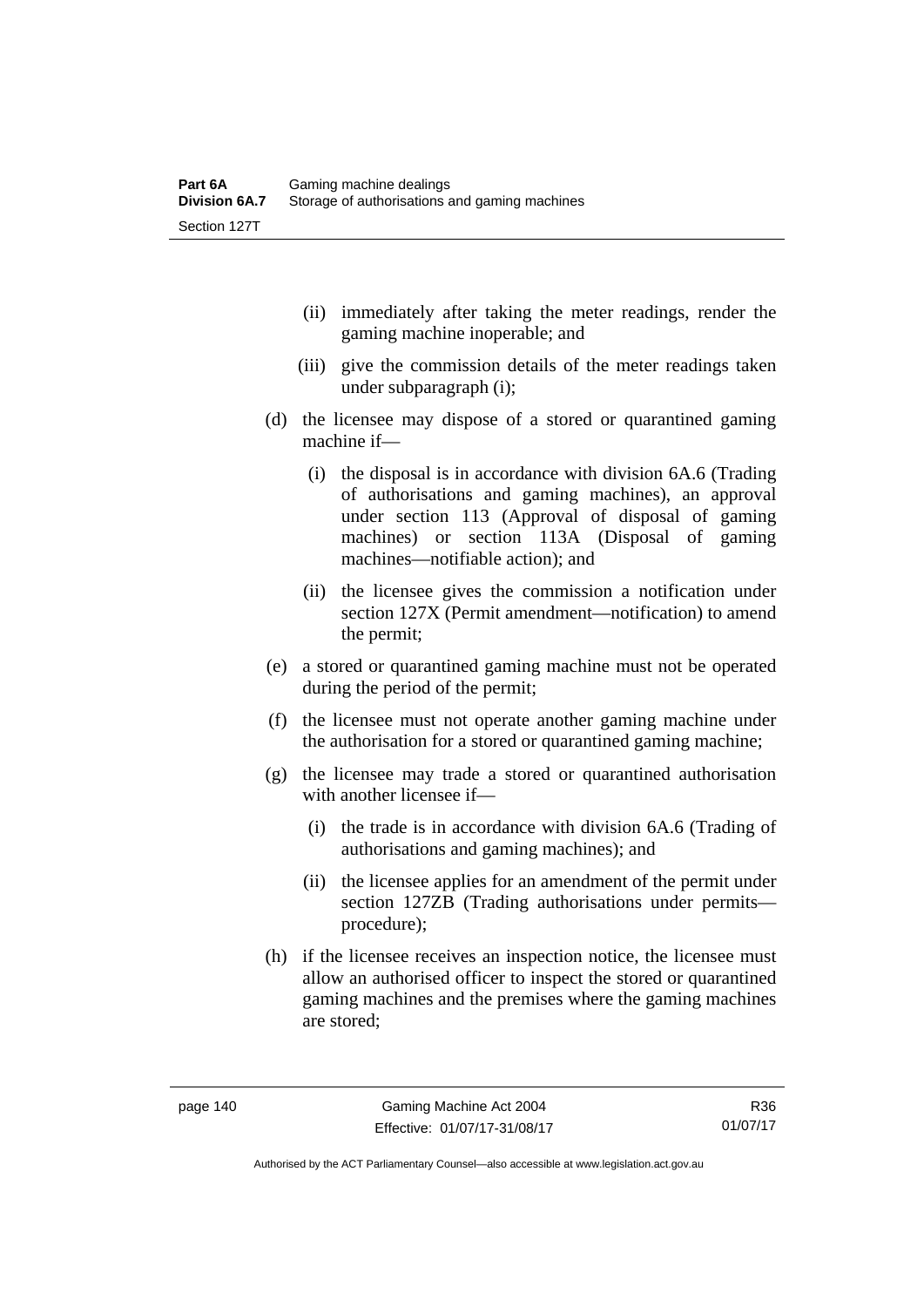- (ii) immediately after taking the meter readings, render the gaming machine inoperable; and
- (iii) give the commission details of the meter readings taken under subparagraph (i);
- (d) the licensee may dispose of a stored or quarantined gaming machine if—
	- (i) the disposal is in accordance with division 6A.6 (Trading of authorisations and gaming machines), an approval under section 113 (Approval of disposal of gaming machines) or section 113A (Disposal of gaming machines—notifiable action); and
	- (ii) the licensee gives the commission a notification under section 127X (Permit amendment—notification) to amend the permit;
- (e) a stored or quarantined gaming machine must not be operated during the period of the permit;
- (f) the licensee must not operate another gaming machine under the authorisation for a stored or quarantined gaming machine;
- (g) the licensee may trade a stored or quarantined authorisation with another licensee if—
	- (i) the trade is in accordance with division 6A.6 (Trading of authorisations and gaming machines); and
	- (ii) the licensee applies for an amendment of the permit under section 127ZB (Trading authorisations under permits procedure);
- (h) if the licensee receives an inspection notice, the licensee must allow an authorised officer to inspect the stored or quarantined gaming machines and the premises where the gaming machines are stored;

Authorised by the ACT Parliamentary Counsel—also accessible at www.legislation.act.gov.au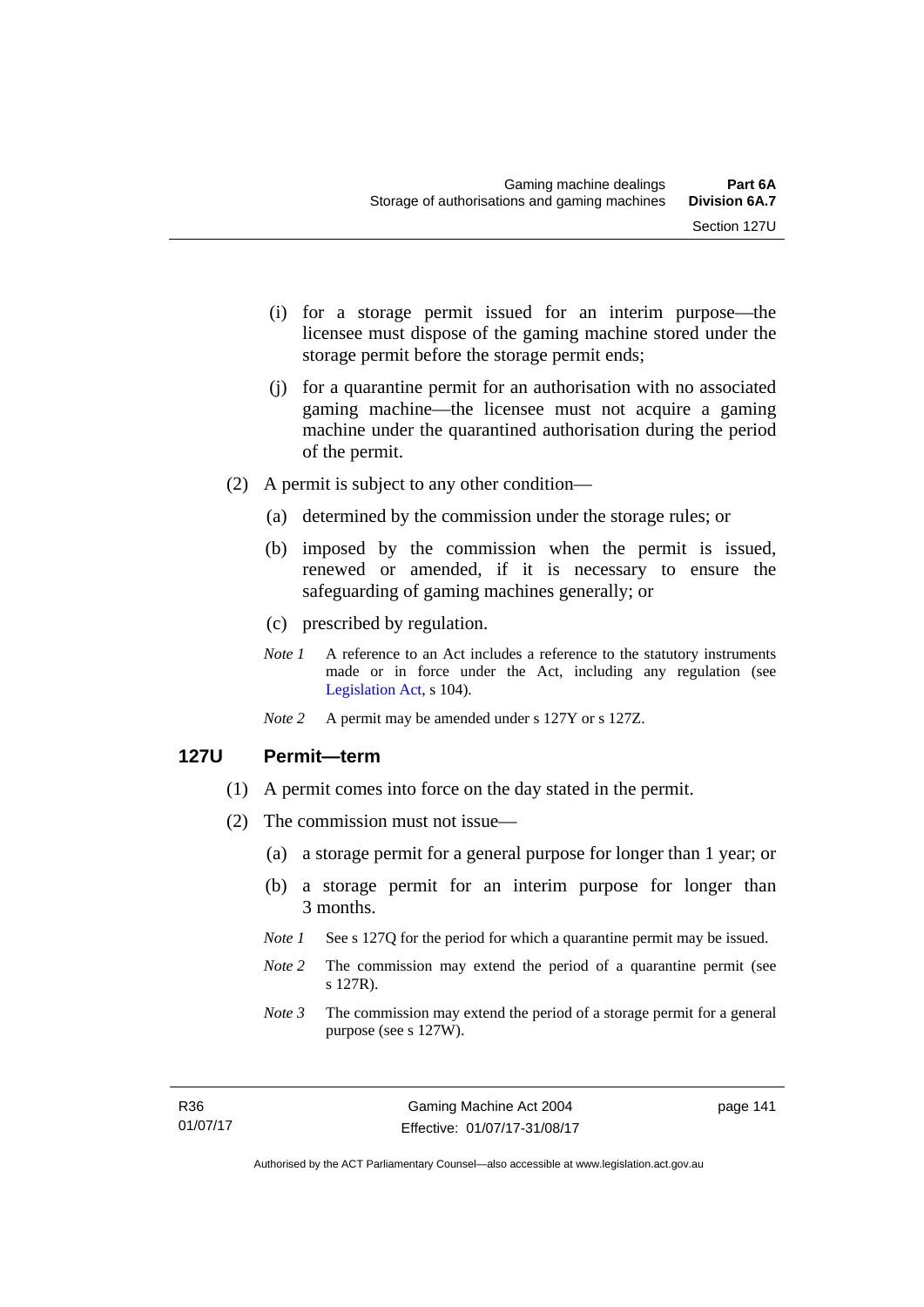- (i) for a storage permit issued for an interim purpose—the licensee must dispose of the gaming machine stored under the storage permit before the storage permit ends;
- (j) for a quarantine permit for an authorisation with no associated gaming machine—the licensee must not acquire a gaming machine under the quarantined authorisation during the period of the permit.
- (2) A permit is subject to any other condition—
	- (a) determined by the commission under the storage rules; or
	- (b) imposed by the commission when the permit is issued, renewed or amended, if it is necessary to ensure the safeguarding of gaming machines generally; or
	- (c) prescribed by regulation.
	- *Note 1* A reference to an Act includes a reference to the statutory instruments made or in force under the Act, including any regulation (see [Legislation Act,](http://www.legislation.act.gov.au/a/2001-14) s 104).
	- *Note 2* A permit may be amended under s 127Y or s 127Z.

#### **127U Permit—term**

- (1) A permit comes into force on the day stated in the permit.
- (2) The commission must not issue—
	- (a) a storage permit for a general purpose for longer than 1 year; or
	- (b) a storage permit for an interim purpose for longer than 3 months.
	- *Note 1* See s 127Q for the period for which a quarantine permit may be issued.
	- *Note 2* The commission may extend the period of a quarantine permit (see s 127R).
	- *Note 3* The commission may extend the period of a storage permit for a general purpose (see s 127W).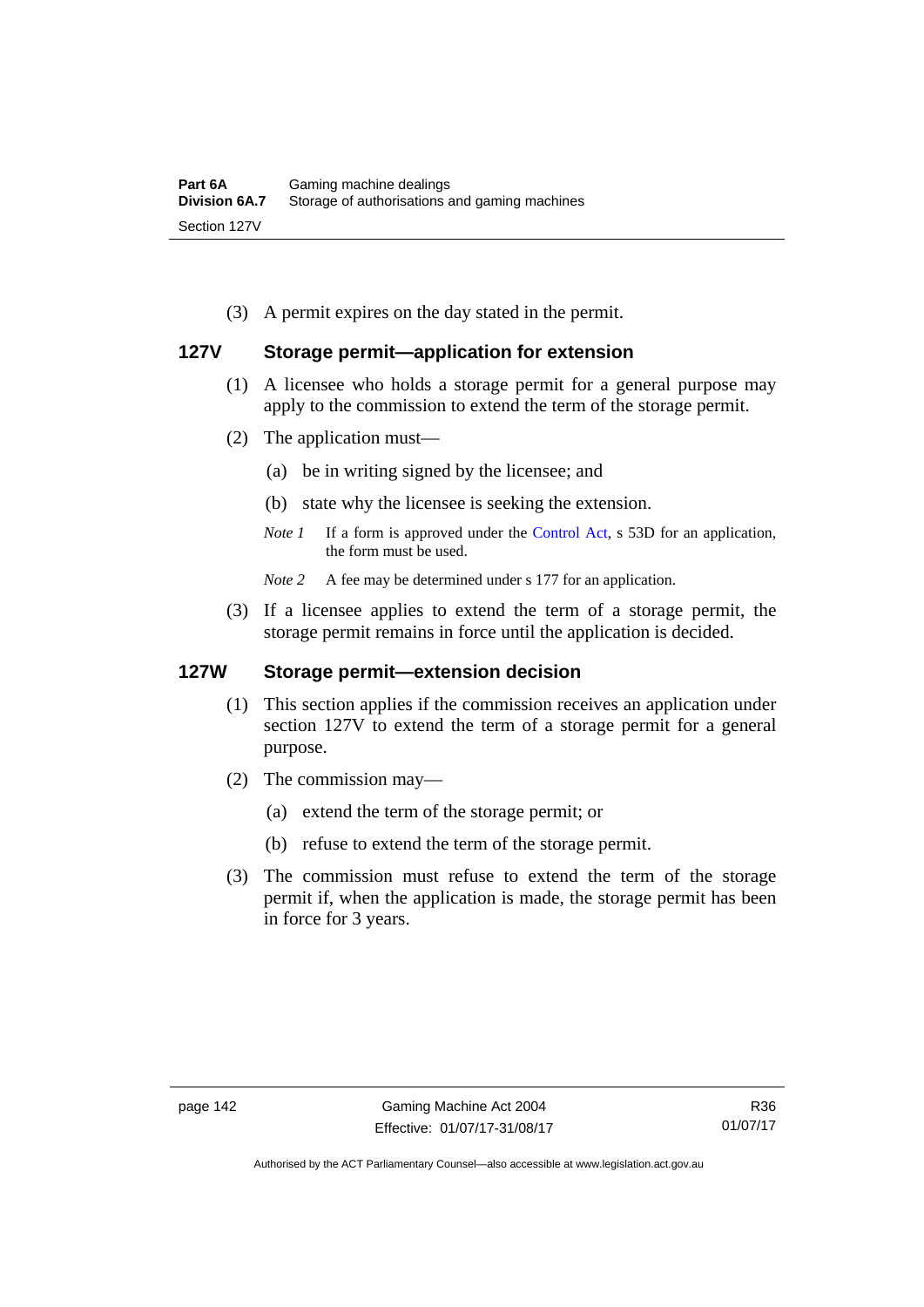(3) A permit expires on the day stated in the permit.

# **127V Storage permit—application for extension**

- (1) A licensee who holds a storage permit for a general purpose may apply to the commission to extend the term of the storage permit.
- (2) The application must—
	- (a) be in writing signed by the licensee; and
	- (b) state why the licensee is seeking the extension.
	- *Note 1* If a form is approved under the [Control Act,](http://www.legislation.act.gov.au/a/1999-46/default.asp) s 53D for an application, the form must be used.

*Note* 2 A fee may be determined under s 177 for an application.

 (3) If a licensee applies to extend the term of a storage permit, the storage permit remains in force until the application is decided.

#### **127W Storage permit—extension decision**

- (1) This section applies if the commission receives an application under section 127V to extend the term of a storage permit for a general purpose.
- (2) The commission may—
	- (a) extend the term of the storage permit; or
	- (b) refuse to extend the term of the storage permit.
- (3) The commission must refuse to extend the term of the storage permit if, when the application is made, the storage permit has been in force for 3 years.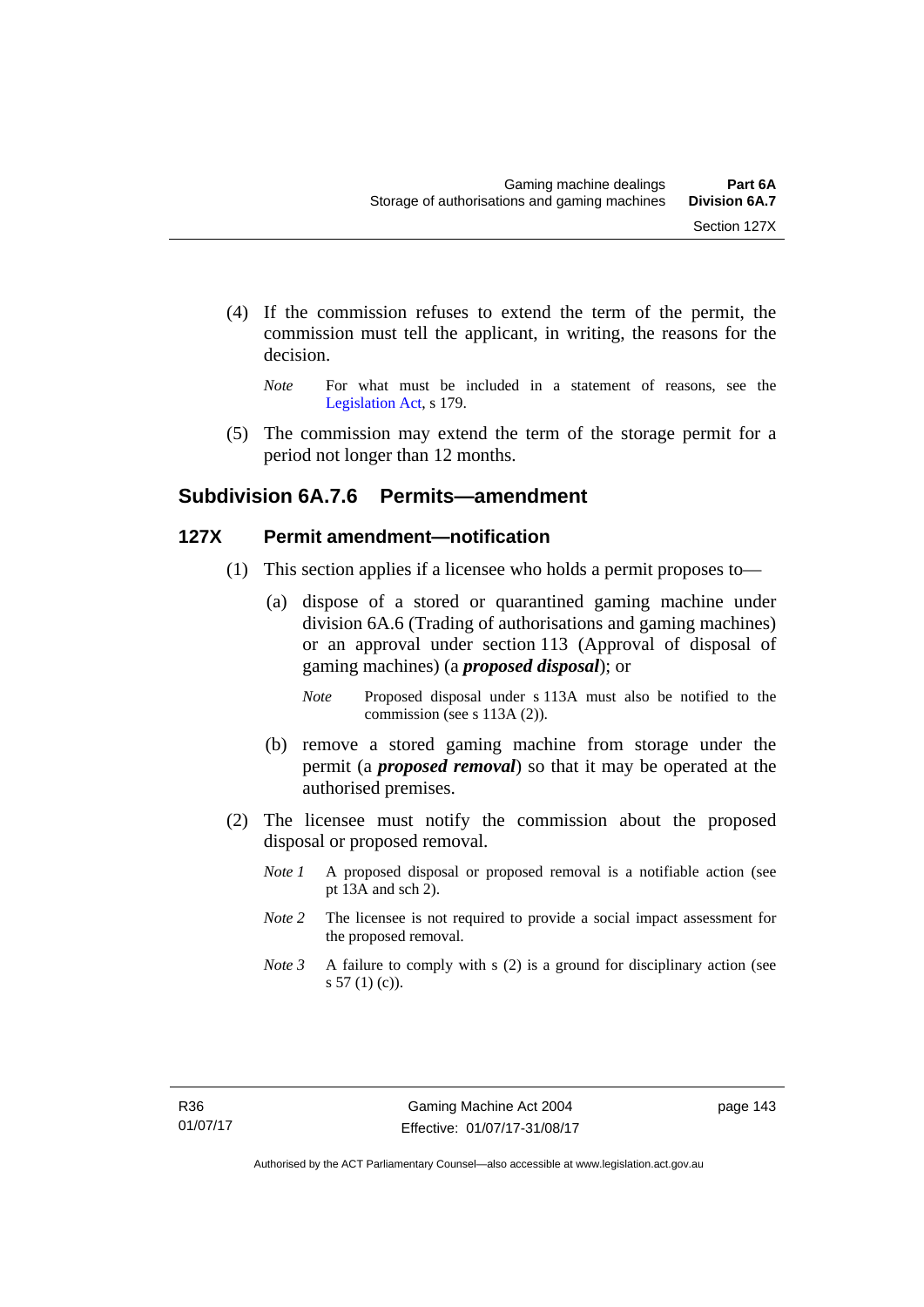- (4) If the commission refuses to extend the term of the permit, the commission must tell the applicant, in writing, the reasons for the decision.
	- *Note* For what must be included in a statement of reasons, see the [Legislation Act,](http://www.legislation.act.gov.au/a/2001-14) s 179.
- (5) The commission may extend the term of the storage permit for a period not longer than 12 months.

# **Subdivision 6A.7.6 Permits—amendment**

# **127X Permit amendment—notification**

- (1) This section applies if a licensee who holds a permit proposes to—
	- (a) dispose of a stored or quarantined gaming machine under division 6A.6 (Trading of authorisations and gaming machines) or an approval under section 113 (Approval of disposal of gaming machines) (a *proposed disposal*); or
		- *Note* Proposed disposal under s 113A must also be notified to the commission (see s 113A (2)).
	- (b) remove a stored gaming machine from storage under the permit (a *proposed removal*) so that it may be operated at the authorised premises.
- (2) The licensee must notify the commission about the proposed disposal or proposed removal.
	- *Note 1* A proposed disposal or proposed removal is a notifiable action (see pt 13A and sch 2).
	- *Note 2* The licensee is not required to provide a social impact assessment for the proposed removal.
	- *Note 3* A failure to comply with s (2) is a ground for disciplinary action (see s 57 (1) (c)).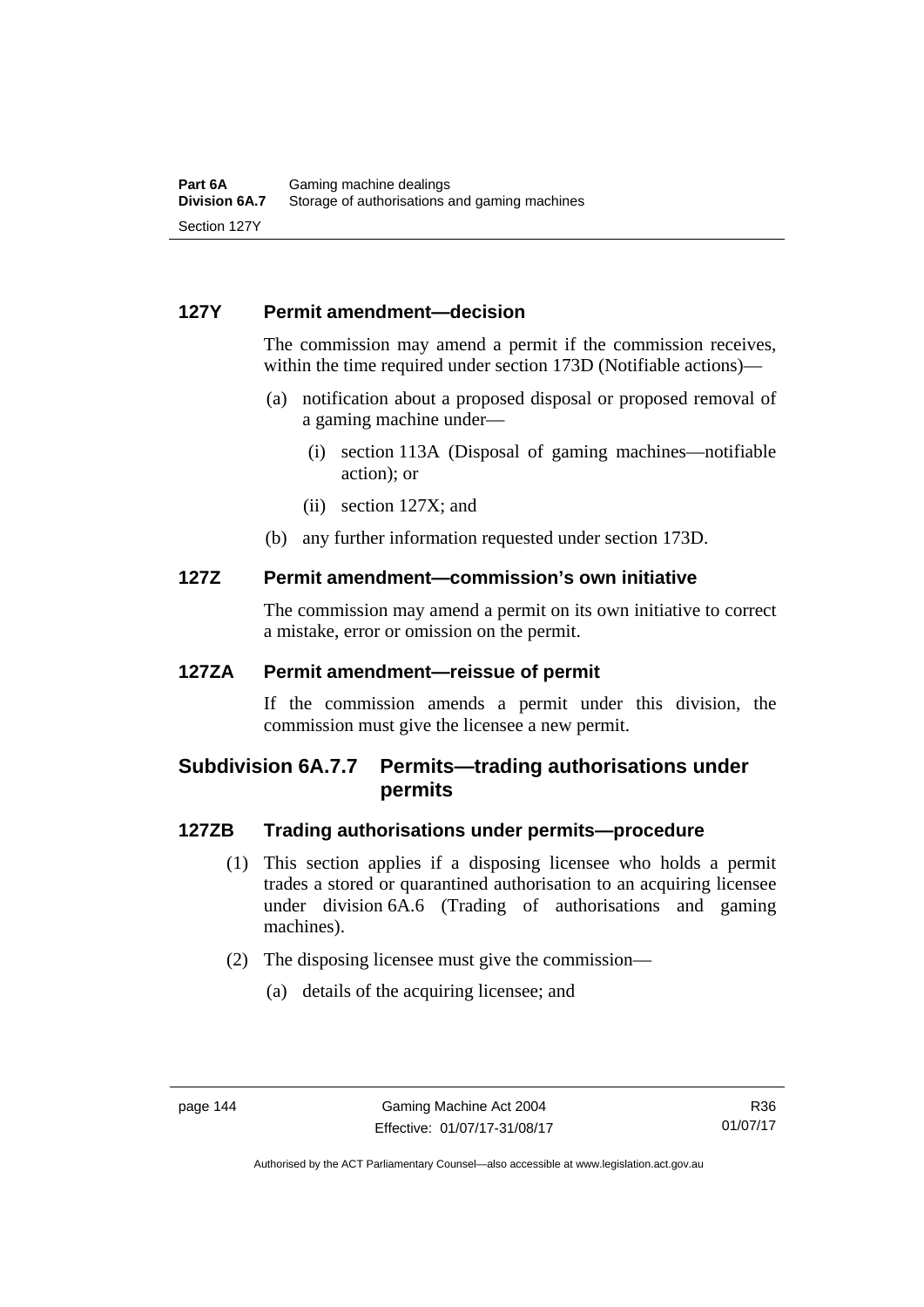# **127Y Permit amendment—decision**

The commission may amend a permit if the commission receives, within the time required under section 173D (Notifiable actions)—

- (a) notification about a proposed disposal or proposed removal of a gaming machine under—
	- (i) section 113A (Disposal of gaming machines—notifiable action); or
	- (ii) section 127X; and
- (b) any further information requested under section 173D.

#### **127Z Permit amendment—commission's own initiative**

The commission may amend a permit on its own initiative to correct a mistake, error or omission on the permit.

# **127ZA Permit amendment—reissue of permit**

If the commission amends a permit under this division, the commission must give the licensee a new permit.

# **Subdivision 6A.7.7 Permits—trading authorisations under permits**

#### **127ZB Trading authorisations under permits—procedure**

- (1) This section applies if a disposing licensee who holds a permit trades a stored or quarantined authorisation to an acquiring licensee under division 6A.6 (Trading of authorisations and gaming machines).
- (2) The disposing licensee must give the commission—
	- (a) details of the acquiring licensee; and

Authorised by the ACT Parliamentary Counsel—also accessible at www.legislation.act.gov.au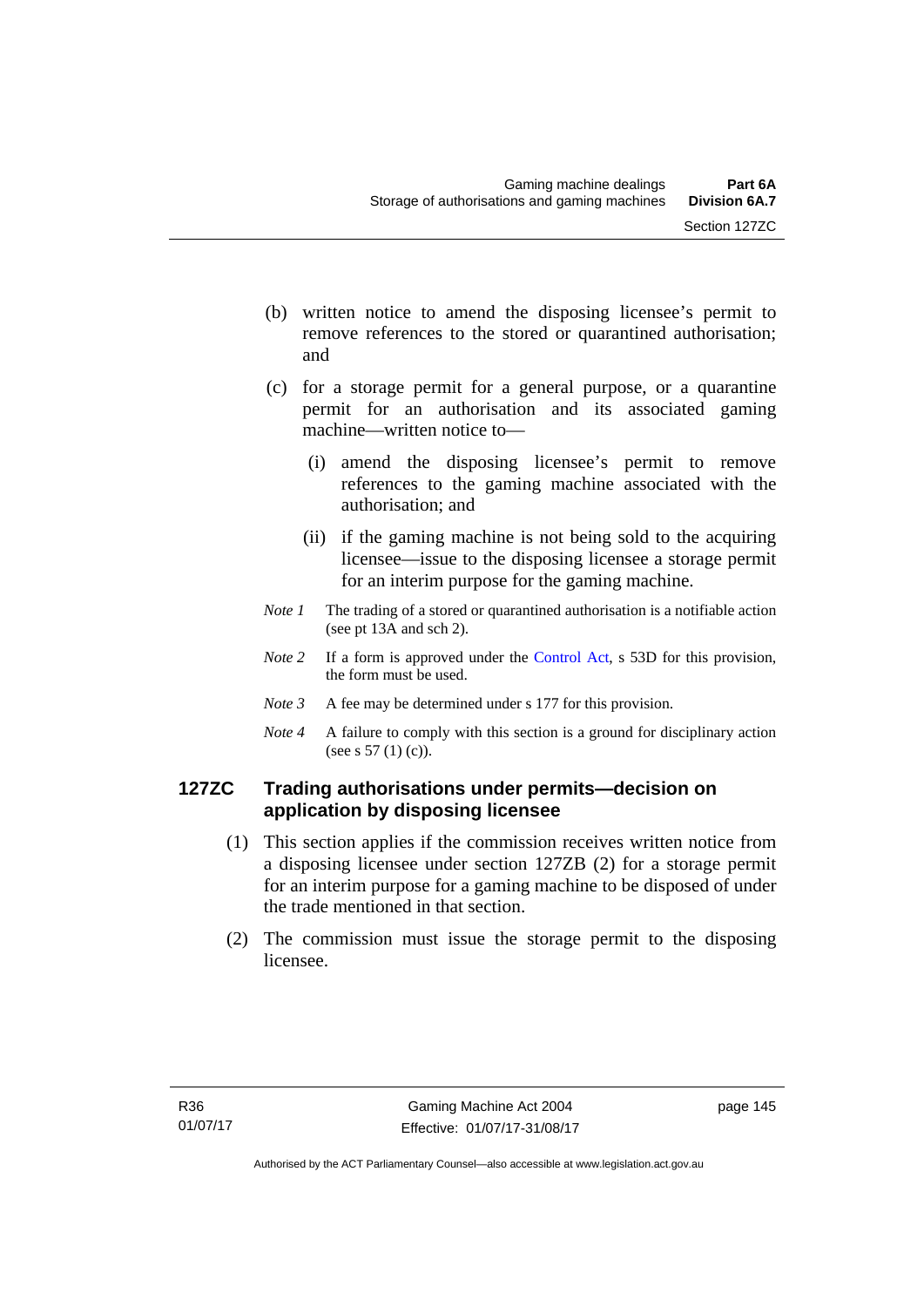- (b) written notice to amend the disposing licensee's permit to remove references to the stored or quarantined authorisation; and
- (c) for a storage permit for a general purpose, or a quarantine permit for an authorisation and its associated gaming machine—written notice to—
	- (i) amend the disposing licensee's permit to remove references to the gaming machine associated with the authorisation; and
	- (ii) if the gaming machine is not being sold to the acquiring licensee—issue to the disposing licensee a storage permit for an interim purpose for the gaming machine.
- *Note 1* The trading of a stored or quarantined authorisation is a notifiable action (see pt 13A and sch 2).
- *Note* 2 If a form is approved under the [Control Act,](http://www.legislation.act.gov.au/a/1999-46/default.asp) s 53D for this provision, the form must be used.
- *Note 3* A fee may be determined under s 177 for this provision.
- *Note 4* A failure to comply with this section is a ground for disciplinary action (see s 57 (1) (c)).

# **127ZC Trading authorisations under permits—decision on application by disposing licensee**

- (1) This section applies if the commission receives written notice from a disposing licensee under section 127ZB (2) for a storage permit for an interim purpose for a gaming machine to be disposed of under the trade mentioned in that section.
- (2) The commission must issue the storage permit to the disposing licensee.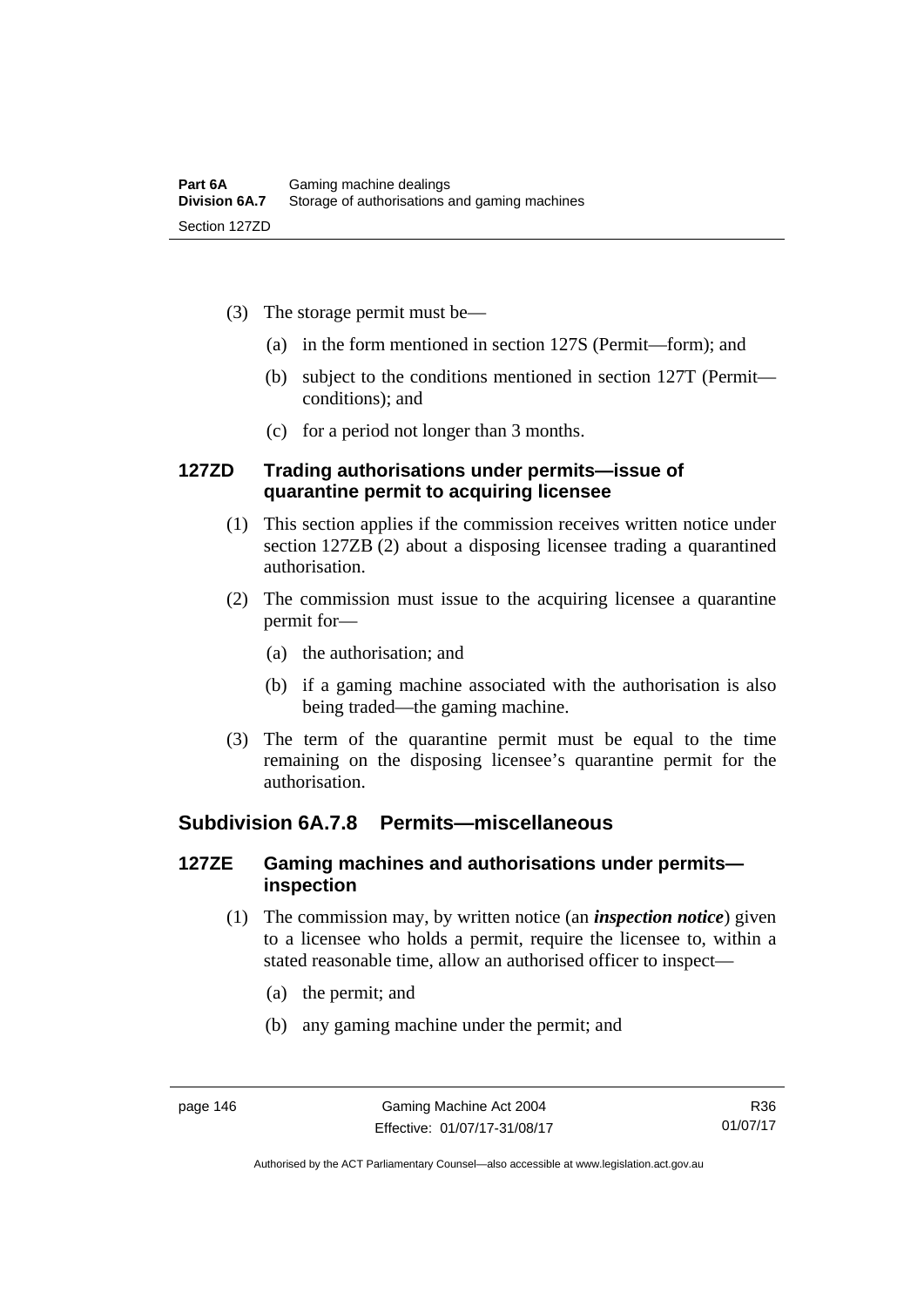- (3) The storage permit must be—
	- (a) in the form mentioned in section 127S (Permit—form); and
	- (b) subject to the conditions mentioned in section 127T (Permit conditions); and
	- (c) for a period not longer than 3 months.

#### **127ZD Trading authorisations under permits—issue of quarantine permit to acquiring licensee**

- (1) This section applies if the commission receives written notice under section 127ZB (2) about a disposing licensee trading a quarantined authorisation.
- (2) The commission must issue to the acquiring licensee a quarantine permit for—
	- (a) the authorisation; and
	- (b) if a gaming machine associated with the authorisation is also being traded—the gaming machine.
- (3) The term of the quarantine permit must be equal to the time remaining on the disposing licensee's quarantine permit for the authorisation.

# **Subdivision 6A.7.8 Permits—miscellaneous**

# **127ZE Gaming machines and authorisations under permits inspection**

- (1) The commission may, by written notice (an *inspection notice*) given to a licensee who holds a permit, require the licensee to, within a stated reasonable time, allow an authorised officer to inspect—
	- (a) the permit; and
	- (b) any gaming machine under the permit; and

Authorised by the ACT Parliamentary Counsel—also accessible at www.legislation.act.gov.au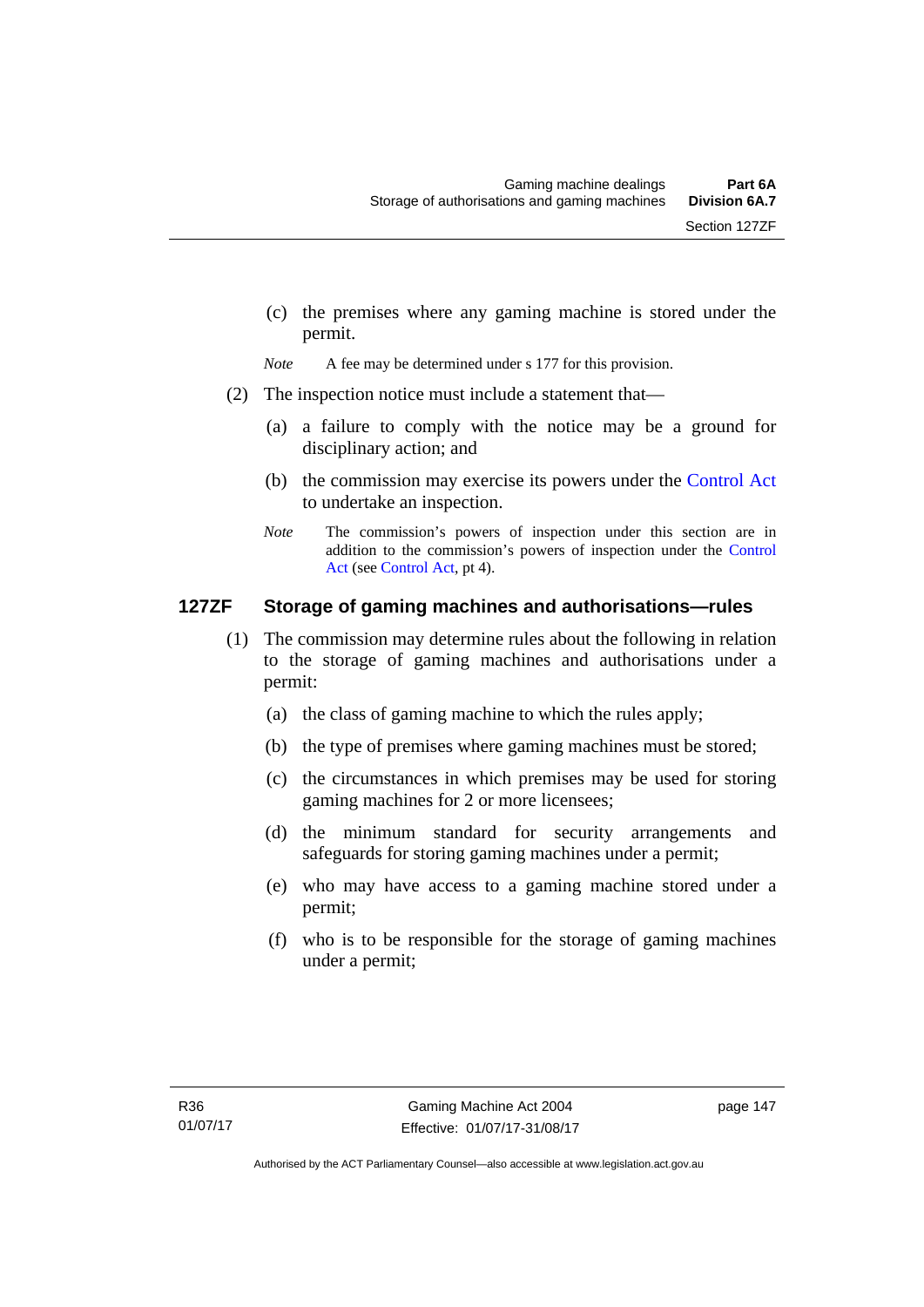(c) the premises where any gaming machine is stored under the permit.

*Note* A fee may be determined under s 177 for this provision.

- (2) The inspection notice must include a statement that—
	- (a) a failure to comply with the notice may be a ground for disciplinary action; and
	- (b) the commission may exercise its powers under the [Control Act](http://www.legislation.act.gov.au/a/1999-46/default.asp) to undertake an inspection.
	- *Note* The commission's powers of inspection under this section are in addition to the commission's powers of inspection under the [Control](http://www.legislation.act.gov.au/a/1999-46/default.asp)  [Act](http://www.legislation.act.gov.au/a/1999-46/default.asp) (see [Control Act](http://www.legislation.act.gov.au/a/1999-46/default.asp), pt 4).

# **127ZF Storage of gaming machines and authorisations—rules**

- (1) The commission may determine rules about the following in relation to the storage of gaming machines and authorisations under a permit:
	- (a) the class of gaming machine to which the rules apply;
	- (b) the type of premises where gaming machines must be stored;
	- (c) the circumstances in which premises may be used for storing gaming machines for 2 or more licensees;
	- (d) the minimum standard for security arrangements and safeguards for storing gaming machines under a permit;
	- (e) who may have access to a gaming machine stored under a permit;
	- (f) who is to be responsible for the storage of gaming machines under a permit;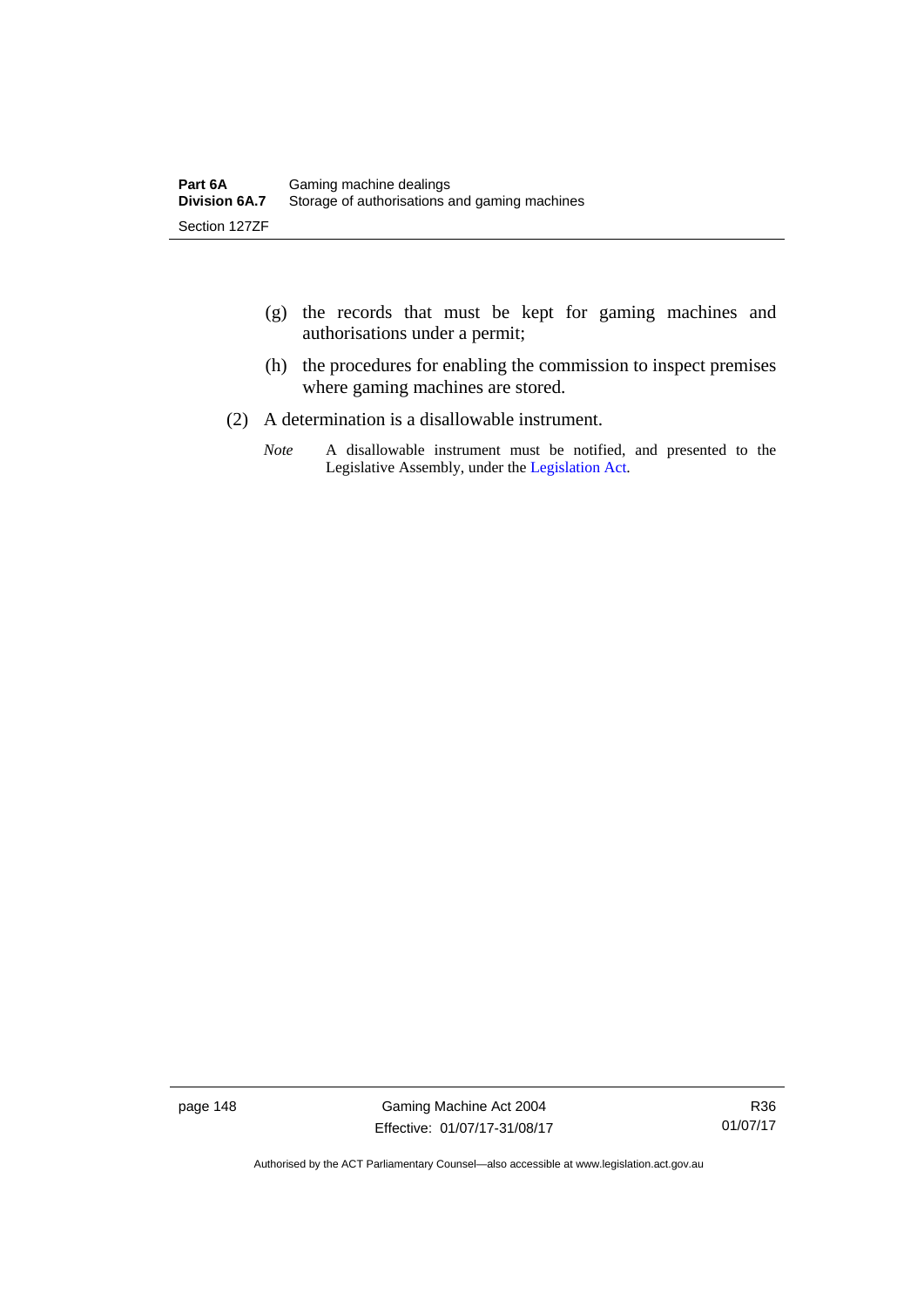- (g) the records that must be kept for gaming machines and authorisations under a permit;
- (h) the procedures for enabling the commission to inspect premises where gaming machines are stored.
- (2) A determination is a disallowable instrument.
	- *Note* A disallowable instrument must be notified, and presented to the Legislative Assembly, under the [Legislation Act.](http://www.legislation.act.gov.au/a/2001-14)

page 148 Gaming Machine Act 2004 Effective: 01/07/17-31/08/17

Authorised by the ACT Parliamentary Counsel—also accessible at www.legislation.act.gov.au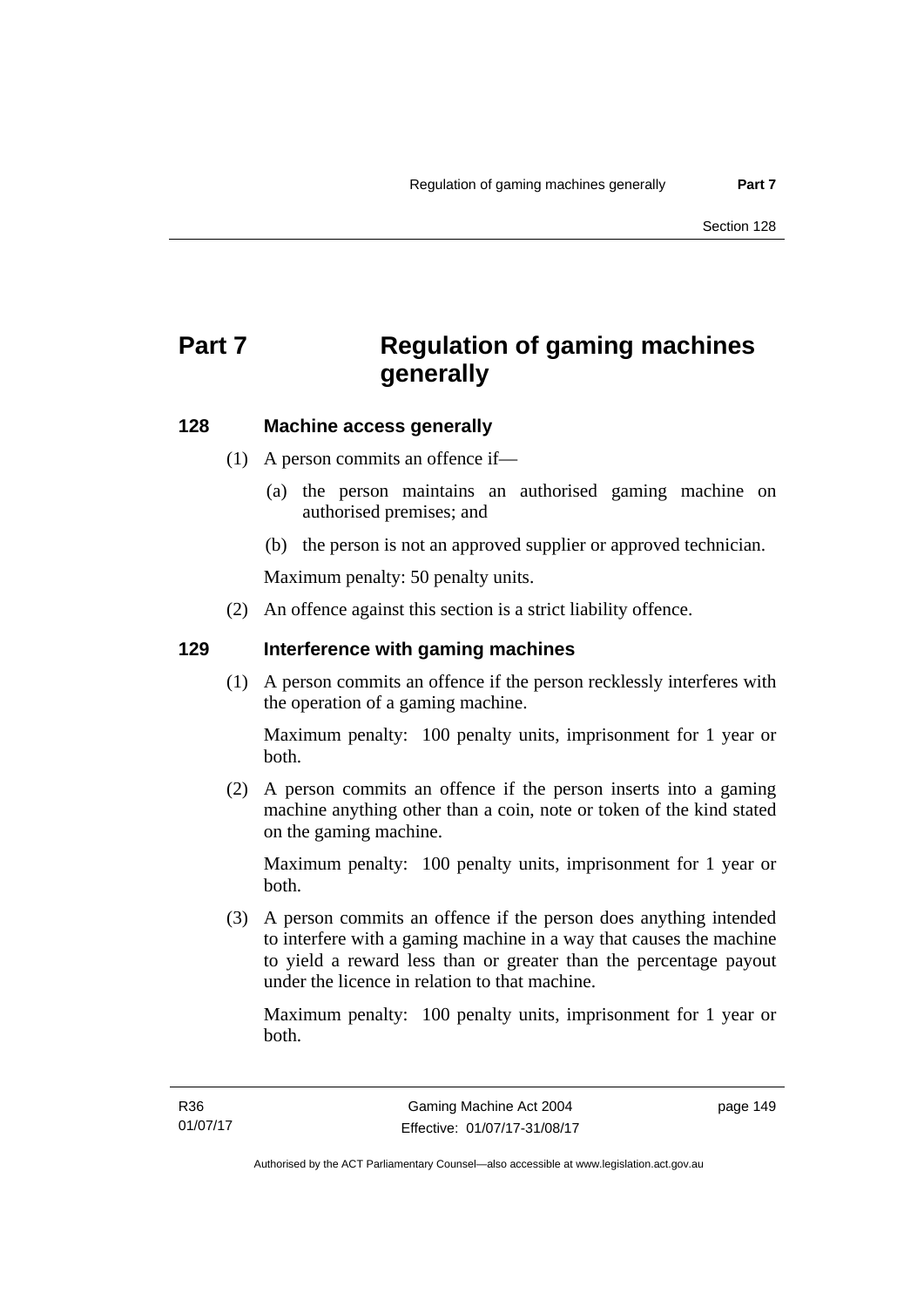# **Part 7 Regulation of gaming machines generally**

# **128 Machine access generally**

- (1) A person commits an offence if—
	- (a) the person maintains an authorised gaming machine on authorised premises; and
	- (b) the person is not an approved supplier or approved technician.

Maximum penalty: 50 penalty units.

(2) An offence against this section is a strict liability offence.

#### **129 Interference with gaming machines**

(1) A person commits an offence if the person recklessly interferes with the operation of a gaming machine.

Maximum penalty: 100 penalty units, imprisonment for 1 year or both.

 (2) A person commits an offence if the person inserts into a gaming machine anything other than a coin, note or token of the kind stated on the gaming machine.

Maximum penalty: 100 penalty units, imprisonment for 1 year or both.

 (3) A person commits an offence if the person does anything intended to interfere with a gaming machine in a way that causes the machine to yield a reward less than or greater than the percentage payout under the licence in relation to that machine.

Maximum penalty: 100 penalty units, imprisonment for 1 year or both.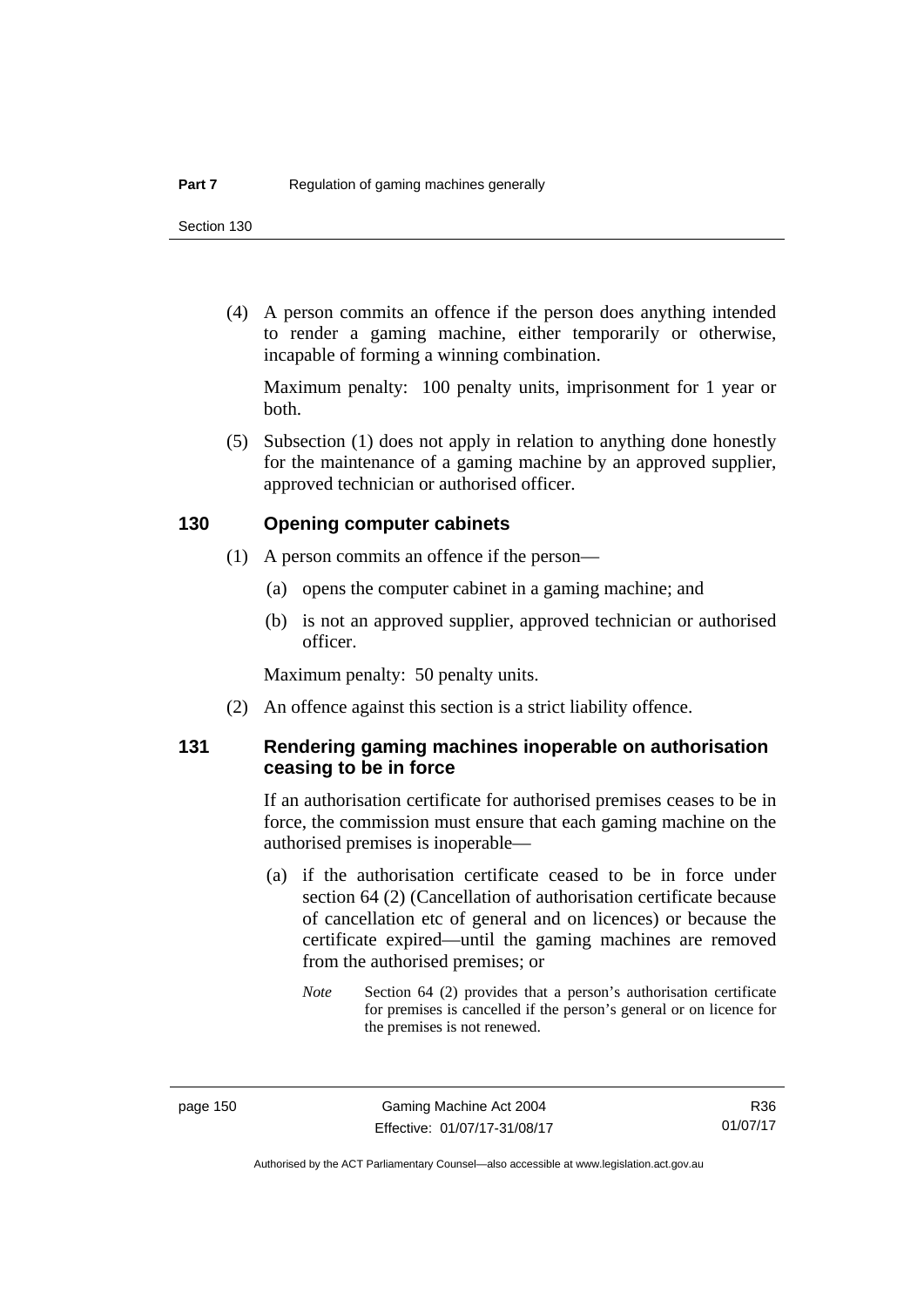(4) A person commits an offence if the person does anything intended to render a gaming machine, either temporarily or otherwise, incapable of forming a winning combination.

Maximum penalty: 100 penalty units, imprisonment for 1 year or both.

 (5) Subsection (1) does not apply in relation to anything done honestly for the maintenance of a gaming machine by an approved supplier, approved technician or authorised officer.

#### **130 Opening computer cabinets**

- (1) A person commits an offence if the person—
	- (a) opens the computer cabinet in a gaming machine; and
	- (b) is not an approved supplier, approved technician or authorised officer.

Maximum penalty: 50 penalty units.

(2) An offence against this section is a strict liability offence.

#### **131 Rendering gaming machines inoperable on authorisation ceasing to be in force**

If an authorisation certificate for authorised premises ceases to be in force, the commission must ensure that each gaming machine on the authorised premises is inoperable—

- (a) if the authorisation certificate ceased to be in force under section 64 (2) (Cancellation of authorisation certificate because of cancellation etc of general and on licences) or because the certificate expired—until the gaming machines are removed from the authorised premises; or
	- *Note* Section 64 (2) provides that a person's authorisation certificate for premises is cancelled if the person's general or on licence for the premises is not renewed.

R36 01/07/17

Authorised by the ACT Parliamentary Counsel—also accessible at www.legislation.act.gov.au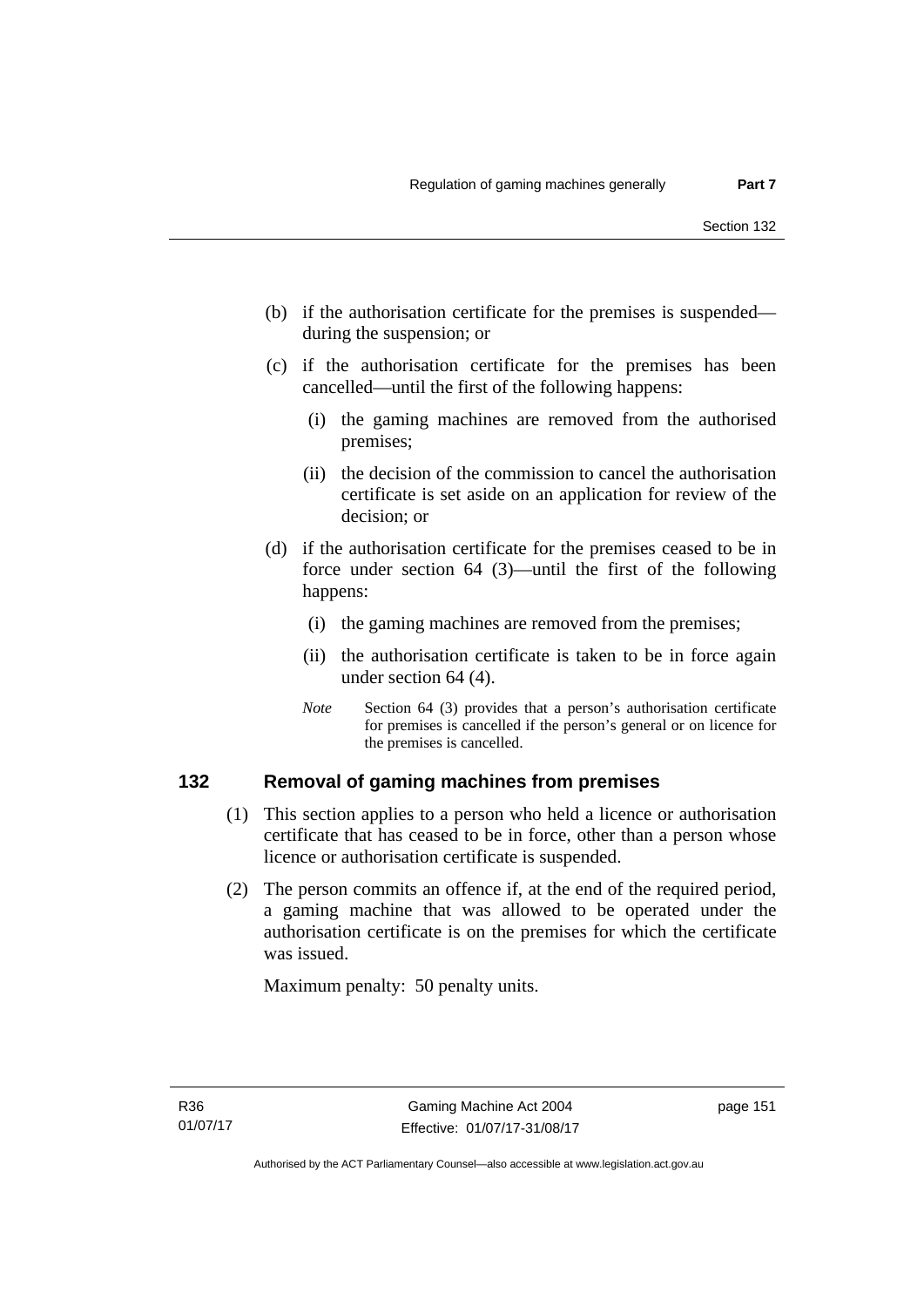- (b) if the authorisation certificate for the premises is suspended during the suspension; or
- (c) if the authorisation certificate for the premises has been cancelled—until the first of the following happens:
	- (i) the gaming machines are removed from the authorised premises;
	- (ii) the decision of the commission to cancel the authorisation certificate is set aside on an application for review of the decision; or
- (d) if the authorisation certificate for the premises ceased to be in force under section 64 (3)—until the first of the following happens:
	- (i) the gaming machines are removed from the premises;
	- (ii) the authorisation certificate is taken to be in force again under section 64 (4).
	- *Note* Section 64 (3) provides that a person's authorisation certificate for premises is cancelled if the person's general or on licence for the premises is cancelled.

#### **132 Removal of gaming machines from premises**

- (1) This section applies to a person who held a licence or authorisation certificate that has ceased to be in force, other than a person whose licence or authorisation certificate is suspended.
- (2) The person commits an offence if, at the end of the required period, a gaming machine that was allowed to be operated under the authorisation certificate is on the premises for which the certificate was issued.

Maximum penalty: 50 penalty units.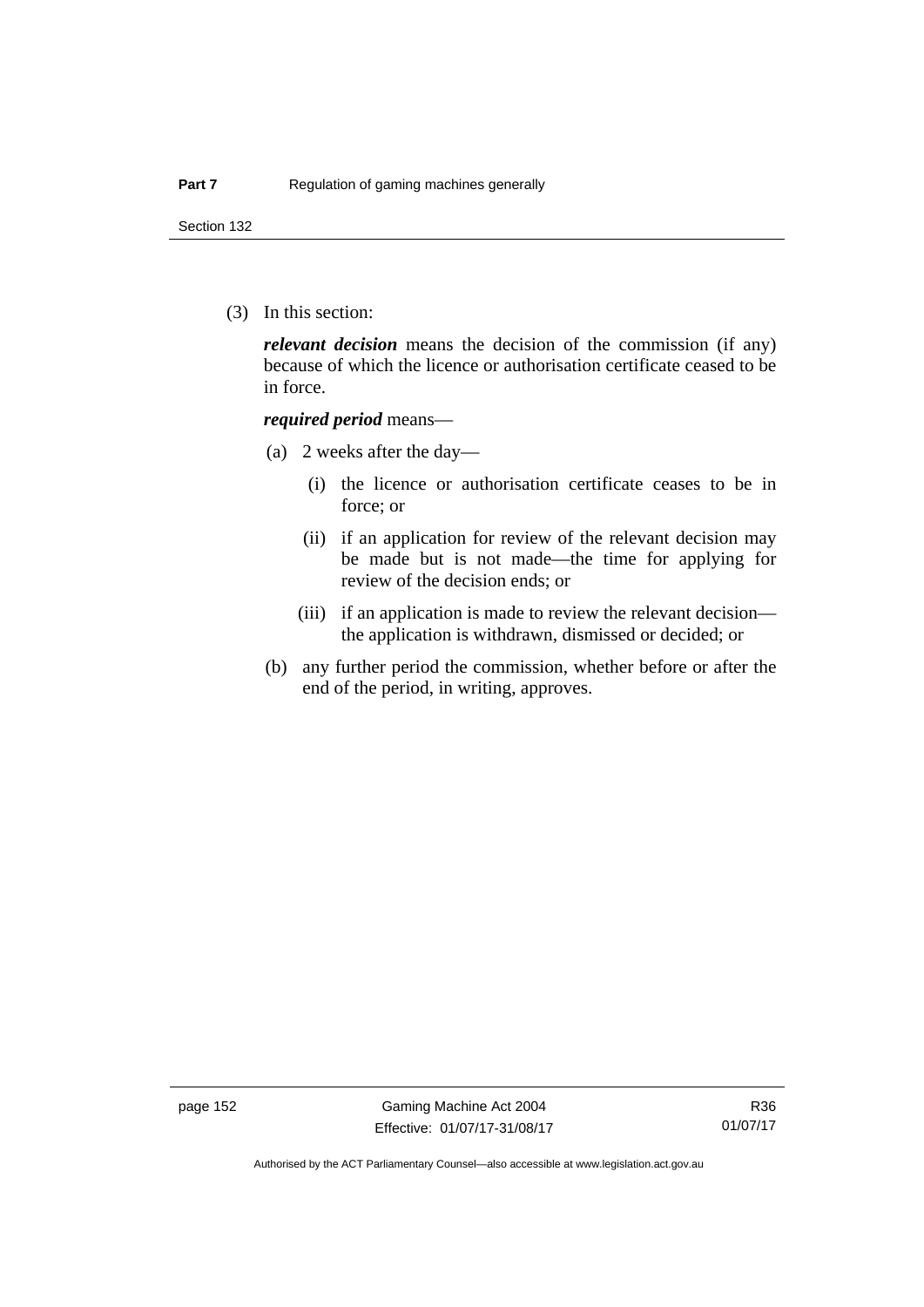Section 132

(3) In this section:

*relevant decision* means the decision of the commission (if any) because of which the licence or authorisation certificate ceased to be in force.

#### *required period* means—

- (a) 2 weeks after the day—
	- (i) the licence or authorisation certificate ceases to be in force; or
	- (ii) if an application for review of the relevant decision may be made but is not made—the time for applying for review of the decision ends; or
	- (iii) if an application is made to review the relevant decision the application is withdrawn, dismissed or decided; or
- (b) any further period the commission, whether before or after the end of the period, in writing, approves.

page 152 Gaming Machine Act 2004 Effective: 01/07/17-31/08/17

Authorised by the ACT Parliamentary Counsel—also accessible at www.legislation.act.gov.au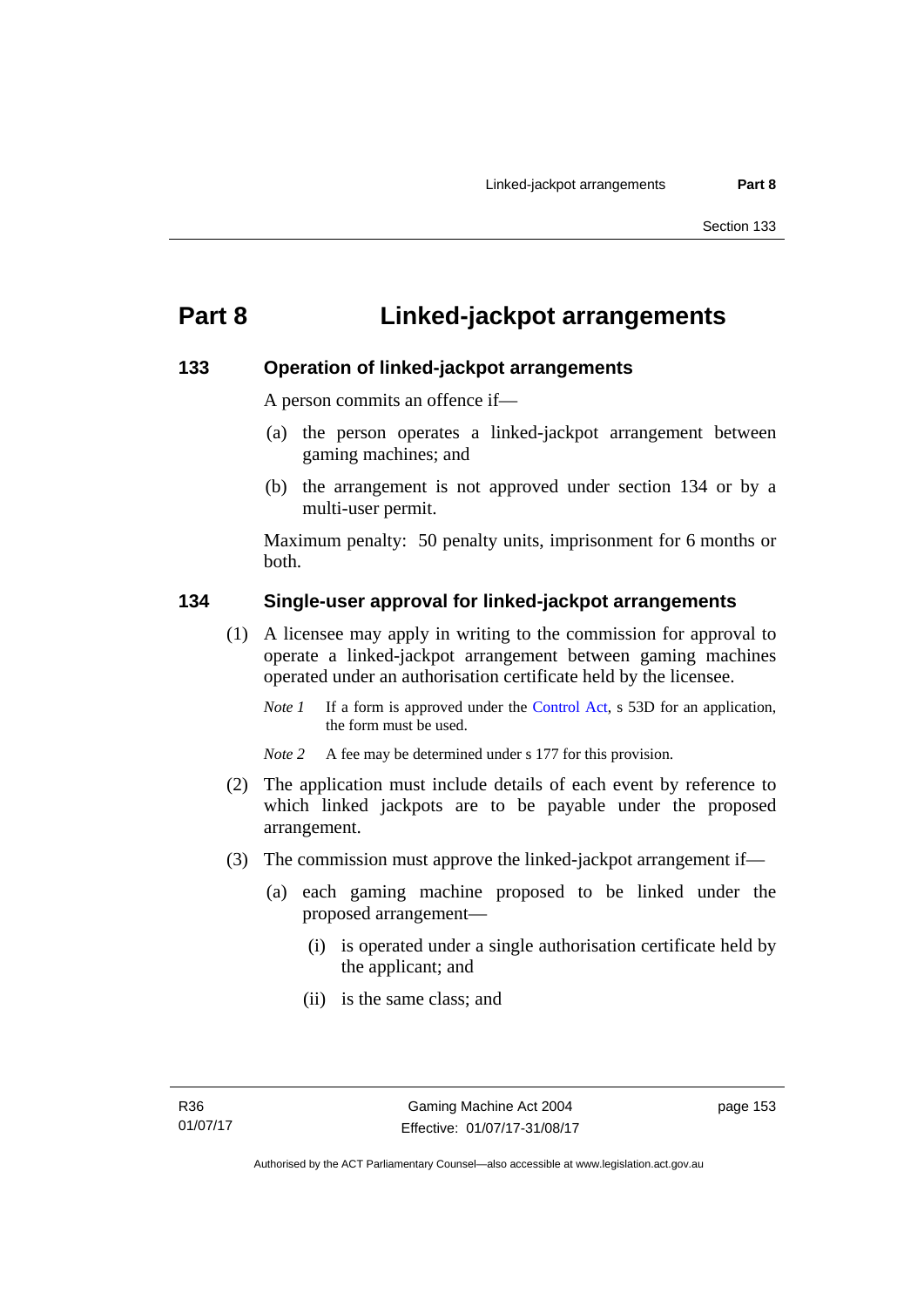# **Part 8 Linked-jackpot arrangements**

#### **133 Operation of linked-jackpot arrangements**

A person commits an offence if—

- (a) the person operates a linked-jackpot arrangement between gaming machines; and
- (b) the arrangement is not approved under section 134 or by a multi-user permit.

Maximum penalty: 50 penalty units, imprisonment for 6 months or both.

#### **134 Single-user approval for linked-jackpot arrangements**

- (1) A licensee may apply in writing to the commission for approval to operate a linked-jackpot arrangement between gaming machines operated under an authorisation certificate held by the licensee.
	- *Note 1* If a form is approved under the [Control Act,](http://www.legislation.act.gov.au/a/1999-46) s 53D for an application, the form must be used.
	- *Note 2* A fee may be determined under s 177 for this provision.
- (2) The application must include details of each event by reference to which linked jackpots are to be payable under the proposed arrangement.
- (3) The commission must approve the linked-jackpot arrangement if—
	- (a) each gaming machine proposed to be linked under the proposed arrangement—
		- (i) is operated under a single authorisation certificate held by the applicant; and
		- (ii) is the same class; and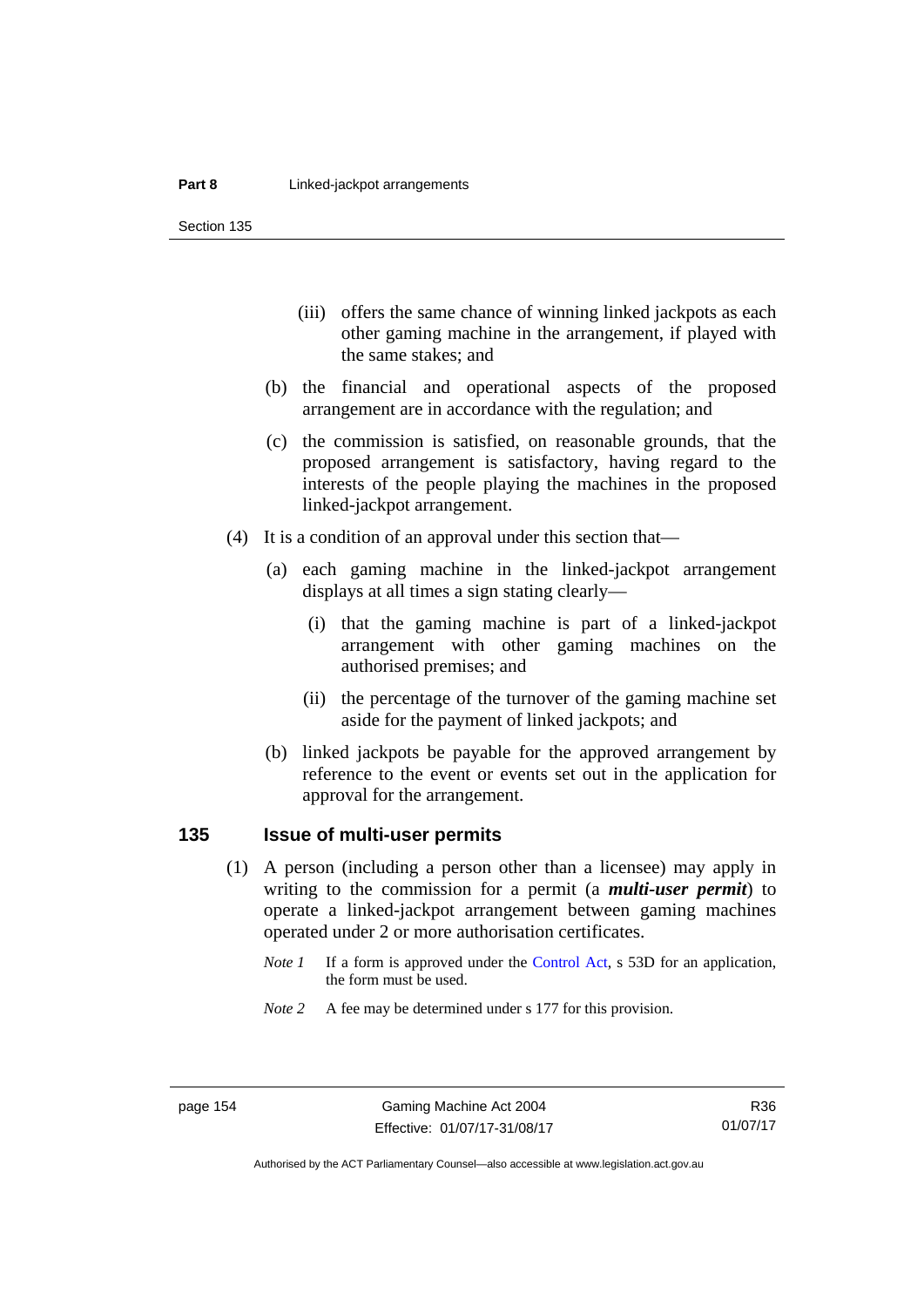Section 135

- (iii) offers the same chance of winning linked jackpots as each other gaming machine in the arrangement, if played with the same stakes; and
- (b) the financial and operational aspects of the proposed arrangement are in accordance with the regulation; and
- (c) the commission is satisfied, on reasonable grounds, that the proposed arrangement is satisfactory, having regard to the interests of the people playing the machines in the proposed linked-jackpot arrangement.
- (4) It is a condition of an approval under this section that—
	- (a) each gaming machine in the linked-jackpot arrangement displays at all times a sign stating clearly—
		- (i) that the gaming machine is part of a linked-jackpot arrangement with other gaming machines on the authorised premises; and
		- (ii) the percentage of the turnover of the gaming machine set aside for the payment of linked jackpots; and
	- (b) linked jackpots be payable for the approved arrangement by reference to the event or events set out in the application for approval for the arrangement.

## **135 Issue of multi-user permits**

- (1) A person (including a person other than a licensee) may apply in writing to the commission for a permit (a *multi-user permit*) to operate a linked-jackpot arrangement between gaming machines operated under 2 or more authorisation certificates.
	- *Note 1* If a form is approved under the [Control Act,](http://www.legislation.act.gov.au/a/1999-46) s 53D for an application, the form must be used.
	- *Note* 2 A fee may be determined under s 177 for this provision.

R36 01/07/17

Authorised by the ACT Parliamentary Counsel—also accessible at www.legislation.act.gov.au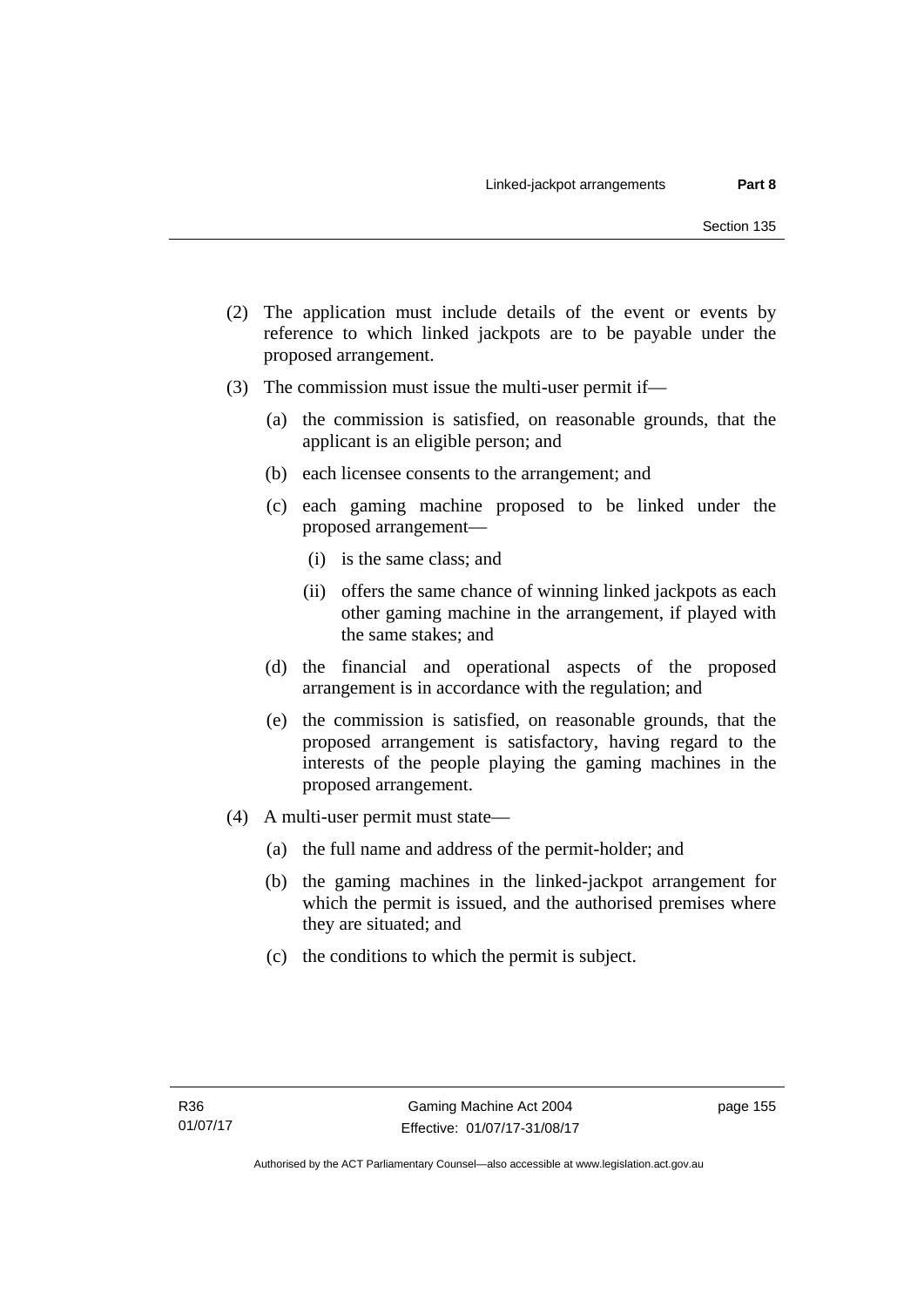- (2) The application must include details of the event or events by reference to which linked jackpots are to be payable under the proposed arrangement.
- (3) The commission must issue the multi-user permit if—
	- (a) the commission is satisfied, on reasonable grounds, that the applicant is an eligible person; and
	- (b) each licensee consents to the arrangement; and
	- (c) each gaming machine proposed to be linked under the proposed arrangement—
		- (i) is the same class; and
		- (ii) offers the same chance of winning linked jackpots as each other gaming machine in the arrangement, if played with the same stakes; and
	- (d) the financial and operational aspects of the proposed arrangement is in accordance with the regulation; and
	- (e) the commission is satisfied, on reasonable grounds, that the proposed arrangement is satisfactory, having regard to the interests of the people playing the gaming machines in the proposed arrangement.
- (4) A multi-user permit must state—
	- (a) the full name and address of the permit-holder; and
	- (b) the gaming machines in the linked-jackpot arrangement for which the permit is issued, and the authorised premises where they are situated; and
	- (c) the conditions to which the permit is subject.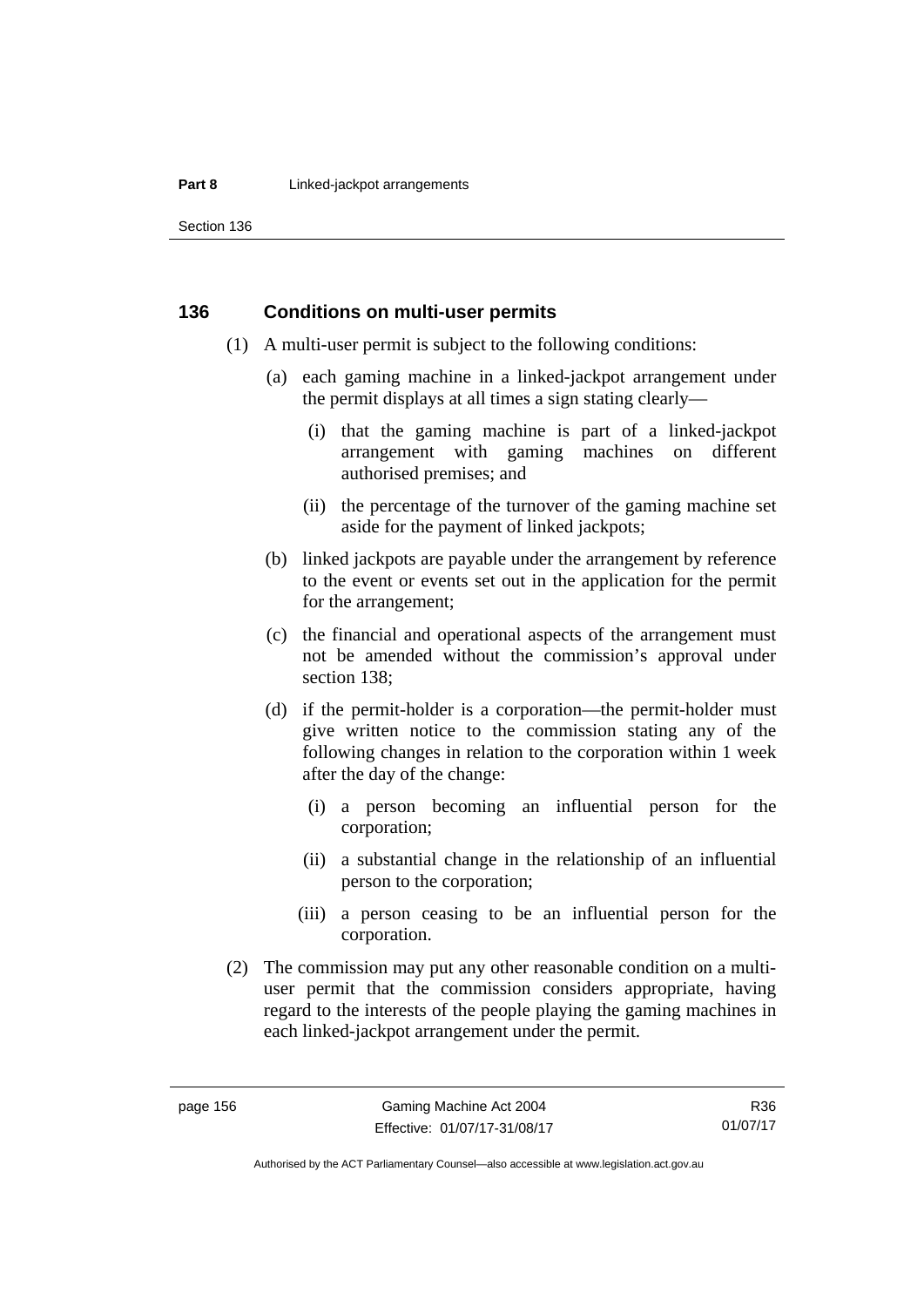#### **Part 8 Linked-jackpot arrangements**

Section 136

#### **136 Conditions on multi-user permits**

- (1) A multi-user permit is subject to the following conditions:
	- (a) each gaming machine in a linked-jackpot arrangement under the permit displays at all times a sign stating clearly—
		- (i) that the gaming machine is part of a linked-jackpot arrangement with gaming machines on different authorised premises; and
		- (ii) the percentage of the turnover of the gaming machine set aside for the payment of linked jackpots;
	- (b) linked jackpots are payable under the arrangement by reference to the event or events set out in the application for the permit for the arrangement;
	- (c) the financial and operational aspects of the arrangement must not be amended without the commission's approval under section 138;
	- (d) if the permit-holder is a corporation—the permit-holder must give written notice to the commission stating any of the following changes in relation to the corporation within 1 week after the day of the change:
		- (i) a person becoming an influential person for the corporation;
		- (ii) a substantial change in the relationship of an influential person to the corporation;
		- (iii) a person ceasing to be an influential person for the corporation.
- (2) The commission may put any other reasonable condition on a multiuser permit that the commission considers appropriate, having regard to the interests of the people playing the gaming machines in each linked-jackpot arrangement under the permit.

Authorised by the ACT Parliamentary Counsel—also accessible at www.legislation.act.gov.au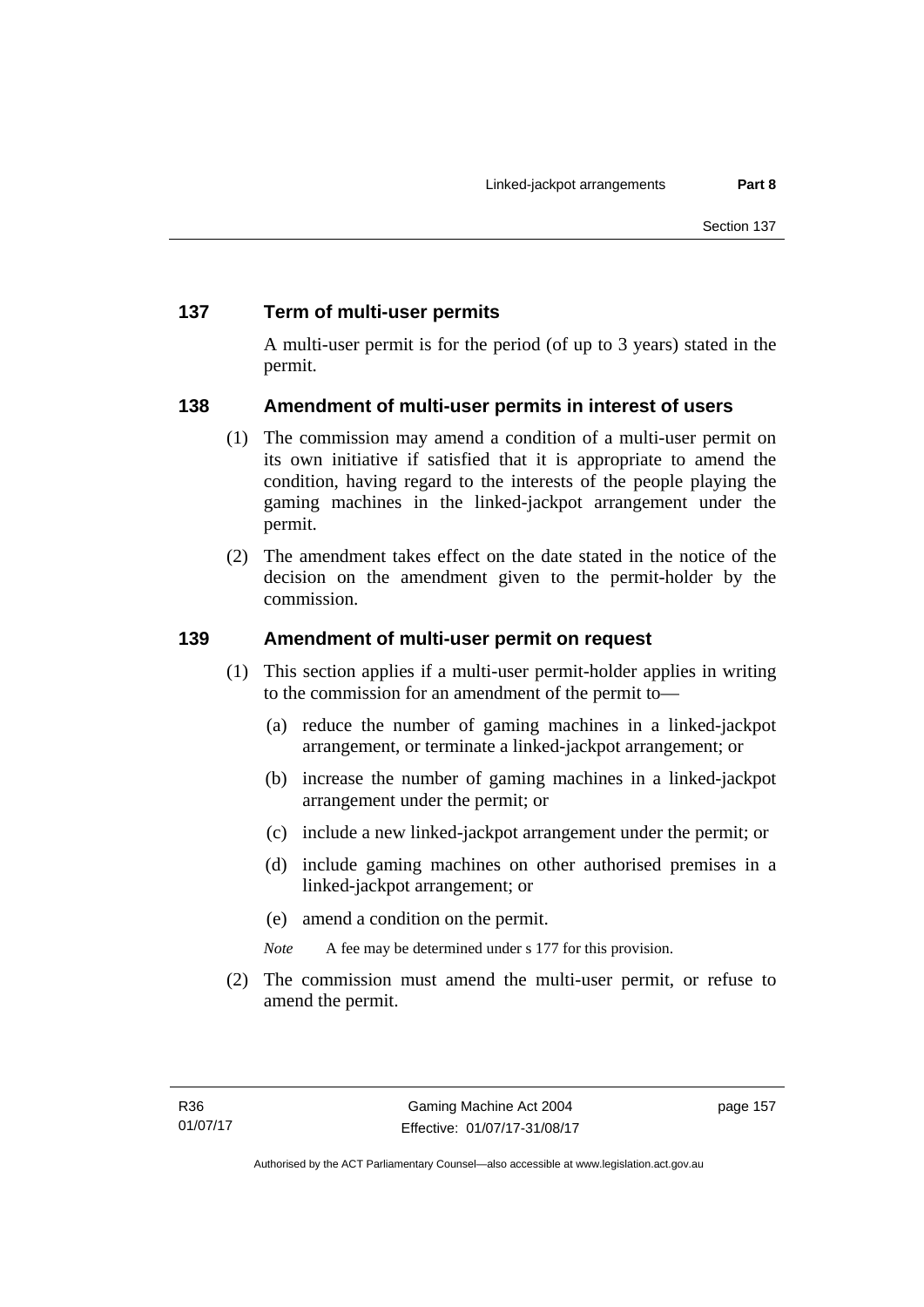# **137 Term of multi-user permits**

A multi-user permit is for the period (of up to 3 years) stated in the permit.

# **138 Amendment of multi-user permits in interest of users**

- (1) The commission may amend a condition of a multi-user permit on its own initiative if satisfied that it is appropriate to amend the condition, having regard to the interests of the people playing the gaming machines in the linked-jackpot arrangement under the permit.
- (2) The amendment takes effect on the date stated in the notice of the decision on the amendment given to the permit-holder by the commission.

# **139 Amendment of multi-user permit on request**

- (1) This section applies if a multi-user permit-holder applies in writing to the commission for an amendment of the permit to—
	- (a) reduce the number of gaming machines in a linked-jackpot arrangement, or terminate a linked-jackpot arrangement; or
	- (b) increase the number of gaming machines in a linked-jackpot arrangement under the permit; or
	- (c) include a new linked-jackpot arrangement under the permit; or
	- (d) include gaming machines on other authorised premises in a linked-jackpot arrangement; or
	- (e) amend a condition on the permit.
	- *Note* A fee may be determined under s 177 for this provision.
- (2) The commission must amend the multi-user permit, or refuse to amend the permit.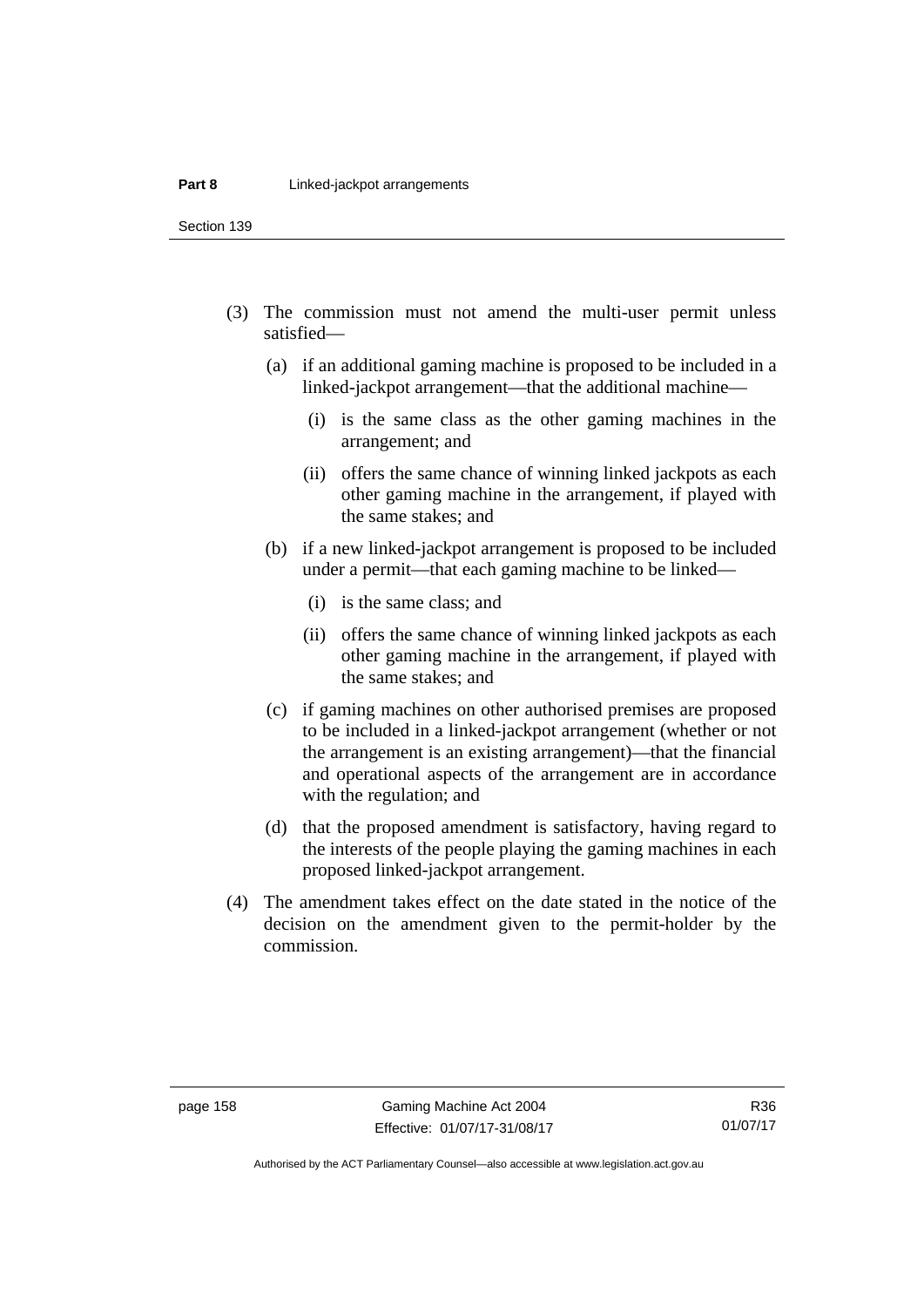Section 139

- (3) The commission must not amend the multi-user permit unless satisfied—
	- (a) if an additional gaming machine is proposed to be included in a linked-jackpot arrangement—that the additional machine—
		- (i) is the same class as the other gaming machines in the arrangement; and
		- (ii) offers the same chance of winning linked jackpots as each other gaming machine in the arrangement, if played with the same stakes; and
	- (b) if a new linked-jackpot arrangement is proposed to be included under a permit—that each gaming machine to be linked—
		- (i) is the same class; and
		- (ii) offers the same chance of winning linked jackpots as each other gaming machine in the arrangement, if played with the same stakes; and
	- (c) if gaming machines on other authorised premises are proposed to be included in a linked-jackpot arrangement (whether or not the arrangement is an existing arrangement)—that the financial and operational aspects of the arrangement are in accordance with the regulation; and
	- (d) that the proposed amendment is satisfactory, having regard to the interests of the people playing the gaming machines in each proposed linked-jackpot arrangement.
- (4) The amendment takes effect on the date stated in the notice of the decision on the amendment given to the permit-holder by the commission.

Authorised by the ACT Parliamentary Counsel—also accessible at www.legislation.act.gov.au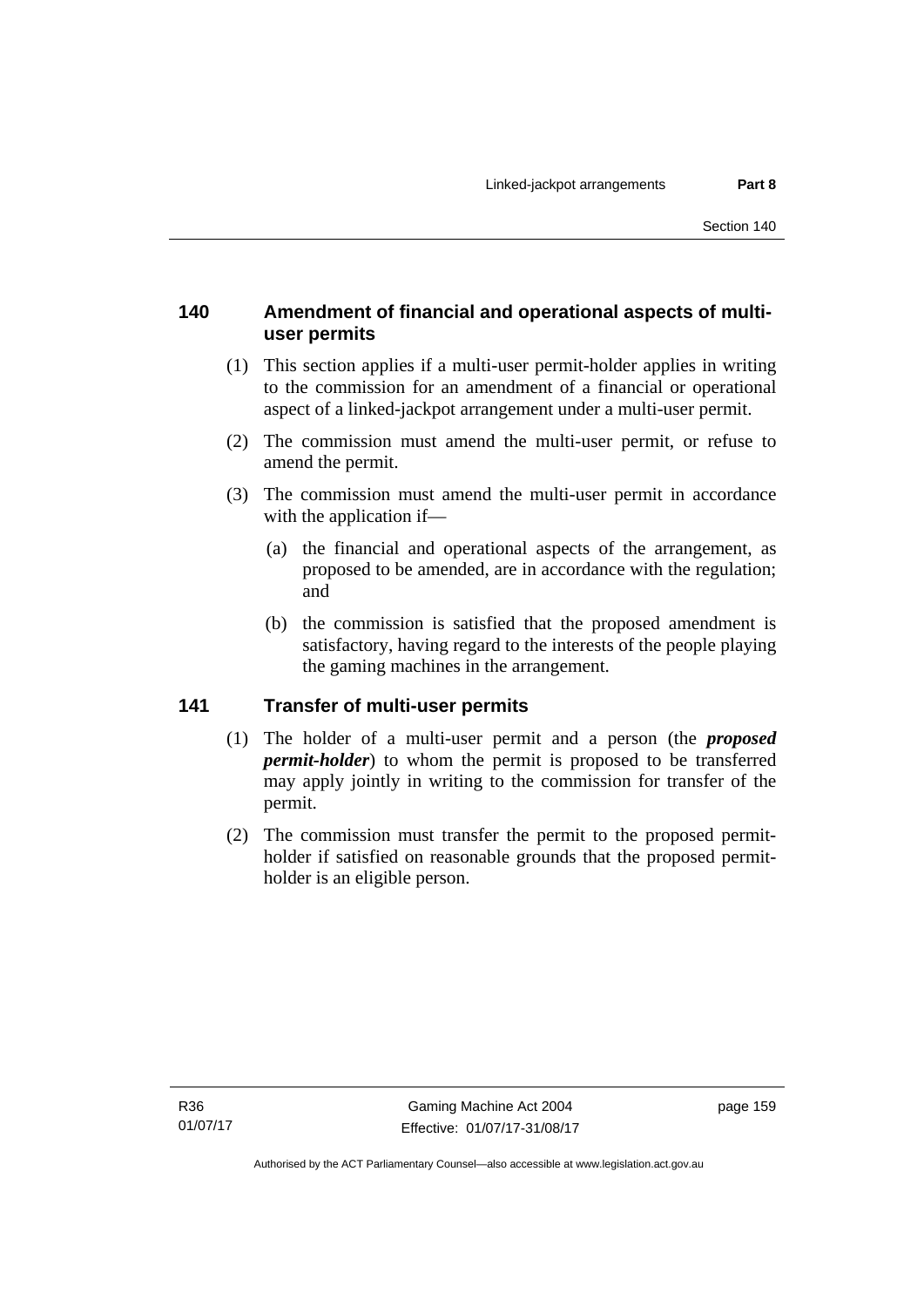# **140 Amendment of financial and operational aspects of multiuser permits**

- (1) This section applies if a multi-user permit-holder applies in writing to the commission for an amendment of a financial or operational aspect of a linked-jackpot arrangement under a multi-user permit.
- (2) The commission must amend the multi-user permit, or refuse to amend the permit.
- (3) The commission must amend the multi-user permit in accordance with the application if—
	- (a) the financial and operational aspects of the arrangement, as proposed to be amended, are in accordance with the regulation; and
	- (b) the commission is satisfied that the proposed amendment is satisfactory, having regard to the interests of the people playing the gaming machines in the arrangement.

# **141 Transfer of multi-user permits**

- (1) The holder of a multi-user permit and a person (the *proposed permit-holder*) to whom the permit is proposed to be transferred may apply jointly in writing to the commission for transfer of the permit.
- (2) The commission must transfer the permit to the proposed permitholder if satisfied on reasonable grounds that the proposed permitholder is an eligible person.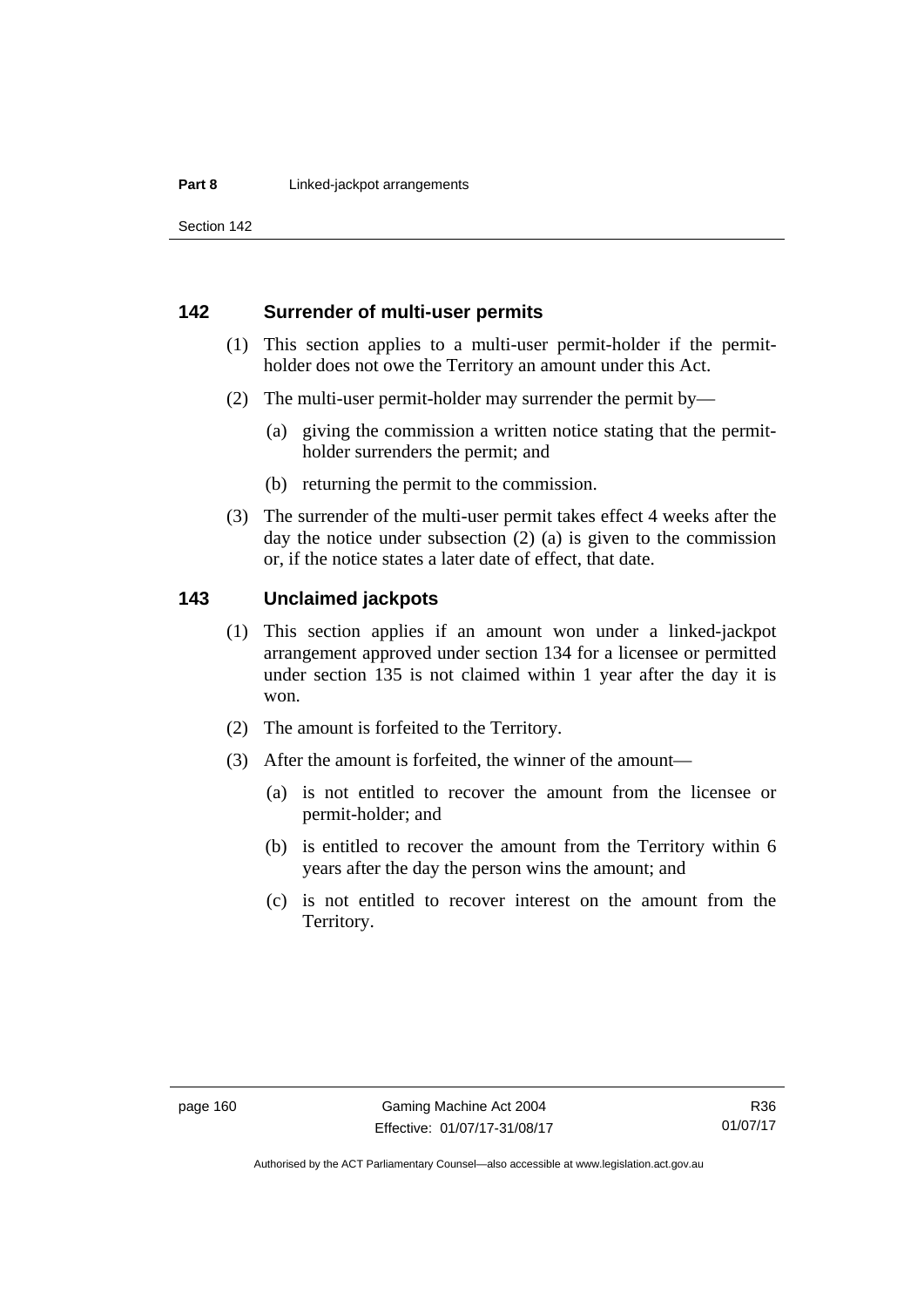Section 142

#### **142 Surrender of multi-user permits**

- (1) This section applies to a multi-user permit-holder if the permitholder does not owe the Territory an amount under this Act.
- (2) The multi-user permit-holder may surrender the permit by—
	- (a) giving the commission a written notice stating that the permitholder surrenders the permit; and
	- (b) returning the permit to the commission.
- (3) The surrender of the multi-user permit takes effect 4 weeks after the day the notice under subsection (2) (a) is given to the commission or, if the notice states a later date of effect, that date.

#### **143 Unclaimed jackpots**

- (1) This section applies if an amount won under a linked-jackpot arrangement approved under section 134 for a licensee or permitted under section 135 is not claimed within 1 year after the day it is won.
- (2) The amount is forfeited to the Territory.
- (3) After the amount is forfeited, the winner of the amount—
	- (a) is not entitled to recover the amount from the licensee or permit-holder; and
	- (b) is entitled to recover the amount from the Territory within 6 years after the day the person wins the amount; and
	- (c) is not entitled to recover interest on the amount from the Territory.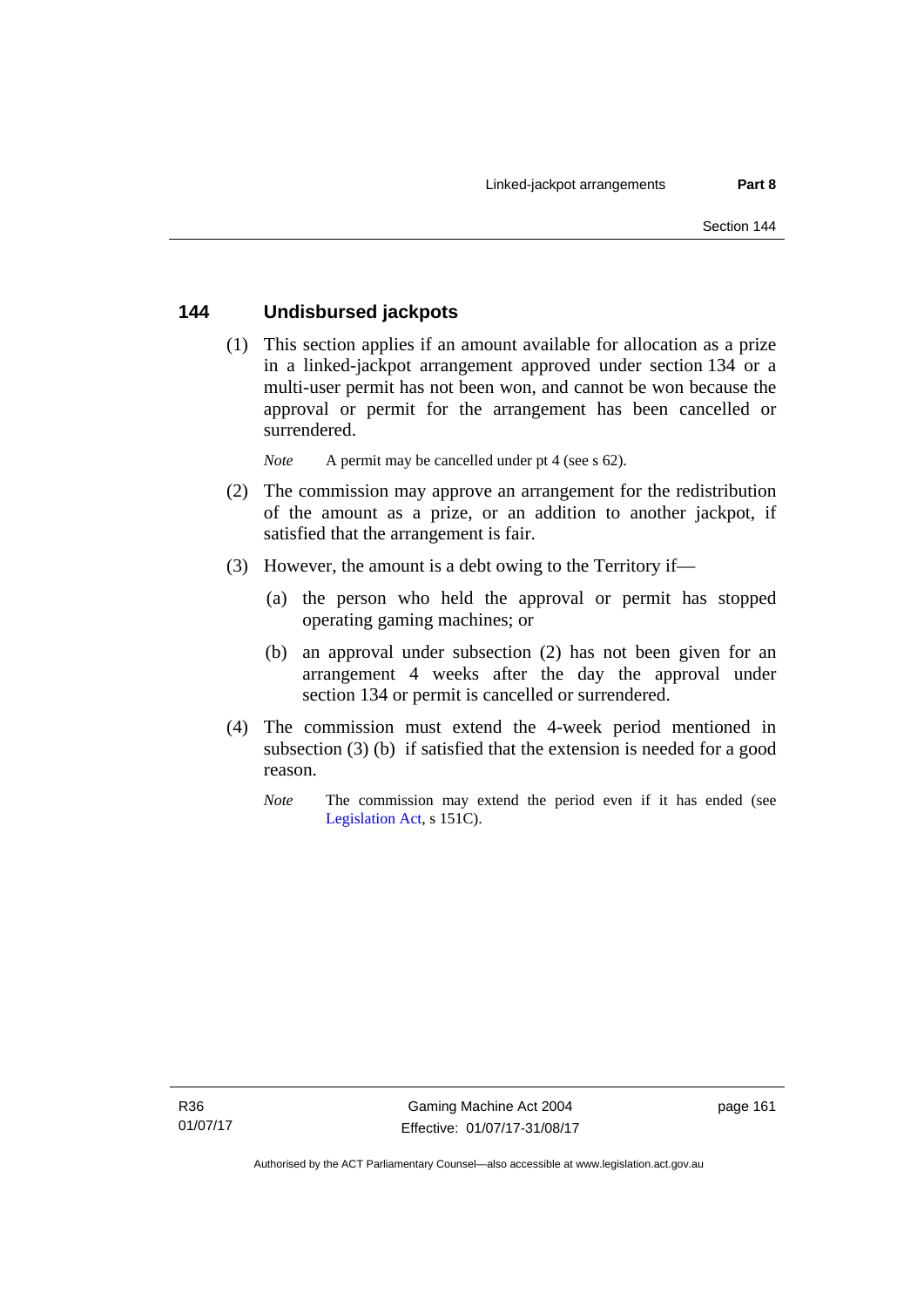#### **144 Undisbursed jackpots**

 (1) This section applies if an amount available for allocation as a prize in a linked-jackpot arrangement approved under section 134 or a multi-user permit has not been won, and cannot be won because the approval or permit for the arrangement has been cancelled or surrendered.

*Note* A permit may be cancelled under pt 4 (see s 62).

- (2) The commission may approve an arrangement for the redistribution of the amount as a prize, or an addition to another jackpot, if satisfied that the arrangement is fair.
- (3) However, the amount is a debt owing to the Territory if—
	- (a) the person who held the approval or permit has stopped operating gaming machines; or
	- (b) an approval under subsection (2) has not been given for an arrangement 4 weeks after the day the approval under section 134 or permit is cancelled or surrendered.
- (4) The commission must extend the 4-week period mentioned in subsection (3) (b) if satisfied that the extension is needed for a good reason.
	- *Note* The commission may extend the period even if it has ended (see [Legislation Act,](http://www.legislation.act.gov.au/a/2001-14) s 151C).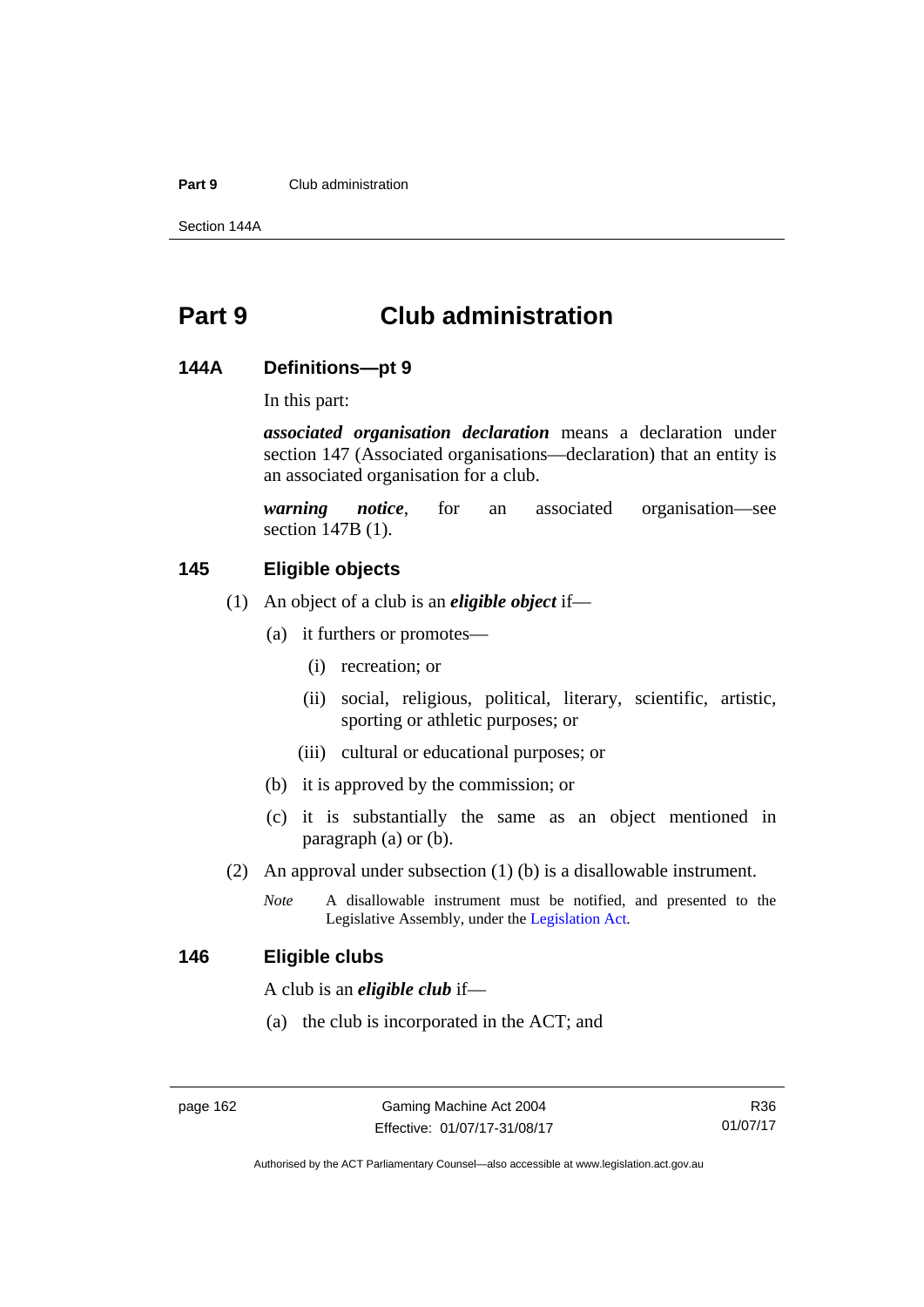#### **Part 9** Club administration

Section 144A

# **Part 9 Club administration**

#### **144A Definitions—pt 9**

In this part:

*associated organisation declaration* means a declaration under section 147 (Associated organisations—declaration) that an entity is an associated organisation for a club.

*warning notice*, for an associated organisation—see section 147B (1).

# **145 Eligible objects**

- (1) An object of a club is an *eligible object* if—
	- (a) it furthers or promotes—
		- (i) recreation; or
		- (ii) social, religious, political, literary, scientific, artistic, sporting or athletic purposes; or
		- (iii) cultural or educational purposes; or
	- (b) it is approved by the commission; or
	- (c) it is substantially the same as an object mentioned in paragraph (a) or (b).
- (2) An approval under subsection (1) (b) is a disallowable instrument.
	- *Note* A disallowable instrument must be notified, and presented to the Legislative Assembly, under the [Legislation Act.](http://www.legislation.act.gov.au/a/2001-14)

#### **146 Eligible clubs**

A club is an *eligible club* if—

(a) the club is incorporated in the ACT; and

Authorised by the ACT Parliamentary Counsel—also accessible at www.legislation.act.gov.au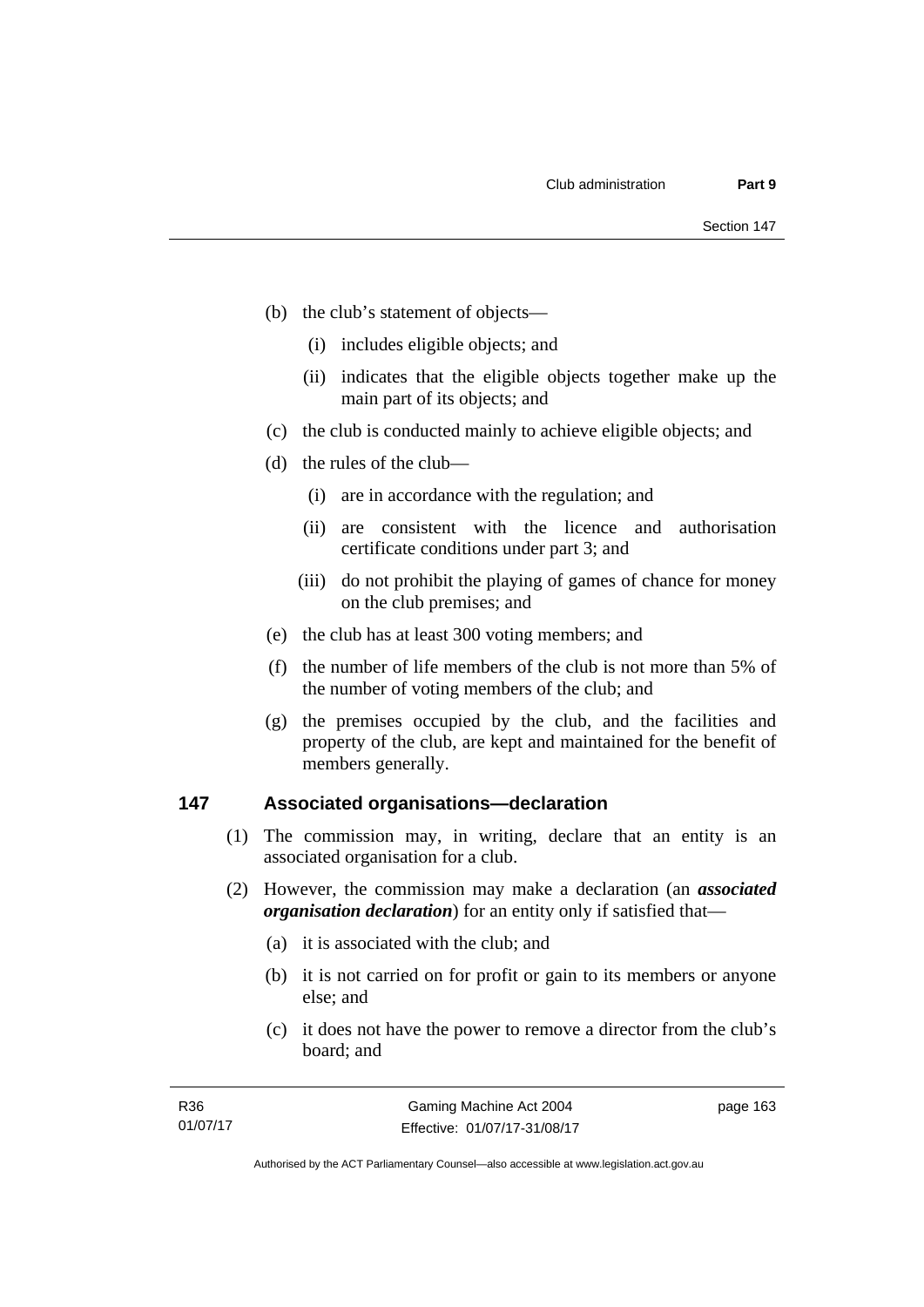- (b) the club's statement of objects—
	- (i) includes eligible objects; and
	- (ii) indicates that the eligible objects together make up the main part of its objects; and
- (c) the club is conducted mainly to achieve eligible objects; and
- (d) the rules of the club—
	- (i) are in accordance with the regulation; and
	- (ii) are consistent with the licence and authorisation certificate conditions under part 3; and
	- (iii) do not prohibit the playing of games of chance for money on the club premises; and
- (e) the club has at least 300 voting members; and
- (f) the number of life members of the club is not more than 5% of the number of voting members of the club; and
- (g) the premises occupied by the club, and the facilities and property of the club, are kept and maintained for the benefit of members generally.

#### **147 Associated organisations—declaration**

- (1) The commission may, in writing, declare that an entity is an associated organisation for a club.
- (2) However, the commission may make a declaration (an *associated organisation declaration*) for an entity only if satisfied that—
	- (a) it is associated with the club; and
	- (b) it is not carried on for profit or gain to its members or anyone else; and
	- (c) it does not have the power to remove a director from the club's board; and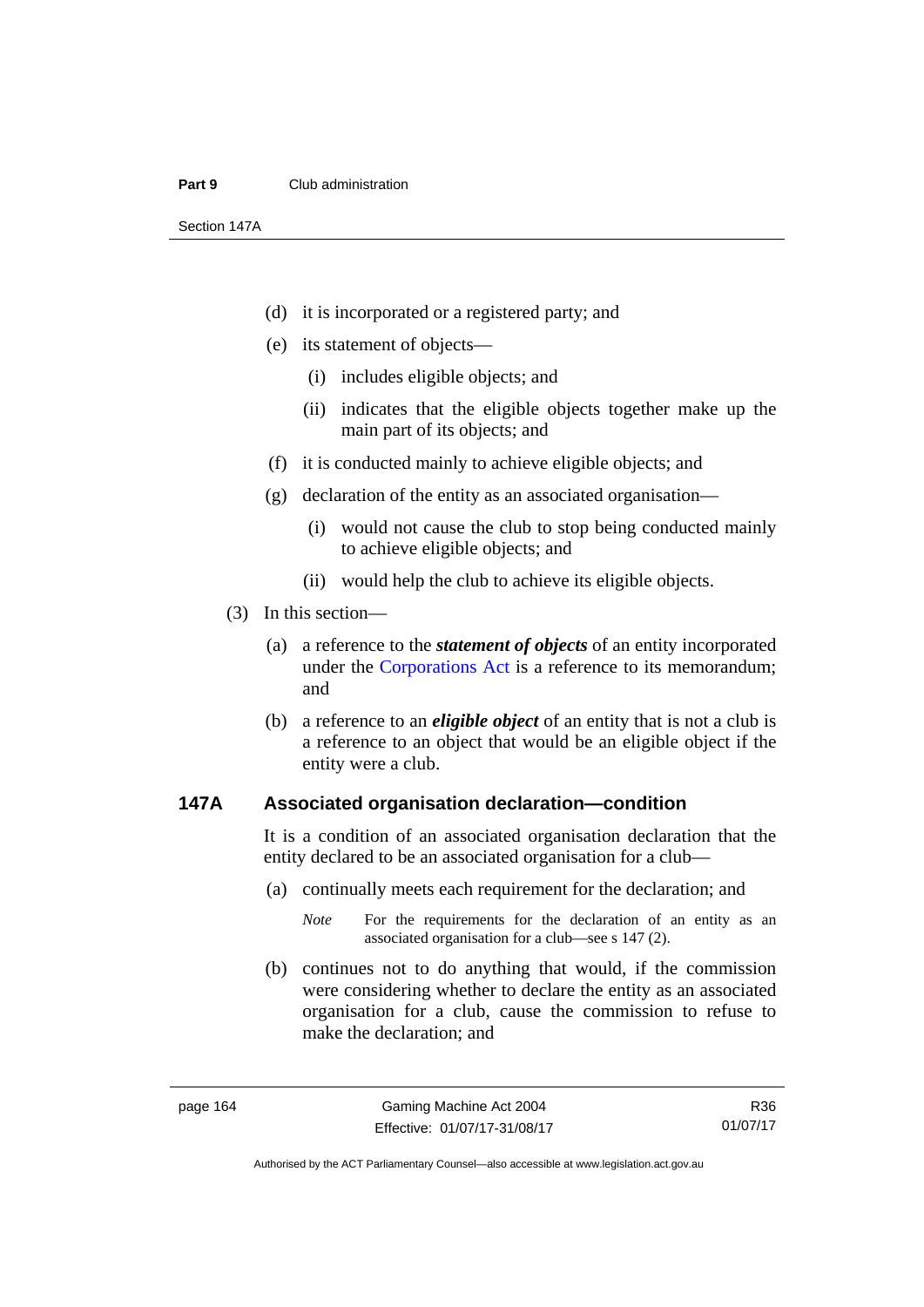#### **Part 9** Club administration

Section 147A

- (d) it is incorporated or a registered party; and
- (e) its statement of objects—
	- (i) includes eligible objects; and
	- (ii) indicates that the eligible objects together make up the main part of its objects; and
- (f) it is conducted mainly to achieve eligible objects; and
- (g) declaration of the entity as an associated organisation—
	- (i) would not cause the club to stop being conducted mainly to achieve eligible objects; and
	- (ii) would help the club to achieve its eligible objects.
- (3) In this section—
	- (a) a reference to the *statement of objects* of an entity incorporated under the [Corporations Act](http://www.comlaw.gov.au/Series/C2004A00818) is a reference to its memorandum; and
	- (b) a reference to an *eligible object* of an entity that is not a club is a reference to an object that would be an eligible object if the entity were a club.

#### **147A Associated organisation declaration—condition**

It is a condition of an associated organisation declaration that the entity declared to be an associated organisation for a club—

- (a) continually meets each requirement for the declaration; and
	- *Note* For the requirements for the declaration of an entity as an associated organisation for a club—see s 147 (2).
- (b) continues not to do anything that would, if the commission were considering whether to declare the entity as an associated organisation for a club, cause the commission to refuse to make the declaration; and

R36 01/07/17

Authorised by the ACT Parliamentary Counsel—also accessible at www.legislation.act.gov.au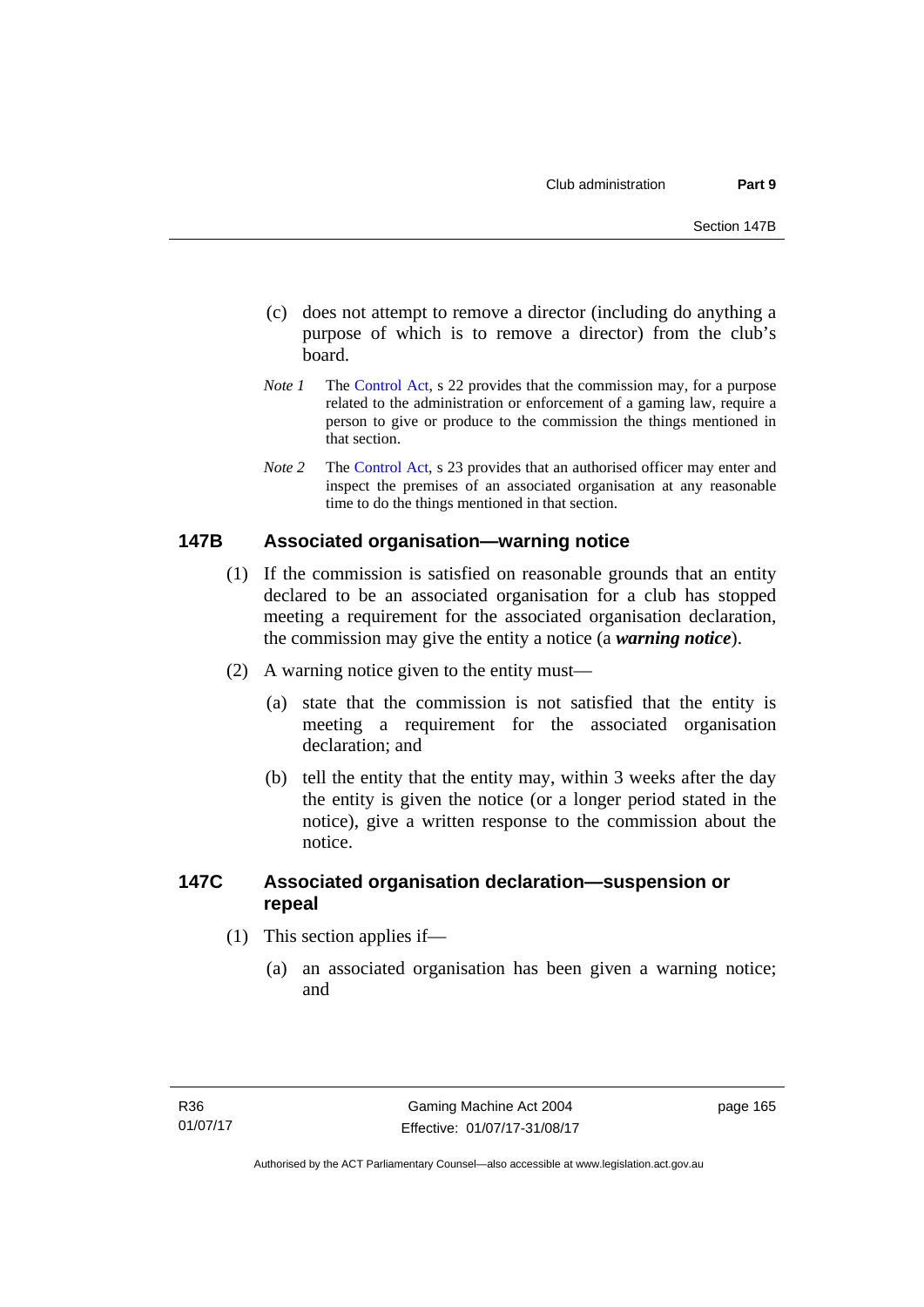- (c) does not attempt to remove a director (including do anything a purpose of which is to remove a director) from the club's board.
- *Note 1* The [Control Act,](http://www.legislation.act.gov.au/a/1999-46) s 22 provides that the commission may, for a purpose related to the administration or enforcement of a gaming law, require a person to give or produce to the commission the things mentioned in that section.
- *Note 2* The [Control Act](http://www.legislation.act.gov.au/a/1999-46), s 23 provides that an authorised officer may enter and inspect the premises of an associated organisation at any reasonable time to do the things mentioned in that section.

### **147B Associated organisation—warning notice**

- (1) If the commission is satisfied on reasonable grounds that an entity declared to be an associated organisation for a club has stopped meeting a requirement for the associated organisation declaration, the commission may give the entity a notice (a *warning notice*).
- (2) A warning notice given to the entity must—
	- (a) state that the commission is not satisfied that the entity is meeting a requirement for the associated organisation declaration; and
	- (b) tell the entity that the entity may, within 3 weeks after the day the entity is given the notice (or a longer period stated in the notice), give a written response to the commission about the notice.

## **147C Associated organisation declaration—suspension or repeal**

- (1) This section applies if—
	- (a) an associated organisation has been given a warning notice; and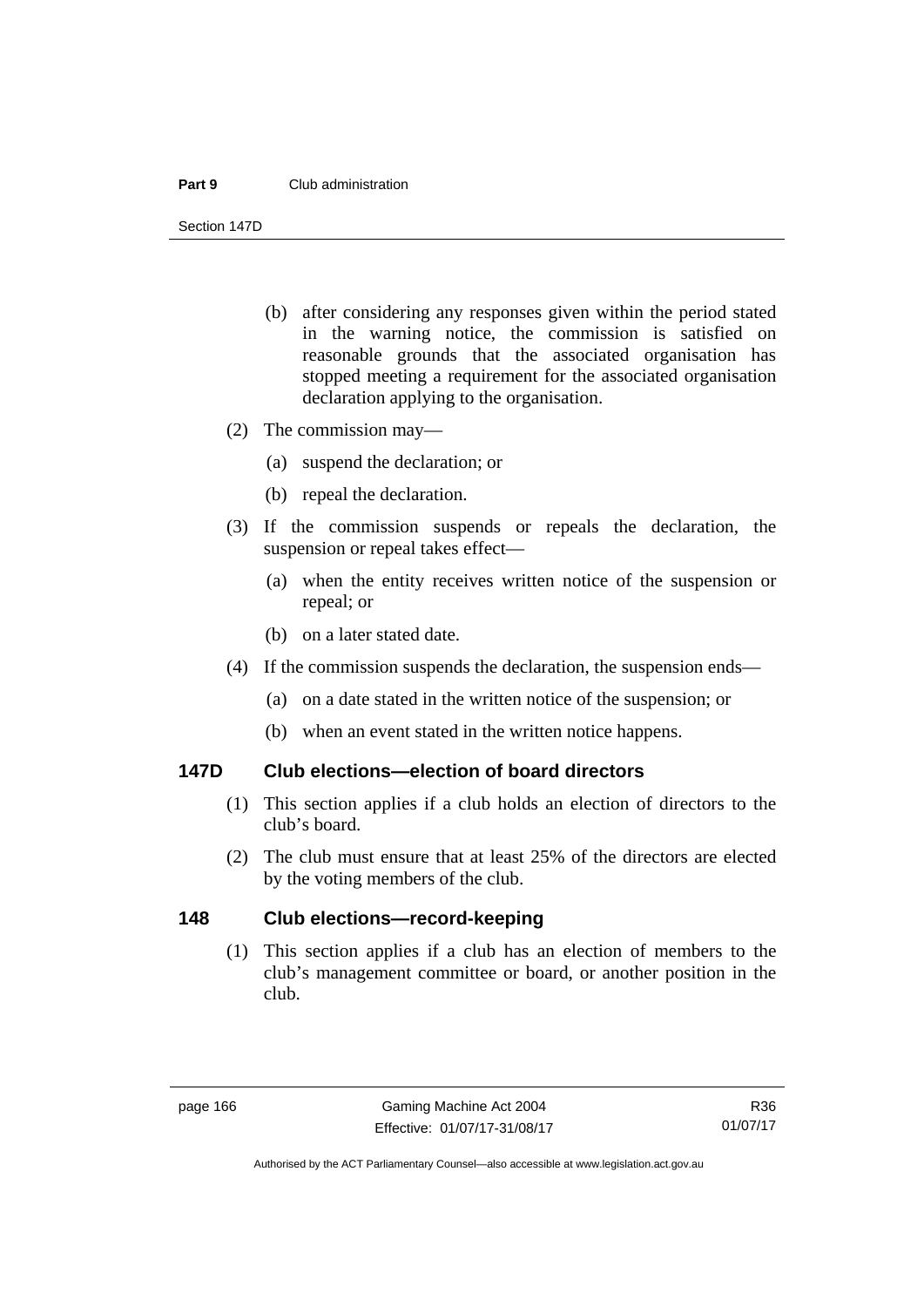#### **Part 9** Club administration

Section 147D

- (b) after considering any responses given within the period stated in the warning notice, the commission is satisfied on reasonable grounds that the associated organisation has stopped meeting a requirement for the associated organisation declaration applying to the organisation.
- (2) The commission may—
	- (a) suspend the declaration; or
	- (b) repeal the declaration.
- (3) If the commission suspends or repeals the declaration, the suspension or repeal takes effect—
	- (a) when the entity receives written notice of the suspension or repeal; or
	- (b) on a later stated date.
- (4) If the commission suspends the declaration, the suspension ends—
	- (a) on a date stated in the written notice of the suspension; or
	- (b) when an event stated in the written notice happens.

### **147D Club elections—election of board directors**

- (1) This section applies if a club holds an election of directors to the club's board.
- (2) The club must ensure that at least 25% of the directors are elected by the voting members of the club.

### **148 Club elections—record-keeping**

(1) This section applies if a club has an election of members to the club's management committee or board, or another position in the club.

R36 01/07/17

Authorised by the ACT Parliamentary Counsel—also accessible at www.legislation.act.gov.au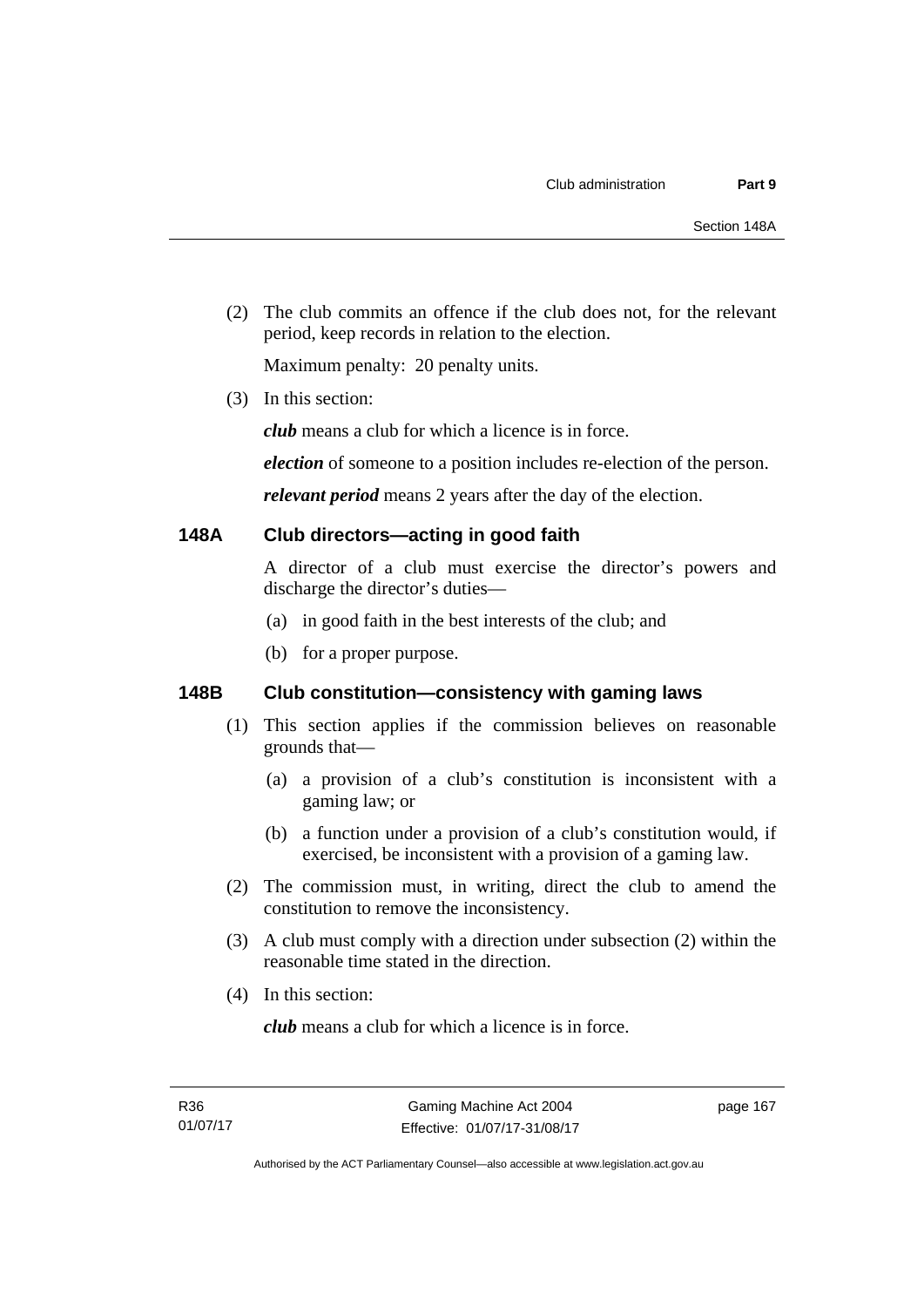(2) The club commits an offence if the club does not, for the relevant period, keep records in relation to the election.

Maximum penalty: 20 penalty units.

(3) In this section:

*club* means a club for which a licence is in force.

*election* of someone to a position includes re-election of the person.

*relevant period* means 2 years after the day of the election.

### **148A Club directors—acting in good faith**

A director of a club must exercise the director's powers and discharge the director's duties—

- (a) in good faith in the best interests of the club; and
- (b) for a proper purpose.

# **148B Club constitution—consistency with gaming laws**

- (1) This section applies if the commission believes on reasonable grounds that—
	- (a) a provision of a club's constitution is inconsistent with a gaming law; or
	- (b) a function under a provision of a club's constitution would, if exercised, be inconsistent with a provision of a gaming law.
- (2) The commission must, in writing, direct the club to amend the constitution to remove the inconsistency.
- (3) A club must comply with a direction under subsection (2) within the reasonable time stated in the direction.
- (4) In this section:

*club* means a club for which a licence is in force.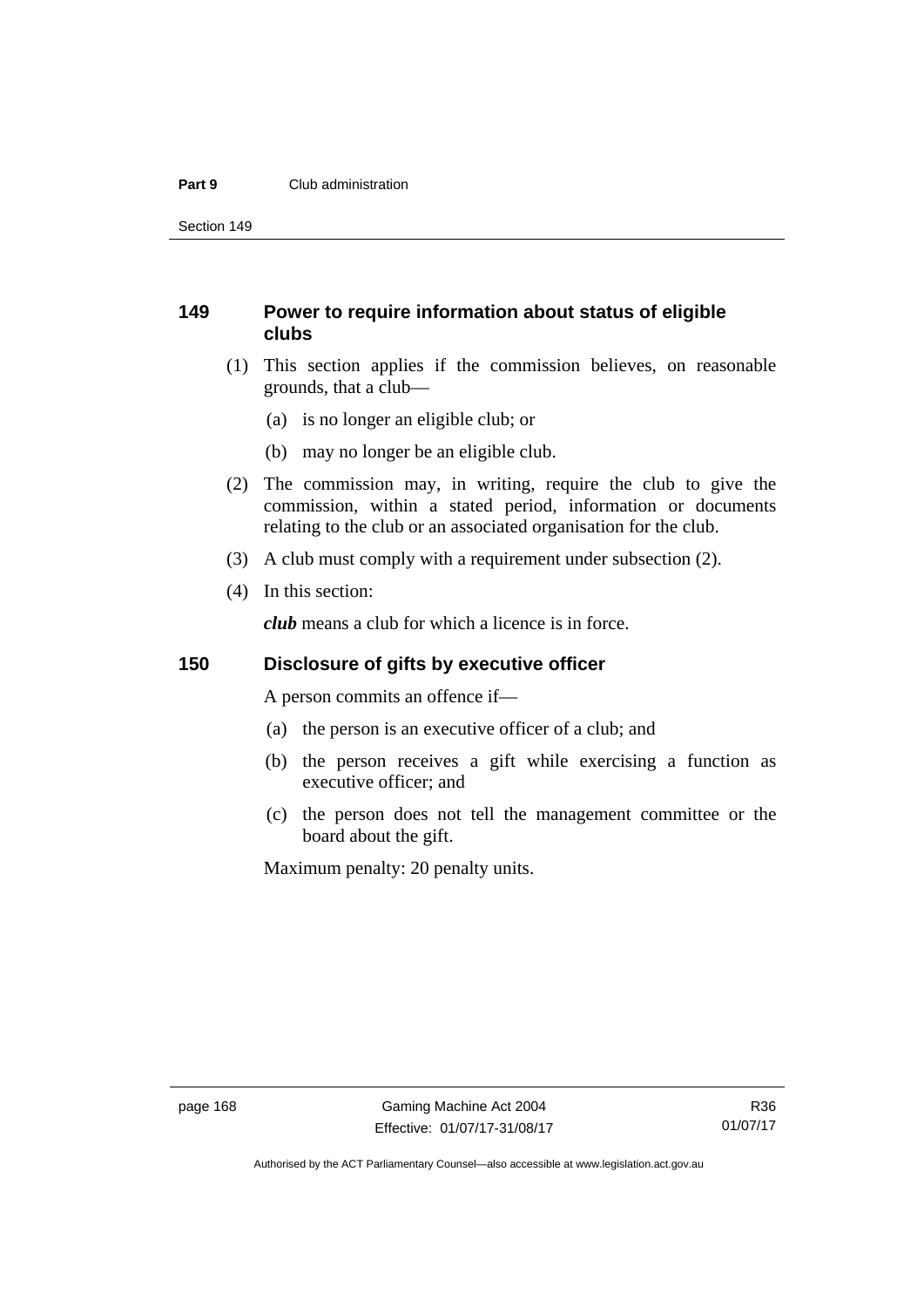#### **Part 9** Club administration

Section 149

# **149 Power to require information about status of eligible clubs**

- (1) This section applies if the commission believes, on reasonable grounds, that a club—
	- (a) is no longer an eligible club; or
	- (b) may no longer be an eligible club.
- (2) The commission may, in writing, require the club to give the commission, within a stated period, information or documents relating to the club or an associated organisation for the club.
- (3) A club must comply with a requirement under subsection (2).
- (4) In this section:

*club* means a club for which a licence is in force.

### **150 Disclosure of gifts by executive officer**

A person commits an offence if—

- (a) the person is an executive officer of a club; and
- (b) the person receives a gift while exercising a function as executive officer; and
- (c) the person does not tell the management committee or the board about the gift.

Maximum penalty: 20 penalty units.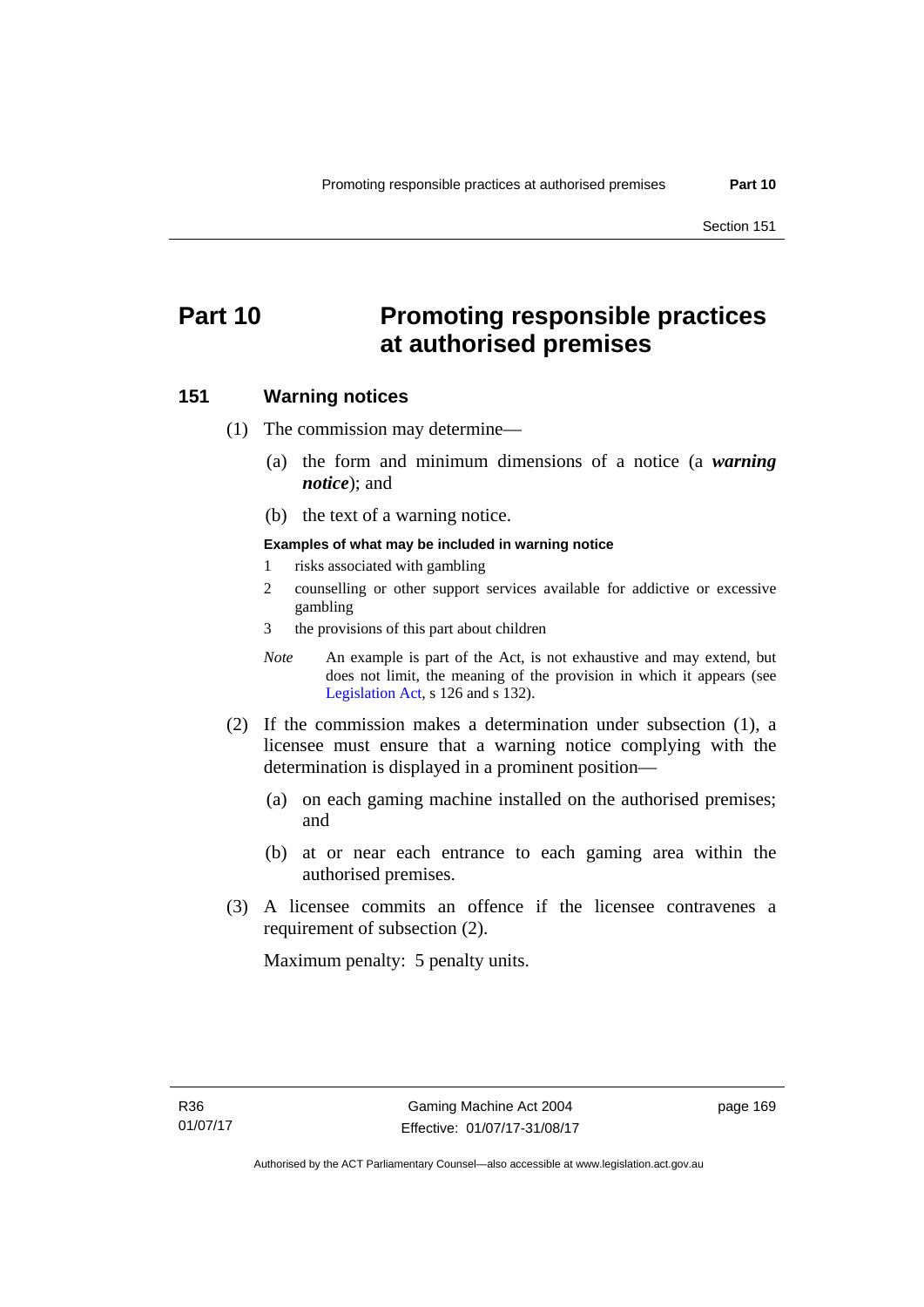# **Part 10 Promoting responsible practices at authorised premises**

### **151 Warning notices**

(1) The commission may determine—

- (a) the form and minimum dimensions of a notice (a *warning notice*); and
- (b) the text of a warning notice.

#### **Examples of what may be included in warning notice**

- 1 risks associated with gambling
- 2 counselling or other support services available for addictive or excessive gambling
- 3 the provisions of this part about children
- *Note* An example is part of the Act, is not exhaustive and may extend, but does not limit, the meaning of the provision in which it appears (see [Legislation Act,](http://www.legislation.act.gov.au/a/2001-14) s 126 and s 132).
- (2) If the commission makes a determination under subsection (1), a licensee must ensure that a warning notice complying with the determination is displayed in a prominent position—
	- (a) on each gaming machine installed on the authorised premises; and
	- (b) at or near each entrance to each gaming area within the authorised premises.
- (3) A licensee commits an offence if the licensee contravenes a requirement of subsection (2).

Maximum penalty: 5 penalty units.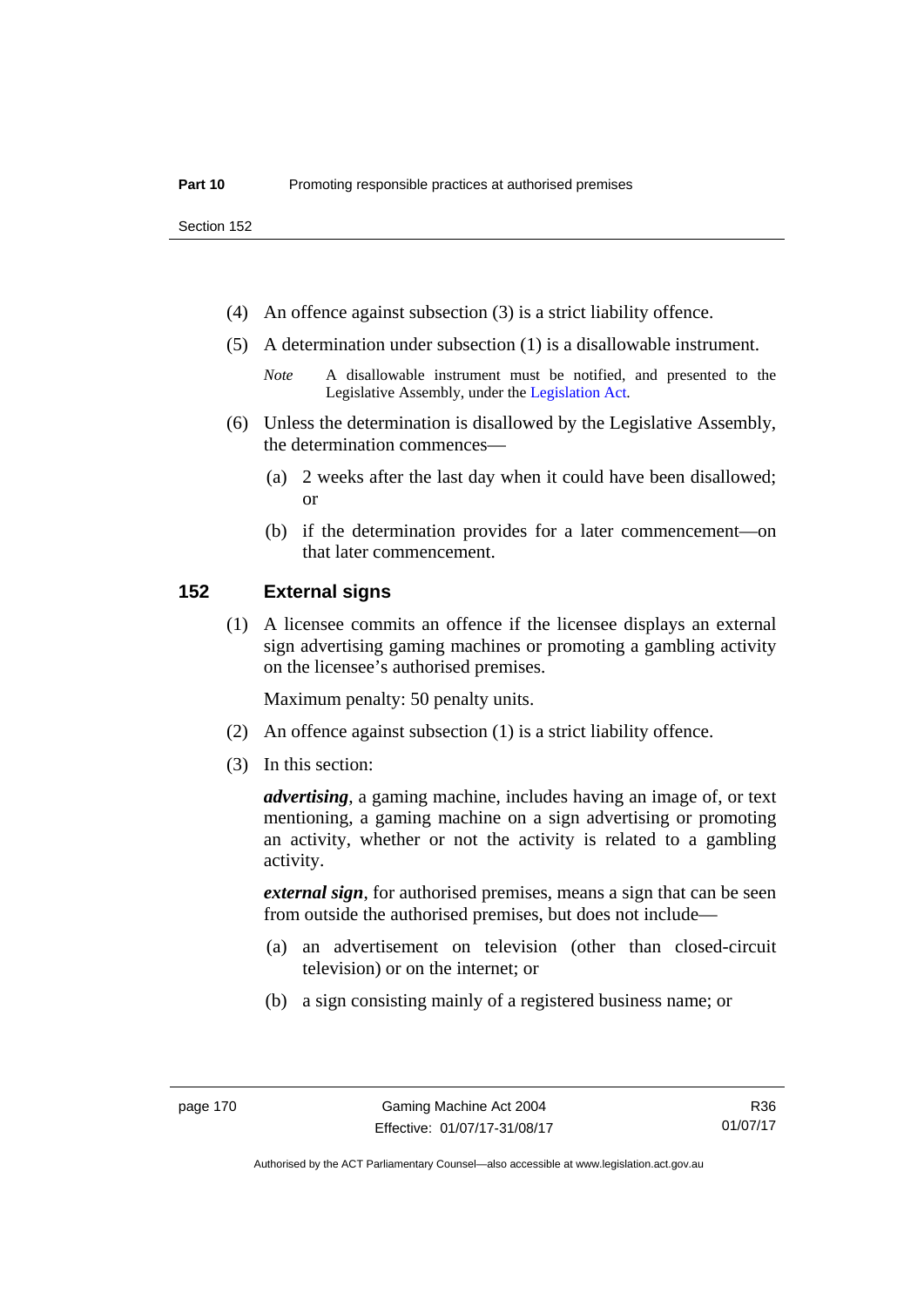- (4) An offence against subsection (3) is a strict liability offence.
- (5) A determination under subsection (1) is a disallowable instrument.
	- *Note* A disallowable instrument must be notified, and presented to the Legislative Assembly, under the [Legislation Act.](http://www.legislation.act.gov.au/a/2001-14)
- (6) Unless the determination is disallowed by the Legislative Assembly, the determination commences—
	- (a) 2 weeks after the last day when it could have been disallowed; or
	- (b) if the determination provides for a later commencement—on that later commencement.

### **152 External signs**

(1) A licensee commits an offence if the licensee displays an external sign advertising gaming machines or promoting a gambling activity on the licensee's authorised premises.

Maximum penalty: 50 penalty units.

- (2) An offence against subsection (1) is a strict liability offence.
- (3) In this section:

*advertising*, a gaming machine, includes having an image of, or text mentioning, a gaming machine on a sign advertising or promoting an activity, whether or not the activity is related to a gambling activity.

*external sign*, for authorised premises, means a sign that can be seen from outside the authorised premises, but does not include—

- (a) an advertisement on television (other than closed-circuit television) or on the internet; or
- (b) a sign consisting mainly of a registered business name; or

R36 01/07/17

Authorised by the ACT Parliamentary Counsel—also accessible at www.legislation.act.gov.au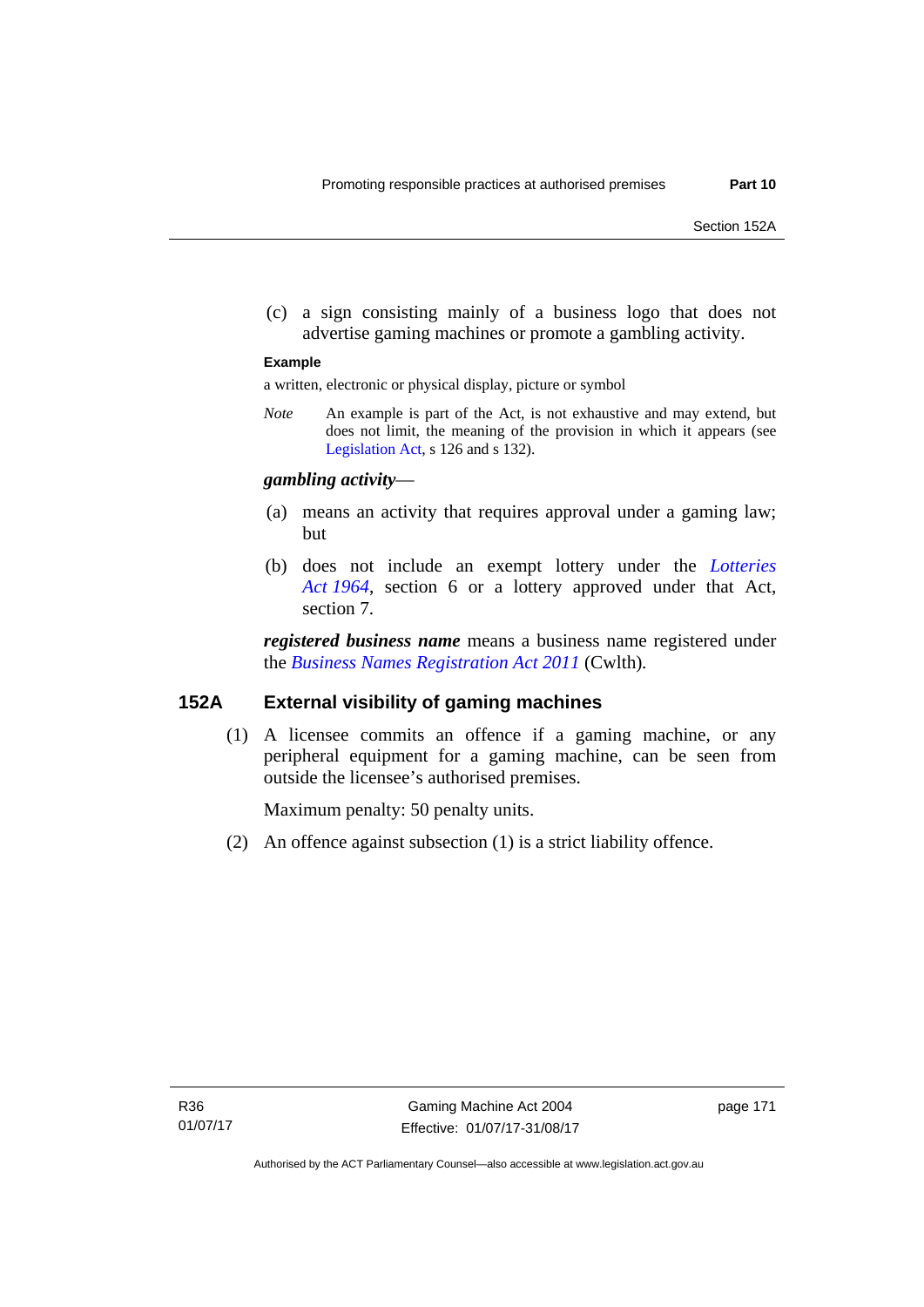(c) a sign consisting mainly of a business logo that does not advertise gaming machines or promote a gambling activity.

#### **Example**

a written, electronic or physical display, picture or symbol

*Note* An example is part of the Act, is not exhaustive and may extend, but does not limit, the meaning of the provision in which it appears (see [Legislation Act,](http://www.legislation.act.gov.au/a/2001-14) s 126 and s 132).

### *gambling activity*—

- (a) means an activity that requires approval under a gaming law; but
- (b) does not include an exempt lottery under the *[Lotteries](http://www.legislation.act.gov.au/a/1964-13)  [Act 1964](http://www.legislation.act.gov.au/a/1964-13)*, section 6 or a lottery approved under that Act, section 7.

*registered business name* means a business name registered under the *[Business Names Registration Act 2011](http://www.comlaw.gov.au/Series/C2011A00126)* (Cwlth)*.*

### **152A External visibility of gaming machines**

(1) A licensee commits an offence if a gaming machine, or any peripheral equipment for a gaming machine, can be seen from outside the licensee's authorised premises.

Maximum penalty: 50 penalty units.

(2) An offence against subsection (1) is a strict liability offence.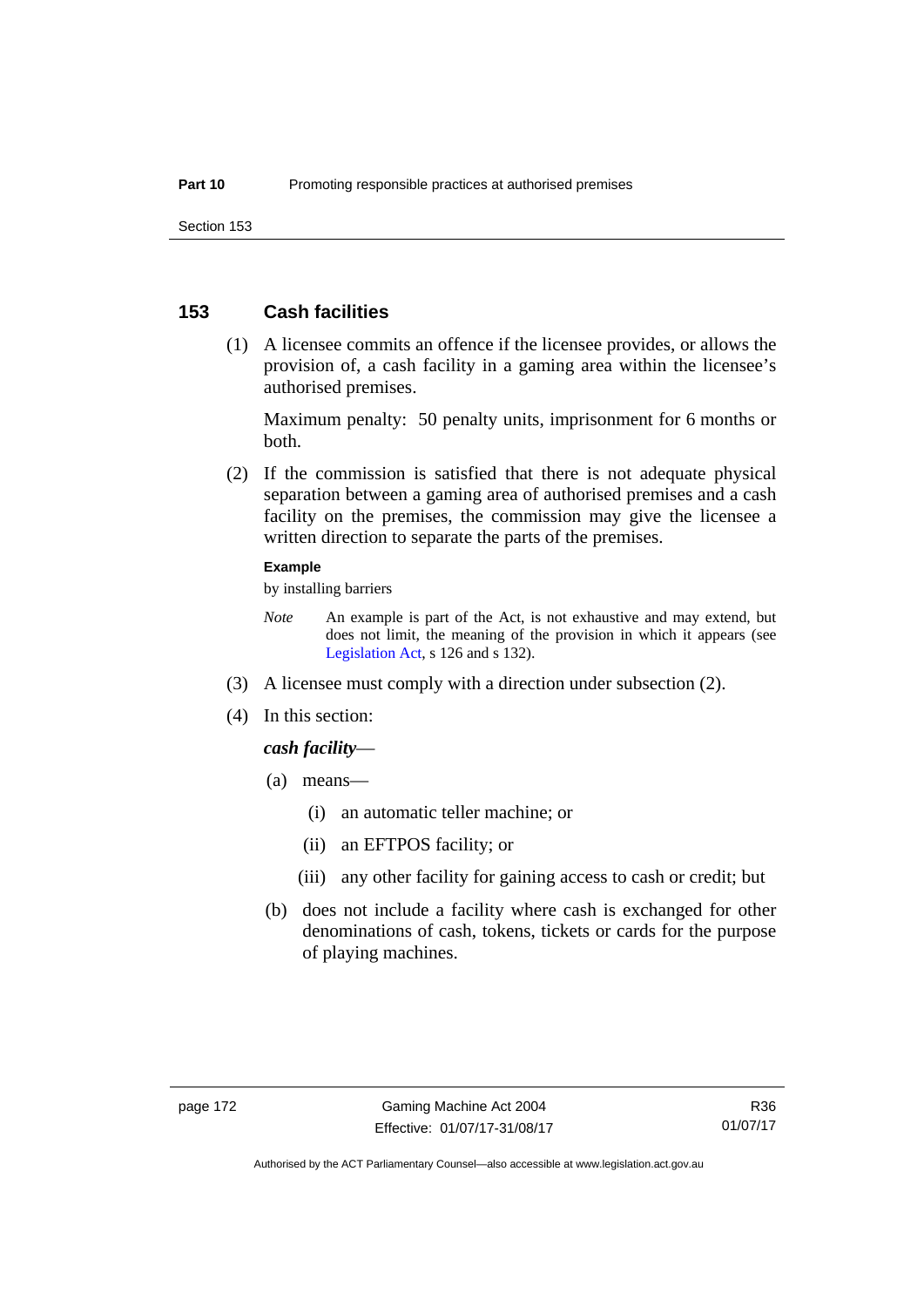### **153 Cash facilities**

 (1) A licensee commits an offence if the licensee provides, or allows the provision of, a cash facility in a gaming area within the licensee's authorised premises.

Maximum penalty: 50 penalty units, imprisonment for 6 months or both.

 (2) If the commission is satisfied that there is not adequate physical separation between a gaming area of authorised premises and a cash facility on the premises, the commission may give the licensee a written direction to separate the parts of the premises.

#### **Example**

by installing barriers

- *Note* An example is part of the Act, is not exhaustive and may extend, but does not limit, the meaning of the provision in which it appears (see [Legislation Act,](http://www.legislation.act.gov.au/a/2001-14) s 126 and s 132).
- (3) A licensee must comply with a direction under subsection (2).
- (4) In this section:

#### *cash facility*—

- (a) means—
	- (i) an automatic teller machine; or
	- (ii) an EFTPOS facility; or
	- (iii) any other facility for gaining access to cash or credit; but
- (b) does not include a facility where cash is exchanged for other denominations of cash, tokens, tickets or cards for the purpose of playing machines.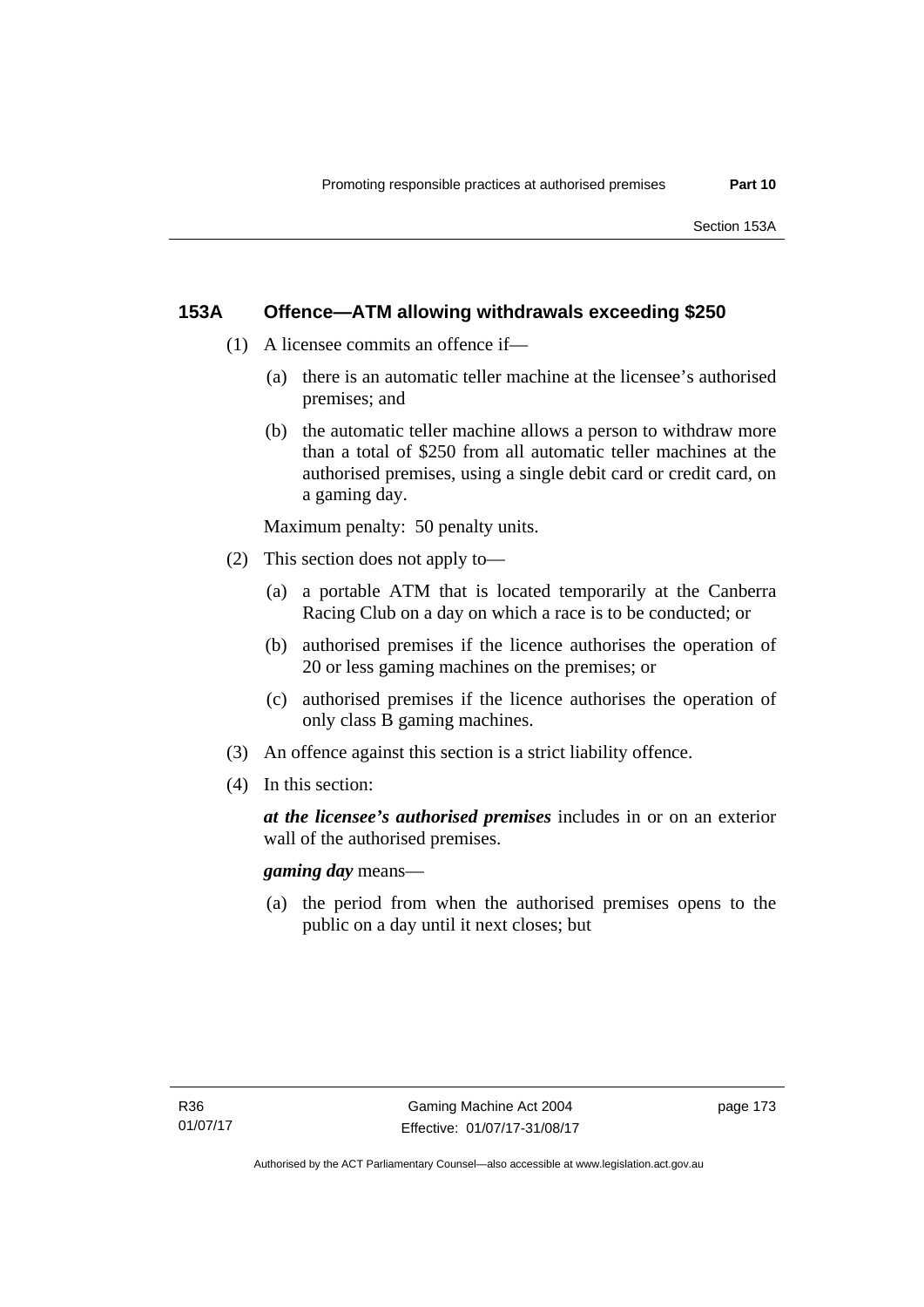# **153A Offence—ATM allowing withdrawals exceeding \$250**

- (1) A licensee commits an offence if—
	- (a) there is an automatic teller machine at the licensee's authorised premises; and
	- (b) the automatic teller machine allows a person to withdraw more than a total of \$250 from all automatic teller machines at the authorised premises, using a single debit card or credit card, on a gaming day.

Maximum penalty: 50 penalty units.

- (2) This section does not apply to—
	- (a) a portable ATM that is located temporarily at the Canberra Racing Club on a day on which a race is to be conducted; or
	- (b) authorised premises if the licence authorises the operation of 20 or less gaming machines on the premises; or
	- (c) authorised premises if the licence authorises the operation of only class B gaming machines.
- (3) An offence against this section is a strict liability offence.
- (4) In this section:

*at the licensee's authorised premises* includes in or on an exterior wall of the authorised premises.

*gaming day* means—

 (a) the period from when the authorised premises opens to the public on a day until it next closes; but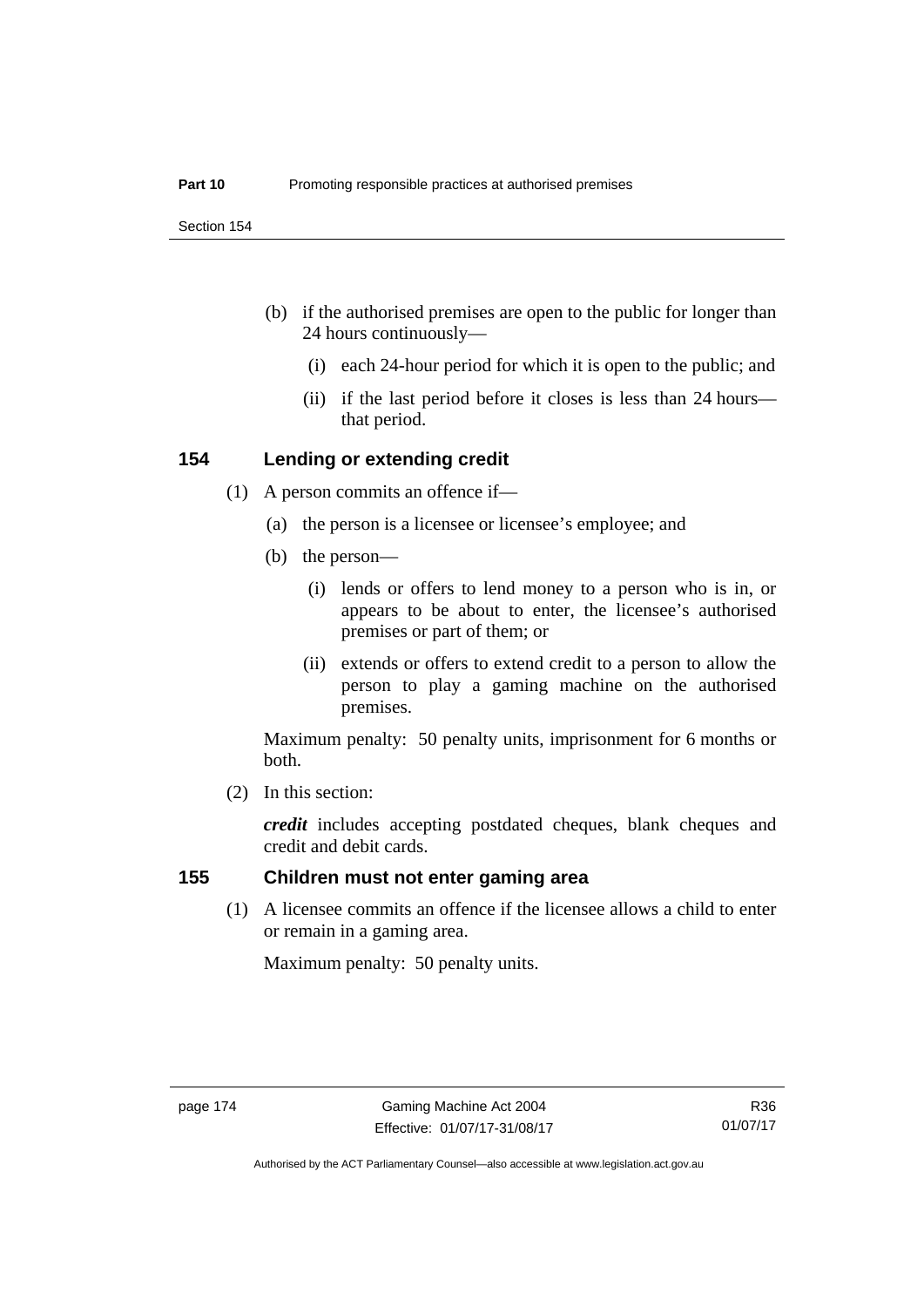- (b) if the authorised premises are open to the public for longer than 24 hours continuously—
	- (i) each 24-hour period for which it is open to the public; and
	- (ii) if the last period before it closes is less than 24 hours that period.

### **154 Lending or extending credit**

- (1) A person commits an offence if—
	- (a) the person is a licensee or licensee's employee; and
	- (b) the person—
		- (i) lends or offers to lend money to a person who is in, or appears to be about to enter, the licensee's authorised premises or part of them; or
		- (ii) extends or offers to extend credit to a person to allow the person to play a gaming machine on the authorised premises.

Maximum penalty: 50 penalty units, imprisonment for 6 months or both.

(2) In this section:

*credit* includes accepting postdated cheques, blank cheques and credit and debit cards.

### **155 Children must not enter gaming area**

(1) A licensee commits an offence if the licensee allows a child to enter or remain in a gaming area.

Maximum penalty: 50 penalty units.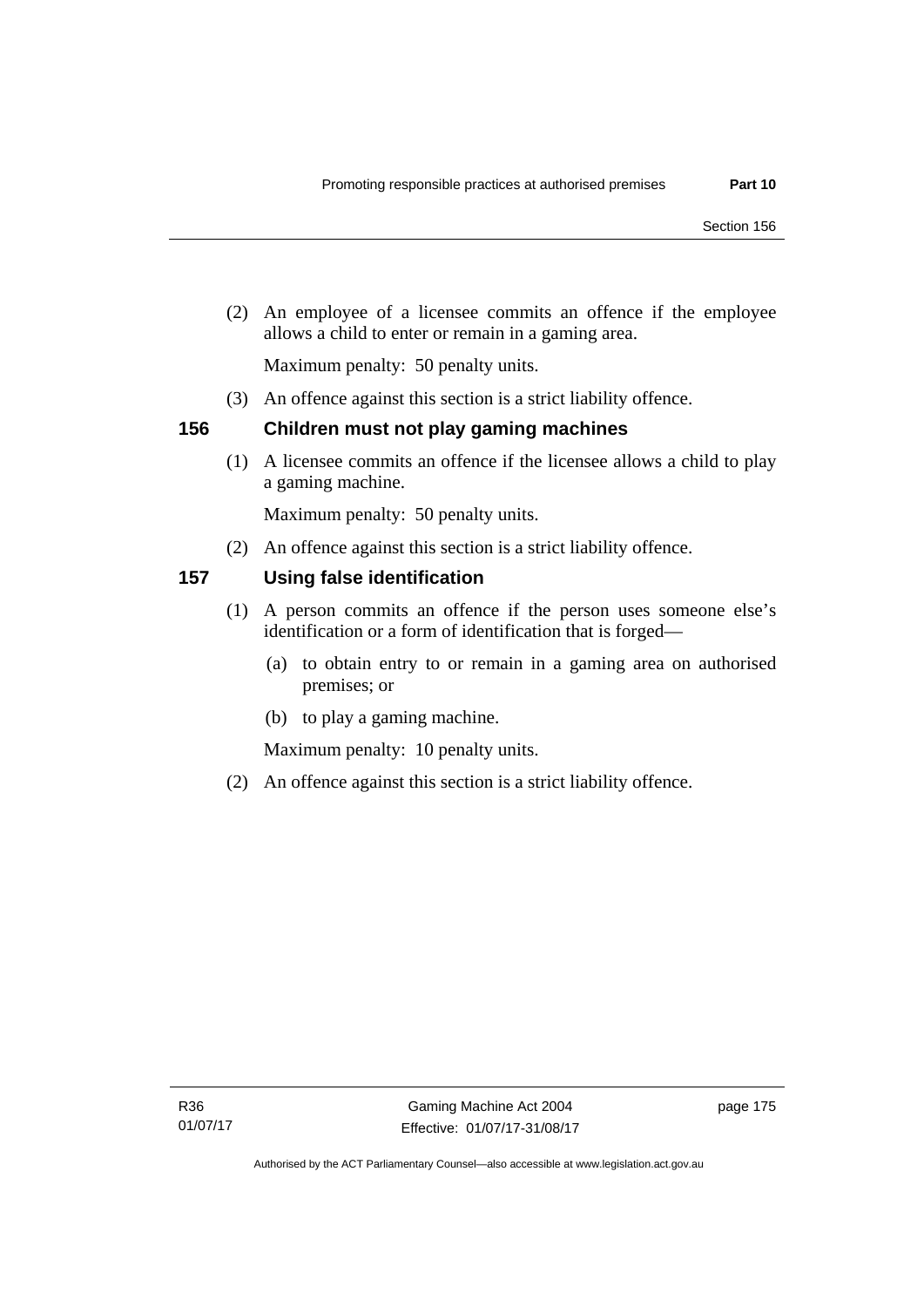(2) An employee of a licensee commits an offence if the employee allows a child to enter or remain in a gaming area.

Maximum penalty: 50 penalty units.

(3) An offence against this section is a strict liability offence.

### **156 Children must not play gaming machines**

(1) A licensee commits an offence if the licensee allows a child to play a gaming machine.

Maximum penalty: 50 penalty units.

(2) An offence against this section is a strict liability offence.

# **157 Using false identification**

- (1) A person commits an offence if the person uses someone else's identification or a form of identification that is forged—
	- (a) to obtain entry to or remain in a gaming area on authorised premises; or
	- (b) to play a gaming machine.

Maximum penalty: 10 penalty units.

(2) An offence against this section is a strict liability offence.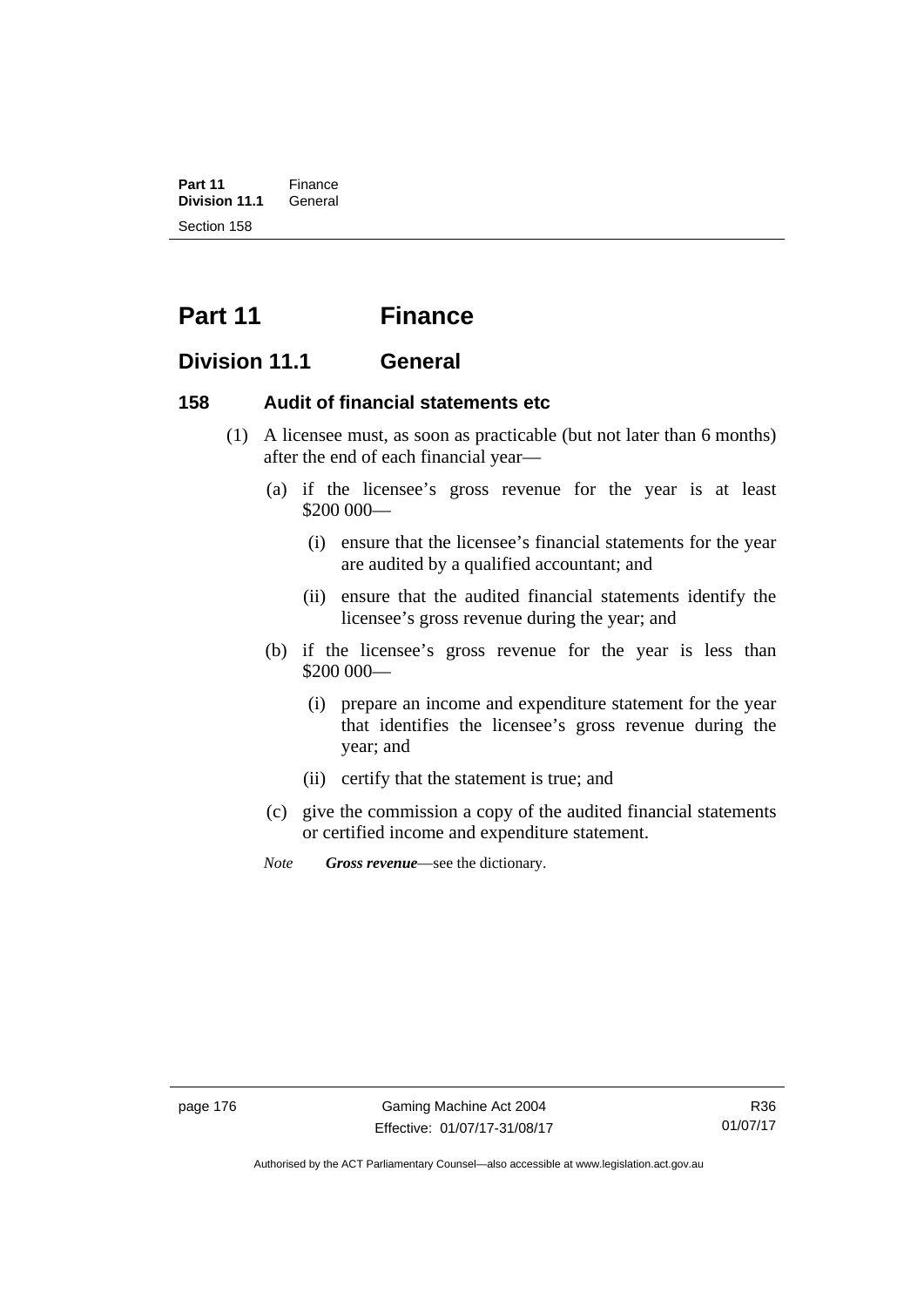**Part 11** Finance<br>**Division 11.1** General **Division 11.1** Section 158

# **Part 11 Finance**

# **Division 11.1 General**

## **158 Audit of financial statements etc**

- (1) A licensee must, as soon as practicable (but not later than 6 months) after the end of each financial year—
	- (a) if the licensee's gross revenue for the year is at least \$200 000—
		- (i) ensure that the licensee's financial statements for the year are audited by a qualified accountant; and
		- (ii) ensure that the audited financial statements identify the licensee's gross revenue during the year; and
	- (b) if the licensee's gross revenue for the year is less than \$200 000—
		- (i) prepare an income and expenditure statement for the year that identifies the licensee's gross revenue during the year; and
		- (ii) certify that the statement is true; and
	- (c) give the commission a copy of the audited financial statements or certified income and expenditure statement.
	- *Note Gross revenue*—see the dictionary.

Authorised by the ACT Parliamentary Counsel—also accessible at www.legislation.act.gov.au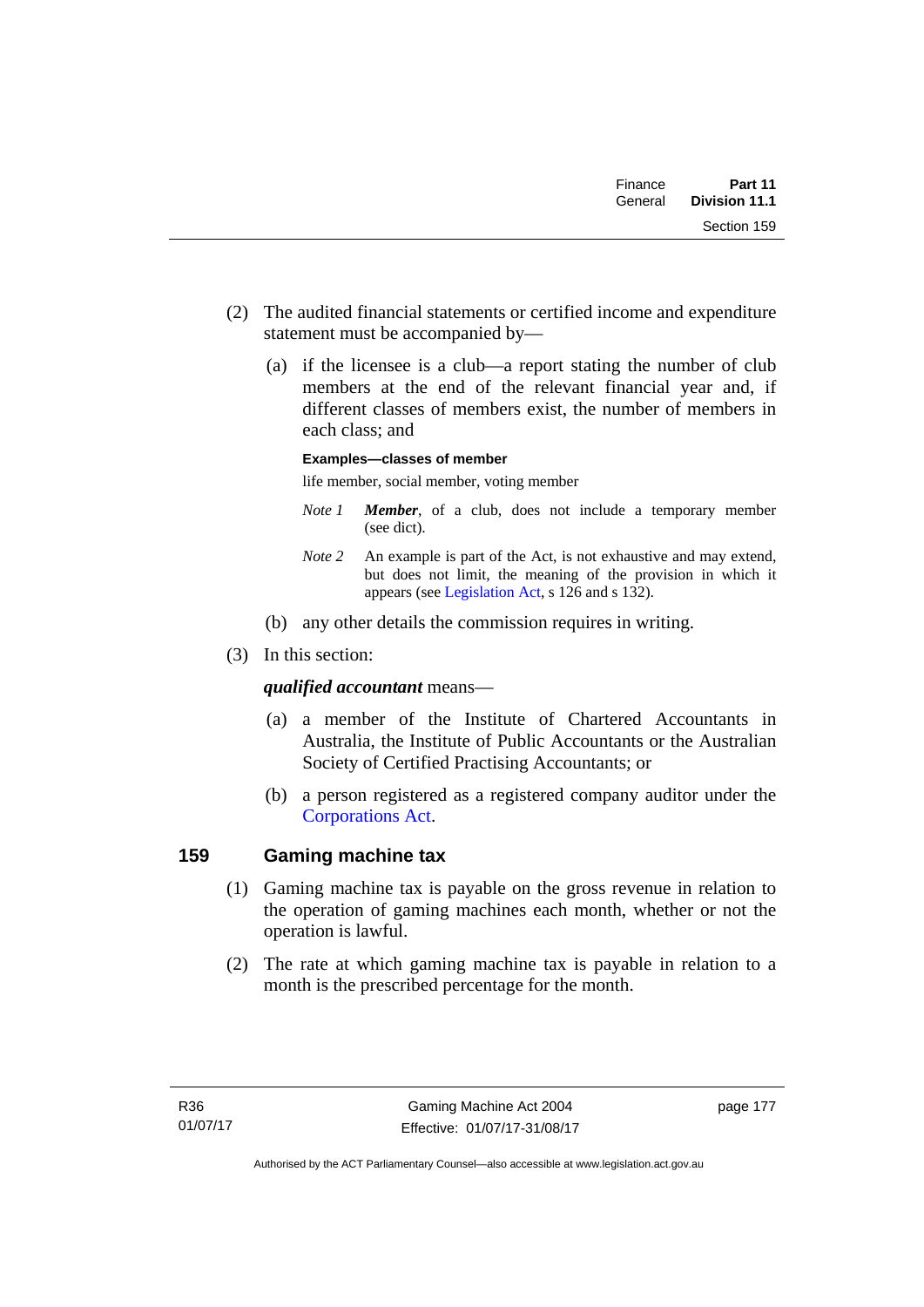| Part 11<br><b>Division 11.1</b> | Finance<br>General |  |
|---------------------------------|--------------------|--|
| Section 159                     |                    |  |

- (2) The audited financial statements or certified income and expenditure statement must be accompanied by—
	- (a) if the licensee is a club—a report stating the number of club members at the end of the relevant financial year and, if different classes of members exist, the number of members in each class; and

### **Examples—classes of member**

life member, social member, voting member

- *Note 1 Member*, of a club, does not include a temporary member (see dict).
- *Note 2* An example is part of the Act, is not exhaustive and may extend, but does not limit, the meaning of the provision in which it appears (see [Legislation Act,](http://www.legislation.act.gov.au/a/2001-14) s 126 and s 132).
- (b) any other details the commission requires in writing.
- (3) In this section:

### *qualified accountant* means—

- (a) a member of the Institute of Chartered Accountants in Australia, the Institute of Public Accountants or the Australian Society of Certified Practising Accountants; or
- (b) a person registered as a registered company auditor under the [Corporations Act.](http://www.comlaw.gov.au/Series/C2004A00818)

## **159 Gaming machine tax**

- (1) Gaming machine tax is payable on the gross revenue in relation to the operation of gaming machines each month, whether or not the operation is lawful.
- (2) The rate at which gaming machine tax is payable in relation to a month is the prescribed percentage for the month.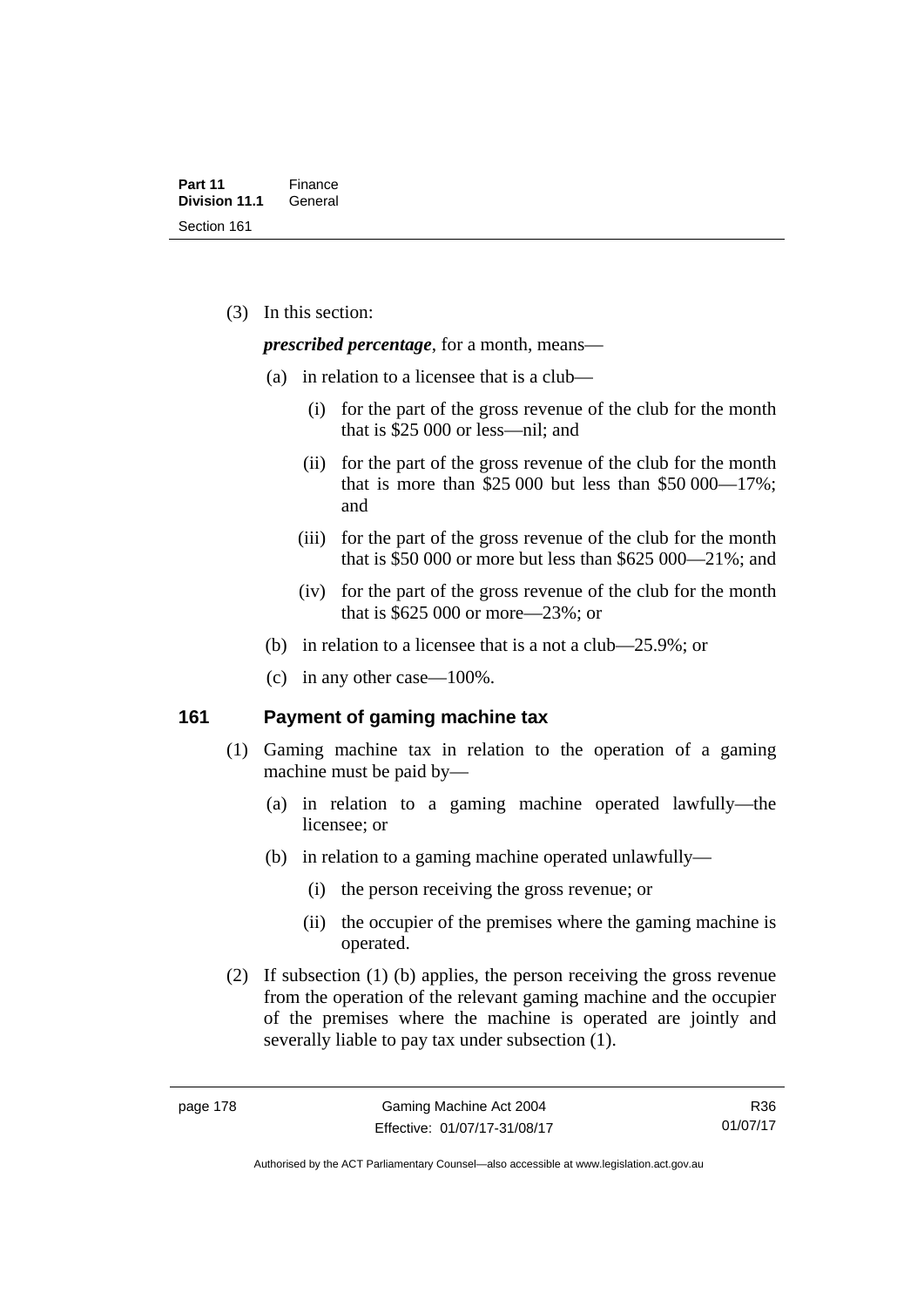(3) In this section:

*prescribed percentage*, for a month, means—

- (a) in relation to a licensee that is a club—
	- (i) for the part of the gross revenue of the club for the month that is \$25 000 or less—nil; and
	- (ii) for the part of the gross revenue of the club for the month that is more than \$25,000 but less than \$50,000—17%; and
	- (iii) for the part of the gross revenue of the club for the month that is \$50 000 or more but less than \$625 000—21%; and
	- (iv) for the part of the gross revenue of the club for the month that is \$625 000 or more—23%; or
- (b) in relation to a licensee that is a not a club—25.9%; or
- (c) in any other case—100%.

### **161 Payment of gaming machine tax**

- (1) Gaming machine tax in relation to the operation of a gaming machine must be paid by—
	- (a) in relation to a gaming machine operated lawfully—the licensee; or
	- (b) in relation to a gaming machine operated unlawfully—
		- (i) the person receiving the gross revenue; or
		- (ii) the occupier of the premises where the gaming machine is operated.
- (2) If subsection (1) (b) applies, the person receiving the gross revenue from the operation of the relevant gaming machine and the occupier of the premises where the machine is operated are jointly and severally liable to pay tax under subsection (1).

R36 01/07/17

Authorised by the ACT Parliamentary Counsel—also accessible at www.legislation.act.gov.au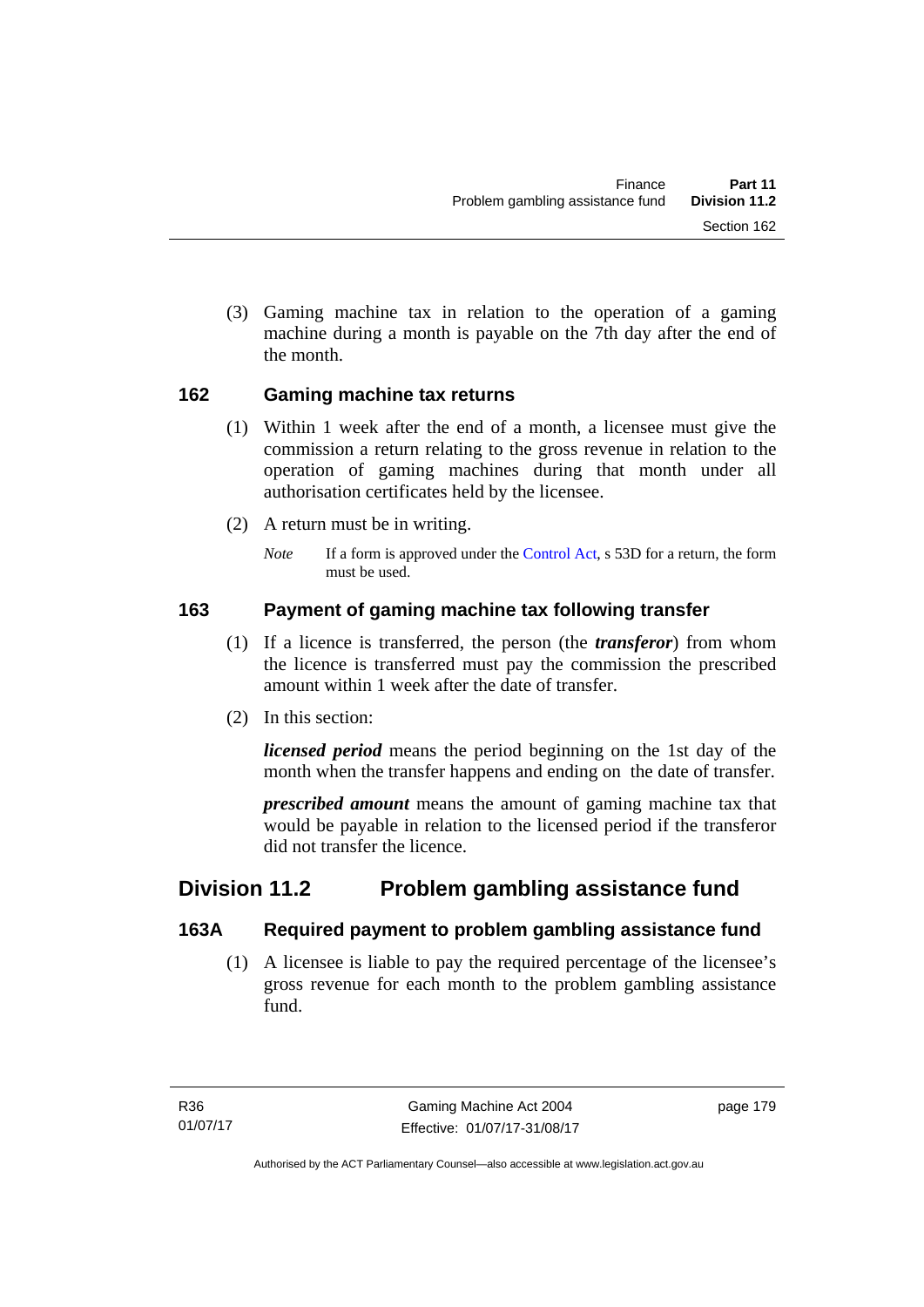(3) Gaming machine tax in relation to the operation of a gaming machine during a month is payable on the 7th day after the end of the month.

# **162 Gaming machine tax returns**

- (1) Within 1 week after the end of a month, a licensee must give the commission a return relating to the gross revenue in relation to the operation of gaming machines during that month under all authorisation certificates held by the licensee.
- (2) A return must be in writing.
	- *Note* If a form is approved under the [Control Act,](http://www.legislation.act.gov.au/a/1999-46) s 53D for a return, the form must be used.

# **163 Payment of gaming machine tax following transfer**

- (1) If a licence is transferred, the person (the *transferor*) from whom the licence is transferred must pay the commission the prescribed amount within 1 week after the date of transfer.
- (2) In this section:

*licensed period* means the period beginning on the 1st day of the month when the transfer happens and ending on the date of transfer.

*prescribed amount* means the amount of gaming machine tax that would be payable in relation to the licensed period if the transferor did not transfer the licence.

# **Division 11.2 Problem gambling assistance fund**

# **163A Required payment to problem gambling assistance fund**

 (1) A licensee is liable to pay the required percentage of the licensee's gross revenue for each month to the problem gambling assistance fund.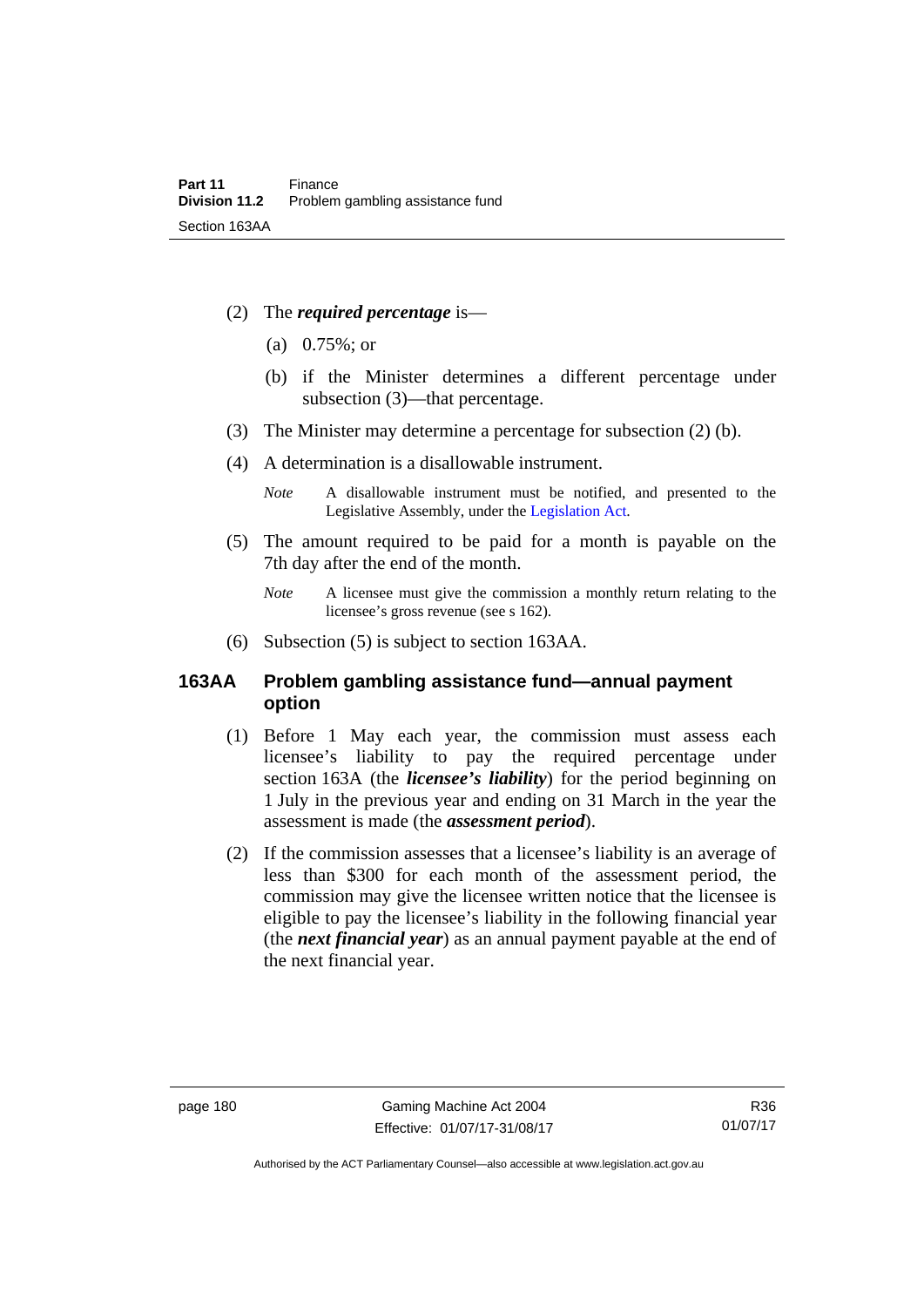- (2) The *required percentage* is—
	- (a) 0.75%; or
	- (b) if the Minister determines a different percentage under subsection (3)—that percentage.
- (3) The Minister may determine a percentage for subsection (2) (b).
- (4) A determination is a disallowable instrument.

- (5) The amount required to be paid for a month is payable on the 7th day after the end of the month.
	- *Note* A licensee must give the commission a monthly return relating to the licensee's gross revenue (see s 162).
- (6) Subsection (5) is subject to section 163AA.

# **163AA Problem gambling assistance fund—annual payment option**

- (1) Before 1 May each year, the commission must assess each licensee's liability to pay the required percentage under section 163A (the *licensee's liability*) for the period beginning on 1 July in the previous year and ending on 31 March in the year the assessment is made (the *assessment period*).
- (2) If the commission assesses that a licensee's liability is an average of less than \$300 for each month of the assessment period, the commission may give the licensee written notice that the licensee is eligible to pay the licensee's liability in the following financial year (the *next financial year*) as an annual payment payable at the end of the next financial year.

Authorised by the ACT Parliamentary Counsel—also accessible at www.legislation.act.gov.au

*Note* A disallowable instrument must be notified, and presented to the Legislative Assembly, under the [Legislation Act.](http://www.legislation.act.gov.au/a/2001-14)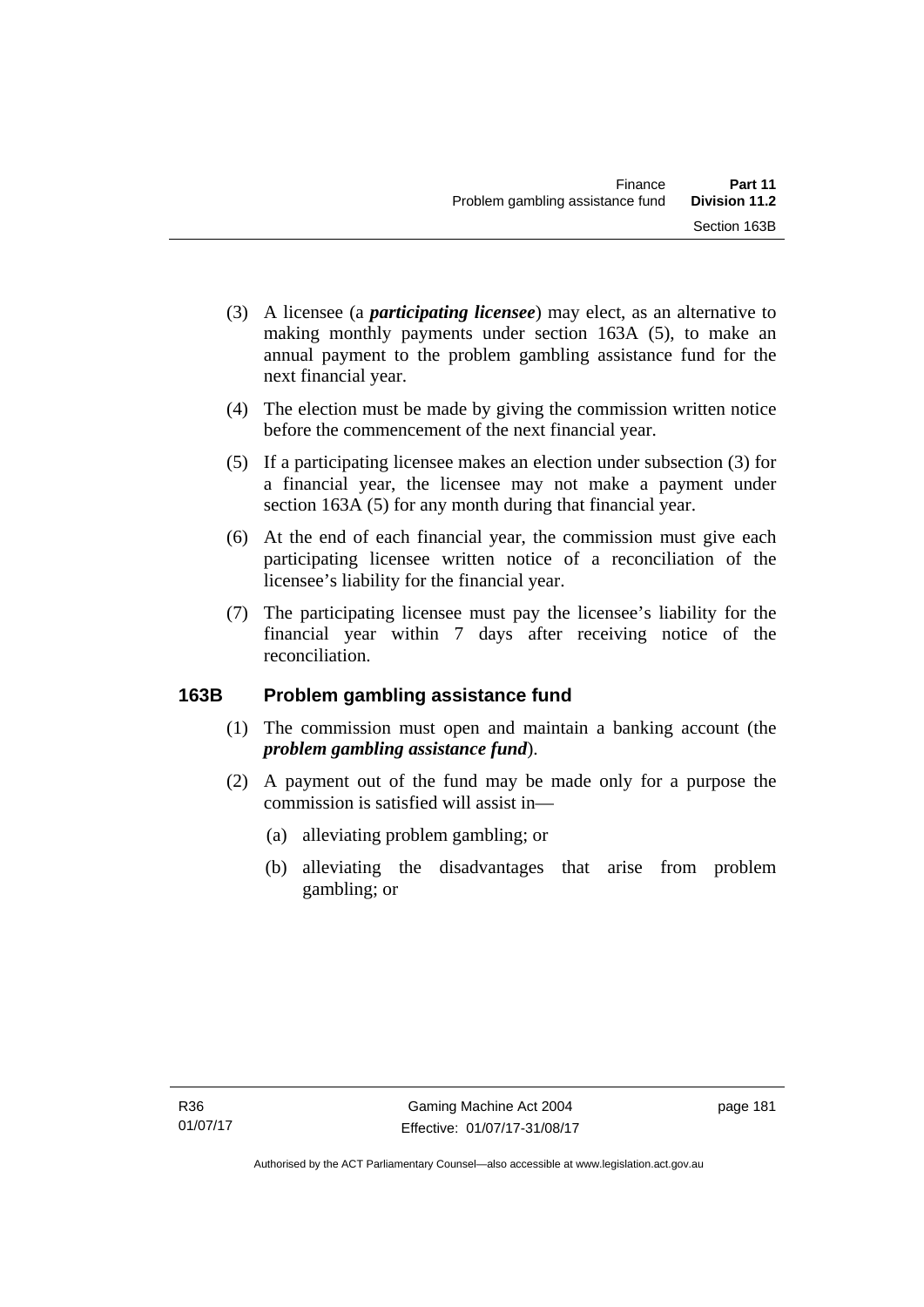- (3) A licensee (a *participating licensee*) may elect, as an alternative to making monthly payments under section 163A (5), to make an annual payment to the problem gambling assistance fund for the next financial year.
- (4) The election must be made by giving the commission written notice before the commencement of the next financial year.
- (5) If a participating licensee makes an election under subsection (3) for a financial year, the licensee may not make a payment under section 163A (5) for any month during that financial year.
- (6) At the end of each financial year, the commission must give each participating licensee written notice of a reconciliation of the licensee's liability for the financial year.
- (7) The participating licensee must pay the licensee's liability for the financial year within 7 days after receiving notice of the reconciliation.

# **163B Problem gambling assistance fund**

- (1) The commission must open and maintain a banking account (the *problem gambling assistance fund*).
- (2) A payment out of the fund may be made only for a purpose the commission is satisfied will assist in—
	- (a) alleviating problem gambling; or
	- (b) alleviating the disadvantages that arise from problem gambling; or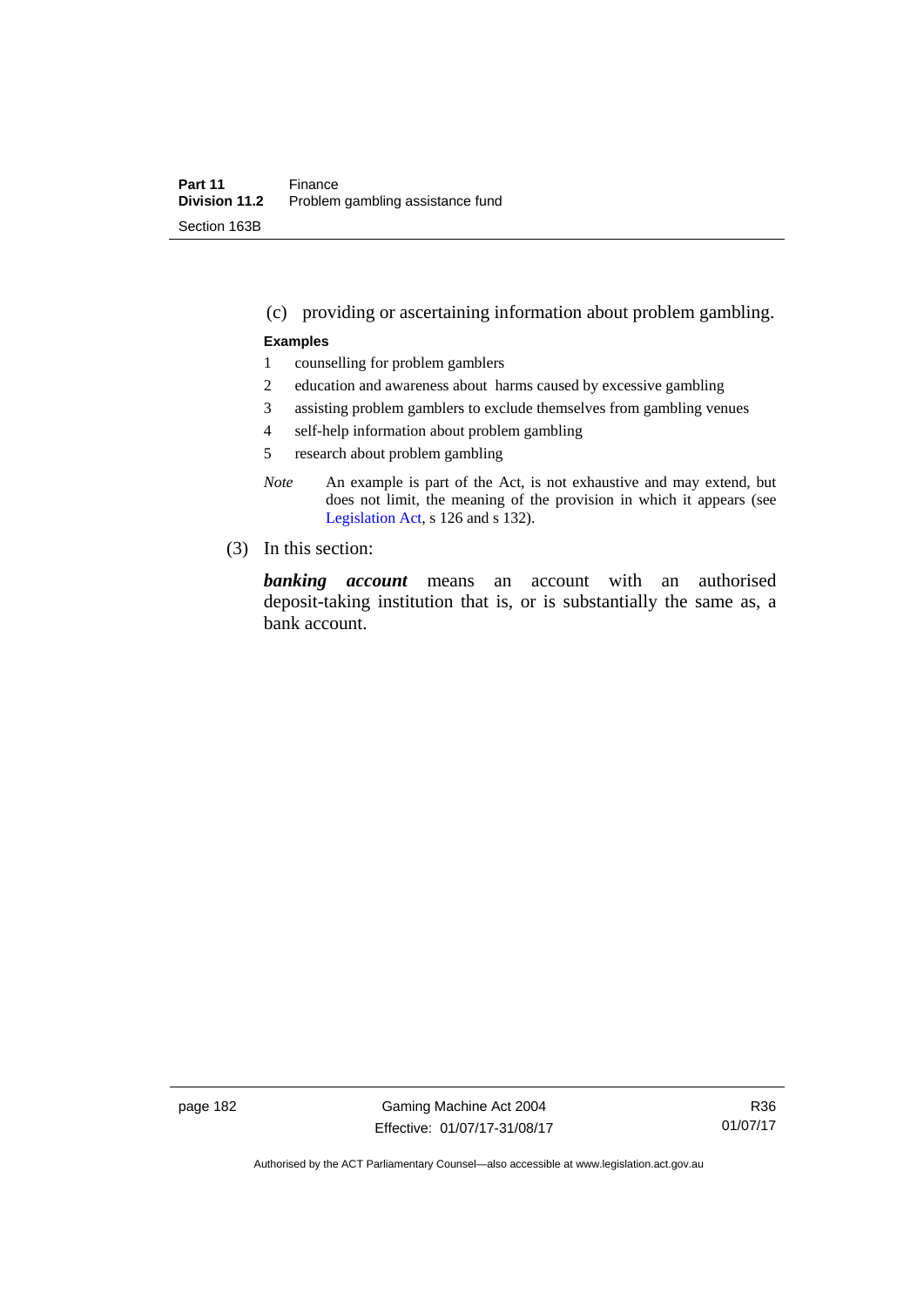### (c) providing or ascertaining information about problem gambling.

#### **Examples**

- 1 counselling for problem gamblers
- 2 education and awareness about harms caused by excessive gambling
- 3 assisting problem gamblers to exclude themselves from gambling venues
- 4 self-help information about problem gambling
- 5 research about problem gambling
- *Note* An example is part of the Act, is not exhaustive and may extend, but does not limit, the meaning of the provision in which it appears (see [Legislation Act,](http://www.legislation.act.gov.au/a/2001-14) s 126 and s 132).
- (3) In this section:

*banking account* means an account with an authorised deposit-taking institution that is, or is substantially the same as, a bank account.

page 182 Gaming Machine Act 2004 Effective: 01/07/17-31/08/17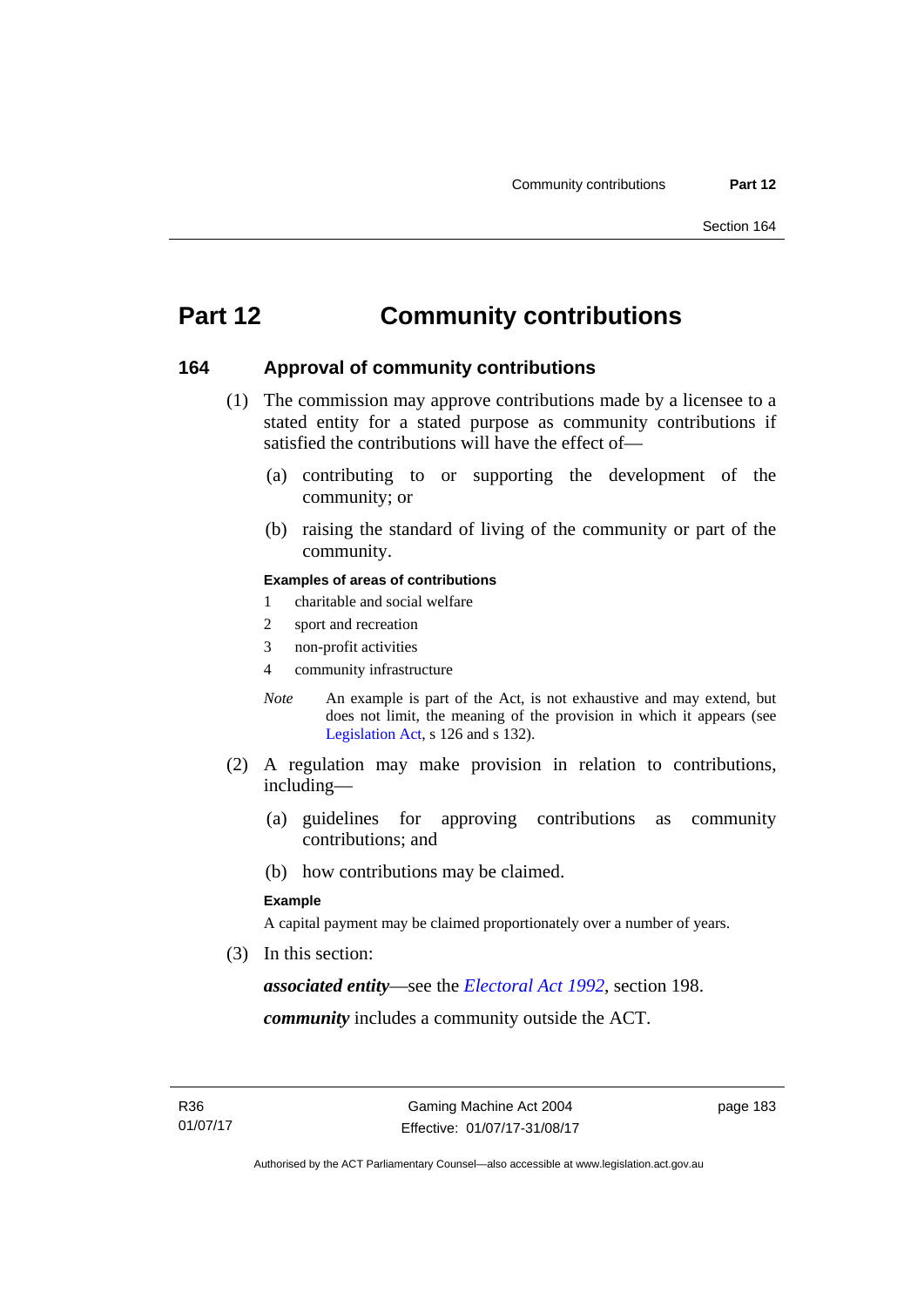# **Part 12 Community contributions**

### **164 Approval of community contributions**

- (1) The commission may approve contributions made by a licensee to a stated entity for a stated purpose as community contributions if satisfied the contributions will have the effect of—
	- (a) contributing to or supporting the development of the community; or
	- (b) raising the standard of living of the community or part of the community.

#### **Examples of areas of contributions**

- 1 charitable and social welfare
- 2 sport and recreation
- 3 non-profit activities
- 4 community infrastructure
- *Note* An example is part of the Act, is not exhaustive and may extend, but does not limit, the meaning of the provision in which it appears (see [Legislation Act,](http://www.legislation.act.gov.au/a/2001-14) s 126 and s 132).
- (2) A regulation may make provision in relation to contributions, including—
	- (a) guidelines for approving contributions as community contributions; and
	- (b) how contributions may be claimed.

#### **Example**

A capital payment may be claimed proportionately over a number of years.

(3) In this section:

*associated entity*—see the *[Electoral Act 1992](http://www.legislation.act.gov.au/a/1992-71)*, section 198.

*community* includes a community outside the ACT.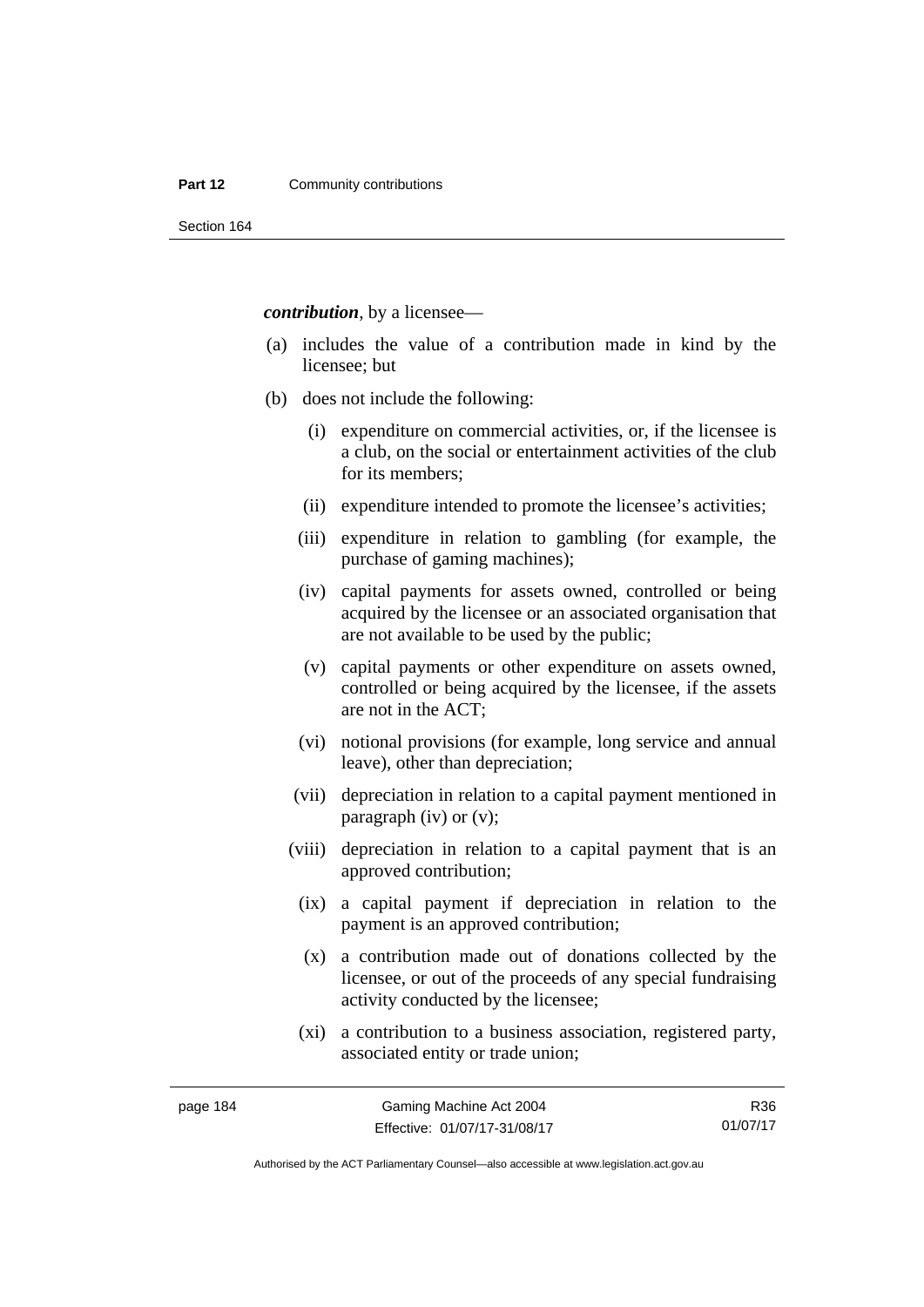#### **Part 12 Community contributions**

Section 164

*contribution*, by a licensee—

- (a) includes the value of a contribution made in kind by the licensee; but
- (b) does not include the following:
	- (i) expenditure on commercial activities, or, if the licensee is a club, on the social or entertainment activities of the club for its members;
	- (ii) expenditure intended to promote the licensee's activities;
	- (iii) expenditure in relation to gambling (for example, the purchase of gaming machines);
	- (iv) capital payments for assets owned, controlled or being acquired by the licensee or an associated organisation that are not available to be used by the public;
	- (v) capital payments or other expenditure on assets owned, controlled or being acquired by the licensee, if the assets are not in the ACT;
	- (vi) notional provisions (for example, long service and annual leave), other than depreciation;
	- (vii) depreciation in relation to a capital payment mentioned in paragraph (iv) or (v);
	- (viii) depreciation in relation to a capital payment that is an approved contribution;
		- (ix) a capital payment if depreciation in relation to the payment is an approved contribution;
		- (x) a contribution made out of donations collected by the licensee, or out of the proceeds of any special fundraising activity conducted by the licensee;
		- (xi) a contribution to a business association, registered party, associated entity or trade union;

R36 01/07/17

Authorised by the ACT Parliamentary Counsel—also accessible at www.legislation.act.gov.au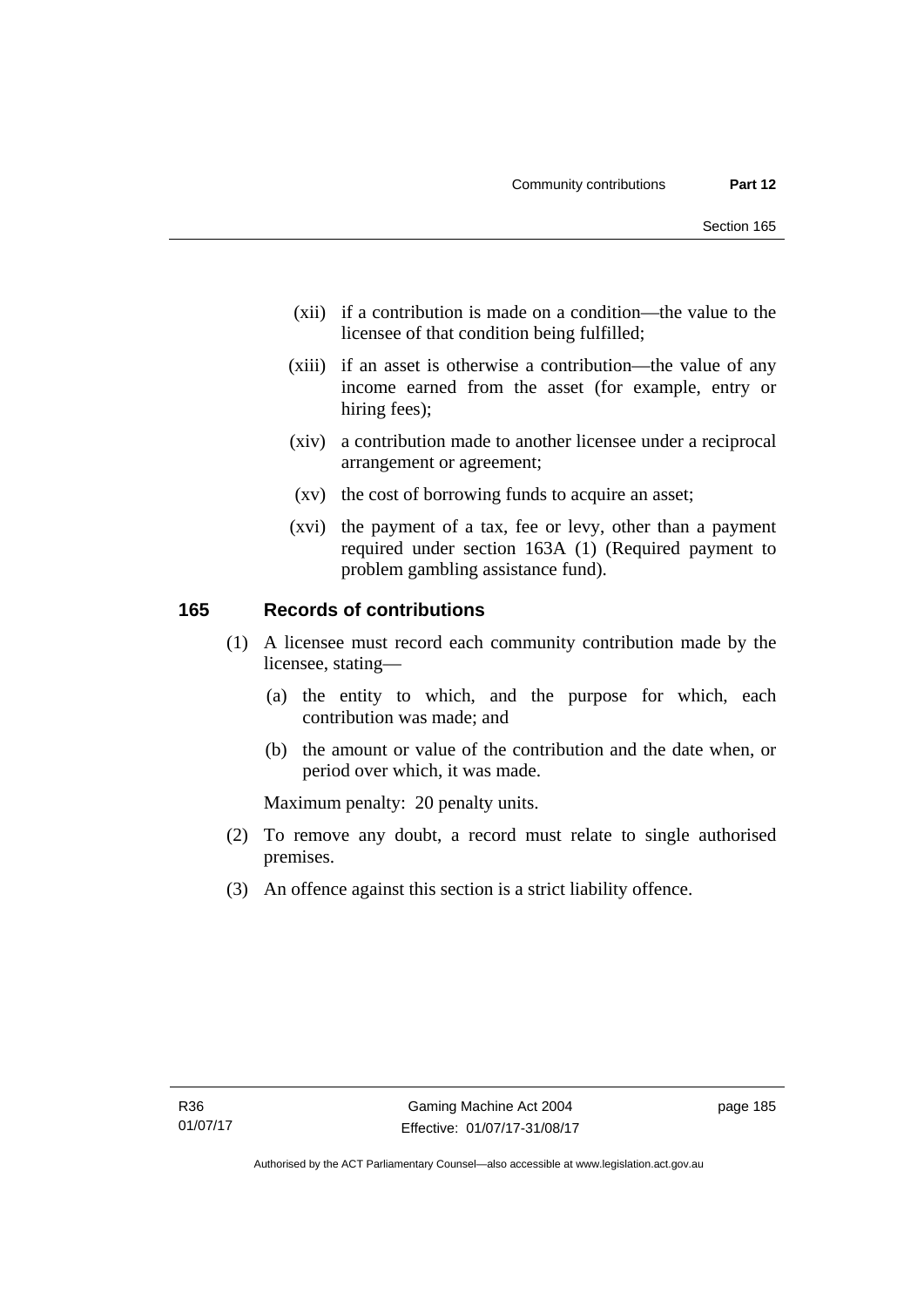- (xii) if a contribution is made on a condition—the value to the licensee of that condition being fulfilled;
- (xiii) if an asset is otherwise a contribution—the value of any income earned from the asset (for example, entry or hiring fees);
- (xiv) a contribution made to another licensee under a reciprocal arrangement or agreement;
- (xv) the cost of borrowing funds to acquire an asset;
- (xvi) the payment of a tax, fee or levy, other than a payment required under section 163A (1) (Required payment to problem gambling assistance fund).

## **165 Records of contributions**

- (1) A licensee must record each community contribution made by the licensee, stating—
	- (a) the entity to which, and the purpose for which, each contribution was made; and
	- (b) the amount or value of the contribution and the date when, or period over which, it was made.

Maximum penalty: 20 penalty units.

- (2) To remove any doubt, a record must relate to single authorised premises.
- (3) An offence against this section is a strict liability offence.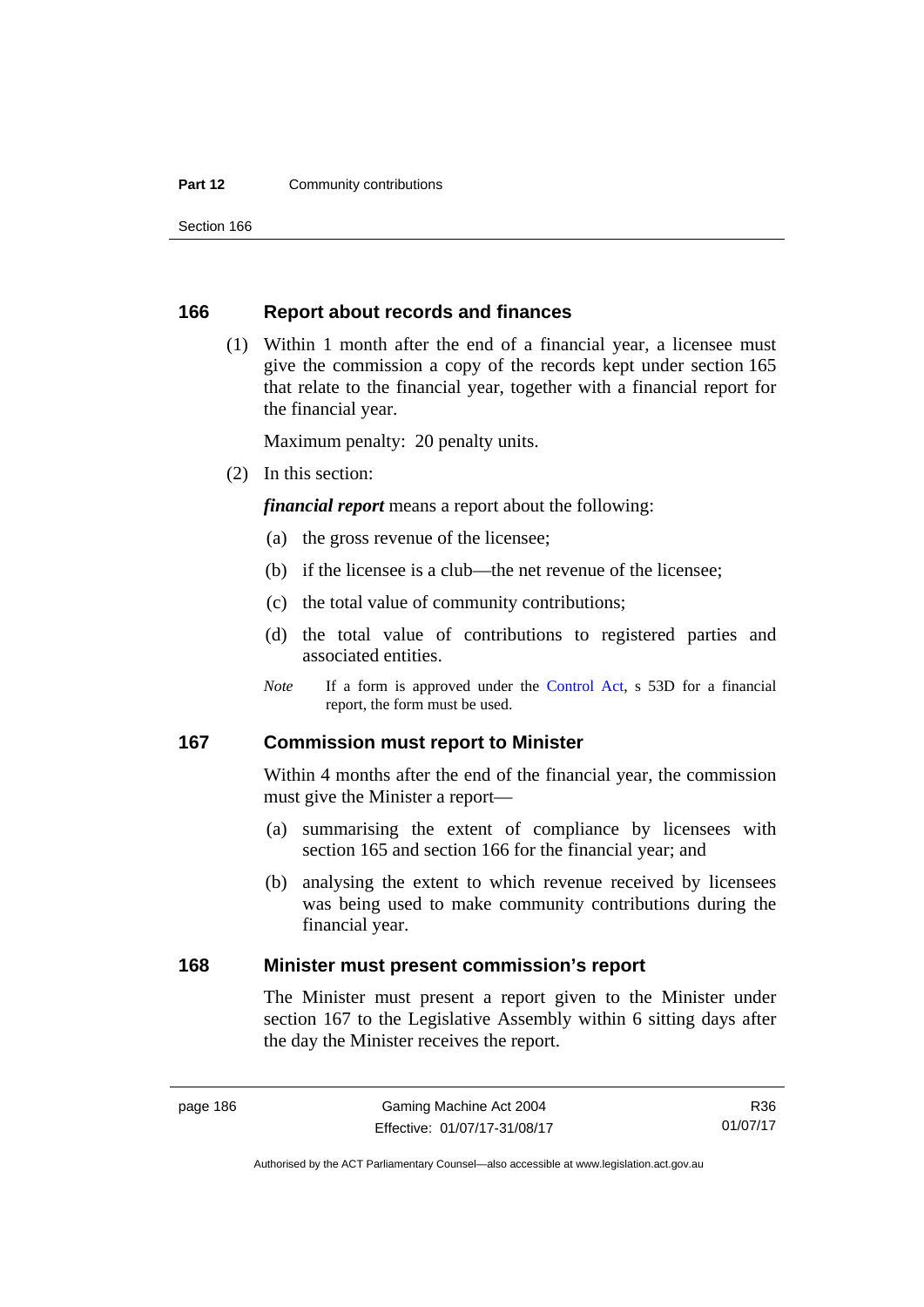#### **Part 12 Community contributions**

Section 166

### **166 Report about records and finances**

 (1) Within 1 month after the end of a financial year, a licensee must give the commission a copy of the records kept under section 165 that relate to the financial year, together with a financial report for the financial year.

Maximum penalty: 20 penalty units.

(2) In this section:

*financial report* means a report about the following:

- (a) the gross revenue of the licensee;
- (b) if the licensee is a club—the net revenue of the licensee;
- (c) the total value of community contributions;
- (d) the total value of contributions to registered parties and associated entities.
- *Note* If a form is approved under the [Control Act](http://www.legislation.act.gov.au/a/1999-46), s 53D for a financial report, the form must be used.

### **167 Commission must report to Minister**

Within 4 months after the end of the financial year, the commission must give the Minister a report—

- (a) summarising the extent of compliance by licensees with section 165 and section 166 for the financial year; and
- (b) analysing the extent to which revenue received by licensees was being used to make community contributions during the financial year.

### **168 Minister must present commission's report**

The Minister must present a report given to the Minister under section 167 to the Legislative Assembly within 6 sitting days after the day the Minister receives the report.

R36 01/07/17

Authorised by the ACT Parliamentary Counsel—also accessible at www.legislation.act.gov.au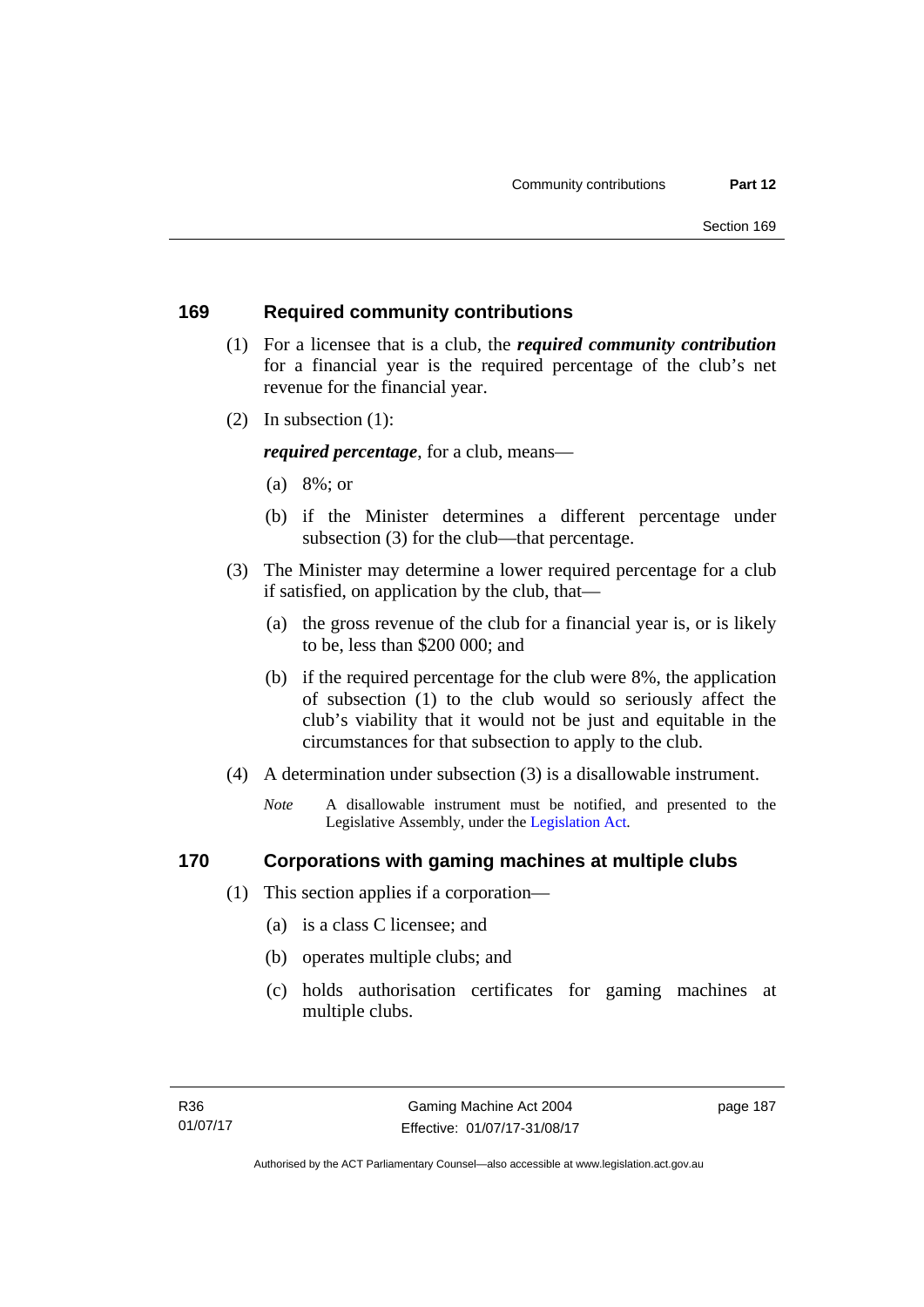### **169 Required community contributions**

- (1) For a licensee that is a club, the *required community contribution* for a financial year is the required percentage of the club's net revenue for the financial year.
- (2) In subsection (1):

*required percentage*, for a club, means—

- (a) 8%; or
- (b) if the Minister determines a different percentage under subsection (3) for the club—that percentage.
- (3) The Minister may determine a lower required percentage for a club if satisfied, on application by the club, that—
	- (a) the gross revenue of the club for a financial year is, or is likely to be, less than \$200 000; and
	- (b) if the required percentage for the club were 8%, the application of subsection (1) to the club would so seriously affect the club's viability that it would not be just and equitable in the circumstances for that subsection to apply to the club.
- (4) A determination under subsection (3) is a disallowable instrument.
	- *Note* A disallowable instrument must be notified, and presented to the Legislative Assembly, under the [Legislation Act.](http://www.legislation.act.gov.au/a/2001-14)

### **170 Corporations with gaming machines at multiple clubs**

- (1) This section applies if a corporation—
	- (a) is a class C licensee; and
	- (b) operates multiple clubs; and
	- (c) holds authorisation certificates for gaming machines at multiple clubs.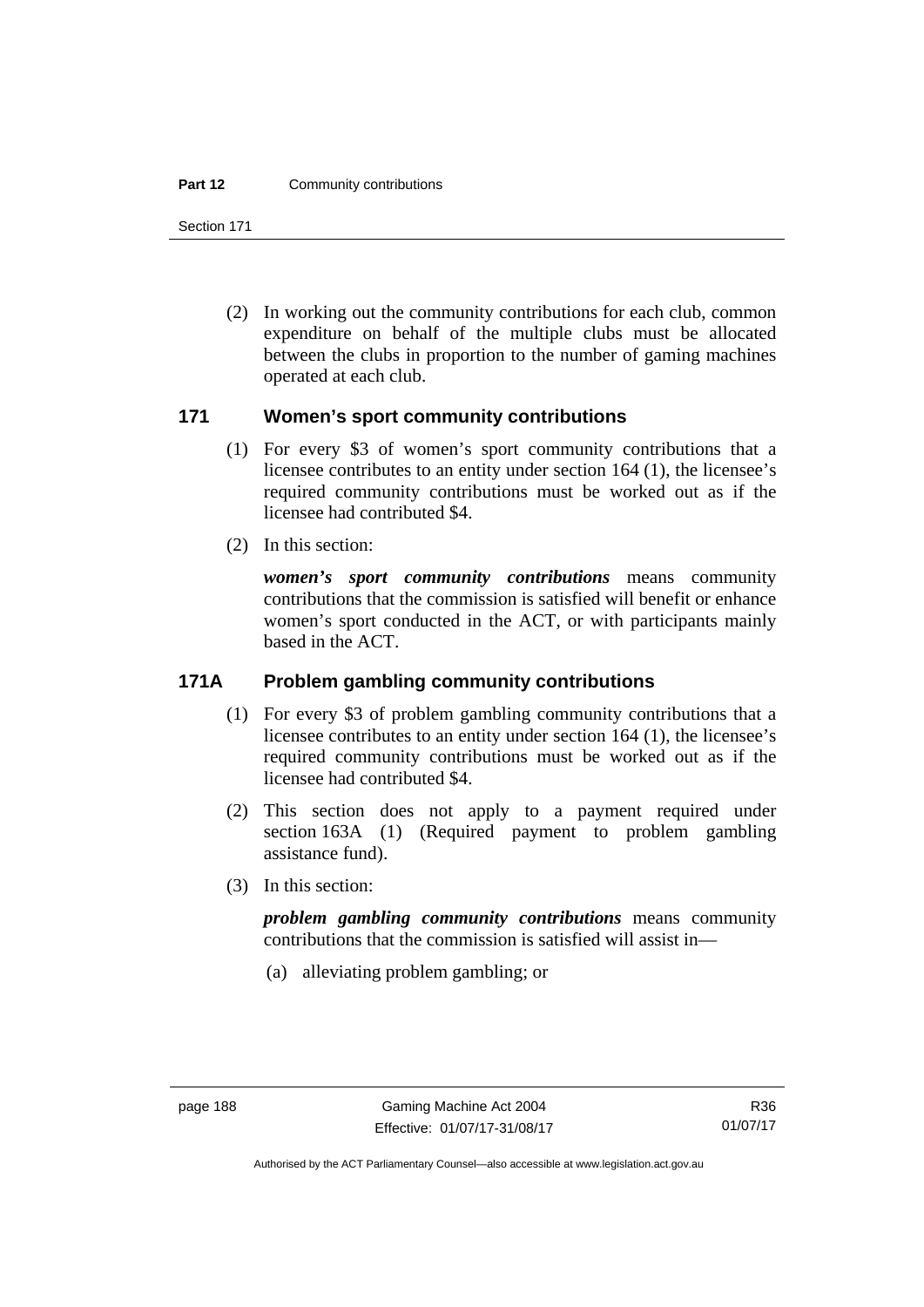#### **Part 12 Community contributions**

Section 171

 (2) In working out the community contributions for each club, common expenditure on behalf of the multiple clubs must be allocated between the clubs in proportion to the number of gaming machines operated at each club.

### **171 Women's sport community contributions**

- (1) For every \$3 of women's sport community contributions that a licensee contributes to an entity under section 164 (1), the licensee's required community contributions must be worked out as if the licensee had contributed \$4.
- (2) In this section:

*women's sport community contributions* means community contributions that the commission is satisfied will benefit or enhance women's sport conducted in the ACT, or with participants mainly based in the ACT.

### **171A Problem gambling community contributions**

- (1) For every \$3 of problem gambling community contributions that a licensee contributes to an entity under section 164 (1), the licensee's required community contributions must be worked out as if the licensee had contributed \$4.
- (2) This section does not apply to a payment required under section 163A (1) (Required payment to problem gambling assistance fund).
- (3) In this section:

*problem gambling community contributions* means community contributions that the commission is satisfied will assist in—

(a) alleviating problem gambling; or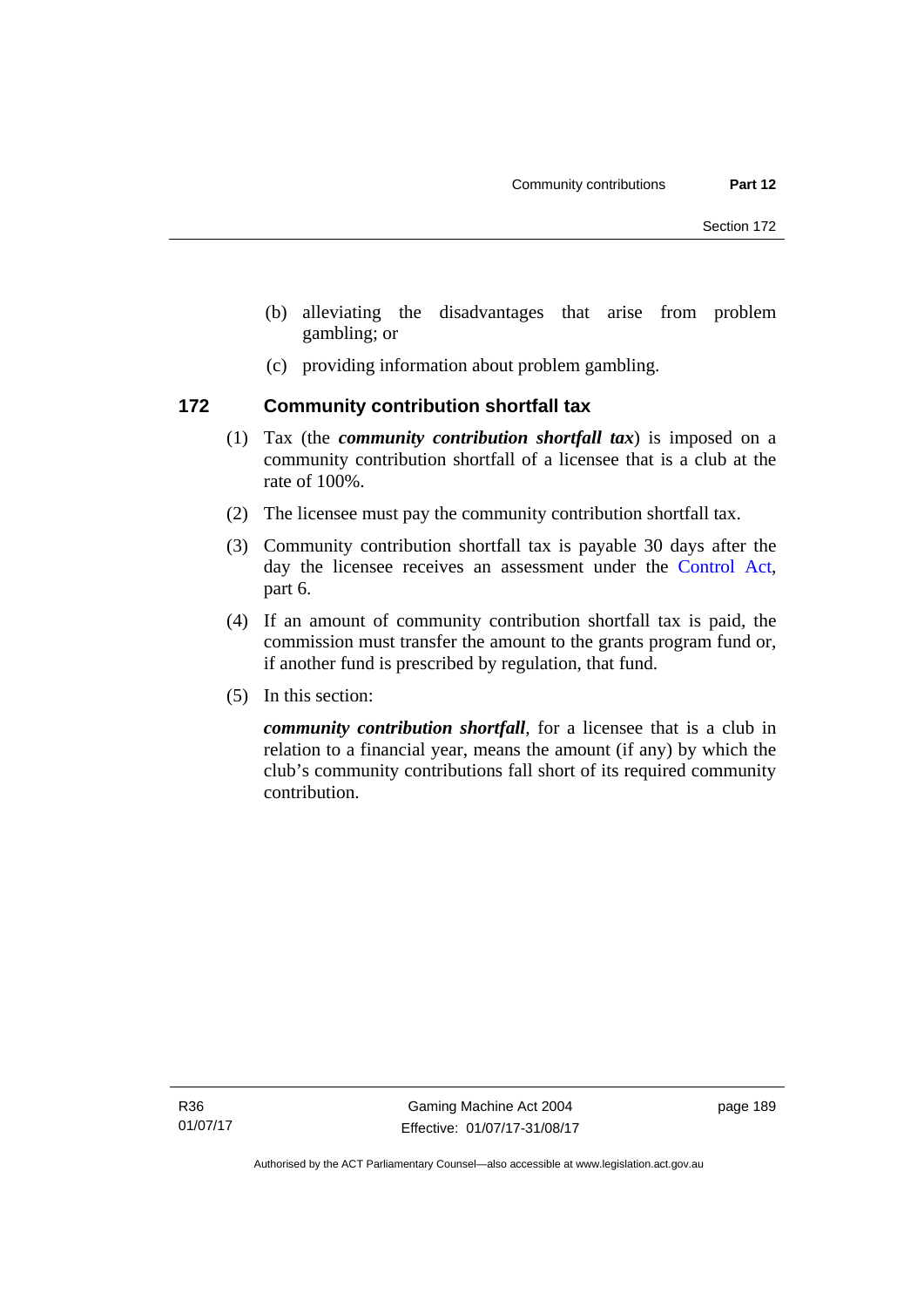- (b) alleviating the disadvantages that arise from problem gambling; or
- (c) providing information about problem gambling.

### **172 Community contribution shortfall tax**

- (1) Tax (the *community contribution shortfall tax*) is imposed on a community contribution shortfall of a licensee that is a club at the rate of 100%.
- (2) The licensee must pay the community contribution shortfall tax.
- (3) Community contribution shortfall tax is payable 30 days after the day the licensee receives an assessment under the [Control Act](http://www.legislation.act.gov.au/a/1999-46), part 6.
- (4) If an amount of community contribution shortfall tax is paid, the commission must transfer the amount to the grants program fund or, if another fund is prescribed by regulation, that fund.
- (5) In this section:

*community contribution shortfall*, for a licensee that is a club in relation to a financial year, means the amount (if any) by which the club's community contributions fall short of its required community contribution.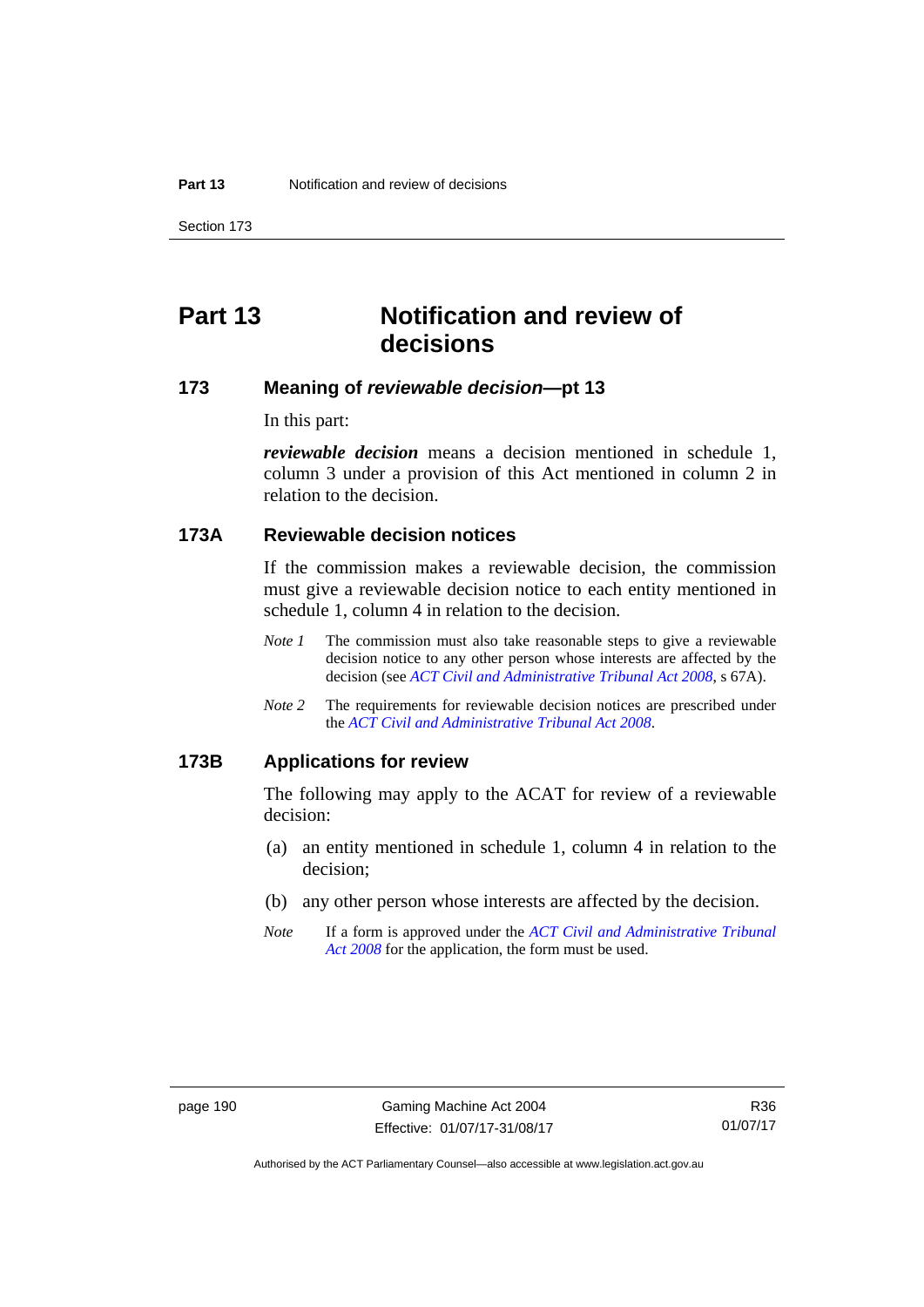Section 173

# **Part 13 Notification and review of decisions**

# **173 Meaning of** *reviewable decision***—pt 13**

In this part:

*reviewable decision* means a decision mentioned in schedule 1, column 3 under a provision of this Act mentioned in column 2 in relation to the decision.

# **173A Reviewable decision notices**

If the commission makes a reviewable decision, the commission must give a reviewable decision notice to each entity mentioned in schedule 1, column 4 in relation to the decision.

- *Note 1* The commission must also take reasonable steps to give a reviewable decision notice to any other person whose interests are affected by the decision (see *[ACT Civil and Administrative Tribunal Act 2008](http://www.legislation.act.gov.au/a/2008-35)*, s 67A).
- *Note 2* The requirements for reviewable decision notices are prescribed under the *[ACT Civil and Administrative Tribunal Act 2008](http://www.legislation.act.gov.au/a/2008-35)*.

### **173B Applications for review**

The following may apply to the ACAT for review of a reviewable decision:

- (a) an entity mentioned in schedule 1, column 4 in relation to the decision;
- (b) any other person whose interests are affected by the decision.
- *Note* If a form is approved under the *[ACT Civil and Administrative Tribunal](http://www.legislation.act.gov.au/a/2008-35)  [Act 2008](http://www.legislation.act.gov.au/a/2008-35)* for the application, the form must be used.

Authorised by the ACT Parliamentary Counsel—also accessible at www.legislation.act.gov.au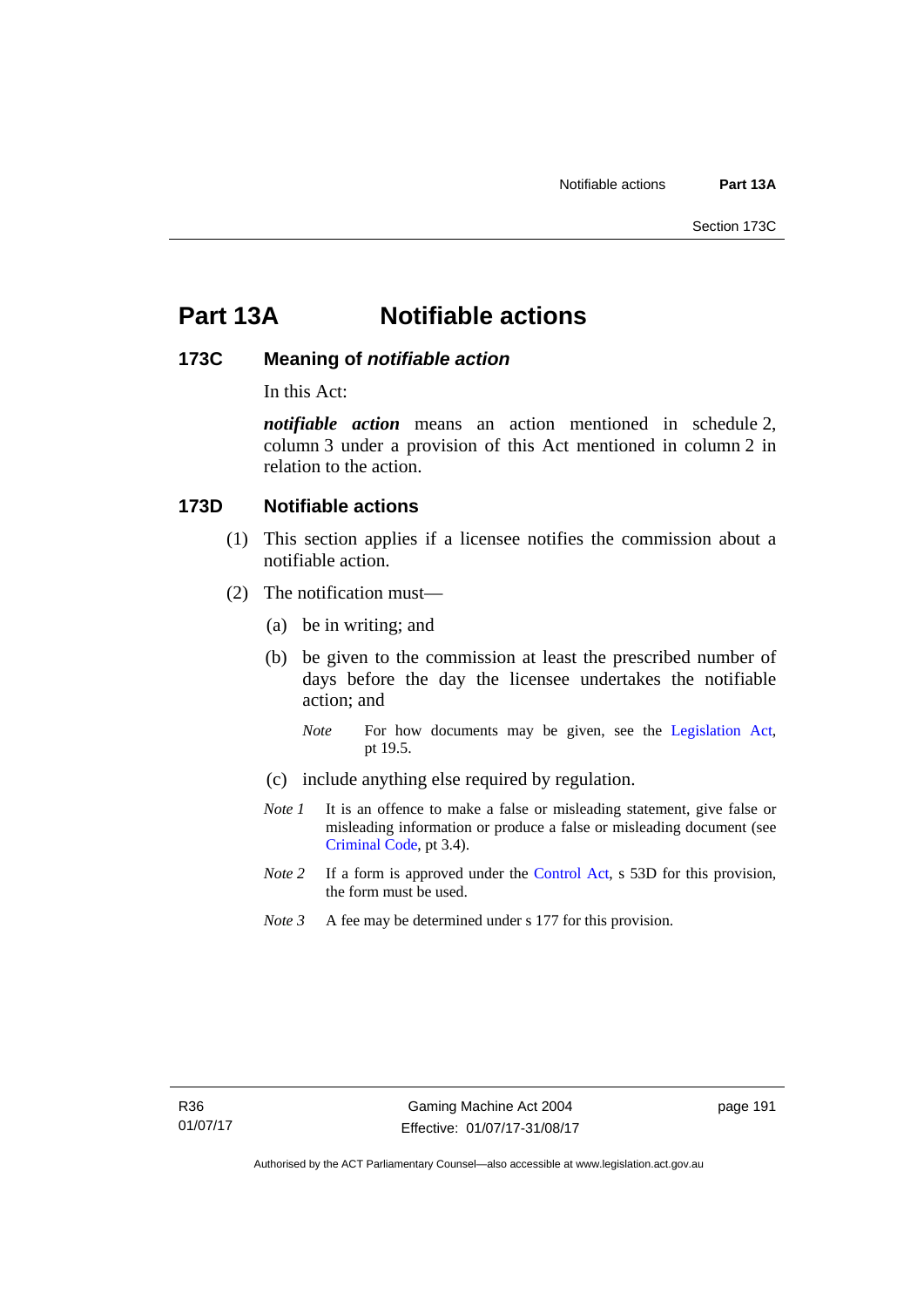# **Part 13A Notifiable actions**

# **173C Meaning of** *notifiable action*

In this Act:

*notifiable action* means an action mentioned in schedule 2, column 3 under a provision of this Act mentioned in column 2 in relation to the action.

# **173D Notifiable actions**

- (1) This section applies if a licensee notifies the commission about a notifiable action.
- (2) The notification must—
	- (a) be in writing; and
	- (b) be given to the commission at least the prescribed number of days before the day the licensee undertakes the notifiable action; and
		- *Note* For how documents may be given, see the [Legislation Act,](http://www.legislation.act.gov.au/a/2001-14) pt 19.5.
	- (c) include anything else required by regulation.
	- *Note 1* It is an offence to make a false or misleading statement, give false or misleading information or produce a false or misleading document (see [Criminal Code](http://www.legislation.act.gov.au/a/2002-51), pt 3.4).
	- *Note 2* If a form is approved under the [Control Act,](http://www.legislation.act.gov.au/a/1999-46/default.asp) s 53D for this provision, the form must be used.
	- *Note 3* A fee may be determined under s 177 for this provision.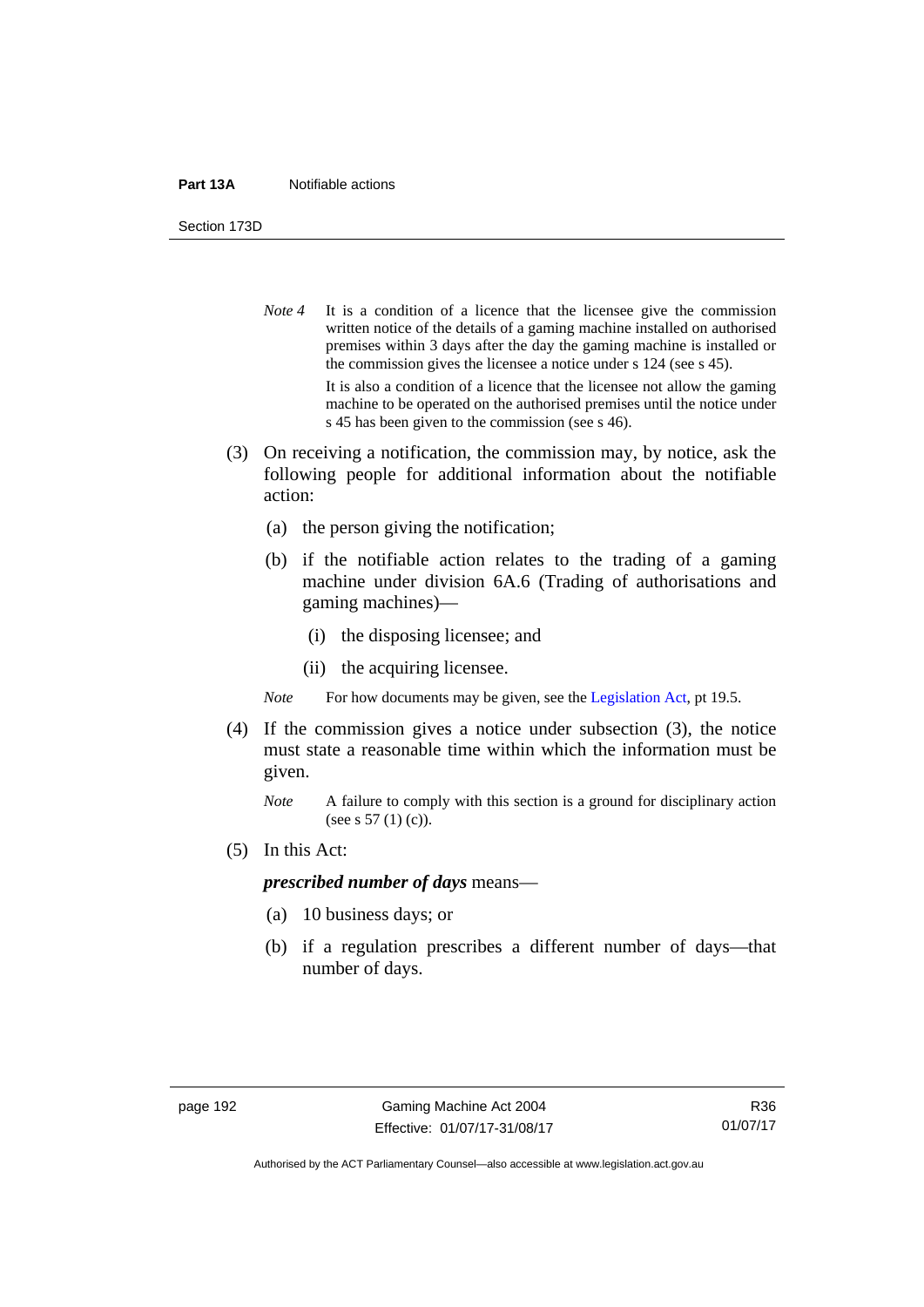#### **Part 13A** Notifiable actions

Section 173D

- *Note* 4 It is a condition of a licence that the licensee give the commission written notice of the details of a gaming machine installed on authorised premises within 3 days after the day the gaming machine is installed or the commission gives the licensee a notice under s 124 (see s 45). It is also a condition of a licence that the licensee not allow the gaming machine to be operated on the authorised premises until the notice under s 45 has been given to the commission (see s 46).
- (3) On receiving a notification, the commission may, by notice, ask the following people for additional information about the notifiable action:
	- (a) the person giving the notification;
	- (b) if the notifiable action relates to the trading of a gaming machine under division 6A.6 (Trading of authorisations and gaming machines)—
		- (i) the disposing licensee; and
		- (ii) the acquiring licensee.

*Note* For how documents may be given, see the [Legislation Act,](http://www.legislation.act.gov.au/a/2001-14) pt 19.5.

- (4) If the commission gives a notice under subsection (3), the notice must state a reasonable time within which the information must be given.
	- *Note* A failure to comply with this section is a ground for disciplinary action (see s 57 (1) (c)).
- (5) In this Act:

### *prescribed number of days* means—

- (a) 10 business days; or
- (b) if a regulation prescribes a different number of days—that number of days.

Authorised by the ACT Parliamentary Counsel—also accessible at www.legislation.act.gov.au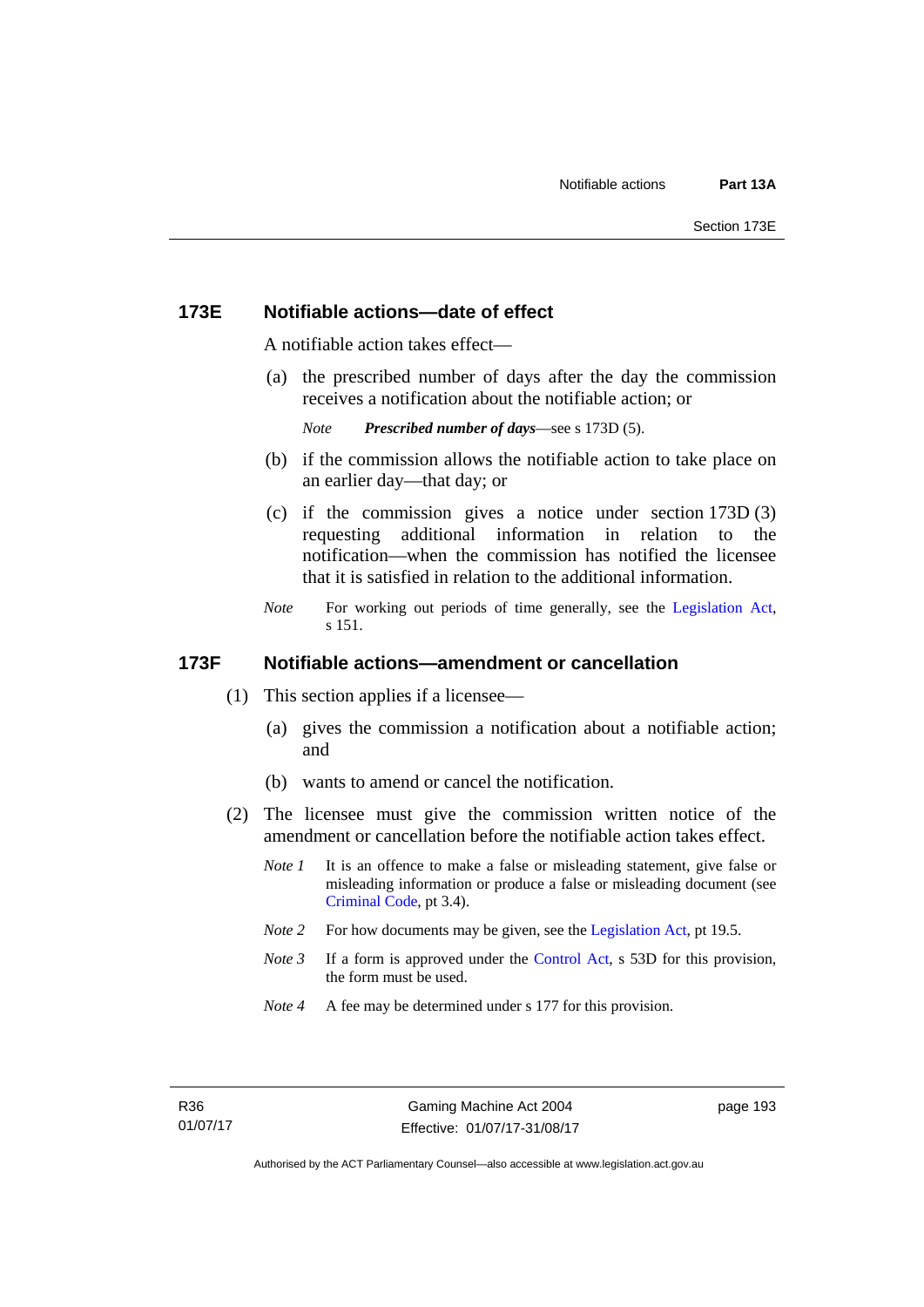### **173E Notifiable actions—date of effect**

A notifiable action takes effect—

 (a) the prescribed number of days after the day the commission receives a notification about the notifiable action; or

```
Note Prescribed number of days—see s 173D (5).
```
- (b) if the commission allows the notifiable action to take place on an earlier day—that day; or
- (c) if the commission gives a notice under section 173D (3) requesting additional information in relation to the notification—when the commission has notified the licensee that it is satisfied in relation to the additional information.
- *Note* For working out periods of time generally, see the [Legislation Act,](http://www.legislation.act.gov.au/a/2001-14) s 151.

### **173F Notifiable actions—amendment or cancellation**

- (1) This section applies if a licensee—
	- (a) gives the commission a notification about a notifiable action; and
	- (b) wants to amend or cancel the notification.
- (2) The licensee must give the commission written notice of the amendment or cancellation before the notifiable action takes effect.
	- *Note 1* It is an offence to make a false or misleading statement, give false or misleading information or produce a false or misleading document (see [Criminal Code](http://www.legislation.act.gov.au/a/2002-51), pt 3.4).
	- *Note 2* For how documents may be given, see the [Legislation Act,](http://www.legislation.act.gov.au/a/2001-14) pt 19.5.
	- *Note 3* If a form is approved under the [Control Act,](http://www.legislation.act.gov.au/a/1999-46/default.asp) s 53D for this provision, the form must be used.
	- *Note 4* A fee may be determined under s 177 for this provision.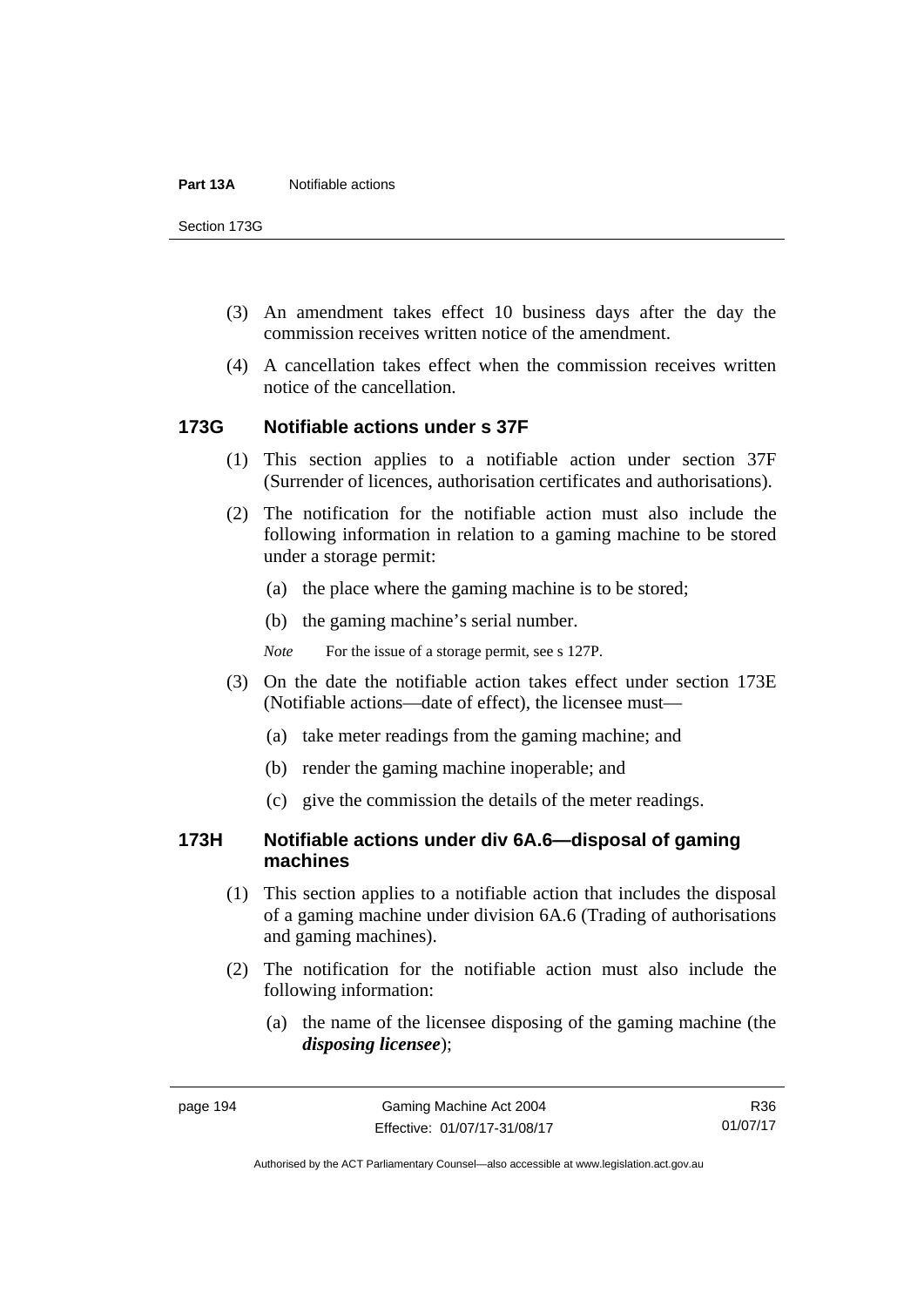Section 173G

- (3) An amendment takes effect 10 business days after the day the commission receives written notice of the amendment.
- (4) A cancellation takes effect when the commission receives written notice of the cancellation.

### **173G Notifiable actions under s 37F**

- (1) This section applies to a notifiable action under section 37F (Surrender of licences, authorisation certificates and authorisations).
- (2) The notification for the notifiable action must also include the following information in relation to a gaming machine to be stored under a storage permit:
	- (a) the place where the gaming machine is to be stored;
	- (b) the gaming machine's serial number.
	- *Note* For the issue of a storage permit, see s 127P.
- (3) On the date the notifiable action takes effect under section 173E (Notifiable actions—date of effect), the licensee must—
	- (a) take meter readings from the gaming machine; and
	- (b) render the gaming machine inoperable; and
	- (c) give the commission the details of the meter readings.

## **173H Notifiable actions under div 6A.6—disposal of gaming machines**

- (1) This section applies to a notifiable action that includes the disposal of a gaming machine under division 6A.6 (Trading of authorisations and gaming machines).
- (2) The notification for the notifiable action must also include the following information:
	- (a) the name of the licensee disposing of the gaming machine (the *disposing licensee*);

R36 01/07/17

Authorised by the ACT Parliamentary Counsel—also accessible at www.legislation.act.gov.au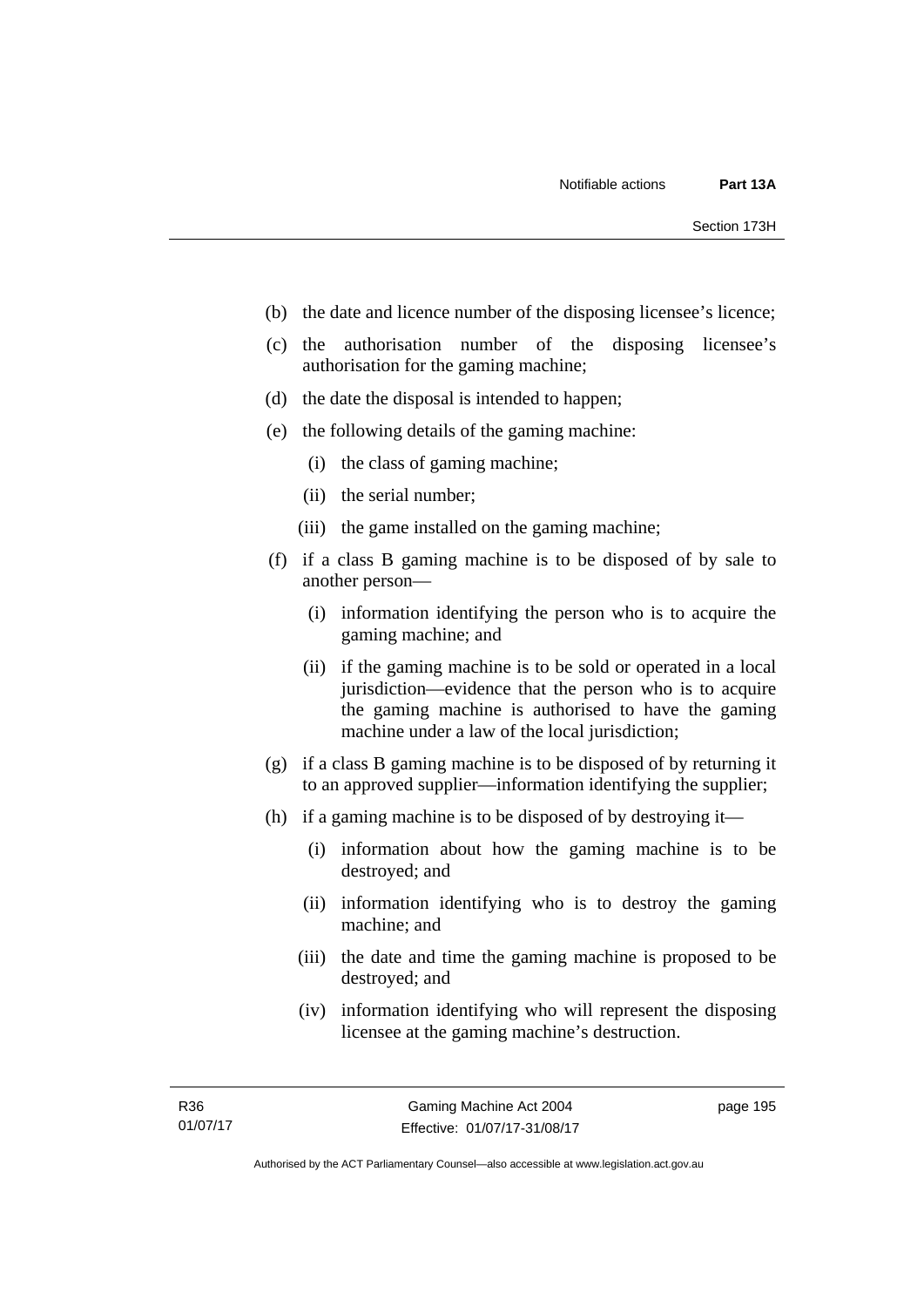- (b) the date and licence number of the disposing licensee's licence;
- (c) the authorisation number of the disposing licensee's authorisation for the gaming machine;
- (d) the date the disposal is intended to happen;
- (e) the following details of the gaming machine:
	- (i) the class of gaming machine;
	- (ii) the serial number;
	- (iii) the game installed on the gaming machine;
- (f) if a class B gaming machine is to be disposed of by sale to another person—
	- (i) information identifying the person who is to acquire the gaming machine; and
	- (ii) if the gaming machine is to be sold or operated in a local jurisdiction—evidence that the person who is to acquire the gaming machine is authorised to have the gaming machine under a law of the local jurisdiction;
- (g) if a class B gaming machine is to be disposed of by returning it to an approved supplier—information identifying the supplier;
- (h) if a gaming machine is to be disposed of by destroying it—
	- (i) information about how the gaming machine is to be destroyed; and
	- (ii) information identifying who is to destroy the gaming machine; and
	- (iii) the date and time the gaming machine is proposed to be destroyed; and
	- (iv) information identifying who will represent the disposing licensee at the gaming machine's destruction.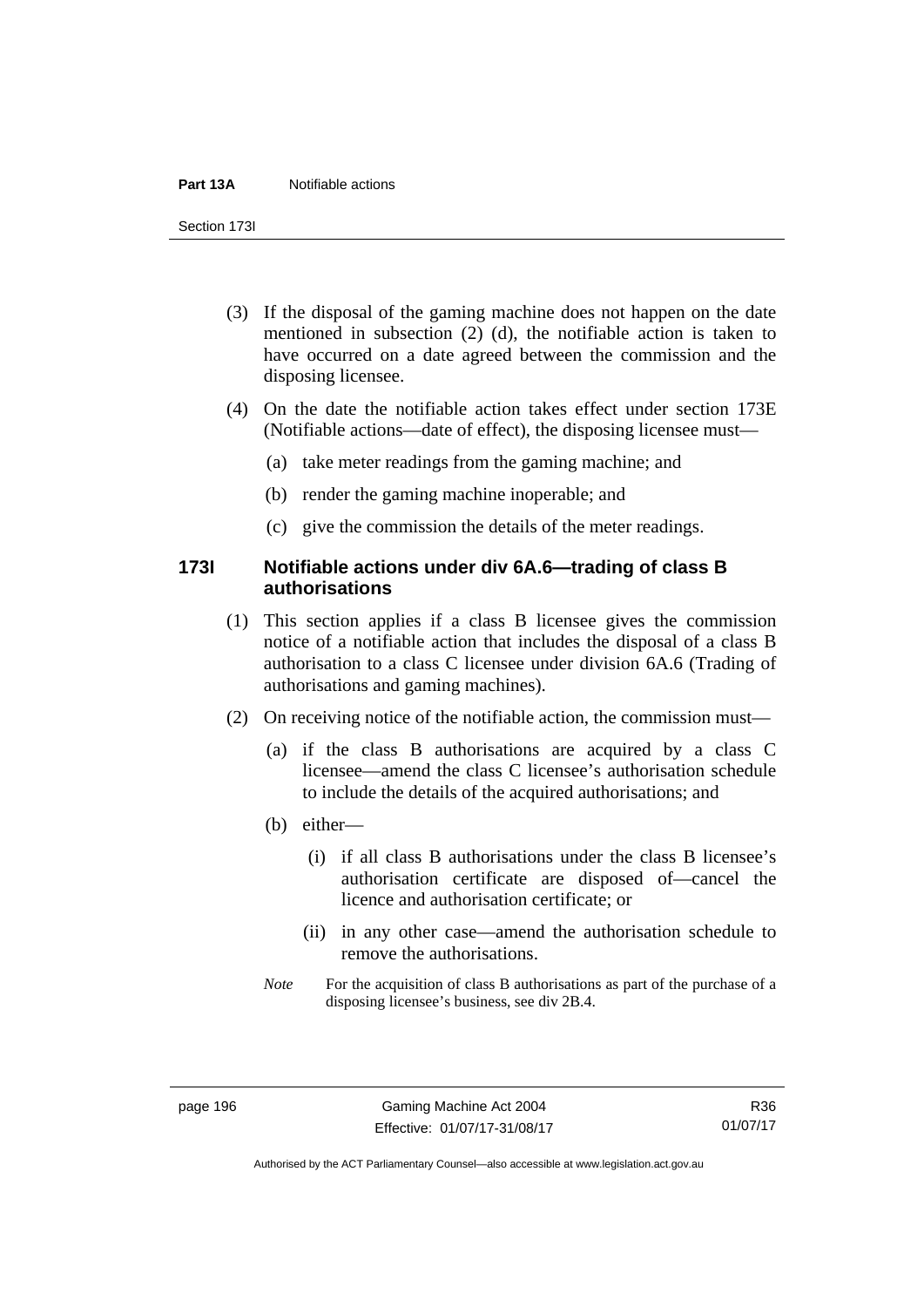#### **Part 13A** Notifiable actions

Section 173I

- (3) If the disposal of the gaming machine does not happen on the date mentioned in subsection (2) (d), the notifiable action is taken to have occurred on a date agreed between the commission and the disposing licensee.
- (4) On the date the notifiable action takes effect under section 173E (Notifiable actions—date of effect), the disposing licensee must—
	- (a) take meter readings from the gaming machine; and
	- (b) render the gaming machine inoperable; and
	- (c) give the commission the details of the meter readings.

## **173I Notifiable actions under div 6A.6—trading of class B authorisations**

- (1) This section applies if a class B licensee gives the commission notice of a notifiable action that includes the disposal of a class B authorisation to a class C licensee under division 6A.6 (Trading of authorisations and gaming machines).
- (2) On receiving notice of the notifiable action, the commission must—
	- (a) if the class B authorisations are acquired by a class C licensee—amend the class C licensee's authorisation schedule to include the details of the acquired authorisations; and
	- (b) either—
		- (i) if all class B authorisations under the class B licensee's authorisation certificate are disposed of—cancel the licence and authorisation certificate; or
		- (ii) in any other case—amend the authorisation schedule to remove the authorisations.
	- *Note* For the acquisition of class B authorisations as part of the purchase of a disposing licensee's business, see div 2B.4.

R36 01/07/17

Authorised by the ACT Parliamentary Counsel—also accessible at www.legislation.act.gov.au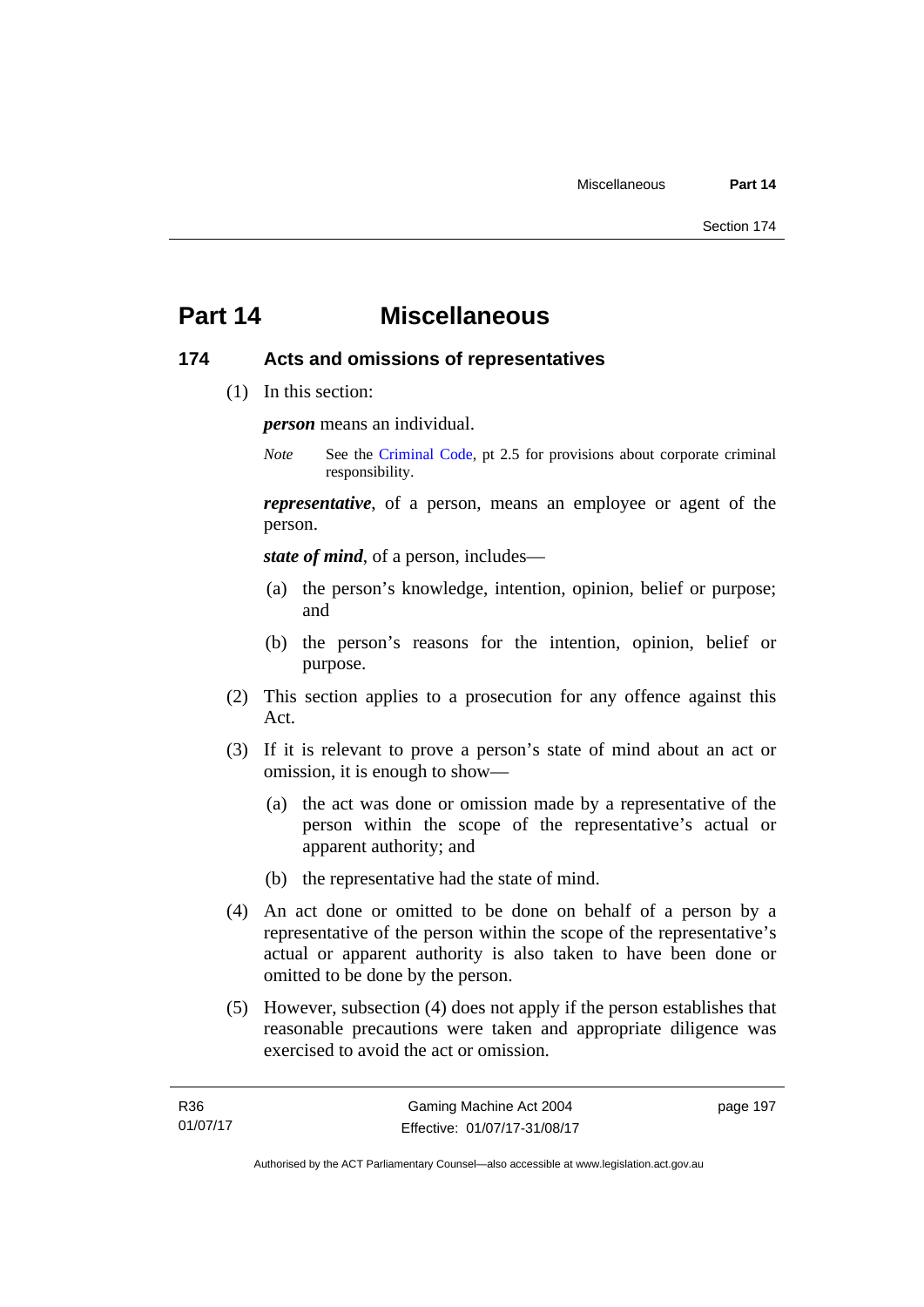# **Part 14 Miscellaneous**

### **174 Acts and omissions of representatives**

(1) In this section:

*person* means an individual.

*Note* See the [Criminal Code,](http://www.legislation.act.gov.au/a/2002-51) pt 2.5 for provisions about corporate criminal responsibility.

*representative*, of a person, means an employee or agent of the person.

*state of mind*, of a person, includes—

- (a) the person's knowledge, intention, opinion, belief or purpose; and
- (b) the person's reasons for the intention, opinion, belief or purpose.
- (2) This section applies to a prosecution for any offence against this Act.
- (3) If it is relevant to prove a person's state of mind about an act or omission, it is enough to show—
	- (a) the act was done or omission made by a representative of the person within the scope of the representative's actual or apparent authority; and
	- (b) the representative had the state of mind.
- (4) An act done or omitted to be done on behalf of a person by a representative of the person within the scope of the representative's actual or apparent authority is also taken to have been done or omitted to be done by the person.
- (5) However, subsection (4) does not apply if the person establishes that reasonable precautions were taken and appropriate diligence was exercised to avoid the act or omission.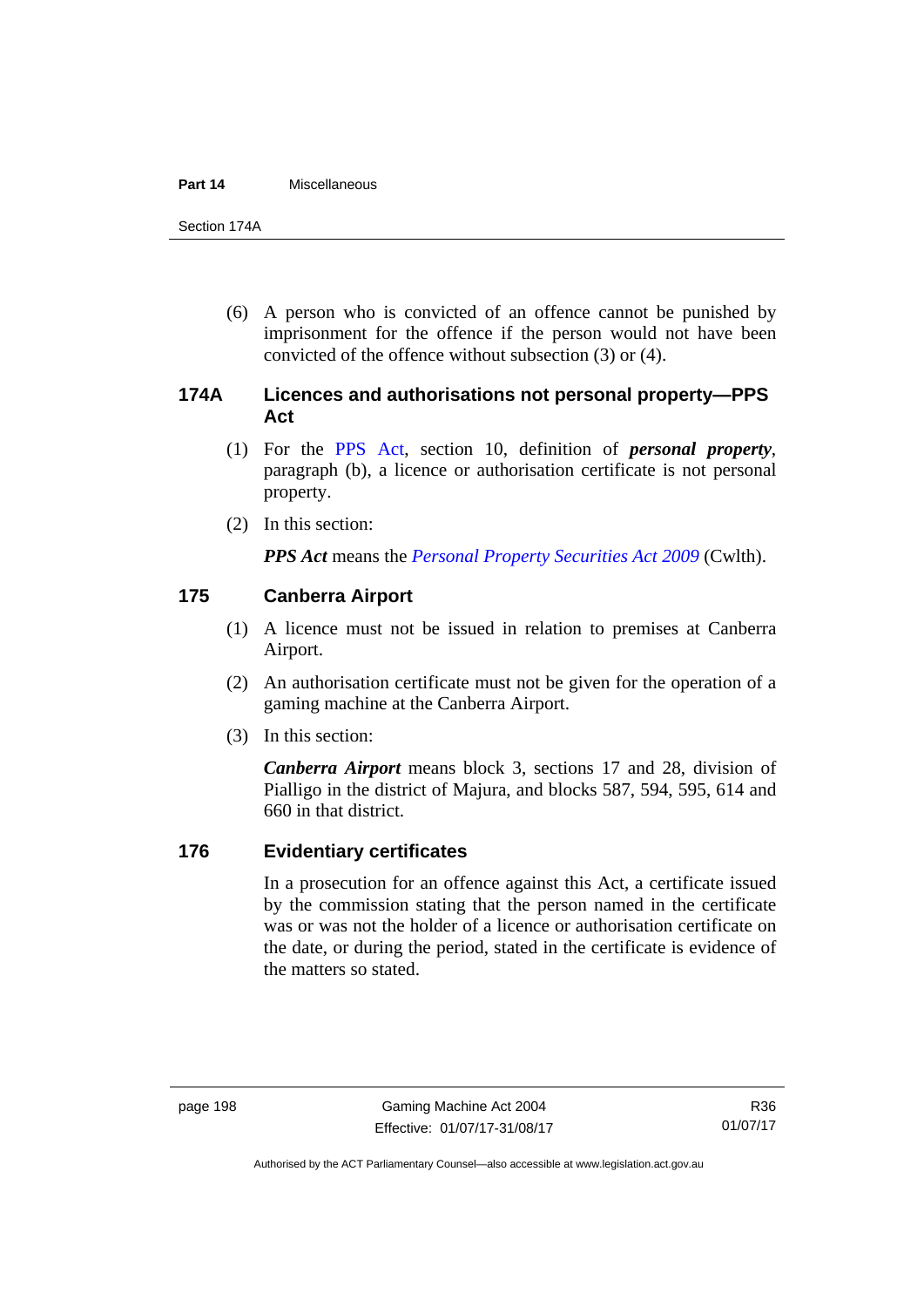#### **Part 14** Miscellaneous

Section 174A

 (6) A person who is convicted of an offence cannot be punished by imprisonment for the offence if the person would not have been convicted of the offence without subsection (3) or (4).

# **174A Licences and authorisations not personal property—PPS Act**

- (1) For the [PPS Act,](http://www.comlaw.gov.au/Series/C2009A00130) section 10, definition of *personal property*, paragraph (b), a licence or authorisation certificate is not personal property.
- (2) In this section:

*PPS Act* means the *[Personal Property Securities Act 2009](http://www.comlaw.gov.au/Series/C2009A00130)* (Cwlth).

### **175 Canberra Airport**

- (1) A licence must not be issued in relation to premises at Canberra Airport.
- (2) An authorisation certificate must not be given for the operation of a gaming machine at the Canberra Airport.
- (3) In this section:

*Canberra Airport* means block 3, sections 17 and 28, division of Pialligo in the district of Majura, and blocks 587, 594, 595, 614 and 660 in that district.

### **176 Evidentiary certificates**

In a prosecution for an offence against this Act, a certificate issued by the commission stating that the person named in the certificate was or was not the holder of a licence or authorisation certificate on the date, or during the period, stated in the certificate is evidence of the matters so stated.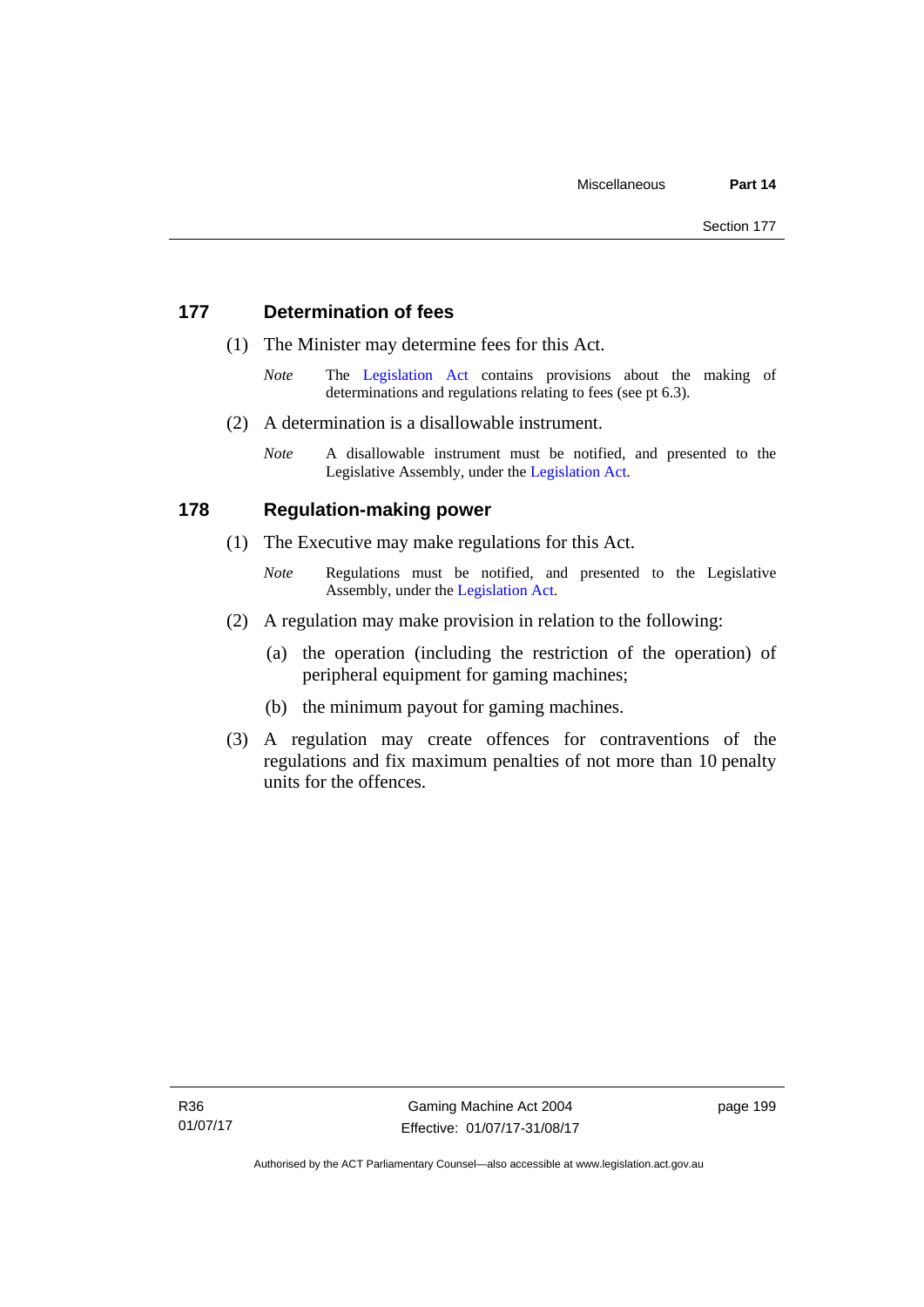# **177 Determination of fees**

- (1) The Minister may determine fees for this Act.
	- *Note* The [Legislation Act](http://www.legislation.act.gov.au/a/2001-14) contains provisions about the making of determinations and regulations relating to fees (see pt 6.3).
- (2) A determination is a disallowable instrument.
	- *Note* A disallowable instrument must be notified, and presented to the Legislative Assembly, under the [Legislation Act.](http://www.legislation.act.gov.au/a/2001-14)

### **178 Regulation-making power**

- (1) The Executive may make regulations for this Act.
	- *Note* **Regulations** must be notified, and presented to the Legislative Assembly, under the [Legislation Act](http://www.legislation.act.gov.au/a/2001-14).
- (2) A regulation may make provision in relation to the following:
	- (a) the operation (including the restriction of the operation) of peripheral equipment for gaming machines;
	- (b) the minimum payout for gaming machines.
- (3) A regulation may create offences for contraventions of the regulations and fix maximum penalties of not more than 10 penalty units for the offences.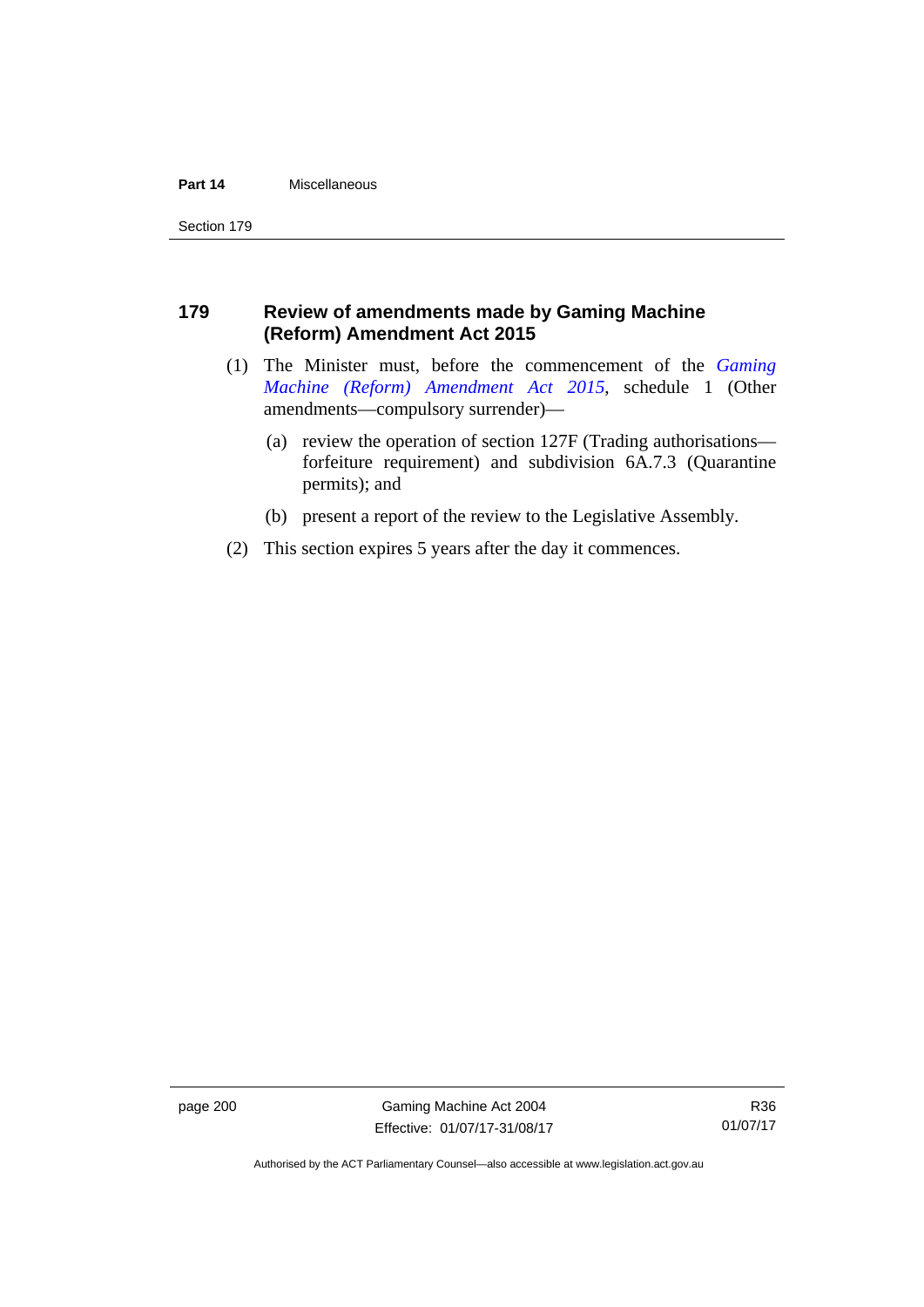#### **Part 14** Miscellaneous

Section 179

# **179 Review of amendments made by Gaming Machine (Reform) Amendment Act 2015**

- (1) The Minister must, before the commencement of the *[Gaming](http://www.legislation.act.gov.au/a/2015-21/default.asp)  [Machine \(Reform\) Amendment Act 2015](http://www.legislation.act.gov.au/a/2015-21/default.asp)*, schedule 1 (Other amendments—compulsory surrender)—
	- (a) review the operation of section 127F (Trading authorisations forfeiture requirement) and subdivision 6A.7.3 (Quarantine permits); and
	- (b) present a report of the review to the Legislative Assembly.
- (2) This section expires 5 years after the day it commences.

page 200 Gaming Machine Act 2004 Effective: 01/07/17-31/08/17

R36 01/07/17

Authorised by the ACT Parliamentary Counsel—also accessible at www.legislation.act.gov.au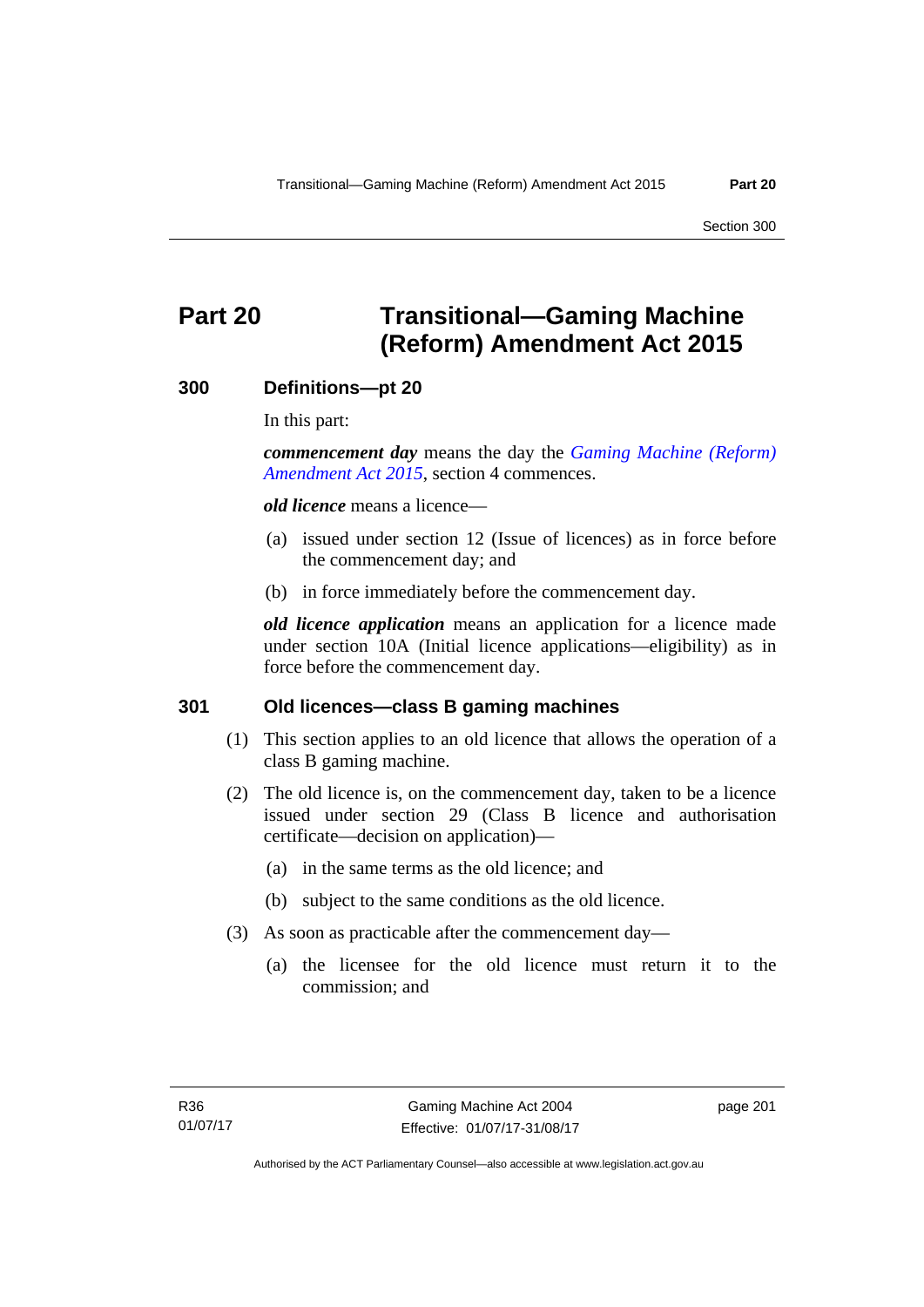Section 300

# **Part 20 Transitional—Gaming Machine (Reform) Amendment Act 2015**

# **300 Definitions—pt 20**

In this part:

*commencement day* means the day the *[Gaming Machine \(Reform\)](http://www.legislation.act.gov.au/a/2015-21/default.asp)  [Amendment Act 2015](http://www.legislation.act.gov.au/a/2015-21/default.asp)*, section 4 commences.

*old licence* means a licence—

- (a) issued under section 12 (Issue of licences) as in force before the commencement day; and
- (b) in force immediately before the commencement day.

*old licence application* means an application for a licence made under section 10A (Initial licence applications—eligibility) as in force before the commencement day.

# **301 Old licences—class B gaming machines**

- (1) This section applies to an old licence that allows the operation of a class B gaming machine.
- (2) The old licence is, on the commencement day, taken to be a licence issued under section 29 (Class B licence and authorisation certificate—decision on application)—
	- (a) in the same terms as the old licence; and
	- (b) subject to the same conditions as the old licence.
- (3) As soon as practicable after the commencement day—
	- (a) the licensee for the old licence must return it to the commission; and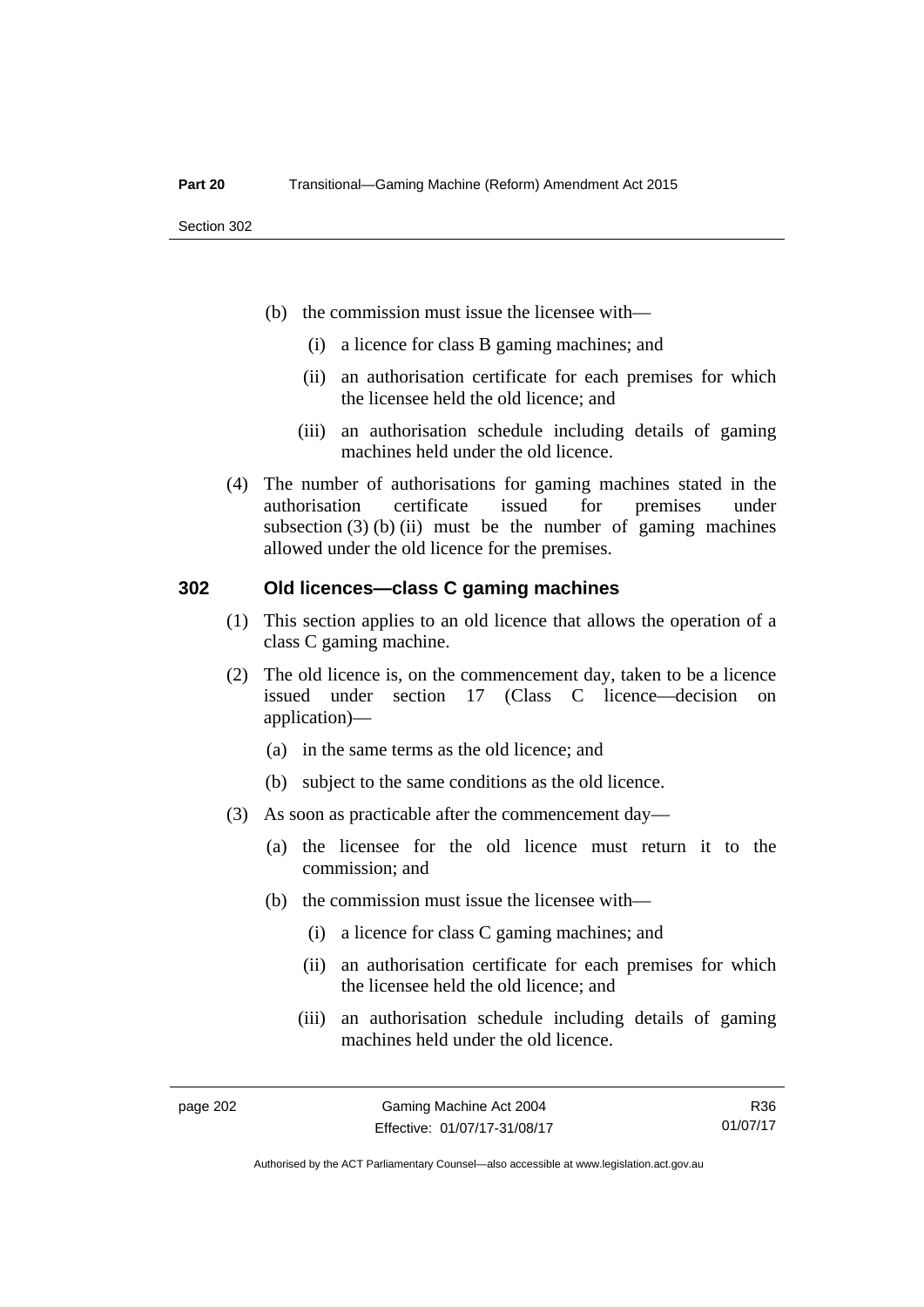- (b) the commission must issue the licensee with—
	- (i) a licence for class B gaming machines; and
	- (ii) an authorisation certificate for each premises for which the licensee held the old licence; and
	- (iii) an authorisation schedule including details of gaming machines held under the old licence.
- (4) The number of authorisations for gaming machines stated in the authorisation certificate issued for premises under subsection  $(3)$  (b) (ii) must be the number of gaming machines allowed under the old licence for the premises.

# **302 Old licences—class C gaming machines**

- (1) This section applies to an old licence that allows the operation of a class C gaming machine.
- (2) The old licence is, on the commencement day, taken to be a licence issued under section 17 (Class C licence—decision on application)—
	- (a) in the same terms as the old licence; and
	- (b) subject to the same conditions as the old licence.
- (3) As soon as practicable after the commencement day—
	- (a) the licensee for the old licence must return it to the commission; and
	- (b) the commission must issue the licensee with—
		- (i) a licence for class C gaming machines; and
		- (ii) an authorisation certificate for each premises for which the licensee held the old licence; and
		- (iii) an authorisation schedule including details of gaming machines held under the old licence.

R36 01/07/17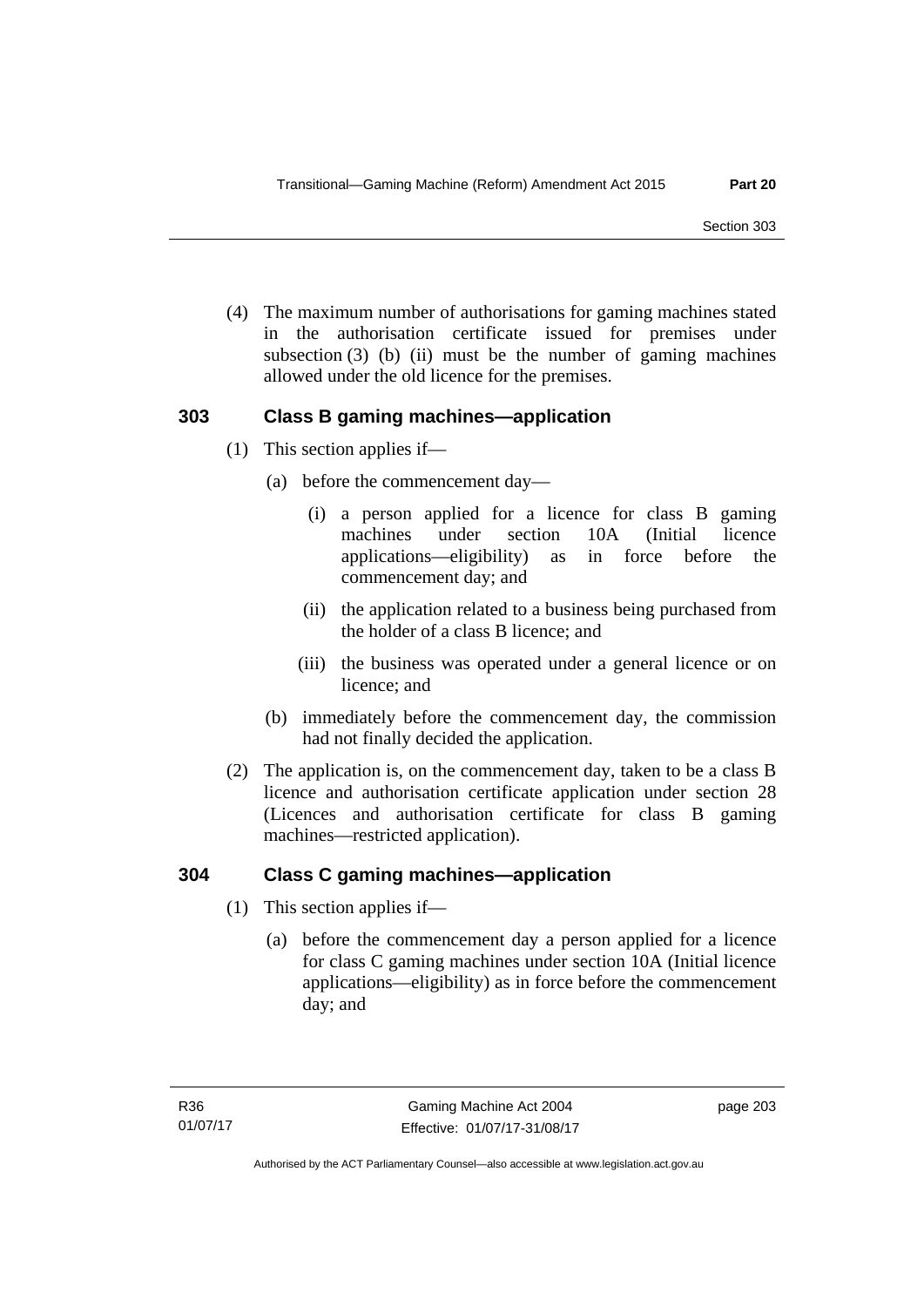(4) The maximum number of authorisations for gaming machines stated in the authorisation certificate issued for premises under subsection  $(3)$  (b) (ii) must be the number of gaming machines allowed under the old licence for the premises.

# **303 Class B gaming machines—application**

- (1) This section applies if—
	- (a) before the commencement day—
		- (i) a person applied for a licence for class B gaming machines under section 10A (Initial licence applications—eligibility) as in force before the commencement day; and
		- (ii) the application related to a business being purchased from the holder of a class B licence; and
		- (iii) the business was operated under a general licence or on licence; and
	- (b) immediately before the commencement day, the commission had not finally decided the application.
- (2) The application is, on the commencement day, taken to be a class B licence and authorisation certificate application under section 28 (Licences and authorisation certificate for class B gaming machines—restricted application).

# **304 Class C gaming machines—application**

- (1) This section applies if—
	- (a) before the commencement day a person applied for a licence for class C gaming machines under section 10A (Initial licence applications—eligibility) as in force before the commencement day; and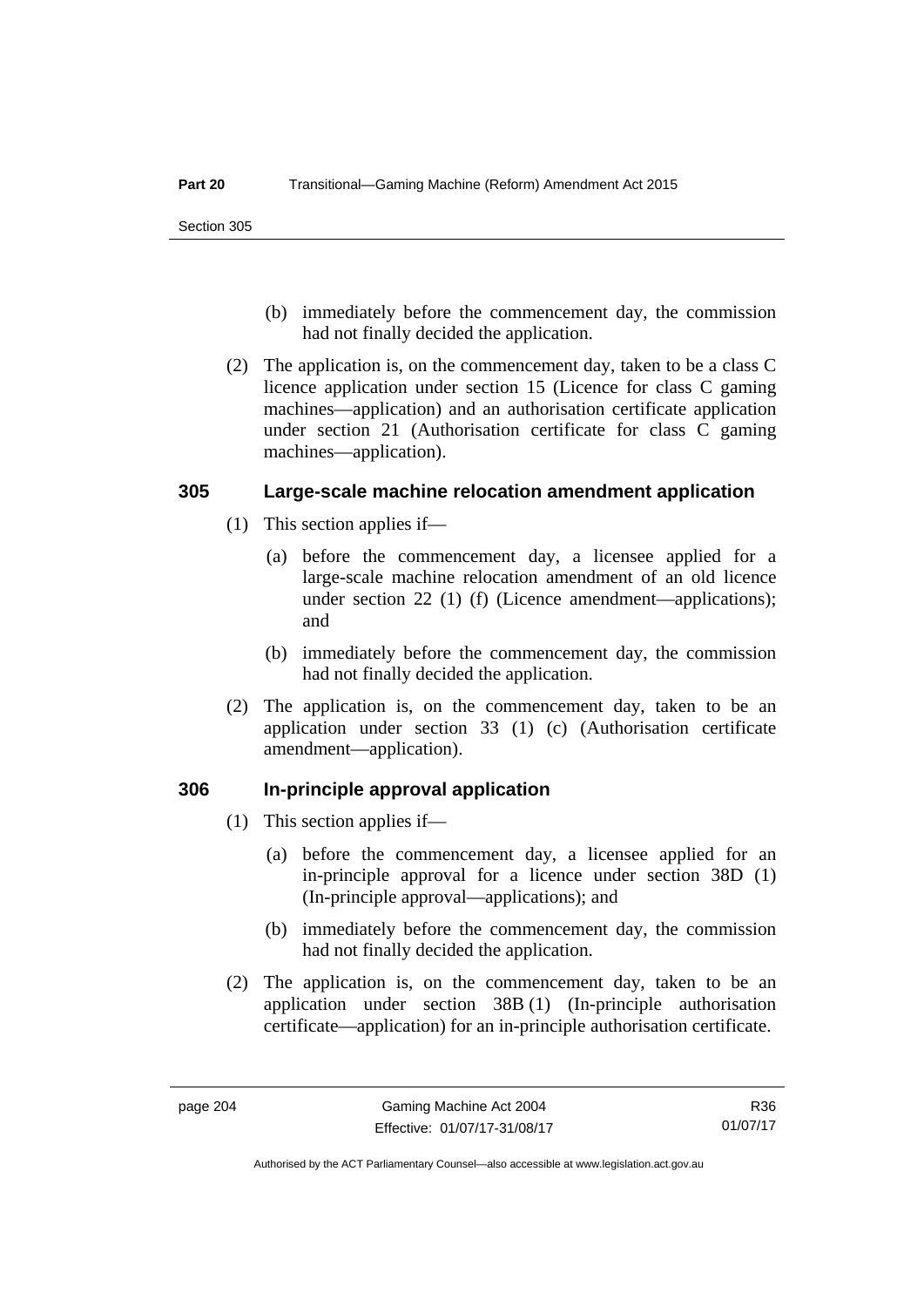- (b) immediately before the commencement day, the commission had not finally decided the application.
- (2) The application is, on the commencement day, taken to be a class C licence application under section 15 (Licence for class C gaming machines—application) and an authorisation certificate application under section 21 (Authorisation certificate for class C gaming machines—application).

# **305 Large-scale machine relocation amendment application**

- (1) This section applies if—
	- (a) before the commencement day, a licensee applied for a large-scale machine relocation amendment of an old licence under section 22 (1) (f) (Licence amendment—applications); and
	- (b) immediately before the commencement day, the commission had not finally decided the application.
- (2) The application is, on the commencement day, taken to be an application under section 33 (1) (c) (Authorisation certificate amendment—application).

# **306 In-principle approval application**

- (1) This section applies if—
	- (a) before the commencement day, a licensee applied for an in-principle approval for a licence under section 38D (1) (In-principle approval—applications); and
	- (b) immediately before the commencement day, the commission had not finally decided the application.
- (2) The application is, on the commencement day, taken to be an application under section 38B (1) (In-principle authorisation certificate—application) for an in-principle authorisation certificate.

R36 01/07/17

Authorised by the ACT Parliamentary Counsel—also accessible at www.legislation.act.gov.au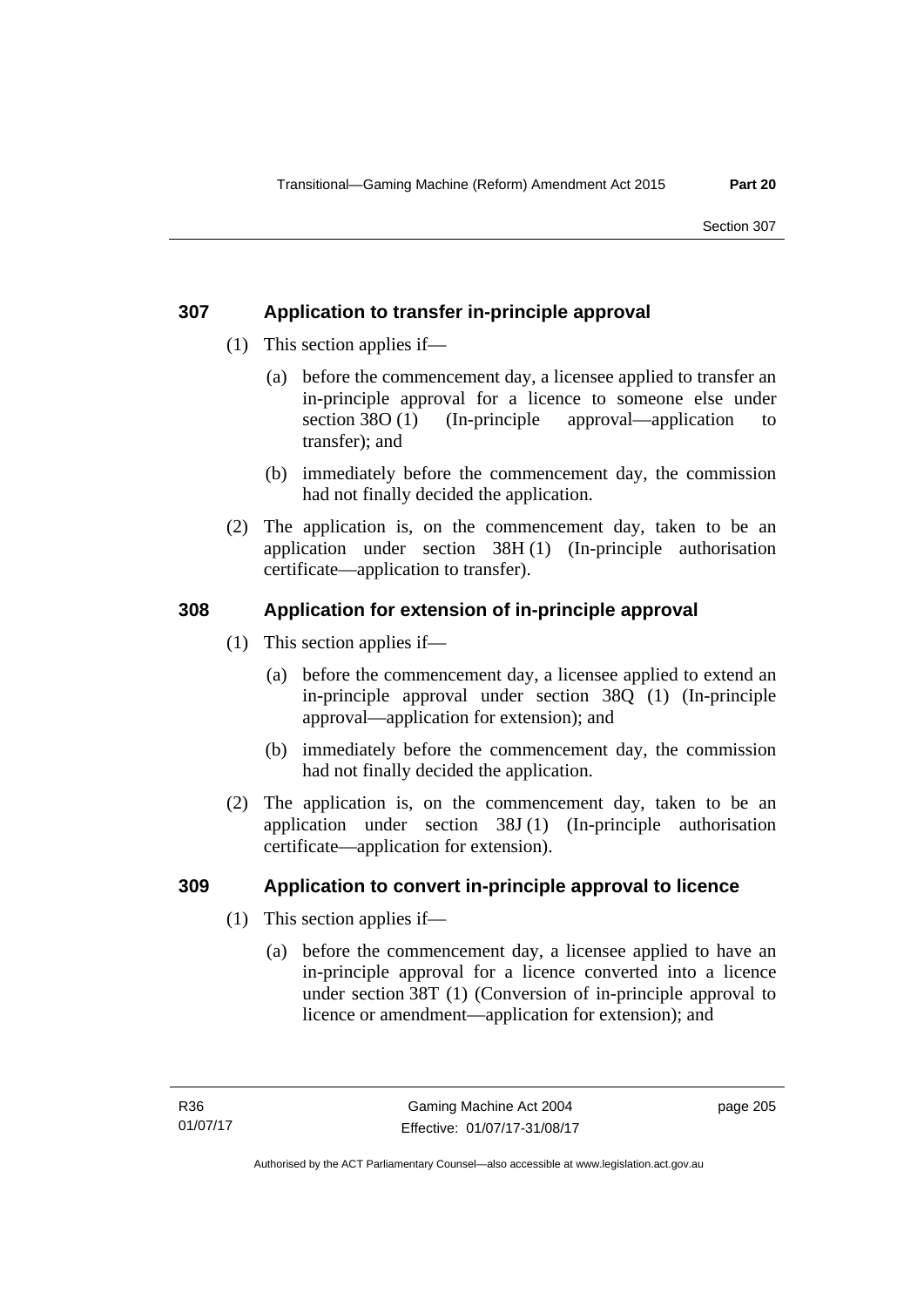# **307 Application to transfer in-principle approval**

- (1) This section applies if—
	- (a) before the commencement day, a licensee applied to transfer an in-principle approval for a licence to someone else under section 38O (1) (In-principle approval—application to transfer); and
	- (b) immediately before the commencement day, the commission had not finally decided the application.
- (2) The application is, on the commencement day, taken to be an application under section 38H (1) (In-principle authorisation certificate—application to transfer).

# **308 Application for extension of in-principle approval**

- (1) This section applies if—
	- (a) before the commencement day, a licensee applied to extend an in-principle approval under section 38Q (1) (In-principle approval—application for extension); and
	- (b) immediately before the commencement day, the commission had not finally decided the application.
- (2) The application is, on the commencement day, taken to be an application under section 38J (1) (In-principle authorisation certificate—application for extension).

# **309 Application to convert in-principle approval to licence**

- (1) This section applies if—
	- (a) before the commencement day, a licensee applied to have an in-principle approval for a licence converted into a licence under section 38T (1) (Conversion of in-principle approval to licence or amendment—application for extension); and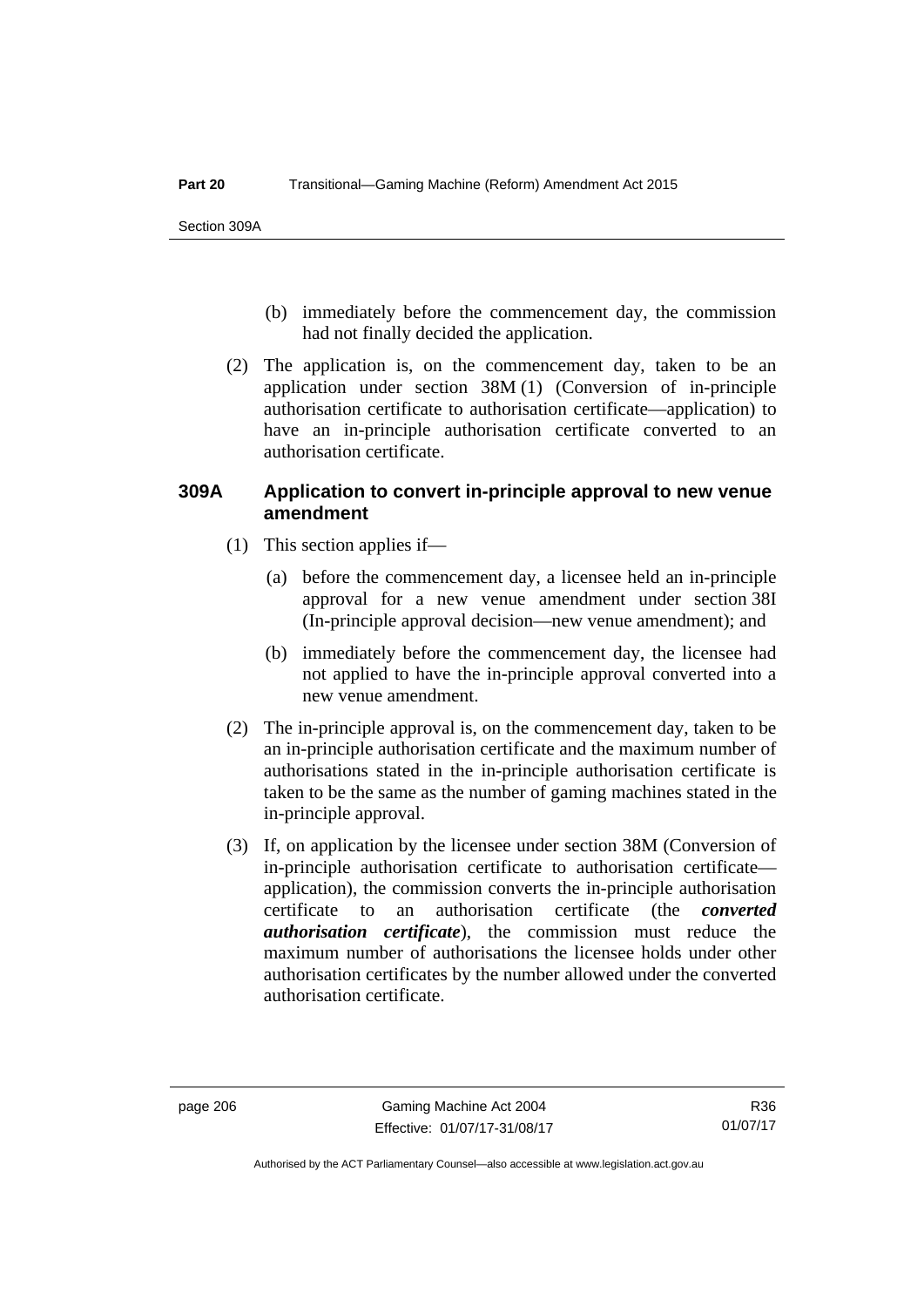- (b) immediately before the commencement day, the commission had not finally decided the application.
- (2) The application is, on the commencement day, taken to be an application under section 38M (1) (Conversion of in-principle authorisation certificate to authorisation certificate—application) to have an in-principle authorisation certificate converted to an authorisation certificate.

# **309A Application to convert in-principle approval to new venue amendment**

- (1) This section applies if—
	- (a) before the commencement day, a licensee held an in-principle approval for a new venue amendment under section 38I (In-principle approval decision—new venue amendment); and
	- (b) immediately before the commencement day, the licensee had not applied to have the in-principle approval converted into a new venue amendment.
- (2) The in-principle approval is, on the commencement day, taken to be an in-principle authorisation certificate and the maximum number of authorisations stated in the in-principle authorisation certificate is taken to be the same as the number of gaming machines stated in the in-principle approval.
- (3) If, on application by the licensee under section 38M (Conversion of in-principle authorisation certificate to authorisation certificate application), the commission converts the in-principle authorisation certificate to an authorisation certificate (the *converted authorisation certificate*), the commission must reduce the maximum number of authorisations the licensee holds under other authorisation certificates by the number allowed under the converted authorisation certificate.

Authorised by the ACT Parliamentary Counsel—also accessible at www.legislation.act.gov.au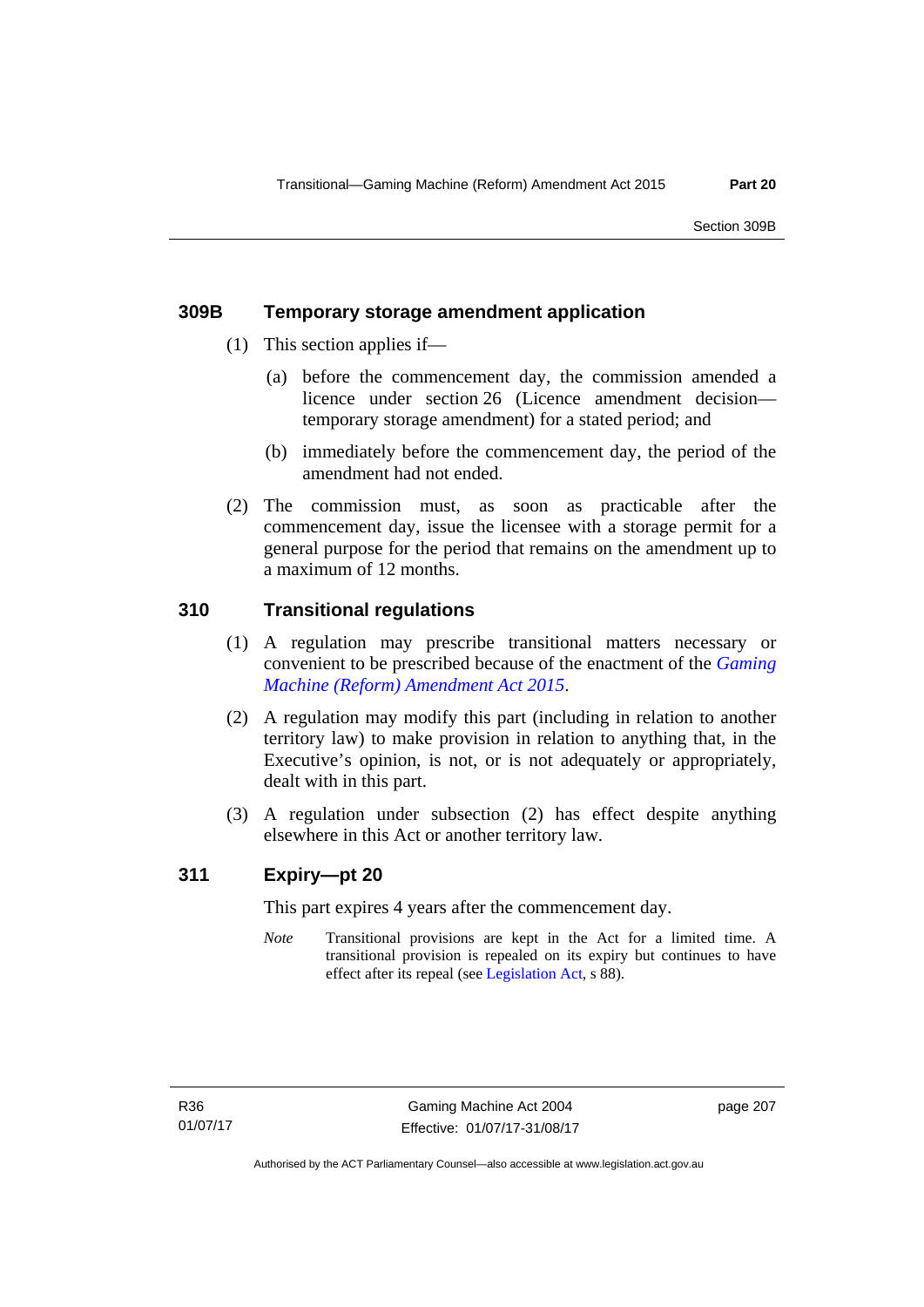# **309B Temporary storage amendment application**

- (1) This section applies if—
	- (a) before the commencement day, the commission amended a licence under section 26 (Licence amendment decision temporary storage amendment) for a stated period; and
	- (b) immediately before the commencement day, the period of the amendment had not ended.
- (2) The commission must, as soon as practicable after the commencement day, issue the licensee with a storage permit for a general purpose for the period that remains on the amendment up to a maximum of 12 months.

# **310 Transitional regulations**

- (1) A regulation may prescribe transitional matters necessary or convenient to be prescribed because of the enactment of the *[Gaming](http://www.legislation.act.gov.au/a/2015-21/default.asp)  [Machine \(Reform\) Amendment Act 2015](http://www.legislation.act.gov.au/a/2015-21/default.asp)*.
- (2) A regulation may modify this part (including in relation to another territory law) to make provision in relation to anything that, in the Executive's opinion, is not, or is not adequately or appropriately, dealt with in this part.
- (3) A regulation under subsection (2) has effect despite anything elsewhere in this Act or another territory law.

# **311 Expiry—pt 20**

This part expires 4 years after the commencement day.

*Note* Transitional provisions are kept in the Act for a limited time. A transitional provision is repealed on its expiry but continues to have effect after its repeal (see [Legislation Act,](http://www.legislation.act.gov.au/a/2001-14) s 88).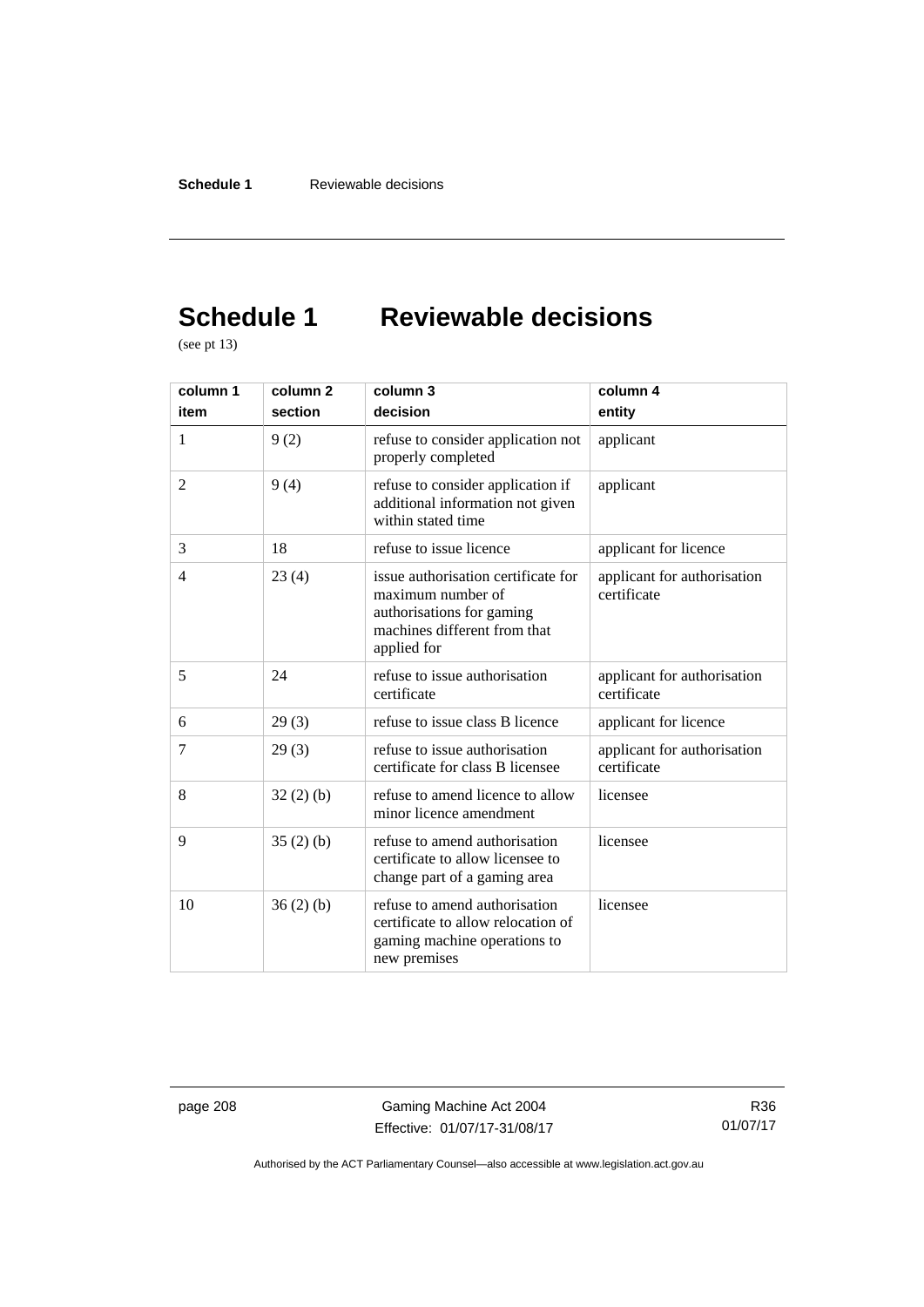# **Schedule 1 Reviewable decisions**

(see pt 13)

| column 1       | column <sub>2</sub> | column 3                                                                                                                             | column 4                                   |
|----------------|---------------------|--------------------------------------------------------------------------------------------------------------------------------------|--------------------------------------------|
| item           | section             | decision                                                                                                                             | entity                                     |
| 1              | 9(2)                | refuse to consider application not<br>properly completed                                                                             | applicant                                  |
| $\overline{c}$ | 9(4)                | refuse to consider application if<br>additional information not given<br>within stated time                                          | applicant                                  |
| 3              | 18                  | refuse to issue licence                                                                                                              | applicant for licence                      |
| 4              | 23(4)               | issue authorisation certificate for<br>maximum number of<br>authorisations for gaming<br>machines different from that<br>applied for | applicant for authorisation<br>certificate |
| 5              | 24                  | refuse to issue authorisation<br>certificate                                                                                         | applicant for authorisation<br>certificate |
| 6              | 29(3)               | refuse to issue class B licence                                                                                                      | applicant for licence                      |
| 7              | 29(3)               | refuse to issue authorisation<br>certificate for class B licensee                                                                    | applicant for authorisation<br>certificate |
| 8              | 32(2)(b)            | refuse to amend licence to allow<br>minor licence amendment                                                                          | licensee                                   |
| 9              | 35(2)(b)            | refuse to amend authorisation<br>certificate to allow licensee to<br>change part of a gaming area                                    | licensee                                   |
| 10             | 36(2)(b)            | refuse to amend authorisation<br>certificate to allow relocation of<br>gaming machine operations to<br>new premises                  | licensee                                   |

page 208 Gaming Machine Act 2004 Effective: 01/07/17-31/08/17

R36 01/07/17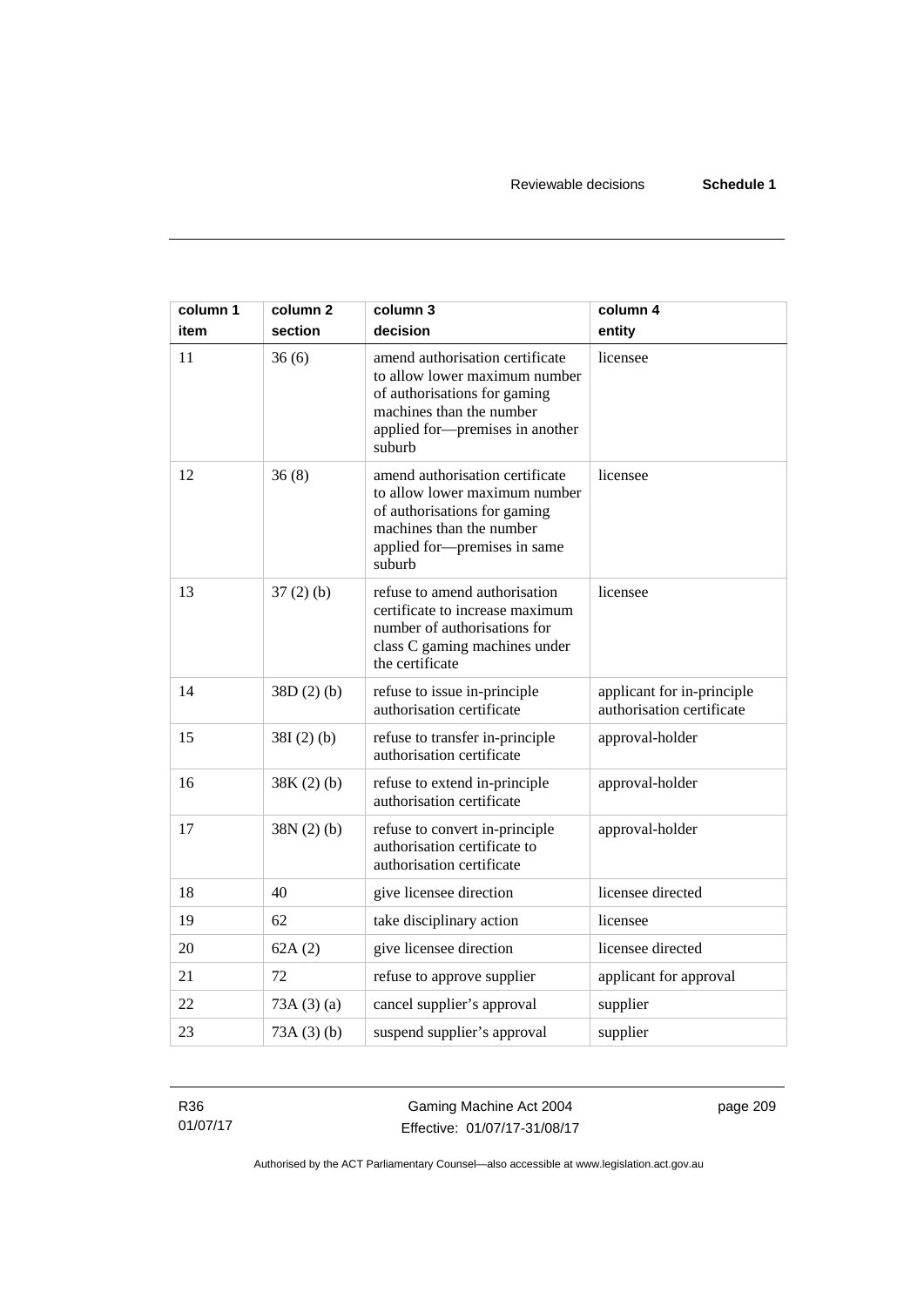| column 1 | column <sub>2</sub> | column 3                                                                                                                                                                  | column 4                                                |
|----------|---------------------|---------------------------------------------------------------------------------------------------------------------------------------------------------------------------|---------------------------------------------------------|
| item     | section             | decision                                                                                                                                                                  | entity                                                  |
| 11       | 36(6)               | amend authorisation certificate<br>to allow lower maximum number<br>of authorisations for gaming<br>machines than the number<br>applied for-premises in another<br>suburb | licensee                                                |
| 12       | 36(8)               | amend authorisation certificate<br>to allow lower maximum number<br>of authorisations for gaming<br>machines than the number<br>applied for-premises in same<br>suburb    | licensee                                                |
| 13       | 37(2)(b)            | refuse to amend authorisation<br>certificate to increase maximum<br>number of authorisations for<br>class C gaming machines under<br>the certificate                      | licensee                                                |
| 14       | 38D(2)(b)           | refuse to issue in-principle<br>authorisation certificate                                                                                                                 | applicant for in-principle<br>authorisation certificate |
| 15       | $38I(2)$ (b)        | refuse to transfer in-principle<br>authorisation certificate                                                                                                              | approval-holder                                         |
| 16       | $38K(2)$ (b)        | refuse to extend in-principle<br>authorisation certificate                                                                                                                | approval-holder                                         |
| 17       | 38N(2)(b)           | refuse to convert in-principle<br>authorisation certificate to<br>authorisation certificate                                                                               | approval-holder                                         |
| 18       | 40                  | give licensee direction                                                                                                                                                   | licensee directed                                       |
| 19       | 62                  | take disciplinary action                                                                                                                                                  | licensee                                                |
| 20       | 62A(2)              | give licensee direction                                                                                                                                                   | licensee directed                                       |
| 21       | 72                  | refuse to approve supplier                                                                                                                                                | applicant for approval                                  |
| 22       | 73A(3)(a)           | cancel supplier's approval                                                                                                                                                | supplier                                                |
| 23       | 73A(3)(b)           | suspend supplier's approval                                                                                                                                               | supplier                                                |

R36 01/07/17

Gaming Machine Act 2004 Effective: 01/07/17-31/08/17 page 209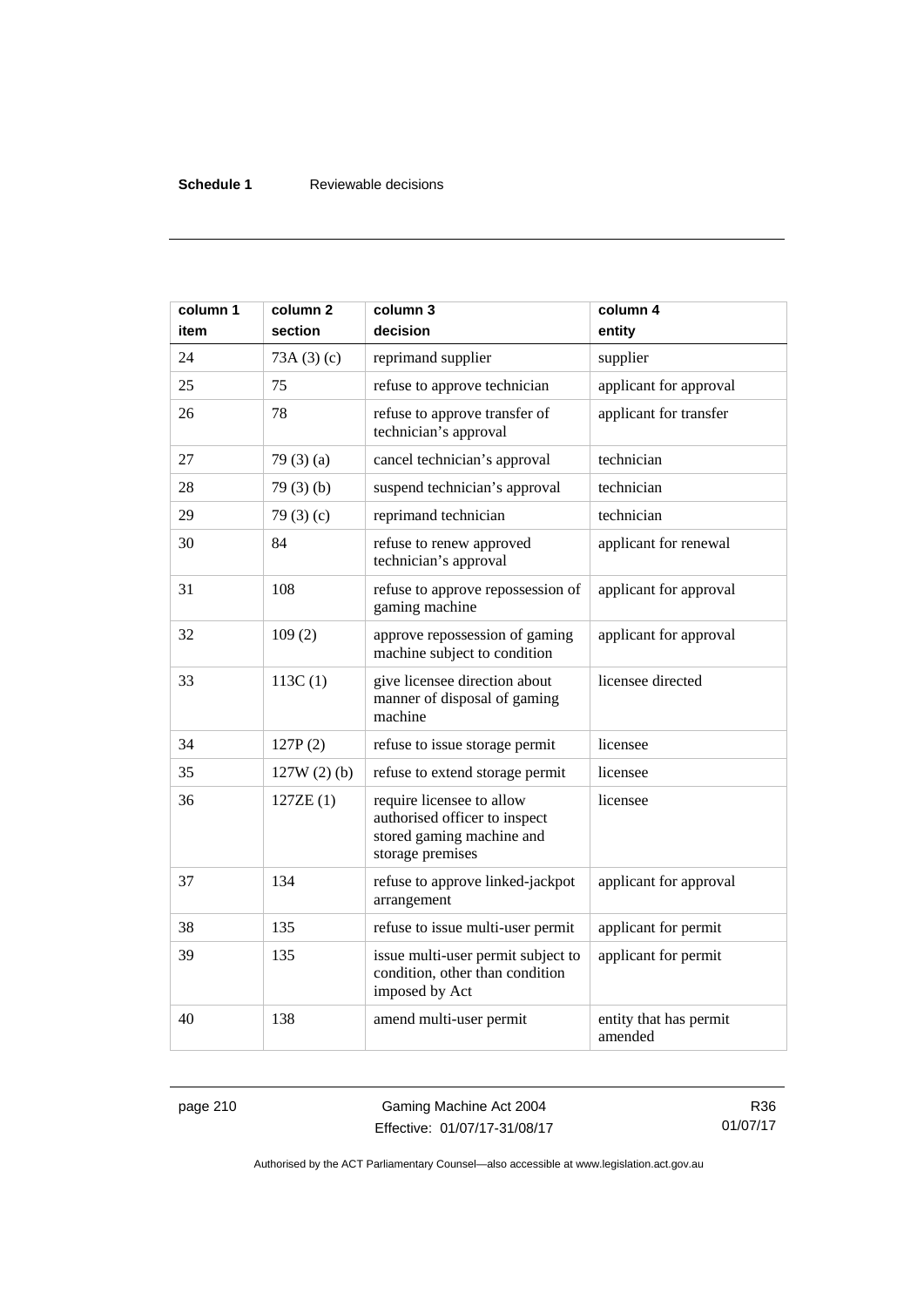# **Schedule 1** Reviewable decisions

| column 1<br>item | column 2<br>section | column 3<br>decision                                                                                        | column 4<br>entity                |
|------------------|---------------------|-------------------------------------------------------------------------------------------------------------|-----------------------------------|
| 24               | 73A(3)(c)           | reprimand supplier                                                                                          | supplier                          |
| 25               | 75                  | refuse to approve technician                                                                                | applicant for approval            |
| 26               | 78                  | refuse to approve transfer of<br>technician's approval                                                      | applicant for transfer            |
| 27               | 79 $(3)(a)$         | cancel technician's approval                                                                                | technician                        |
| 28               | 79(3)(b)            | suspend technician's approval                                                                               | technician                        |
| 29               | 79 $(3)(c)$         | reprimand technician                                                                                        | technician                        |
| 30               | 84                  | refuse to renew approved<br>technician's approval                                                           | applicant for renewal             |
| 31               | 108                 | refuse to approve repossession of<br>gaming machine                                                         | applicant for approval            |
| 32               | 109(2)              | approve repossession of gaming<br>machine subject to condition                                              | applicant for approval            |
| 33               | 113C(1)             | give licensee direction about<br>manner of disposal of gaming<br>machine                                    | licensee directed                 |
| 34               | 127P(2)             | refuse to issue storage permit                                                                              | licensee                          |
| 35               | $127W(2)$ (b)       | refuse to extend storage permit                                                                             | licensee                          |
| 36               | 127ZE (1)           | require licensee to allow<br>authorised officer to inspect<br>stored gaming machine and<br>storage premises | licensee                          |
| 37               | 134                 | refuse to approve linked-jackpot<br>arrangement                                                             | applicant for approval            |
| 38               | 135                 | refuse to issue multi-user permit                                                                           | applicant for permit              |
| 39               | 135                 | issue multi-user permit subject to<br>condition, other than condition<br>imposed by Act                     | applicant for permit              |
| 40               | 138                 | amend multi-user permit                                                                                     | entity that has permit<br>amended |

page 210 Gaming Machine Act 2004 Effective: 01/07/17-31/08/17

R36 01/07/17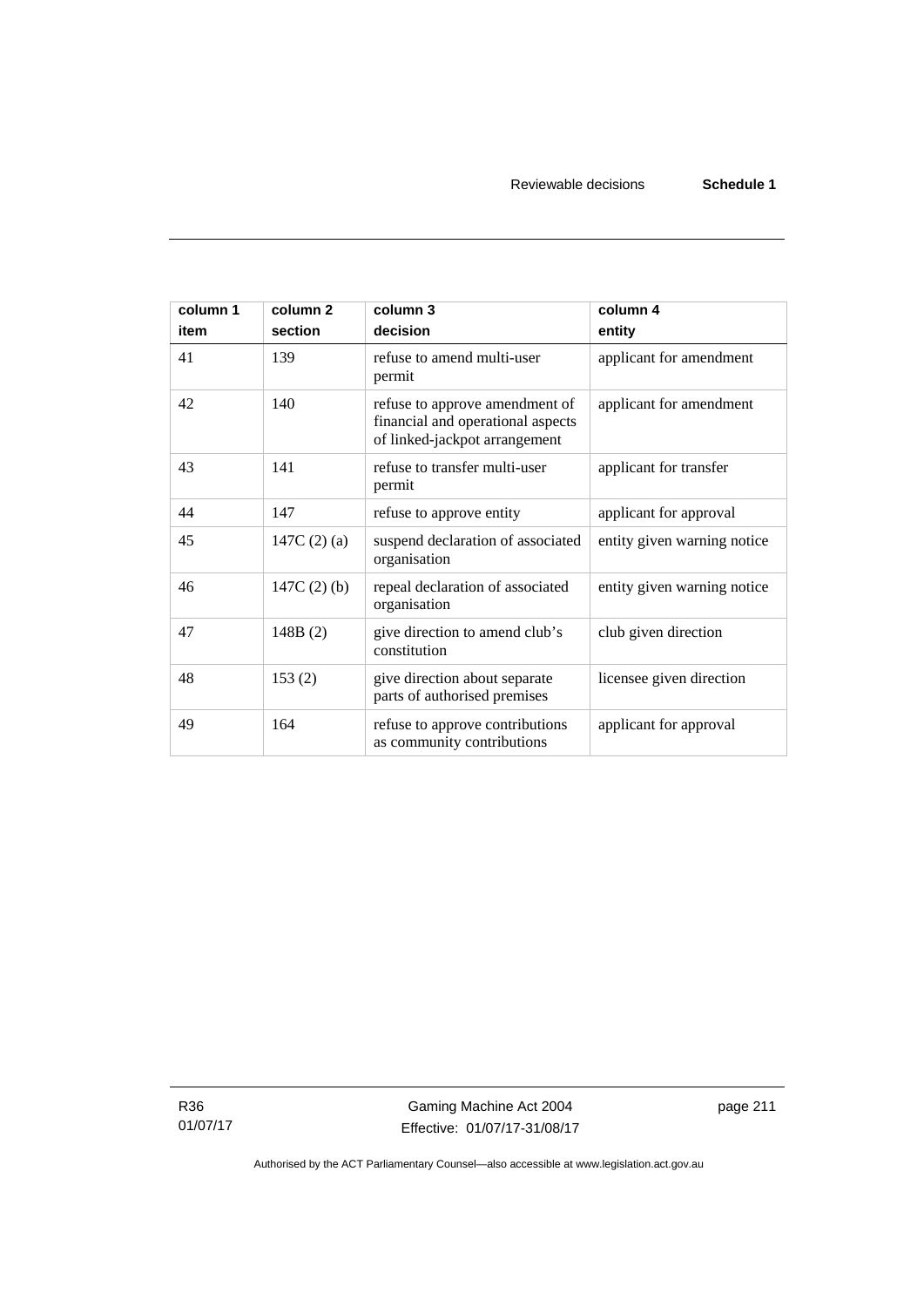| column 1<br>item | column <sub>2</sub><br>section | column 3<br>decision                                                                                 | column 4<br>entity          |
|------------------|--------------------------------|------------------------------------------------------------------------------------------------------|-----------------------------|
| 41               | 139                            | refuse to amend multi-user<br>permit                                                                 | applicant for amendment     |
| 42               | 140                            | refuse to approve amendment of<br>financial and operational aspects<br>of linked-jackpot arrangement | applicant for amendment     |
| 43               | 141                            | refuse to transfer multi-user<br>permit                                                              | applicant for transfer      |
| 44               | 147                            | refuse to approve entity                                                                             | applicant for approval      |
| 45               | 147C $(2)$ $(a)$               | suspend declaration of associated<br>organisation                                                    | entity given warning notice |
| 46               | 147C $(2)$ $(b)$               | repeal declaration of associated<br>organisation                                                     | entity given warning notice |
| 47               | 148B(2)                        | give direction to amend club's<br>constitution                                                       | club given direction        |
| 48               | 153(2)                         | give direction about separate<br>parts of authorised premises                                        | licensee given direction    |
| 49               | 164                            | refuse to approve contributions<br>as community contributions                                        | applicant for approval      |

R36 01/07/17

Gaming Machine Act 2004 Effective: 01/07/17-31/08/17 page 211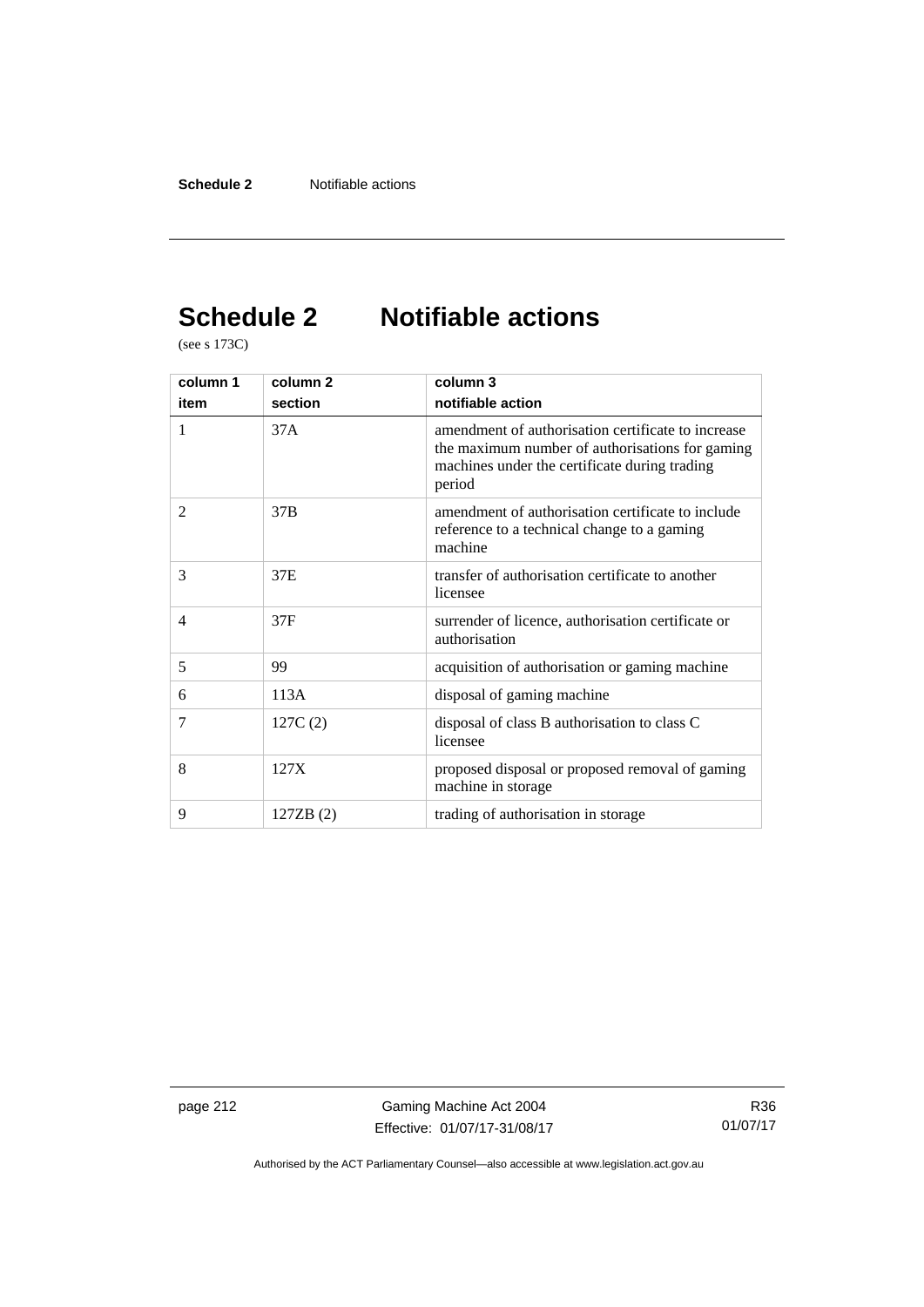# **Schedule 2 Notifiable actions**

(see s 173C)

| column 1       | column <sub>2</sub> | column 3                                                                                                                                                         |
|----------------|---------------------|------------------------------------------------------------------------------------------------------------------------------------------------------------------|
| item           | section             | notifiable action                                                                                                                                                |
| 1              | 37A                 | amendment of authorisation certificate to increase<br>the maximum number of authorisations for gaming<br>machines under the certificate during trading<br>period |
| $\overline{2}$ | 37B                 | amendment of authorisation certificate to include<br>reference to a technical change to a gaming<br>machine                                                      |
| 3              | 37E                 | transfer of authorisation certificate to another<br>licensee                                                                                                     |
| $\overline{4}$ | 37F                 | surrender of licence, authorisation certificate or<br>authorisation                                                                                              |
| 5              | 99                  | acquisition of authorisation or gaming machine                                                                                                                   |
| 6              | 113A                | disposal of gaming machine                                                                                                                                       |
| 7              | 127C(2)             | disposal of class B authorisation to class C<br>licensee                                                                                                         |
| 8              | 127X                | proposed disposal or proposed removal of gaming<br>machine in storage.                                                                                           |
| 9              | 127ZB (2)           | trading of authorisation in storage                                                                                                                              |

page 212 Gaming Machine Act 2004 Effective: 01/07/17-31/08/17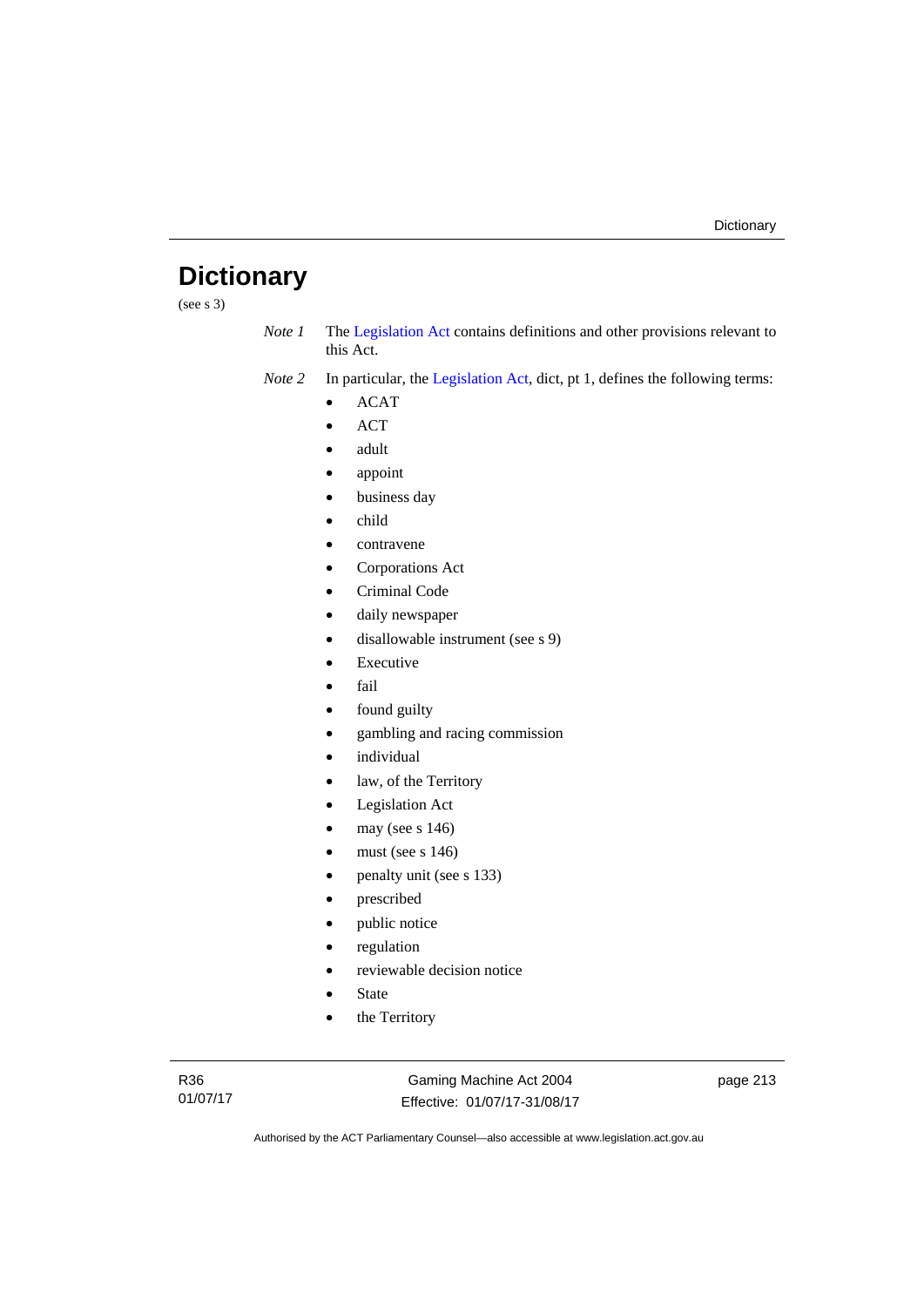# **Dictionary**

(see s 3)

*Note 1* The [Legislation Act](http://www.legislation.act.gov.au/a/2001-14) contains definitions and other provisions relevant to this Act.

*Note 2* In particular, the [Legislation Act,](http://www.legislation.act.gov.au/a/2001-14) dict, pt 1, defines the following terms:

- ACAT
- ACT
- adult
- appoint
- business day
- child
- contravene
- Corporations Act
- Criminal Code
- daily newspaper
- disallowable instrument (see s 9)
- Executive
- fail
- found guilty
- gambling and racing commission
- individual
- law, of the Territory
- Legislation Act
- may (see s 146)
- must (see s 146)
- penalty unit (see s 133)
- prescribed
- public notice
- regulation
- reviewable decision notice
- State
- the Territory

R36 01/07/17

Gaming Machine Act 2004 Effective: 01/07/17-31/08/17 page 213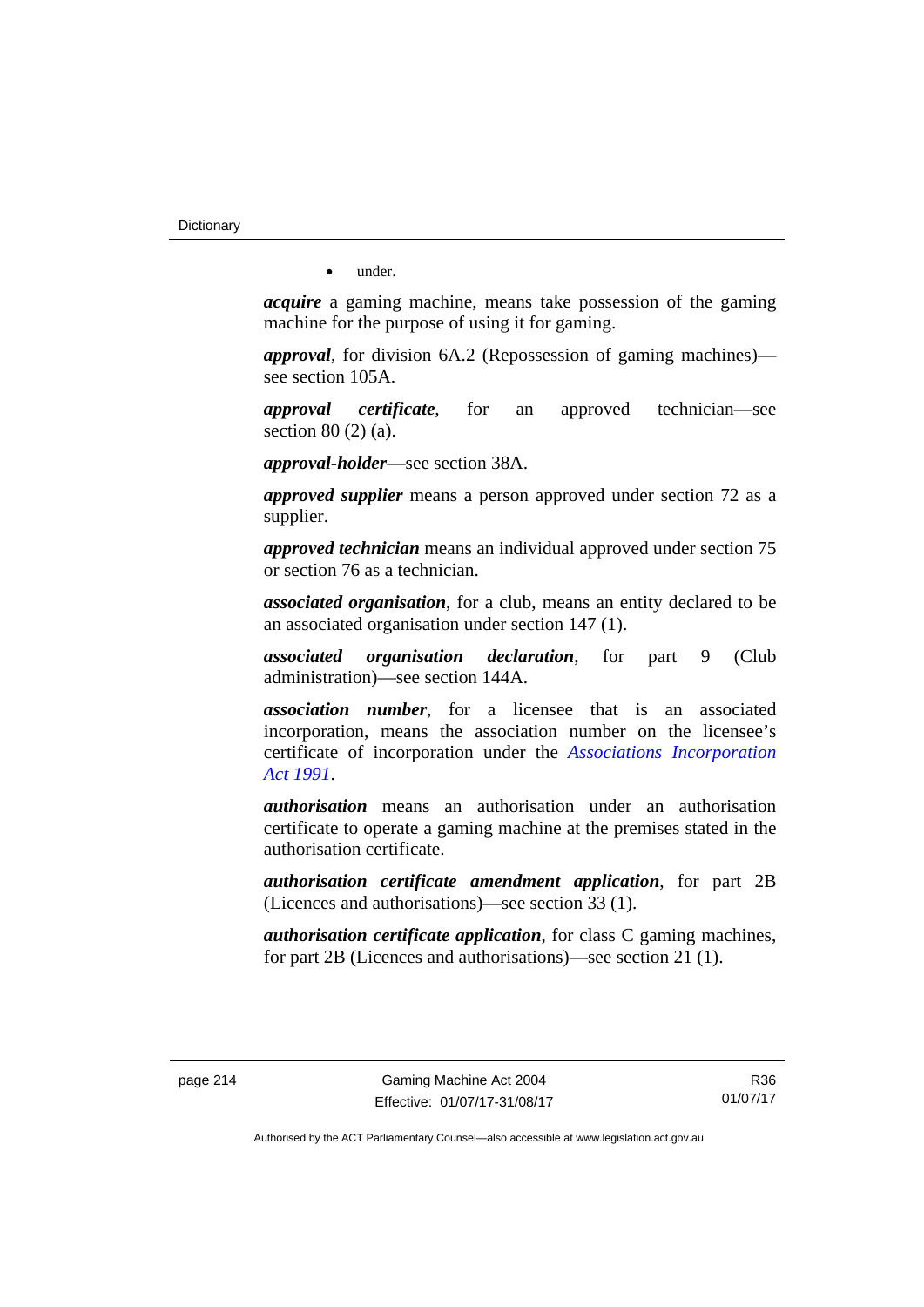**Dictionary** 

• under.

*acquire* a gaming machine, means take possession of the gaming machine for the purpose of using it for gaming.

*approval*, for division 6A.2 (Repossession of gaming machines) see section 105A.

*approval certificate*, for an approved technician—see section 80 (2) (a).

*approval-holder*—see section 38A.

*approved supplier* means a person approved under section 72 as a supplier.

*approved technician* means an individual approved under section 75 or section 76 as a technician.

*associated organisation*, for a club, means an entity declared to be an associated organisation under section 147 (1).

*associated organisation declaration*, for part 9 (Club administration)—see section 144A.

*association number*, for a licensee that is an associated incorporation, means the association number on the licensee's certificate of incorporation under the *[Associations Incorporation](http://www.legislation.act.gov.au/a/1991-46)  [Act 1991](http://www.legislation.act.gov.au/a/1991-46)*.

*authorisation* means an authorisation under an authorisation certificate to operate a gaming machine at the premises stated in the authorisation certificate.

*authorisation certificate amendment application*, for part 2B (Licences and authorisations)—see section 33 (1).

*authorisation certificate application*, for class C gaming machines, for part 2B (Licences and authorisations)—see section 21 (1).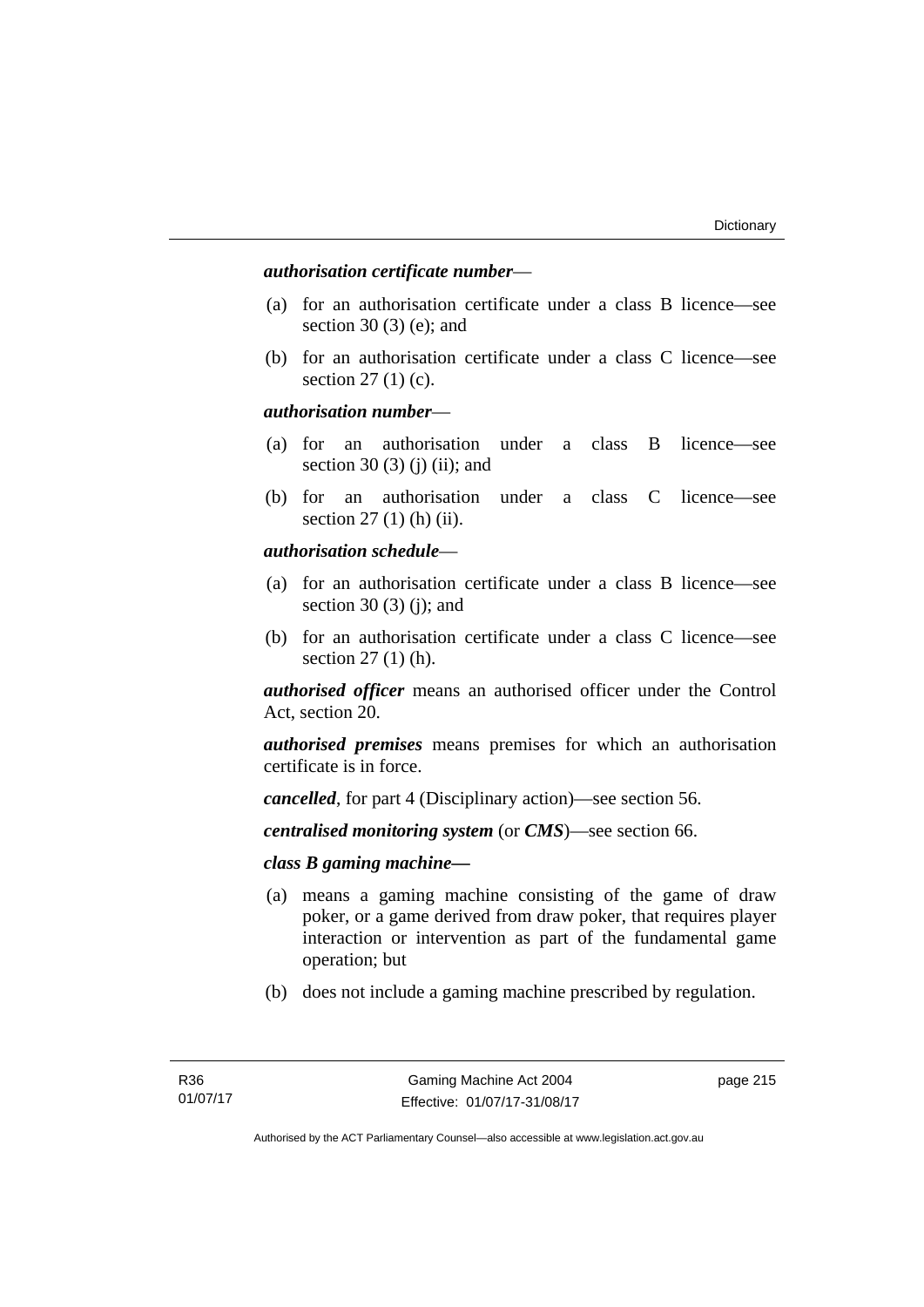# *authorisation certificate number*—

- (a) for an authorisation certificate under a class B licence—see section 30 (3) (e); and
- (b) for an authorisation certificate under a class C licence—see section 27 (1) (c).

## *authorisation number*—

- (a) for an authorisation under a class B licence—see section 30 (3) (j) (ii); and
- (b) for an authorisation under a class C licence—see section 27 (1) (h) (ii).

# *authorisation schedule*—

- (a) for an authorisation certificate under a class B licence—see section 30 $(3)$  $(i)$ ; and
- (b) for an authorisation certificate under a class C licence—see section 27 (1) (h).

*authorised officer* means an authorised officer under the Control Act, section 20.

*authorised premises* means premises for which an authorisation certificate is in force.

*cancelled*, for part 4 (Disciplinary action)—see section 56.

*centralised monitoring system* (or *CMS*)—see section 66.

# *class B gaming machine—*

- (a) means a gaming machine consisting of the game of draw poker, or a game derived from draw poker, that requires player interaction or intervention as part of the fundamental game operation; but
- (b) does not include a gaming machine prescribed by regulation.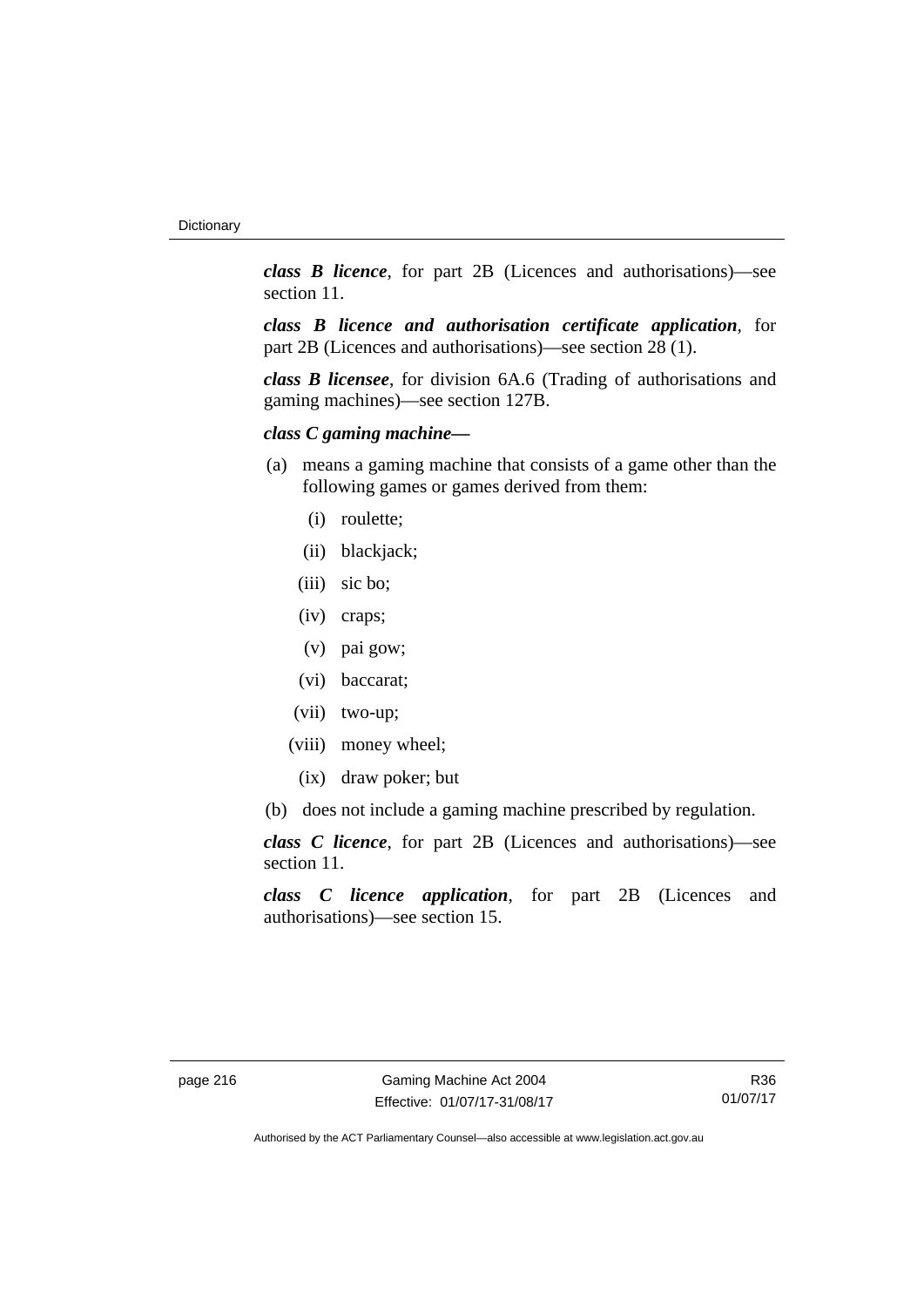*class B licence*, for part 2B (Licences and authorisations)—see section 11.

*class B licence and authorisation certificate application*, for part 2B (Licences and authorisations)—see section 28 (1).

*class B licensee*, for division 6A.6 (Trading of authorisations and gaming machines)—see section 127B.

# *class C gaming machine—*

- (a) means a gaming machine that consists of a game other than the following games or games derived from them:
	- (i) roulette;
	- (ii) blackjack;
	- (iii) sic bo;
	- (iv) craps;
	- (v) pai gow;
	- (vi) baccarat;
	- (vii) two-up;
	- (viii) money wheel;
		- (ix) draw poker; but
- (b) does not include a gaming machine prescribed by regulation.

*class C licence*, for part 2B (Licences and authorisations)—see section 11.

*class C licence application*, for part 2B (Licences and authorisations)—see section 15.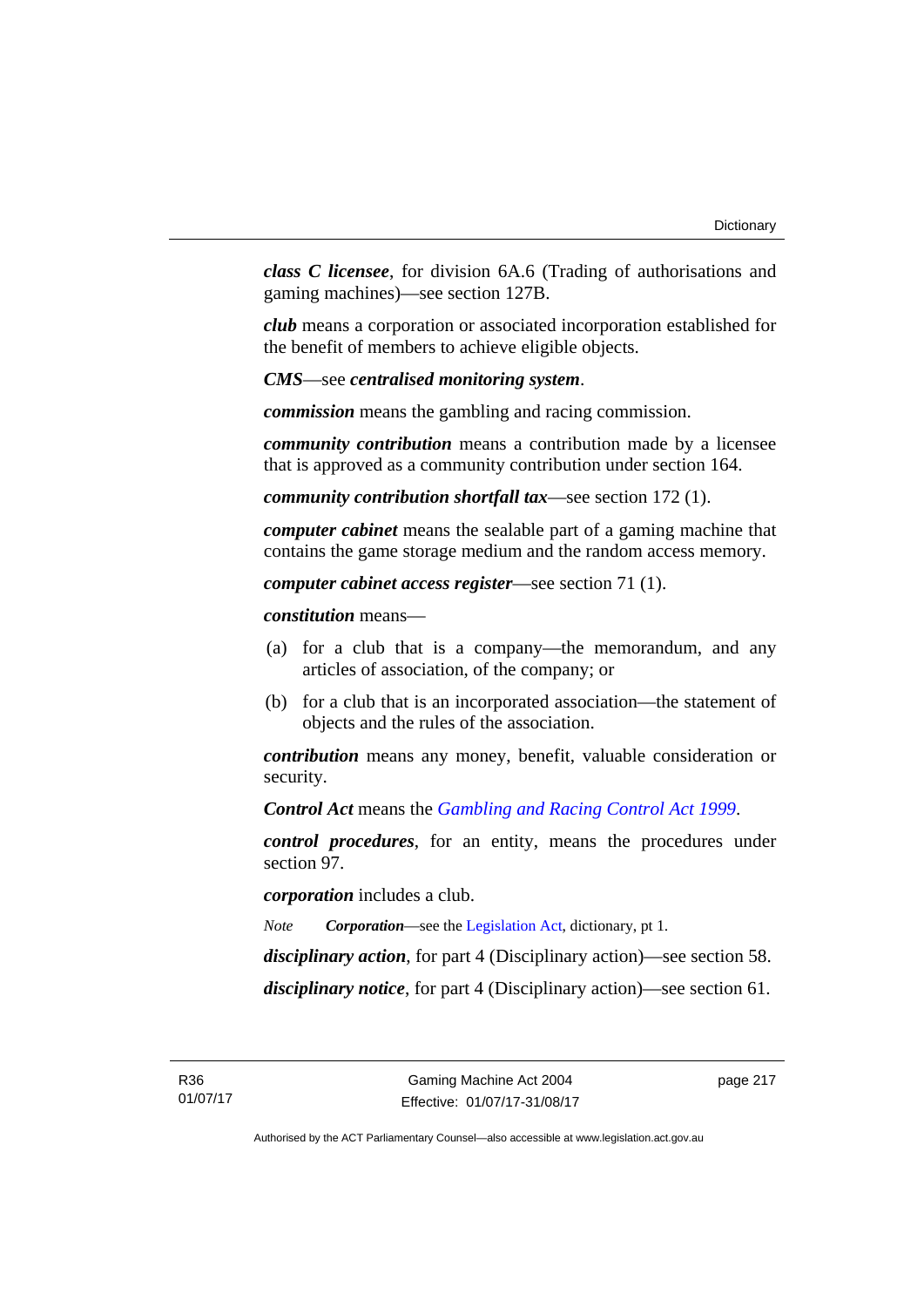*class C licensee*, for division 6A.6 (Trading of authorisations and gaming machines)—see section 127B.

*club* means a corporation or associated incorporation established for the benefit of members to achieve eligible objects.

*CMS*—see *centralised monitoring system*.

*commission* means the gambling and racing commission.

*community contribution* means a contribution made by a licensee that is approved as a community contribution under section 164.

*community contribution shortfall tax*—see section 172 (1).

*computer cabinet* means the sealable part of a gaming machine that contains the game storage medium and the random access memory.

*computer cabinet access register*—see section 71 (1).

*constitution* means—

- (a) for a club that is a company—the memorandum, and any articles of association, of the company; or
- (b) for a club that is an incorporated association—the statement of objects and the rules of the association.

*contribution* means any money, benefit, valuable consideration or security.

*Control Act* means the *[Gambling and Racing Control Act 1999](http://www.legislation.act.gov.au/a/1999-46)*.

*control procedures*, for an entity, means the procedures under section 97.

*corporation* includes a club.

*Note Corporation*—see the [Legislation Act,](http://www.legislation.act.gov.au/a/2001-14) dictionary, pt 1.

*disciplinary action*, for part 4 (Disciplinary action)—see section 58.

*disciplinary notice*, for part 4 (Disciplinary action)—see section 61.

page 217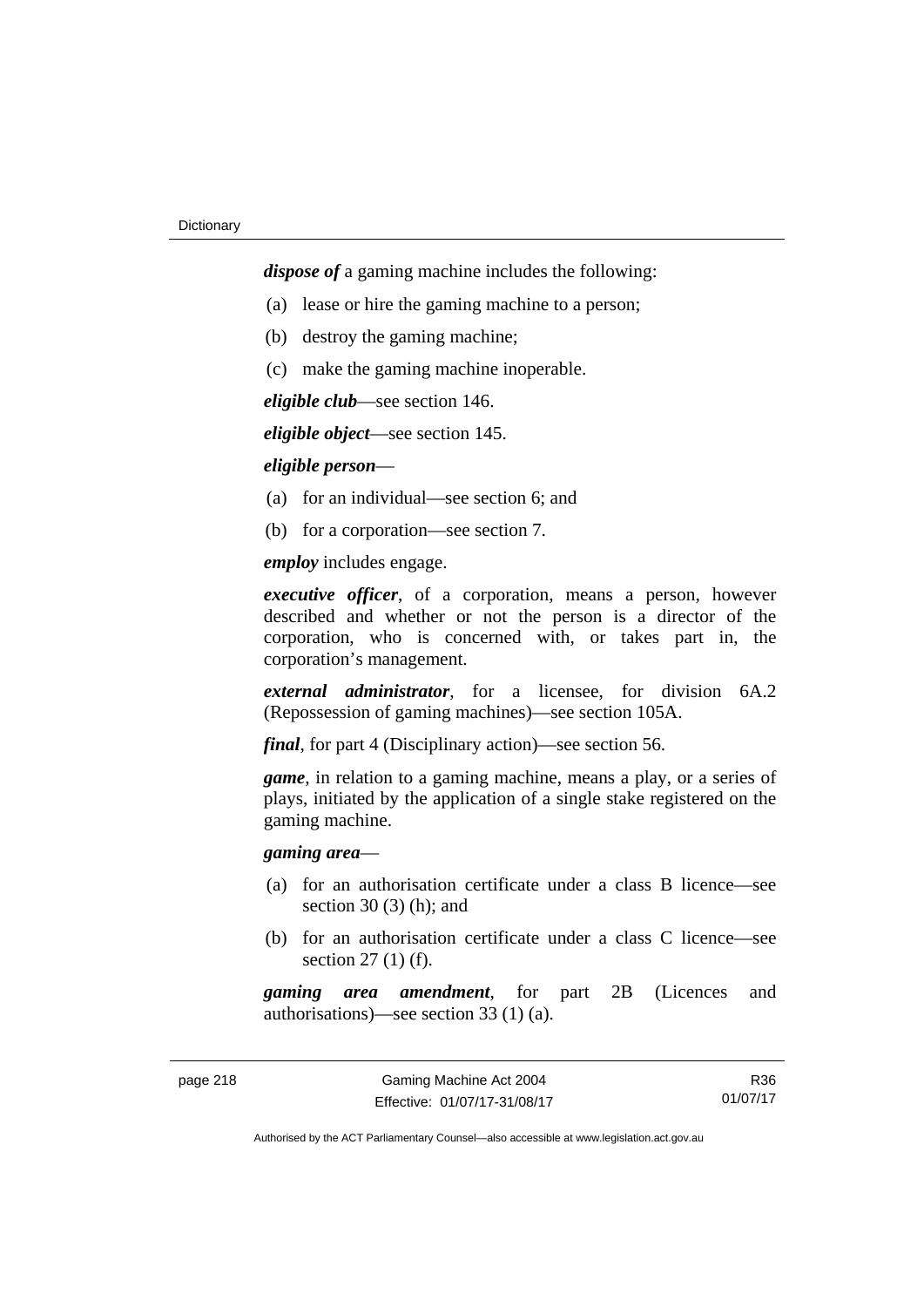*dispose of* a gaming machine includes the following:

- (a) lease or hire the gaming machine to a person;
- (b) destroy the gaming machine;
- (c) make the gaming machine inoperable.

*eligible club*—see section 146.

*eligible object*—see section 145.

## *eligible person*—

- (a) for an individual—see section 6; and
- (b) for a corporation—see section 7.

*employ* includes engage.

*executive officer*, of a corporation, means a person, however described and whether or not the person is a director of the corporation, who is concerned with, or takes part in, the corporation's management.

*external administrator*, for a licensee, for division 6A.2 (Repossession of gaming machines)—see section 105A.

*final*, for part 4 (Disciplinary action)—see section 56.

*game*, in relation to a gaming machine, means a play, or a series of plays, initiated by the application of a single stake registered on the gaming machine.

# *gaming area*—

- (a) for an authorisation certificate under a class B licence—see section  $30(3)$  (h); and
- (b) for an authorisation certificate under a class C licence—see section 27 (1) (f).

*gaming area amendment*, for part 2B (Licences and authorisations)—see section 33 (1) (a).

R36 01/07/17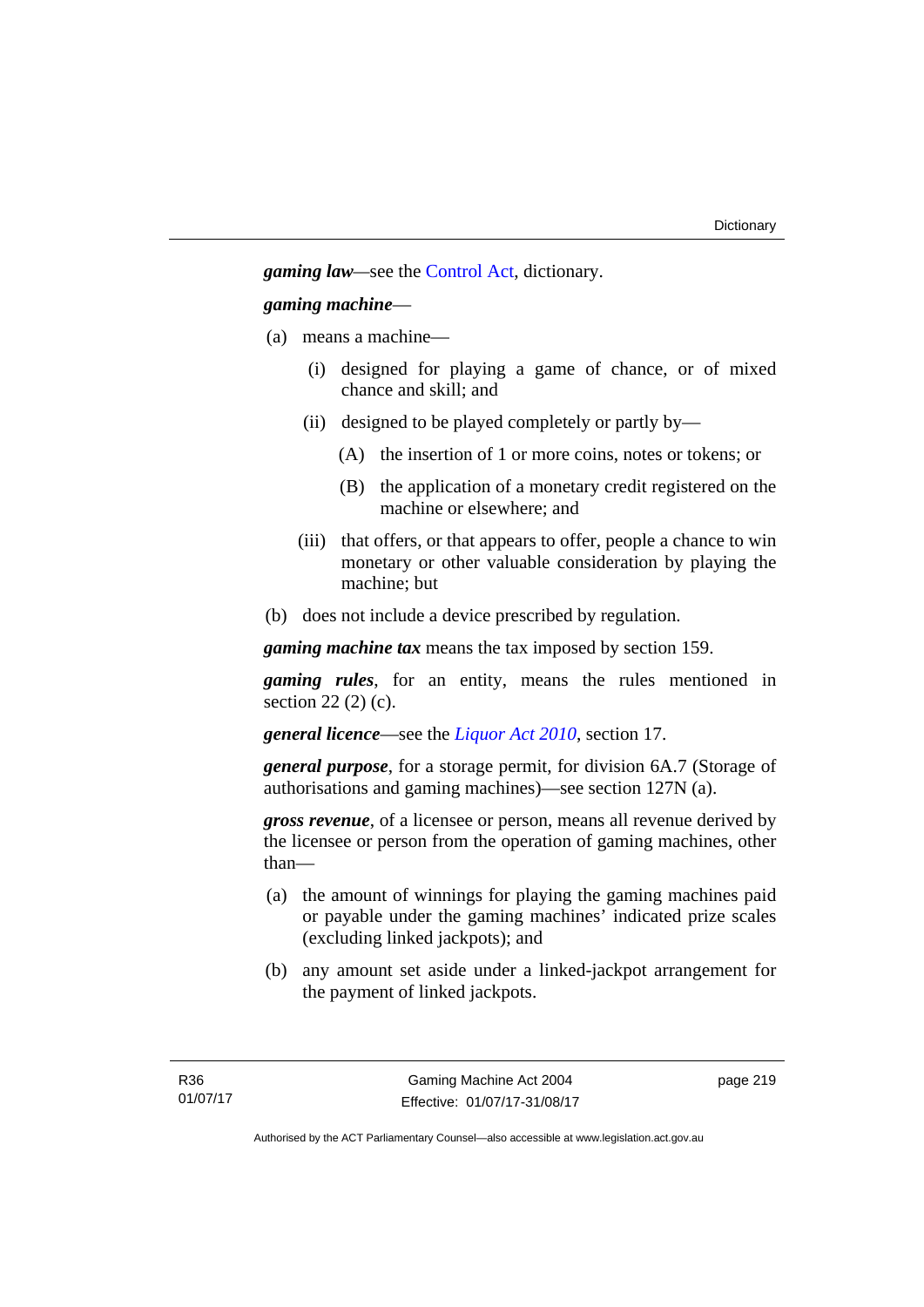*gaming law—*see the [Control Act](http://www.legislation.act.gov.au/a/1999-46/default.asp), dictionary.

# *gaming machine*—

- (a) means a machine—
	- (i) designed for playing a game of chance, or of mixed chance and skill; and
	- (ii) designed to be played completely or partly by—
		- (A) the insertion of 1 or more coins, notes or tokens; or
		- (B) the application of a monetary credit registered on the machine or elsewhere; and
	- (iii) that offers, or that appears to offer, people a chance to win monetary or other valuable consideration by playing the machine; but
- (b) does not include a device prescribed by regulation.

*gaming machine tax* means the tax imposed by section 159.

*gaming rules*, for an entity, means the rules mentioned in section 22 (2) (c).

*general licence*—see the *[Liquor Act 2010](http://www.legislation.act.gov.au/a/2010-35)*, section 17.

*general purpose*, for a storage permit, for division 6A.7 (Storage of authorisations and gaming machines)—see section 127N (a).

*gross revenue*, of a licensee or person, means all revenue derived by the licensee or person from the operation of gaming machines, other than—

- (a) the amount of winnings for playing the gaming machines paid or payable under the gaming machines' indicated prize scales (excluding linked jackpots); and
- (b) any amount set aside under a linked-jackpot arrangement for the payment of linked jackpots.

page 219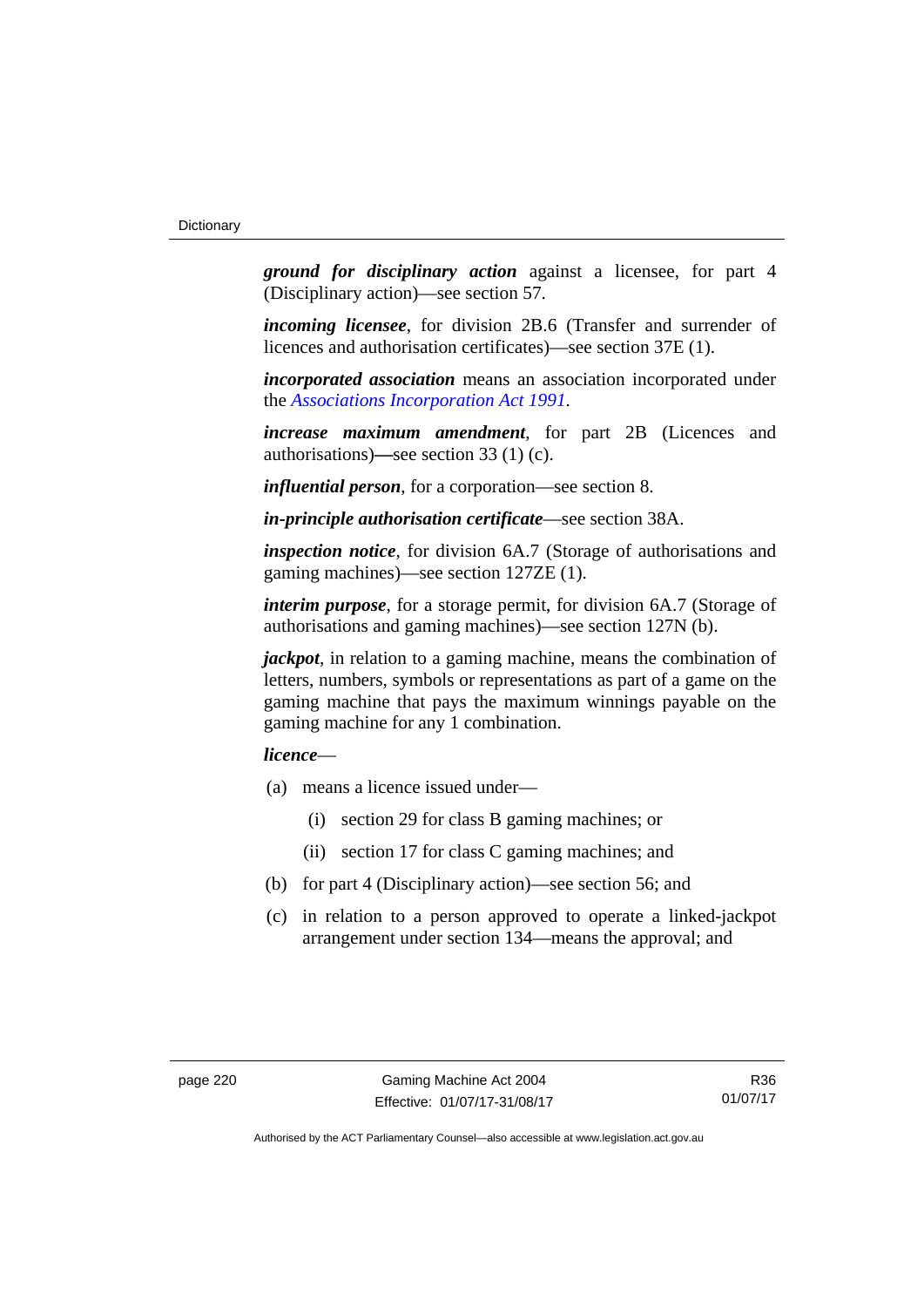*ground for disciplinary action* against a licensee, for part 4 (Disciplinary action)—see section 57.

*incoming licensee*, for division 2B.6 (Transfer and surrender of licences and authorisation certificates)—see section 37E (1).

*incorporated association* means an association incorporated under the *[Associations Incorporation Act 1991](http://www.legislation.act.gov.au/a/1991-46)*.

*increase maximum amendment*, for part 2B (Licences and authorisations)**—**see section 33 (1) (c).

*influential person*, for a corporation—see section 8.

*in-principle authorisation certificate*—see section 38A.

*inspection notice*, for division 6A.7 (Storage of authorisations and gaming machines)—see section 127ZE (1).

*interim purpose*, for a storage permit, for division 6A.7 (Storage of authorisations and gaming machines)—see section 127N (b).

*jackpot*, in relation to a gaming machine, means the combination of letters, numbers, symbols or representations as part of a game on the gaming machine that pays the maximum winnings payable on the gaming machine for any 1 combination.

# *licence*—

- (a) means a licence issued under—
	- (i) section 29 for class B gaming machines; or
	- (ii) section 17 for class C gaming machines; and
- (b) for part 4 (Disciplinary action)—see section 56; and
- (c) in relation to a person approved to operate a linked-jackpot arrangement under section 134—means the approval; and

R36 01/07/17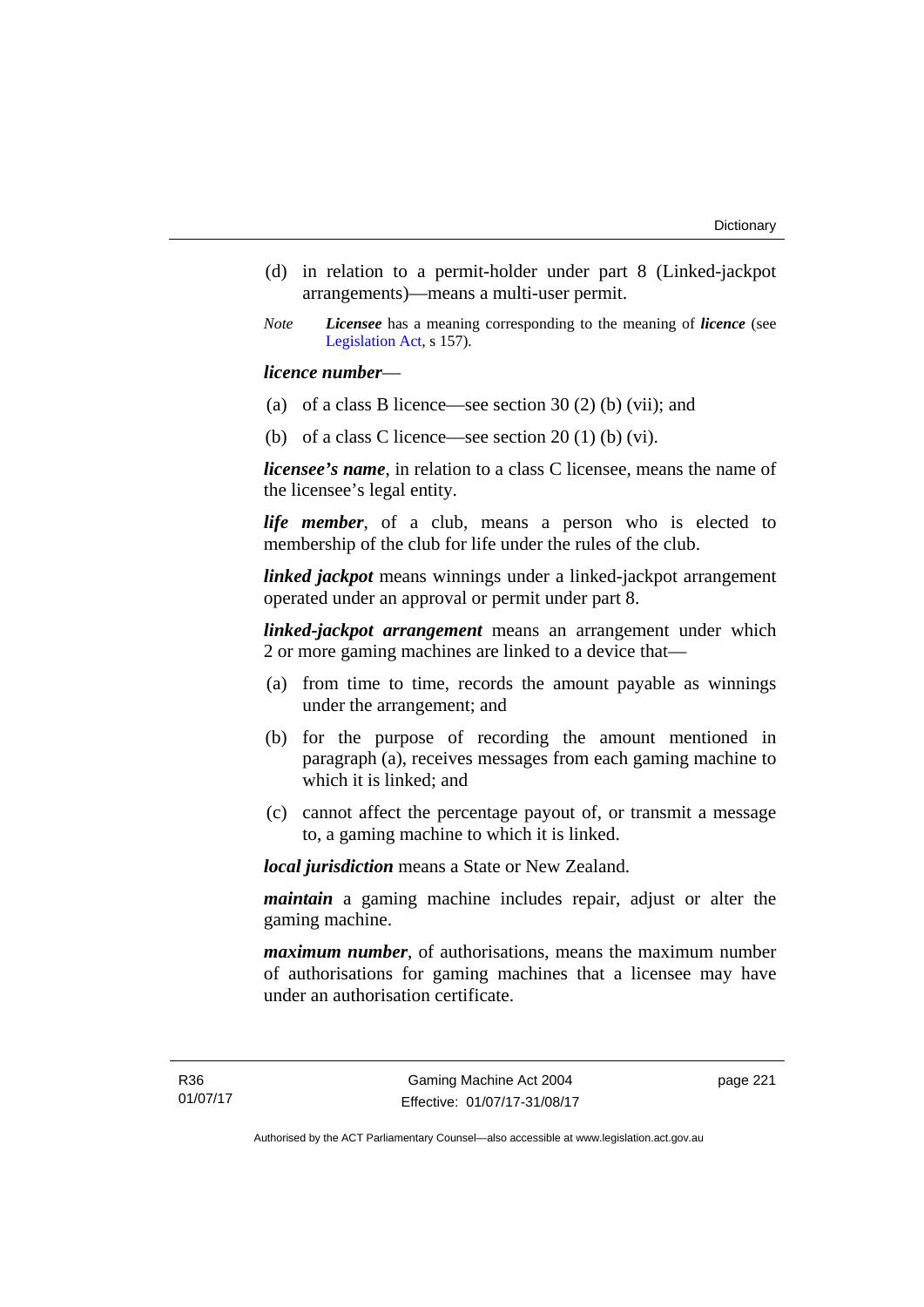- (d) in relation to a permit-holder under part 8 (Linked-jackpot arrangements)—means a multi-user permit.
- *Note Licensee* has a meaning corresponding to the meaning of *licence* (see [Legislation Act,](http://www.legislation.act.gov.au/a/2001-14) s 157).

## *licence number*—

- (a) of a class B licence—see section 30 (2) (b) (vii); and
- (b) of a class C licence—see section  $20(1)$  (b) (vi).

*licensee's name*, in relation to a class C licensee, means the name of the licensee's legal entity.

*life member*, of a club, means a person who is elected to membership of the club for life under the rules of the club.

*linked jackpot* means winnings under a linked-jackpot arrangement operated under an approval or permit under part 8.

*linked-jackpot arrangement* means an arrangement under which 2 or more gaming machines are linked to a device that—

- (a) from time to time, records the amount payable as winnings under the arrangement; and
- (b) for the purpose of recording the amount mentioned in paragraph (a), receives messages from each gaming machine to which it is linked; and
- (c) cannot affect the percentage payout of, or transmit a message to, a gaming machine to which it is linked.

*local jurisdiction* means a State or New Zealand.

*maintain* a gaming machine includes repair, adjust or alter the gaming machine.

*maximum number*, of authorisations, means the maximum number of authorisations for gaming machines that a licensee may have under an authorisation certificate.

page 221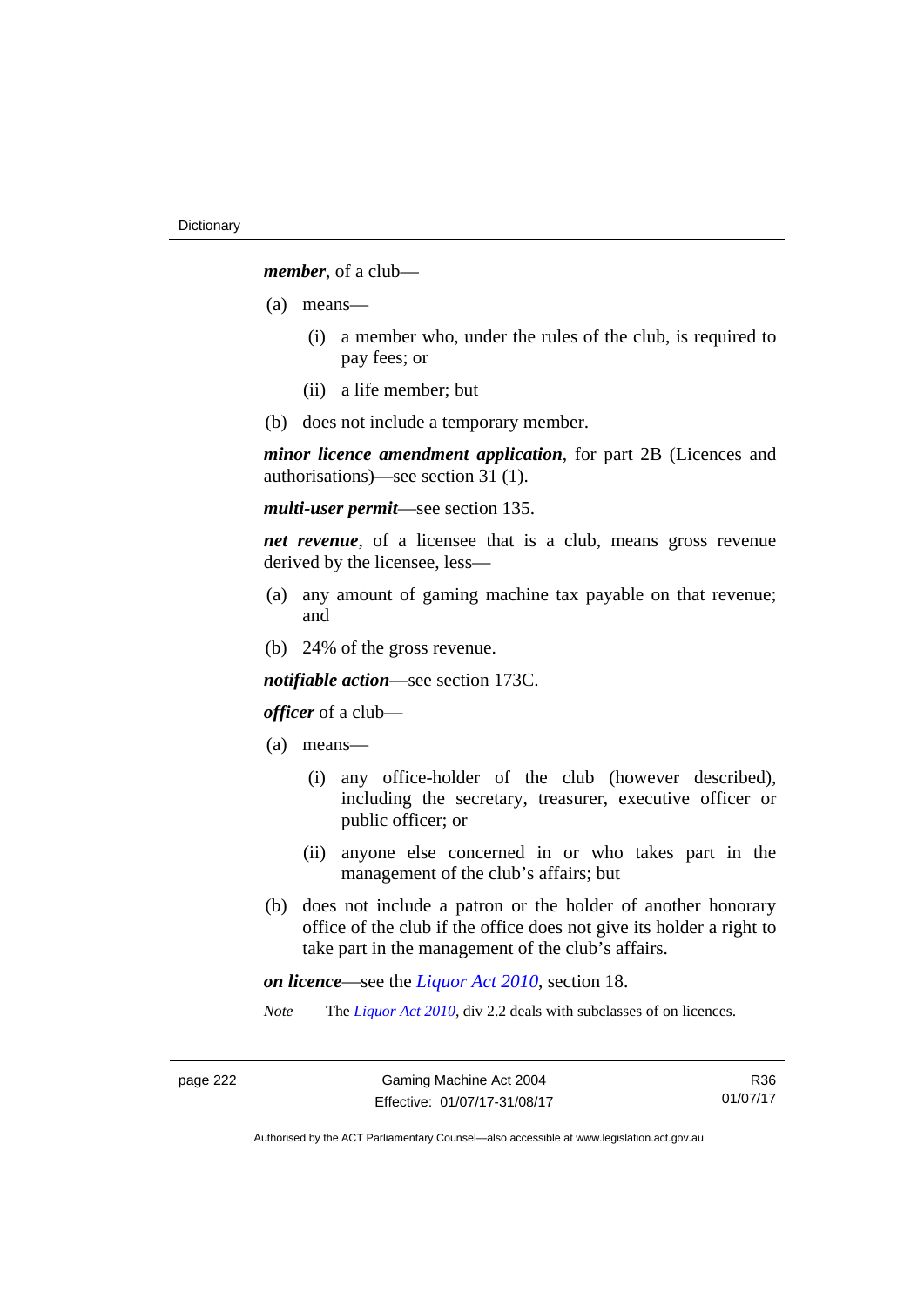*member*, of a club—

- (a) means—
	- (i) a member who, under the rules of the club, is required to pay fees; or
	- (ii) a life member; but
- (b) does not include a temporary member.

*minor licence amendment application*, for part 2B (Licences and authorisations)—see section 31 (1).

*multi-user permit*—see section 135.

*net revenue*, of a licensee that is a club, means gross revenue derived by the licensee, less—

- (a) any amount of gaming machine tax payable on that revenue; and
- (b) 24% of the gross revenue.

*notifiable action*—see section 173C.

## *officer* of a club—

- (a) means—
	- (i) any office-holder of the club (however described), including the secretary, treasurer, executive officer or public officer; or
	- (ii) anyone else concerned in or who takes part in the management of the club's affairs; but
- (b) does not include a patron or the holder of another honorary office of the club if the office does not give its holder a right to take part in the management of the club's affairs.

*on licence*—see the *[Liquor Act 2010](http://www.legislation.act.gov.au/a/2010-35)*, section 18.

*Note* The *[Liquor Act 2010](http://www.legislation.act.gov.au/a/2010-35)*, div 2.2 deals with subclasses of on licences.

R36 01/07/17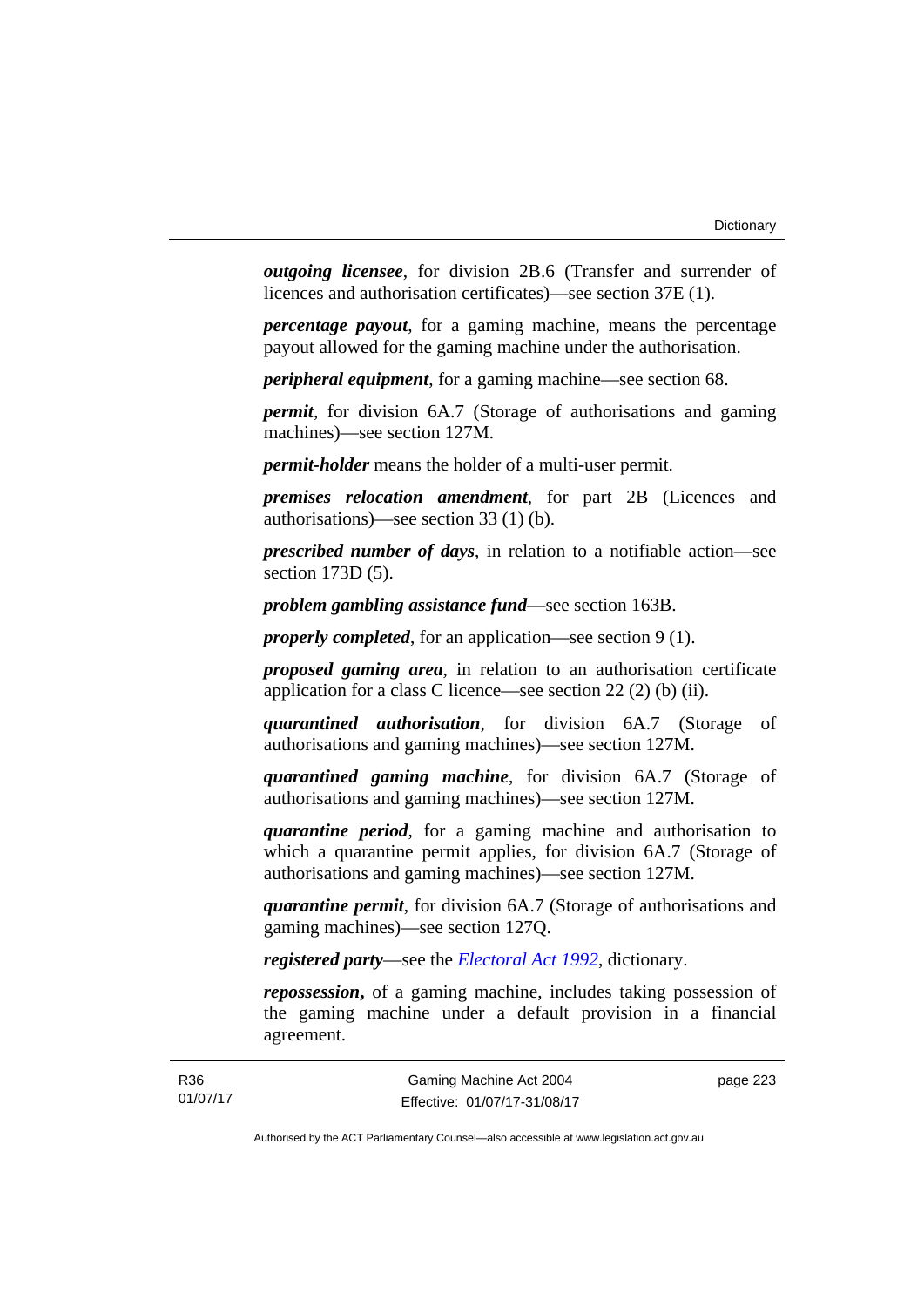*outgoing licensee*, for division 2B.6 (Transfer and surrender of licences and authorisation certificates)—see section 37E (1).

*percentage payout*, for a gaming machine, means the percentage payout allowed for the gaming machine under the authorisation.

*peripheral equipment*, for a gaming machine—see section 68.

*permit*, for division 6A.7 (Storage of authorisations and gaming machines)—see section 127M.

*permit-holder* means the holder of a multi-user permit.

*premises relocation amendment*, for part 2B (Licences and authorisations)—see section 33 (1) (b).

*prescribed number of days*, in relation to a notifiable action—see section 173D (5).

*problem gambling assistance fund*—see section 163B.

*properly completed*, for an application—see section 9 (1).

*proposed gaming area*, in relation to an authorisation certificate application for a class C licence—see section 22 (2) (b) (ii).

*quarantined authorisation*, for division 6A.7 (Storage of authorisations and gaming machines)—see section 127M.

*quarantined gaming machine*, for division 6A.7 (Storage of authorisations and gaming machines)—see section 127M.

*quarantine period*, for a gaming machine and authorisation to which a quarantine permit applies, for division 6A.7 (Storage of authorisations and gaming machines)—see section 127M.

*quarantine permit*, for division 6A.7 (Storage of authorisations and gaming machines)—see section 127Q.

*registered party*—see the *[Electoral Act 1992](http://www.legislation.act.gov.au/a/1992-71)*, dictionary.

*repossession***,** of a gaming machine, includes taking possession of the gaming machine under a default provision in a financial agreement.

page 223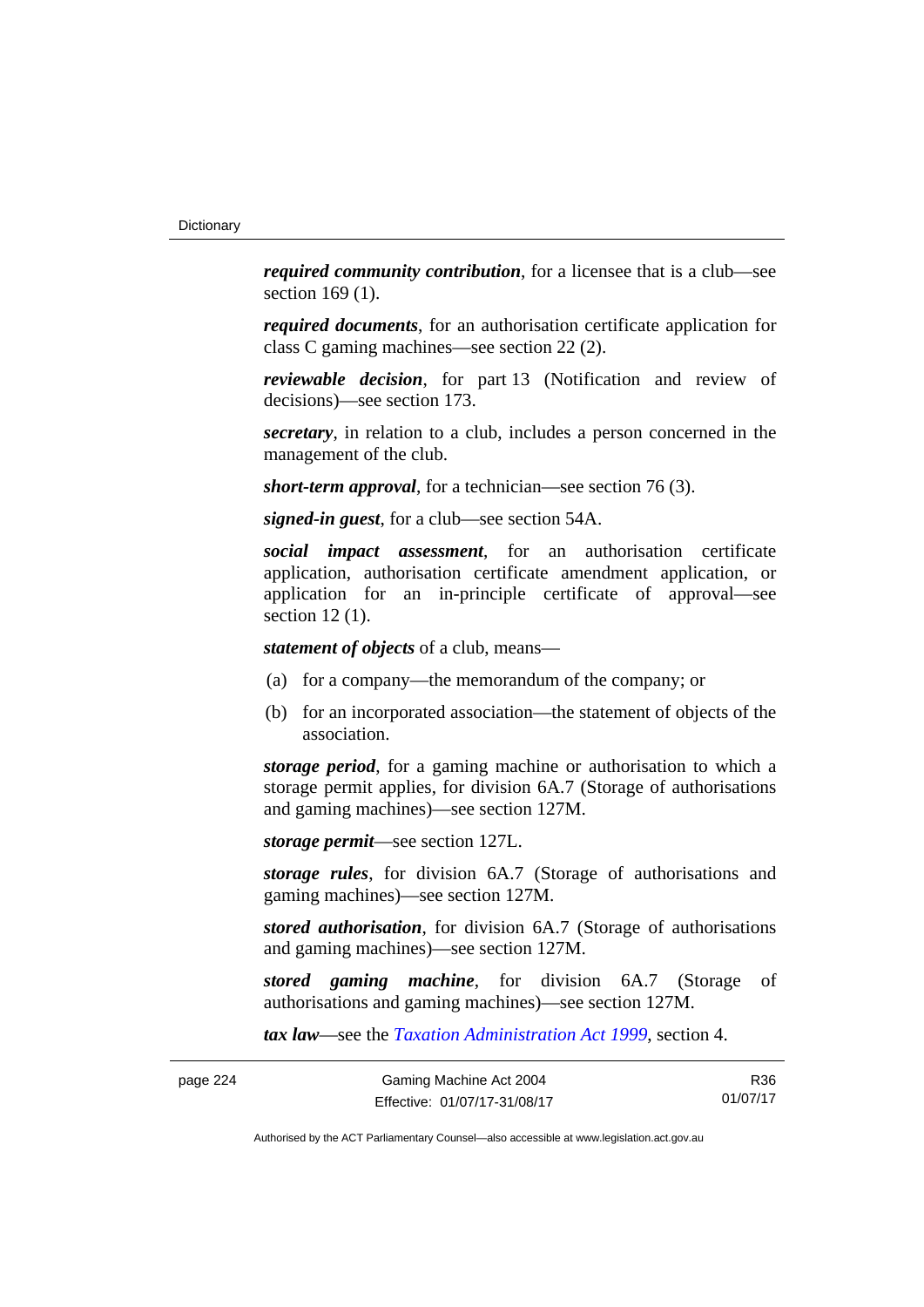*required community contribution*, for a licensee that is a club—see section 169 (1).

*required documents*, for an authorisation certificate application for class C gaming machines—see section 22 (2).

*reviewable decision*, for part 13 (Notification and review of decisions)—see section 173.

*secretary*, in relation to a club, includes a person concerned in the management of the club.

*short-term approval*, for a technician—see section 76 (3).

*signed-in guest*, for a club—see section 54A.

*social impact assessment*, for an authorisation certificate application, authorisation certificate amendment application, or application for an in-principle certificate of approval—see section 12 (1).

*statement of objects* of a club, means—

- (a) for a company—the memorandum of the company; or
- (b) for an incorporated association—the statement of objects of the association.

*storage period*, for a gaming machine or authorisation to which a storage permit applies, for division 6A.7 (Storage of authorisations and gaming machines)—see section 127M.

*storage permit*—see section 127L.

*storage rules*, for division 6A.7 (Storage of authorisations and gaming machines)—see section 127M.

*stored authorisation*, for division 6A.7 (Storage of authorisations and gaming machines)—see section 127M.

*stored gaming machine*, for division 6A.7 (Storage of authorisations and gaming machines)—see section 127M.

*tax law*—see the *[Taxation Administration Act 1999](http://www.legislation.act.gov.au/a/1999-4)*, section 4.

R36 01/07/17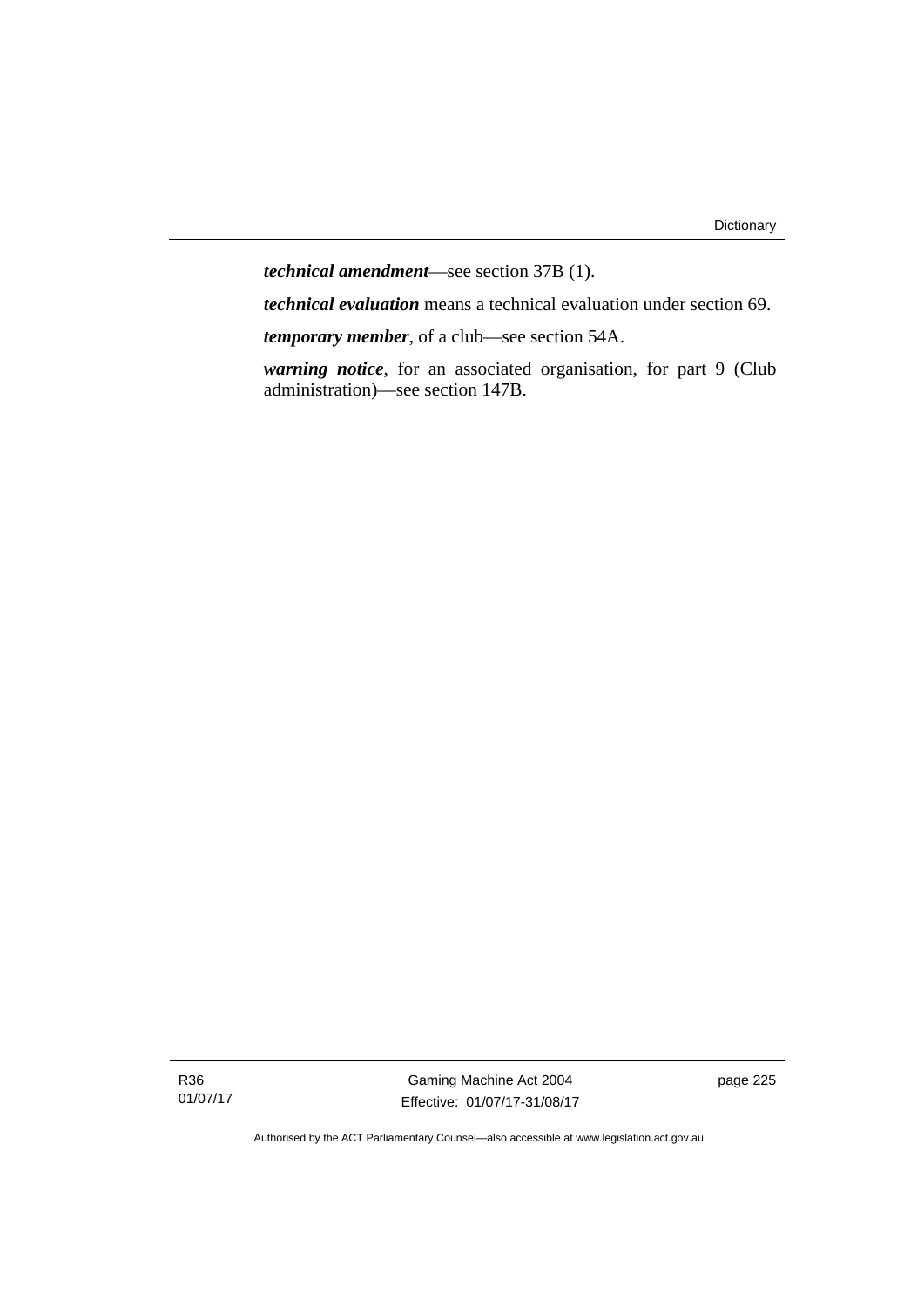*technical amendment*—see section 37B (1).

*technical evaluation* means a technical evaluation under section 69.

*temporary member*, of a club—see section 54A.

*warning notice*, for an associated organisation, for part 9 (Club administration)—see section 147B.

R36 01/07/17

Gaming Machine Act 2004 Effective: 01/07/17-31/08/17 page 225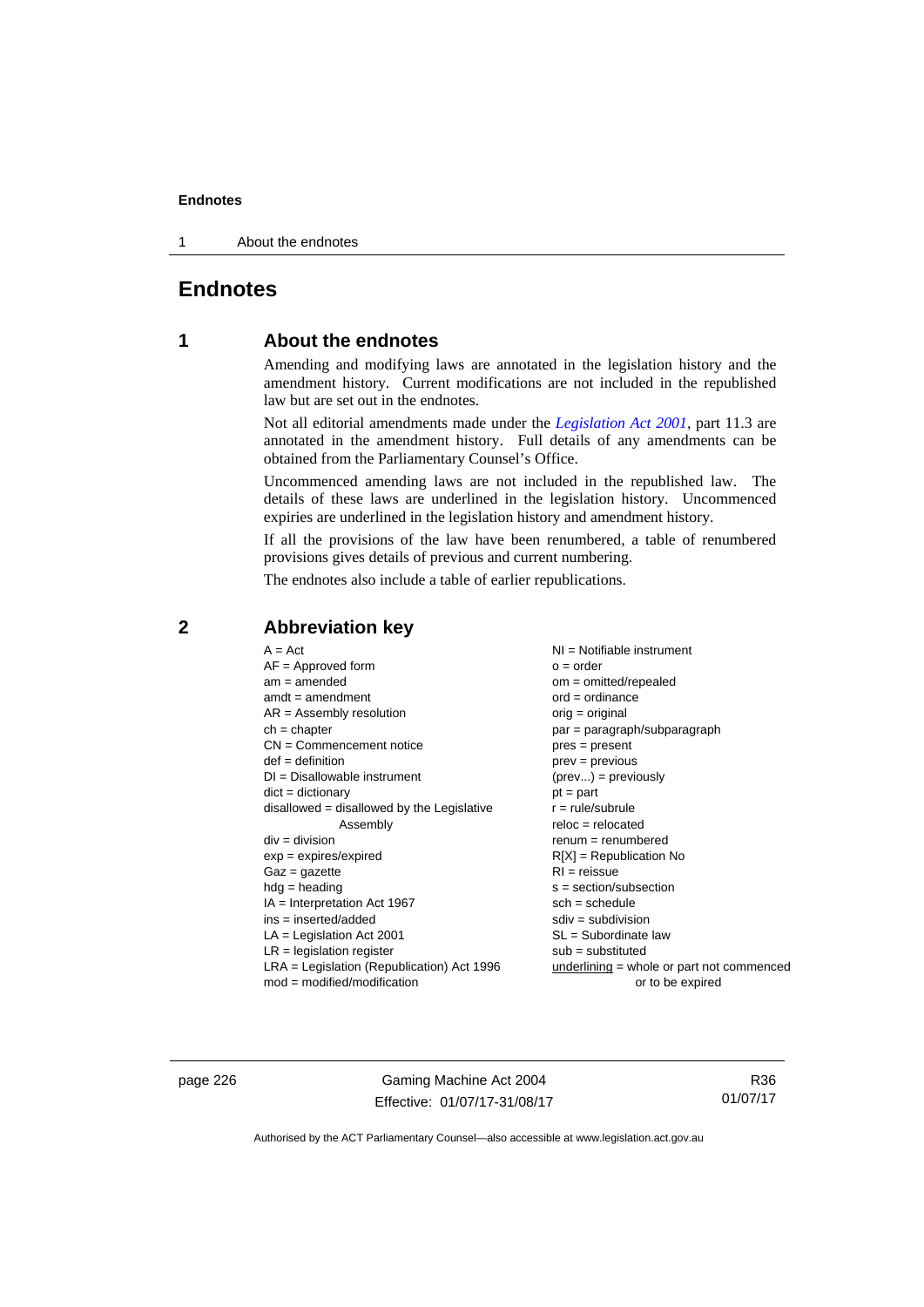1 About the endnotes

# **Endnotes**

# **1 About the endnotes**

Amending and modifying laws are annotated in the legislation history and the amendment history. Current modifications are not included in the republished law but are set out in the endnotes.

Not all editorial amendments made under the *[Legislation Act 2001](http://www.legislation.act.gov.au/a/2001-14)*, part 11.3 are annotated in the amendment history. Full details of any amendments can be obtained from the Parliamentary Counsel's Office.

Uncommenced amending laws are not included in the republished law. The details of these laws are underlined in the legislation history. Uncommenced expiries are underlined in the legislation history and amendment history.

If all the provisions of the law have been renumbered, a table of renumbered provisions gives details of previous and current numbering.

The endnotes also include a table of earlier republications.

# **2 Abbreviation key**

page 226 Gaming Machine Act 2004 Effective: 01/07/17-31/08/17

R36 01/07/17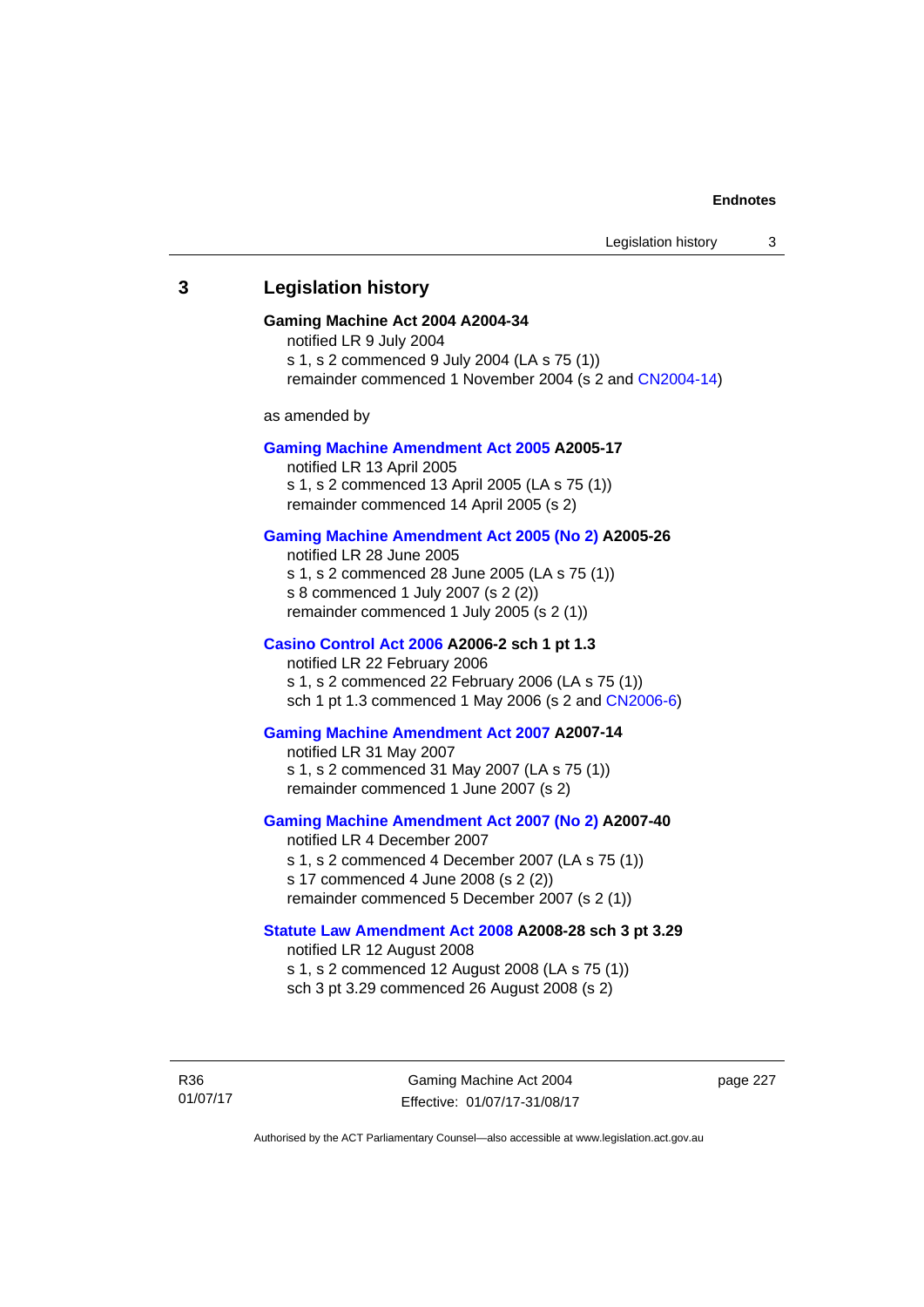# **3 Legislation history**

#### **Gaming Machine Act 2004 A2004-34**

notified LR 9 July 2004 s 1, s 2 commenced 9 July 2004 (LA s 75 (1)) remainder commenced 1 November 2004 (s 2 and [CN2004-14](http://www.legislation.act.gov.au/cn/2004-14/default.asp))

as amended by

#### **[Gaming Machine Amendment Act 2005](http://www.legislation.act.gov.au/a/2005-17) A2005-17**

notified LR 13 April 2005 s 1, s 2 commenced 13 April 2005 (LA s 75 (1)) remainder commenced 14 April 2005 (s 2)

## **[Gaming Machine Amendment Act 2005 \(No 2\)](http://www.legislation.act.gov.au/a/2005-26) A2005-26**

notified LR 28 June 2005 s 1, s 2 commenced 28 June 2005 (LA s 75 (1)) s 8 commenced 1 July 2007 (s 2 (2)) remainder commenced 1 July 2005 (s 2 (1))

#### **[Casino Control Act 2006](http://www.legislation.act.gov.au/a/2006-2) A2006-2 sch 1 pt 1.3**

notified LR 22 February 2006 s 1, s 2 commenced 22 February 2006 (LA s 75 (1)) sch 1 pt 1.3 commenced 1 May 2006 (s 2 and [CN2006-6](http://www.legislation.act.gov.au/cn/2006-6/default.asp))

## **[Gaming Machine Amendment Act 2007](http://www.legislation.act.gov.au/a/2007-14) A2007-14**

notified LR 31 May 2007 s 1, s 2 commenced 31 May 2007 (LA s 75 (1)) remainder commenced 1 June 2007 (s 2)

#### **[Gaming Machine Amendment Act 2007 \(No 2\)](http://www.legislation.act.gov.au/a/2007-40) A2007-40**

notified LR 4 December 2007 s 1, s 2 commenced 4 December 2007 (LA s 75 (1)) s 17 commenced 4 June 2008 (s 2 (2)) remainder commenced 5 December 2007 (s 2 (1))

## **[Statute Law Amendment Act 2008](http://www.legislation.act.gov.au/a/2008-28) A2008-28 sch 3 pt 3.29**

notified LR 12 August 2008 s 1, s 2 commenced 12 August 2008 (LA s 75 (1)) sch 3 pt 3.29 commenced 26 August 2008 (s 2)

R36 01/07/17

Gaming Machine Act 2004 Effective: 01/07/17-31/08/17 page 227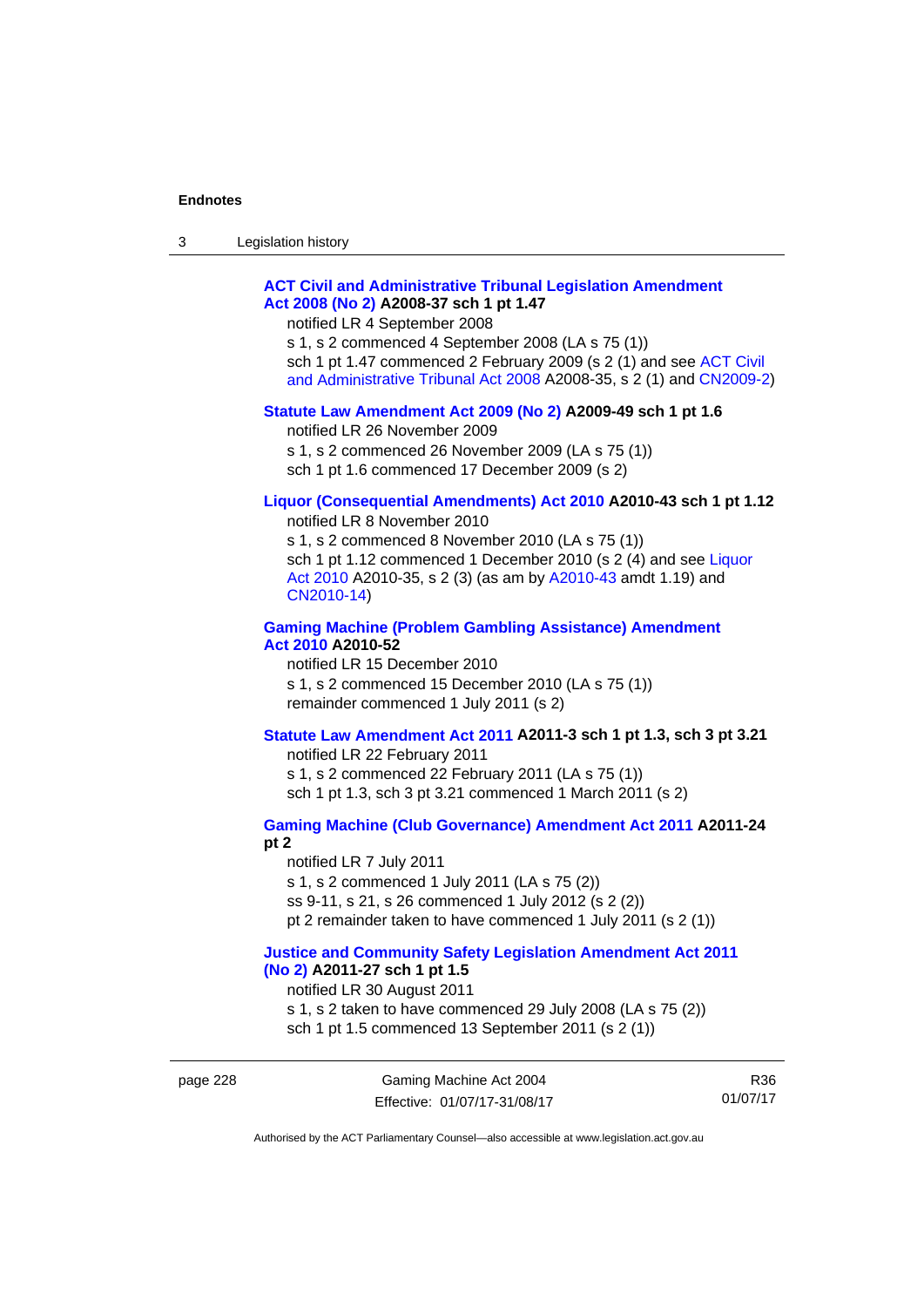| 3 | Legislation history |  |
|---|---------------------|--|
|---|---------------------|--|

# **[ACT Civil and Administrative Tribunal Legislation Amendment](http://www.legislation.act.gov.au/a/2008-37)  [Act 2008 \(No 2\)](http://www.legislation.act.gov.au/a/2008-37) A2008-37 sch 1 pt 1.47**

notified LR 4 September 2008

s 1, s 2 commenced 4 September 2008 (LA s 75 (1)) sch 1 pt 1.47 commenced 2 February 2009 (s 2 (1) and see [ACT Civil](http://www.legislation.act.gov.au/a/2008-35)  [and Administrative Tribunal Act 2008](http://www.legislation.act.gov.au/a/2008-35) A2008-35, s 2 (1) and [CN2009-2](http://www.legislation.act.gov.au/cn/2009-2/default.asp))

#### **[Statute Law Amendment Act 2009 \(No 2\)](http://www.legislation.act.gov.au/a/2009-49) A2009-49 sch 1 pt 1.6**

notified LR 26 November 2009

s 1, s 2 commenced 26 November 2009 (LA s 75 (1))

sch 1 pt 1.6 commenced 17 December 2009 (s 2)

# **[Liquor \(Consequential Amendments\) Act 2010](http://www.legislation.act.gov.au/a/2010-43) A2010-43 sch 1 pt 1.12**

notified LR 8 November 2010

s 1, s 2 commenced 8 November 2010 (LA s 75 (1)) sch 1 pt 1.12 commenced 1 December 2010 (s 2 (4) and see Liquor [Act 2010](http://www.legislation.act.gov.au/a/2010-35) A2010-35, s 2 (3) (as am by [A2010-43](http://www.legislation.act.gov.au/a/2010-43) amdt 1.19) and [CN2010-14](http://www.legislation.act.gov.au/cn/2010-14/default.asp))

## **[Gaming Machine \(Problem Gambling Assistance\) Amendment](http://www.legislation.act.gov.au/a/2010-52)  [Act 2010](http://www.legislation.act.gov.au/a/2010-52) A2010-52**

notified LR 15 December 2010 s 1, s 2 commenced 15 December 2010 (LA s 75 (1)) remainder commenced 1 July 2011 (s 2)

## **[Statute Law Amendment Act 2011](http://www.legislation.act.gov.au/a/2011-3) A2011-3 sch 1 pt 1.3, sch 3 pt 3.21**

notified LR 22 February 2011 s 1, s 2 commenced 22 February 2011 (LA s 75 (1)) sch 1 pt 1.3, sch 3 pt 3.21 commenced 1 March 2011 (s 2)

# **[Gaming Machine \(Club Governance\) Amendment Act 2011](http://www.legislation.act.gov.au/a/2011-24) A2011-24**

**pt 2** 

notified LR 7 July 2011 s 1, s 2 commenced 1 July 2011 (LA s 75 (2)) ss 9-11, s 21, s 26 commenced 1 July 2012 (s 2 (2)) pt 2 remainder taken to have commenced 1 July 2011 (s 2 (1))

#### **[Justice and Community Safety Legislation Amendment Act 2011](http://www.legislation.act.gov.au/a/2011-27)  [\(No 2\)](http://www.legislation.act.gov.au/a/2011-27) A2011-27 sch 1 pt 1.5**

notified LR 30 August 2011

s 1, s 2 taken to have commenced 29 July 2008 (LA s 75 (2)) sch 1 pt 1.5 commenced 13 September 2011 (s 2 (1))

page 228 Gaming Machine Act 2004 Effective: 01/07/17-31/08/17

R36 01/07/17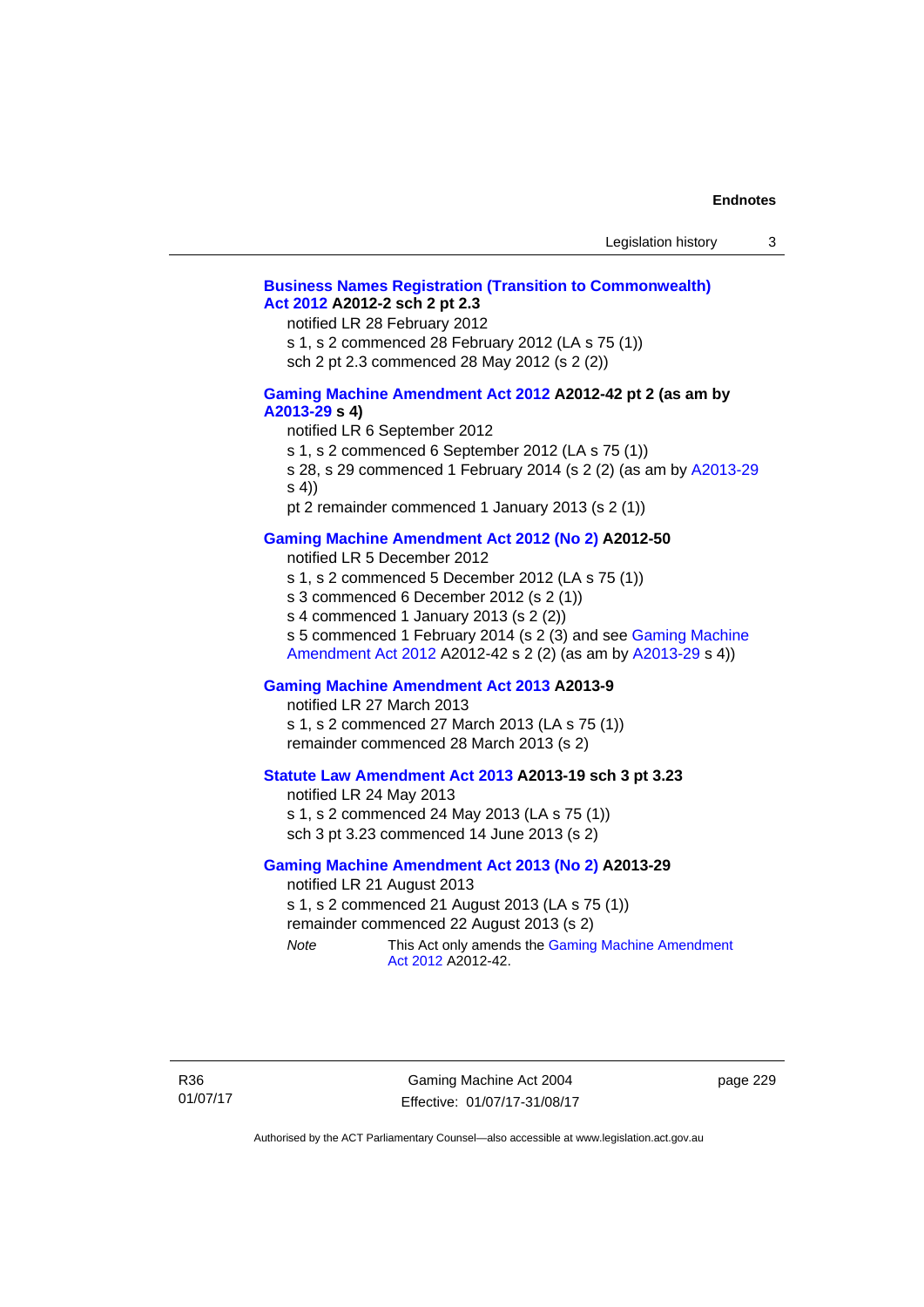# **[Business Names Registration \(Transition to Commonwealth\)](http://www.legislation.act.gov.au/a/2012-2)  [Act 2012](http://www.legislation.act.gov.au/a/2012-2) A2012-2 sch 2 pt 2.3**

notified LR 28 February 2012

s 1, s 2 commenced 28 February 2012 (LA s 75 (1))

sch 2 pt 2.3 commenced 28 May 2012 (s 2 (2))

## **[Gaming Machine Amendment Act 2012](http://www.legislation.act.gov.au/a/2012-42) A2012-42 pt 2 (as am by [A2013-29](http://www.legislation.act.gov.au/a/2013-29) s 4)**

notified LR 6 September 2012

s 1, s 2 commenced 6 September 2012 (LA s 75 (1))

s 28, s 29 commenced 1 February 2014 (s 2 (2) (as am by [A2013-29](http://www.legislation.act.gov.au/a/2013-29) s 4))

pt 2 remainder commenced 1 January 2013 (s 2 (1))

# **[Gaming Machine Amendment Act 2012 \(No 2\)](http://www.legislation.act.gov.au/a/2012-50/default.asp) A2012-50**

notified LR 5 December 2012

s 1, s 2 commenced 5 December 2012 (LA s 75 (1))

s 3 commenced 6 December 2012 (s 2 (1))

s 4 commenced 1 January 2013 (s 2 (2))

s 5 commenced 1 February 2014 (s 2 (3) and see [Gaming Machine](http://www.legislation.act.gov.au/a/2012-42)  [Amendment Act 2012](http://www.legislation.act.gov.au/a/2012-42) A2012-42 s 2 (2) (as am by [A2013-29](http://www.legislation.act.gov.au/a/2013-29) s 4))

## **[Gaming Machine Amendment Act 2013](http://www.legislation.act.gov.au/a/2013-9) A2013-9**

notified LR 27 March 2013

s 1, s 2 commenced 27 March 2013 (LA s 75 (1)) remainder commenced 28 March 2013 (s 2)

# **[Statute Law Amendment Act 2013](http://www.legislation.act.gov.au/a/2013-19) A2013-19 sch 3 pt 3.23**

notified LR 24 May 2013 s 1, s 2 commenced 24 May 2013 (LA s 75 (1)) sch 3 pt 3.23 commenced 14 June 2013 (s 2)

#### **[Gaming Machine Amendment Act 2013 \(No 2\)](http://www.legislation.act.gov.au/a/2013-29) A2013-29**

notified LR 21 August 2013 s 1, s 2 commenced 21 August 2013 (LA s 75 (1)) remainder commenced 22 August 2013 (s 2)

*Note* This Act only amends the Gaming Machine Amendment [Act 2012](http://www.legislation.act.gov.au/a/2012-42) A2012-42.

Gaming Machine Act 2004 Effective: 01/07/17-31/08/17 page 229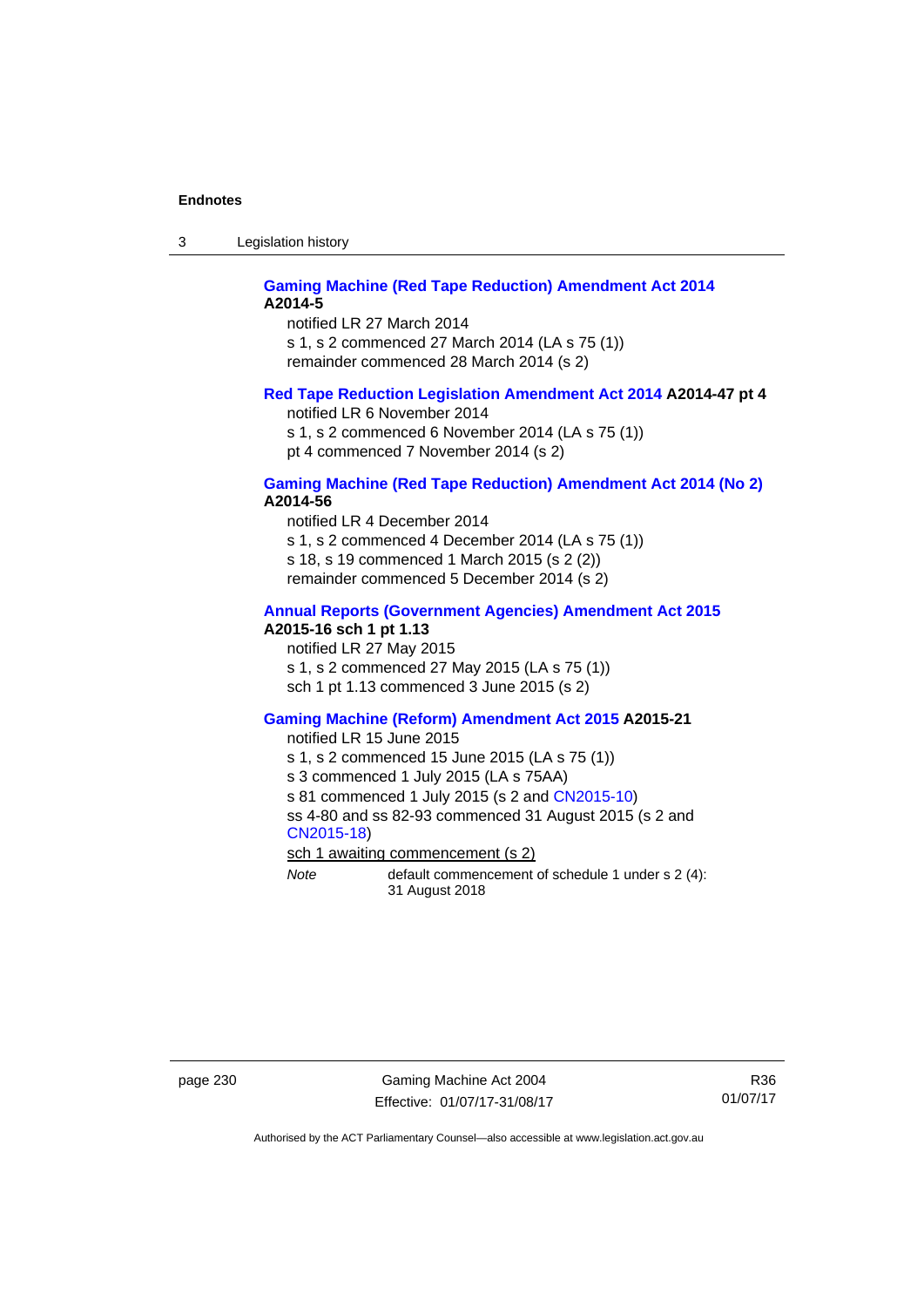3 Legislation history

## **[Gaming Machine \(Red Tape Reduction\) Amendment Act 2014](http://www.legislation.act.gov.au/a/2014-5) A2014-5**

notified LR 27 March 2014 s 1, s 2 commenced 27 March 2014 (LA s 75 (1)) remainder commenced 28 March 2014 (s 2)

## **[Red Tape Reduction Legislation Amendment Act 2014](http://www.legislation.act.gov.au/a/2014-47) A2014-47 pt 4**

notified LR 6 November 2014

s 1, s 2 commenced 6 November 2014 (LA s 75 (1)) pt 4 commenced 7 November 2014 (s 2)

## **[Gaming Machine \(Red Tape Reduction\) Amendment Act 2014 \(No 2\)](http://www.legislation.act.gov.au/a/2014-56) A2014-56**

notified LR 4 December 2014

s 1, s 2 commenced 4 December 2014 (LA s 75 (1))

s 18, s 19 commenced 1 March 2015 (s 2 (2))

remainder commenced 5 December 2014 (s 2)

# **[Annual Reports \(Government Agencies\) Amendment Act 2015](http://www.legislation.act.gov.au/a/2015-16)**

**A2015-16 sch 1 pt 1.13** 

notified LR 27 May 2015 s 1, s 2 commenced 27 May 2015 (LA s 75 (1)) sch 1 pt 1.13 commenced 3 June 2015 (s 2)

#### **[Gaming Machine \(Reform\) Amendment Act 2015](http://www.legislation.act.gov.au/a/2015-21/default.asp) A2015-21**

notified LR 15 June 2015

s 1, s 2 commenced 15 June 2015 (LA s 75 (1))

s 3 commenced 1 July 2015 (LA s 75AA)

s 81 commenced 1 July 2015 (s 2 and [CN2015-10\)](http://www.legislation.act.gov.au/cn/2015-10/default.asp)

ss 4-80 and ss 82-93 commenced 31 August 2015 (s 2 and [CN2015-18](http://www.legislation.act.gov.au/cn/2015-18/default.asp))

sch 1 awaiting commencement (s 2)

*Note* default commencement of schedule 1 under s 2 (4): 31 August 2018

page 230 Gaming Machine Act 2004 Effective: 01/07/17-31/08/17

R36 01/07/17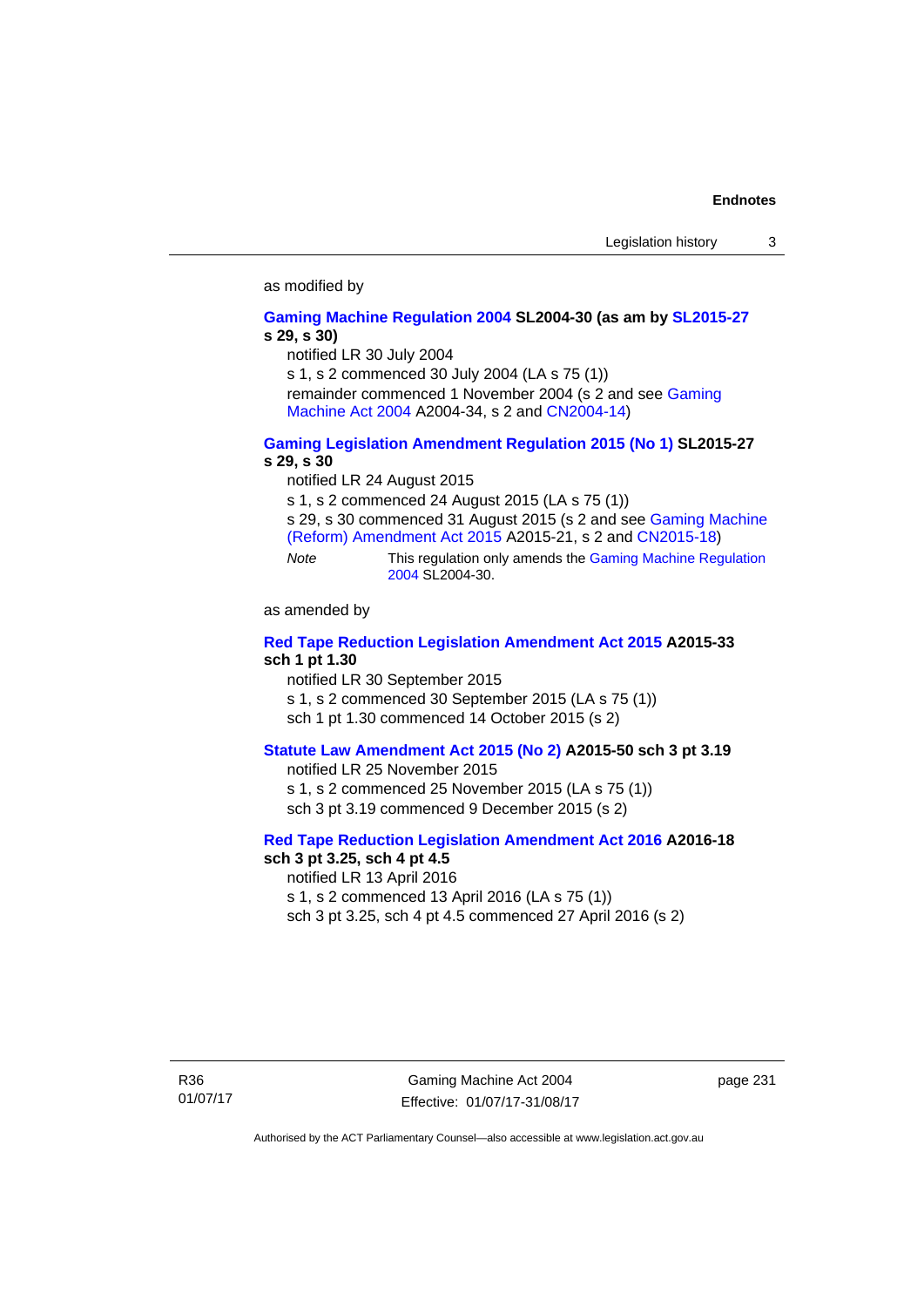#### as modified by

#### **[Gaming Machine Regulation 2004](http://www.legislation.act.gov.au/sl/2004-30/default.asp) SL2004-30 (as am by [SL2015-27](http://www.legislation.act.gov.au/sl/2015-27/default.asp) s 29, s 30)**

notified LR 30 July 2004

s 1, s 2 commenced 30 July 2004 (LA s 75 (1))

remainder commenced 1 November 2004 (s 2 and see [Gaming](http://www.legislation.act.gov.au/a/2004-34)  [Machine Act 2004](http://www.legislation.act.gov.au/a/2004-34) A2004-34, s 2 and [CN2004-14](http://www.legislation.act.gov.au/cn/2004-14/default.asp))

## **[Gaming Legislation Amendment Regulation 2015 \(No 1\)](http://www.legislation.act.gov.au/sl/2015-27/default.asp) SL2015-27 s 29, s 30**

notified LR 24 August 2015

s 1, s 2 commenced 24 August 2015 (LA s 75 (1))

s 29, s 30 commenced 31 August 2015 (s 2 and see [Gaming Machine](http://www.legislation.act.gov.au/a/2015-21/default.asp)  [\(Reform\) Amendment Act 2015](http://www.legislation.act.gov.au/a/2015-21/default.asp) A2015-21, s 2 and [CN2015-18\)](http://www.legislation.act.gov.au/cn/2015-18/default.asp)

*Note* This regulation only amends the [Gaming Machine Regulation](http://www.legislation.act.gov.au/sl/2004-30/default.asp)  [2004](http://www.legislation.act.gov.au/sl/2004-30/default.asp) SL2004-30.

as amended by

## **[Red Tape Reduction Legislation Amendment Act 2015](http://www.legislation.act.gov.au/a/2015-33/default.asp) A2015-33 sch 1 pt 1.30**

notified LR 30 September 2015

s 1, s 2 commenced 30 September 2015 (LA s 75 (1))

sch 1 pt 1.30 commenced 14 October 2015 (s 2)

# **[Statute Law Amendment Act 2015 \(No 2\)](http://www.legislation.act.gov.au/a/2015-50) A2015-50 sch 3 pt 3.19**

notified LR 25 November 2015 s 1, s 2 commenced 25 November 2015 (LA s 75 (1)) sch 3 pt 3.19 commenced 9 December 2015 (s 2)

#### **[Red Tape Reduction Legislation Amendment Act 2016](http://www.legislation.act.gov.au/a/2016-18) A2016-18 sch 3 pt 3.25, sch 4 pt 4.5**

notified LR 13 April 2016 s 1, s 2 commenced 13 April 2016 (LA s 75 (1)) sch 3 pt 3.25, sch 4 pt 4.5 commenced 27 April 2016 (s 2)

page 231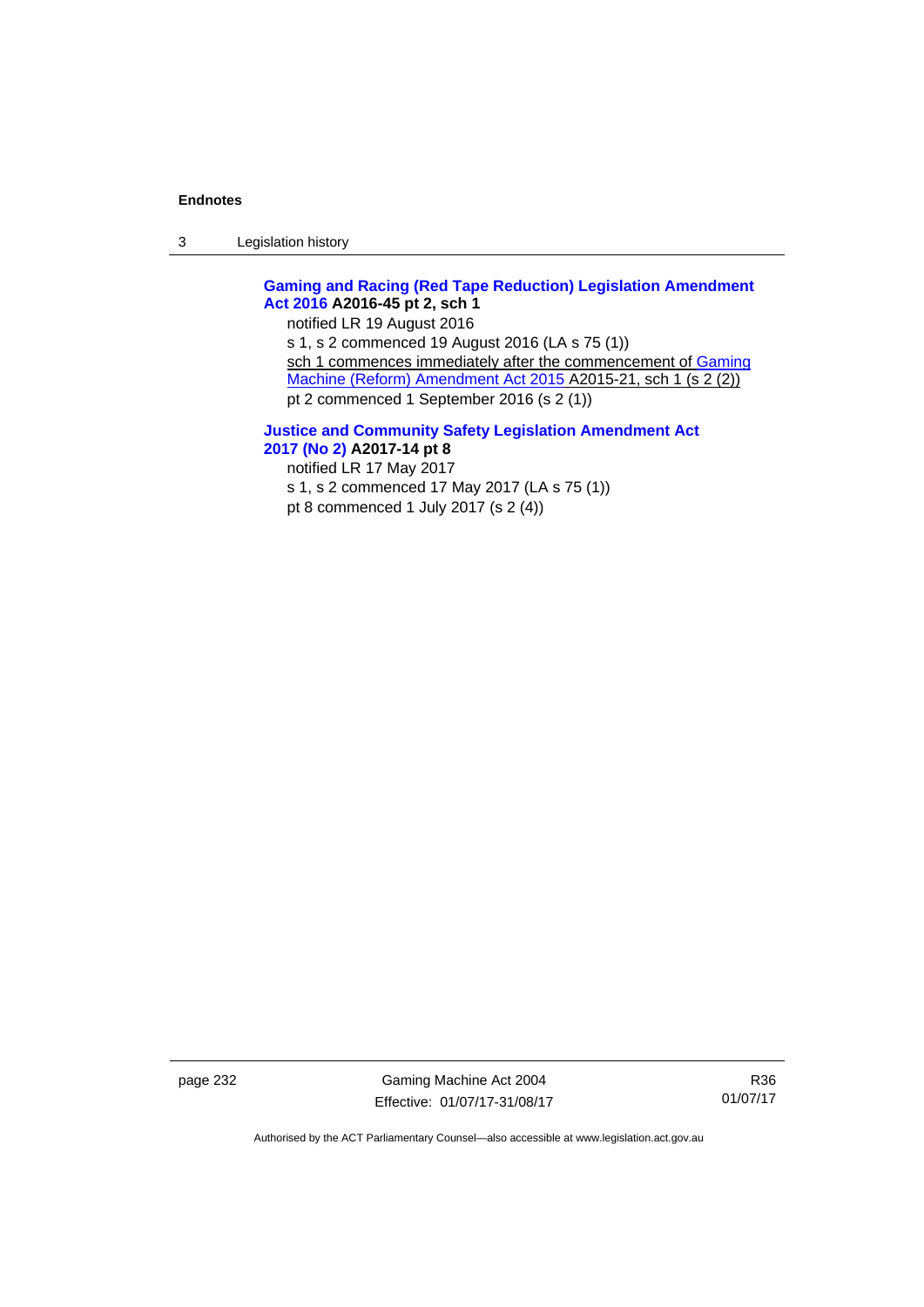3 Legislation history

# **[Gaming and Racing \(Red Tape Reduction\) Legislation Amendment](http://www.legislation.act.gov.au/a/2016-45/default.asp)  [Act 2016](http://www.legislation.act.gov.au/a/2016-45/default.asp) A2016-45 pt 2, sch 1**

notified LR 19 August 2016 s 1, s 2 commenced 19 August 2016 (LA s 75 (1)) sch 1 commences immediately after the commencement of Gaming [Machine \(Reform\) Amendment Act 2015](http://www.legislation.act.gov.au/a/2015-21/default.asp) A2015-21, sch 1 (s 2 (2)) pt 2 commenced 1 September 2016 (s 2 (1))

### **[Justice and Community Safety Legislation Amendment Act](http://www.legislation.act.gov.au/a/2017-14/default.asp)  [2017 \(No 2\)](http://www.legislation.act.gov.au/a/2017-14/default.asp) A2017-14 pt 8**

notified LR 17 May 2017

s 1, s 2 commenced 17 May 2017 (LA s 75 (1)) pt 8 commenced 1 July 2017 (s 2 (4))

page 232 Gaming Machine Act 2004 Effective: 01/07/17-31/08/17

R36 01/07/17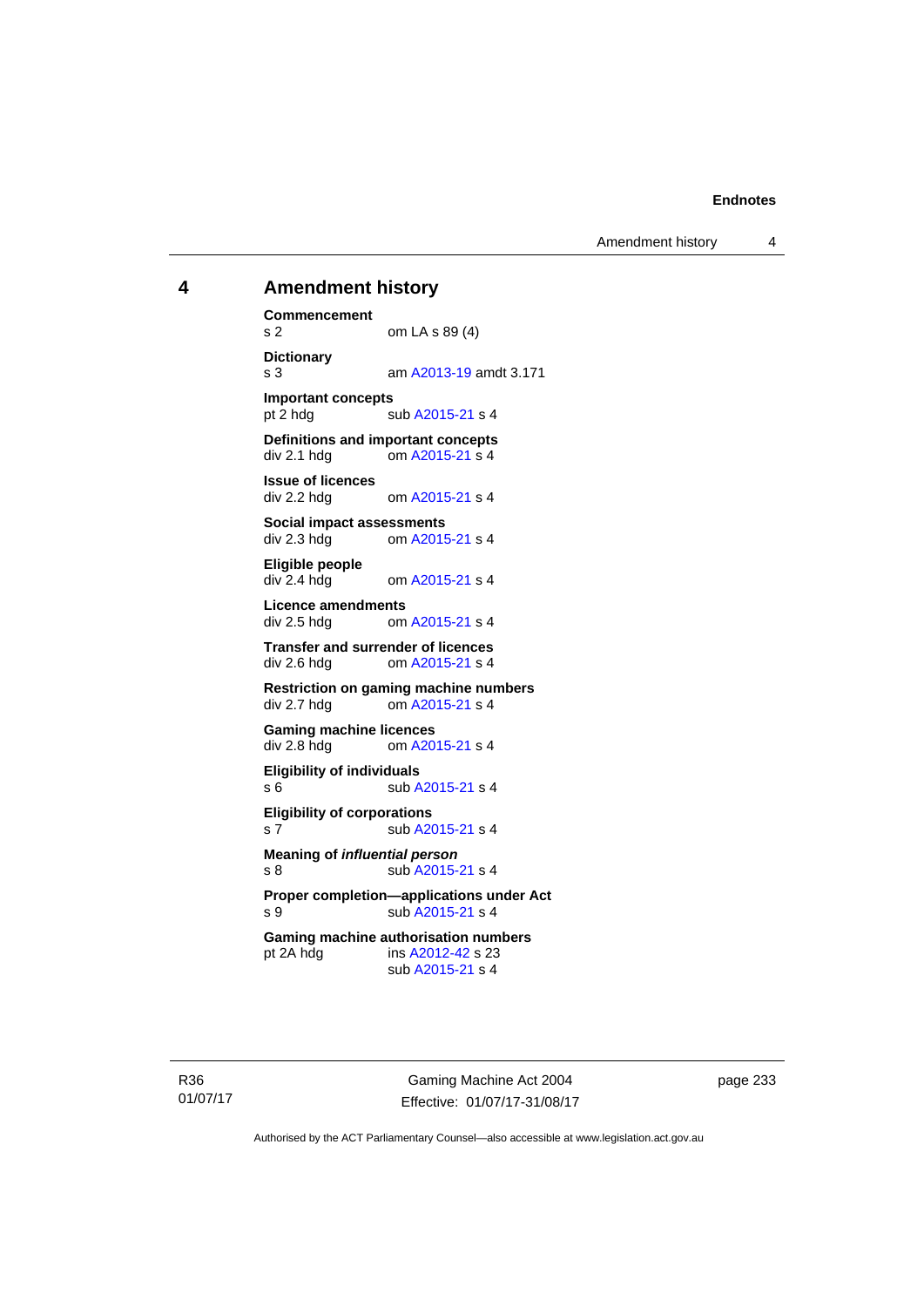Amendment history 4

# **4 Amendment history**

**Commencement**  s 2 om LA s 89 (4) **Dictionary**  s 3 am [A2013-19](http://www.legislation.act.gov.au/a/2013-19) amdt 3.171 **Important concepts**  pt 2 hdg sub [A2015-21](http://www.legislation.act.gov.au/a/2015-21) s 4 **Definitions and important concepts**  div 2.1 hdg om [A2015-21](http://www.legislation.act.gov.au/a/2015-21) s 4 **Issue of licences**  div 2.2 hdg om [A2015-21](http://www.legislation.act.gov.au/a/2015-21) s 4 **Social impact assessments**  div 2.3 hdg om [A2015-21](http://www.legislation.act.gov.au/a/2015-21) s 4 **Eligible people**  om [A2015-21](http://www.legislation.act.gov.au/a/2015-21) s 4 **Licence amendments**  div 2.5 hdg om [A2015-21](http://www.legislation.act.gov.au/a/2015-21) s 4 **Transfer and surrender of licences**  div 2.6 hdg om [A2015-21](http://www.legislation.act.gov.au/a/2015-21) s 4 **Restriction on gaming machine numbers**  div 2.7 hdg om [A2015-21](http://www.legislation.act.gov.au/a/2015-21) s 4 **Gaming machine licences**<br>div 2.8 hdg om A20 om [A2015-21](http://www.legislation.act.gov.au/a/2015-21) s 4 **Eligibility of individuals**  s 6 sub [A2015-21](http://www.legislation.act.gov.au/a/2015-21) s 4 **Eligibility of corporations**  s 7 sub [A2015-21](http://www.legislation.act.gov.au/a/2015-21) s 4 **Meaning of** *influential person* s 8 sub [A2015-21](http://www.legislation.act.gov.au/a/2015-21) s 4 **Proper completion—applications under Act**  s 9 sub [A2015-21](http://www.legislation.act.gov.au/a/2015-21) s 4 **Gaming machine authorisation numbers**  pt 2A hdg ins [A2012-42](http://www.legislation.act.gov.au/a/2012-42) s 23 sub [A2015-21](http://www.legislation.act.gov.au/a/2015-21) s 4

R36 01/07/17

Gaming Machine Act 2004 Effective: 01/07/17-31/08/17 page 233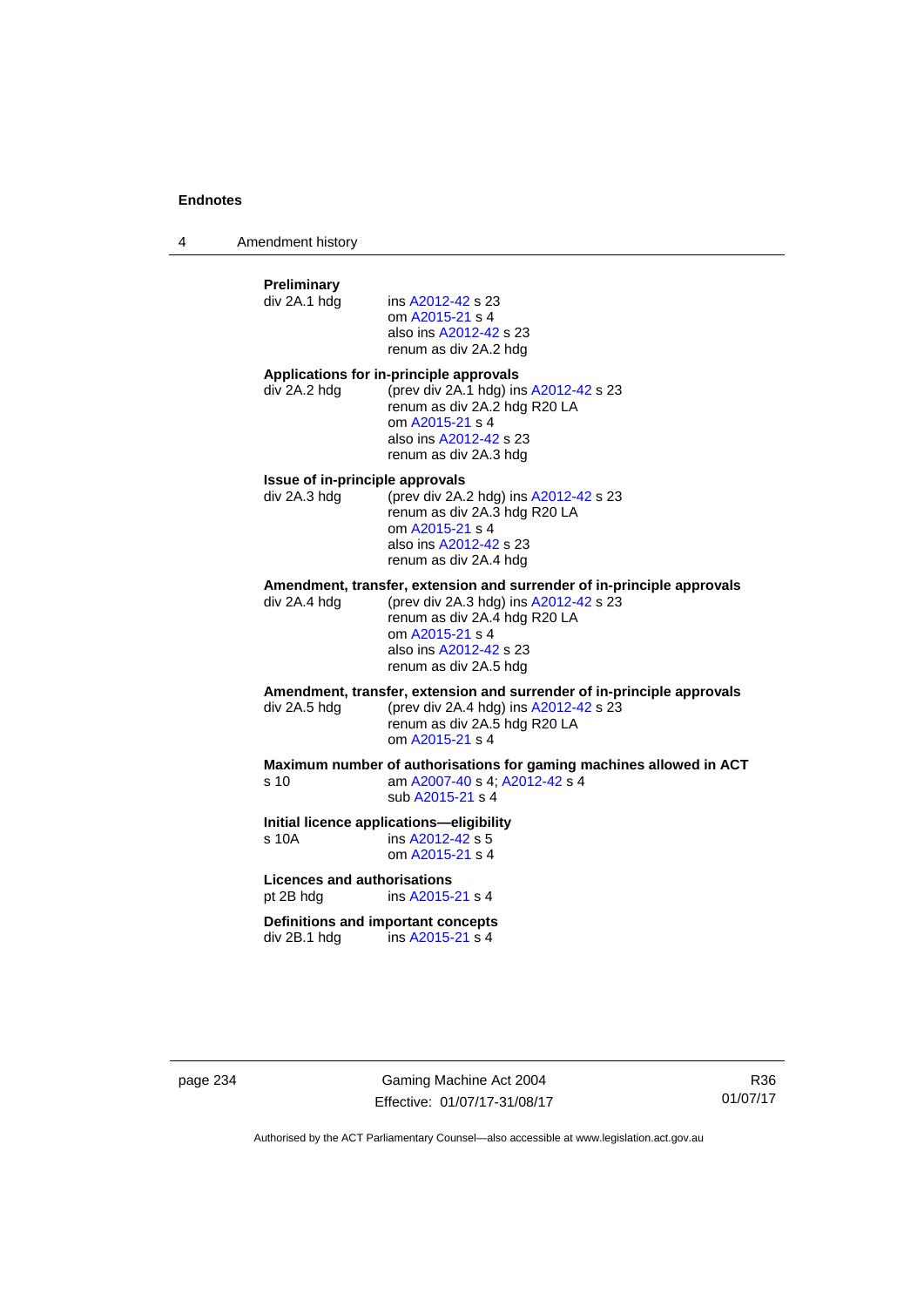4 Amendment history

# **Preliminary**  ins [A2012-42](http://www.legislation.act.gov.au/a/2012-42) s 23 om [A2015-21](http://www.legislation.act.gov.au/a/2015-21) s 4 also ins [A2012-42](http://www.legislation.act.gov.au/a/2012-42) s 23 renum as div 2A.2 hdg **Applications for in-principle approvals**  div 2A.2 hdg (prev div 2A.1 hdg) ins [A2012-42](http://www.legislation.act.gov.au/a/2012-42) s 23 renum as div 2A.2 hdg R20 LA om [A2015-21](http://www.legislation.act.gov.au/a/2015-21) s 4 also ins [A2012-42](http://www.legislation.act.gov.au/a/2012-42) s 23 renum as div 2A.3 hdg **Issue of in-principle approvals**  div 2A.3 hdg (prev div 2A.2 hdg) ins [A2012-42](http://www.legislation.act.gov.au/a/2012-42) s 23 renum as div 2A.3 hdg R20 LA om [A2015-21](http://www.legislation.act.gov.au/a/2015-21) s 4 also ins [A2012-42](http://www.legislation.act.gov.au/a/2012-42) s 23 renum as div 2A.4 hdg **Amendment, transfer, extension and surrender of in-principle approvals div 2A.4 hdg (prev div 2A.3 hdg) ins A2012-42 s 23** (prev div 2A.3 hdg) ins  $A2012-42$  s 23 renum as div 2A.4 hdg R20 LA om [A2015-21](http://www.legislation.act.gov.au/a/2015-21) s 4 also ins [A2012-42](http://www.legislation.act.gov.au/a/2012-42) s 23 renum as div 2A.5 hdg **Amendment, transfer, extension and surrender of in-principle approvals div 2A.5 hdd (prev div 2A.4 hdd) ins A2012-42 s 23** (prev div 2A.4 hdg) ins  $A2012-42$  s 23 renum as div 2A.5 hdg R20 LA om [A2015-21](http://www.legislation.act.gov.au/a/2015-21) s 4 **Maximum number of authorisations for gaming machines allowed in ACT**  s 10 am [A2007-40](http://www.legislation.act.gov.au/a/2007-40) s 4; [A2012-42](http://www.legislation.act.gov.au/a/2012-42) s 4 sub [A2015-21](http://www.legislation.act.gov.au/a/2015-21) s 4 **Initial licence applications—eligibility**  s 10A ins [A2012-42](http://www.legislation.act.gov.au/a/2012-42) s 5 om [A2015-21](http://www.legislation.act.gov.au/a/2015-21) s 4 **Licences and authorisations**  pt 2B hdg ins [A2015-21](http://www.legislation.act.gov.au/a/2015-21) s 4 **Definitions and important concepts**  div 2B.1 hdg ins [A2015-21](http://www.legislation.act.gov.au/a/2015-21) s 4

page 234 Gaming Machine Act 2004 Effective: 01/07/17-31/08/17

R36 01/07/17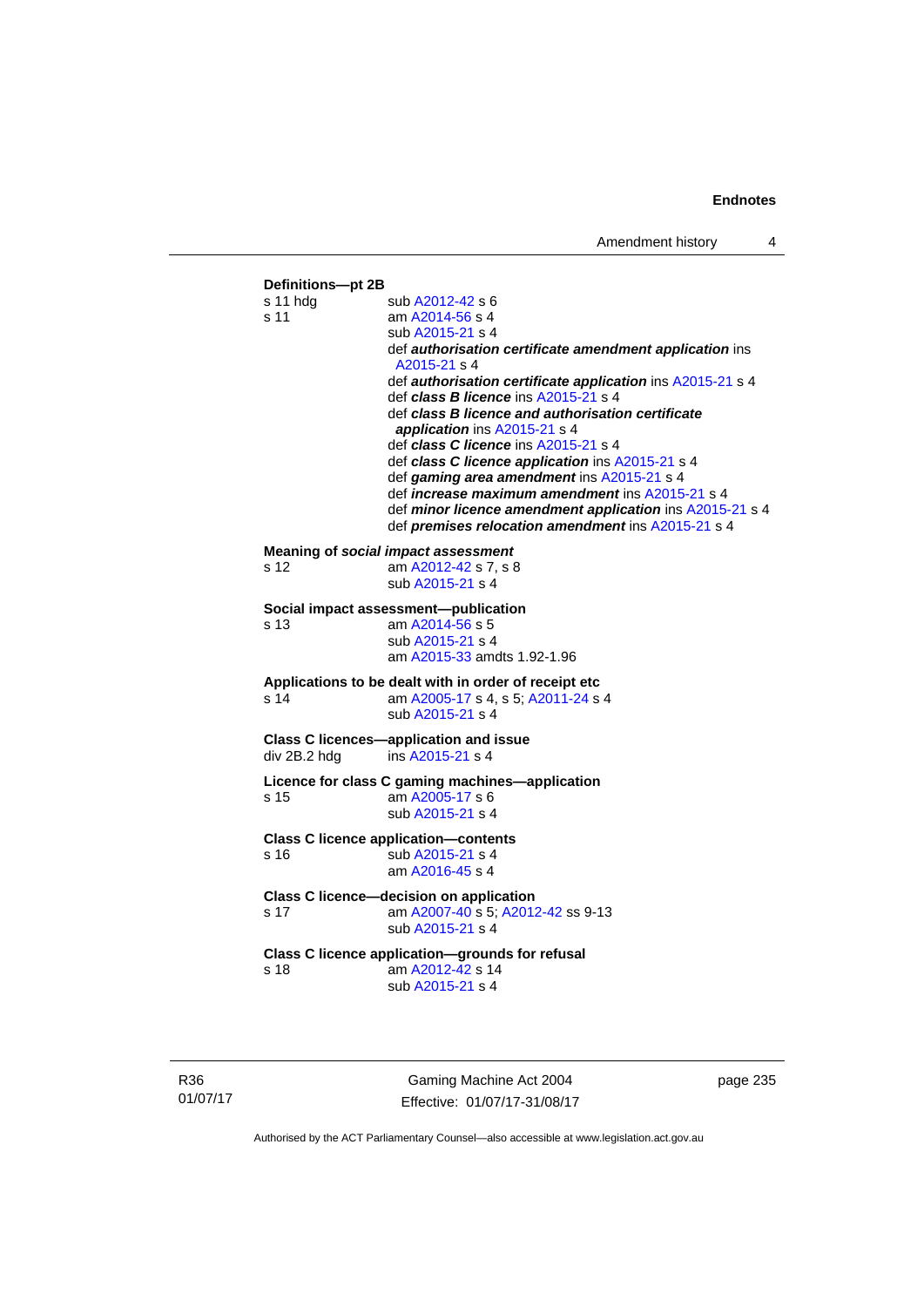

R36 01/07/17

Gaming Machine Act 2004 Effective: 01/07/17-31/08/17 page 235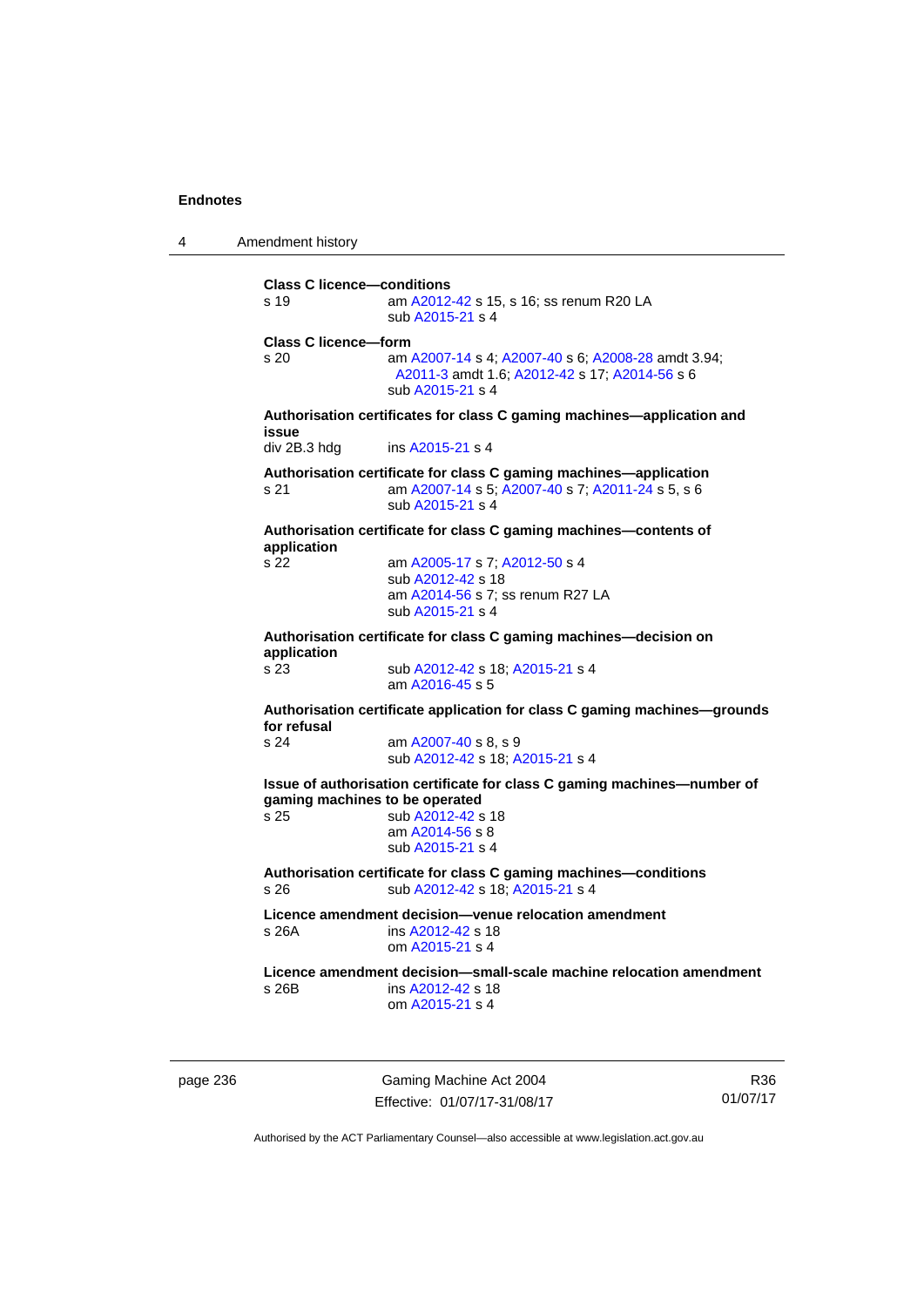4 Amendment history

**Class C licence—conditions**  s 19 am [A2012-42](http://www.legislation.act.gov.au/a/2012-42) s 15, s 16; ss renum R20 LA sub [A2015-21](http://www.legislation.act.gov.au/a/2015-21) s 4 **Class C licence—form**  s 20 am [A2007-14](http://www.legislation.act.gov.au/a/2007-14) s 4; [A2007-40](http://www.legislation.act.gov.au/a/2007-40) s 6; [A2008-28](http://www.legislation.act.gov.au/a/2008-28) amdt 3.94; [A2011-3](http://www.legislation.act.gov.au/a/2011-3) amdt 1.6; [A2012-42](http://www.legislation.act.gov.au/a/2012-42) s 17; [A2014-56](http://www.legislation.act.gov.au/a/2014-56) s 6 sub [A2015-21](http://www.legislation.act.gov.au/a/2015-21) s 4 **Authorisation certificates for class C gaming machines—application and issue**  div 2B.3 hdg ins [A2015-21](http://www.legislation.act.gov.au/a/2015-21) s 4 **Authorisation certificate for class C gaming machines—application**  s 21 am [A2007-14](http://www.legislation.act.gov.au/a/2007-14) s 5; [A2007-40](http://www.legislation.act.gov.au/a/2007-40) s 7; [A2011-24](http://www.legislation.act.gov.au/a/2011-24) s 5, s 6 sub [A2015-21](http://www.legislation.act.gov.au/a/2015-21) s 4 **Authorisation certificate for class C gaming machines—contents of application**  s 22 am [A2005-17](http://www.legislation.act.gov.au/a/2005-17) s 7; [A2012-50](http://www.legislation.act.gov.au/a/2012-50/default.asp) s 4 sub [A2012-42](http://www.legislation.act.gov.au/a/2012-42) s 18 am [A2014-56](http://www.legislation.act.gov.au/a/2014-56) s 7; ss renum R27 LA sub [A2015-21](http://www.legislation.act.gov.au/a/2015-21) s 4 **Authorisation certificate for class C gaming machines—decision on application**  sub [A2012-42](http://www.legislation.act.gov.au/a/2012-42) s 18; [A2015-21](http://www.legislation.act.gov.au/a/2015-21) s 4 am [A2016-45](http://www.legislation.act.gov.au/a/2016-45) s 5 **Authorisation certificate application for class C gaming machines—grounds for refusal**  am [A2007-40](http://www.legislation.act.gov.au/a/2007-40) s 8, s 9 sub [A2012-42](http://www.legislation.act.gov.au/a/2012-42) s 18; [A2015-21](http://www.legislation.act.gov.au/a/2015-21) s 4 **Issue of authorisation certificate for class C gaming machines—number of gaming machines to be operated**  s 25 sub [A2012-42](http://www.legislation.act.gov.au/a/2012-42) s 18 am [A2014-56](http://www.legislation.act.gov.au/a/2014-56) s 8 sub [A2015-21](http://www.legislation.act.gov.au/a/2015-21) s 4 **Authorisation certificate for class C gaming machines—conditions**  s 26 sub [A2012-42](http://www.legislation.act.gov.au/a/2012-42) s 18; [A2015-21](http://www.legislation.act.gov.au/a/2015-21) s 4 **Licence amendment decision—venue relocation amendment**  s 26A ins [A2012-42](http://www.legislation.act.gov.au/a/2012-42) s 18 om [A2015-21](http://www.legislation.act.gov.au/a/2015-21) s 4 **Licence amendment decision—small-scale machine relocation amendment**  s 26B ins [A2012-42](http://www.legislation.act.gov.au/a/2012-42) s 18 om [A2015-21](http://www.legislation.act.gov.au/a/2015-21) s 4

page 236 Gaming Machine Act 2004 Effective: 01/07/17-31/08/17

R36 01/07/17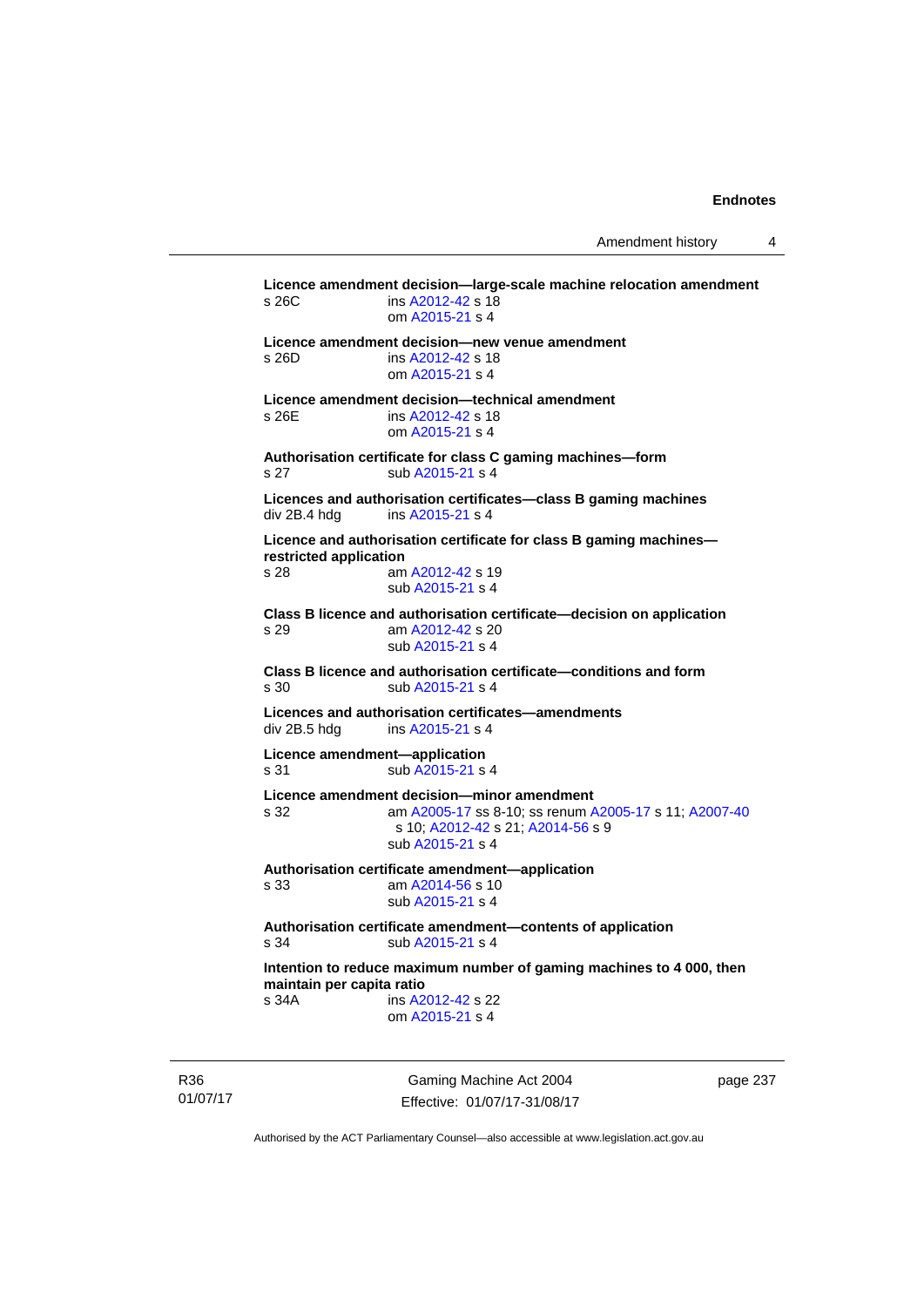**Licence amendment decision—large-scale machine relocation amendment**  s 26C ins [A2012-42](http://www.legislation.act.gov.au/a/2012-42) s 18 om [A2015-21](http://www.legislation.act.gov.au/a/2015-21) s 4 **Licence amendment decision—new venue amendment**  s 26D ins [A2012-42](http://www.legislation.act.gov.au/a/2012-42) s 18 om [A2015-21](http://www.legislation.act.gov.au/a/2015-21) s 4 **Licence amendment decision—technical amendment**  s 26E ins [A2012-42](http://www.legislation.act.gov.au/a/2012-42) s 18 om [A2015-21](http://www.legislation.act.gov.au/a/2015-21) s 4 **Authorisation certificate for class C gaming machines—form**  s 27 sub [A2015-21](http://www.legislation.act.gov.au/a/2015-21) s 4 **Licences and authorisation certificates—class B gaming machines**  div 2B.4 hdg ins [A2015-21](http://www.legislation.act.gov.au/a/2015-21) s 4 **Licence and authorisation certificate for class B gaming machines restricted application**  s 28 am [A2012-42](http://www.legislation.act.gov.au/a/2012-42) s 19 sub [A2015-21](http://www.legislation.act.gov.au/a/2015-21) s 4 **Class B licence and authorisation certificate—decision on application**  s 29 am [A2012-42](http://www.legislation.act.gov.au/a/2012-42) s 20 sub [A2015-21](http://www.legislation.act.gov.au/a/2015-21) s 4 **Class B licence and authorisation certificate—conditions and form**  s 30 sub [A2015-21](http://www.legislation.act.gov.au/a/2015-21) s 4 **Licences and authorisation certificates—amendments**  div 2B.5 hdg ins [A2015-21](http://www.legislation.act.gov.au/a/2015-21) s 4 **Licence amendment—application**  s 31 sub [A2015-21](http://www.legislation.act.gov.au/a/2015-21) s 4 **Licence amendment decision—minor amendment**  s 32 am [A2005-17](http://www.legislation.act.gov.au/a/2005-17) ss 8-10; ss renum [A2005-17](http://www.legislation.act.gov.au/a/2005-17) s 11; [A2007-40](http://www.legislation.act.gov.au/a/2007-40) s 10; [A2012-42](http://www.legislation.act.gov.au/a/2012-42) s 21; [A2014-56](http://www.legislation.act.gov.au/a/2014-56) s 9 sub [A2015-21](http://www.legislation.act.gov.au/a/2015-21) s 4 **Authorisation certificate amendment—application**  s 33 am [A2014-56](http://www.legislation.act.gov.au/a/2014-56) s 10 sub [A2015-21](http://www.legislation.act.gov.au/a/2015-21) s 4 **Authorisation certificate amendment—contents of application**  s 34 sub [A2015-21](http://www.legislation.act.gov.au/a/2015-21) s 4 **Intention to reduce maximum number of gaming machines to 4 000, then maintain per capita ratio**  s 34A ins [A2012-42](http://www.legislation.act.gov.au/a/2012-42) s 22 om [A2015-21](http://www.legislation.act.gov.au/a/2015-21) s 4

R36 01/07/17

Gaming Machine Act 2004 Effective: 01/07/17-31/08/17 page 237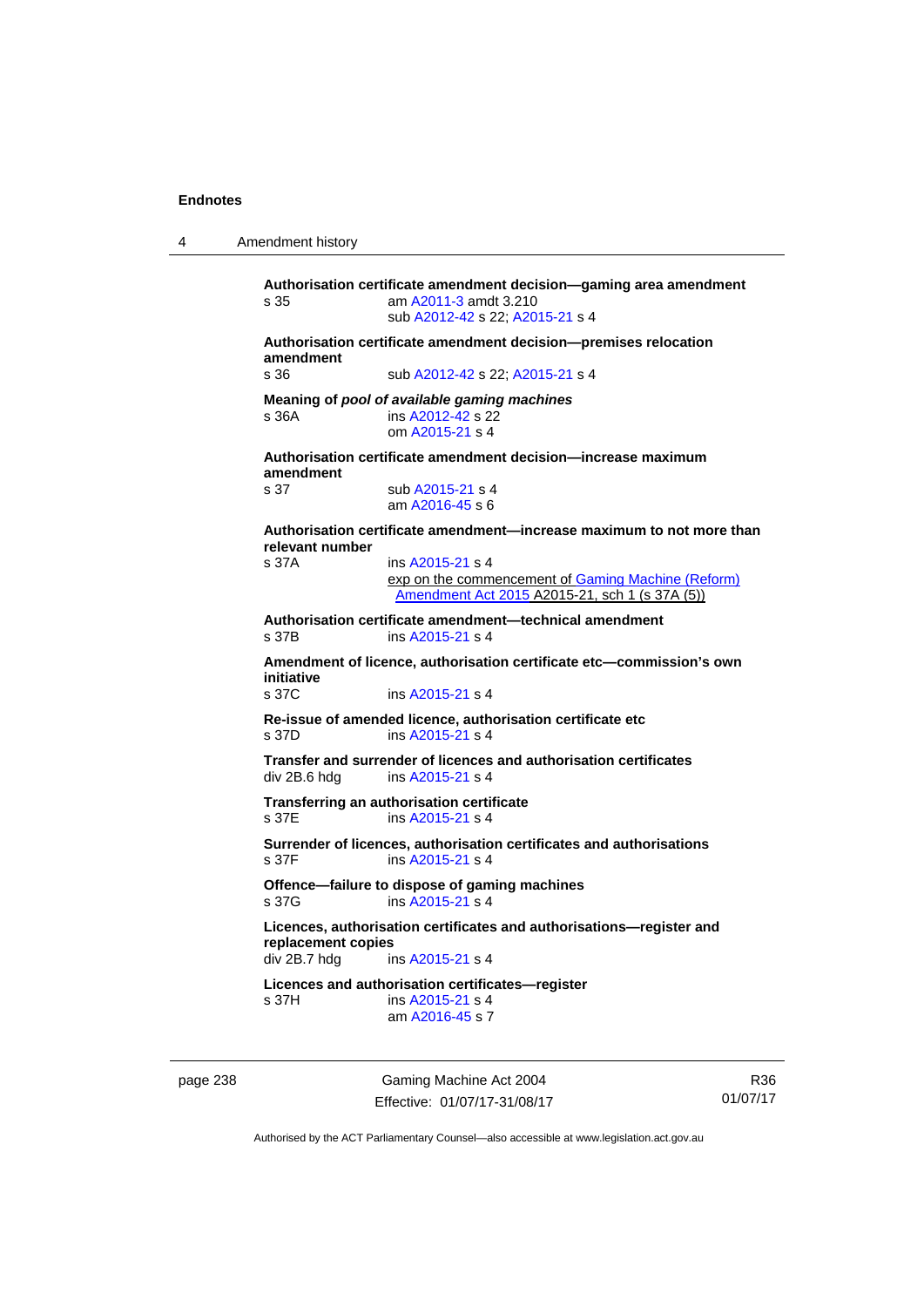4 Amendment history

**Authorisation certificate amendment decision—gaming area amendment**  s 35 am [A2011-3](http://www.legislation.act.gov.au/a/2011-3) amdt 3.210 sub [A2012-42](http://www.legislation.act.gov.au/a/2012-42) s 22; [A2015-21](http://www.legislation.act.gov.au/a/2015-21) s 4 **Authorisation certificate amendment decision—premises relocation amendment**  s 36 sub [A2012-42](http://www.legislation.act.gov.au/a/2012-42) s 22; [A2015-21](http://www.legislation.act.gov.au/a/2015-21) s 4 **Meaning of** *pool of available gaming machines* s 36A **ins [A2012-42](http://www.legislation.act.gov.au/a/2012-42) s 22**  om [A2015-21](http://www.legislation.act.gov.au/a/2015-21) s 4 **Authorisation certificate amendment decision—increase maximum amendment**  sub [A2015-21](http://www.legislation.act.gov.au/a/2015-21) s 4 am [A2016-45](http://www.legislation.act.gov.au/a/2016-45) s 6 **Authorisation certificate amendment—increase maximum to not more than relevant number**  s 37A ins [A2015-21](http://www.legislation.act.gov.au/a/2015-21) s 4 exp on the commencement of [Gaming Machine \(Reform\)](http://www.legislation.act.gov.au/a/2015-21/default.asp)  [Amendment Act 2015](http://www.legislation.act.gov.au/a/2015-21/default.asp) A2015-21, sch 1 (s 37A (5)) **Authorisation certificate amendment—technical amendment**  ins [A2015-21](http://www.legislation.act.gov.au/a/2015-21) s 4 **Amendment of licence, authorisation certificate etc—commission's own initiative**  s 37C ins [A2015-21](http://www.legislation.act.gov.au/a/2015-21) s 4 **Re-issue of amended licence, authorisation certificate etc**  s 37D ins [A2015-21](http://www.legislation.act.gov.au/a/2015-21) s 4 **Transfer and surrender of licences and authorisation certificates**  ins [A2015-21](http://www.legislation.act.gov.au/a/2015-21) s 4 **Transferring an authorisation certificate**  s 37E ins [A2015-21](http://www.legislation.act.gov.au/a/2015-21) s 4 **Surrender of licences, authorisation certificates and authorisations**   $ins$  [A2015-21](http://www.legislation.act.gov.au/a/2015-21) s 4 **Offence—failure to dispose of gaming machines**  s 37G ins [A2015-21](http://www.legislation.act.gov.au/a/2015-21) s 4 **Licences, authorisation certificates and authorisations—register and replacement copies**  ins [A2015-21](http://www.legislation.act.gov.au/a/2015-21) s 4 **Licences and authorisation certificates—register**  s 37H ins [A2015-21](http://www.legislation.act.gov.au/a/2015-21) s 4 am [A2016-45](http://www.legislation.act.gov.au/a/2016-45) s 7

page 238 Gaming Machine Act 2004 Effective: 01/07/17-31/08/17

R36 01/07/17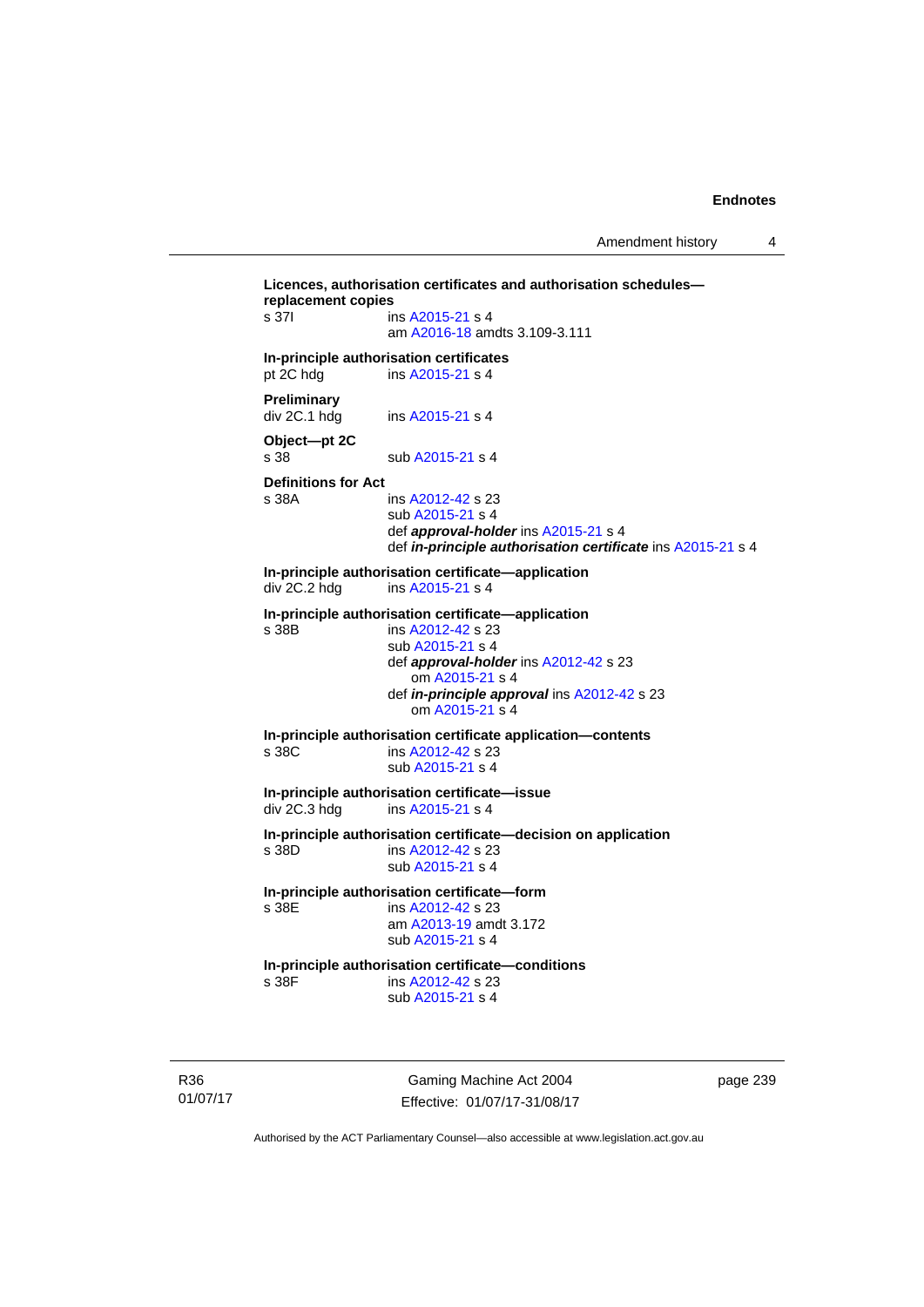```
Licences, authorisation certificates and authorisation schedules—
replacement copies 
 A2015-21 s 4
                   am A2016-18 amdts 3.109-3.111 
In-principle authorisation certificates 
pt 2C hdg ins A2015-21 s 4
Preliminary 
 A2015-21 s 4
Object—pt 2C 
A2015-21 s 4
Definitions for Act 
                  A2012-42 s 23
                   sub A2015-21 s 4 
                   def approval-holder ins A2015-21 s 4 
                   def in-principle authorisation certificate ins A2015-21 s 4 
In-principle authorisation certificate—application<br>div 2C.2 hdg ins A2015-21 s 4
                  ins A2015-21 s 4
In-principle authorisation certificate—application 
s 38B ins A2012-42 s 23 
                   sub A2015-21 s 4 
                   def approval-holder ins A2012-42 s 23 
                      om A2015-21 s 4 
                   def in-principle approval ins A2012-42 s 23 
                      om A2015-21 s 4 
In-principle authorisation certificate application—contents 
s 38C ins A2012-42 s 23 
                   sub A2015-21 s 4 
In-principle authorisation certificate—issue 
                 ins A2015-21 s 4
In-principle authorisation certificate—decision on application 
s 38D ins A2012-42 s 23 
                   sub A2015-21 s 4 
In-principle authorisation certificate—form 
s 38E ins A2012-42 s 23 
                   am A2013-19 amdt 3.172
                   sub A2015-21 s 4 
In-principle authorisation certificate—conditions 
                  A2012-42 s 23
                   sub A2015-21 s 4
```
R36 01/07/17

Gaming Machine Act 2004 Effective: 01/07/17-31/08/17 page 239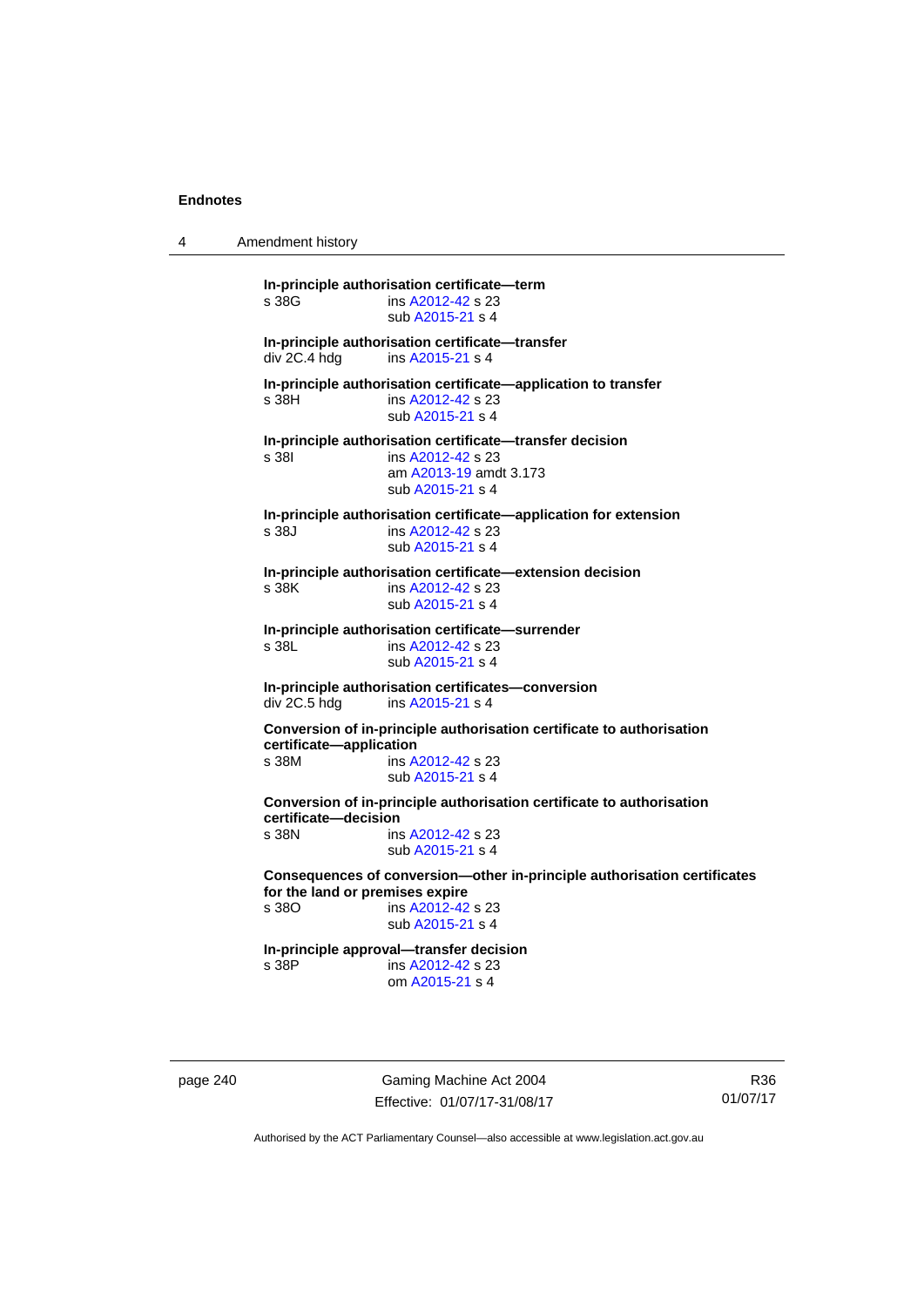4 Amendment history

**In-principle authorisation certificate—term**  s 38G ins [A2012-42](http://www.legislation.act.gov.au/a/2012-42) s 23 sub [A2015-21](http://www.legislation.act.gov.au/a/2015-21) s 4 **In-principle authorisation certificate—transfer**  ins [A2015-21](http://www.legislation.act.gov.au/a/2015-21) s 4 **In-principle authorisation certificate—application to transfer**  s 38H ins [A2012-42](http://www.legislation.act.gov.au/a/2012-42) s 23 sub [A2015-21](http://www.legislation.act.gov.au/a/2015-21) s 4 **In-principle authorisation certificate—transfer decision**  s 38I ins [A2012-42](http://www.legislation.act.gov.au/a/2012-42) s 23 am [A2013-19](http://www.legislation.act.gov.au/a/2013-19) amdt 3.173 sub [A2015-21](http://www.legislation.act.gov.au/a/2015-21) s 4 **In-principle authorisation certificate—application for extension**  s 38J ins [A2012-42](http://www.legislation.act.gov.au/a/2012-42) s 23 sub [A2015-21](http://www.legislation.act.gov.au/a/2015-21) s 4 **In-principle authorisation certificate—extension decision**  ins [A2012-42](http://www.legislation.act.gov.au/a/2012-42) s 23 sub [A2015-21](http://www.legislation.act.gov.au/a/2015-21) s 4 **In-principle authorisation certificate—surrender**  s 38L **ins [A2012-42](http://www.legislation.act.gov.au/a/2012-42) s 23**  sub [A2015-21](http://www.legislation.act.gov.au/a/2015-21) s 4 **In-principle authorisation certificates—conversion**  ins [A2015-21](http://www.legislation.act.gov.au/a/2015-21) s 4 **Conversion of in-principle authorisation certificate to authorisation certificate—application**  s 38M ins [A2012-42](http://www.legislation.act.gov.au/a/2012-42) s 23 sub [A2015-21](http://www.legislation.act.gov.au/a/2015-21) s 4 **Conversion of in-principle authorisation certificate to authorisation certificate—decision**  s 38N ins [A2012-42](http://www.legislation.act.gov.au/a/2012-42) s 23 sub [A2015-21](http://www.legislation.act.gov.au/a/2015-21) s 4 **Consequences of conversion—other in-principle authorisation certificates for the land or premises expire**  ins [A2012-42](http://www.legislation.act.gov.au/a/2012-42) s 23 sub [A2015-21](http://www.legislation.act.gov.au/a/2015-21) s 4 **In-principle approval—transfer decision**  s 38P ins [A2012-42](http://www.legislation.act.gov.au/a/2012-42) s 23 om [A2015-21](http://www.legislation.act.gov.au/a/2015-21) s 4

page 240 Gaming Machine Act 2004 Effective: 01/07/17-31/08/17

R36 01/07/17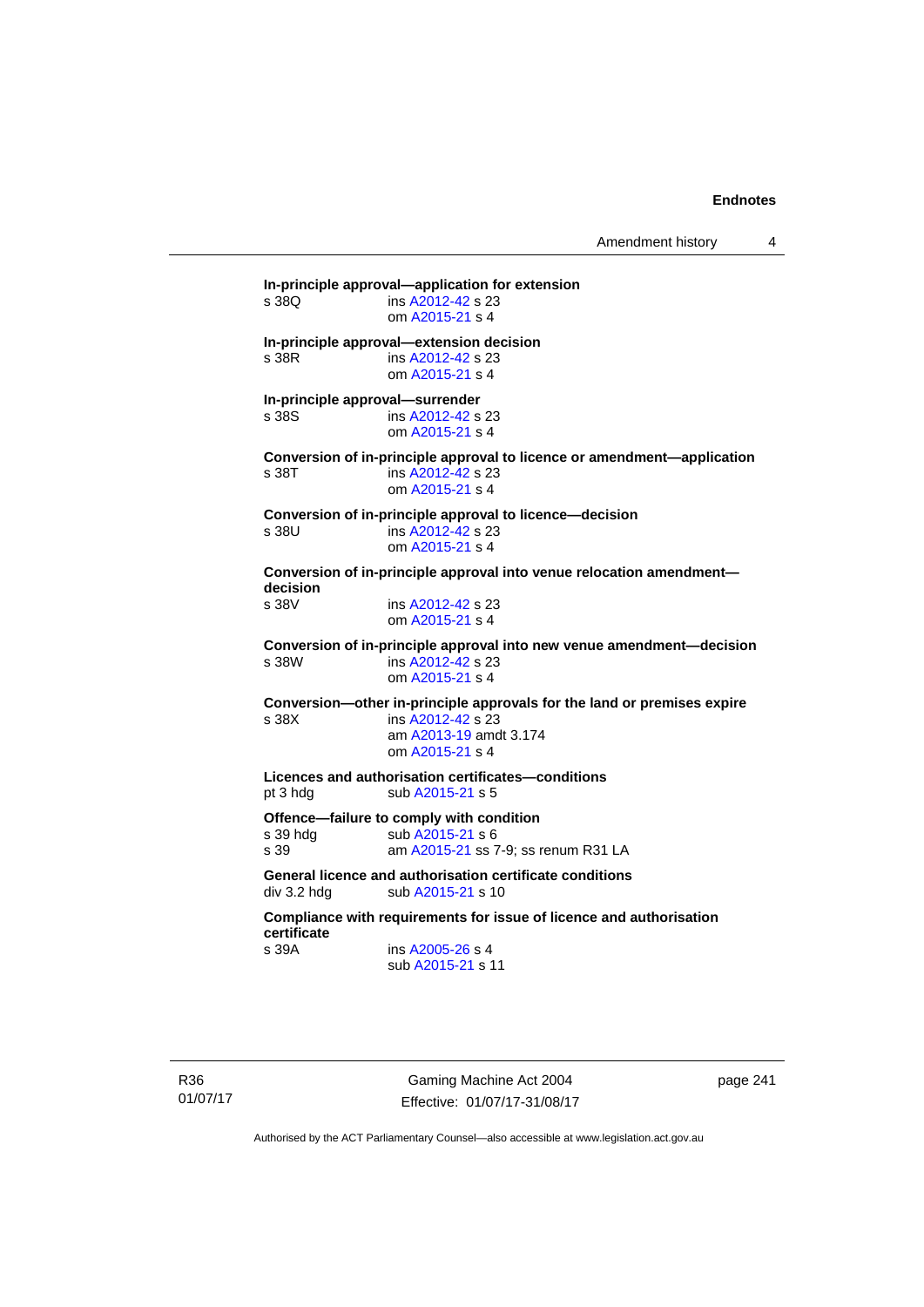Amendment history 4

**In-principle approval—application for extension**  ins [A2012-42](http://www.legislation.act.gov.au/a/2012-42) s 23 om [A2015-21](http://www.legislation.act.gov.au/a/2015-21) s 4 **In-principle approval—extension decision**  s 38R ins [A2012-42](http://www.legislation.act.gov.au/a/2012-42) s 23 om [A2015-21](http://www.legislation.act.gov.au/a/2015-21) s 4 **In-principle approval—surrender**  s 38S ins [A2012-42](http://www.legislation.act.gov.au/a/2012-42) s 23 om [A2015-21](http://www.legislation.act.gov.au/a/2015-21) s 4 **Conversion of in-principle approval to licence or amendment—application**  s 38T ins [A2012-42](http://www.legislation.act.gov.au/a/2012-42) s 23 om [A2015-21](http://www.legislation.act.gov.au/a/2015-21) s 4 **Conversion of in-principle approval to licence—decision**  s 38U ins [A2012-42](http://www.legislation.act.gov.au/a/2012-42) s 23 om [A2015-21](http://www.legislation.act.gov.au/a/2015-21) s 4 **Conversion of in-principle approval into venue relocation amendment decision**  s 38V ins [A2012-42](http://www.legislation.act.gov.au/a/2012-42) s 23 om [A2015-21](http://www.legislation.act.gov.au/a/2015-21) s 4 **Conversion of in-principle approval into new venue amendment—decision**  s 38W ins [A2012-42](http://www.legislation.act.gov.au/a/2012-42) s 23 om [A2015-21](http://www.legislation.act.gov.au/a/2015-21) s 4 **Conversion—other in-principle approvals for the land or premises expire**  s 38X ins [A2012-42](http://www.legislation.act.gov.au/a/2012-42) s 23 am [A2013-19](http://www.legislation.act.gov.au/a/2013-19) amdt 3.174 om [A2015-21](http://www.legislation.act.gov.au/a/2015-21) s 4 **Licences and authorisation certificates—conditions**  pt 3 hdg sub [A2015-21](http://www.legislation.act.gov.au/a/2015-21) s 5 **Offence—failure to comply with condition**  s 39 hdg sub [A2015-21](http://www.legislation.act.gov.au/a/2015-21) s 6 s 39 am [A2015-21](http://www.legislation.act.gov.au/a/2015-21) ss 7-9; ss renum R31 LA **General licence and authorisation certificate conditions**  div 3.2 hdg sub [A2015-21](http://www.legislation.act.gov.au/a/2015-21) s 10 **Compliance with requirements for issue of licence and authorisation certificate**  s 39A ins [A2005-26](http://www.legislation.act.gov.au/a/2005-26) s 4 sub [A2015-21](http://www.legislation.act.gov.au/a/2015-21) s 11

R36 01/07/17

Gaming Machine Act 2004 Effective: 01/07/17-31/08/17 page 241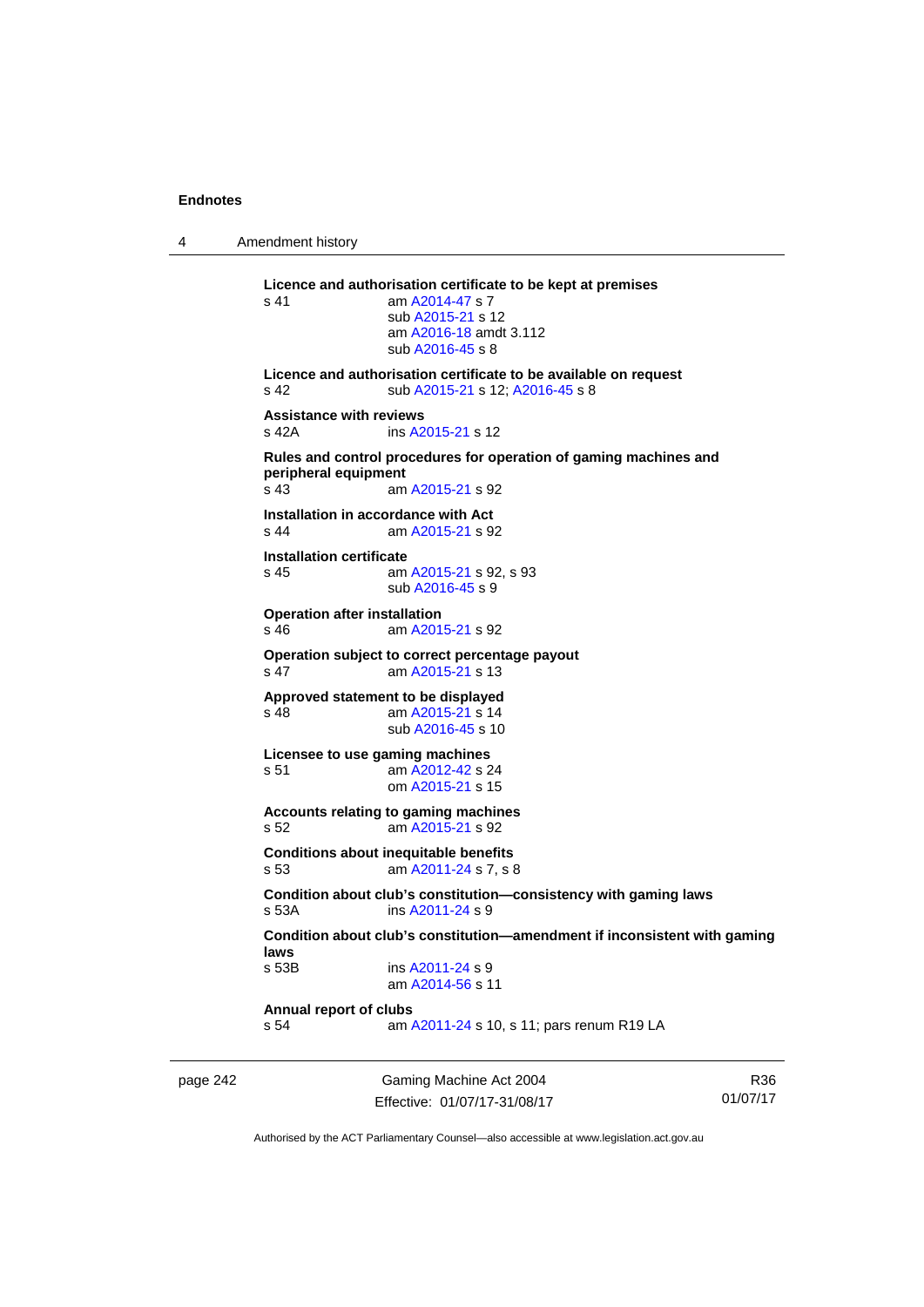4 Amendment history

**Licence and authorisation certificate to be kept at premises**  s 41 am [A2014-47](http://www.legislation.act.gov.au/a/2014-47) s 7 sub [A2015-21](http://www.legislation.act.gov.au/a/2015-21) s 12 am [A2016-18](http://www.legislation.act.gov.au/a/2016-18/default.asp) amdt 3.112 sub [A2016-45](http://www.legislation.act.gov.au/a/2016-45) s 8 **Licence and authorisation certificate to be available on request**  s 42 sub [A2015-21](http://www.legislation.act.gov.au/a/2015-21) s 12; [A2016-45](http://www.legislation.act.gov.au/a/2016-45) s 8 **Assistance with reviews**  s 42A ins [A2015-21](http://www.legislation.act.gov.au/a/2015-21) s 12 **Rules and control procedures for operation of gaming machines and peripheral equipment**  am [A2015-21](http://www.legislation.act.gov.au/a/2015-21) s 92 **Installation in accordance with Act**  s 44 am [A2015-21](http://www.legislation.act.gov.au/a/2015-21) s 92 **Installation certificate**  s 45 am [A2015-21](http://www.legislation.act.gov.au/a/2015-21) s 92, s 93 sub [A2016-45](http://www.legislation.act.gov.au/a/2016-45) s 9 **Operation after installation**  s 46 am [A2015-21](http://www.legislation.act.gov.au/a/2015-21) s 92 **Operation subject to correct percentage payout**  s 47 am [A2015-21](http://www.legislation.act.gov.au/a/2015-21) s 13 **Approved statement to be displayed**  s 48 am [A2015-21](http://www.legislation.act.gov.au/a/2015-21) s 14 sub [A2016-45](http://www.legislation.act.gov.au/a/2016-45) s 10 **Licensee to use gaming machines**  s 51 am [A2012-42](http://www.legislation.act.gov.au/a/2012-42) s 24 om [A2015-21](http://www.legislation.act.gov.au/a/2015-21) s 15 **Accounts relating to gaming machines**  s 52 am [A2015-21](http://www.legislation.act.gov.au/a/2015-21) s 92 **Conditions about inequitable benefits**  s 53 am [A2011-24](http://www.legislation.act.gov.au/a/2011-24) s 7, s 8 **Condition about club's constitution—consistency with gaming laws**  ins [A2011-24](http://www.legislation.act.gov.au/a/2011-24) s 9 **Condition about club's constitution—amendment if inconsistent with gaming laws**  ins [A2011-24](http://www.legislation.act.gov.au/a/2011-24) s 9 am [A2014-56](http://www.legislation.act.gov.au/a/2014-56) s 11 **Annual report of clubs**  s 54 am [A2011-24](http://www.legislation.act.gov.au/a/2011-24) s 10, s 11; pars renum R19 LA

page 242 Gaming Machine Act 2004 Effective: 01/07/17-31/08/17

R36 01/07/17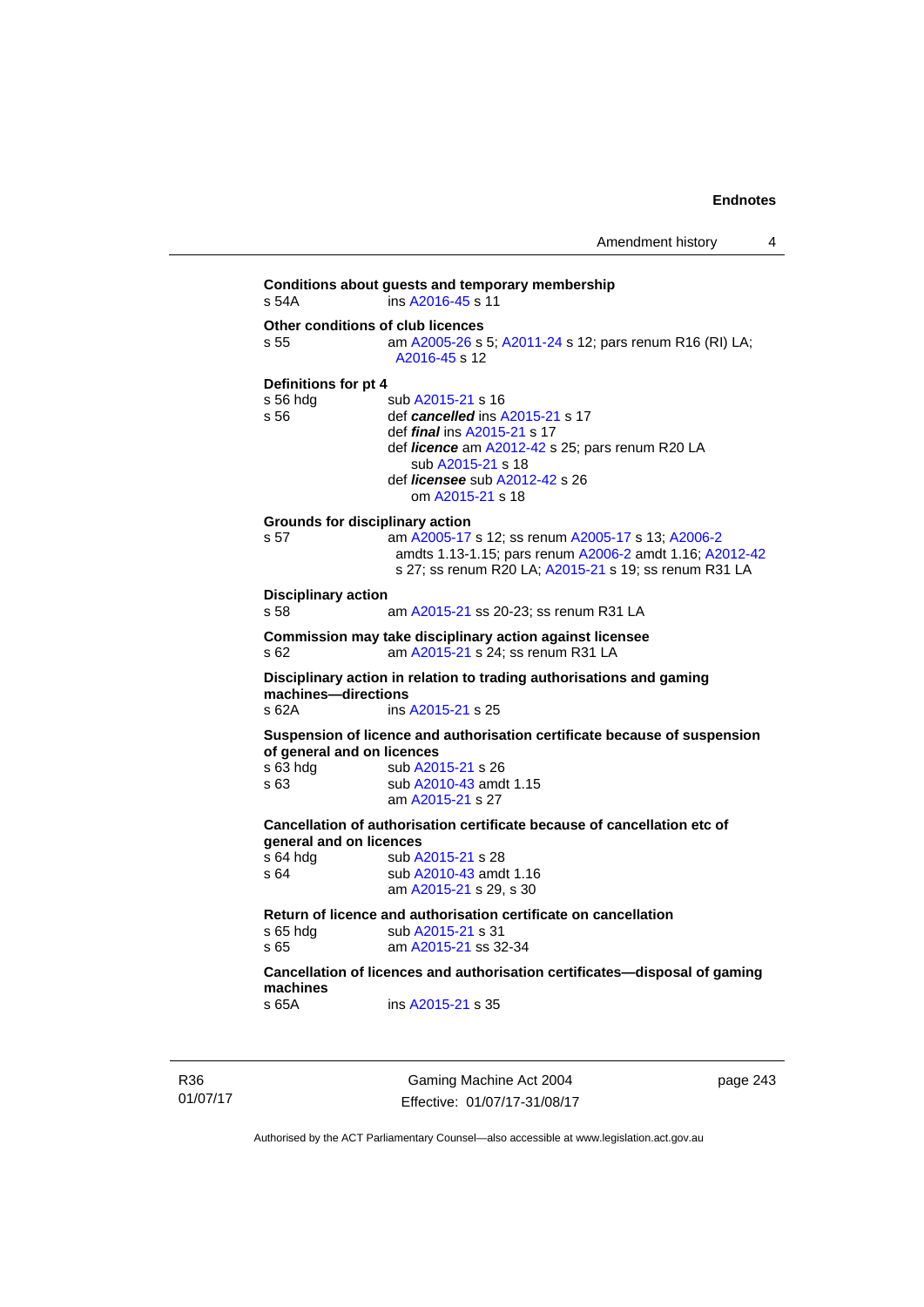**Conditions about guests and temporary membership**  s 54A ins [A2016-45](http://www.legislation.act.gov.au/a/2016-45) s 11 **Other conditions of club licences**  s 55 **am [A2005-26](http://www.legislation.act.gov.au/a/2005-26) s 5; [A2011-24](http://www.legislation.act.gov.au/a/2011-24) s 12; pars renum R16 (RI) LA;** [A2016-45](http://www.legislation.act.gov.au/a/2016-45) s 12 **Definitions for pt 4**  s 56 hdg sub [A2015-21](http://www.legislation.act.gov.au/a/2015-21) s 16 s 56 def *cancelled* ins [A2015-21](http://www.legislation.act.gov.au/a/2015-21) s 17 def *final* ins [A2015-21](http://www.legislation.act.gov.au/a/2015-21) s 17 def *licence* am [A2012-42](http://www.legislation.act.gov.au/a/2012-42) s 25; pars renum R20 LA sub [A2015-21](http://www.legislation.act.gov.au/a/2015-21) s 18 def *licensee* sub [A2012-42](http://www.legislation.act.gov.au/a/2012-42) s 26 om [A2015-21](http://www.legislation.act.gov.au/a/2015-21) s 18 **Grounds for disciplinary action**  s 57 am [A2005-17](http://www.legislation.act.gov.au/a/2005-17) s 12; ss renum [A2005-17](http://www.legislation.act.gov.au/a/2005-17) s 13; [A2006-2](http://www.legislation.act.gov.au/a/2006-2) amdts 1.13-1.15; pars renum [A2006-2](http://www.legislation.act.gov.au/a/2006-2) amdt 1.16; [A2012-42](http://www.legislation.act.gov.au/a/2012-42) s 27; ss renum R20 LA; [A2015-21](http://www.legislation.act.gov.au/a/2015-21) s 19; ss renum R31 LA **Disciplinary action**  s 58 am [A2015-21](http://www.legislation.act.gov.au/a/2015-21) ss 20-23; ss renum R31 LA **Commission may take disciplinary action against licensee**  s 62 am [A2015-21](http://www.legislation.act.gov.au/a/2015-21) s 24; ss renum R31 LA **Disciplinary action in relation to trading authorisations and gaming machines—directions**  s 62A ins [A2015-21](http://www.legislation.act.gov.au/a/2015-21) s 25 **Suspension of licence and authorisation certificate because of suspension of general and on licences**<br>s 63 hdg sub A20 sub [A2015-21](http://www.legislation.act.gov.au/a/2015-21) s 26 s 63 sub [A2010-43](http://www.legislation.act.gov.au/a/2010-43) amdt 1.15 am [A2015-21](http://www.legislation.act.gov.au/a/2015-21) s 27 **Cancellation of authorisation certificate because of cancellation etc of general and on licences**  s 64 hdg sub [A2015-21](http://www.legislation.act.gov.au/a/2015-21) s 28 s 64 sub [A2010-43](http://www.legislation.act.gov.au/a/2010-43) amdt 1.16 am [A2015-21](http://www.legislation.act.gov.au/a/2015-21) s 29, s 30 **Return of licence and authorisation certificate on cancellation**  s 65 hdg sub [A2015-21](http://www.legislation.act.gov.au/a/2015-21) s 31<br>s 65 am A2015-21 ss 32 am [A2015-21](http://www.legislation.act.gov.au/a/2015-21) ss 32-34 **Cancellation of licences and authorisation certificates—disposal of gaming machines**  s 65A ins [A2015-21](http://www.legislation.act.gov.au/a/2015-21) s 35

R36 01/07/17

Gaming Machine Act 2004 Effective: 01/07/17-31/08/17 page 243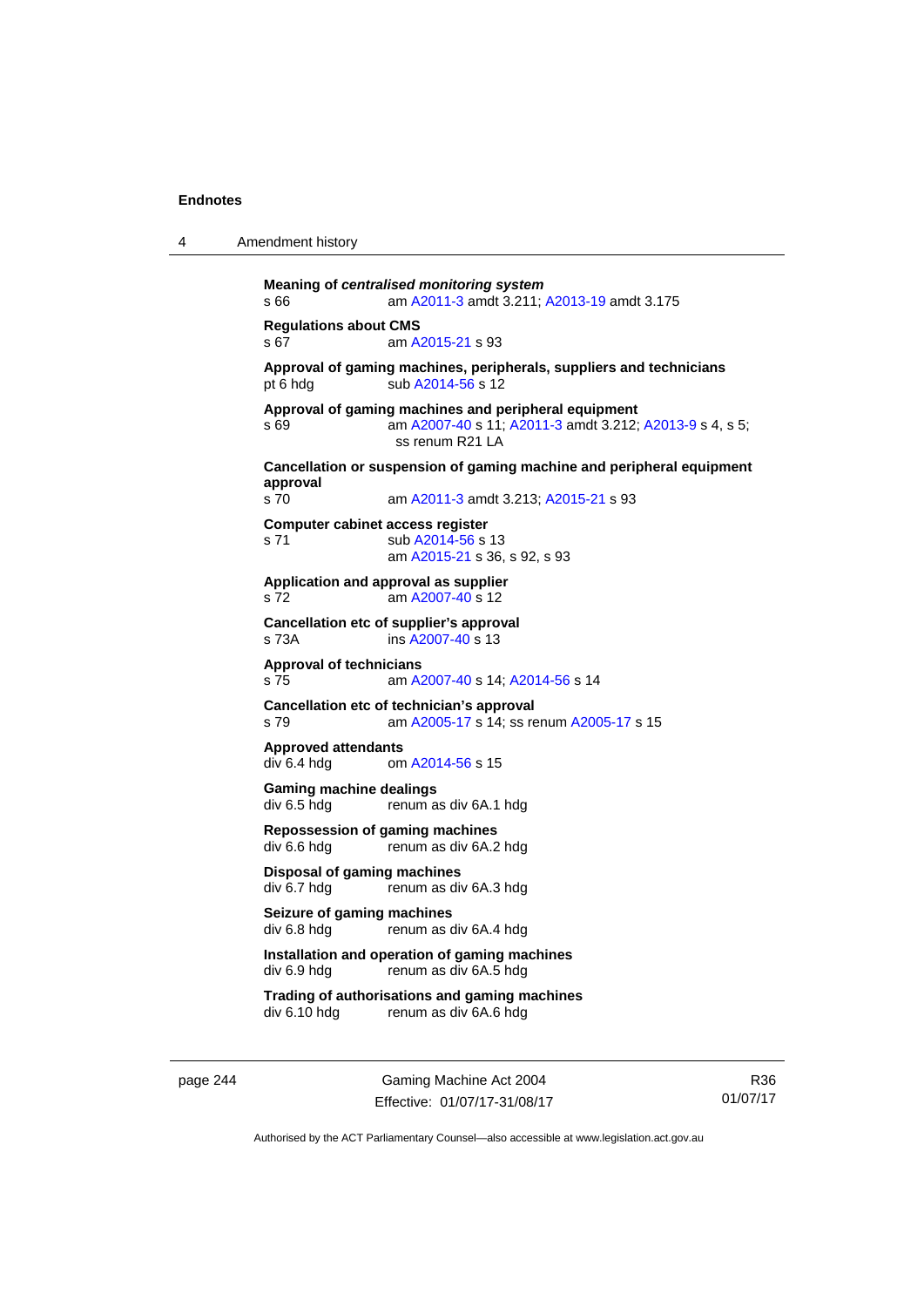| 4 | Amendment history |  |
|---|-------------------|--|
|---|-------------------|--|

```
Meaning of centralised monitoring system
s 66 am A2011-3 amdt 3.211; A2013-19 amdt 3.175 
Regulations about CMS 
s 67 am A2015-21 s 93 
Approval of gaming machines, peripherals, suppliers and technicians 
A2014-56 s 12
Approval of gaming machines and peripheral equipment 
s 69 am A2007-40 s 11; A2011-3 amdt 3.212; A2013-9 s 4, s 5; 
                 ss renum R21 LA 
Cancellation or suspension of gaming machine and peripheral equipment 
approval 
                A2011-3 A2015-21 s 93
Computer cabinet access register 
A2014-56 s 13
                 am A2015-21 s 36, s 92, s 93 
Application and approval as supplier 
s 72 am A2007-40 s 12 
Cancellation etc of supplier's approval 
s 73A ins A2007-40 s 13 
Approval of technicians 
s 75 am A2007-40 s 14; A2014-56 s 14 
Cancellation etc of technician's approval 
s 79 am A2005-17 s 14; ss renum A2005-17 s 15 
Approved attendants 
div 6.4 hdg om A2014-56 s 15 
Gaming machine dealings 
div 6.5 hdg renum as div 6A.1 hdg 
Repossession of gaming machines 
                renum as div 6A.2 hdg
Disposal of gaming machines 
div 6.7 hdg renum as div 6A.3 hdg 
Seizure of gaming machines<br>div 6.8 hdg renum as d
                renum as div 6A.4 hdg
Installation and operation of gaming machines 
div 6.9 hdg renum as div 6A.5 hdg 
Trading of authorisations and gaming machines 
                renum as div 6A.6 hdg
```
page 244 Gaming Machine Act 2004 Effective: 01/07/17-31/08/17

R36 01/07/17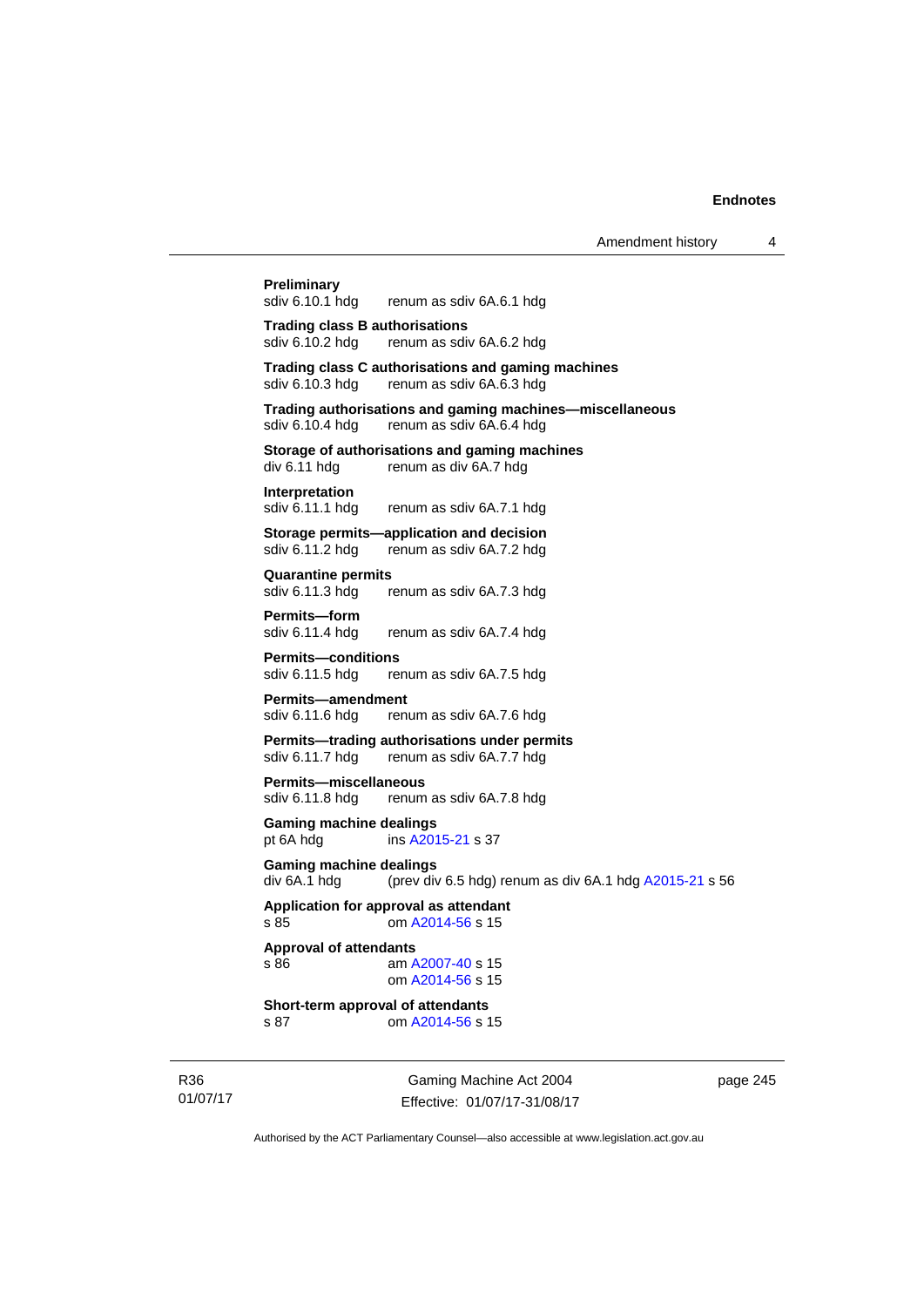**Preliminary**<br>sdiv 6.10.1 hdg renum as sdiv 6A.6.1 hdg **Trading class B authorisations**  sdiv 6.10.2 hdg renum as sdiv 6A.6.2 hdg **Trading class C authorisations and gaming machines**  renum as sdiv 6A.6.3 hdg **Trading authorisations and gaming machines—miscellaneous**  sdiv 6.10.4 hdg renum as sdiv 6A.6.4 hdg **Storage of authorisations and gaming machines**<br>div 6.11 hdg renum as div 6A.7 hdg renum as div 6A.7 hdg **Interpretation**  sdiv 6.11.1 hdg renum as sdiv 6A.7.1 hdg **Storage permits—application and decision**  sdiv 6.11.2 hdg renum as sdiv 6A.7.2 hdg **Quarantine permits**  sdiv 6.11.3 hdg renum as sdiv 6A.7.3 hdg **Permits—form**  sdiv 6.11.4 hdg renum as sdiv 6A.7.4 hdg **Permits—conditions**  sdiv 6.11.5 hdg renum as sdiv 6A.7.5 hdg **Permits—amendment**  sdiv 6.11.6 hdg renum as sdiv 6A.7.6 hdg **Permits—trading authorisations under permits**  sdiv 6.11.7 hdg renum as sdiv 6A.7.7 hdg **Permits—miscellaneous**  sdiv 6.11.8 hdg renum as sdiv 6A.7.8 hdg **Gaming machine dealings**  pt 6A hdg ins [A2015-21](http://www.legislation.act.gov.au/a/2015-21) s 37 **Gaming machine dealings**  div 6A.1 hdg (prev div 6.5 hdg) renum as div 6A.1 hdg [A2015-21](http://www.legislation.act.gov.au/a/2015-21) s 56 **Application for approval as attendant**  s 85 om [A2014-56](http://www.legislation.act.gov.au/a/2014-56) s 15 **Approval of attendants**  s 86 am [A2007-40](http://www.legislation.act.gov.au/a/2007-40) s 15 om [A2014-56](http://www.legislation.act.gov.au/a/2014-56) s 15 **Short-term approval of attendants**  s 87 om [A2014-56](http://www.legislation.act.gov.au/a/2014-56) s 15

R36 01/07/17

Gaming Machine Act 2004 Effective: 01/07/17-31/08/17 page 245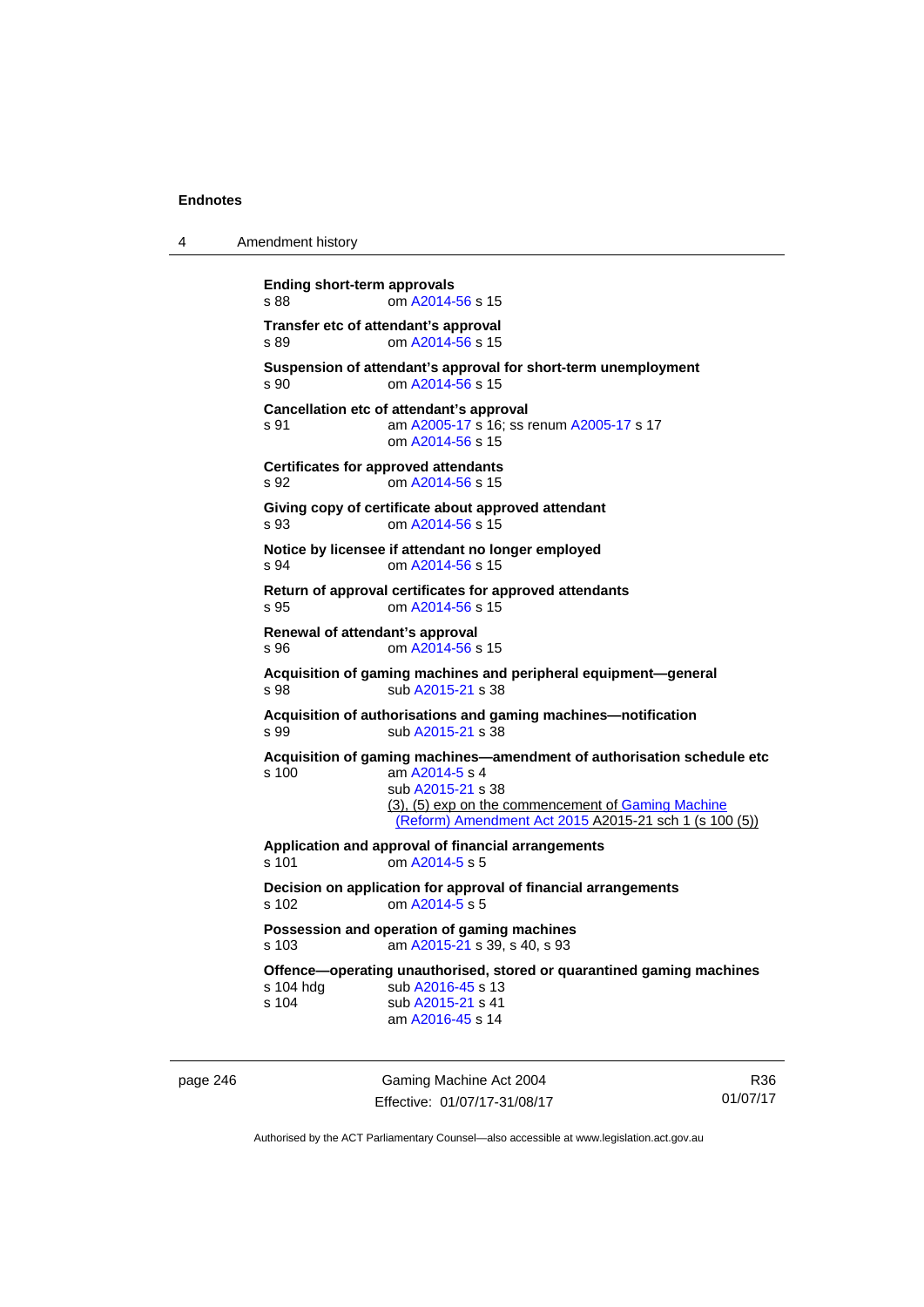4 Amendment history

| <b>Ending short-term approvals</b><br>s 88   | om A2014-56 s 15                                                                                                                    |
|----------------------------------------------|-------------------------------------------------------------------------------------------------------------------------------------|
| Transfer etc of attendant's approval<br>s 89 | om A2014-56 s 15                                                                                                                    |
| s 90                                         | Suspension of attendant's approval for short-term unemployment<br>om A2014-56 s 15                                                  |
| s 91                                         | Cancellation etc of attendant's approval<br>am A2005-17 s 16: ss renum A2005-17 s 17<br>om A2014-56 s 15                            |
| s 92                                         | <b>Certificates for approved attendants</b><br>om A2014-56 s 15                                                                     |
| s.93                                         | Giving copy of certificate about approved attendant<br>om A2014-56 s 15                                                             |
| s 94                                         | Notice by licensee if attendant no longer employed<br>om A2014-56 s 15                                                              |
| s 95                                         | Return of approval certificates for approved attendants<br>om A2014-56 s 15                                                         |
| Renewal of attendant's approval<br>s 96      | om A2014-56 s 15                                                                                                                    |
| s 98                                         | Acquisition of gaming machines and peripheral equipment-general<br>sub A2015-21 s 38                                                |
| s 99                                         | Acquisition of authorisations and gaming machines-notification<br>sub A2015-21 s 38                                                 |
| s 100                                        | Acquisition of gaming machines-amendment of authorisation schedule etc<br>am A2014-5 s 4                                            |
|                                              | sub A2015-21 s 38                                                                                                                   |
|                                              | (3), (5) exp on the commencement of Gaming Machine<br>(Reform) Amendment Act 2015 A2015-21 sch 1 (s 100 (5))                        |
| s 101                                        | Application and approval of financial arrangements<br>om A2014-5 s 5                                                                |
| s 102                                        | Decision on application for approval of financial arrangements<br>om A2014-5 s 5                                                    |
| s 103                                        | Possession and operation of gaming machines<br>am A2015-21 s 39, s 40, s 93                                                         |
| s 104 hdg<br>s 104                           | Offence-operating unauthorised, stored or quarantined gaming machines<br>sub A2016-45 s 13<br>sub A2015-21 s 41<br>am A2016-45 s 14 |

page 246 Gaming Machine Act 2004 Effective: 01/07/17-31/08/17

R36 01/07/17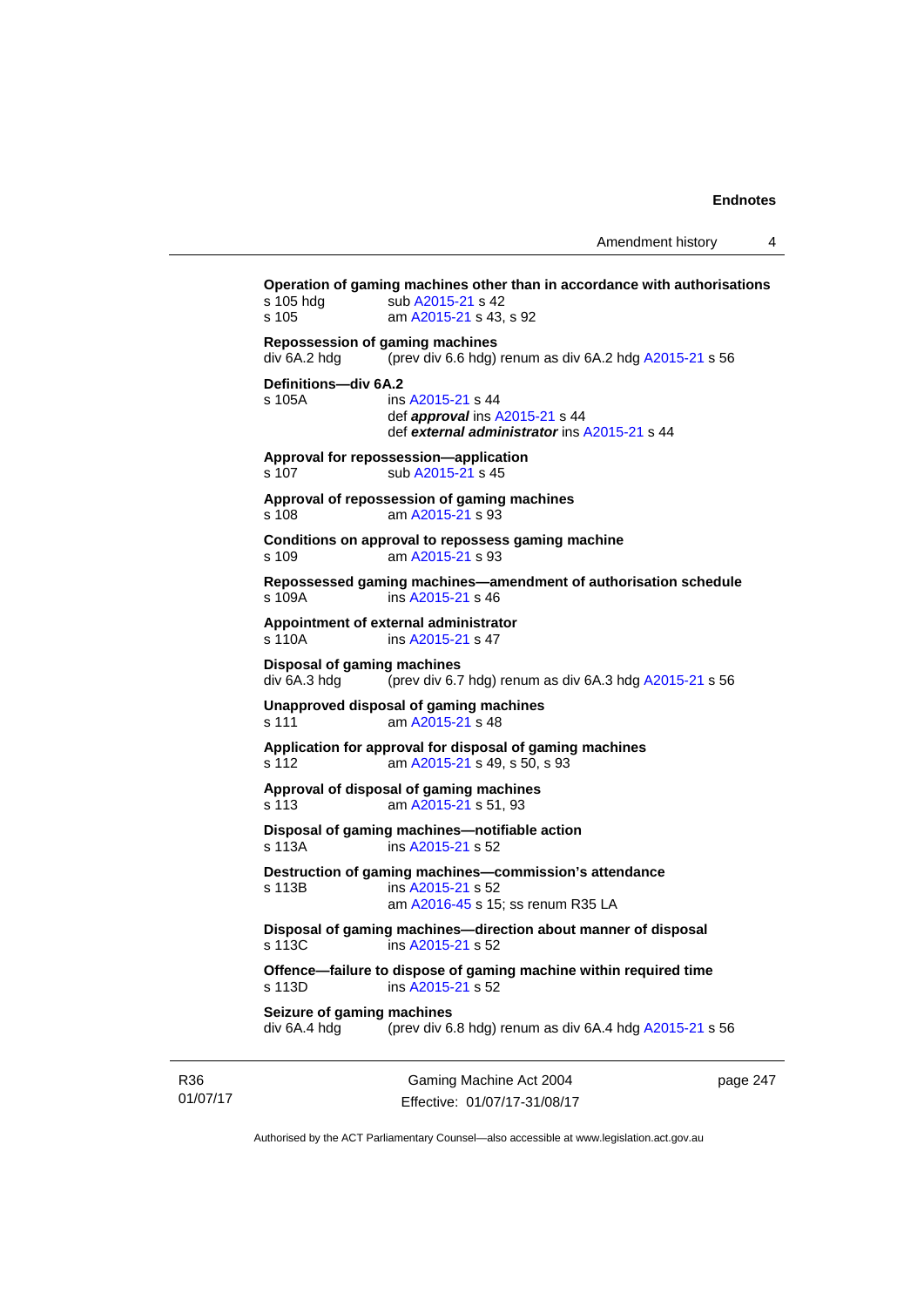**Operation of gaming machines other than in accordance with authorisations**  s 105 hdg sub [A2015-21](http://www.legislation.act.gov.au/a/2015-21) s 42 s 105 am [A2015-21](http://www.legislation.act.gov.au/a/2015-21) s 43, s 92 **Repossession of gaming machines**  div 6A.2 hdg (prev div 6.6 hdg) renum as div 6A.2 hdg [A2015-21](http://www.legislation.act.gov.au/a/2015-21) s 56 **Definitions—div 6A.2**  s 105A ins [A2015-21](http://www.legislation.act.gov.au/a/2015-21) s 44 def *approval* ins [A2015-21](http://www.legislation.act.gov.au/a/2015-21) s 44 def *external administrator* ins [A2015-21](http://www.legislation.act.gov.au/a/2015-21) s 44 **Approval for repossession—application**  s 107 sub [A2015-21](http://www.legislation.act.gov.au/a/2015-21) s 45 **Approval of repossession of gaming machines**  s 108 am [A2015-21](http://www.legislation.act.gov.au/a/2015-21) s 93 **Conditions on approval to repossess gaming machine**  s 109 am [A2015-21](http://www.legislation.act.gov.au/a/2015-21) s 93 **Repossessed gaming machines—amendment of authorisation schedule**  s 109A ins [A2015-21](http://www.legislation.act.gov.au/a/2015-21) s 46 **Appointment of external administrator**  s 110A ins [A2015-21](http://www.legislation.act.gov.au/a/2015-21) s 47 **Disposal of gaming machines**  div 6A.3 hdg (prev div 6.7 hdg) renum as div 6A.3 hdg [A2015-21](http://www.legislation.act.gov.au/a/2015-21) s 56 **Unapproved disposal of gaming machines**  s 111 am [A2015-21](http://www.legislation.act.gov.au/a/2015-21) s 48 **Application for approval for disposal of gaming machines**  s 112 am [A2015-21](http://www.legislation.act.gov.au/a/2015-21) s 49, s 50, s 93 **Approval of disposal of gaming machines**  s 113 am [A2015-21](http://www.legislation.act.gov.au/a/2015-21) s 51, 93 **Disposal of gaming machines—notifiable action**  s 113A ins [A2015-21](http://www.legislation.act.gov.au/a/2015-21) s 52 **Destruction of gaming machines—commission's attendance**  s 113B ins [A2015-21](http://www.legislation.act.gov.au/a/2015-21) s 52 am [A2016-45](http://www.legislation.act.gov.au/a/2016-45) s 15; ss renum R35 LA **Disposal of gaming machines—direction about manner of disposal**  s 113C ins [A2015-21](http://www.legislation.act.gov.au/a/2015-21) s 52 **Offence—failure to dispose of gaming machine within required time**  s 113D ins [A2015-21](http://www.legislation.act.gov.au/a/2015-21) s 52 **Seizure of gaming machines**  div 6A.4 hdg (prev div 6.8 hdg) renum as div 6A.4 hdg [A2015-21](http://www.legislation.act.gov.au/a/2015-21) s 56

R36 01/07/17

Gaming Machine Act 2004 Effective: 01/07/17-31/08/17 page 247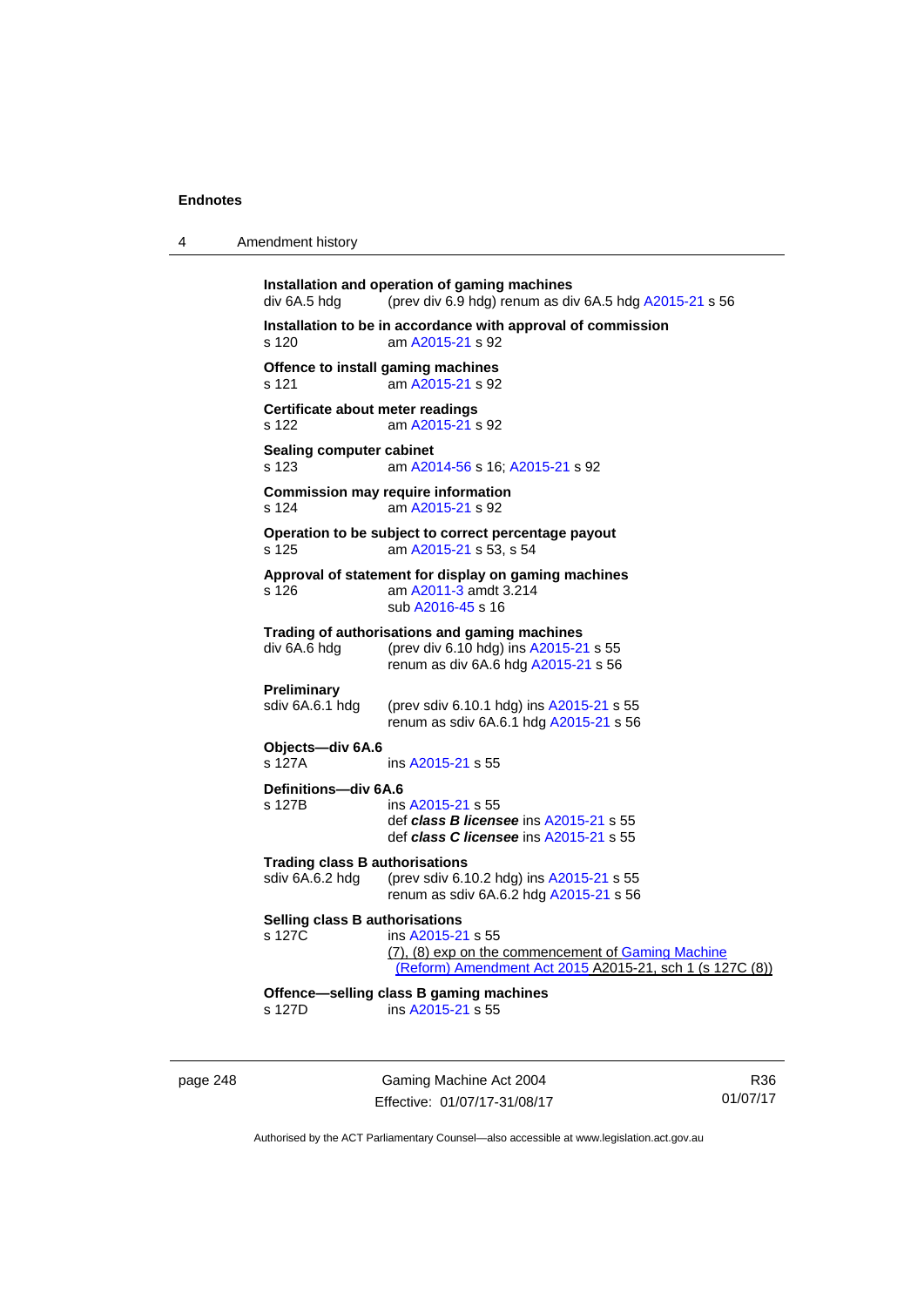| 4 | Amendment history |
|---|-------------------|
|   |                   |

| div 6A.5 hdg                                             | Installation and operation of gaming machines<br>(prev div 6.9 hdg) renum as div 6A.5 hdg A2015-21 s 56                             |
|----------------------------------------------------------|-------------------------------------------------------------------------------------------------------------------------------------|
| s 120                                                    | Installation to be in accordance with approval of commission<br>am A2015-21 s 92                                                    |
| s 121                                                    | Offence to install gaming machines<br>am A2015-21 s 92                                                                              |
| Certificate about meter readings<br>s 122                | am A2015-21 s 92                                                                                                                    |
| <b>Sealing computer cabinet</b><br>s 123                 | am A2014-56 s 16; A2015-21 s 92                                                                                                     |
| s 124                                                    | <b>Commission may require information</b><br>am A2015-21 s 92                                                                       |
| s 125                                                    | Operation to be subject to correct percentage payout<br>am A2015-21 s 53, s 54                                                      |
| s 126                                                    | Approval of statement for display on gaming machines<br>am A2011-3 amdt 3.214<br>sub A2016-45 s 16                                  |
| div 6A.6 hdg                                             | Trading of authorisations and gaming machines<br>(prev div 6.10 hdg) ins A2015-21 s 55<br>renum as div 6A.6 hdg A2015-21 s 56       |
| Preliminary<br>sdiv 6A.6.1 hdg                           | (prev sdiv 6.10.1 hdg) ins A2015-21 s 55<br>renum as sdiv 6A.6.1 hdg A2015-21 s 56                                                  |
| Objects-div 6A.6<br>s 127A                               | ins A2015-21 s 55                                                                                                                   |
| Definitions-div 6A.6<br>s 127B                           | ins A2015-21 s 55<br>def class B licensee ins A2015-21 s 55<br>def class C licensee ins A2015-21 s 55                               |
| <b>Trading class B authorisations</b><br>sdiv 6A.6.2 hdg | (prev sdiv 6.10.2 hdg) ins A2015-21 s 55<br>renum as sdiv 6A.6.2 hdg A2015-21 s 56                                                  |
| Selling class B authorisations<br>s 127C                 | ins A2015-21 s 55<br>(7), (8) exp on the commencement of Gaming Machine<br>(Reform) Amendment Act 2015 A2015-21, sch 1 (s 127C (8)) |
| s 127D                                                   | Offence-selling class B gaming machines<br>ins A2015-21 s 55                                                                        |
|                                                          |                                                                                                                                     |

page 248 Gaming Machine Act 2004 Effective: 01/07/17-31/08/17

R36 01/07/17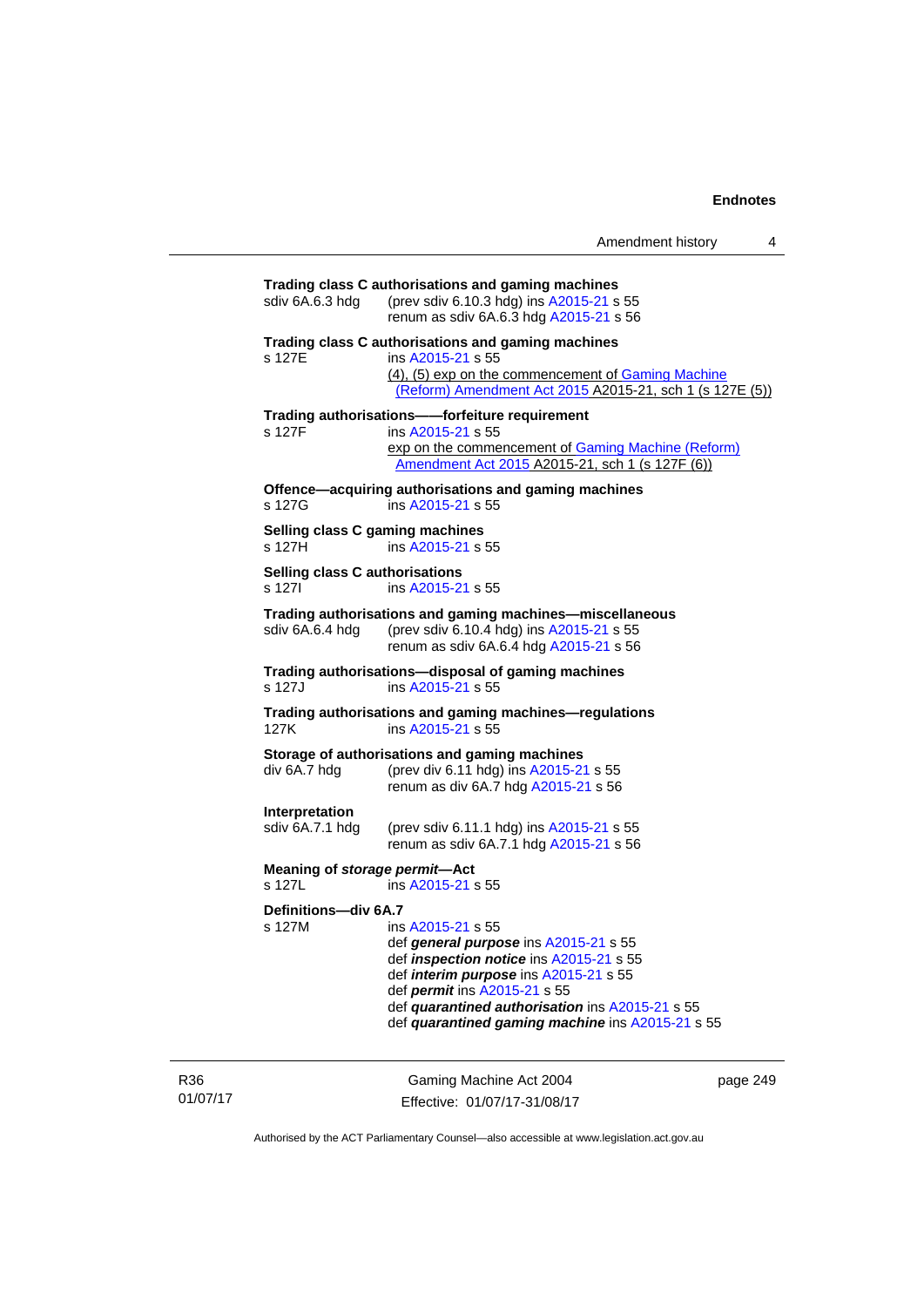| Trading class C authorisations and gaming machines                                                                                                                                                                                                                             |
|--------------------------------------------------------------------------------------------------------------------------------------------------------------------------------------------------------------------------------------------------------------------------------|
| (prev sdiv 6.10.3 hdg) ins A2015-21 s 55<br>renum as sdiv 6A.6.3 hdg A2015-21 s 56                                                                                                                                                                                             |
| Trading class C authorisations and gaming machines<br>ins A2015-21 s 55<br>(4), (5) exp on the commencement of Gaming Machine<br>(Reform) Amendment Act 2015 A2015-21, sch 1 (s 127E (5))                                                                                      |
| Trading authorisations--forfeiture requirement                                                                                                                                                                                                                                 |
| ins A2015-21 s 55<br>exp on the commencement of Gaming Machine (Reform)<br>Amendment Act 2015 A2015-21, sch 1 (s 127F (6))                                                                                                                                                     |
| Offence-acquiring authorisations and gaming machines<br>ins A2015-21 s 55                                                                                                                                                                                                      |
| Selling class C gaming machines<br>ins A2015-21 s 55                                                                                                                                                                                                                           |
| Selling class C authorisations<br>ins A2015-21 s 55                                                                                                                                                                                                                            |
| Trading authorisations and gaming machines-miscellaneous<br>(prev sdiv 6.10.4 hdg) ins A2015-21 s 55<br>renum as sdiv 6A.6.4 hdg A2015-21 s 56                                                                                                                                 |
| Trading authorisations-disposal of gaming machines<br>ins A2015-21 s 55                                                                                                                                                                                                        |
| Trading authorisations and gaming machines-regulations<br>ins A2015-21 s 55                                                                                                                                                                                                    |
| Storage of authorisations and gaming machines<br>(prev div 6.11 hdg) ins A2015-21 s 55<br>renum as div 6A.7 hdg A2015-21 s 56                                                                                                                                                  |
| (prev sdiv 6.11.1 hdg) ins A2015-21 s 55<br>renum as sdiv 6A.7.1 hdg A2015-21 s 56                                                                                                                                                                                             |
| Meaning of storage permit-Act<br>ins A2015-21 s 55                                                                                                                                                                                                                             |
| Definitions-div 6A.7<br>ins A2015-21 s 55<br>def general purpose ins A2015-21 s 55<br>def <i>inspection notice</i> ins A2015-21 s 55<br>def <i>interim purpose</i> ins A2015-21 s 55<br>def <i>permit</i> ins A2015-21 s 55<br>def quarantined authorisation ins A2015-21 s 55 |
|                                                                                                                                                                                                                                                                                |

R36 01/07/17

Gaming Machine Act 2004 Effective: 01/07/17-31/08/17

page 249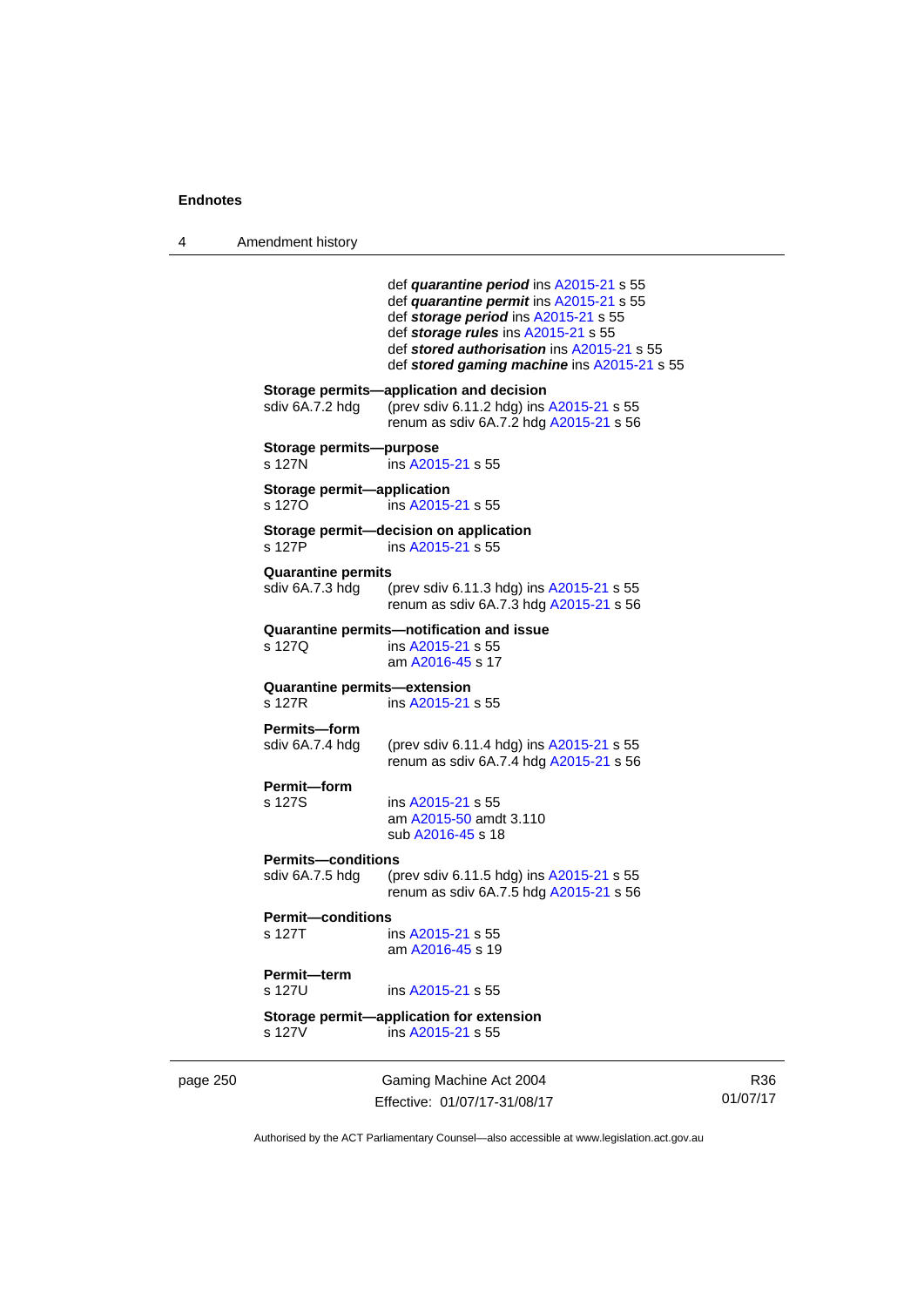4 Amendment history

|          |                                              | def quarantine period ins A2015-21 s 55<br>def quarantine permit ins A2015-21 s 55<br>def storage period ins A2015-21 s 55<br>def storage rules ins A2015-21 s 55<br>def stored authorisation ins A2015-21 s 55<br>def stored gaming machine ins A2015-21 s 55 |
|----------|----------------------------------------------|----------------------------------------------------------------------------------------------------------------------------------------------------------------------------------------------------------------------------------------------------------------|
|          | sdiv 6A.7.2 hdg                              | Storage permits-application and decision<br>(prev sdiv 6.11.2 hdg) ins A2015-21 s 55<br>renum as sdiv 6A.7.2 hdg A2015-21 s 56                                                                                                                                 |
|          | Storage permits-purpose<br>s 127N            | ins A2015-21 s 55                                                                                                                                                                                                                                              |
|          | Storage permit-application<br>s 1270         | ins A2015-21 s 55                                                                                                                                                                                                                                              |
|          | s 127P                                       | Storage permit-decision on application<br>ins A2015-21 s 55                                                                                                                                                                                                    |
|          | <b>Quarantine permits</b><br>sdiv 6A.7.3 hdg | (prev sdiv 6.11.3 hdg) ins A2015-21 s 55<br>renum as sdiv 6A.7.3 hdg A2015-21 s 56                                                                                                                                                                             |
|          | s 127Q                                       | Quarantine permits—notification and issue<br>ins A2015-21 s 55<br>am A2016-45 s 17                                                                                                                                                                             |
|          | Quarantine permits-extension<br>s 127R       | ins A2015-21 s 55                                                                                                                                                                                                                                              |
|          | Permits-form<br>sdiv 6A.7.4 hdg              | (prev sdiv 6.11.4 hdg) ins A2015-21 s 55<br>renum as sdiv 6A.7.4 hdg A2015-21 s 56                                                                                                                                                                             |
|          | Permit-form<br>s 127S                        | ins A2015-21 s 55<br>am A2015-50 amdt 3.110<br>sub A2016-45 s 18                                                                                                                                                                                               |
|          | <b>Permits-conditions</b><br>sdiv 6A.7.5 hdg | (prev sdiv 6.11.5 hdg) ins A2015-21 s 55<br>renum as sdiv 6A.7.5 hdg A2015-21 s 56                                                                                                                                                                             |
|          | <b>Permit-conditions</b><br>s 127T           | ins A2015-21 s 55<br>am A2016-45 s 19                                                                                                                                                                                                                          |
|          | Permit-term<br>s 127U                        | ins A2015-21 s 55                                                                                                                                                                                                                                              |
|          | s 127V                                       | Storage permit-application for extension<br>ins A2015-21 s 55                                                                                                                                                                                                  |
| page 250 |                                              | Gaming Machine Act 2004<br>Effective: 01/07/17-31/08/17                                                                                                                                                                                                        |

R36 01/07/17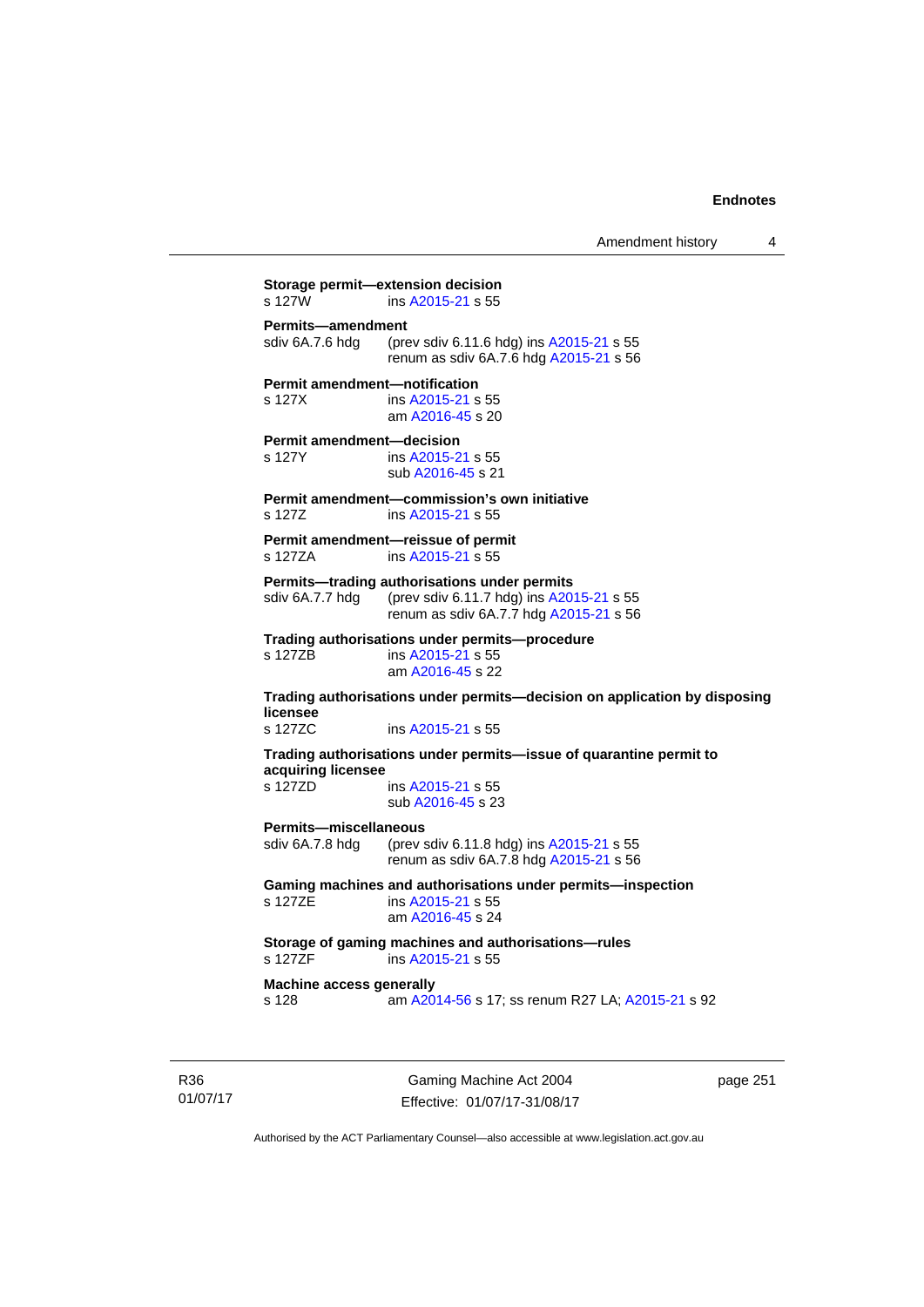Amendment history 4

**Storage permit—extension decision**<br>s 127W ins A2015-21 s 55 ins [A2015-21](http://www.legislation.act.gov.au/a/2015-21) s 55 **Permits—amendment**  sdiv 6A.7.6 hdg (prev sdiv 6.11.6 hdg) ins [A2015-21](http://www.legislation.act.gov.au/a/2015-21) s 55 renum as sdiv 6A.7.6 hdg [A2015-21](http://www.legislation.act.gov.au/a/2015-21) s 56 **Permit amendment—notification**  s 127X ins [A2015-21](http://www.legislation.act.gov.au/a/2015-21) s 55 am [A2016-45](http://www.legislation.act.gov.au/a/2016-45) s 20 **Permit amendment—decision**  s 127Y ins [A2015-21](http://www.legislation.act.gov.au/a/2015-21) s 55 sub [A2016-45](http://www.legislation.act.gov.au/a/2016-45) s 21 **Permit amendment—commission's own initiative**  s 127Z ins [A2015-21](http://www.legislation.act.gov.au/a/2015-21) s 55 **Permit amendment—reissue of permit**  s 127ZA ins [A2015-21](http://www.legislation.act.gov.au/a/2015-21) s 55 **Permits—trading authorisations under permits**  sdiv 6A.7.7 hdg (prev sdiv 6.11.7 hdg) ins [A2015-21](http://www.legislation.act.gov.au/a/2015-21) s 55 renum as sdiv 6A.7.7 hdg [A2015-21](http://www.legislation.act.gov.au/a/2015-21) s 56 **Trading authorisations under permits—procedure**  ins [A2015-21](http://www.legislation.act.gov.au/a/2015-21) s 55 am [A2016-45](http://www.legislation.act.gov.au/a/2016-45) s 22 **Trading authorisations under permits—decision on application by disposing licensee**  s 127ZC ins [A2015-21](http://www.legislation.act.gov.au/a/2015-21) s 55 **Trading authorisations under permits—issue of quarantine permit to acquiring licensee**  s 127ZD ins [A2015-21](http://www.legislation.act.gov.au/a/2015-21) s 55 sub [A2016-45](http://www.legislation.act.gov.au/a/2016-45) s 23 **Permits—miscellaneous**  sdiv 6A.7.8 hdg (prev sdiv 6.11.8 hdg) ins [A2015-21](http://www.legislation.act.gov.au/a/2015-21) s 55 renum as sdiv 6A.7.8 hdg [A2015-21](http://www.legislation.act.gov.au/a/2015-21) s 56 **Gaming machines and authorisations under permits—inspection**  s 127ZE ins [A2015-21](http://www.legislation.act.gov.au/a/2015-21) s 55 am [A2016-45](http://www.legislation.act.gov.au/a/2016-45) s 24 **Storage of gaming machines and authorisations—rules**  ins [A2015-21](http://www.legislation.act.gov.au/a/2015-21) s 55 **Machine access generally**  s 128 am [A2014-56](http://www.legislation.act.gov.au/a/2014-56) s 17; ss renum R27 LA; [A2015-21](http://www.legislation.act.gov.au/a/2015-21) s 92

R36 01/07/17

Gaming Machine Act 2004 Effective: 01/07/17-31/08/17 page 251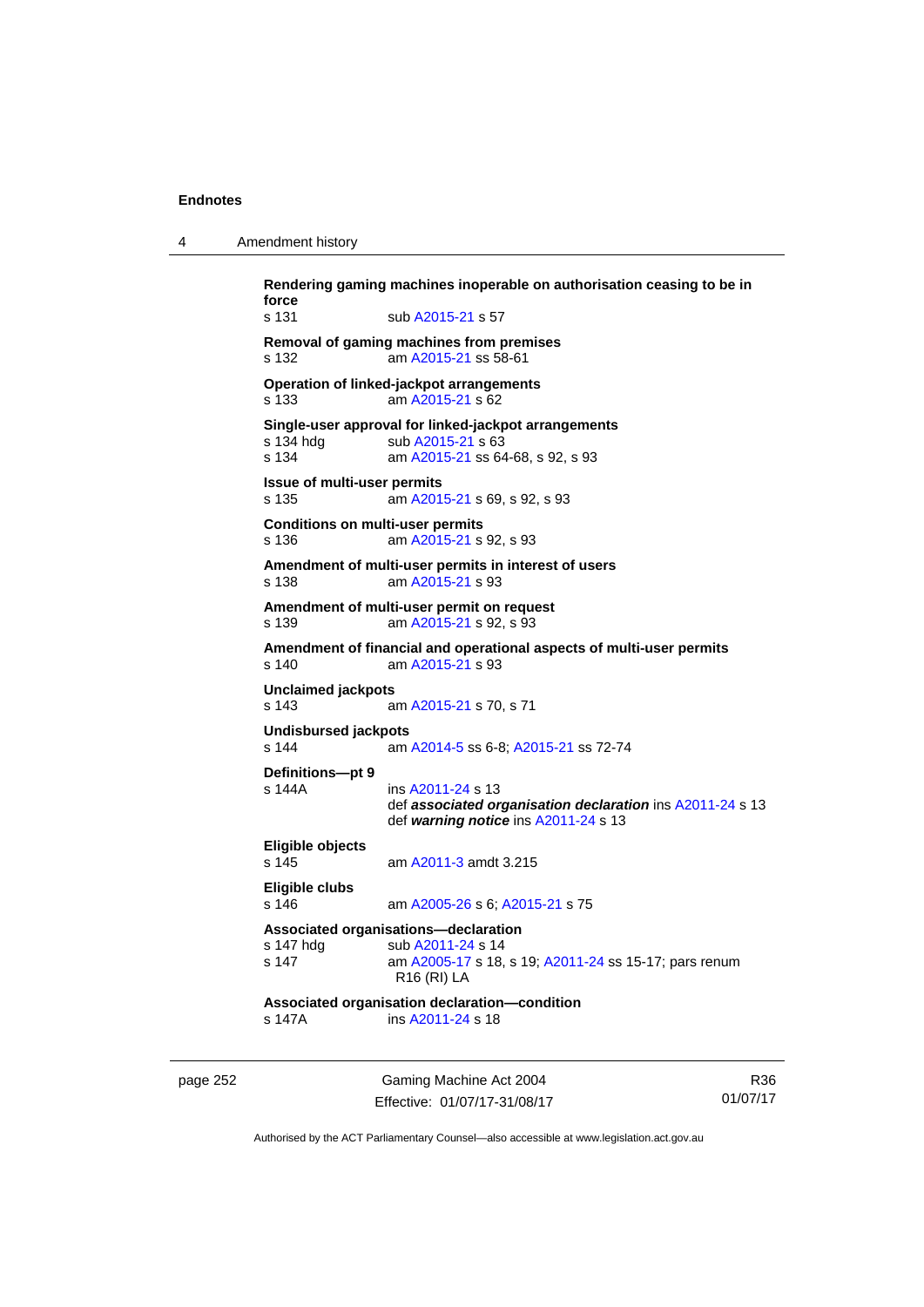| Rendering gaming machi |  |
|------------------------|--|

4 Amendment history

**Rendering gaming machines inoperable on authorisation ceasing to be in force**  s 131 sub [A2015-21](http://www.legislation.act.gov.au/a/2015-21) s 57 **Removal of gaming machines from premises**  s 132 am [A2015-21](http://www.legislation.act.gov.au/a/2015-21) ss 58-61 **Operation of linked-jackpot arrangements**  s 133 am [A2015-21](http://www.legislation.act.gov.au/a/2015-21) s 62 **Single-user approval for linked-jackpot arrangements**  sub [A2015-21](http://www.legislation.act.gov.au/a/2015-21) s 63 s 134 am [A2015-21](http://www.legislation.act.gov.au/a/2015-21) ss 64-68, s 92, s 93 **Issue of multi-user permits**  s 135 am [A2015-21](http://www.legislation.act.gov.au/a/2015-21) s 69, s 92, s 93 **Conditions on multi-user permits**  s 136 am [A2015-21](http://www.legislation.act.gov.au/a/2015-21) s 92, s 93 **Amendment of multi-user permits in interest of users**  s 138 am [A2015-21](http://www.legislation.act.gov.au/a/2015-21) s 93 **Amendment of multi-user permit on request**  s 139 am [A2015-21](http://www.legislation.act.gov.au/a/2015-21) s 92, s 93 **Amendment of financial and operational aspects of multi-user permits**  s 140 am [A2015-21](http://www.legislation.act.gov.au/a/2015-21) s 93 **Unclaimed jackpots**  s 143 am [A2015-21](http://www.legislation.act.gov.au/a/2015-21) s 70, s 71 **Undisbursed jackpots**  s 144 am [A2014-5](http://www.legislation.act.gov.au/a/2014-5) ss 6-8; [A2015-21](http://www.legislation.act.gov.au/a/2015-21) ss 72-74 **Definitions—pt 9**  ins [A2011-24](http://www.legislation.act.gov.au/a/2011-24) s 13 def *associated organisation declaration* ins [A2011-24](http://www.legislation.act.gov.au/a/2011-24) s 13 def *warning notice* ins [A2011-24](http://www.legislation.act.gov.au/a/2011-24) s 13 **Eligible objects**  s 145 am [A2011-3](http://www.legislation.act.gov.au/a/2011-3) amdt 3.215 **Eligible clubs**  s 146 am [A2005-26](http://www.legislation.act.gov.au/a/2005-26) s 6; [A2015-21](http://www.legislation.act.gov.au/a/2015-21) s 75 **Associated organisations—declaration**  s 147 hdg sub [A2011-24](http://www.legislation.act.gov.au/a/2011-24) s 14 s 147 am [A2005-17](http://www.legislation.act.gov.au/a/2005-17) s 18, s 19; [A2011-24](http://www.legislation.act.gov.au/a/2011-24) ss 15-17; pars renum R16 (RI) LA **Associated organisation declaration—condition**  s 147A ins [A2011-24](http://www.legislation.act.gov.au/a/2011-24) s 18

page 252 Gaming Machine Act 2004 Effective: 01/07/17-31/08/17

R36 01/07/17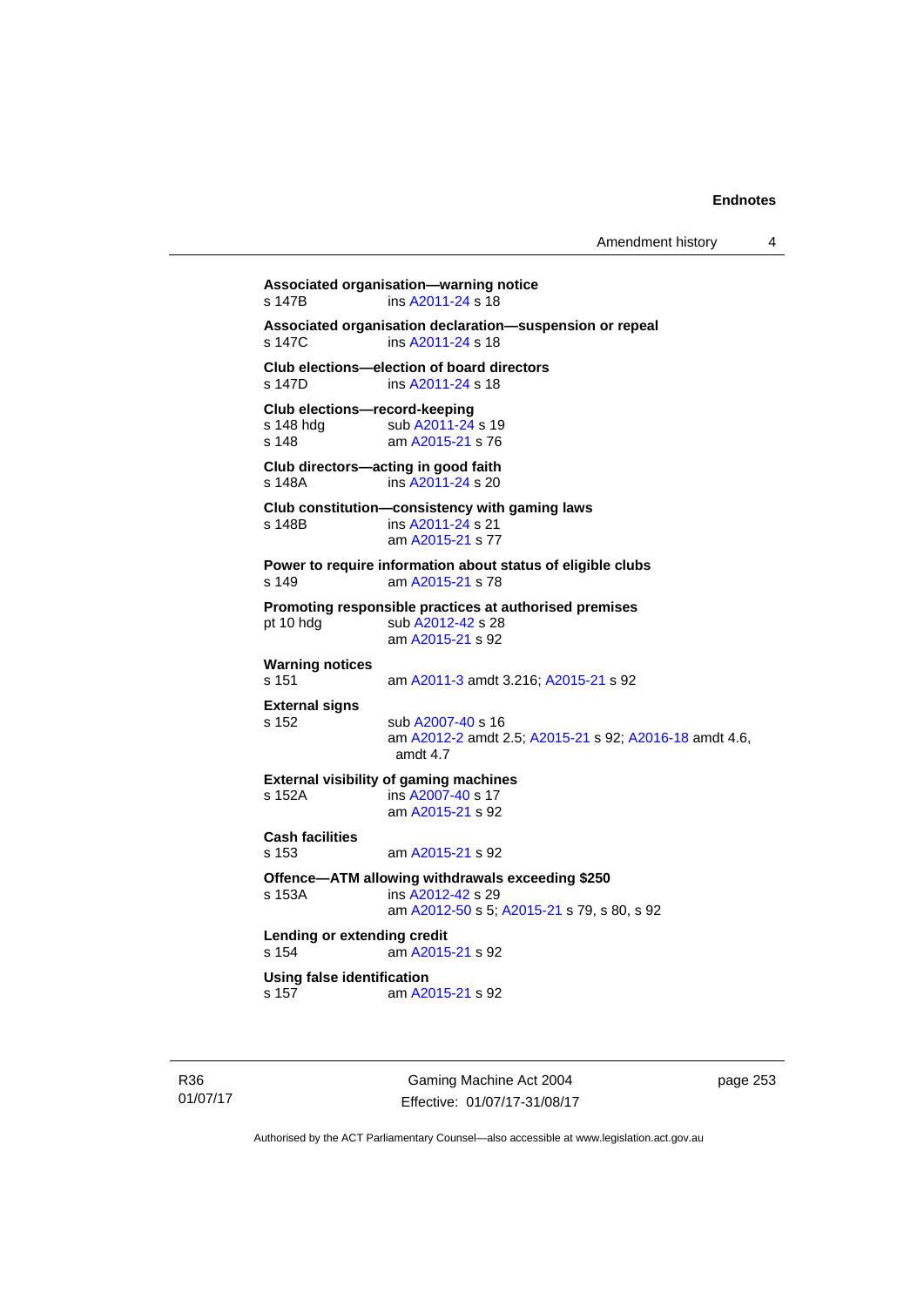```
Associated organisation—warning notice 
s 147B ins A2011-24 s 18 
Associated organisation declaration—suspension or repeal 
                A2011-24 s 18
Club elections—election of board directors 
s 147D ins A2011-24 s 18 
Club elections—record-keeping 
A2011-24 s 19<br>s 148 am A2015-21 s 76
                 A2015-21 s 76
Club directors—acting in good faith 
s 148A ins A2011-24 s 20 
Club constitution—consistency with gaming laws 
s 148B ins A2011-24 s 21 
                 am A2015-21 s 77 
Power to require information about status of eligible clubs 
s 149 am A2015-21 s 78 
Promoting responsible practices at authorised premises 
A2012-42 s 28
                 am A2015-21 s 92 
Warning notices 
s 151 am A2011-3 amdt 3.216; A2015-21 s 92 
External signs 
s 152 sub A2007-40 s 16 
                 am A2012-2 amdt 2.5; A2015-21 s 92; A2016-18 amdt 4.6, 
                 amdt 4.7 
External visibility of gaming machines 
s 152A ins A2007-40 s 17 
                 am A2015-21 s 92 
Cash facilities 
s 153 am A2015-21 s 92 
Offence—ATM allowing withdrawals exceeding $250 
s 153A ins A2012-42 s 29 
                 am A2012-50 s 5; A2015-21 s 79, s 80, s 92
Lending or extending credit 
s 154 am A2015-21 s 92 
Using false identification<br>s 157 am A20
                 A2015-21 s 92
```
R36 01/07/17

Gaming Machine Act 2004 Effective: 01/07/17-31/08/17 page 253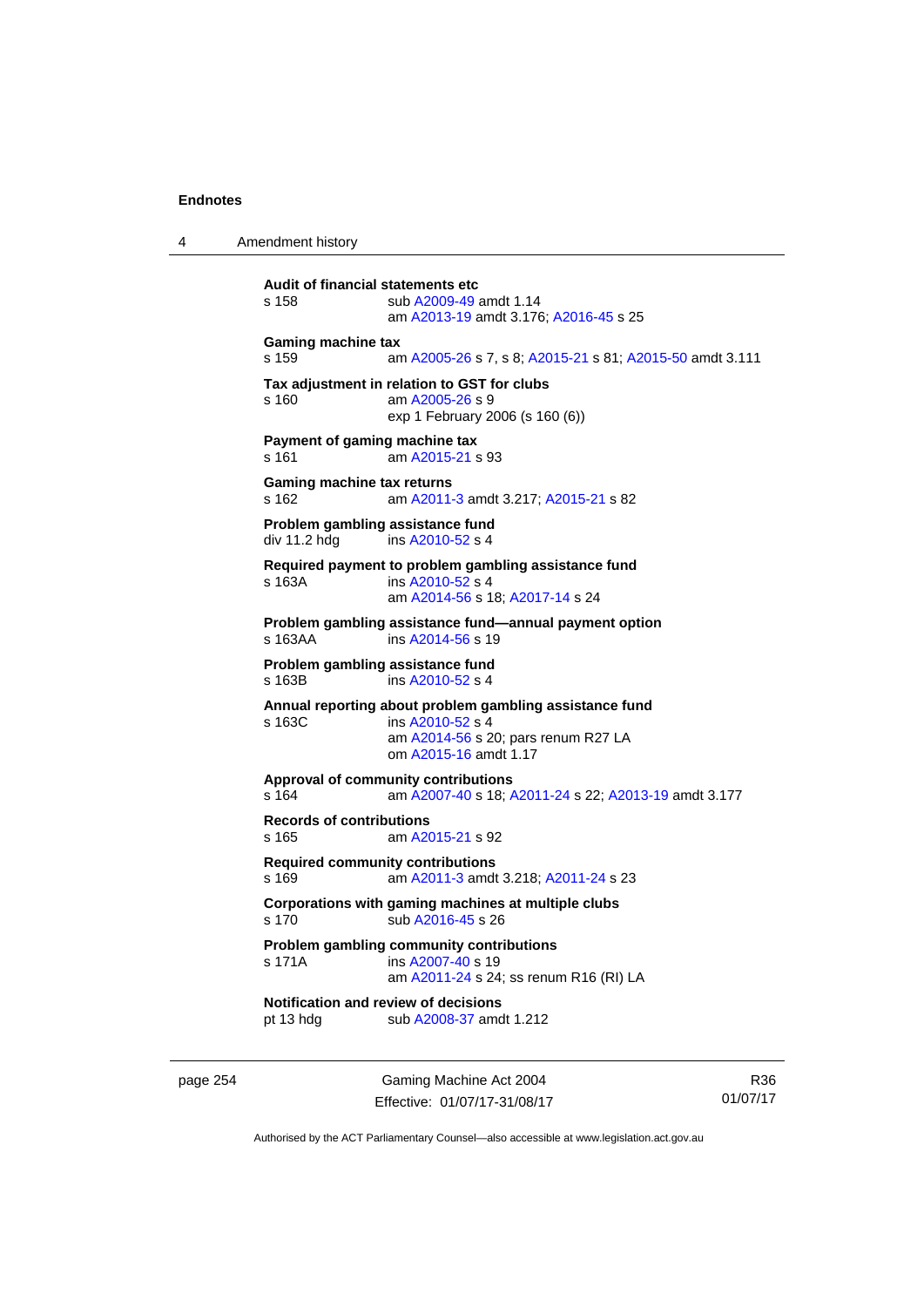4 Amendment history

```
Audit of financial statements etc 
s 158 sub A2009-49 amdt 1.14 
                 am A2013-19 amdt 3.176; A2016-45 s 25 
Gaming machine tax 
s 159 am A2005-26 s 7, s 8; A2015-21 s 81; A2015-50 amdt 3.111 
Tax adjustment in relation to GST for clubs 
s 160 am A2005-26 s 9 
                exp 1 February 2006 (s 160 (6)) 
Payment of gaming machine tax 
s 161 am A2015-21 s 93 
Gaming machine tax returns 
s 162 am A2011-3 amdt 3.217; A2015-21 s 82 
Problem gambling assistance fund 
div 11.2 hdg ins A2010 - 52 s 4
Required payment to problem gambling assistance fund 
s 163A ins A2010-52 s 4
                am A2014-56 s 18; A2017-14 s 24 
Problem gambling assistance fund—annual payment option 
 A2014-56 s 19
Problem gambling assistance fund 
 A2010-52 s 4
Annual reporting about problem gambling assistance fund 
s 163C ins A2010-52 s 4
                 am A2014-56 s 20; pars renum R27 LA 
                om A2015-16 amdt 1.17
Approval of community contributions 
s 164 am A2007-40 s 18; A2011-24 s 22; A2013-19 amdt 3.177
Records of contributions 
s 165 am A2015-21 s 92 
Required community contributions 
s 169 am A2011-3 amdt 3.218; A2011-24 s 23 
Corporations with gaming machines at multiple clubs 
s 170 sub A2016-45 s 26 
Problem gambling community contributions 
 A2007-40 s 19
                am A2011-24 s 24; ss renum R16 (RI) LA
Notification and review of decisions 
pt 13 hdg sub A2008-37 amdt 1.212
```
page 254 Gaming Machine Act 2004 Effective: 01/07/17-31/08/17

R36 01/07/17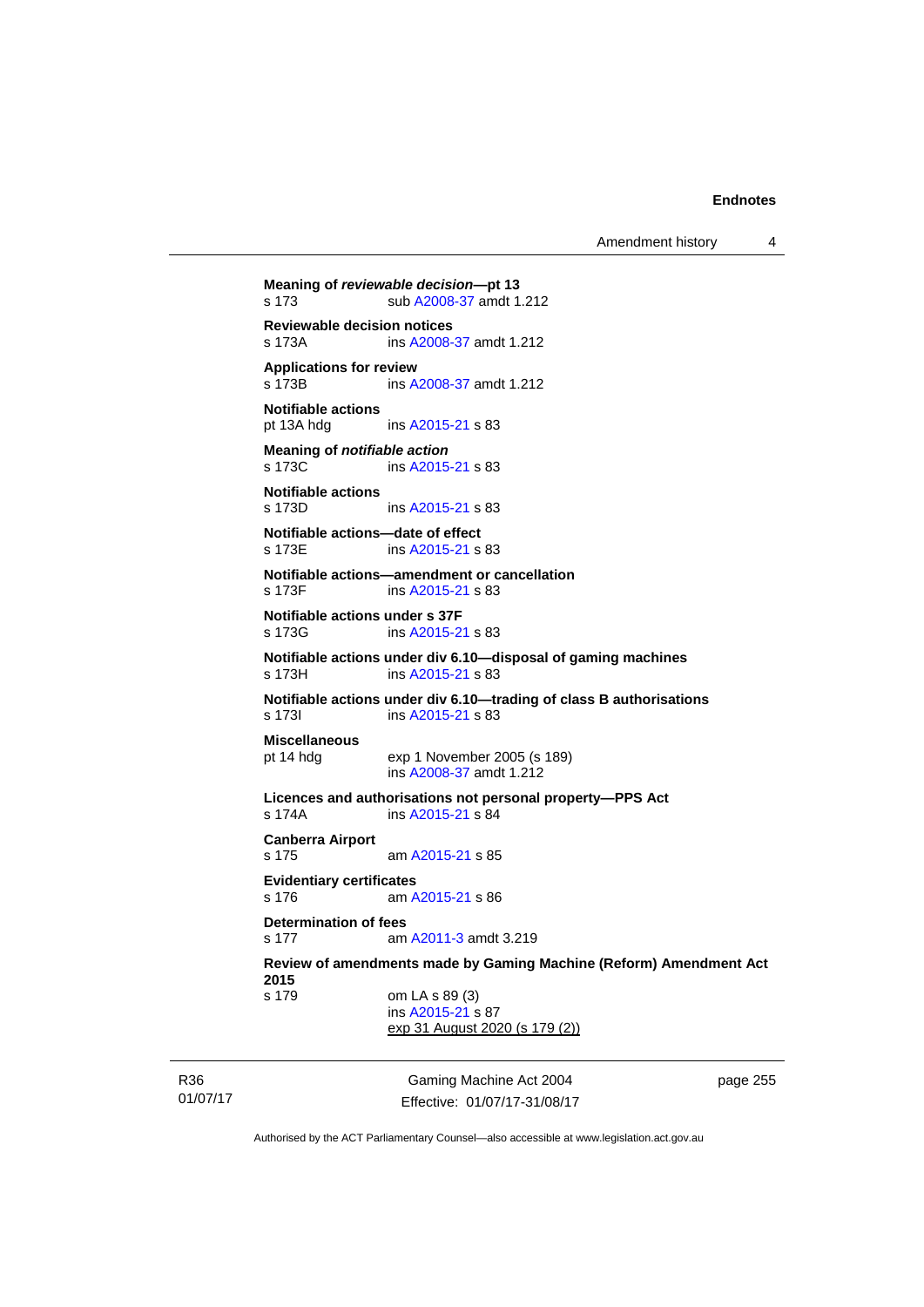Amendment history 4

```
Gaming Machine Act 2004 
                                                          page 255 
Meaning of reviewable decision—pt 13 
s 173 sub A2008-37 amdt 1.212 
Reviewable decision notices 
s 173A ins A2008-37 amdt 1.212 
Applications for review 
s 173B ins A2008-37 amdt 1.212 
Notifiable actions 
pt 13A hdg ins A2015-21 s 83 
Meaning of notifiable action
A2015-21 s 83
Notifiable actions 
               A2015-21 s 83
Notifiable actions—date of effect 
s 173E ins A2015-21 s 83 
Notifiable actions—amendment or cancellation 
s 173F ins A2015-21 s 83 
Notifiable actions under s 37F 
s 173G ins A2015-21 s 83 
Notifiable actions under div 6.10—disposal of gaming machines 
s 173H ins A2015-21 s 83 
Notifiable actions under div 6.10—trading of class B authorisations 
 A2015-21 s 83
Miscellaneous 
pt 14 hdg exp 1 November 2005 (s 189) 
                ins A2008-37 amdt 1.212 
Licences and authorisations not personal property—PPS Act 
s 174A ins A2015-21 s 84 
Canberra Airport 
s 175 am A2015-21 s 85 
Evidentiary certificates 
s 176 am A2015-21 s 86 
Determination of fees 
s 177  A2011-3 amdt 3.219
Review of amendments made by Gaming Machine (Reform) Amendment Act 
2015 
s 179 om LA s 89 (3) 
                 ins A2015-21 s 87 
                exp 31 August 2020 (s 179 (2))
```
01/07/17

R36

Authorised by the ACT Parliamentary Counsel—also accessible at www.legislation.act.gov.au

Effective: 01/07/17-31/08/17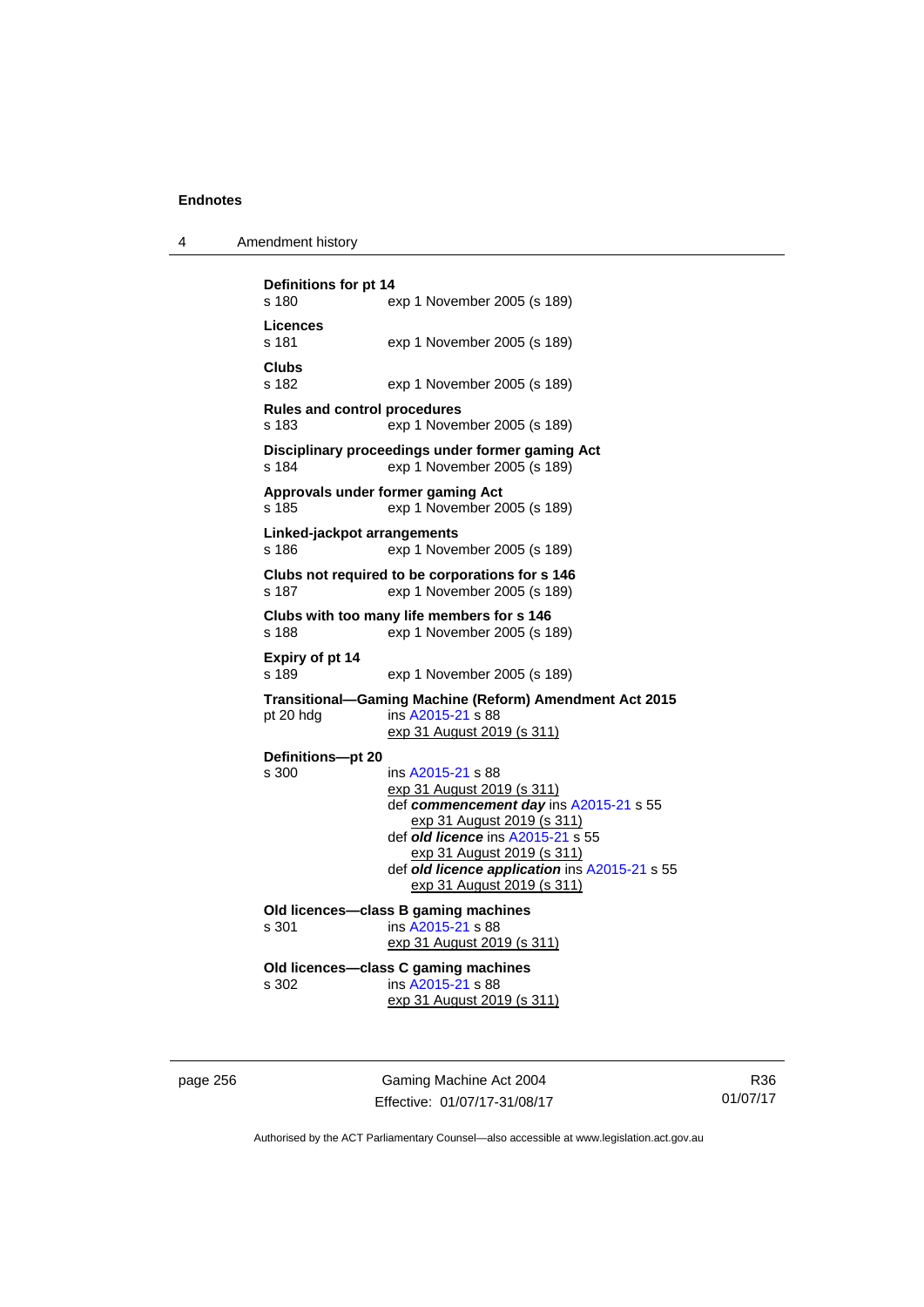| Amendment history |  |
|-------------------|--|
|                   |  |

| Definitions for pt 14<br>s 180<br>exp 1 November 2005 (s 189) |                                                                                                                                                                                                                                                                           |  |  |
|---------------------------------------------------------------|---------------------------------------------------------------------------------------------------------------------------------------------------------------------------------------------------------------------------------------------------------------------------|--|--|
| Licences<br>s 181                                             | exp 1 November 2005 (s 189)                                                                                                                                                                                                                                               |  |  |
| Clubs<br>s 182                                                | exp 1 November 2005 (s 189)                                                                                                                                                                                                                                               |  |  |
| <b>Rules and control procedures</b><br>s 183                  | exp 1 November 2005 (s 189)                                                                                                                                                                                                                                               |  |  |
| s 184                                                         | Disciplinary proceedings under former gaming Act<br>exp 1 November 2005 (s 189)                                                                                                                                                                                           |  |  |
| s 185                                                         | Approvals under former gaming Act<br>exp 1 November 2005 (s 189)                                                                                                                                                                                                          |  |  |
| Linked-jackpot arrangements<br>s 186                          | exp 1 November 2005 (s 189)                                                                                                                                                                                                                                               |  |  |
| s 187                                                         | Clubs not required to be corporations for s 146<br>exp 1 November 2005 (s 189)                                                                                                                                                                                            |  |  |
| s 188                                                         | Clubs with too many life members for s 146<br>exp 1 November 2005 (s 189)                                                                                                                                                                                                 |  |  |
| Expiry of pt 14<br>s 189                                      | exp 1 November 2005 (s 189)                                                                                                                                                                                                                                               |  |  |
| pt 20 hdg                                                     | Transitional-Gaming Machine (Reform) Amendment Act 2015<br>ins A2015-21 s 88<br><u>exp 31 August 2019 (s 311)</u>                                                                                                                                                         |  |  |
| Definitions-pt 20<br>s 300                                    | ins A2015-21 s 88<br>exp 31 August 2019 (s 311)<br>def commencement day ins A2015-21 s 55<br>exp 31 August 2019 (s 311)<br>def old licence ins A2015-21 s 55<br>exp 31 August 2019 (s 311)<br>def old licence application ins A2015-21 s 55<br>exp 31 August 2019 (s 311) |  |  |
| s 301                                                         | Old licences-class B gaming machines<br>ins A2015-21 s 88<br>exp 31 August 2019 (s 311)                                                                                                                                                                                   |  |  |
| s 302                                                         | Old licences-class C gaming machines<br>ins A2015-21 s 88<br>exp 31 August 2019 (s 311)                                                                                                                                                                                   |  |  |

page 256 Gaming Machine Act 2004 Effective: 01/07/17-31/08/17

R36 01/07/17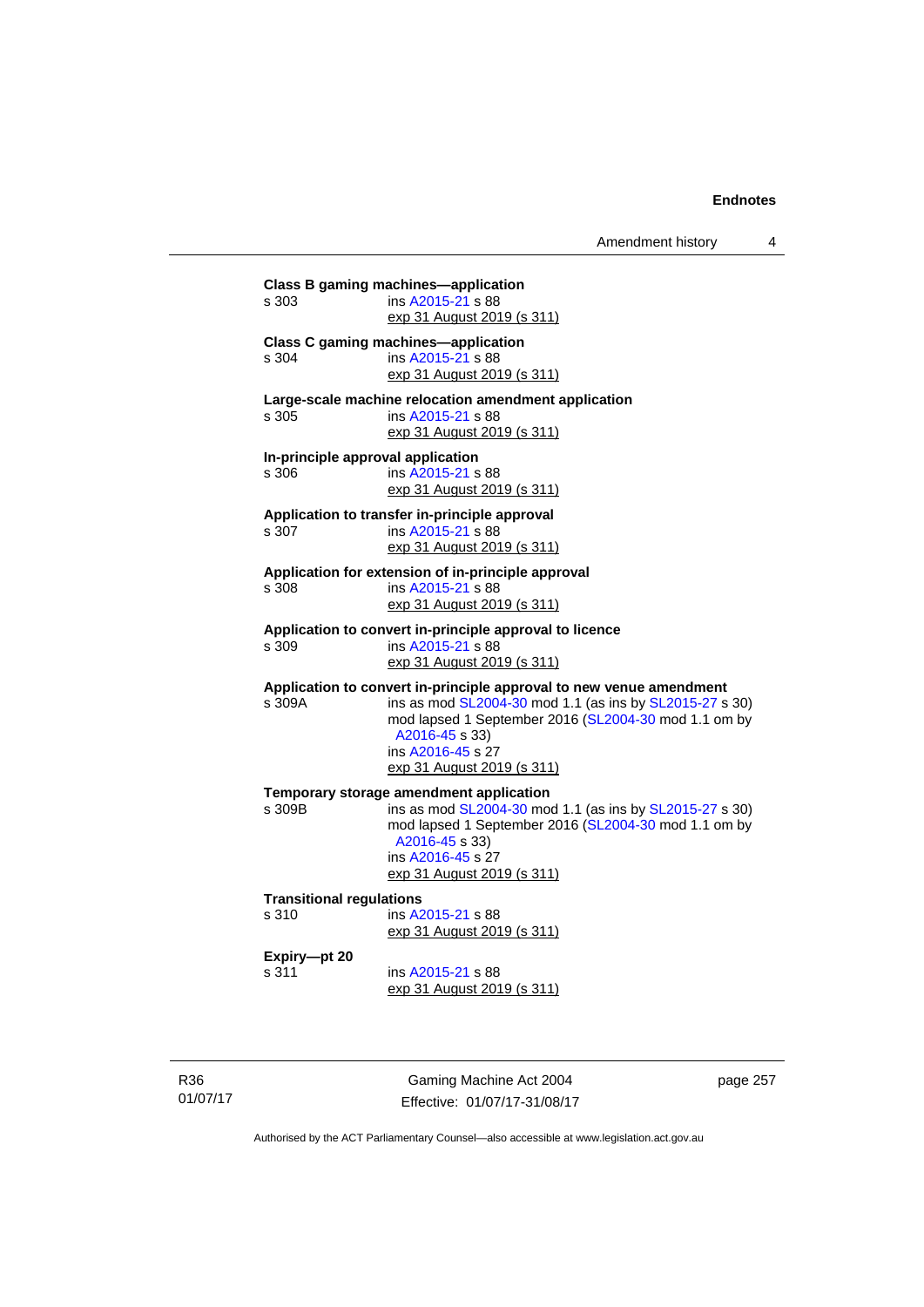| s 303                                    | ins A2015-21 s 88                                                      |
|------------------------------------------|------------------------------------------------------------------------|
|                                          | exp 31 August 2019 (s 311)                                             |
|                                          | <b>Class C gaming machines-application</b>                             |
| s 304                                    | ins A2015-21 s 88                                                      |
|                                          | exp 31 August 2019 (s 311)                                             |
|                                          | Large-scale machine relocation amendment application                   |
| s 305                                    | ins A2015-21 s 88                                                      |
|                                          | exp 31 August 2019 (s 311)                                             |
|                                          | In-principle approval application                                      |
| s 306                                    | ins A2015-21 s 88                                                      |
|                                          | exp 31 August 2019 (s 311)                                             |
|                                          | Application to transfer in-principle approval                          |
| s 307                                    | ins A2015-21 s 88                                                      |
|                                          | exp 31 August 2019 (s 311)                                             |
|                                          | Application for extension of in-principle approval                     |
| s.308                                    | ins A2015-21 s 88                                                      |
|                                          | exp 31 August 2019 (s 311)                                             |
|                                          | Application to convert in-principle approval to licence                |
| s 309                                    | ins A2015-21 s 88                                                      |
|                                          | exp 31 August 2019 (s 311)                                             |
|                                          | Application to convert in-principle approval to new venue amendment    |
| s 309A                                   | ins as mod SL2004-30 mod 1.1 (as ins by SL2015-27 s 30)                |
|                                          | mod lapsed 1 September 2016 (SL2004-30 mod 1.1 om by                   |
|                                          | A2016-45 s 33)                                                         |
|                                          | ins A2016-45 s 27                                                      |
|                                          | exp 31 August 2019 (s 311)                                             |
|                                          | Temporary storage amendment application                                |
| s 309B                                   | ins as mod SL2004-30 mod 1.1 (as ins by SL2015-27 s 30)                |
|                                          | mod lapsed 1 September 2016 (SL2004-30 mod 1.1 om by<br>A2016-45 s 33) |
|                                          | ins A2016-45 s 27                                                      |
|                                          | exp 31 August 2019 (s 311)                                             |
|                                          |                                                                        |
| <b>Transitional regulations</b><br>s 310 | ins A2015-21 s 88                                                      |
|                                          | exp 31 August 2019 (s 311)                                             |
|                                          |                                                                        |
| Expiry-pt 20                             |                                                                        |
| s.311                                    | ins A2015-21 s 88                                                      |
|                                          | exp 31 August 2019 (s 311)                                             |

R36 01/07/17

Gaming Machine Act 2004 Effective: 01/07/17-31/08/17 page 257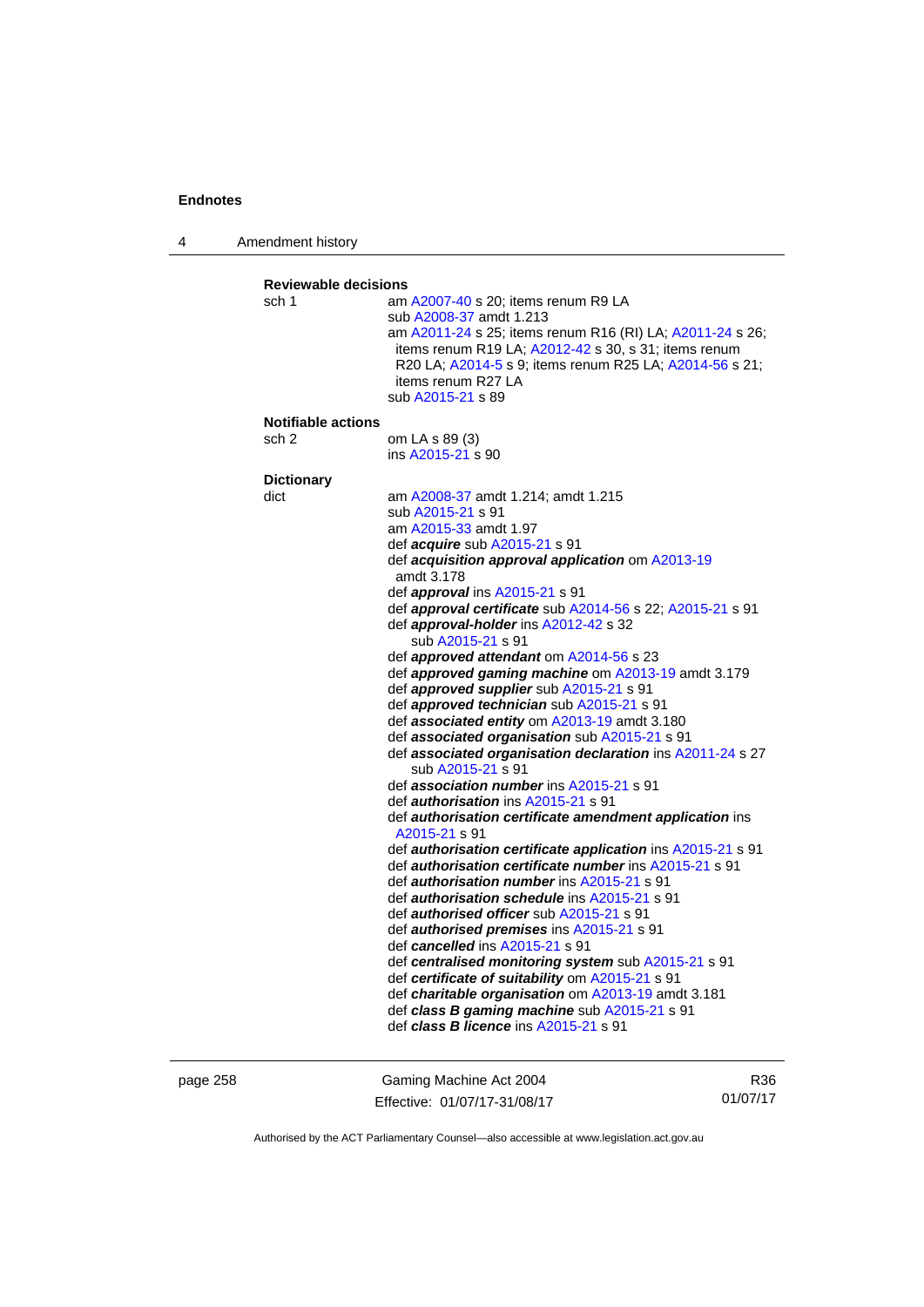4 Amendment history

```
Reviewable decisions 
sch 1 am A2007-40 s 20; items renum R9 LA 
                    sub A2008-37 amdt 1.213 
                    am A2011-24 s 25; items renum R16 (RI) LA; A2011-24 s 26; 
                    items renum R19 LA; A2012-42 s 30, s 31; items renum 
                    R20 LA; A2014-5 s 9; items renum R25 LA; A2014-56 s 21; 
                    items renum R27 LA 
                    sub A2015-21 s 89 
Notifiable actions 
sch 2 om LA s 89 (3) 
                    ins A2015-21 s 90 
Dictionary 
dict am A2008-37 amdt 1.214; amdt 1.215 
                    sub A2015-21 s 91 
                    am A2015-33 amdt 1.97
                    def acquire sub A2015-21 s 91 
                    def acquisition approval application om A2013-19
                    amdt 3.178
                    def approval ins A2015-21 s 91 
                    def approval certificate sub A2014-56 s 22; A2015-21 s 91 
                    def approval-holder ins A2012-42 s 32 
                       sub A2015-21 s 91 
                    def approved attendant om A2014-56 s 23 
                    def approved gaming machine om A2013-19 amdt 3.179 
                    def approved supplier sub A2015-21 s 91 
                    def approved technician sub A2015-21 s 91 
                    def associated entity om A2013-19 amdt 3.180 
                    def associated organisation sub A2015-21 s 91 
                    def associated organisation declaration ins A2011-24 s 27 
                       sub A2015-21 s 91 
                    def association number ins A2015-21 s 91 
                    def authorisation ins A2015-21 s 91 
                    def authorisation certificate amendment application ins 
                    A2015-21 s 91 
                    def authorisation certificate application ins A2015-21 s 91 
                    def authorisation certificate number ins A2015-21 s 91 
                    def authorisation number ins A2015-21 s 91 
                    def authorisation schedule ins A2015-21 s 91 
                    def authorised officer sub A2015-21 s 91 
                    def authorised premises ins A2015-21 s 91 
                    def cancelled ins A2015-21 s 91 
                    def centralised monitoring system sub A2015-21 s 91 
                    def certificate of suitability om A2015-21 s 91 
                    def charitable organisation om A2013-19 amdt 3.181
                    def class B gaming machine sub A2015-21 s 91 
                    def class B licence ins A2015-21 s 91
```
page 258 Gaming Machine Act 2004 Effective: 01/07/17-31/08/17

R36 01/07/17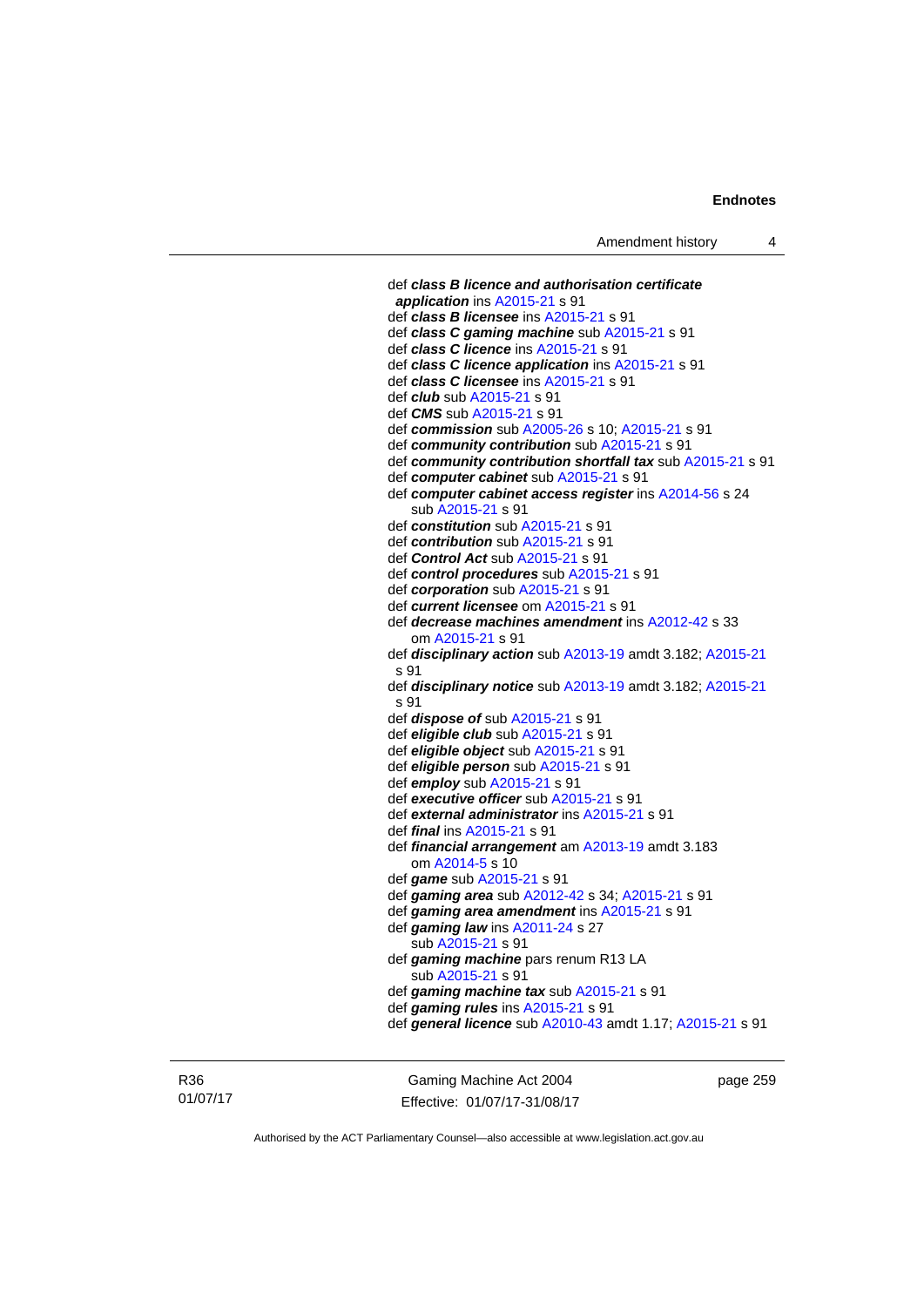def *class B licence and authorisation certificate application* ins [A2015-21](http://www.legislation.act.gov.au/a/2015-21) s 91 def *class B licensee* ins [A2015-21](http://www.legislation.act.gov.au/a/2015-21) s 91 def *class C gaming machine* sub [A2015-21](http://www.legislation.act.gov.au/a/2015-21) s 91 def *class C licence* ins [A2015-21](http://www.legislation.act.gov.au/a/2015-21) s 91 def *class C licence application* ins [A2015-21](http://www.legislation.act.gov.au/a/2015-21) s 91 def *class C licensee* ins [A2015-21](http://www.legislation.act.gov.au/a/2015-21) s 91 def *club* sub [A2015-21](http://www.legislation.act.gov.au/a/2015-21) s 91 def *CMS* sub [A2015-21](http://www.legislation.act.gov.au/a/2015-21) s 91 def *commission* sub [A2005-26](http://www.legislation.act.gov.au/a/2005-26) s 10; [A2015-21](http://www.legislation.act.gov.au/a/2015-21) s 91 def *community contribution* sub [A2015-21](http://www.legislation.act.gov.au/a/2015-21) s 91 def *community contribution shortfall tax* sub [A2015-21](http://www.legislation.act.gov.au/a/2015-21) s 91 def *computer cabinet* sub [A2015-21](http://www.legislation.act.gov.au/a/2015-21) s 91 def *computer cabinet access register* ins [A2014-56](http://www.legislation.act.gov.au/a/2014-56) s 24 sub [A2015-21](http://www.legislation.act.gov.au/a/2015-21) s 91 def *constitution* sub [A2015-21](http://www.legislation.act.gov.au/a/2015-21) s 91 def *contribution* sub [A2015-21](http://www.legislation.act.gov.au/a/2015-21) s 91 def *Control Act* sub [A2015-21](http://www.legislation.act.gov.au/a/2015-21) s 91 def *control procedures* sub [A2015-21](http://www.legislation.act.gov.au/a/2015-21) s 91 def *corporation* sub [A2015-21](http://www.legislation.act.gov.au/a/2015-21) s 91 def *current licensee* om [A2015-21](http://www.legislation.act.gov.au/a/2015-21) s 91 def *decrease machines amendment* ins [A2012-42](http://www.legislation.act.gov.au/a/2012-42) s 33 om [A2015-21](http://www.legislation.act.gov.au/a/2015-21) s 91 def *disciplinary action* sub [A2013-19](http://www.legislation.act.gov.au/a/2013-19) amdt 3.182; [A2015-21](http://www.legislation.act.gov.au/a/2015-21) s 91 def *disciplinary notice* sub [A2013-19](http://www.legislation.act.gov.au/a/2013-19) amdt 3.182; [A2015-21](http://www.legislation.act.gov.au/a/2015-21) s 91 def *dispose of* sub [A2015-21](http://www.legislation.act.gov.au/a/2015-21) s 91 def *eligible club* sub [A2015-21](http://www.legislation.act.gov.au/a/2015-21) s 91 def *eligible object* sub [A2015-21](http://www.legislation.act.gov.au/a/2015-21) s 91 def *eligible person* sub [A2015-21](http://www.legislation.act.gov.au/a/2015-21) s 91 def *employ* sub [A2015-21](http://www.legislation.act.gov.au/a/2015-21) s 91 def *executive officer* sub [A2015-21](http://www.legislation.act.gov.au/a/2015-21) s 91 def *external administrator* ins [A2015-21](http://www.legislation.act.gov.au/a/2015-21) s 91 def *final* ins [A2015-21](http://www.legislation.act.gov.au/a/2015-21) s 91 def *financial arrangement* am [A2013-19](http://www.legislation.act.gov.au/a/2013-19) amdt 3.183 om [A2014-5](http://www.legislation.act.gov.au/a/2014-5) s 10 def *game* sub [A2015-21](http://www.legislation.act.gov.au/a/2015-21) s 91 def *gaming area* sub [A2012-42](http://www.legislation.act.gov.au/a/2012-42) s 34; [A2015-21](http://www.legislation.act.gov.au/a/2015-21) s 91 def *gaming area amendment* ins [A2015-21](http://www.legislation.act.gov.au/a/2015-21) s 91 def *gaming law* ins [A2011-24](http://www.legislation.act.gov.au/a/2011-24) s 27 sub [A2015-21](http://www.legislation.act.gov.au/a/2015-21) s 91 def *gaming machine* pars renum R13 LA sub [A2015-21](http://www.legislation.act.gov.au/a/2015-21) s 91 def *gaming machine tax* sub [A2015-21](http://www.legislation.act.gov.au/a/2015-21) s 91 def *gaming rules* ins [A2015-21](http://www.legislation.act.gov.au/a/2015-21) s 91 def *general licence* sub [A2010-43](http://www.legislation.act.gov.au/a/2010-43) amdt 1.17; [A2015-21](http://www.legislation.act.gov.au/a/2015-21) s 91

R36 01/07/17

Gaming Machine Act 2004 Effective: 01/07/17-31/08/17 page 259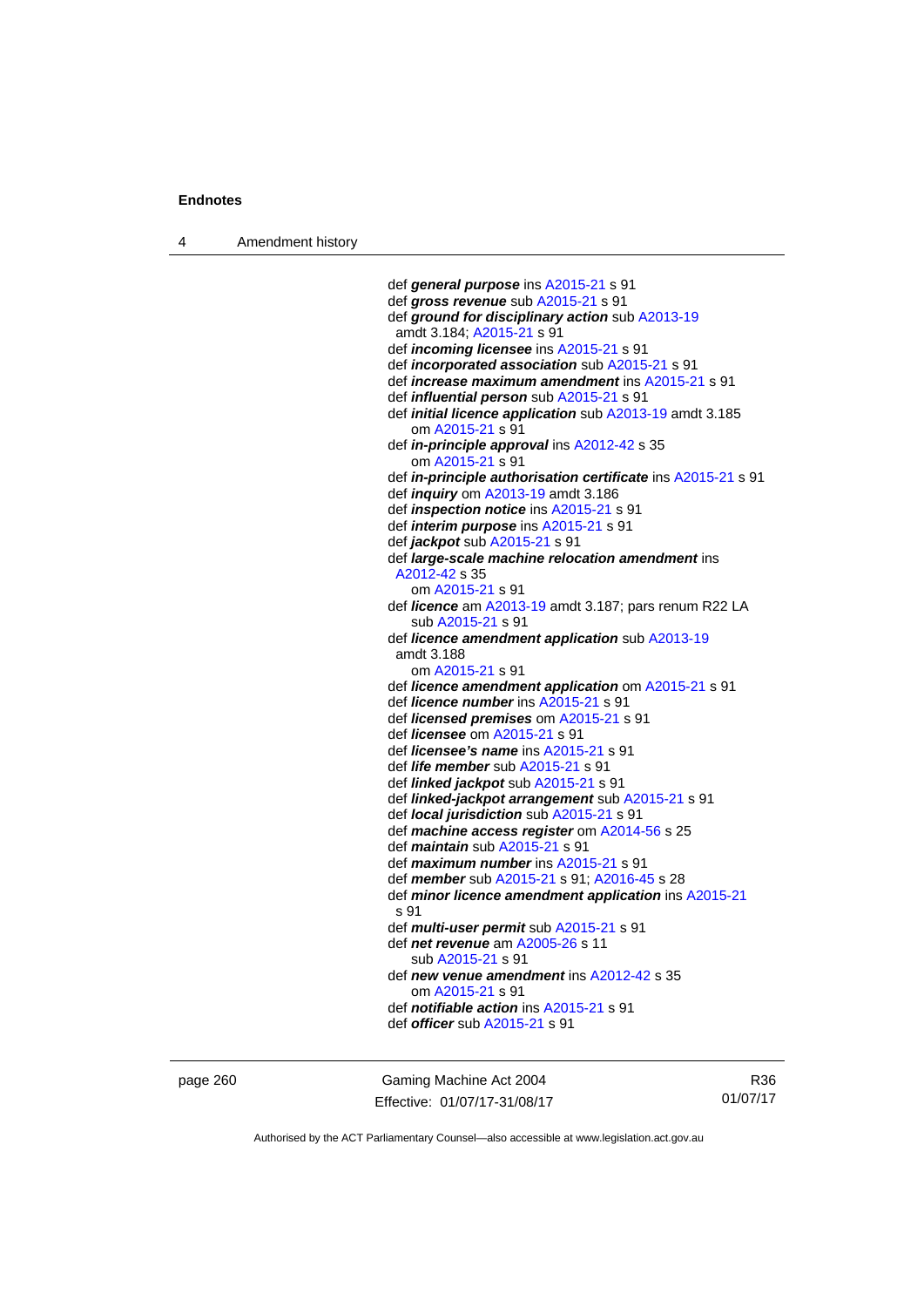4 Amendment history

```
 def general purpose ins A2015-21 s 91 
 def gross revenue sub A2015-21 s 91 
 def ground for disciplinary action sub A2013-19
 amdt 3.184; A2015-21 s 91 
 def incoming licensee ins A2015-21 s 91 
 def incorporated association sub A2015-21 s 91 
 def increase maximum amendment ins A2015-21 s 91 
 def influential person sub A2015-21 s 91 
 def initial licence application sub A2013-19 amdt 3.185 
    om A2015-21 s 91 
 def in-principle approval ins A2012-42 s 35 
    om A2015-21 s 91 
 def in-principle authorisation certificate ins A2015-21 s 91 
 def inquiry om A2013-19 amdt 3.186 
 def inspection notice ins A2015-21 s 91 
 def interim purpose ins A2015-21 s 91 
 def jackpot sub A2015-21 s 91 
 def large-scale machine relocation amendment ins 
 A2012-42 s 35 
    om A2015-21 s 91 
 def licence am A2013-19 amdt 3.187; pars renum R22 LA 
    sub A2015-21 s 91 
 def licence amendment application sub A2013-19
 amdt 3.188
    om A2015-21 s 91 
 def licence amendment application om A2015-21 s 91 
 def licence number ins A2015-21 s 91 
 def licensed premises om A2015-21 s 91 
 def licensee om A2015-21 s 91 
 def licensee's name ins A2015-21 s 91 
 def life member sub A2015-21 s 91 
 def linked jackpot sub A2015-21 s 91 
 def linked-jackpot arrangement sub A2015-21 s 91 
 def local jurisdiction sub A2015-21 s 91 
 def machine access register om A2014-56 s 25 
 def maintain sub A2015-21 s 91 
 def maximum number ins A2015-21 s 91 
 def member sub A2015-21 s 91; A2016-45 s 28 
 def minor licence amendment application ins A2015-21
s 91 
 def multi-user permit sub A2015-21 s 91 
 def net revenue am A2005-26 s 11 
    sub A2015-21 s 91 
 def new venue amendment ins A2012-42 s 35 
    om A2015-21 s 91 
 def notifiable action ins A2015-21 s 91 
 def officer sub A2015-21 s 91
```
page 260 Gaming Machine Act 2004 Effective: 01/07/17-31/08/17

R36 01/07/17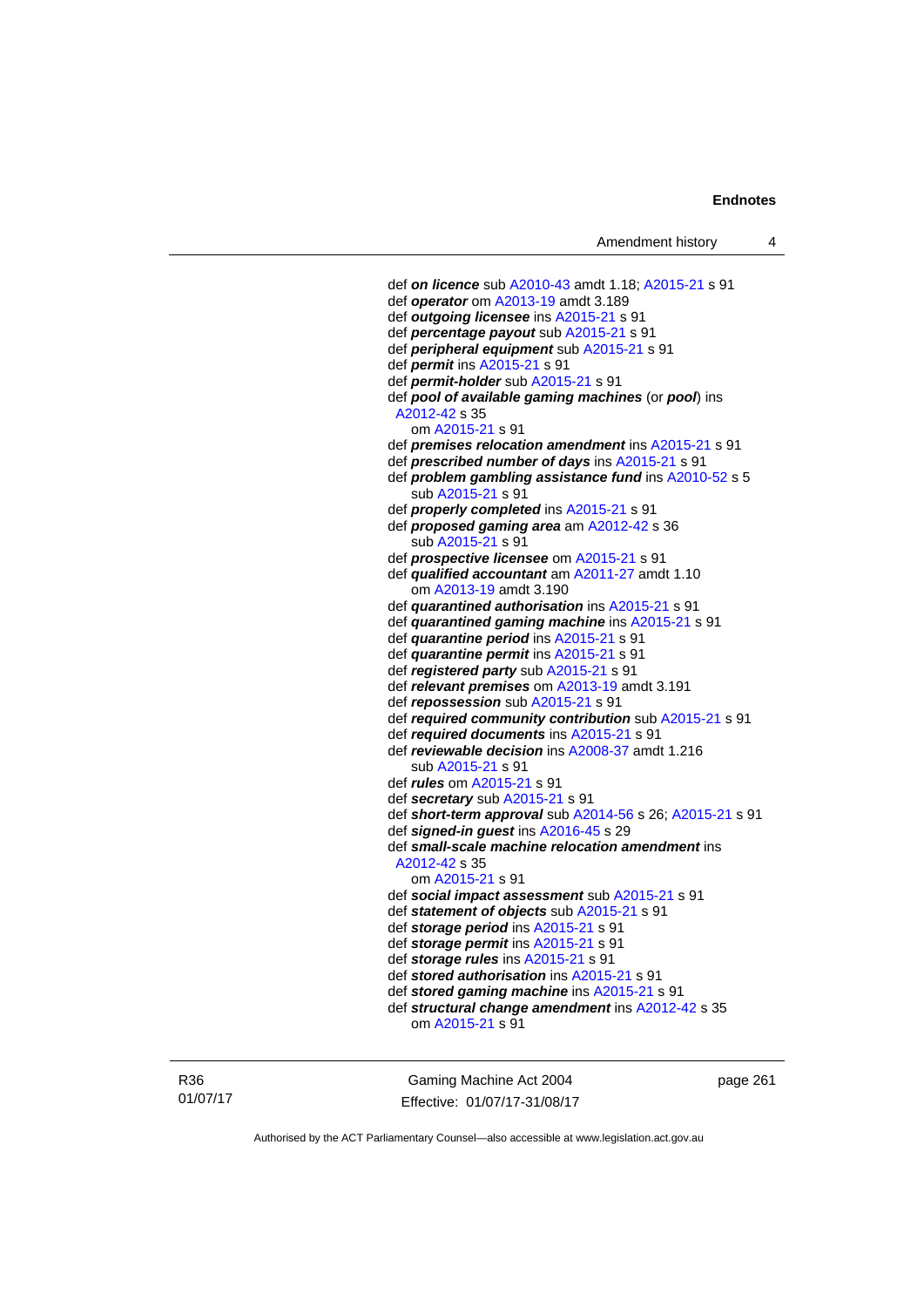def *on licence* sub [A2010-43](http://www.legislation.act.gov.au/a/2010-43) amdt 1.18; [A2015-21](http://www.legislation.act.gov.au/a/2015-21) s 91 def *operator* om [A2013-19](http://www.legislation.act.gov.au/a/2013-19) amdt 3.189 def *outgoing licensee* ins [A2015-21](http://www.legislation.act.gov.au/a/2015-21) s 91 def *percentage payout* sub [A2015-21](http://www.legislation.act.gov.au/a/2015-21) s 91 def *peripheral equipment* sub [A2015-21](http://www.legislation.act.gov.au/a/2015-21) s 91 def *permit* ins [A2015-21](http://www.legislation.act.gov.au/a/2015-21) s 91 def *permit-holder* sub [A2015-21](http://www.legislation.act.gov.au/a/2015-21) s 91 def *pool of available gaming machines* (or *pool*) ins [A2012-42](http://www.legislation.act.gov.au/a/2012-42) s 35 om [A2015-21](http://www.legislation.act.gov.au/a/2015-21) s 91 def *premises relocation amendment* ins [A2015-21](http://www.legislation.act.gov.au/a/2015-21) s 91 def *prescribed number of days* ins [A2015-21](http://www.legislation.act.gov.au/a/2015-21) s 91 def *problem gambling assistance fund* ins [A2010-52](http://www.legislation.act.gov.au/a/2010-52) s 5 sub [A2015-21](http://www.legislation.act.gov.au/a/2015-21) s 91 def *properly completed* ins [A2015-21](http://www.legislation.act.gov.au/a/2015-21) s 91 def *proposed gaming area* am [A2012-42](http://www.legislation.act.gov.au/a/2012-42) s 36 sub [A2015-21](http://www.legislation.act.gov.au/a/2015-21) s 91 def *prospective licensee* om [A2015-21](http://www.legislation.act.gov.au/a/2015-21) s 91 def *qualified accountant* am [A2011-27](http://www.legislation.act.gov.au/a/2011-27) amdt 1.10 om [A2013-19](http://www.legislation.act.gov.au/a/2013-19) amdt 3.190 def *quarantined authorisation* ins [A2015-21](http://www.legislation.act.gov.au/a/2015-21) s 91 def *quarantined gaming machine* ins [A2015-21](http://www.legislation.act.gov.au/a/2015-21) s 91 def *quarantine period* ins [A2015-21](http://www.legislation.act.gov.au/a/2015-21) s 91 def *quarantine permit* ins [A2015-21](http://www.legislation.act.gov.au/a/2015-21) s 91 def *registered party* sub [A2015-21](http://www.legislation.act.gov.au/a/2015-21) s 91 def *relevant premises* om [A2013-19](http://www.legislation.act.gov.au/a/2013-19) amdt 3.191 def *repossession* sub [A2015-21](http://www.legislation.act.gov.au/a/2015-21) s 91 def *required community contribution* sub [A2015-21](http://www.legislation.act.gov.au/a/2015-21) s 91 def *required documents* ins [A2015-21](http://www.legislation.act.gov.au/a/2015-21) s 91 def *reviewable decision* ins [A2008-37](http://www.legislation.act.gov.au/a/2008-37) amdt 1.216 sub [A2015-21](http://www.legislation.act.gov.au/a/2015-21) s 91 def *rules* om [A2015-21](http://www.legislation.act.gov.au/a/2015-21) s 91 def *secretary* sub [A2015-21](http://www.legislation.act.gov.au/a/2015-21) s 91 def *short-term approval* sub [A2014-56](http://www.legislation.act.gov.au/a/2014-56) s 26; [A2015-21](http://www.legislation.act.gov.au/a/2015-21) s 91 def *signed-in guest* ins [A2016-45](http://www.legislation.act.gov.au/a/2016-45) s 29 def *small-scale machine relocation amendment* ins [A2012-42](http://www.legislation.act.gov.au/a/2012-42) s 35 om [A2015-21](http://www.legislation.act.gov.au/a/2015-21) s 91 def *social impact assessment* sub [A2015-21](http://www.legislation.act.gov.au/a/2015-21) s 91 def *statement of objects* sub [A2015-21](http://www.legislation.act.gov.au/a/2015-21) s 91 def *storage period* ins [A2015-21](http://www.legislation.act.gov.au/a/2015-21) s 91 def *storage permit* ins [A2015-21](http://www.legislation.act.gov.au/a/2015-21) s 91 def *storage rules* ins [A2015-21](http://www.legislation.act.gov.au/a/2015-21) s 91 def *stored authorisation* ins [A2015-21](http://www.legislation.act.gov.au/a/2015-21) s 91 def *stored gaming machine* ins [A2015-21](http://www.legislation.act.gov.au/a/2015-21) s 91 def *structural change amendment* ins [A2012-42](http://www.legislation.act.gov.au/a/2012-42) s 35 om [A2015-21](http://www.legislation.act.gov.au/a/2015-21) s 91

R36 01/07/17

Gaming Machine Act 2004 Effective: 01/07/17-31/08/17 page 261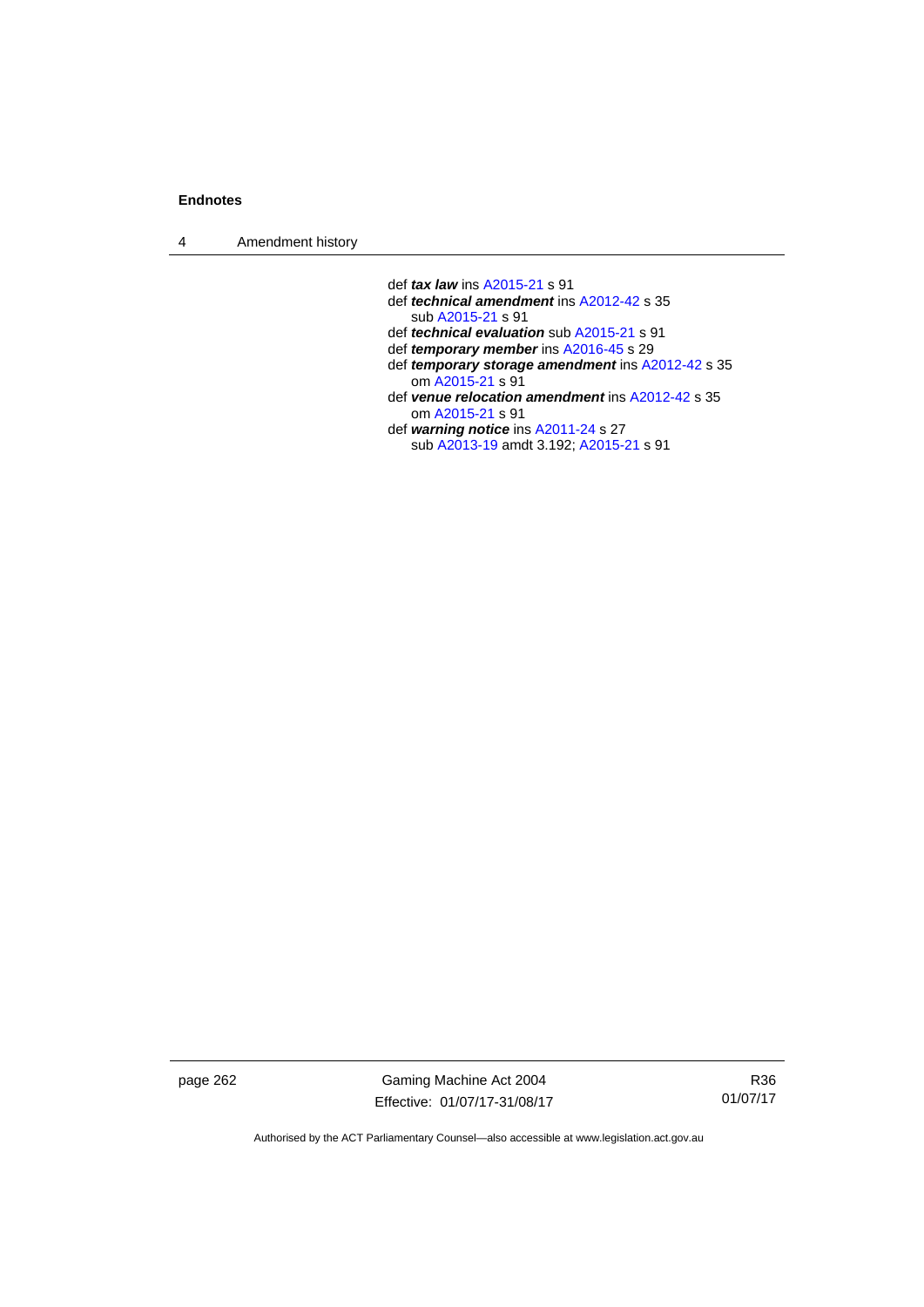4 Amendment history

def *tax law* ins [A2015-21](http://www.legislation.act.gov.au/a/2015-21) s 91

- def *technical amendment* ins [A2012-42](http://www.legislation.act.gov.au/a/2012-42) s 35 sub [A2015-21](http://www.legislation.act.gov.au/a/2015-21) s 91
- def *technical evaluation* sub [A2015-21](http://www.legislation.act.gov.au/a/2015-21) s 91
- def *temporary member* ins [A2016-45](http://www.legislation.act.gov.au/a/2016-45) s 29
- def *temporary storage amendment* ins [A2012-42](http://www.legislation.act.gov.au/a/2012-42) s 35 om [A2015-21](http://www.legislation.act.gov.au/a/2015-21) s 91
- def *venue relocation amendment* ins [A2012-42](http://www.legislation.act.gov.au/a/2012-42) s 35 om [A2015-21](http://www.legislation.act.gov.au/a/2015-21) s 91
- def *warning notice* ins [A2011-24](http://www.legislation.act.gov.au/a/2011-24) s 27 sub [A2013-19](http://www.legislation.act.gov.au/a/2013-19) amdt 3.192; [A2015-21](http://www.legislation.act.gov.au/a/2015-21) s 91

page 262 Gaming Machine Act 2004 Effective: 01/07/17-31/08/17

R36 01/07/17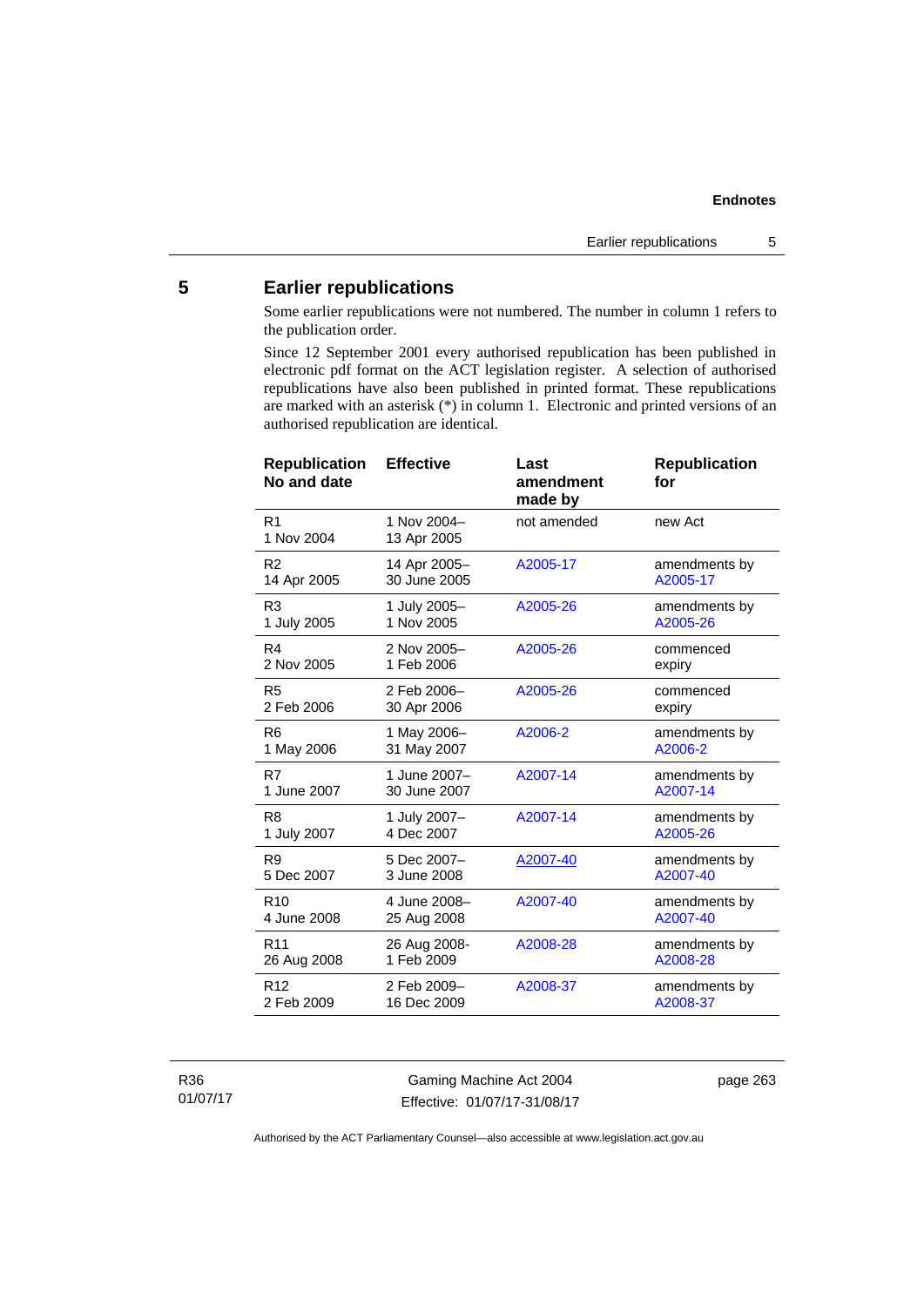# **5 Earlier republications**

Some earlier republications were not numbered. The number in column 1 refers to the publication order.

Since 12 September 2001 every authorised republication has been published in electronic pdf format on the ACT legislation register. A selection of authorised republications have also been published in printed format. These republications are marked with an asterisk (\*) in column 1. Electronic and printed versions of an authorised republication are identical.

| <b>Effective</b>             | Last<br>amendment<br>made by | <b>Republication</b><br>for |
|------------------------------|------------------------------|-----------------------------|
| 1 Nov 2004-<br>13 Apr 2005   | not amended                  | new Act                     |
| 14 Apr 2005-<br>30 June 2005 | A2005-17                     | amendments by<br>A2005-17   |
| 1 July 2005-<br>1 Nov 2005   | A2005-26                     | amendments by<br>A2005-26   |
| 2 Nov 2005-<br>1 Feb 2006    | A2005-26                     | commenced<br>expiry         |
| 2 Feb 2006-<br>30 Apr 2006   | A2005-26                     | commenced<br>expiry         |
| 1 May 2006-<br>31 May 2007   | A2006-2                      | amendments by<br>A2006-2    |
| 1 June 2007-<br>30 June 2007 | A2007-14                     | amendments by<br>A2007-14   |
| 1 July 2007-<br>4 Dec 2007   | A2007-14                     | amendments by<br>A2005-26   |
| 5 Dec 2007-<br>3 June 2008   | A2007-40                     | amendments by<br>A2007-40   |
| 4 June 2008-<br>25 Aug 2008  | A2007-40                     | amendments by<br>A2007-40   |
| 26 Aug 2008-<br>1 Feb 2009   | A2008-28                     | amendments by<br>A2008-28   |
| 2 Feb 2009-<br>16 Dec 2009   | A2008-37                     | amendments by<br>A2008-37   |
|                              |                              |                             |

R36 01/07/17

Gaming Machine Act 2004 Effective: 01/07/17-31/08/17 page 263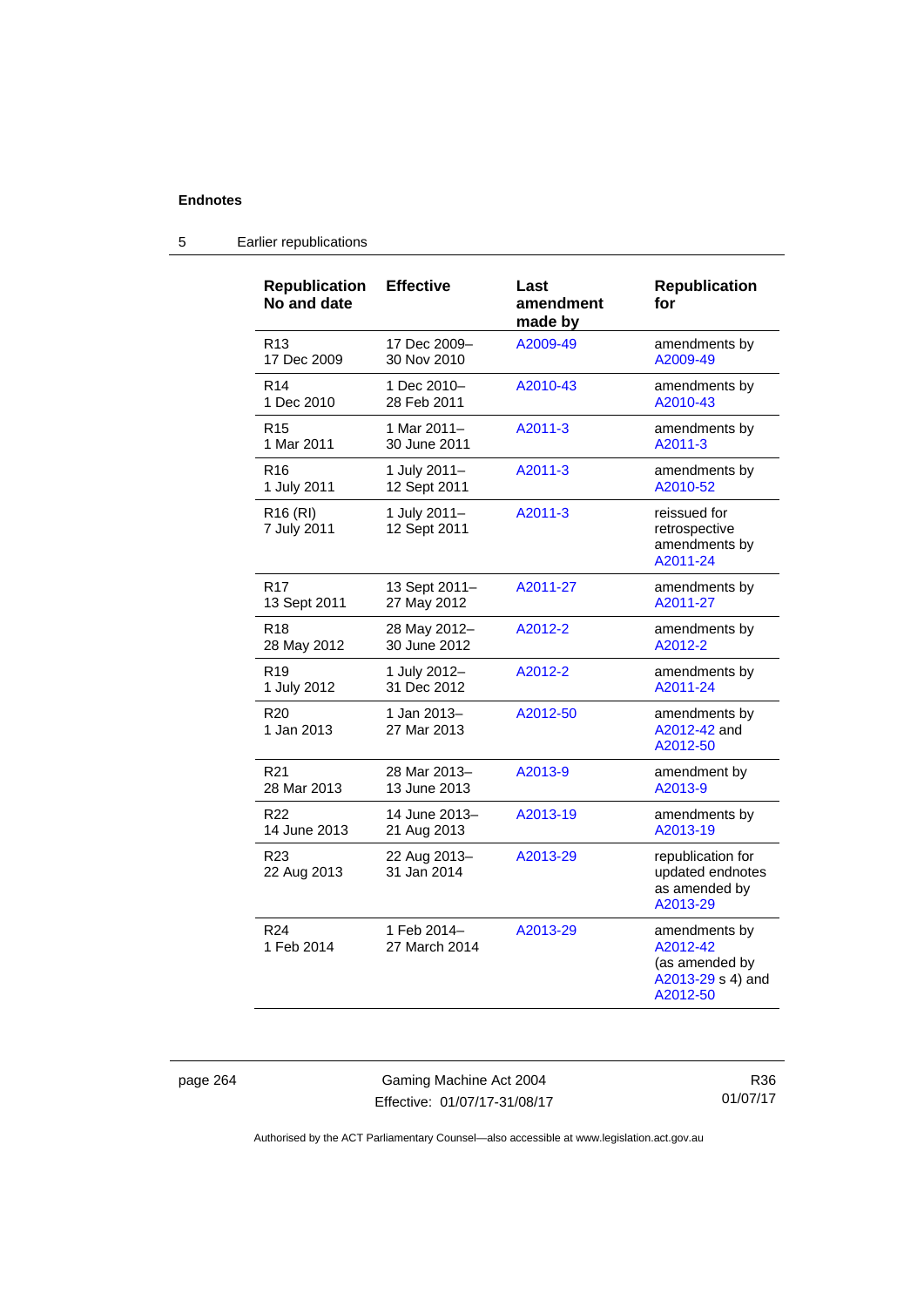| <b>Republication</b><br>No and date | <b>Effective</b>             | Last<br>amendment<br>made by | <b>Republication</b><br>for                                                  |
|-------------------------------------|------------------------------|------------------------------|------------------------------------------------------------------------------|
| R13                                 | 17 Dec 2009-                 | A2009-49                     | amendments by                                                                |
| 17 Dec 2009                         | 30 Nov 2010                  |                              | A2009-49                                                                     |
| R <sub>14</sub>                     | 1 Dec 2010-                  | A2010-43                     | amendments by                                                                |
| 1 Dec 2010                          | 28 Feb 2011                  |                              | A2010-43                                                                     |
| R <sub>15</sub>                     | 1 Mar 2011-                  | A2011-3                      | amendments by                                                                |
| 1 Mar 2011                          | 30 June 2011                 |                              | A2011-3                                                                      |
| R <sub>16</sub>                     | 1 July 2011-                 | A2011-3                      | amendments by                                                                |
| 1 July 2011                         | 12 Sept 2011                 |                              | A2010-52                                                                     |
| R <sub>16</sub> (RI)<br>7 July 2011 | 1 July 2011-<br>12 Sept 2011 | A2011-3                      | reissued for<br>retrospective<br>amendments by<br>A2011-24                   |
| R <sub>17</sub>                     | 13 Sept 2011-                | A2011-27                     | amendments by                                                                |
| 13 Sept 2011                        | 27 May 2012                  |                              | A2011-27                                                                     |
| R <sub>18</sub>                     | 28 May 2012-                 | A2012-2                      | amendments by                                                                |
| 28 May 2012                         | 30 June 2012                 |                              | A2012-2                                                                      |
| R <sub>19</sub>                     | 1 July 2012-                 | A2012-2                      | amendments by                                                                |
| 1 July 2012                         | 31 Dec 2012                  |                              | A2011-24                                                                     |
| R <sub>20</sub><br>1 Jan 2013       | 1 Jan 2013-<br>27 Mar 2013   | A2012-50                     | amendments by<br>A2012-42 and<br>A2012-50                                    |
| R21                                 | 28 Mar 2013-                 | A2013-9                      | amendment by                                                                 |
| 28 Mar 2013                         | 13 June 2013                 |                              | A2013-9                                                                      |
| R <sub>22</sub>                     | 14 June 2013-                | A2013-19                     | amendments by                                                                |
| 14 June 2013                        | 21 Aug 2013                  |                              | A2013-19                                                                     |
| R <sub>23</sub><br>22 Aug 2013      | 22 Aug 2013-<br>31 Jan 2014  | A2013-29                     | republication for<br>updated endnotes<br>as amended by<br>A2013-29           |
| R <sub>24</sub><br>1 Feb 2014       | 1 Feb 2014-<br>27 March 2014 | A2013-29                     | amendments by<br>A2012-42<br>(as amended by<br>A2013-29 s 4) and<br>A2012-50 |

# 5 Earlier republications

page 264 Gaming Machine Act 2004 Effective: 01/07/17-31/08/17

R36 01/07/17